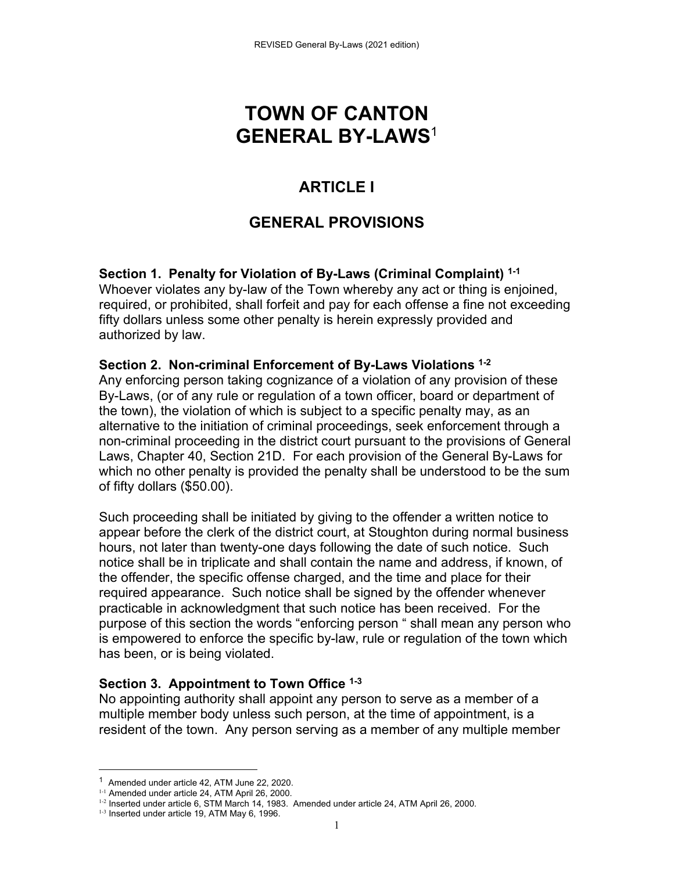# **TOWN OF CANTON GENERAL BY-LAWS**<sup>1</sup>

# **ARTICLE I**

# **GENERAL PROVISIONS**

**Section 1. Penalty for Violation of By-Laws (Criminal Complaint) 1-1** Whoever violates any by-law of the Town whereby any act or thing is enjoined, required, or prohibited, shall forfeit and pay for each offense a fine not exceeding fifty dollars unless some other penalty is herein expressly provided and authorized by law.

## **Section 2. Non-criminal Enforcement of By-Laws Violations 1-2**

Any enforcing person taking cognizance of a violation of any provision of these By-Laws, (or of any rule or regulation of a town officer, board or department of the town), the violation of which is subject to a specific penalty may, as an alternative to the initiation of criminal proceedings, seek enforcement through a non-criminal proceeding in the district court pursuant to the provisions of General Laws, Chapter 40, Section 21D. For each provision of the General By-Laws for which no other penalty is provided the penalty shall be understood to be the sum of fifty dollars (\$50.00).

Such proceeding shall be initiated by giving to the offender a written notice to appear before the clerk of the district court, at Stoughton during normal business hours, not later than twenty-one days following the date of such notice. Such notice shall be in triplicate and shall contain the name and address, if known, of the offender, the specific offense charged, and the time and place for their required appearance. Such notice shall be signed by the offender whenever practicable in acknowledgment that such notice has been received. For the purpose of this section the words "enforcing person " shall mean any person who is empowered to enforce the specific by-law, rule or regulation of the town which has been, or is being violated.

## **Section 3. Appointment to Town Office 1-3**

No appointing authority shall appoint any person to serve as a member of a multiple member body unless such person, at the time of appointment, is a resident of the town. Any person serving as a member of any multiple member

<sup>1</sup> Amended under article 42, ATM June 22, 2020.

<sup>1-1</sup> Amended under article 24, ATM April 26, 2000.

<sup>1-2</sup> Inserted under article 6, STM March 14, 1983. Amended under article 24, ATM April 26, 2000.

<sup>&</sup>lt;sup>1-3</sup> Inserted under article 19, ATM May 6, 1996.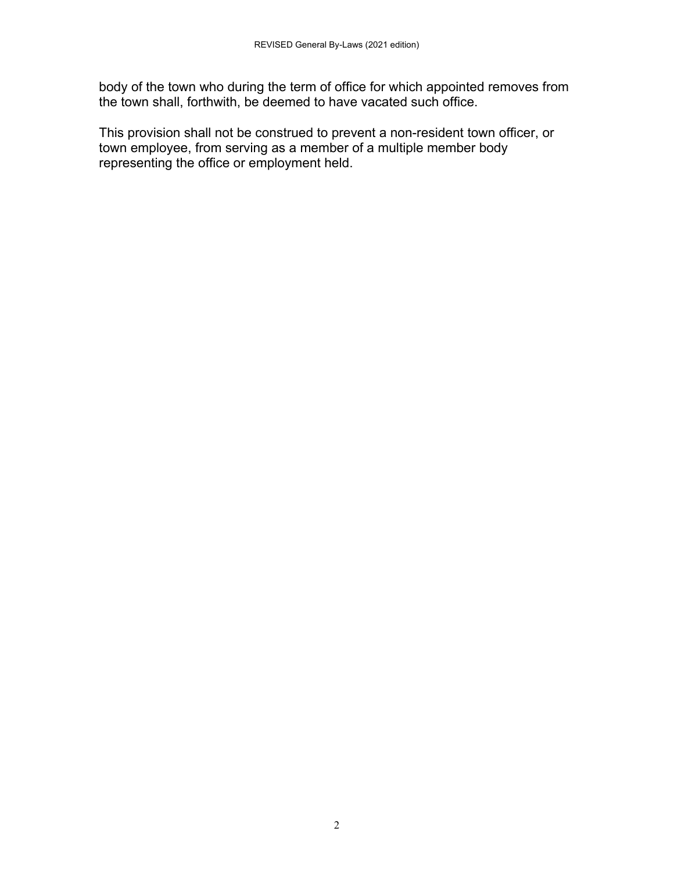body of the town who during the term of office for which appointed removes from the town shall, forthwith, be deemed to have vacated such office.

This provision shall not be construed to prevent a non-resident town officer, or town employee, from serving as a member of a multiple member body representing the office or employment held.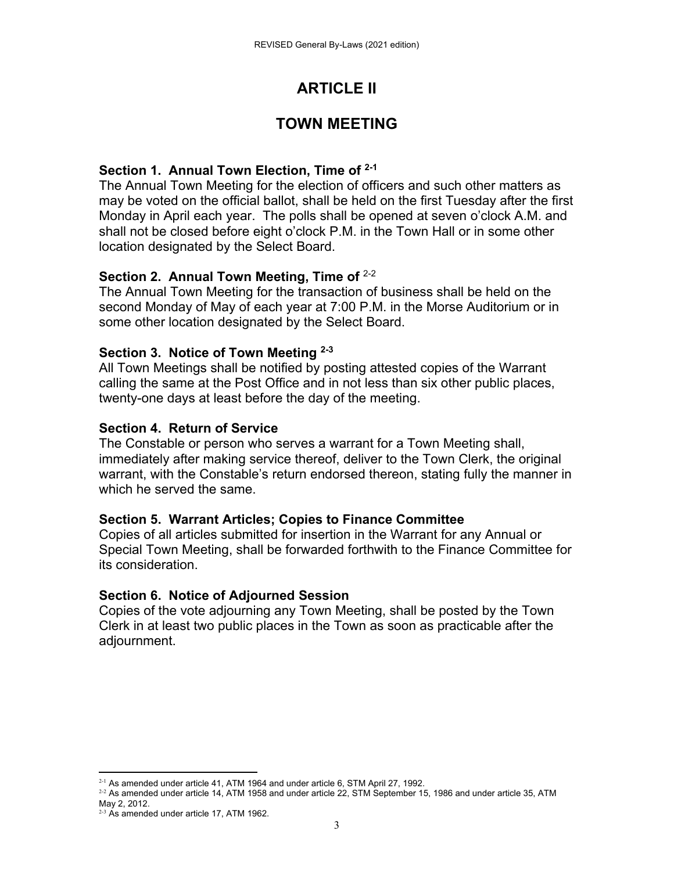# **ARTICLE II**

# **TOWN MEETING**

## **Section 1. Annual Town Election, Time of 2-1**

The Annual Town Meeting for the election of officers and such other matters as may be voted on the official ballot, shall be held on the first Tuesday after the first Monday in April each year. The polls shall be opened at seven o'clock A.M. and shall not be closed before eight o'clock P.M. in the Town Hall or in some other location designated by the Select Board.

## **Section 2. Annual Town Meeting, Time of** 2-2

The Annual Town Meeting for the transaction of business shall be held on the second Monday of May of each year at 7:00 P.M. in the Morse Auditorium or in some other location designated by the Select Board.

## **Section 3. Notice of Town Meeting 2-3**

All Town Meetings shall be notified by posting attested copies of the Warrant calling the same at the Post Office and in not less than six other public places, twenty-one days at least before the day of the meeting.

## **Section 4. Return of Service**

The Constable or person who serves a warrant for a Town Meeting shall, immediately after making service thereof, deliver to the Town Clerk, the original warrant, with the Constable's return endorsed thereon, stating fully the manner in which he served the same.

## **Section 5. Warrant Articles; Copies to Finance Committee**

Copies of all articles submitted for insertion in the Warrant for any Annual or Special Town Meeting, shall be forwarded forthwith to the Finance Committee for its consideration.

## **Section 6. Notice of Adjourned Session**

Copies of the vote adjourning any Town Meeting, shall be posted by the Town Clerk in at least two public places in the Town as soon as practicable after the adjournment.

  $2-1$  As amended under article 41, ATM 1964 and under article 6, STM April 27, 1992.

 $2-2$  As amended under article 14, ATM 1958 and under article 22, STM September 15, 1986 and under article 35, ATM May 2, 2012.

 $2-3$  As amended under article 17, ATM 1962.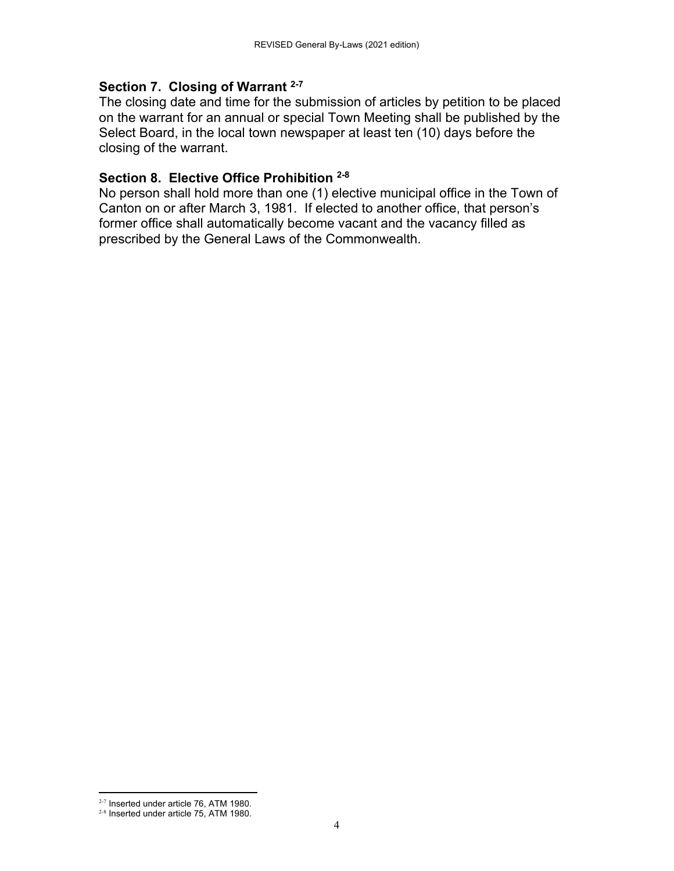### **Section 7. Closing of Warrant 2-7**

The closing date and time for the submission of articles by petition to be placed on the warrant for an annual or special Town Meeting shall be published by the Select Board, in the local town newspaper at least ten (10) days before the closing of the warrant.

## **Section 8. Elective Office Prohibition 2-8**

No person shall hold more than one (1) elective municipal office in the Town of Canton on or after March 3, 1981. If elected to another office, that person's former office shall automatically become vacant and the vacancy filled as prescribed by the General Laws of the Commonwealth.

  $2-7$  Inserted under article 76, ATM 1980.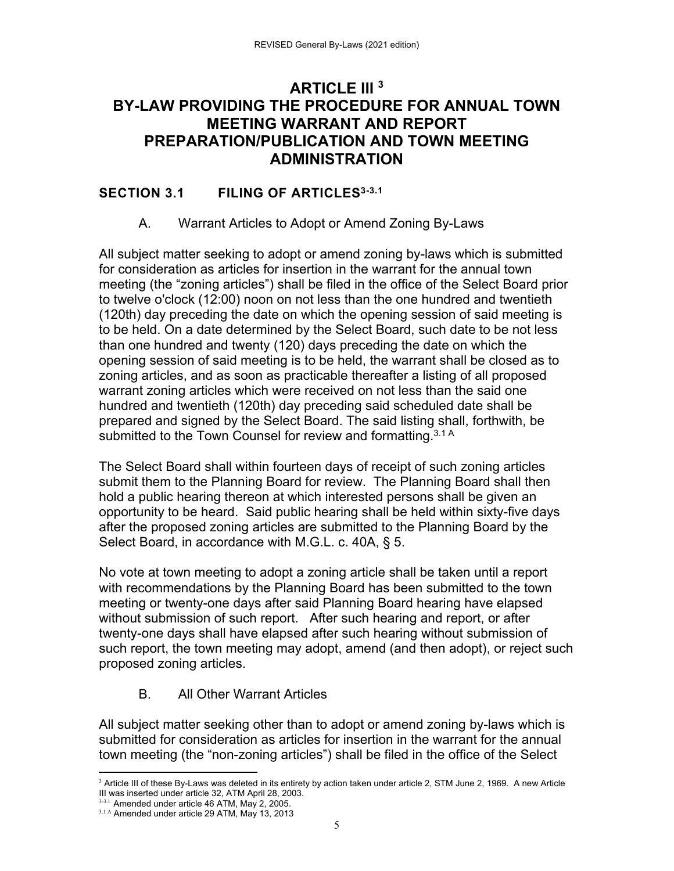# **ARTICLE III 3 BY-LAW PROVIDING THE PROCEDURE FOR ANNUAL TOWN MEETING WARRANT AND REPORT PREPARATION/PUBLICATION AND TOWN MEETING ADMINISTRATION**

## **SECTION 3.1 FILING OF ARTICLES**3-3.1

## A. Warrant Articles to Adopt or Amend Zoning By-Laws

All subject matter seeking to adopt or amend zoning by-laws which is submitted for consideration as articles for insertion in the warrant for the annual town meeting (the "zoning articles") shall be filed in the office of the Select Board prior to twelve o'clock (12:00) noon on not less than the one hundred and twentieth (120th) day preceding the date on which the opening session of said meeting is to be held. On a date determined by the Select Board, such date to be not less than one hundred and twenty (120) days preceding the date on which the opening session of said meeting is to be held, the warrant shall be closed as to zoning articles, and as soon as practicable thereafter a listing of all proposed warrant zoning articles which were received on not less than the said one hundred and twentieth (120th) day preceding said scheduled date shall be prepared and signed by the Select Board. The said listing shall, forthwith, be submitted to the Town Counsel for review and formatting.<sup>3.1 A</sup>

The Select Board shall within fourteen days of receipt of such zoning articles submit them to the Planning Board for review. The Planning Board shall then hold a public hearing thereon at which interested persons shall be given an opportunity to be heard. Said public hearing shall be held within sixty-five days after the proposed zoning articles are submitted to the Planning Board by the Select Board, in accordance with M.G.L. c. 40A, § 5.

No vote at town meeting to adopt a zoning article shall be taken until a report with recommendations by the Planning Board has been submitted to the town meeting or twenty-one days after said Planning Board hearing have elapsed without submission of such report. After such hearing and report, or after twenty-one days shall have elapsed after such hearing without submission of such report, the town meeting may adopt, amend (and then adopt), or reject such proposed zoning articles.

## B. All Other Warrant Articles

All subject matter seeking other than to adopt or amend zoning by-laws which is submitted for consideration as articles for insertion in the warrant for the annual town meeting (the "non-zoning articles") shall be filed in the office of the Select

  $3$  Article III of these By-Laws was deleted in its entirety by action taken under article 2, STM June 2, 1969. A new Article III was inserted under article 32, ATM April 28, 2003.

<sup>3-3.1</sup> Amended under article 46 ATM, May 2, 2005.

<sup>3.1</sup> A Amended under article 29 ATM, May 13, 2013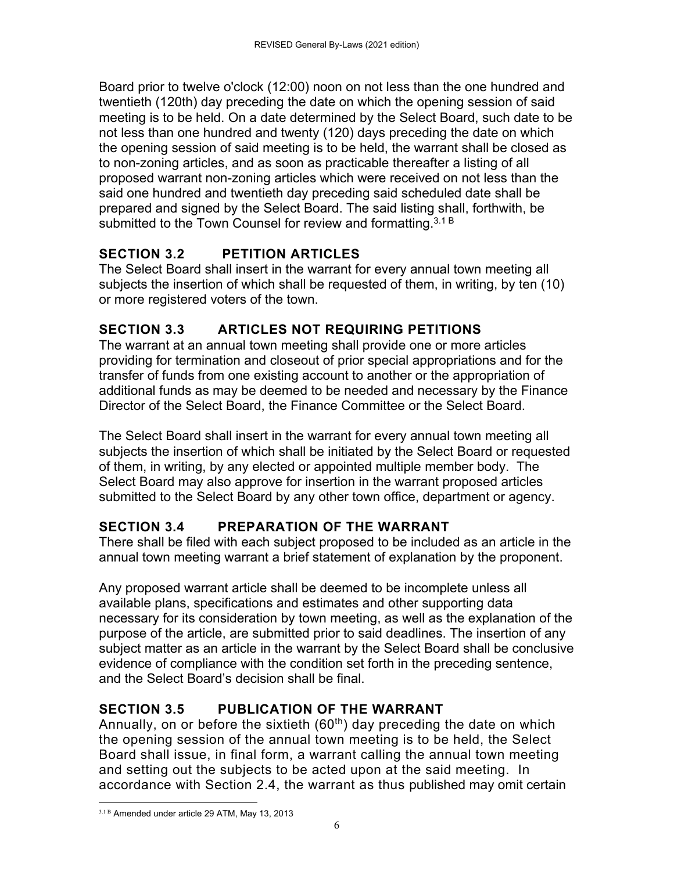Board prior to twelve o'clock (12:00) noon on not less than the one hundred and twentieth (120th) day preceding the date on which the opening session of said meeting is to be held. On a date determined by the Select Board, such date to be not less than one hundred and twenty (120) days preceding the date on which the opening session of said meeting is to be held, the warrant shall be closed as to non-zoning articles, and as soon as practicable thereafter a listing of all proposed warrant non-zoning articles which were received on not less than the said one hundred and twentieth day preceding said scheduled date shall be prepared and signed by the Select Board. The said listing shall, forthwith, be submitted to the Town Counsel for review and formatting.  $3.1 B$ 

# **SECTION 3.2 PETITION ARTICLES**

The Select Board shall insert in the warrant for every annual town meeting all subjects the insertion of which shall be requested of them, in writing, by ten (10) or more registered voters of the town.

# **SECTION 3.3 ARTICLES NOT REQUIRING PETITIONS**

The warrant at an annual town meeting shall provide one or more articles providing for termination and closeout of prior special appropriations and for the transfer of funds from one existing account to another or the appropriation of additional funds as may be deemed to be needed and necessary by the Finance Director of the Select Board, the Finance Committee or the Select Board.

The Select Board shall insert in the warrant for every annual town meeting all subjects the insertion of which shall be initiated by the Select Board or requested of them, in writing, by any elected or appointed multiple member body. The Select Board may also approve for insertion in the warrant proposed articles submitted to the Select Board by any other town office, department or agency.

# **SECTION 3.4 PREPARATION OF THE WARRANT**

There shall be filed with each subject proposed to be included as an article in the annual town meeting warrant a brief statement of explanation by the proponent.

Any proposed warrant article shall be deemed to be incomplete unless all available plans, specifications and estimates and other supporting data necessary for its consideration by town meeting, as well as the explanation of the purpose of the article, are submitted prior to said deadlines. The insertion of any subject matter as an article in the warrant by the Select Board shall be conclusive evidence of compliance with the condition set forth in the preceding sentence, and the Select Board's decision shall be final.

# **SECTION 3.5 PUBLICATION OF THE WARRANT**

Annually, on or before the sixtieth ( $60<sup>th</sup>$ ) day preceding the date on which the opening session of the annual town meeting is to be held, the Select Board shall issue, in final form, a warrant calling the annual town meeting and setting out the subjects to be acted upon at the said meeting. In accordance with Section 2.4, the warrant as thus published may omit certain

 3.1 B Amended under article 29 ATM, May 13, 2013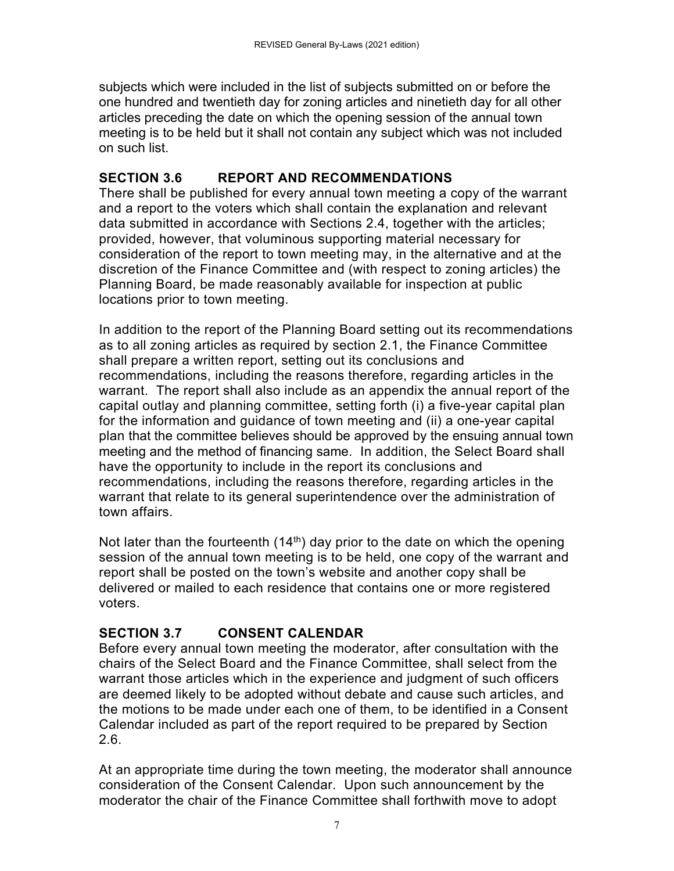subjects which were included in the list of subjects submitted on or before the one hundred and twentieth day for zoning articles and ninetieth day for all other articles preceding the date on which the opening session of the annual town meeting is to be held but it shall not contain any subject which was not included on such list.

# **SECTION 3.6 REPORT AND RECOMMENDATIONS**

There shall be published for every annual town meeting a copy of the warrant and a report to the voters which shall contain the explanation and relevant data submitted in accordance with Sections 2.4, together with the articles; provided, however, that voluminous supporting material necessary for consideration of the report to town meeting may, in the alternative and at the discretion of the Finance Committee and (with respect to zoning articles) the Planning Board, be made reasonably available for inspection at public locations prior to town meeting.

In addition to the report of the Planning Board setting out its recommendations as to all zoning articles as required by section 2.1, the Finance Committee shall prepare a written report, setting out its conclusions and recommendations, including the reasons therefore, regarding articles in the warrant. The report shall also include as an appendix the annual report of the capital outlay and planning committee, setting forth (i) a five-year capital plan for the information and guidance of town meeting and (ii) a one-year capital plan that the committee believes should be approved by the ensuing annual town meeting and the method of financing same. In addition, the Select Board shall have the opportunity to include in the report its conclusions and recommendations, including the reasons therefore, regarding articles in the warrant that relate to its general superintendence over the administration of town affairs.

Not later than the fourteenth  $(14<sup>th</sup>)$  day prior to the date on which the opening session of the annual town meeting is to be held, one copy of the warrant and report shall be posted on the town's website and another copy shall be delivered or mailed to each residence that contains one or more registered voters.

# **SECTION 3.7 CONSENT CALENDAR**

Before every annual town meeting the moderator, after consultation with the chairs of the Select Board and the Finance Committee, shall select from the warrant those articles which in the experience and judgment of such officers are deemed likely to be adopted without debate and cause such articles, and the motions to be made under each one of them, to be identified in a Consent Calendar included as part of the report required to be prepared by Section 2.6.

At an appropriate time during the town meeting, the moderator shall announce consideration of the Consent Calendar. Upon such announcement by the moderator the chair of the Finance Committee shall forthwith move to adopt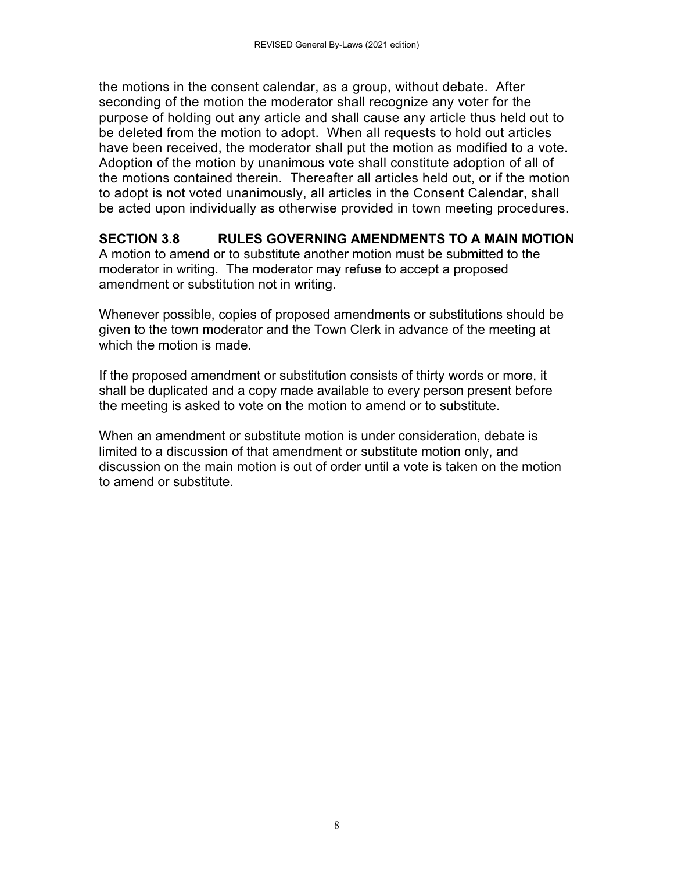the motions in the consent calendar, as a group, without debate. After seconding of the motion the moderator shall recognize any voter for the purpose of holding out any article and shall cause any article thus held out to be deleted from the motion to adopt. When all requests to hold out articles have been received, the moderator shall put the motion as modified to a vote. Adoption of the motion by unanimous vote shall constitute adoption of all of the motions contained therein. Thereafter all articles held out, or if the motion to adopt is not voted unanimously, all articles in the Consent Calendar, shall be acted upon individually as otherwise provided in town meeting procedures.

### **SECTION 3.8 RULES GOVERNING AMENDMENTS TO A MAIN MOTION**

A motion to amend or to substitute another motion must be submitted to the moderator in writing. The moderator may refuse to accept a proposed amendment or substitution not in writing.

Whenever possible, copies of proposed amendments or substitutions should be given to the town moderator and the Town Clerk in advance of the meeting at which the motion is made.

If the proposed amendment or substitution consists of thirty words or more, it shall be duplicated and a copy made available to every person present before the meeting is asked to vote on the motion to amend or to substitute.

When an amendment or substitute motion is under consideration, debate is limited to a discussion of that amendment or substitute motion only, and discussion on the main motion is out of order until a vote is taken on the motion to amend or substitute.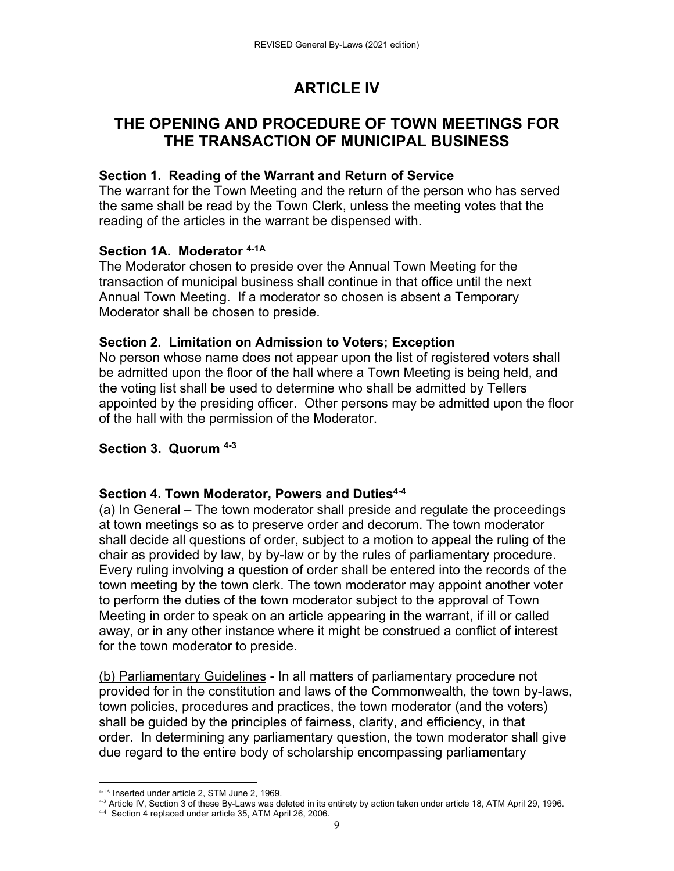# **ARTICLE IV**

# **THE OPENING AND PROCEDURE OF TOWN MEETINGS FOR THE TRANSACTION OF MUNICIPAL BUSINESS**

## **Section 1. Reading of the Warrant and Return of Service**

The warrant for the Town Meeting and the return of the person who has served the same shall be read by the Town Clerk, unless the meeting votes that the reading of the articles in the warrant be dispensed with.

### **Section 1A. Moderator 4-1A**

The Moderator chosen to preside over the Annual Town Meeting for the transaction of municipal business shall continue in that office until the next Annual Town Meeting. If a moderator so chosen is absent a Temporary Moderator shall be chosen to preside.

### **Section 2. Limitation on Admission to Voters; Exception**

No person whose name does not appear upon the list of registered voters shall be admitted upon the floor of the hall where a Town Meeting is being held, and the voting list shall be used to determine who shall be admitted by Tellers appointed by the presiding officer. Other persons may be admitted upon the floor of the hall with the permission of the Moderator.

### **Section 3. Quorum 4-3**

### **Section 4. Town Moderator, Powers and Duties4-4**

(a) In General – The town moderator shall preside and regulate the proceedings at town meetings so as to preserve order and decorum. The town moderator shall decide all questions of order, subject to a motion to appeal the ruling of the chair as provided by law, by by-law or by the rules of parliamentary procedure. Every ruling involving a question of order shall be entered into the records of the town meeting by the town clerk. The town moderator may appoint another voter to perform the duties of the town moderator subject to the approval of Town Meeting in order to speak on an article appearing in the warrant, if ill or called away, or in any other instance where it might be construed a conflict of interest for the town moderator to preside.

(b) Parliamentary Guidelines - In all matters of parliamentary procedure not provided for in the constitution and laws of the Commonwealth, the town by-laws, town policies, procedures and practices, the town moderator (and the voters) shall be guided by the principles of fairness, clarity, and efficiency, in that order. In determining any parliamentary question, the town moderator shall give due regard to the entire body of scholarship encompassing parliamentary

<sup>4-1</sup>A Inserted under article 2, STM June 2, 1969.

<sup>4-3</sup> Article IV, Section 3 of these By-Laws was deleted in its entirety by action taken under article 18, ATM April 29, 1996.

<sup>4-4</sup> Section 4 replaced under article 35, ATM April 26, 2006.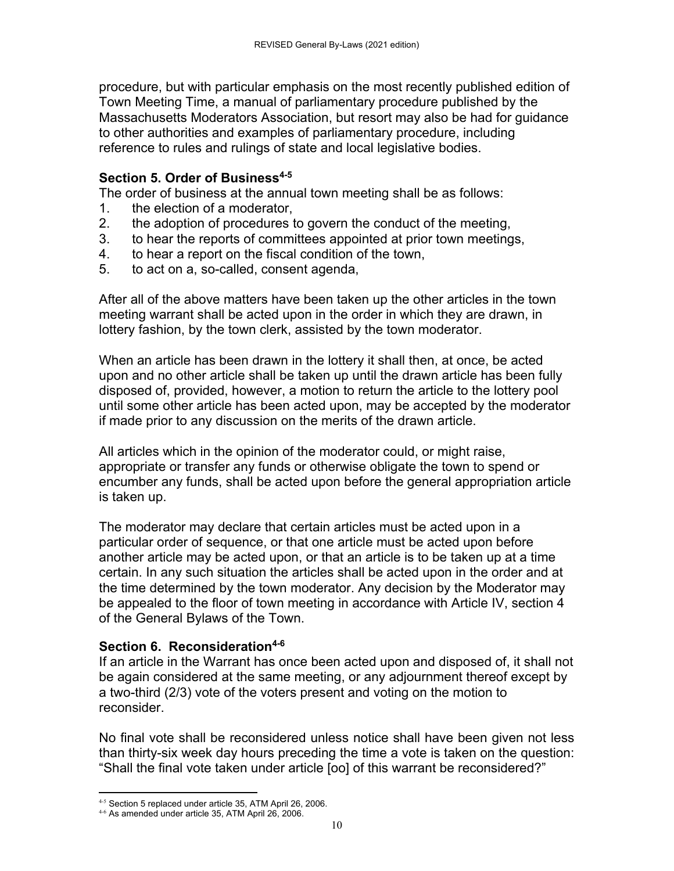procedure, but with particular emphasis on the most recently published edition of Town Meeting Time, a manual of parliamentary procedure published by the Massachusetts Moderators Association, but resort may also be had for guidance to other authorities and examples of parliamentary procedure, including reference to rules and rulings of state and local legislative bodies.

## **Section 5. Order of Business4-5**

The order of business at the annual town meeting shall be as follows:

- 1. the election of a moderator,
- 2. the adoption of procedures to govern the conduct of the meeting,
- 3. to hear the reports of committees appointed at prior town meetings,
- 4. to hear a report on the fiscal condition of the town,
- 5. to act on a, so-called, consent agenda,

After all of the above matters have been taken up the other articles in the town meeting warrant shall be acted upon in the order in which they are drawn, in lottery fashion, by the town clerk, assisted by the town moderator.

When an article has been drawn in the lottery it shall then, at once, be acted upon and no other article shall be taken up until the drawn article has been fully disposed of, provided, however, a motion to return the article to the lottery pool until some other article has been acted upon, may be accepted by the moderator if made prior to any discussion on the merits of the drawn article.

All articles which in the opinion of the moderator could, or might raise, appropriate or transfer any funds or otherwise obligate the town to spend or encumber any funds, shall be acted upon before the general appropriation article is taken up.

The moderator may declare that certain articles must be acted upon in a particular order of sequence, or that one article must be acted upon before another article may be acted upon, or that an article is to be taken up at a time certain. In any such situation the articles shall be acted upon in the order and at the time determined by the town moderator. Any decision by the Moderator may be appealed to the floor of town meeting in accordance with Article IV, section 4 of the General Bylaws of the Town.

## **Section 6. Reconsideration4-6**

If an article in the Warrant has once been acted upon and disposed of, it shall not be again considered at the same meeting, or any adjournment thereof except by a two-third (2/3) vote of the voters present and voting on the motion to reconsider.

No final vote shall be reconsidered unless notice shall have been given not less than thirty-six week day hours preceding the time a vote is taken on the question: "Shall the final vote taken under article [oo] of this warrant be reconsidered?"

  $4-5$  Section 5 replaced under article 35, ATM April 26, 2006.

<sup>4-6</sup> As amended under article 35, ATM April 26, 2006.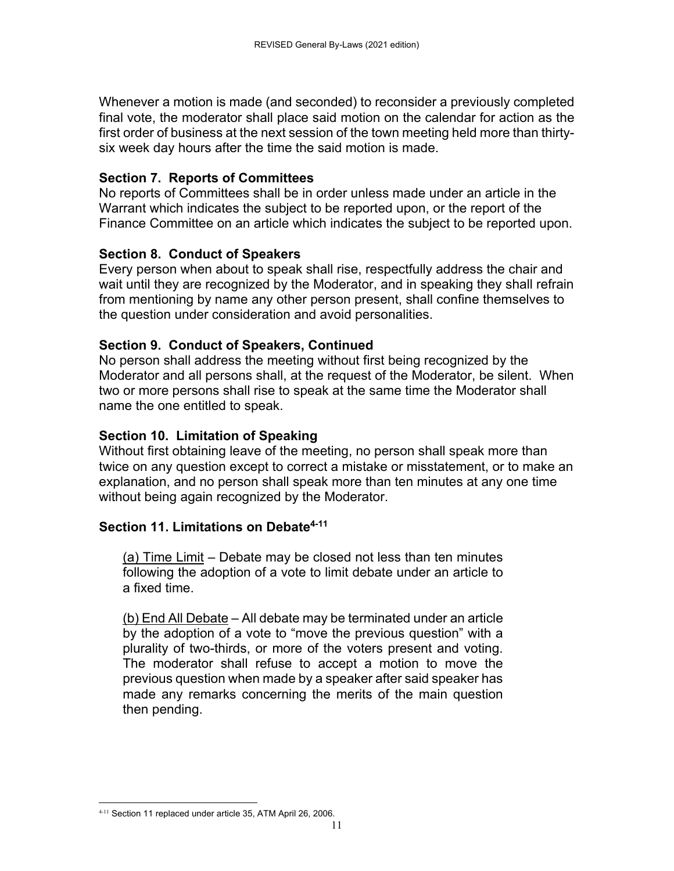Whenever a motion is made (and seconded) to reconsider a previously completed final vote, the moderator shall place said motion on the calendar for action as the first order of business at the next session of the town meeting held more than thirtysix week day hours after the time the said motion is made.

## **Section 7. Reports of Committees**

No reports of Committees shall be in order unless made under an article in the Warrant which indicates the subject to be reported upon, or the report of the Finance Committee on an article which indicates the subject to be reported upon.

# **Section 8. Conduct of Speakers**

Every person when about to speak shall rise, respectfully address the chair and wait until they are recognized by the Moderator, and in speaking they shall refrain from mentioning by name any other person present, shall confine themselves to the question under consideration and avoid personalities.

# **Section 9. Conduct of Speakers, Continued**

No person shall address the meeting without first being recognized by the Moderator and all persons shall, at the request of the Moderator, be silent. When two or more persons shall rise to speak at the same time the Moderator shall name the one entitled to speak.

# **Section 10. Limitation of Speaking**

Without first obtaining leave of the meeting, no person shall speak more than twice on any question except to correct a mistake or misstatement, or to make an explanation, and no person shall speak more than ten minutes at any one time without being again recognized by the Moderator.

# **Section 11. Limitations on Debate4-11**

(a) Time Limit – Debate may be closed not less than ten minutes following the adoption of a vote to limit debate under an article to a fixed time.

(b) End All Debate – All debate may be terminated under an article by the adoption of a vote to "move the previous question" with a plurality of two-thirds, or more of the voters present and voting. The moderator shall refuse to accept a motion to move the previous question when made by a speaker after said speaker has made any remarks concerning the merits of the main question then pending.

 4-11 Section 11 replaced under article 35, ATM April 26, 2006.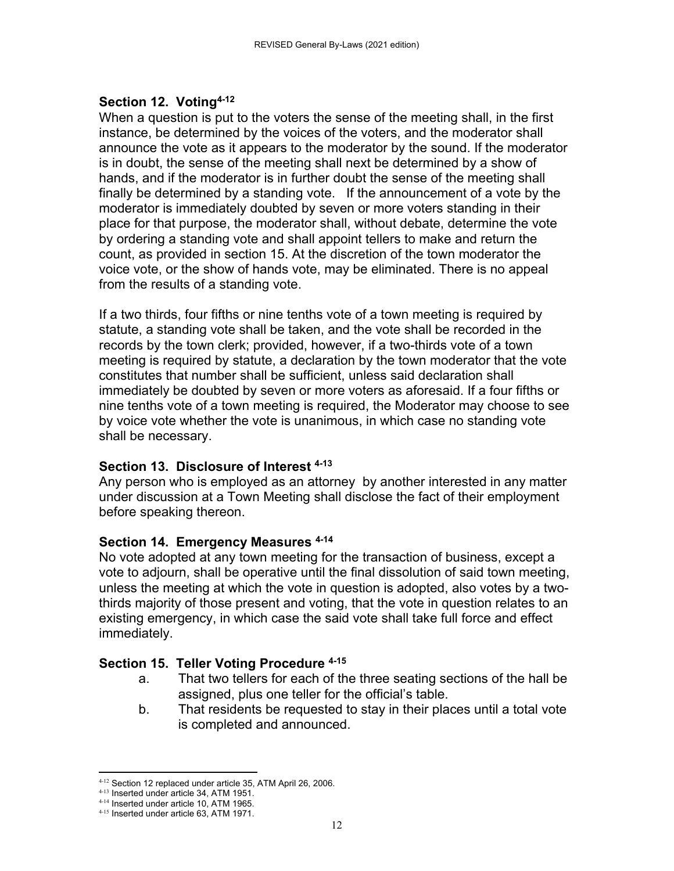## **Section 12. Voting4-12**

When a question is put to the voters the sense of the meeting shall, in the first instance, be determined by the voices of the voters, and the moderator shall announce the vote as it appears to the moderator by the sound. If the moderator is in doubt, the sense of the meeting shall next be determined by a show of hands, and if the moderator is in further doubt the sense of the meeting shall finally be determined by a standing vote. If the announcement of a vote by the moderator is immediately doubted by seven or more voters standing in their place for that purpose, the moderator shall, without debate, determine the vote by ordering a standing vote and shall appoint tellers to make and return the count, as provided in section 15. At the discretion of the town moderator the voice vote, or the show of hands vote, may be eliminated. There is no appeal from the results of a standing vote.

If a two thirds, four fifths or nine tenths vote of a town meeting is required by statute, a standing vote shall be taken, and the vote shall be recorded in the records by the town clerk; provided, however, if a two-thirds vote of a town meeting is required by statute, a declaration by the town moderator that the vote constitutes that number shall be sufficient, unless said declaration shall immediately be doubted by seven or more voters as aforesaid. If a four fifths or nine tenths vote of a town meeting is required, the Moderator may choose to see by voice vote whether the vote is unanimous, in which case no standing vote shall be necessary.

## **Section 13. Disclosure of Interest 4-13**

Any person who is employed as an attorney by another interested in any matter under discussion at a Town Meeting shall disclose the fact of their employment before speaking thereon.

### **Section 14. Emergency Measures 4-14**

No vote adopted at any town meeting for the transaction of business, except a vote to adjourn, shall be operative until the final dissolution of said town meeting, unless the meeting at which the vote in question is adopted, also votes by a twothirds majority of those present and voting, that the vote in question relates to an existing emergency, in which case the said vote shall take full force and effect immediately.

## **Section 15. Teller Voting Procedure 4-15**

- a. That two tellers for each of the three seating sections of the hall be assigned, plus one teller for the official's table.
- b. That residents be requested to stay in their places until a total vote is completed and announced.

  $4-12$  Section 12 replaced under article 35, ATM April 26, 2006.

<sup>&</sup>lt;sup>4-13</sup> Inserted under article 34, ATM 1951.

<sup>4-14</sup> Inserted under article 10, ATM 1965.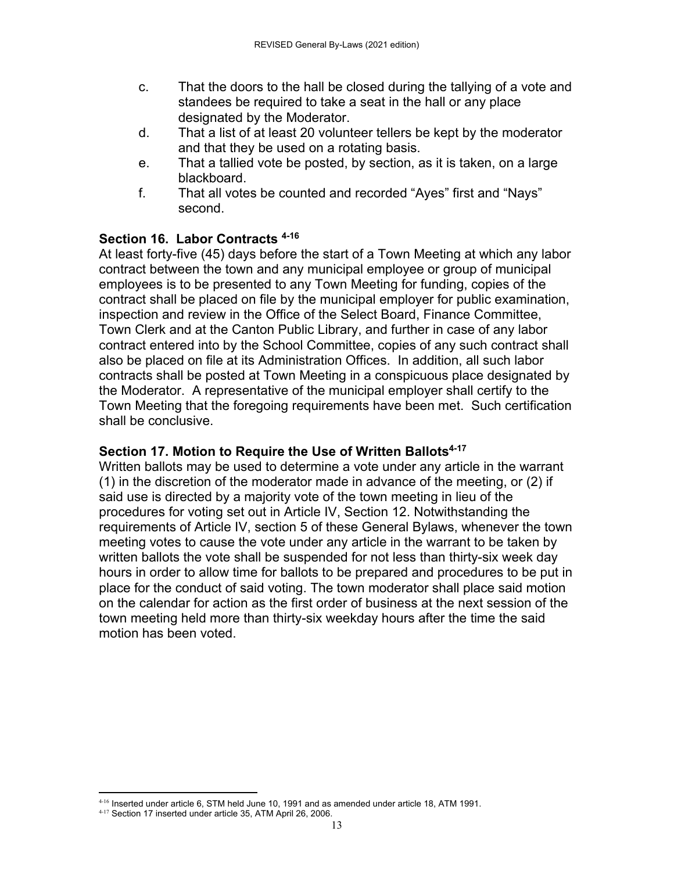- c. That the doors to the hall be closed during the tallying of a vote and standees be required to take a seat in the hall or any place designated by the Moderator.
- d. That a list of at least 20 volunteer tellers be kept by the moderator and that they be used on a rotating basis.
- e. That a tallied vote be posted, by section, as it is taken, on a large blackboard.
- f. That all votes be counted and recorded "Ayes" first and "Nays" second.

# **Section 16. Labor Contracts 4-16**

At least forty-five (45) days before the start of a Town Meeting at which any labor contract between the town and any municipal employee or group of municipal employees is to be presented to any Town Meeting for funding, copies of the contract shall be placed on file by the municipal employer for public examination, inspection and review in the Office of the Select Board, Finance Committee, Town Clerk and at the Canton Public Library, and further in case of any labor contract entered into by the School Committee, copies of any such contract shall also be placed on file at its Administration Offices. In addition, all such labor contracts shall be posted at Town Meeting in a conspicuous place designated by the Moderator. A representative of the municipal employer shall certify to the Town Meeting that the foregoing requirements have been met. Such certification shall be conclusive.

## **Section 17. Motion to Require the Use of Written Ballots4-17**

Written ballots may be used to determine a vote under any article in the warrant (1) in the discretion of the moderator made in advance of the meeting, or (2) if said use is directed by a majority vote of the town meeting in lieu of the procedures for voting set out in Article IV, Section 12. Notwithstanding the requirements of Article IV, section 5 of these General Bylaws, whenever the town meeting votes to cause the vote under any article in the warrant to be taken by written ballots the vote shall be suspended for not less than thirty-six week day hours in order to allow time for ballots to be prepared and procedures to be put in place for the conduct of said voting. The town moderator shall place said motion on the calendar for action as the first order of business at the next session of the town meeting held more than thirty-six weekday hours after the time the said motion has been voted.

  $^{4.16}$  Inserted under article 6, STM held June 10, 1991 and as amended under article 18, ATM 1991.

<sup>4-17</sup> Section 17 inserted under article 35, ATM April 26, 2006.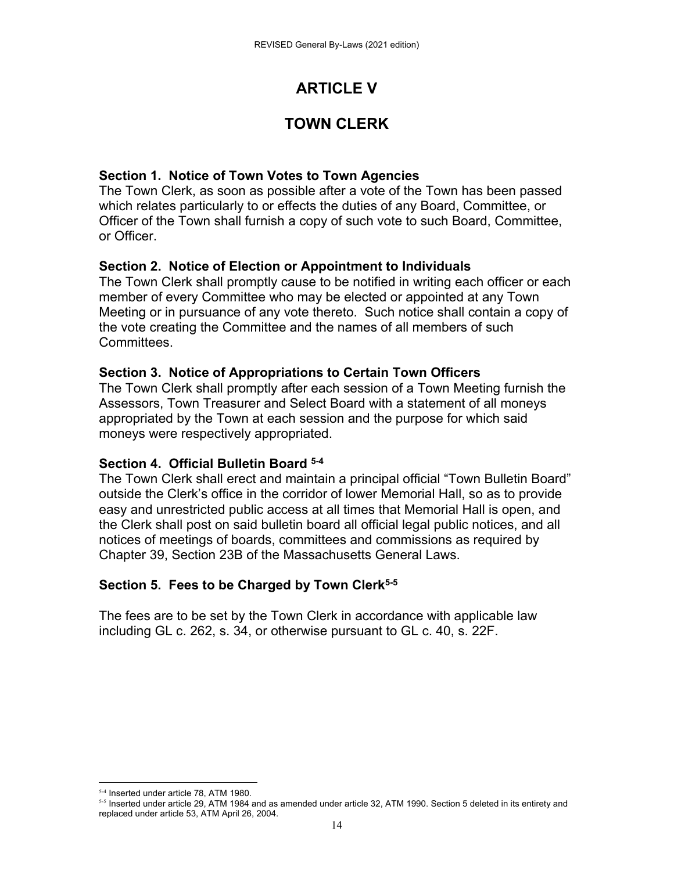# **ARTICLE V**

# **TOWN CLERK**

## **Section 1. Notice of Town Votes to Town Agencies**

The Town Clerk, as soon as possible after a vote of the Town has been passed which relates particularly to or effects the duties of any Board, Committee, or Officer of the Town shall furnish a copy of such vote to such Board, Committee, or Officer.

## **Section 2. Notice of Election or Appointment to Individuals**

The Town Clerk shall promptly cause to be notified in writing each officer or each member of every Committee who may be elected or appointed at any Town Meeting or in pursuance of any vote thereto. Such notice shall contain a copy of the vote creating the Committee and the names of all members of such Committees.

## **Section 3. Notice of Appropriations to Certain Town Officers**

The Town Clerk shall promptly after each session of a Town Meeting furnish the Assessors, Town Treasurer and Select Board with a statement of all moneys appropriated by the Town at each session and the purpose for which said moneys were respectively appropriated.

## **Section 4. Official Bulletin Board 5-4**

The Town Clerk shall erect and maintain a principal official "Town Bulletin Board" outside the Clerk's office in the corridor of lower Memorial Hall, so as to provide easy and unrestricted public access at all times that Memorial Hall is open, and the Clerk shall post on said bulletin board all official legal public notices, and all notices of meetings of boards, committees and commissions as required by Chapter 39, Section 23B of the Massachusetts General Laws.

## **Section 5. Fees to be Charged by Town Clerk5-5**

The fees are to be set by the Town Clerk in accordance with applicable law including GL c. 262, s. 34, or otherwise pursuant to GL c. 40, s. 22F.

 5-4 Inserted under article 78, ATM 1980.

<sup>5-5</sup> Inserted under article 29, ATM 1984 and as amended under article 32, ATM 1990. Section 5 deleted in its entirety and replaced under article 53, ATM April 26, 2004.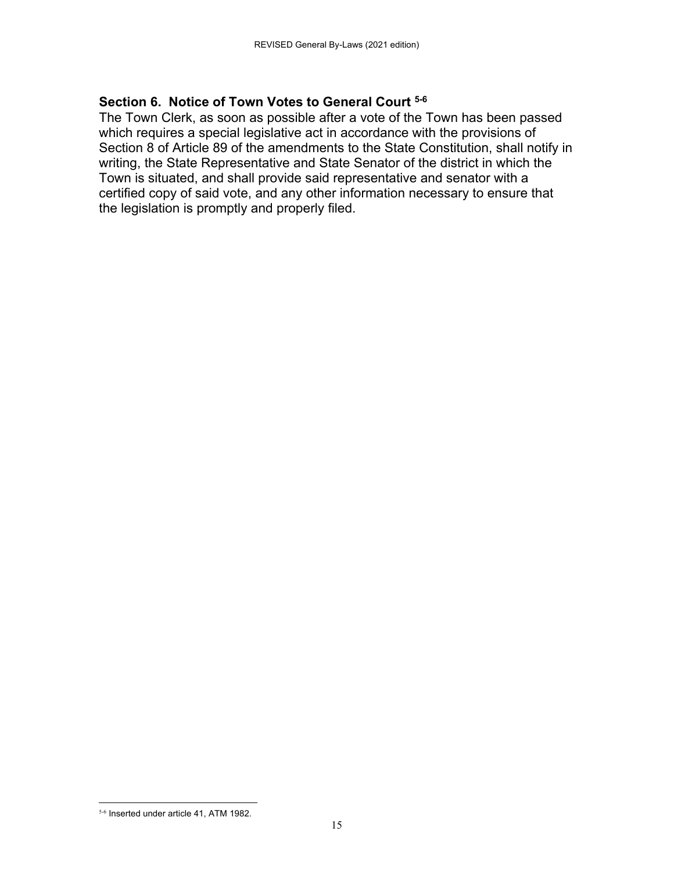### **Section 6. Notice of Town Votes to General Court 5-6**

The Town Clerk, as soon as possible after a vote of the Town has been passed which requires a special legislative act in accordance with the provisions of Section 8 of Article 89 of the amendments to the State Constitution, shall notify in writing, the State Representative and State Senator of the district in which the Town is situated, and shall provide said representative and senator with a certified copy of said vote, and any other information necessary to ensure that the legislation is promptly and properly filed.

 5-6 Inserted under article 41, ATM 1982.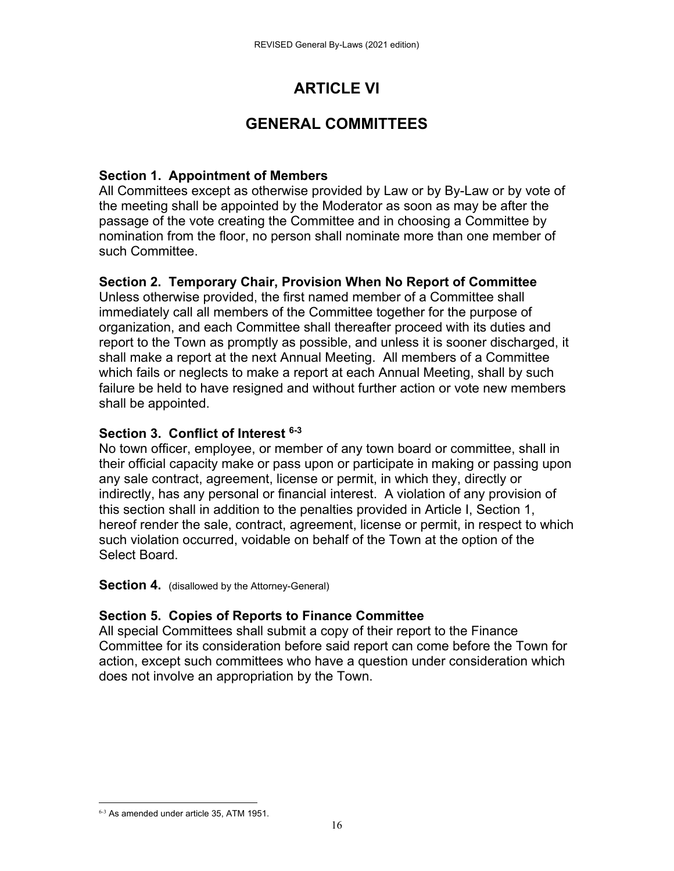# **ARTICLE VI**

# **GENERAL COMMITTEES**

## **Section 1. Appointment of Members**

All Committees except as otherwise provided by Law or by By-Law or by vote of the meeting shall be appointed by the Moderator as soon as may be after the passage of the vote creating the Committee and in choosing a Committee by nomination from the floor, no person shall nominate more than one member of such Committee.

## **Section 2. Temporary Chair, Provision When No Report of Committee**

Unless otherwise provided, the first named member of a Committee shall immediately call all members of the Committee together for the purpose of organization, and each Committee shall thereafter proceed with its duties and report to the Town as promptly as possible, and unless it is sooner discharged, it shall make a report at the next Annual Meeting. All members of a Committee which fails or neglects to make a report at each Annual Meeting, shall by such failure be held to have resigned and without further action or vote new members shall be appointed.

## **Section 3. Conflict of Interest 6-3**

No town officer, employee, or member of any town board or committee, shall in their official capacity make or pass upon or participate in making or passing upon any sale contract, agreement, license or permit, in which they, directly or indirectly, has any personal or financial interest. A violation of any provision of this section shall in addition to the penalties provided in Article I, Section 1, hereof render the sale, contract, agreement, license or permit, in respect to which such violation occurred, voidable on behalf of the Town at the option of the Select Board.

#### **Section 4.** (disallowed by the Attorney-General)

## **Section 5. Copies of Reports to Finance Committee**

All special Committees shall submit a copy of their report to the Finance Committee for its consideration before said report can come before the Town for action, except such committees who have a question under consideration which does not involve an appropriation by the Town.

 6-3 As amended under article 35, ATM 1951.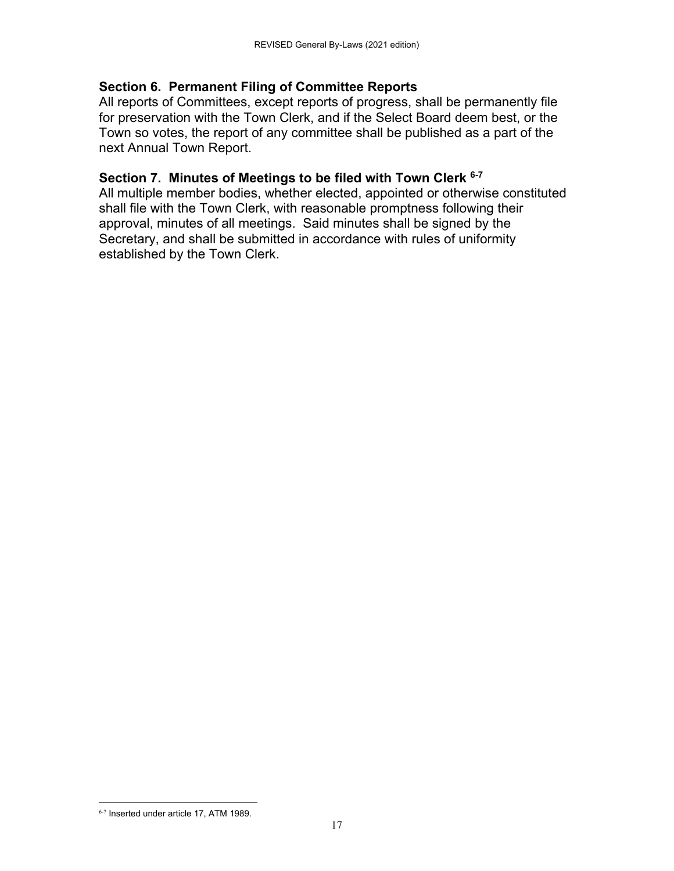## **Section 6. Permanent Filing of Committee Reports**

All reports of Committees, except reports of progress, shall be permanently file for preservation with the Town Clerk, and if the Select Board deem best, or the Town so votes, the report of any committee shall be published as a part of the next Annual Town Report.

## **Section 7. Minutes of Meetings to be filed with Town Clerk 6-7**

All multiple member bodies, whether elected, appointed or otherwise constituted shall file with the Town Clerk, with reasonable promptness following their approval, minutes of all meetings. Said minutes shall be signed by the Secretary, and shall be submitted in accordance with rules of uniformity established by the Town Clerk.

 6-7 Inserted under article 17, ATM 1989.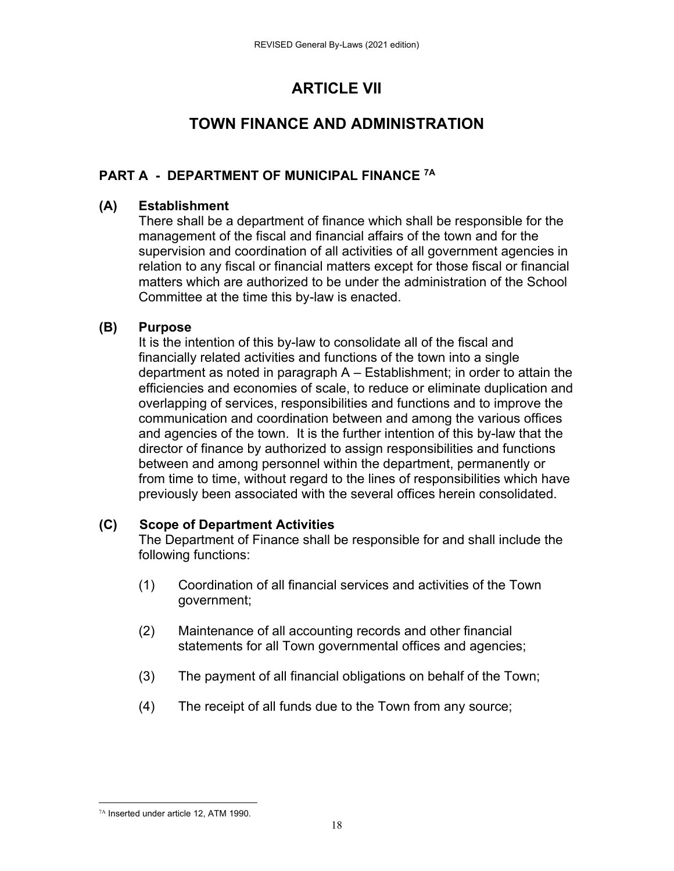# **ARTICLE VII**

# **TOWN FINANCE AND ADMINISTRATION**

## **PART A - DEPARTMENT OF MUNICIPAL FINANCE 7A**

## **(A) Establishment**

There shall be a department of finance which shall be responsible for the management of the fiscal and financial affairs of the town and for the supervision and coordination of all activities of all government agencies in relation to any fiscal or financial matters except for those fiscal or financial matters which are authorized to be under the administration of the School Committee at the time this by-law is enacted.

## **(B) Purpose**

It is the intention of this by-law to consolidate all of the fiscal and financially related activities and functions of the town into a single department as noted in paragraph A – Establishment; in order to attain the efficiencies and economies of scale, to reduce or eliminate duplication and overlapping of services, responsibilities and functions and to improve the communication and coordination between and among the various offices and agencies of the town. It is the further intention of this by-law that the director of finance by authorized to assign responsibilities and functions between and among personnel within the department, permanently or from time to time, without regard to the lines of responsibilities which have previously been associated with the several offices herein consolidated.

## **(C) Scope of Department Activities**

The Department of Finance shall be responsible for and shall include the following functions:

- (1) Coordination of all financial services and activities of the Town government;
- (2) Maintenance of all accounting records and other financial statements for all Town governmental offices and agencies;
- (3) The payment of all financial obligations on behalf of the Town;
- (4) The receipt of all funds due to the Town from any source;

 7A Inserted under article 12, ATM 1990.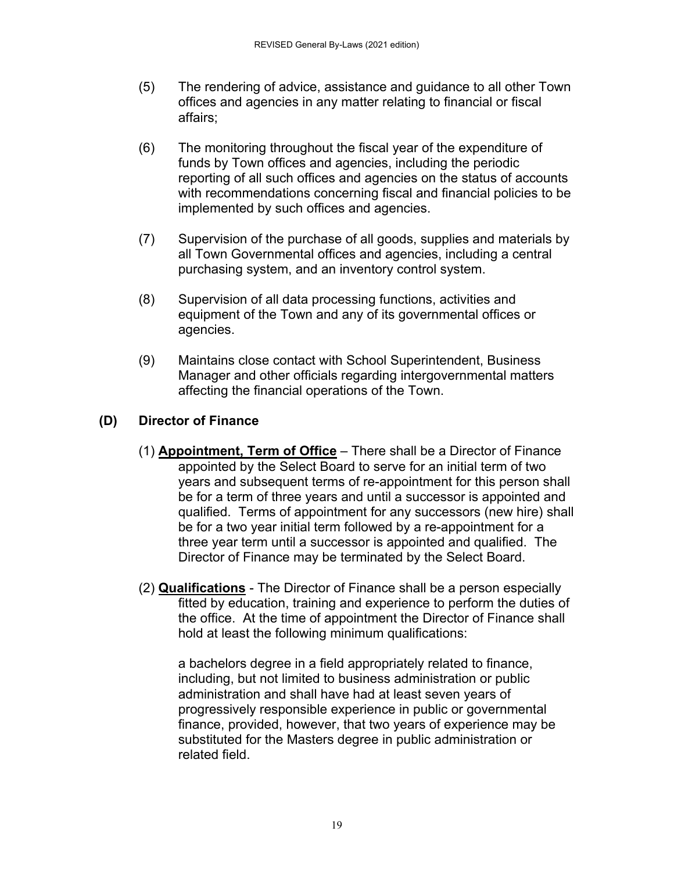- (5) The rendering of advice, assistance and guidance to all other Town offices and agencies in any matter relating to financial or fiscal affairs;
- (6) The monitoring throughout the fiscal year of the expenditure of funds by Town offices and agencies, including the periodic reporting of all such offices and agencies on the status of accounts with recommendations concerning fiscal and financial policies to be implemented by such offices and agencies.
- (7) Supervision of the purchase of all goods, supplies and materials by all Town Governmental offices and agencies, including a central purchasing system, and an inventory control system.
- (8) Supervision of all data processing functions, activities and equipment of the Town and any of its governmental offices or agencies.
- (9) Maintains close contact with School Superintendent, Business Manager and other officials regarding intergovernmental matters affecting the financial operations of the Town.

## **(D) Director of Finance**

- (1) **Appointment, Term of Office** There shall be a Director of Finance appointed by the Select Board to serve for an initial term of two years and subsequent terms of re-appointment for this person shall be for a term of three years and until a successor is appointed and qualified. Terms of appointment for any successors (new hire) shall be for a two year initial term followed by a re-appointment for a three year term until a successor is appointed and qualified. The Director of Finance may be terminated by the Select Board.
- (2) **Qualifications**  The Director of Finance shall be a person especially fitted by education, training and experience to perform the duties of the office. At the time of appointment the Director of Finance shall hold at least the following minimum qualifications:

a bachelors degree in a field appropriately related to finance, including, but not limited to business administration or public administration and shall have had at least seven years of progressively responsible experience in public or governmental finance, provided, however, that two years of experience may be substituted for the Masters degree in public administration or related field.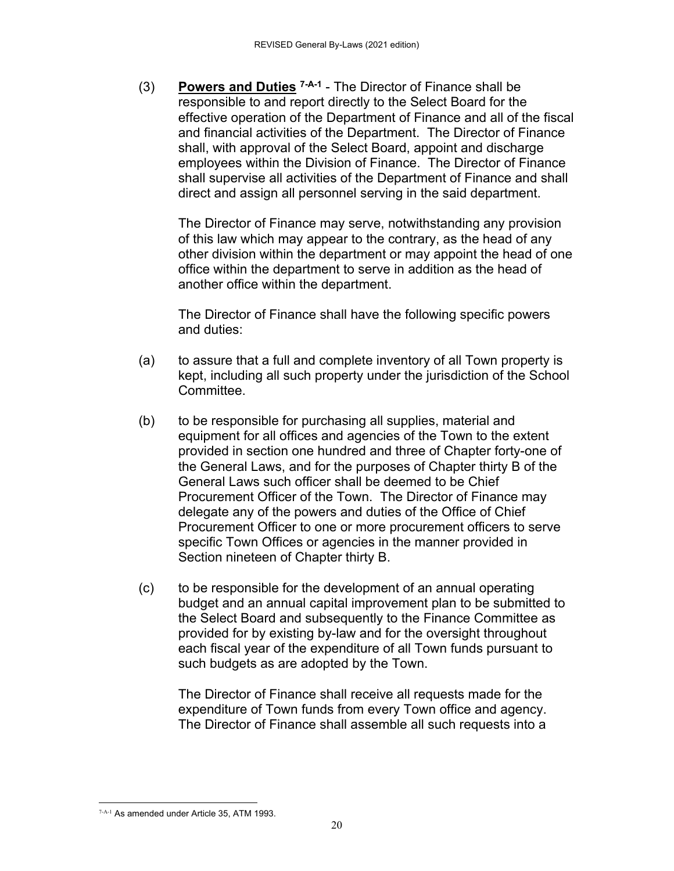(3) **Powers and Duties 7-A-1** - The Director of Finance shall be responsible to and report directly to the Select Board for the effective operation of the Department of Finance and all of the fiscal and financial activities of the Department. The Director of Finance shall, with approval of the Select Board, appoint and discharge employees within the Division of Finance. The Director of Finance shall supervise all activities of the Department of Finance and shall direct and assign all personnel serving in the said department.

 The Director of Finance may serve, notwithstanding any provision of this law which may appear to the contrary, as the head of any other division within the department or may appoint the head of one office within the department to serve in addition as the head of another office within the department.

 The Director of Finance shall have the following specific powers and duties:

- (a) to assure that a full and complete inventory of all Town property is kept, including all such property under the jurisdiction of the School Committee.
- (b) to be responsible for purchasing all supplies, material and equipment for all offices and agencies of the Town to the extent provided in section one hundred and three of Chapter forty-one of the General Laws, and for the purposes of Chapter thirty B of the General Laws such officer shall be deemed to be Chief Procurement Officer of the Town. The Director of Finance may delegate any of the powers and duties of the Office of Chief Procurement Officer to one or more procurement officers to serve specific Town Offices or agencies in the manner provided in Section nineteen of Chapter thirty B.
- (c) to be responsible for the development of an annual operating budget and an annual capital improvement plan to be submitted to the Select Board and subsequently to the Finance Committee as provided for by existing by-law and for the oversight throughout each fiscal year of the expenditure of all Town funds pursuant to such budgets as are adopted by the Town.

 The Director of Finance shall receive all requests made for the expenditure of Town funds from every Town office and agency. The Director of Finance shall assemble all such requests into a

 7-A-1 As amended under Article 35, ATM 1993.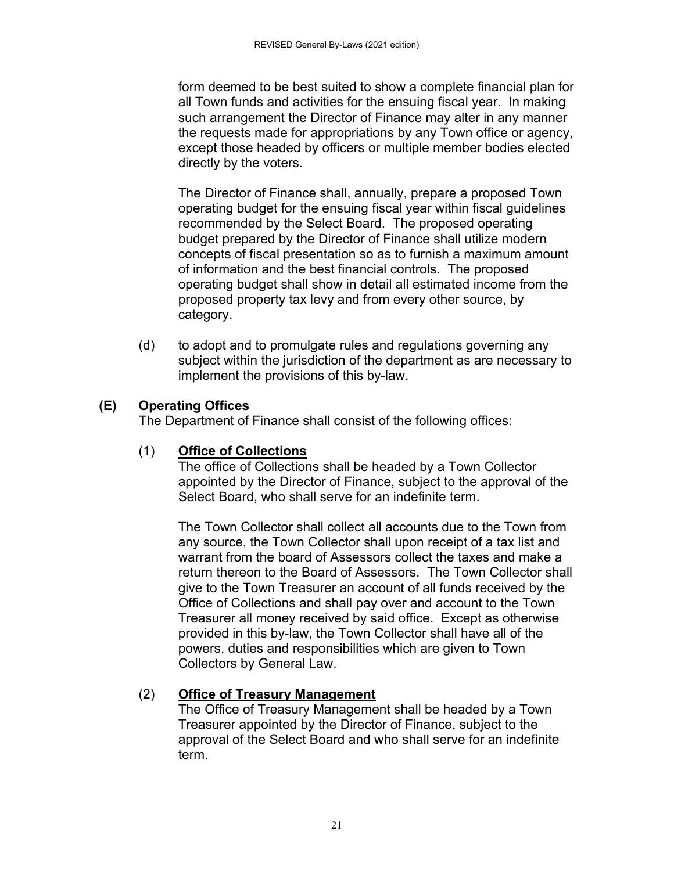form deemed to be best suited to show a complete financial plan for all Town funds and activities for the ensuing fiscal year. In making such arrangement the Director of Finance may alter in any manner the requests made for appropriations by any Town office or agency, except those headed by officers or multiple member bodies elected directly by the voters.

 The Director of Finance shall, annually, prepare a proposed Town operating budget for the ensuing fiscal year within fiscal guidelines recommended by the Select Board. The proposed operating budget prepared by the Director of Finance shall utilize modern concepts of fiscal presentation so as to furnish a maximum amount of information and the best financial controls. The proposed operating budget shall show in detail all estimated income from the proposed property tax levy and from every other source, by category.

(d) to adopt and to promulgate rules and regulations governing any subject within the jurisdiction of the department as are necessary to implement the provisions of this by-law.

## **(E) Operating Offices**

The Department of Finance shall consist of the following offices:

## (1) **Office of Collections**

 The office of Collections shall be headed by a Town Collector appointed by the Director of Finance, subject to the approval of the Select Board, who shall serve for an indefinite term.

 The Town Collector shall collect all accounts due to the Town from any source, the Town Collector shall upon receipt of a tax list and warrant from the board of Assessors collect the taxes and make a return thereon to the Board of Assessors. The Town Collector shall give to the Town Treasurer an account of all funds received by the Office of Collections and shall pay over and account to the Town Treasurer all money received by said office. Except as otherwise provided in this by-law, the Town Collector shall have all of the powers, duties and responsibilities which are given to Town Collectors by General Law.

## (2) **Office of Treasury Management**

 The Office of Treasury Management shall be headed by a Town Treasurer appointed by the Director of Finance, subject to the approval of the Select Board and who shall serve for an indefinite term.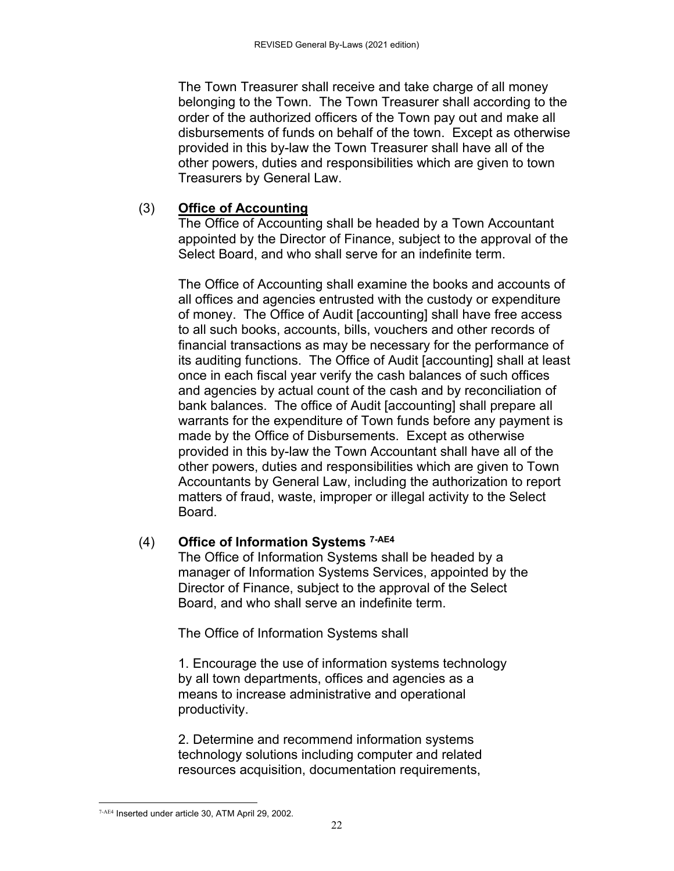The Town Treasurer shall receive and take charge of all money belonging to the Town. The Town Treasurer shall according to the order of the authorized officers of the Town pay out and make all disbursements of funds on behalf of the town. Except as otherwise provided in this by-law the Town Treasurer shall have all of the other powers, duties and responsibilities which are given to town Treasurers by General Law.

## (3) **Office of Accounting**

 The Office of Accounting shall be headed by a Town Accountant appointed by the Director of Finance, subject to the approval of the Select Board, and who shall serve for an indefinite term.

 The Office of Accounting shall examine the books and accounts of all offices and agencies entrusted with the custody or expenditure of money. The Office of Audit [accounting] shall have free access to all such books, accounts, bills, vouchers and other records of financial transactions as may be necessary for the performance of its auditing functions. The Office of Audit [accounting] shall at least once in each fiscal year verify the cash balances of such offices and agencies by actual count of the cash and by reconciliation of bank balances. The office of Audit [accounting] shall prepare all warrants for the expenditure of Town funds before any payment is made by the Office of Disbursements. Except as otherwise provided in this by-law the Town Accountant shall have all of the other powers, duties and responsibilities which are given to Town Accountants by General Law, including the authorization to report matters of fraud, waste, improper or illegal activity to the Select Board.

## (4) **Office of Information Systems 7-AE4**

The Office of Information Systems shall be headed by a manager of Information Systems Services, appointed by the Director of Finance, subject to the approval of the Select Board, and who shall serve an indefinite term.

The Office of Information Systems shall

1. Encourage the use of information systems technology by all town departments, offices and agencies as a means to increase administrative and operational productivity.

2. Determine and recommend information systems technology solutions including computer and related resources acquisition, documentation requirements,

 7-AE4 Inserted under article 30, ATM April 29, 2002.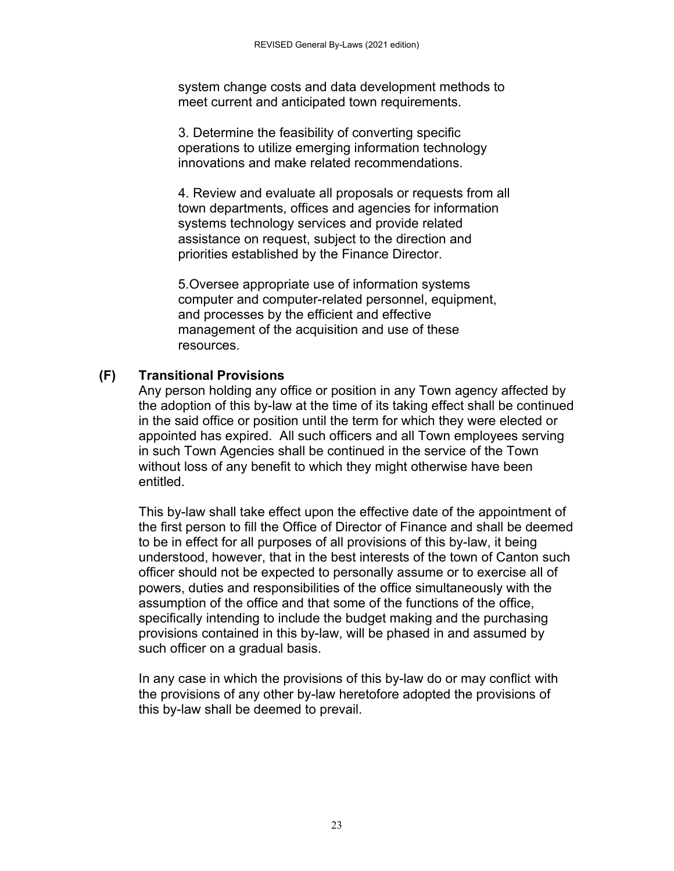system change costs and data development methods to meet current and anticipated town requirements.

3. Determine the feasibility of converting specific operations to utilize emerging information technology innovations and make related recommendations.

4. Review and evaluate all proposals or requests from all town departments, offices and agencies for information systems technology services and provide related assistance on request, subject to the direction and priorities established by the Finance Director.

5.Oversee appropriate use of information systems computer and computer-related personnel, equipment, and processes by the efficient and effective management of the acquisition and use of these resources.

## **(F) Transitional Provisions**

 Any person holding any office or position in any Town agency affected by the adoption of this by-law at the time of its taking effect shall be continued in the said office or position until the term for which they were elected or appointed has expired. All such officers and all Town employees serving in such Town Agencies shall be continued in the service of the Town without loss of any benefit to which they might otherwise have been entitled.

This by-law shall take effect upon the effective date of the appointment of the first person to fill the Office of Director of Finance and shall be deemed to be in effect for all purposes of all provisions of this by-law, it being understood, however, that in the best interests of the town of Canton such officer should not be expected to personally assume or to exercise all of powers, duties and responsibilities of the office simultaneously with the assumption of the office and that some of the functions of the office, specifically intending to include the budget making and the purchasing provisions contained in this by-law, will be phased in and assumed by such officer on a gradual basis.

 In any case in which the provisions of this by-law do or may conflict with the provisions of any other by-law heretofore adopted the provisions of this by-law shall be deemed to prevail.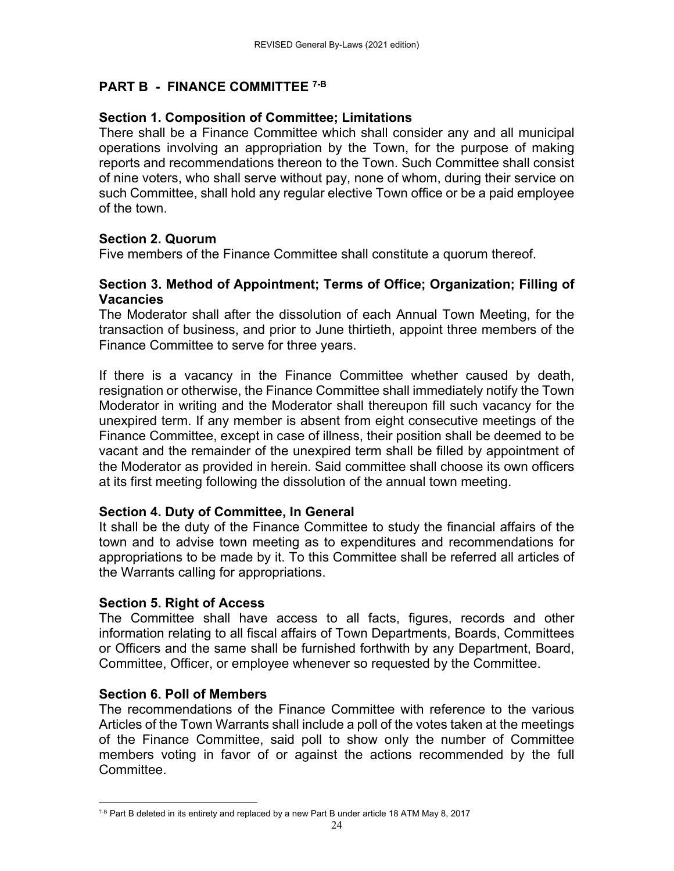## **PART B - FINANCE COMMITTEE 7-B**

## **Section 1. Composition of Committee; Limitations**

There shall be a Finance Committee which shall consider any and all municipal operations involving an appropriation by the Town, for the purpose of making reports and recommendations thereon to the Town. Such Committee shall consist of nine voters, who shall serve without pay, none of whom, during their service on such Committee, shall hold any regular elective Town office or be a paid employee of the town.

## **Section 2. Quorum**

Five members of the Finance Committee shall constitute a quorum thereof.

## **Section 3. Method of Appointment; Terms of Office; Organization; Filling of Vacancies**

The Moderator shall after the dissolution of each Annual Town Meeting, for the transaction of business, and prior to June thirtieth, appoint three members of the Finance Committee to serve for three years.

If there is a vacancy in the Finance Committee whether caused by death, resignation or otherwise, the Finance Committee shall immediately notify the Town Moderator in writing and the Moderator shall thereupon fill such vacancy for the unexpired term. If any member is absent from eight consecutive meetings of the Finance Committee, except in case of illness, their position shall be deemed to be vacant and the remainder of the unexpired term shall be filled by appointment of the Moderator as provided in herein. Said committee shall choose its own officers at its first meeting following the dissolution of the annual town meeting.

## **Section 4. Duty of Committee, In General**

It shall be the duty of the Finance Committee to study the financial affairs of the town and to advise town meeting as to expenditures and recommendations for appropriations to be made by it. To this Committee shall be referred all articles of the Warrants calling for appropriations.

## **Section 5. Right of Access**

The Committee shall have access to all facts, figures, records and other information relating to all fiscal affairs of Town Departments, Boards, Committees or Officers and the same shall be furnished forthwith by any Department, Board, Committee, Officer, or employee whenever so requested by the Committee.

## **Section 6. Poll of Members**

The recommendations of the Finance Committee with reference to the various Articles of the Town Warrants shall include a poll of the votes taken at the meetings of the Finance Committee, said poll to show only the number of Committee members voting in favor of or against the actions recommended by the full Committee.

  $7-B$  Part B deleted in its entirety and replaced by a new Part B under article 18 ATM May 8, 2017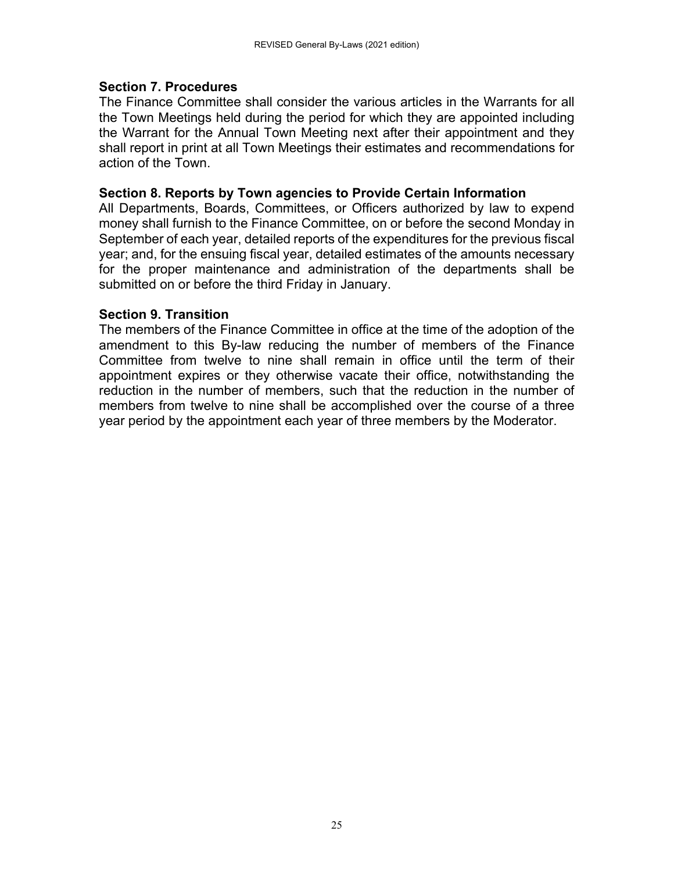#### **Section 7. Procedures**

The Finance Committee shall consider the various articles in the Warrants for all the Town Meetings held during the period for which they are appointed including the Warrant for the Annual Town Meeting next after their appointment and they shall report in print at all Town Meetings their estimates and recommendations for action of the Town.

#### **Section 8. Reports by Town agencies to Provide Certain Information**

All Departments, Boards, Committees, or Officers authorized by law to expend money shall furnish to the Finance Committee, on or before the second Monday in September of each year, detailed reports of the expenditures for the previous fiscal year; and, for the ensuing fiscal year, detailed estimates of the amounts necessary for the proper maintenance and administration of the departments shall be submitted on or before the third Friday in January.

#### **Section 9. Transition**

The members of the Finance Committee in office at the time of the adoption of the amendment to this By-law reducing the number of members of the Finance Committee from twelve to nine shall remain in office until the term of their appointment expires or they otherwise vacate their office, notwithstanding the reduction in the number of members, such that the reduction in the number of members from twelve to nine shall be accomplished over the course of a three year period by the appointment each year of three members by the Moderator.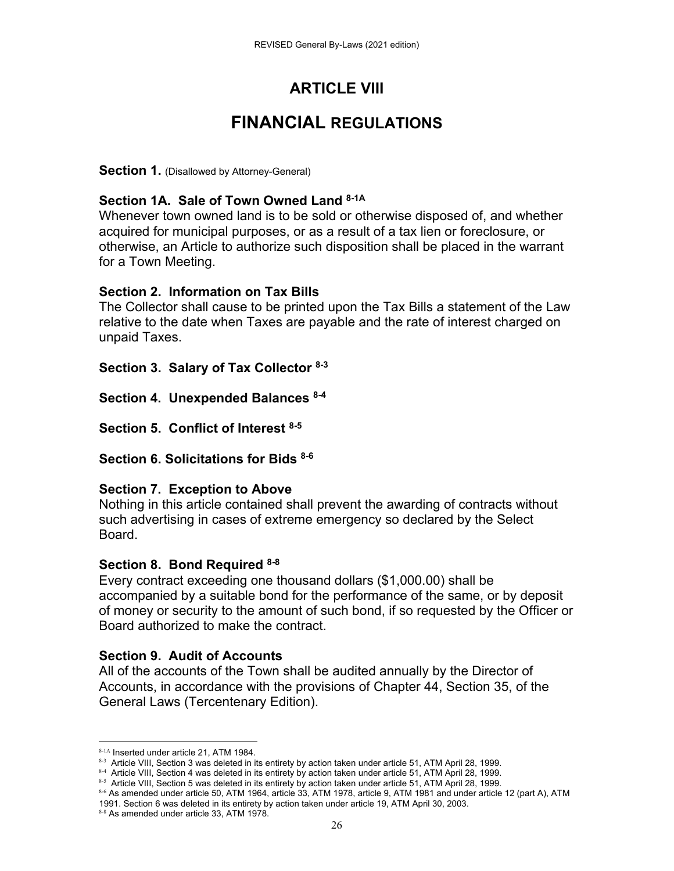# **ARTICLE VIII**

# **FINANCIAL REGULATIONS**

**Section 1.** (Disallowed by Attorney-General)

### **Section 1A. Sale of Town Owned Land 8-1A**

Whenever town owned land is to be sold or otherwise disposed of, and whether acquired for municipal purposes, or as a result of a tax lien or foreclosure, or otherwise, an Article to authorize such disposition shall be placed in the warrant for a Town Meeting.

### **Section 2. Information on Tax Bills**

The Collector shall cause to be printed upon the Tax Bills a statement of the Law relative to the date when Taxes are payable and the rate of interest charged on unpaid Taxes.

**Section 3. Salary of Tax Collector 8-3**

**Section 4. Unexpended Balances 8-4**

**Section 5. Conflict of Interest 8-5**

**Section 6. Solicitations for Bids 8-6**

### **Section 7. Exception to Above**

Nothing in this article contained shall prevent the awarding of contracts without such advertising in cases of extreme emergency so declared by the Select Board.

### **Section 8. Bond Required 8-8**

Every contract exceeding one thousand dollars (\$1,000.00) shall be accompanied by a suitable bond for the performance of the same, or by deposit of money or security to the amount of such bond, if so requested by the Officer or Board authorized to make the contract.

### **Section 9. Audit of Accounts**

All of the accounts of the Town shall be audited annually by the Director of Accounts, in accordance with the provisions of Chapter 44, Section 35, of the General Laws (Tercentenary Edition).

 8-1A Inserted under article 21, ATM 1984.

<sup>8-3</sup> Article VIII, Section 3 was deleted in its entirety by action taken under article 51, ATM April 28, 1999.

<sup>84</sup> Article VIII, Section 4 was deleted in its entirety by action taken under article 51, ATM April 28, 1999.

<sup>8-5</sup> Article VIII, Section 5 was deleted in its entirety by action taken under article 51, ATM April 28, 1999.

<sup>8-6</sup> As amended under article 50, ATM 1964, article 33, ATM 1978, article 9, ATM 1981 and under article 12 (part A), ATM 1991. Section 6 was deleted in its entirety by action taken under article 19, ATM April 30, 2003.

<sup>8-8</sup> As amended under article 33, ATM 1978.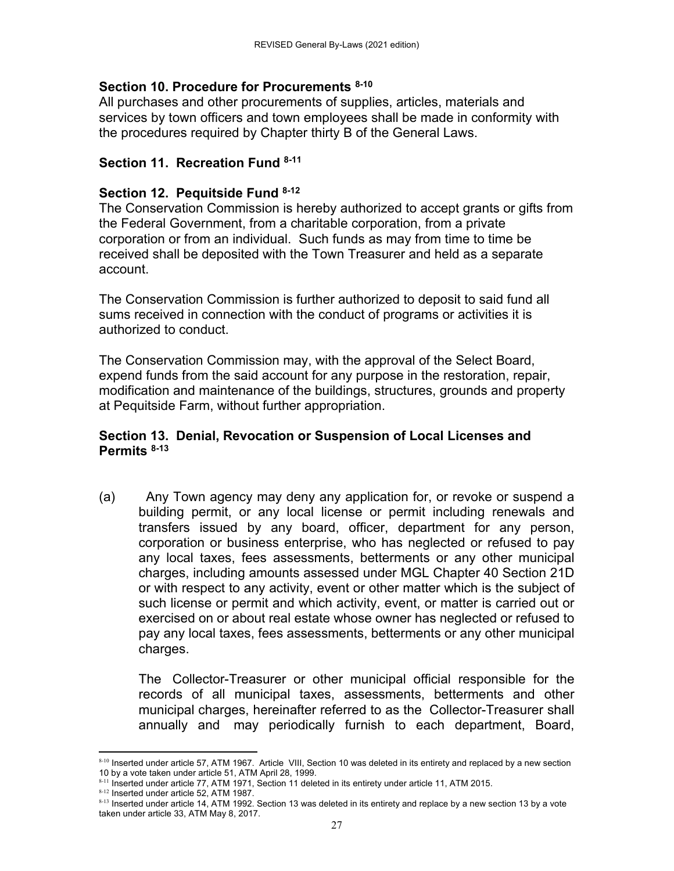## **Section 10. Procedure for Procurements 8-10**

All purchases and other procurements of supplies, articles, materials and services by town officers and town employees shall be made in conformity with the procedures required by Chapter thirty B of the General Laws.

## **Section 11. Recreation Fund 8-11**

## **Section 12. Pequitside Fund 8-12**

The Conservation Commission is hereby authorized to accept grants or gifts from the Federal Government, from a charitable corporation, from a private corporation or from an individual. Such funds as may from time to time be received shall be deposited with the Town Treasurer and held as a separate account.

The Conservation Commission is further authorized to deposit to said fund all sums received in connection with the conduct of programs or activities it is authorized to conduct.

The Conservation Commission may, with the approval of the Select Board, expend funds from the said account for any purpose in the restoration, repair, modification and maintenance of the buildings, structures, grounds and property at Pequitside Farm, without further appropriation.

### **Section 13. Denial, Revocation or Suspension of Local Licenses and Permits 8-13**

(a) Any Town agency may deny any application for, or revoke or suspend a building permit, or any local license or permit including renewals and transfers issued by any board, officer, department for any person, corporation or business enterprise, who has neglected or refused to pay any local taxes, fees assessments, betterments or any other municipal charges, including amounts assessed under MGL Chapter 40 Section 21D or with respect to any activity, event or other matter which is the subject of such license or permit and which activity, event, or matter is carried out or exercised on or about real estate whose owner has neglected or refused to pay any local taxes, fees assessments, betterments or any other municipal charges.

The Collector-Treasurer or other municipal official responsible for the records of all municipal taxes, assessments, betterments and other municipal charges, hereinafter referred to as the Collector-Treasurer shall annually and may periodically furnish to each department, Board,

 8-10 Inserted under article 57, ATM 1967. Article VIII, Section 10 was deleted in its entirety and replaced by a new section 10 by a vote taken under article 51, ATM April 28, 1999.

 $8-11$  Inserted under article 77, ATM 1971, Section 11 deleted in its entirety under article 11, ATM 2015.

<sup>8-12</sup> Inserted under article 52, ATM 1987.

<sup>8-13</sup> Inserted under article 14, ATM 1992. Section 13 was deleted in its entirety and replace by a new section 13 by a vote taken under article 33, ATM May 8, 2017.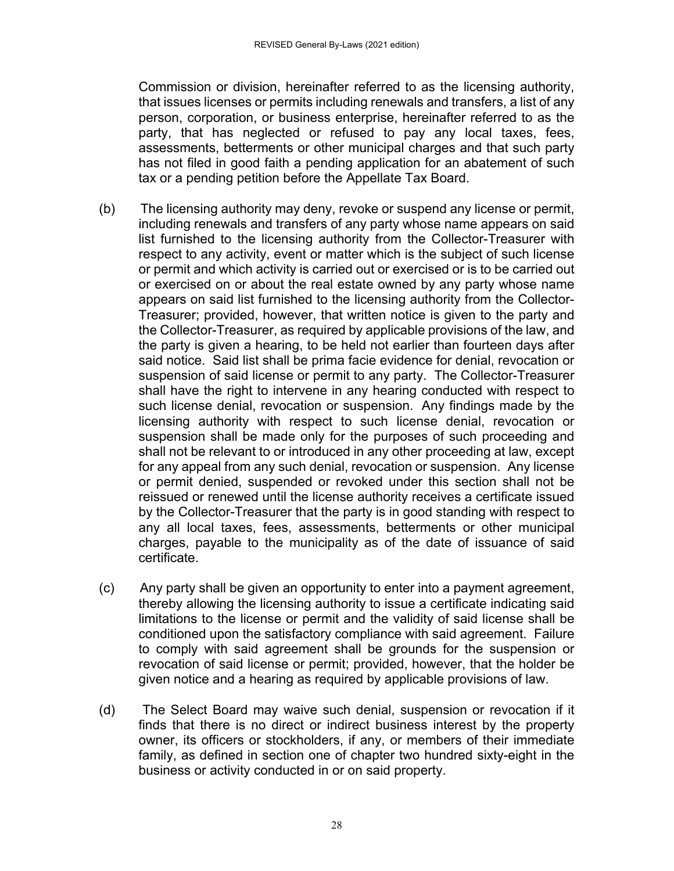Commission or division, hereinafter referred to as the licensing authority, that issues licenses or permits including renewals and transfers, a list of any person, corporation, or business enterprise, hereinafter referred to as the party, that has neglected or refused to pay any local taxes, fees, assessments, betterments or other municipal charges and that such party has not filed in good faith a pending application for an abatement of such tax or a pending petition before the Appellate Tax Board.

- (b) The licensing authority may deny, revoke or suspend any license or permit, including renewals and transfers of any party whose name appears on said list furnished to the licensing authority from the Collector-Treasurer with respect to any activity, event or matter which is the subject of such license or permit and which activity is carried out or exercised or is to be carried out or exercised on or about the real estate owned by any party whose name appears on said list furnished to the licensing authority from the Collector-Treasurer; provided, however, that written notice is given to the party and the Collector-Treasurer, as required by applicable provisions of the law, and the party is given a hearing, to be held not earlier than fourteen days after said notice. Said list shall be prima facie evidence for denial, revocation or suspension of said license or permit to any party. The Collector-Treasurer shall have the right to intervene in any hearing conducted with respect to such license denial, revocation or suspension. Any findings made by the licensing authority with respect to such license denial, revocation or suspension shall be made only for the purposes of such proceeding and shall not be relevant to or introduced in any other proceeding at law, except for any appeal from any such denial, revocation or suspension. Any license or permit denied, suspended or revoked under this section shall not be reissued or renewed until the license authority receives a certificate issued by the Collector-Treasurer that the party is in good standing with respect to any all local taxes, fees, assessments, betterments or other municipal charges, payable to the municipality as of the date of issuance of said certificate.
- (c) Any party shall be given an opportunity to enter into a payment agreement, thereby allowing the licensing authority to issue a certificate indicating said limitations to the license or permit and the validity of said license shall be conditioned upon the satisfactory compliance with said agreement. Failure to comply with said agreement shall be grounds for the suspension or revocation of said license or permit; provided, however, that the holder be given notice and a hearing as required by applicable provisions of law.
- (d) The Select Board may waive such denial, suspension or revocation if it finds that there is no direct or indirect business interest by the property owner, its officers or stockholders, if any, or members of their immediate family, as defined in section one of chapter two hundred sixty-eight in the business or activity conducted in or on said property.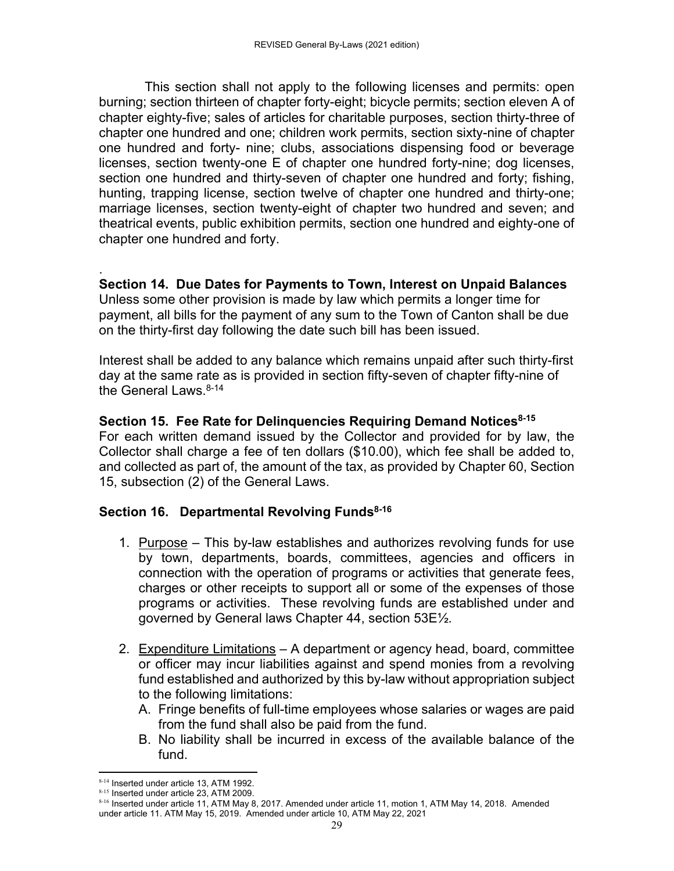This section shall not apply to the following licenses and permits: open burning; section thirteen of chapter forty-eight; bicycle permits; section eleven A of chapter eighty-five; sales of articles for charitable purposes, section thirty-three of chapter one hundred and one; children work permits, section sixty-nine of chapter one hundred and forty- nine; clubs, associations dispensing food or beverage licenses, section twenty-one E of chapter one hundred forty-nine; dog licenses, section one hundred and thirty-seven of chapter one hundred and forty; fishing, hunting, trapping license, section twelve of chapter one hundred and thirty-one; marriage licenses, section twenty-eight of chapter two hundred and seven; and theatrical events, public exhibition permits, section one hundred and eighty-one of chapter one hundred and forty.

. **Section 14. Due Dates for Payments to Town, Interest on Unpaid Balances**  Unless some other provision is made by law which permits a longer time for payment, all bills for the payment of any sum to the Town of Canton shall be due on the thirty-first day following the date such bill has been issued.

Interest shall be added to any balance which remains unpaid after such thirty-first day at the same rate as is provided in section fifty-seven of chapter fifty-nine of the General Laws  $8-14$ 

**Section 15. Fee Rate for Delinguencies Requiring Demand Notices**<sup>8-15</sup> For each written demand issued by the Collector and provided for by law, the Collector shall charge a fee of ten dollars (\$10.00), which fee shall be added to, and collected as part of, the amount of the tax, as provided by Chapter 60, Section 15, subsection (2) of the General Laws.

## **Section 16. Departmental Revolving Funds<sup>8-16</sup>**

- 1. Purpose This by-law establishes and authorizes revolving funds for use by town, departments, boards, committees, agencies and officers in connection with the operation of programs or activities that generate fees, charges or other receipts to support all or some of the expenses of those programs or activities. These revolving funds are established under and governed by General laws Chapter 44, section 53E½.
- 2. Expenditure Limitations A department or agency head, board, committee or officer may incur liabilities against and spend monies from a revolving fund established and authorized by this by-law without appropriation subject to the following limitations:
	- A. Fringe benefits of full-time employees whose salaries or wages are paid from the fund shall also be paid from the fund.
	- B. No liability shall be incurred in excess of the available balance of the fund.

 8-14 Inserted under article 13, ATM 1992.

<sup>8-15</sup> Inserted under article 23, ATM 2009.

<sup>8-16</sup> Inserted under article 11, ATM May 8, 2017. Amended under article 11, motion 1, ATM May 14, 2018. Amended under article 11. ATM May 15, 2019. Amended under article 10, ATM May 22, 2021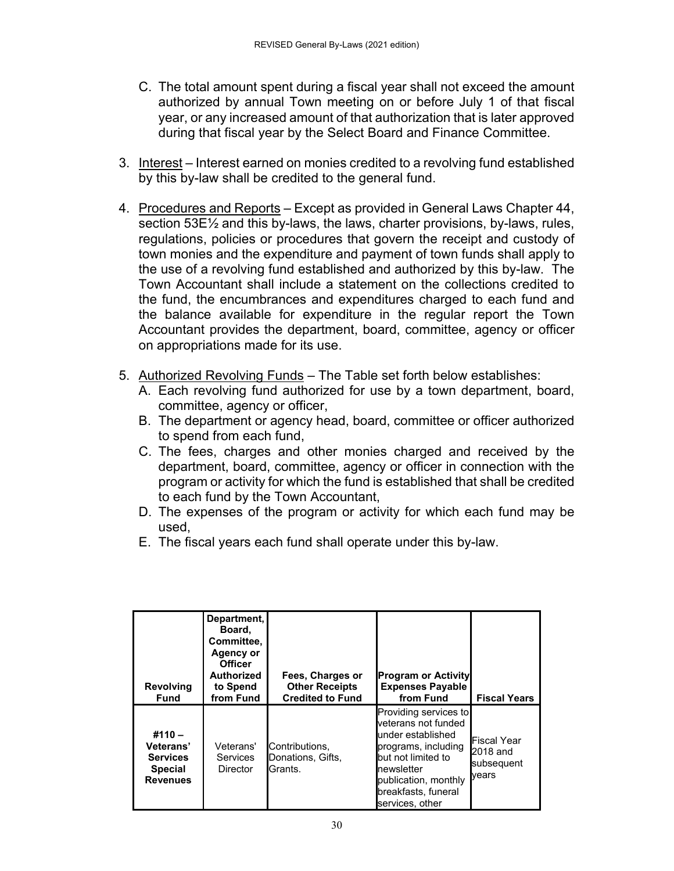- C. The total amount spent during a fiscal year shall not exceed the amount authorized by annual Town meeting on or before July 1 of that fiscal year, or any increased amount of that authorization that is later approved during that fiscal year by the Select Board and Finance Committee.
- 3. Interest Interest earned on monies credited to a revolving fund established by this by-law shall be credited to the general fund.
- 4. Procedures and Reports Except as provided in General Laws Chapter 44, section 53E½ and this by-laws, the laws, charter provisions, by-laws, rules, regulations, policies or procedures that govern the receipt and custody of town monies and the expenditure and payment of town funds shall apply to the use of a revolving fund established and authorized by this by-law. The Town Accountant shall include a statement on the collections credited to the fund, the encumbrances and expenditures charged to each fund and the balance available for expenditure in the regular report the Town Accountant provides the department, board, committee, agency or officer on appropriations made for its use.
- 5. Authorized Revolving Funds The Table set forth below establishes:
	- A. Each revolving fund authorized for use by a town department, board, committee, agency or officer,
	- B. The department or agency head, board, committee or officer authorized to spend from each fund,
	- C. The fees, charges and other monies charged and received by the department, board, committee, agency or officer in connection with the program or activity for which the fund is established that shall be credited to each fund by the Town Accountant,
	- D. The expenses of the program or activity for which each fund may be used,
	- E. The fiscal years each fund shall operate under this by-law.

| <b>Revolving</b><br><b>Fund</b>                                               | Department,<br>Board,<br>Committee.<br>Agency or<br><b>Officer</b><br>Authorized<br>to Spend<br>from Fund | Fees, Charges or<br><b>Other Receipts</b><br><b>Credited to Fund</b> | <b>Program or Activity</b><br><b>Expenses Payable</b><br>from Fund                                                                                                                             | <b>Fiscal Years</b>                                   |
|-------------------------------------------------------------------------------|-----------------------------------------------------------------------------------------------------------|----------------------------------------------------------------------|------------------------------------------------------------------------------------------------------------------------------------------------------------------------------------------------|-------------------------------------------------------|
| $#110 -$<br>Veterans'<br><b>Services</b><br><b>Special</b><br><b>Revenues</b> | Veterans'<br><b>Services</b><br><b>Director</b>                                                           | Contributions.<br>Donations, Gifts,<br><b>IGrants.</b>               | Providing services to<br>veterans not funded<br>under established<br>programs, including<br>but not limited to<br>newsletter<br>publication, monthly<br>breakfasts, funeral<br>services, other | <b>Fiscal Year</b><br>2018 and<br>subsequent<br>vears |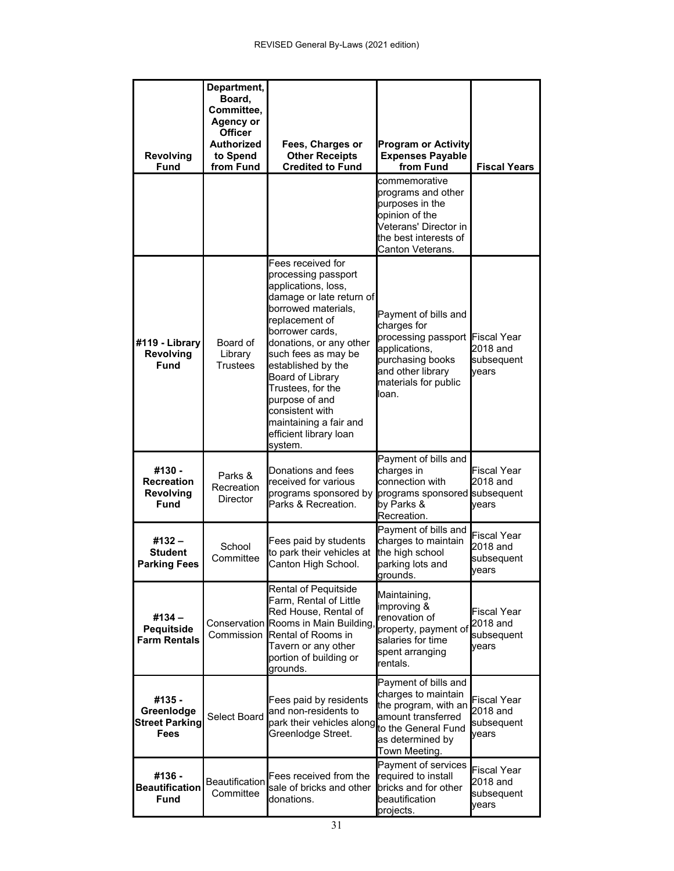| <b>Revolving</b><br><b>Fund</b>                              | Department,<br>Board,<br>Committee,<br><b>Agency or</b><br><b>Officer</b><br><b>Authorized</b><br>to Spend<br>from Fund | Fees, Charges or<br><b>Other Receipts</b><br><b>Credited to Fund</b>                                                                                                                                                                                                                                                                                                         | <b>Program or Activity</b><br><b>Expenses Payable</b><br>from Fund                                                                                    | <b>Fiscal Years</b>                                   |
|--------------------------------------------------------------|-------------------------------------------------------------------------------------------------------------------------|------------------------------------------------------------------------------------------------------------------------------------------------------------------------------------------------------------------------------------------------------------------------------------------------------------------------------------------------------------------------------|-------------------------------------------------------------------------------------------------------------------------------------------------------|-------------------------------------------------------|
|                                                              |                                                                                                                         |                                                                                                                                                                                                                                                                                                                                                                              | commemorative<br>programs and other<br>purposes in the<br>opinion of the<br>Veterans' Director in<br>the best interests of<br>Canton Veterans.        |                                                       |
| #119 - Library<br><b>Revolving</b><br>Fund                   | Board of<br>Library<br>Trustees                                                                                         | Fees received for<br>processing passport<br>applications, loss,<br>damage or late return of<br>borrowed materials,<br>replacement of<br>borrower cards.<br>donations, or any other<br>such fees as may be<br>established by the<br>Board of Library<br>Trustees, for the<br>purpose of and<br>consistent with<br>maintaining a fair and<br>efficient library loan<br>system. | Payment of bills and<br>charges for<br>processing passport<br>applications,<br>purchasing books<br>and other library<br>materials for public<br>loan. | <b>Fiscal Year</b><br>2018 and<br>subsequent<br>vears |
| #130 -<br><b>Recreation</b><br><b>Revolving</b><br>Fund      | Parks &<br>Recreation<br><b>Director</b>                                                                                | Donations and fees<br>received for various<br>programs sponsored by<br>Parks & Recreation.                                                                                                                                                                                                                                                                                   | Payment of bills and<br>charges in<br>connection with<br>programs sponsored subsequent<br>by Parks &<br>Recreation.                                   | <b>Fiscal Year</b><br>2018 and<br>vears               |
| #132 -<br>Student<br><b>Parking Fees</b>                     | School<br>Committee                                                                                                     | Fees paid by students<br>to park their vehicles at<br>Canton High School.                                                                                                                                                                                                                                                                                                    | Payment of bills and<br>charges to maintain<br>the high school<br>parking lots and<br>grounds.                                                        | <b>Fiscal Year</b><br>2018 and<br>subsequent<br>vears |
| #134 -<br>Pequitside<br><b>Farm Rentals</b>                  |                                                                                                                         | Rental of Pequitside<br>Farm, Rental of Little<br>Red House, Rental of<br>Conservation Rooms in Main Building<br>Commission Rental of Rooms in<br>Tavern or any other<br>portion of building or<br>grounds.                                                                                                                                                                  | Maintaining,<br>improving &<br>renovation of<br>property, payment of<br>salaries for time<br>spent arranging<br>rentals.                              | <b>Fiscal Year</b><br>2018 and<br>subsequent<br>vears |
| #135 -<br>Greenlodge<br><b>Street Parking</b><br><b>Fees</b> | Select Board                                                                                                            | Fees paid by residents<br>and non-residents to<br>park their vehicles along<br>Greenlodge Street.                                                                                                                                                                                                                                                                            | Payment of bills and<br>charges to maintain<br>the program, with an<br>amount transferred<br>to the General Fund<br>as determined by<br>Town Meeting. | Fiscal Year<br>2018 and<br>subsequent<br>vears        |
| #136 -<br><b>Beautification</b><br><b>Fund</b>               | Beautification<br>Committee                                                                                             | Fees received from the<br>sale of bricks and other<br>donations.                                                                                                                                                                                                                                                                                                             | Payment of services<br>required to install<br>bricks and for other<br>beautification<br>projects.                                                     | <b>Fiscal Year</b><br>2018 and<br>subsequent<br>years |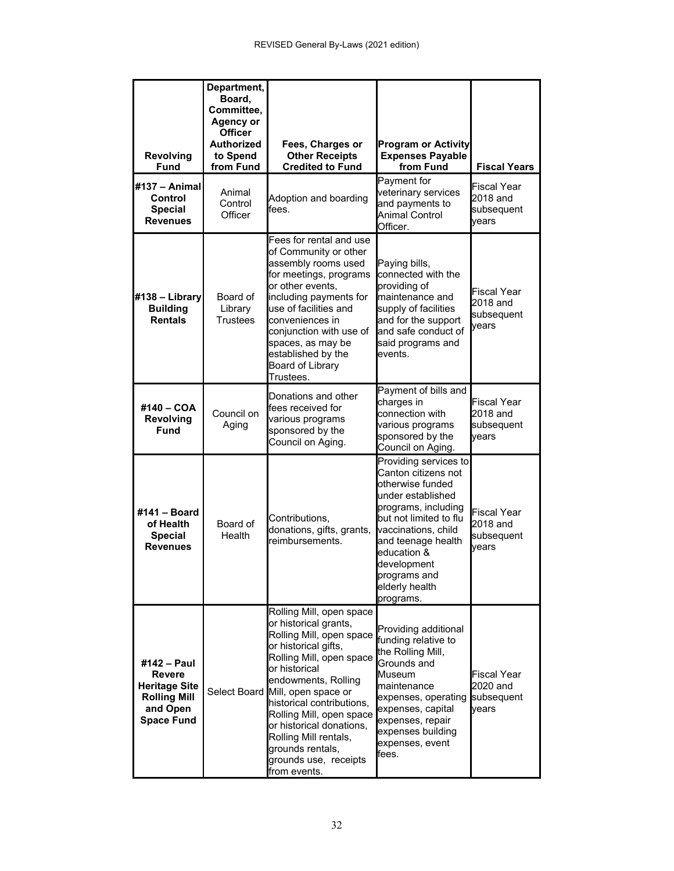| <b>Revolving</b><br>Fund                                                                              | Department,<br>Board,<br>Committee,<br><b>Agency or</b><br><b>Officer</b><br><b>Authorized</b><br>to Spend<br>from Fund | Fees, Charges or<br><b>Other Receipts</b><br><b>Credited to Fund</b>                                                                                                                                                                                                                                                                                                                     | <b>Program or Activity</b><br><b>Expenses Payable</b><br>from Fund                                                                                                                                                                                               | <b>Fiscal Years</b>                                   |
|-------------------------------------------------------------------------------------------------------|-------------------------------------------------------------------------------------------------------------------------|------------------------------------------------------------------------------------------------------------------------------------------------------------------------------------------------------------------------------------------------------------------------------------------------------------------------------------------------------------------------------------------|------------------------------------------------------------------------------------------------------------------------------------------------------------------------------------------------------------------------------------------------------------------|-------------------------------------------------------|
| #137 - Animal<br>Control<br><b>Special</b><br><b>Revenues</b>                                         | Animal<br>Control<br>Officer                                                                                            | Adoption and boarding<br>fees.                                                                                                                                                                                                                                                                                                                                                           | Payment for<br>veterinary services<br>and payments to<br><b>Animal Control</b><br>Officer.                                                                                                                                                                       | <b>Fiscal Year</b><br>2018 and<br>subsequent<br>vears |
| #138 - Library<br><b>Building</b><br><b>Rentals</b>                                                   | Board of<br>Library<br><b>Trustees</b>                                                                                  | Fees for rental and use<br>of Community or other<br>assembly rooms used<br>for meetings, programs<br>or other events,<br>including payments for<br>use of facilities and<br>conveniences in<br>conjunction with use of<br>spaces, as may be<br>established by the<br><b>Board of Library</b><br>Trustees.                                                                                | Paying bills,<br>connected with the<br>providing of<br>maintenance and<br>supply of facilities<br>and for the support<br>and safe conduct of<br>said programs and<br>events.                                                                                     | <b>Fiscal Year</b><br>2018 and<br>subsequent<br>vears |
| #140 - COA<br><b>Revolving</b><br>Fund                                                                | Council on<br>Aging                                                                                                     | Donations and other<br>fees received for<br>various programs<br>sponsored by the<br>Council on Aging.                                                                                                                                                                                                                                                                                    | Payment of bills and<br>charges in<br>connection with<br>various programs<br>sponsored by the<br>Council on Aging.                                                                                                                                               | Fiscal Year<br>2018 and<br>subsequent<br>vears        |
| #141 - Board<br>of Health<br><b>Special</b><br><b>Revenues</b>                                        | Board of<br>Health                                                                                                      | Contributions,<br>donations, gifts, grants,<br>reimbursements.                                                                                                                                                                                                                                                                                                                           | Providing services to<br>Canton citizens not<br>otherwise funded<br>under established<br>programs, including<br>but not limited to flu<br>vaccinations, child<br>and teenage health<br>education &<br>development<br>programs and<br>elderly health<br>programs. | <b>Fiscal Year</b><br>2018 and<br>subsequent<br>vears |
| #142 - Paul<br>Revere<br><b>Heritage Site</b><br><b>Rolling Mill</b><br>and Open<br><b>Space Fund</b> |                                                                                                                         | Rolling Mill, open space<br>or historical grants,<br>Rolling Mill, open space<br>or historical gifts,<br>Rolling Mill, open space<br>or historical<br>endowments, Rolling<br>Select Board Mill, open space or<br>historical contributions,<br>Rolling Mill, open space<br>or historical donations,<br>Rolling Mill rentals,<br>grounds rentals,<br>grounds use, receipts<br>from events. | Providing additional<br>funding relative to<br>the Rolling Mill,<br>Grounds and<br>Museum<br>maintenance<br>expenses, operating<br>expenses, capital<br>expenses, repair<br>expenses building<br>expenses, event<br>fees.                                        | <b>Fiscal Year</b><br>2020 and<br>subsequent<br>vears |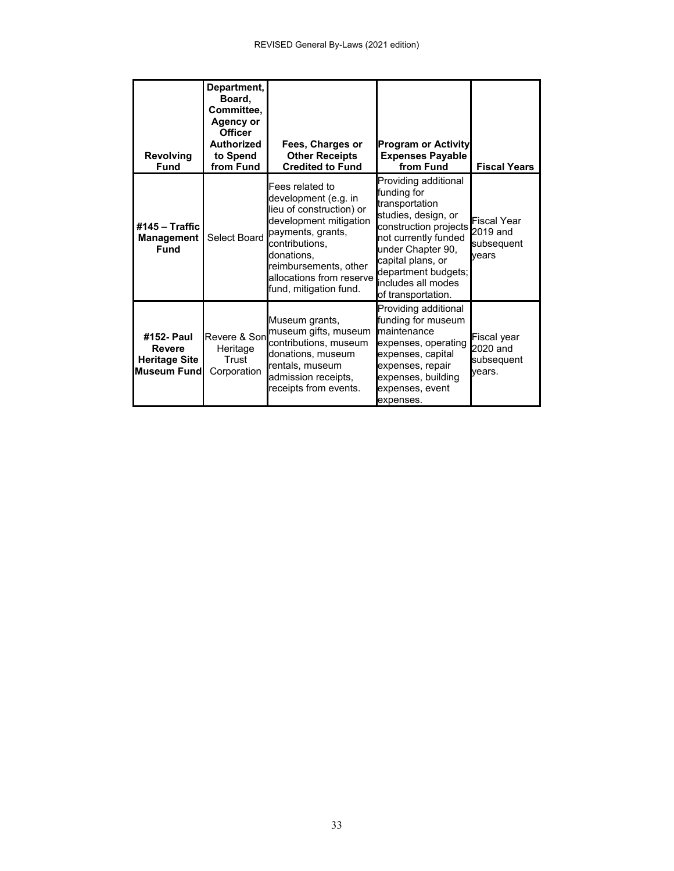| <b>Revolving</b><br><b>Fund</b>                                            | Department,<br>Board,<br>Committee,<br><b>Agency or</b><br><b>Officer</b><br>Authorized<br>to Spend<br>from Fund | Fees, Charges or<br><b>Other Receipts</b><br><b>Credited to Fund</b>                                                                                                                                                              | <b>Program or Activity</b><br><b>Expenses Payable</b><br>from Fund                                                                                                                                                                         | <b>Fiscal Years</b>                             |
|----------------------------------------------------------------------------|------------------------------------------------------------------------------------------------------------------|-----------------------------------------------------------------------------------------------------------------------------------------------------------------------------------------------------------------------------------|--------------------------------------------------------------------------------------------------------------------------------------------------------------------------------------------------------------------------------------------|-------------------------------------------------|
| #145 $-$ Traffic<br><b>Management</b><br>Fund                              | Select Board                                                                                                     | Fees related to<br>development (e.g. in<br>lieu of construction) or<br>development mitigation<br>payments, grants,<br>contributions,<br>donations,<br>reimbursements, other<br>allocations from reserve<br>fund, mitigation fund. | Providing additional<br>funding for<br>transportation<br>studies, design, or<br>construction projects<br>not currently funded<br>under Chapter 90,<br>capital plans, or<br>department budgets;<br>includes all modes<br>of transportation. | Fiscal Year<br>2019 and<br>subsequent<br>vears  |
| #152- Paul<br><b>Revere</b><br><b>Heritage Site</b><br><b>Museum Fundl</b> | Revere & Son<br>Heritage<br>Trust<br>Corporation                                                                 | Museum grants,<br>museum gifts, museum<br>contributions, museum<br>donations, museum<br>rentals, museum<br>admission receipts,<br>receipts from events.                                                                           | Providing additional<br>funding for museum<br>maintenance<br>expenses, operating<br>expenses, capital<br>expenses, repair<br>expenses, building<br>expenses, event<br>expenses.                                                            | Fiscal year<br>2020 and<br>subsequent<br>vears. |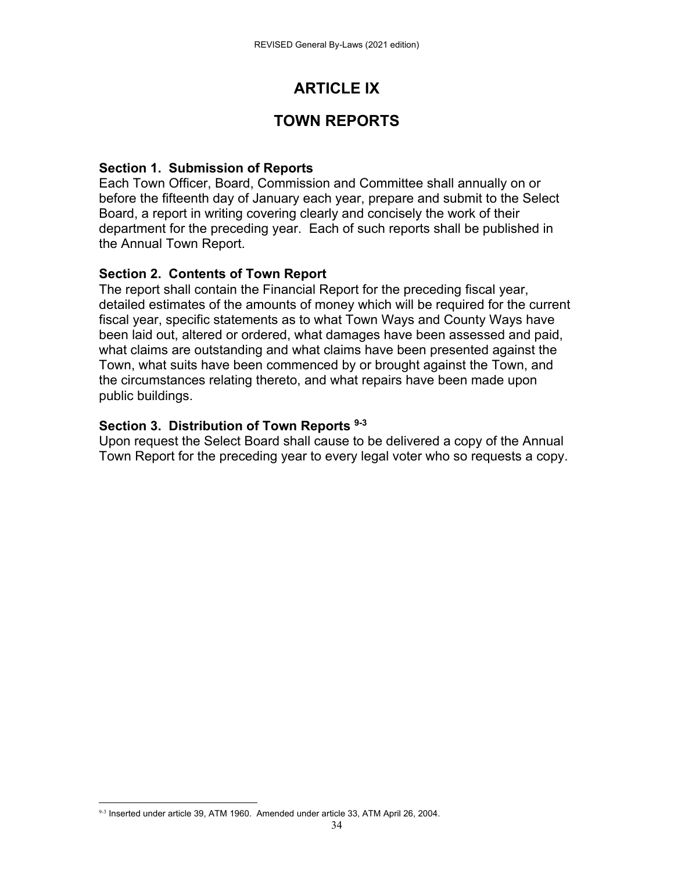# **ARTICLE IX**

# **TOWN REPORTS**

## **Section 1. Submission of Reports**

Each Town Officer, Board, Commission and Committee shall annually on or before the fifteenth day of January each year, prepare and submit to the Select Board, a report in writing covering clearly and concisely the work of their department for the preceding year. Each of such reports shall be published in the Annual Town Report.

### **Section 2. Contents of Town Report**

The report shall contain the Financial Report for the preceding fiscal year, detailed estimates of the amounts of money which will be required for the current fiscal year, specific statements as to what Town Ways and County Ways have been laid out, altered or ordered, what damages have been assessed and paid, what claims are outstanding and what claims have been presented against the Town, what suits have been commenced by or brought against the Town, and the circumstances relating thereto, and what repairs have been made upon public buildings.

## **Section 3. Distribution of Town Reports 9-3**

Upon request the Select Board shall cause to be delivered a copy of the Annual Town Report for the preceding year to every legal voter who so requests a copy.

  $9-3$  Inserted under article 39, ATM 1960. Amended under article 33, ATM April 26, 2004.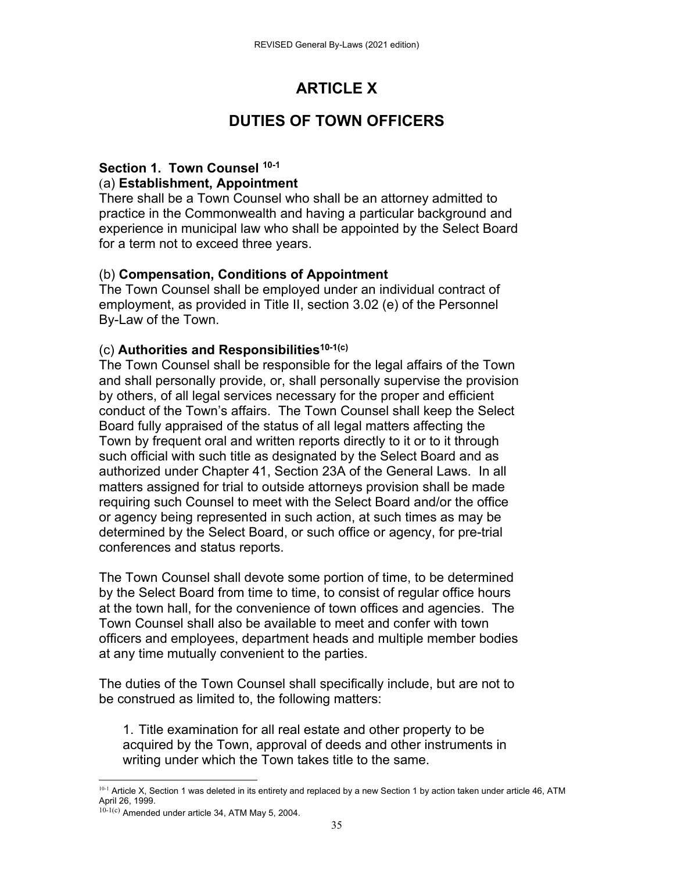# **ARTICLE X**

# **DUTIES OF TOWN OFFICERS**

### **Section 1. Town Counsel 10-1** (a) **Establishment, Appointment**

There shall be a Town Counsel who shall be an attorney admitted to practice in the Commonwealth and having a particular background and experience in municipal law who shall be appointed by the Select Board for a term not to exceed three years.

## (b) **Compensation, Conditions of Appointment**

The Town Counsel shall be employed under an individual contract of employment, as provided in Title II, section 3.02 (e) of the Personnel By-Law of the Town.

## (c) **Authorities and Responsibilities10-1(c)**

The Town Counsel shall be responsible for the legal affairs of the Town and shall personally provide, or, shall personally supervise the provision by others, of all legal services necessary for the proper and efficient conduct of the Town's affairs. The Town Counsel shall keep the Select Board fully appraised of the status of all legal matters affecting the Town by frequent oral and written reports directly to it or to it through such official with such title as designated by the Select Board and as authorized under Chapter 41, Section 23A of the General Laws. In all matters assigned for trial to outside attorneys provision shall be made requiring such Counsel to meet with the Select Board and/or the office or agency being represented in such action, at such times as may be determined by the Select Board, or such office or agency, for pre-trial conferences and status reports.

The Town Counsel shall devote some portion of time, to be determined by the Select Board from time to time, to consist of regular office hours at the town hall, for the convenience of town offices and agencies. The Town Counsel shall also be available to meet and confer with town officers and employees, department heads and multiple member bodies at any time mutually convenient to the parties.

The duties of the Town Counsel shall specifically include, but are not to be construed as limited to, the following matters:

1. Title examination for all real estate and other property to be acquired by the Town, approval of deeds and other instruments in writing under which the Town takes title to the same.

 <sup>10-1</sup> Article X, Section 1 was deleted in its entirety and replaced by a new Section 1 by action taken under article 46, ATM April 26, 1999.

 $10^{-1(c)}$  Amended under article 34, ATM May 5, 2004.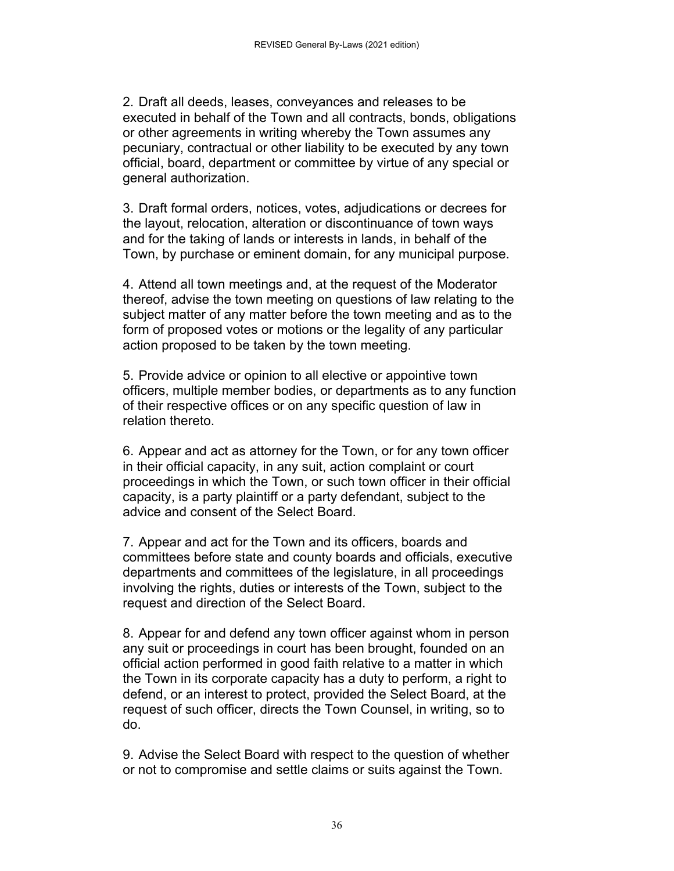2. Draft all deeds, leases, conveyances and releases to be executed in behalf of the Town and all contracts, bonds, obligations or other agreements in writing whereby the Town assumes any pecuniary, contractual or other liability to be executed by any town official, board, department or committee by virtue of any special or general authorization.

3. Draft formal orders, notices, votes, adjudications or decrees for the layout, relocation, alteration or discontinuance of town ways and for the taking of lands or interests in lands, in behalf of the Town, by purchase or eminent domain, for any municipal purpose.

4. Attend all town meetings and, at the request of the Moderator thereof, advise the town meeting on questions of law relating to the subject matter of any matter before the town meeting and as to the form of proposed votes or motions or the legality of any particular action proposed to be taken by the town meeting.

5. Provide advice or opinion to all elective or appointive town officers, multiple member bodies, or departments as to any function of their respective offices or on any specific question of law in relation thereto.

6. Appear and act as attorney for the Town, or for any town officer in their official capacity, in any suit, action complaint or court proceedings in which the Town, or such town officer in their official capacity, is a party plaintiff or a party defendant, subject to the advice and consent of the Select Board.

7. Appear and act for the Town and its officers, boards and committees before state and county boards and officials, executive departments and committees of the legislature, in all proceedings involving the rights, duties or interests of the Town, subject to the request and direction of the Select Board.

8. Appear for and defend any town officer against whom in person any suit or proceedings in court has been brought, founded on an official action performed in good faith relative to a matter in which the Town in its corporate capacity has a duty to perform, a right to defend, or an interest to protect, provided the Select Board, at the request of such officer, directs the Town Counsel, in writing, so to do.

9. Advise the Select Board with respect to the question of whether or not to compromise and settle claims or suits against the Town.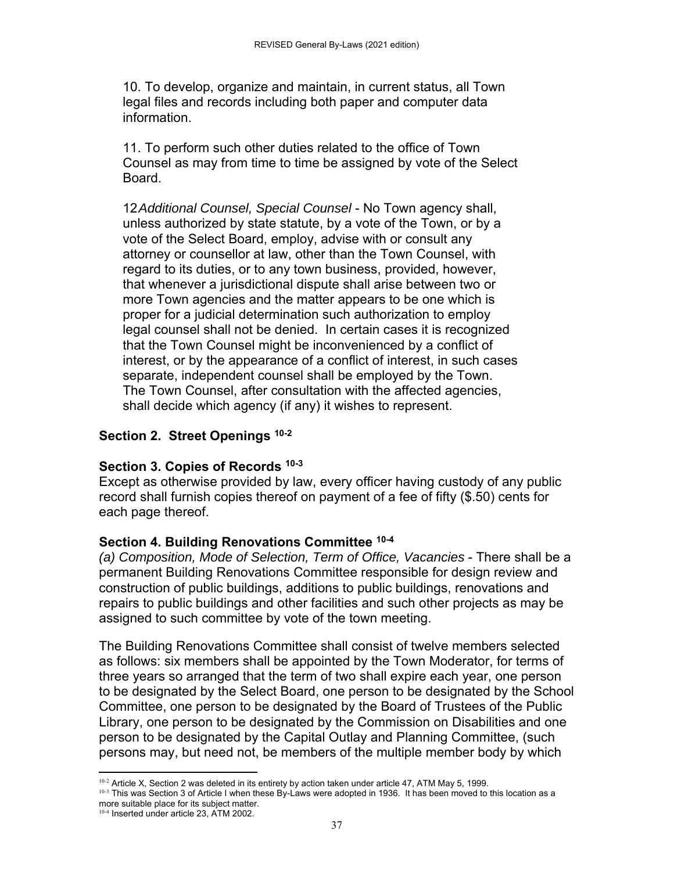10. To develop, organize and maintain, in current status, all Town legal files and records including both paper and computer data information.

11. To perform such other duties related to the office of Town Counsel as may from time to time be assigned by vote of the Select Board.

12 *Additional Counsel, Special Counsel* - No Town agency shall, unless authorized by state statute, by a vote of the Town, or by a vote of the Select Board, employ, advise with or consult any attorney or counsellor at law, other than the Town Counsel, with regard to its duties, or to any town business, provided, however, that whenever a jurisdictional dispute shall arise between two or more Town agencies and the matter appears to be one which is proper for a judicial determination such authorization to employ legal counsel shall not be denied. In certain cases it is recognized that the Town Counsel might be inconvenienced by a conflict of interest, or by the appearance of a conflict of interest, in such cases separate, independent counsel shall be employed by the Town. The Town Counsel, after consultation with the affected agencies, shall decide which agency (if any) it wishes to represent.

#### **Section 2. Street Openings 10-2**

#### **Section 3. Copies of Records 10-3**

Except as otherwise provided by law, every officer having custody of any public record shall furnish copies thereof on payment of a fee of fifty (\$.50) cents for each page thereof.

#### **Section 4. Building Renovations Committee 10-4**

*(a) Composition, Mode of Selection, Term of Office, Vacancies* - There shall be a permanent Building Renovations Committee responsible for design review and construction of public buildings, additions to public buildings, renovations and repairs to public buildings and other facilities and such other projects as may be assigned to such committee by vote of the town meeting.

The Building Renovations Committee shall consist of twelve members selected as follows: six members shall be appointed by the Town Moderator, for terms of three years so arranged that the term of two shall expire each year, one person to be designated by the Select Board, one person to be designated by the School Committee, one person to be designated by the Board of Trustees of the Public Library, one person to be designated by the Commission on Disabilities and one person to be designated by the Capital Outlay and Planning Committee, (such persons may, but need not, be members of the multiple member body by which

  $10-2$  Article X, Section 2 was deleted in its entirety by action taken under article 47, ATM May 5, 1999.

<sup>&</sup>lt;sup>10-3</sup> This was Section 3 of Article I when these By-Laws were adopted in 1936. It has been moved to this location as a more suitable place for its subject matter.

<sup>10-4</sup> Inserted under article 23, ATM 2002.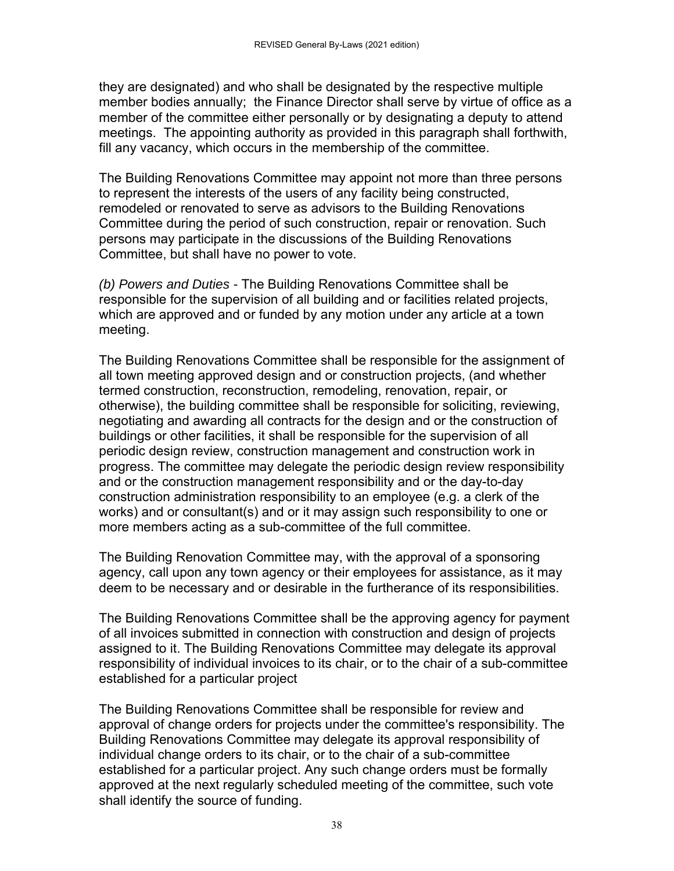they are designated) and who shall be designated by the respective multiple member bodies annually; the Finance Director shall serve by virtue of office as a member of the committee either personally or by designating a deputy to attend meetings. The appointing authority as provided in this paragraph shall forthwith, fill any vacancy, which occurs in the membership of the committee.

The Building Renovations Committee may appoint not more than three persons to represent the interests of the users of any facility being constructed, remodeled or renovated to serve as advisors to the Building Renovations Committee during the period of such construction, repair or renovation. Such persons may participate in the discussions of the Building Renovations Committee, but shall have no power to vote.

*(b) Powers and Duties -* The Building Renovations Committee shall be responsible for the supervision of all building and or facilities related projects, which are approved and or funded by any motion under any article at a town meeting.

The Building Renovations Committee shall be responsible for the assignment of all town meeting approved design and or construction projects, (and whether termed construction, reconstruction, remodeling, renovation, repair, or otherwise), the building committee shall be responsible for soliciting, reviewing, negotiating and awarding all contracts for the design and or the construction of buildings or other facilities, it shall be responsible for the supervision of all periodic design review, construction management and construction work in progress. The committee may delegate the periodic design review responsibility and or the construction management responsibility and or the day-to-day construction administration responsibility to an employee (e.g. a clerk of the works) and or consultant(s) and or it may assign such responsibility to one or more members acting as a sub-committee of the full committee.

The Building Renovation Committee may, with the approval of a sponsoring agency, call upon any town agency or their employees for assistance, as it may deem to be necessary and or desirable in the furtherance of its responsibilities.

The Building Renovations Committee shall be the approving agency for payment of all invoices submitted in connection with construction and design of projects assigned to it. The Building Renovations Committee may delegate its approval responsibility of individual invoices to its chair, or to the chair of a sub-committee established for a particular project

The Building Renovations Committee shall be responsible for review and approval of change orders for projects under the committee's responsibility. The Building Renovations Committee may delegate its approval responsibility of individual change orders to its chair, or to the chair of a sub-committee established for a particular project. Any such change orders must be formally approved at the next regularly scheduled meeting of the committee, such vote shall identify the source of funding.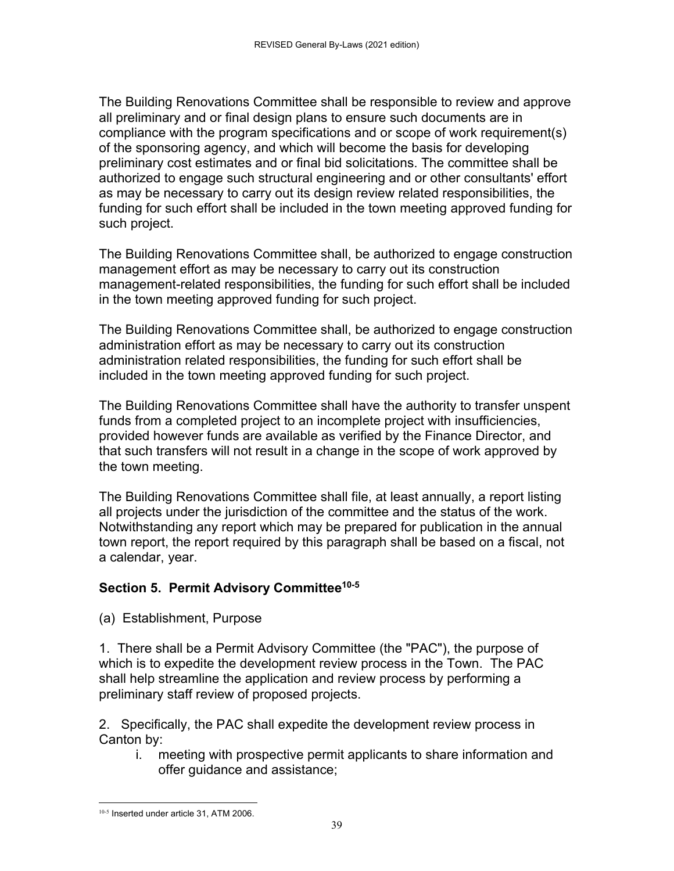The Building Renovations Committee shall be responsible to review and approve all preliminary and or final design plans to ensure such documents are in compliance with the program specifications and or scope of work requirement(s) of the sponsoring agency, and which will become the basis for developing preliminary cost estimates and or final bid solicitations. The committee shall be authorized to engage such structural engineering and or other consultants' effort as may be necessary to carry out its design review related responsibilities, the funding for such effort shall be included in the town meeting approved funding for such project.

The Building Renovations Committee shall, be authorized to engage construction management effort as may be necessary to carry out its construction management-related responsibilities, the funding for such effort shall be included in the town meeting approved funding for such project.

The Building Renovations Committee shall, be authorized to engage construction administration effort as may be necessary to carry out its construction administration related responsibilities, the funding for such effort shall be included in the town meeting approved funding for such project.

The Building Renovations Committee shall have the authority to transfer unspent funds from a completed project to an incomplete project with insufficiencies, provided however funds are available as verified by the Finance Director, and that such transfers will not result in a change in the scope of work approved by the town meeting.

The Building Renovations Committee shall file, at least annually, a report listing all projects under the jurisdiction of the committee and the status of the work. Notwithstanding any report which may be prepared for publication in the annual town report, the report required by this paragraph shall be based on a fiscal, not a calendar, year.

# **Section 5. Permit Advisory Committee10-5**

(a) Establishment, Purpose

1. There shall be a Permit Advisory Committee (the "PAC"), the purpose of which is to expedite the development review process in the Town. The PAC shall help streamline the application and review process by performing a preliminary staff review of proposed projects.

2. Specifically, the PAC shall expedite the development review process in Canton by:

 i. meeting with prospective permit applicants to share information and offer guidance and assistance;

 10-5 Inserted under article 31, ATM 2006.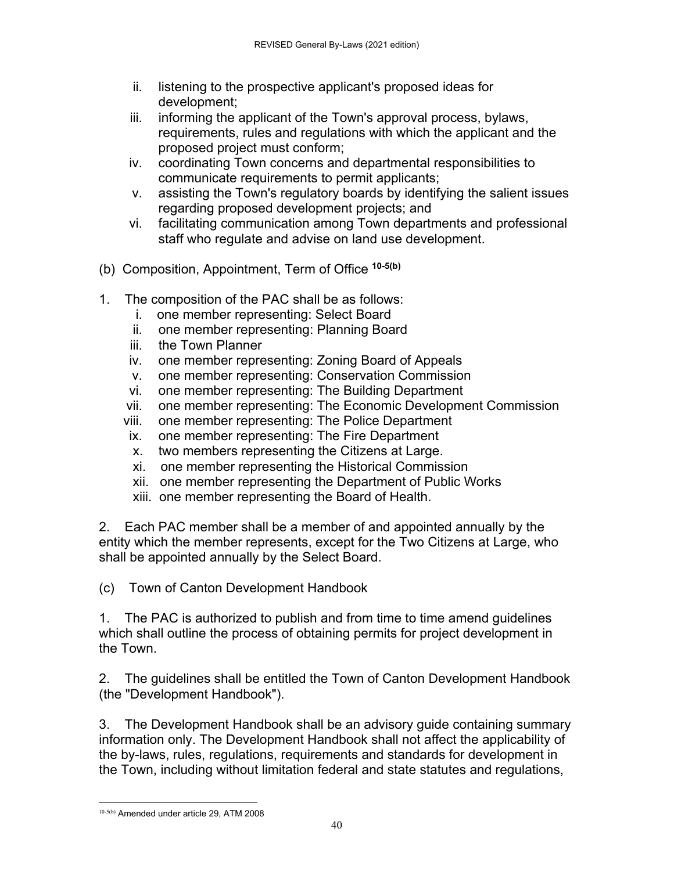- ii. listening to the prospective applicant's proposed ideas for development;
- iii. informing the applicant of the Town's approval process, bylaws, requirements, rules and regulations with which the applicant and the proposed project must conform;
- iv. coordinating Town concerns and departmental responsibilities to communicate requirements to permit applicants;
- v. assisting the Town's regulatory boards by identifying the salient issues regarding proposed development projects; and
- vi. facilitating communication among Town departments and professional staff who regulate and advise on land use development.
- (b) Composition, Appointment, Term of Office **10-5(b)**
- 1. The composition of the PAC shall be as follows:
	- i. one member representing: Select Board
	- ii. one member representing: Planning Board
	- iii. the Town Planner
	- iv. one member representing: Zoning Board of Appeals
	- v. one member representing: Conservation Commission
	- vi. one member representing: The Building Department
	- vii. one member representing: The Economic Development Commission
	- viii. one member representing: The Police Department
	- ix. one member representing: The Fire Department
	- x. two members representing the Citizens at Large.
	- xi. one member representing the Historical Commission
	- xii. one member representing the Department of Public Works
	- xiii. one member representing the Board of Health.

2. Each PAC member shall be a member of and appointed annually by the entity which the member represents, except for the Two Citizens at Large, who shall be appointed annually by the Select Board.

(c) Town of Canton Development Handbook

1. The PAC is authorized to publish and from time to time amend guidelines which shall outline the process of obtaining permits for project development in the Town.

2. The guidelines shall be entitled the Town of Canton Development Handbook (the "Development Handbook").

3. The Development Handbook shall be an advisory guide containing summary information only. The Development Handbook shall not affect the applicability of the by-laws, rules, regulations, requirements and standards for development in the Town, including without limitation federal and state statutes and regulations,

 10-5(b) Amended under article 29, ATM 2008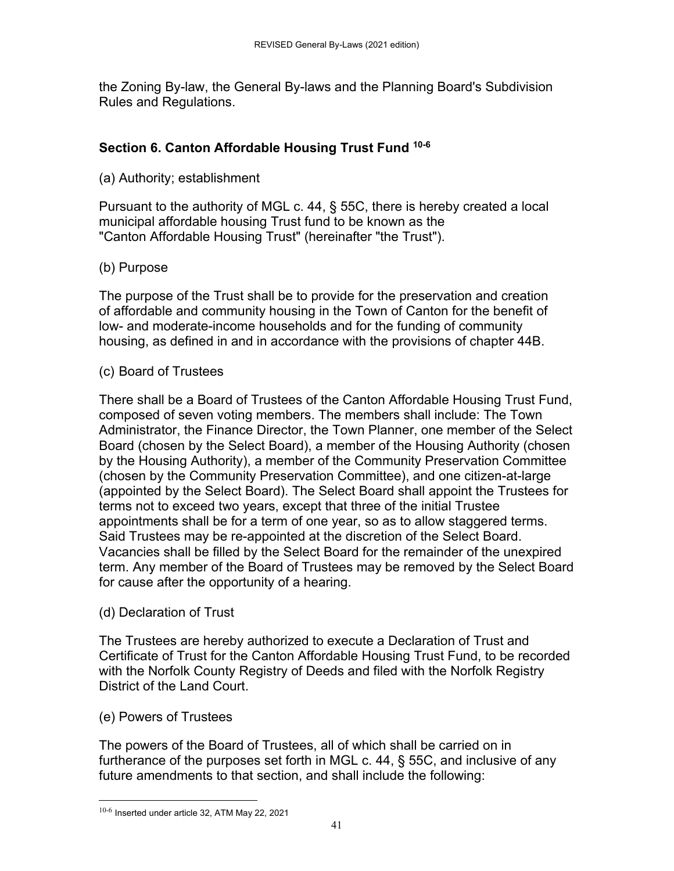the Zoning By-law, the General By-laws and the Planning Board's Subdivision Rules and Regulations.

## **Section 6. Canton Affordable Housing Trust Fund 10-6**

(a) Authority; establishment

Pursuant to the authority of MGL c. 44, § 55C, there is hereby created a local municipal affordable housing Trust fund to be known as the "Canton Affordable Housing Trust" (hereinafter "the Trust").

# (b) Purpose

The purpose of the Trust shall be to provide for the preservation and creation of affordable and community housing in the Town of Canton for the benefit of low- and moderate-income households and for the funding of community housing, as defined in and in accordance with the provisions of chapter 44B.

## (c) Board of Trustees

There shall be a Board of Trustees of the Canton Affordable Housing Trust Fund, composed of seven voting members. The members shall include: The Town Administrator, the Finance Director, the Town Planner, one member of the Select Board (chosen by the Select Board), a member of the Housing Authority (chosen by the Housing Authority), a member of the Community Preservation Committee (chosen by the Community Preservation Committee), and one citizen-at-large (appointed by the Select Board). The Select Board shall appoint the Trustees for terms not to exceed two years, except that three of the initial Trustee appointments shall be for a term of one year, so as to allow staggered terms. Said Trustees may be re-appointed at the discretion of the Select Board. Vacancies shall be filled by the Select Board for the remainder of the unexpired term. Any member of the Board of Trustees may be removed by the Select Board for cause after the opportunity of a hearing.

### (d) Declaration of Trust

The Trustees are hereby authorized to execute a Declaration of Trust and Certificate of Trust for the Canton Affordable Housing Trust Fund, to be recorded with the Norfolk County Registry of Deeds and filed with the Norfolk Registry District of the Land Court.

### (e) Powers of Trustees

The powers of the Board of Trustees, all of which shall be carried on in furtherance of the purposes set forth in MGL c. 44, § 55C, and inclusive of any future amendments to that section, and shall include the following:

 $10-6$  Inserted under article 32, ATM May 22, 2021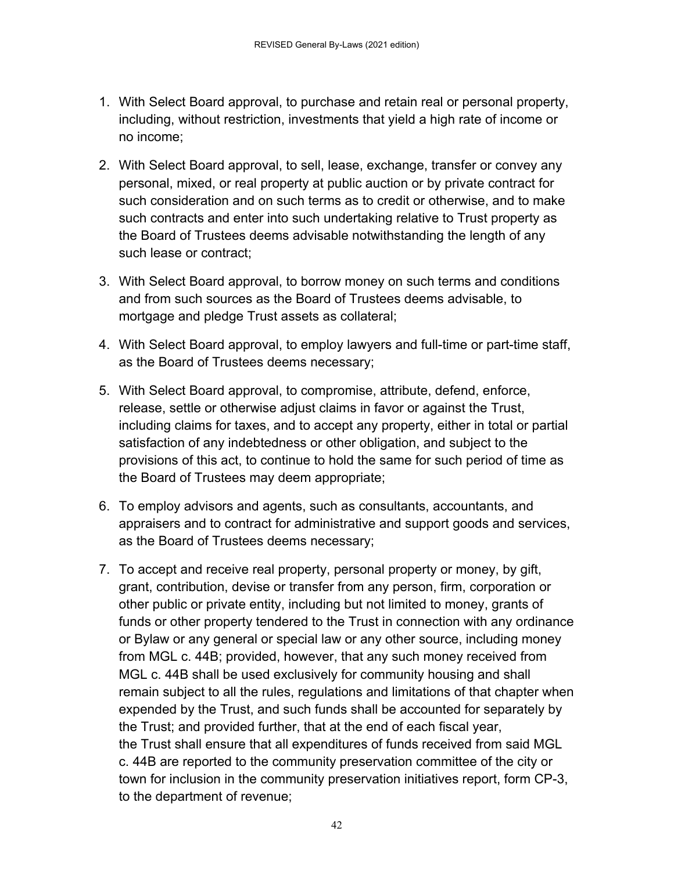- 1. With Select Board approval, to purchase and retain real or personal property, including, without restriction, investments that yield a high rate of income or no income;
- 2. With Select Board approval, to sell, lease, exchange, transfer or convey any personal, mixed, or real property at public auction or by private contract for such consideration and on such terms as to credit or otherwise, and to make such contracts and enter into such undertaking relative to Trust property as the Board of Trustees deems advisable notwithstanding the length of any such lease or contract;
- 3. With Select Board approval, to borrow money on such terms and conditions and from such sources as the Board of Trustees deems advisable, to mortgage and pledge Trust assets as collateral;
- 4. With Select Board approval, to employ lawyers and full-time or part-time staff, as the Board of Trustees deems necessary;
- 5. With Select Board approval, to compromise, attribute, defend, enforce, release, settle or otherwise adjust claims in favor or against the Trust, including claims for taxes, and to accept any property, either in total or partial satisfaction of any indebtedness or other obligation, and subject to the provisions of this act, to continue to hold the same for such period of time as the Board of Trustees may deem appropriate;
- 6. To employ advisors and agents, such as consultants, accountants, and appraisers and to contract for administrative and support goods and services, as the Board of Trustees deems necessary;
- 7. To accept and receive real property, personal property or money, by gift, grant, contribution, devise or transfer from any person, firm, corporation or other public or private entity, including but not limited to money, grants of funds or other property tendered to the Trust in connection with any ordinance or Bylaw or any general or special law or any other source, including money from MGL c. 44B; provided, however, that any such money received from MGL c. 44B shall be used exclusively for community housing and shall remain subject to all the rules, regulations and limitations of that chapter when expended by the Trust, and such funds shall be accounted for separately by the Trust; and provided further, that at the end of each fiscal year, the Trust shall ensure that all expenditures of funds received from said MGL c. 44B are reported to the community preservation committee of the city or town for inclusion in the community preservation initiatives report, form CP-3, to the department of revenue;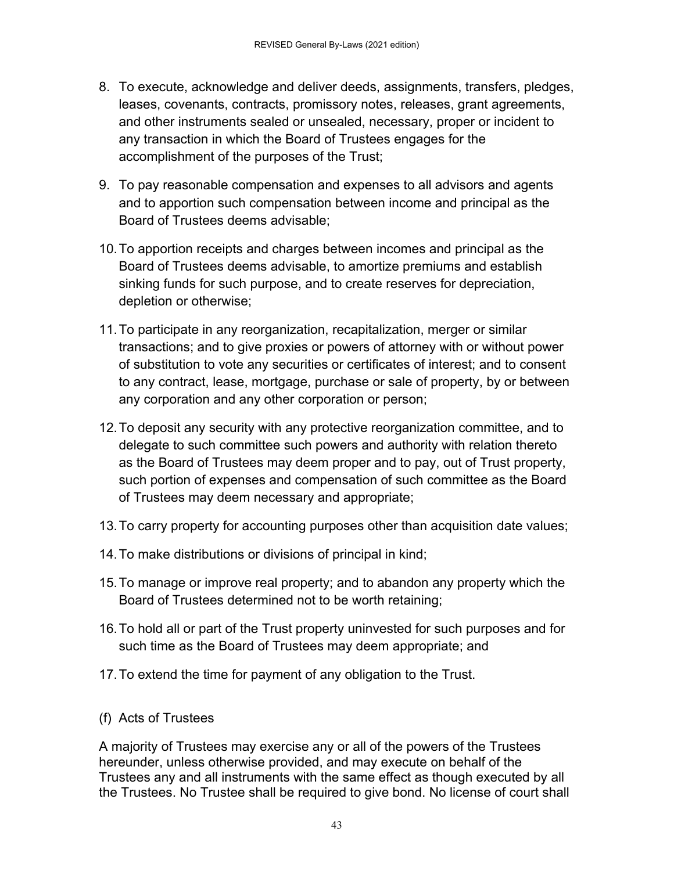- 8. To execute, acknowledge and deliver deeds, assignments, transfers, pledges, leases, covenants, contracts, promissory notes, releases, grant agreements, and other instruments sealed or unsealed, necessary, proper or incident to any transaction in which the Board of Trustees engages for the accomplishment of the purposes of the Trust;
- 9. To pay reasonable compensation and expenses to all advisors and agents and to apportion such compensation between income and principal as the Board of Trustees deems advisable;
- 10. To apportion receipts and charges between incomes and principal as the Board of Trustees deems advisable, to amortize premiums and establish sinking funds for such purpose, and to create reserves for depreciation, depletion or otherwise;
- 11. To participate in any reorganization, recapitalization, merger or similar transactions; and to give proxies or powers of attorney with or without power of substitution to vote any securities or certificates of interest; and to consent to any contract, lease, mortgage, purchase or sale of property, by or between any corporation and any other corporation or person;
- 12. To deposit any security with any protective reorganization committee, and to delegate to such committee such powers and authority with relation thereto as the Board of Trustees may deem proper and to pay, out of Trust property, such portion of expenses and compensation of such committee as the Board of Trustees may deem necessary and appropriate;
- 13. To carry property for accounting purposes other than acquisition date values;
- 14. To make distributions or divisions of principal in kind;
- 15. To manage or improve real property; and to abandon any property which the Board of Trustees determined not to be worth retaining;
- 16. To hold all or part of the Trust property uninvested for such purposes and for such time as the Board of Trustees may deem appropriate; and
- 17. To extend the time for payment of any obligation to the Trust.
- (f) Acts of Trustees

A majority of Trustees may exercise any or all of the powers of the Trustees hereunder, unless otherwise provided, and may execute on behalf of the Trustees any and all instruments with the same effect as though executed by all the Trustees. No Trustee shall be required to give bond. No license of court shall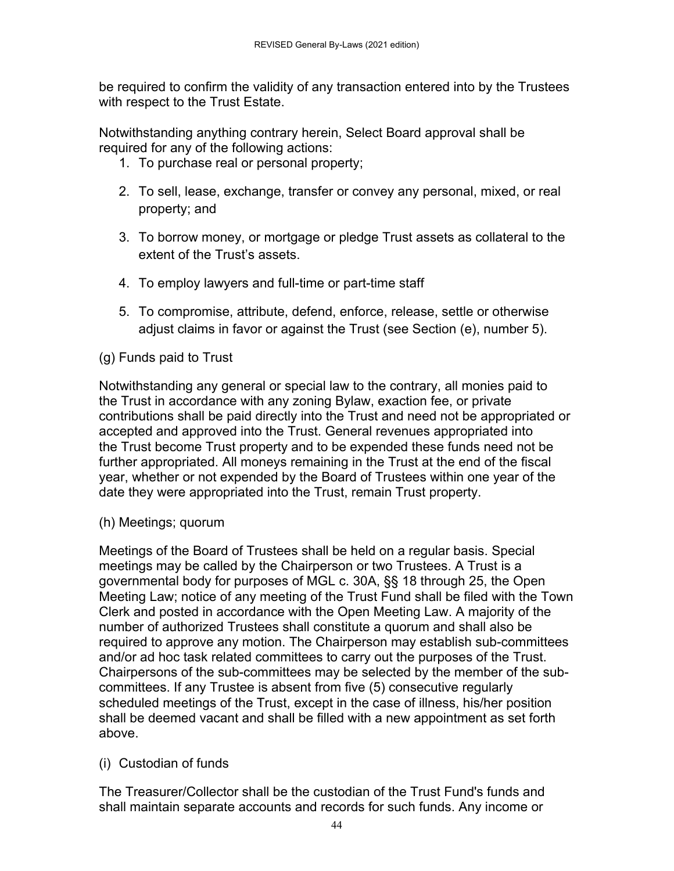be required to confirm the validity of any transaction entered into by the Trustees with respect to the Trust Estate.

Notwithstanding anything contrary herein, Select Board approval shall be required for any of the following actions:

- 1. To purchase real or personal property;
- 2. To sell, lease, exchange, transfer or convey any personal, mixed, or real property; and
- 3. To borrow money, or mortgage or pledge Trust assets as collateral to the extent of the Trust's assets.
- 4. To employ lawyers and full-time or part-time staff
- 5. To compromise, attribute, defend, enforce, release, settle or otherwise adjust claims in favor or against the Trust (see Section (e), number 5).

# (g) Funds paid to Trust

Notwithstanding any general or special law to the contrary, all monies paid to the Trust in accordance with any zoning Bylaw, exaction fee, or private contributions shall be paid directly into the Trust and need not be appropriated or accepted and approved into the Trust. General revenues appropriated into the Trust become Trust property and to be expended these funds need not be further appropriated. All moneys remaining in the Trust at the end of the fiscal year, whether or not expended by the Board of Trustees within one year of the date they were appropriated into the Trust, remain Trust property.

(h) Meetings; quorum

Meetings of the Board of Trustees shall be held on a regular basis. Special meetings may be called by the Chairperson or two Trustees. A Trust is a governmental body for purposes of MGL c. 30A, §§ 18 through 25, the Open Meeting Law; notice of any meeting of the Trust Fund shall be filed with the Town Clerk and posted in accordance with the Open Meeting Law. A majority of the number of authorized Trustees shall constitute a quorum and shall also be required to approve any motion. The Chairperson may establish sub-committees and/or ad hoc task related committees to carry out the purposes of the Trust. Chairpersons of the sub-committees may be selected by the member of the subcommittees. If any Trustee is absent from five (5) consecutive regularly scheduled meetings of the Trust, except in the case of illness, his/her position shall be deemed vacant and shall be filled with a new appointment as set forth above.

### (i) Custodian of funds

The Treasurer/Collector shall be the custodian of the Trust Fund's funds and shall maintain separate accounts and records for such funds. Any income or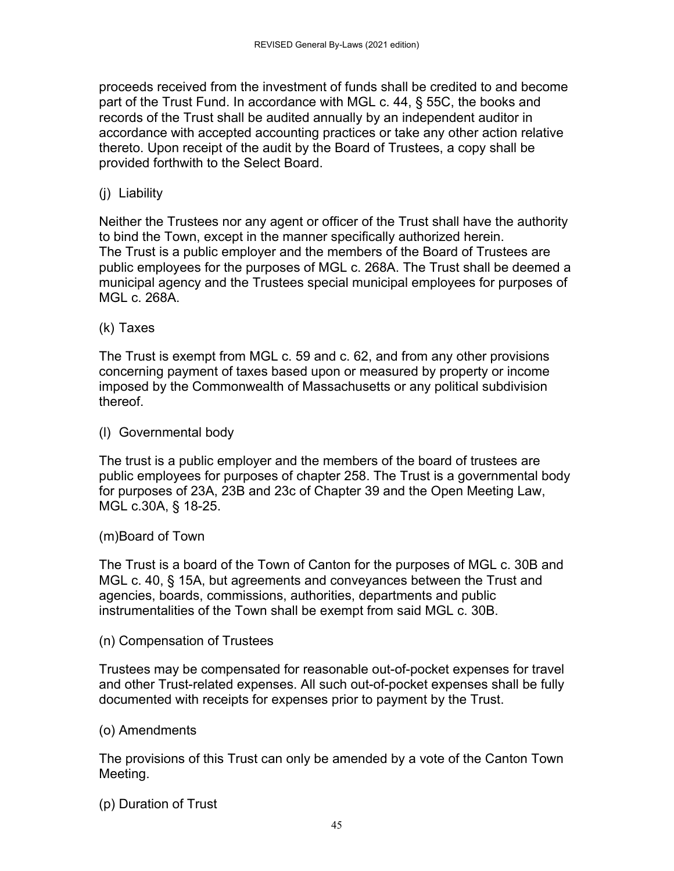proceeds received from the investment of funds shall be credited to and become part of the Trust Fund. In accordance with MGL c. 44, § 55C, the books and records of the Trust shall be audited annually by an independent auditor in accordance with accepted accounting practices or take any other action relative thereto. Upon receipt of the audit by the Board of Trustees, a copy shall be provided forthwith to the Select Board.

(j) Liability

Neither the Trustees nor any agent or officer of the Trust shall have the authority to bind the Town, except in the manner specifically authorized herein. The Trust is a public employer and the members of the Board of Trustees are public employees for the purposes of MGL c. 268A. The Trust shall be deemed a municipal agency and the Trustees special municipal employees for purposes of MGL c. 268A.

### (k) Taxes

The Trust is exempt from MGL c. 59 and c. 62, and from any other provisions concerning payment of taxes based upon or measured by property or income imposed by the Commonwealth of Massachusetts or any political subdivision thereof.

(l) Governmental body

The trust is a public employer and the members of the board of trustees are public employees for purposes of chapter 258. The Trust is a governmental body for purposes of 23A, 23B and 23c of Chapter 39 and the Open Meeting Law, MGL c.30A, § 18-25.

(m)Board of Town

The Trust is a board of the Town of Canton for the purposes of MGL c. 30B and MGL c. 40, § 15A, but agreements and conveyances between the Trust and agencies, boards, commissions, authorities, departments and public instrumentalities of the Town shall be exempt from said MGL c. 30B.

(n) Compensation of Trustees

Trustees may be compensated for reasonable out-of-pocket expenses for travel and other Trust-related expenses. All such out-of-pocket expenses shall be fully documented with receipts for expenses prior to payment by the Trust.

(o) Amendments

The provisions of this Trust can only be amended by a vote of the Canton Town Meeting.

(p) Duration of Trust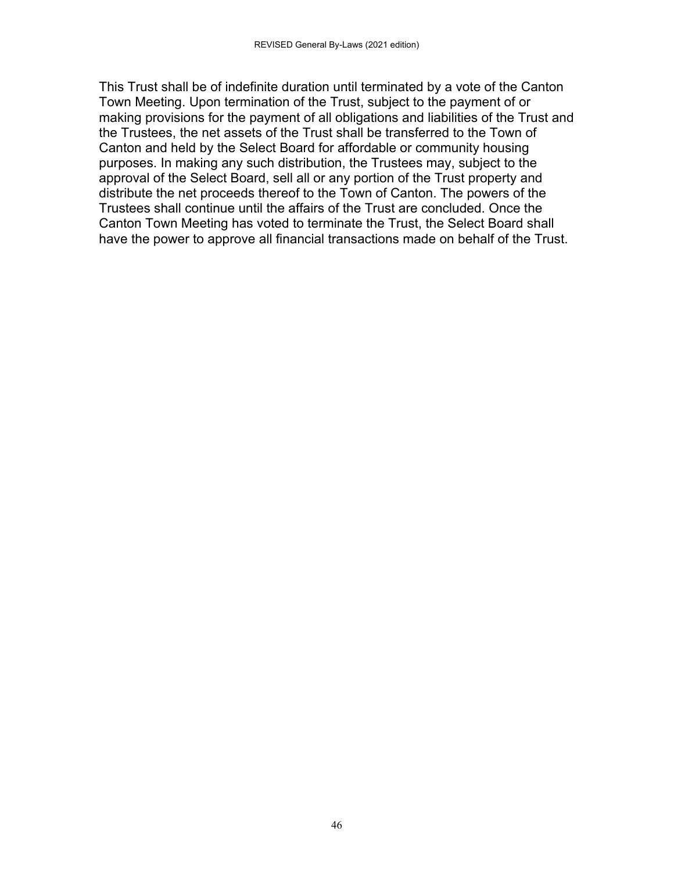This Trust shall be of indefinite duration until terminated by a vote of the Canton Town Meeting. Upon termination of the Trust, subject to the payment of or making provisions for the payment of all obligations and liabilities of the Trust and the Trustees, the net assets of the Trust shall be transferred to the Town of Canton and held by the Select Board for affordable or community housing purposes. In making any such distribution, the Trustees may, subject to the approval of the Select Board, sell all or any portion of the Trust property and distribute the net proceeds thereof to the Town of Canton. The powers of the Trustees shall continue until the affairs of the Trust are concluded. Once the Canton Town Meeting has voted to terminate the Trust, the Select Board shall have the power to approve all financial transactions made on behalf of the Trust.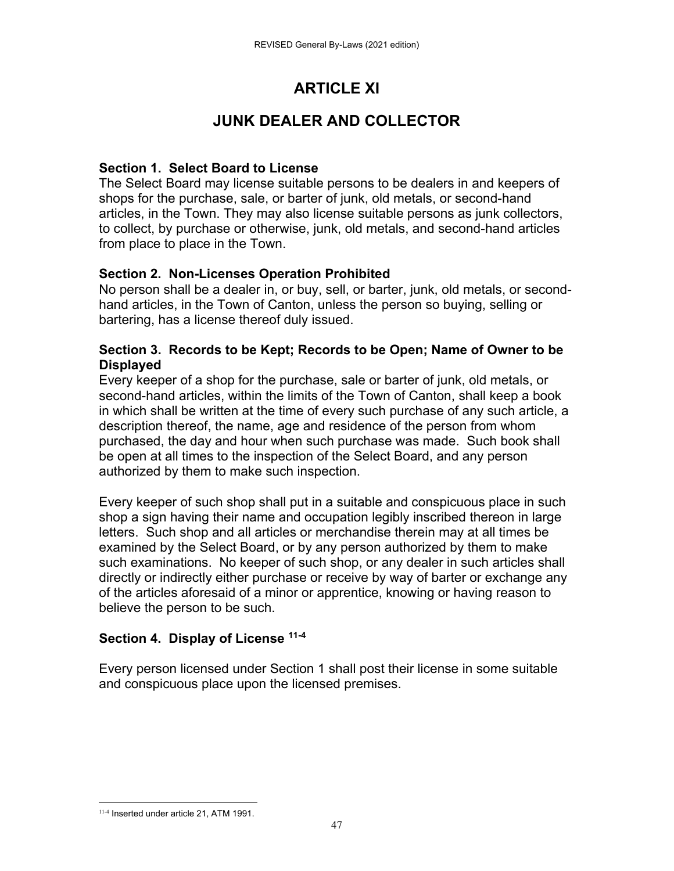# **ARTICLE XI**

# **JUNK DEALER AND COLLECTOR**

### **Section 1. Select Board to License**

The Select Board may license suitable persons to be dealers in and keepers of shops for the purchase, sale, or barter of junk, old metals, or second-hand articles, in the Town. They may also license suitable persons as junk collectors, to collect, by purchase or otherwise, junk, old metals, and second-hand articles from place to place in the Town.

### **Section 2. Non-Licenses Operation Prohibited**

No person shall be a dealer in, or buy, sell, or barter, junk, old metals, or secondhand articles, in the Town of Canton, unless the person so buying, selling or bartering, has a license thereof duly issued.

#### **Section 3. Records to be Kept; Records to be Open; Name of Owner to be Displayed**

Every keeper of a shop for the purchase, sale or barter of junk, old metals, or second-hand articles, within the limits of the Town of Canton, shall keep a book in which shall be written at the time of every such purchase of any such article, a description thereof, the name, age and residence of the person from whom purchased, the day and hour when such purchase was made. Such book shall be open at all times to the inspection of the Select Board, and any person authorized by them to make such inspection.

Every keeper of such shop shall put in a suitable and conspicuous place in such shop a sign having their name and occupation legibly inscribed thereon in large letters. Such shop and all articles or merchandise therein may at all times be examined by the Select Board, or by any person authorized by them to make such examinations. No keeper of such shop, or any dealer in such articles shall directly or indirectly either purchase or receive by way of barter or exchange any of the articles aforesaid of a minor or apprentice, knowing or having reason to believe the person to be such.

### **Section 4. Display of License 11-4**

Every person licensed under Section 1 shall post their license in some suitable and conspicuous place upon the licensed premises.

 11-4 Inserted under article 21, ATM 1991.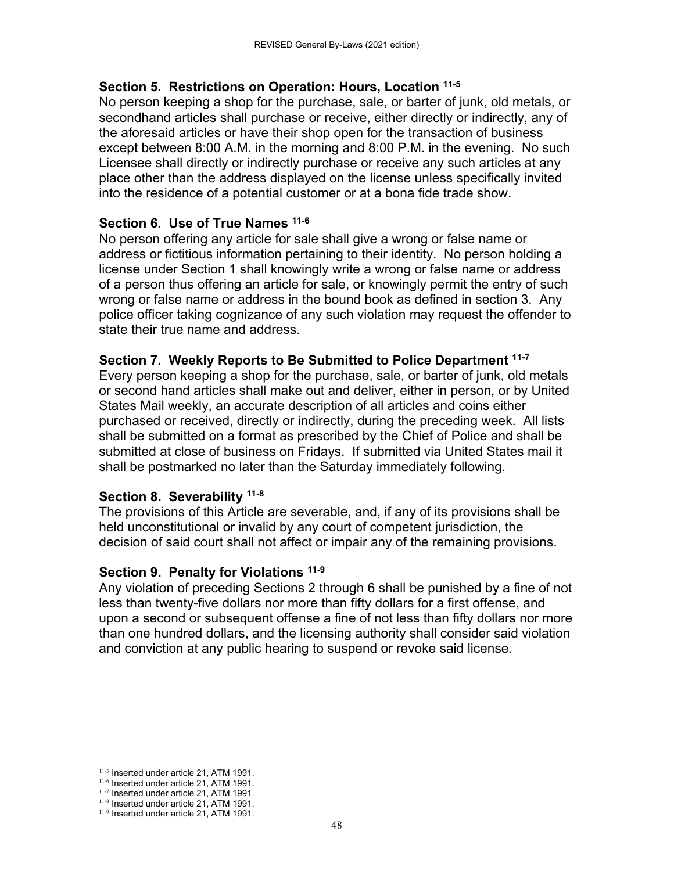#### **Section 5. Restrictions on Operation: Hours, Location 11-5**

No person keeping a shop for the purchase, sale, or barter of junk, old metals, or secondhand articles shall purchase or receive, either directly or indirectly, any of the aforesaid articles or have their shop open for the transaction of business except between 8:00 A.M. in the morning and 8:00 P.M. in the evening. No such Licensee shall directly or indirectly purchase or receive any such articles at any place other than the address displayed on the license unless specifically invited into the residence of a potential customer or at a bona fide trade show.

#### **Section 6. Use of True Names 11-6**

No person offering any article for sale shall give a wrong or false name or address or fictitious information pertaining to their identity. No person holding a license under Section 1 shall knowingly write a wrong or false name or address of a person thus offering an article for sale, or knowingly permit the entry of such wrong or false name or address in the bound book as defined in section 3. Any police officer taking cognizance of any such violation may request the offender to state their true name and address.

#### **Section 7. Weekly Reports to Be Submitted to Police Department 11-7**

Every person keeping a shop for the purchase, sale, or barter of junk, old metals or second hand articles shall make out and deliver, either in person, or by United States Mail weekly, an accurate description of all articles and coins either purchased or received, directly or indirectly, during the preceding week. All lists shall be submitted on a format as prescribed by the Chief of Police and shall be submitted at close of business on Fridays. If submitted via United States mail it shall be postmarked no later than the Saturday immediately following.

### **Section 8. Severability 11-8**

The provisions of this Article are severable, and, if any of its provisions shall be held unconstitutional or invalid by any court of competent jurisdiction, the decision of said court shall not affect or impair any of the remaining provisions.

#### **Section 9. Penalty for Violations 11-9**

Any violation of preceding Sections 2 through 6 shall be punished by a fine of not less than twenty-five dollars nor more than fifty dollars for a first offense, and upon a second or subsequent offense a fine of not less than fifty dollars nor more than one hundred dollars, and the licensing authority shall consider said violation and conviction at any public hearing to suspend or revoke said license.

 11-5 Inserted under article 21, ATM 1991.

<sup>11-6</sup> Inserted under article 21, ATM 1991.

<sup>11-7</sup> Inserted under article 21, ATM 1991. 11-8 Inserted under article 21, ATM 1991.

<sup>11-9</sup> Inserted under article 21, ATM 1991.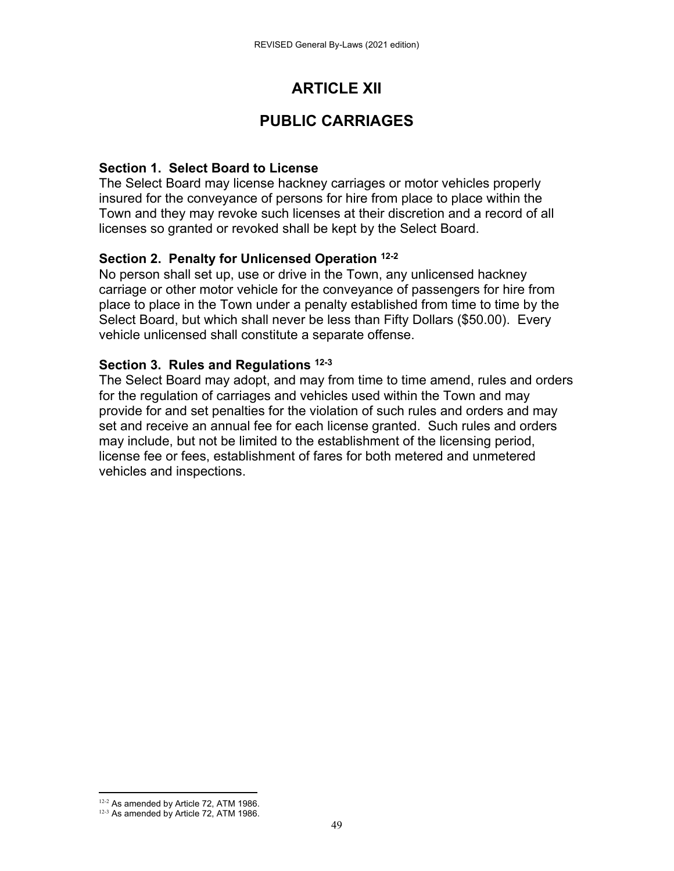# **ARTICLE XII**

# **PUBLIC CARRIAGES**

### **Section 1. Select Board to License**

The Select Board may license hackney carriages or motor vehicles properly insured for the conveyance of persons for hire from place to place within the Town and they may revoke such licenses at their discretion and a record of all licenses so granted or revoked shall be kept by the Select Board.

#### **Section 2. Penalty for Unlicensed Operation 12-2**

No person shall set up, use or drive in the Town, any unlicensed hackney carriage or other motor vehicle for the conveyance of passengers for hire from place to place in the Town under a penalty established from time to time by the Select Board, but which shall never be less than Fifty Dollars (\$50.00). Every vehicle unlicensed shall constitute a separate offense.

#### **Section 3. Rules and Regulations 12-3**

The Select Board may adopt, and may from time to time amend, rules and orders for the regulation of carriages and vehicles used within the Town and may provide for and set penalties for the violation of such rules and orders and may set and receive an annual fee for each license granted. Such rules and orders may include, but not be limited to the establishment of the licensing period, license fee or fees, establishment of fares for both metered and unmetered vehicles and inspections.

  $12-2$  As amended by Article 72, ATM 1986.

 $12-3$  As amended by Article 72, ATM 1986.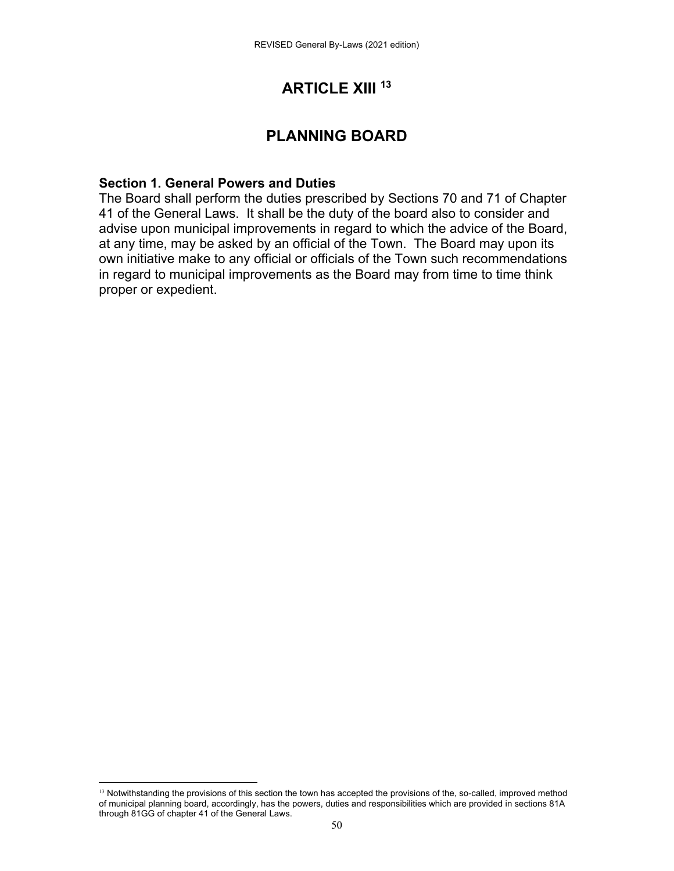# **ARTICLE XIII 13**

# **PLANNING BOARD**

#### **Section 1. General Powers and Duties**

The Board shall perform the duties prescribed by Sections 70 and 71 of Chapter 41 of the General Laws. It shall be the duty of the board also to consider and advise upon municipal improvements in regard to which the advice of the Board, at any time, may be asked by an official of the Town. The Board may upon its own initiative make to any official or officials of the Town such recommendations in regard to municipal improvements as the Board may from time to time think proper or expedient.

 <sup>13</sup> Notwithstanding the provisions of this section the town has accepted the provisions of the, so-called, improved method of municipal planning board, accordingly, has the powers, duties and responsibilities which are provided in sections 81A through 81GG of chapter 41 of the General Laws.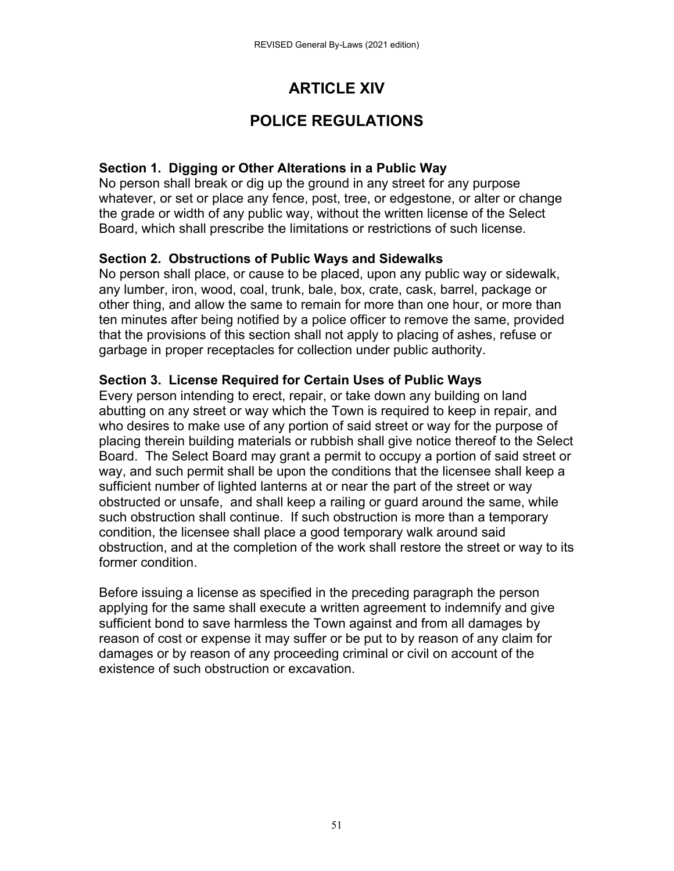# **ARTICLE XIV**

# **POLICE REGULATIONS**

### **Section 1. Digging or Other Alterations in a Public Way**

No person shall break or dig up the ground in any street for any purpose whatever, or set or place any fence, post, tree, or edgestone, or alter or change the grade or width of any public way, without the written license of the Select Board, which shall prescribe the limitations or restrictions of such license.

### **Section 2. Obstructions of Public Ways and Sidewalks**

No person shall place, or cause to be placed, upon any public way or sidewalk, any lumber, iron, wood, coal, trunk, bale, box, crate, cask, barrel, package or other thing, and allow the same to remain for more than one hour, or more than ten minutes after being notified by a police officer to remove the same, provided that the provisions of this section shall not apply to placing of ashes, refuse or garbage in proper receptacles for collection under public authority.

#### **Section 3. License Required for Certain Uses of Public Ways**

Every person intending to erect, repair, or take down any building on land abutting on any street or way which the Town is required to keep in repair, and who desires to make use of any portion of said street or way for the purpose of placing therein building materials or rubbish shall give notice thereof to the Select Board. The Select Board may grant a permit to occupy a portion of said street or way, and such permit shall be upon the conditions that the licensee shall keep a sufficient number of lighted lanterns at or near the part of the street or way obstructed or unsafe, and shall keep a railing or guard around the same, while such obstruction shall continue. If such obstruction is more than a temporary condition, the licensee shall place a good temporary walk around said obstruction, and at the completion of the work shall restore the street or way to its former condition.

Before issuing a license as specified in the preceding paragraph the person applying for the same shall execute a written agreement to indemnify and give sufficient bond to save harmless the Town against and from all damages by reason of cost or expense it may suffer or be put to by reason of any claim for damages or by reason of any proceeding criminal or civil on account of the existence of such obstruction or excavation.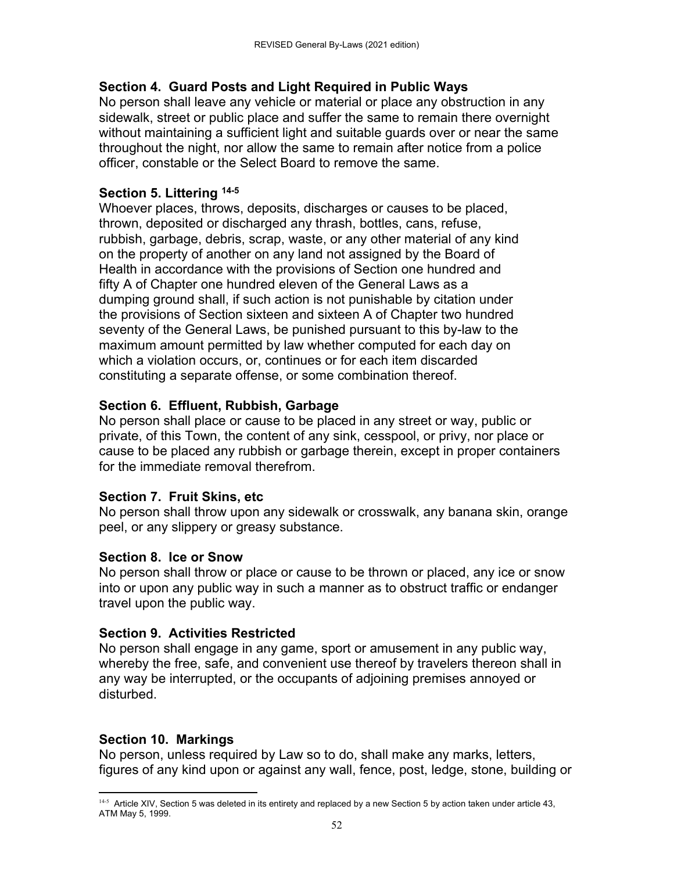## **Section 4. Guard Posts and Light Required in Public Ways**

No person shall leave any vehicle or material or place any obstruction in any sidewalk, street or public place and suffer the same to remain there overnight without maintaining a sufficient light and suitable guards over or near the same throughout the night, nor allow the same to remain after notice from a police officer, constable or the Select Board to remove the same.

## **Section 5. Littering 14-5**

Whoever places, throws, deposits, discharges or causes to be placed, thrown, deposited or discharged any thrash, bottles, cans, refuse, rubbish, garbage, debris, scrap, waste, or any other material of any kind on the property of another on any land not assigned by the Board of Health in accordance with the provisions of Section one hundred and fifty A of Chapter one hundred eleven of the General Laws as a dumping ground shall, if such action is not punishable by citation under the provisions of Section sixteen and sixteen A of Chapter two hundred seventy of the General Laws, be punished pursuant to this by-law to the maximum amount permitted by law whether computed for each day on which a violation occurs, or, continues or for each item discarded constituting a separate offense, or some combination thereof.

# **Section 6. Effluent, Rubbish, Garbage**

No person shall place or cause to be placed in any street or way, public or private, of this Town, the content of any sink, cesspool, or privy, nor place or cause to be placed any rubbish or garbage therein, except in proper containers for the immediate removal therefrom.

# **Section 7. Fruit Skins, etc**

No person shall throw upon any sidewalk or crosswalk, any banana skin, orange peel, or any slippery or greasy substance.

# **Section 8. Ice or Snow**

No person shall throw or place or cause to be thrown or placed, any ice or snow into or upon any public way in such a manner as to obstruct traffic or endanger travel upon the public way.

# **Section 9. Activities Restricted**

No person shall engage in any game, sport or amusement in any public way, whereby the free, safe, and convenient use thereof by travelers thereon shall in any way be interrupted, or the occupants of adjoining premises annoyed or disturbed.

# **Section 10. Markings**

No person, unless required by Law so to do, shall make any marks, letters, figures of any kind upon or against any wall, fence, post, ledge, stone, building or

 <sup>14-5</sup> Article XIV, Section 5 was deleted in its entirety and replaced by a new Section 5 by action taken under article 43, ATM May 5, 1999.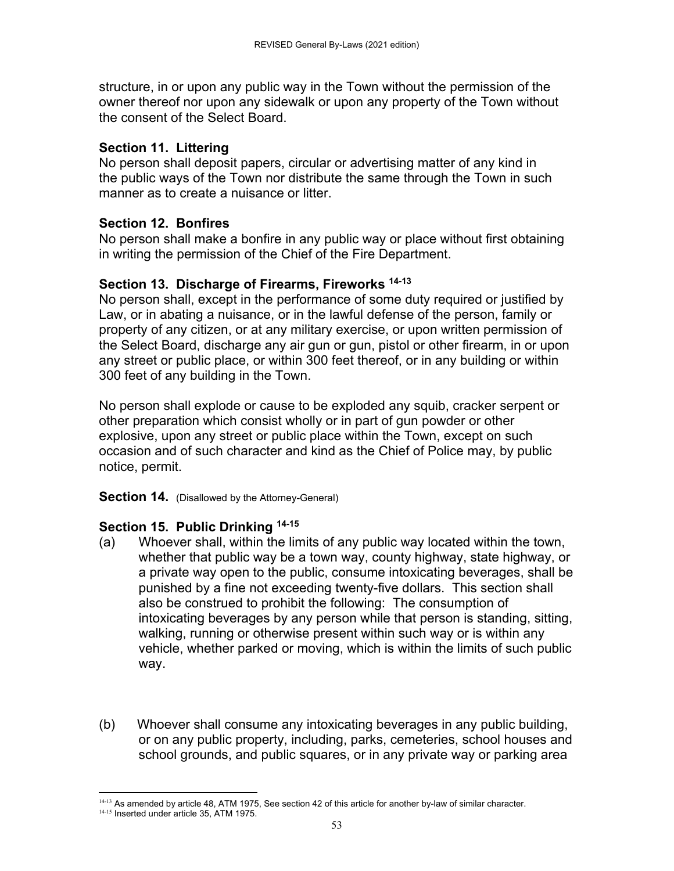structure, in or upon any public way in the Town without the permission of the owner thereof nor upon any sidewalk or upon any property of the Town without the consent of the Select Board.

### **Section 11. Littering**

No person shall deposit papers, circular or advertising matter of any kind in the public ways of the Town nor distribute the same through the Town in such manner as to create a nuisance or litter.

## **Section 12. Bonfires**

No person shall make a bonfire in any public way or place without first obtaining in writing the permission of the Chief of the Fire Department.

## **Section 13. Discharge of Firearms, Fireworks 14-13**

No person shall, except in the performance of some duty required or justified by Law, or in abating a nuisance, or in the lawful defense of the person, family or property of any citizen, or at any military exercise, or upon written permission of the Select Board, discharge any air gun or gun, pistol or other firearm, in or upon any street or public place, or within 300 feet thereof, or in any building or within 300 feet of any building in the Town.

No person shall explode or cause to be exploded any squib, cracker serpent or other preparation which consist wholly or in part of gun powder or other explosive, upon any street or public place within the Town, except on such occasion and of such character and kind as the Chief of Police may, by public notice, permit.

**Section 14.** (Disallowed by the Attorney-General)

# **Section 15. Public Drinking 14-15**

- (a) Whoever shall, within the limits of any public way located within the town, whether that public way be a town way, county highway, state highway, or a private way open to the public, consume intoxicating beverages, shall be punished by a fine not exceeding twenty-five dollars. This section shall also be construed to prohibit the following: The consumption of intoxicating beverages by any person while that person is standing, sitting, walking, running or otherwise present within such way or is within any vehicle, whether parked or moving, which is within the limits of such public way.
- (b) Whoever shall consume any intoxicating beverages in any public building, or on any public property, including, parks, cemeteries, school houses and school grounds, and public squares, or in any private way or parking area

  $14-13$  As amended by article 48, ATM 1975, See section 42 of this article for another by-law of similar character.

<sup>&</sup>lt;sup>14-15</sup> Inserted under article 35, ATM 1975.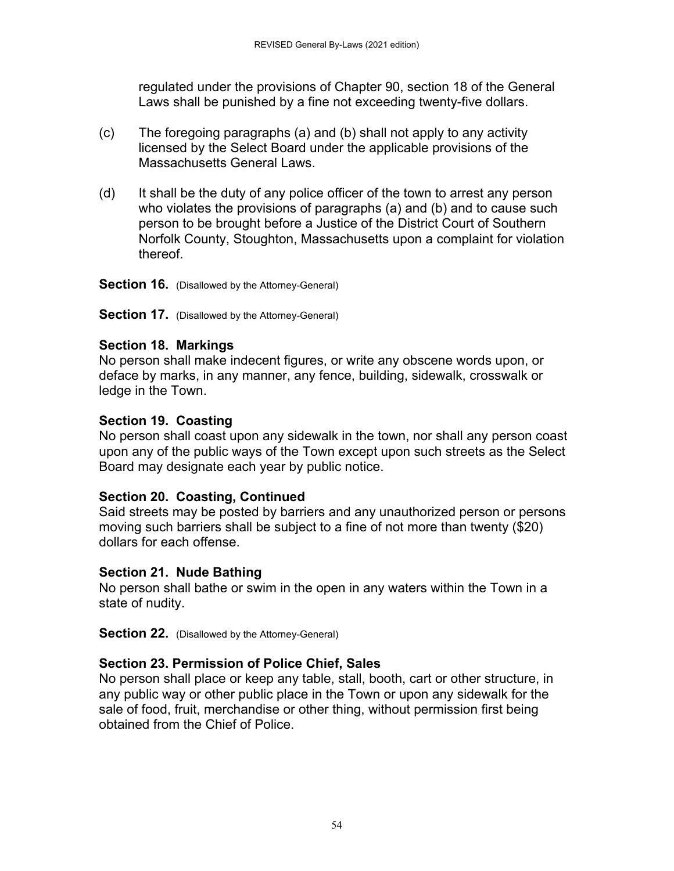regulated under the provisions of Chapter 90, section 18 of the General Laws shall be punished by a fine not exceeding twenty-five dollars.

- (c) The foregoing paragraphs (a) and (b) shall not apply to any activity licensed by the Select Board under the applicable provisions of the Massachusetts General Laws.
- (d) It shall be the duty of any police officer of the town to arrest any person who violates the provisions of paragraphs (a) and (b) and to cause such person to be brought before a Justice of the District Court of Southern Norfolk County, Stoughton, Massachusetts upon a complaint for violation thereof.

**Section 16.** (Disallowed by the Attorney-General)

**Section 17.** (Disallowed by the Attorney-General)

### **Section 18. Markings**

No person shall make indecent figures, or write any obscene words upon, or deface by marks, in any manner, any fence, building, sidewalk, crosswalk or ledge in the Town.

## **Section 19. Coasting**

No person shall coast upon any sidewalk in the town, nor shall any person coast upon any of the public ways of the Town except upon such streets as the Select Board may designate each year by public notice.

# **Section 20. Coasting, Continued**

Said streets may be posted by barriers and any unauthorized person or persons moving such barriers shall be subject to a fine of not more than twenty (\$20) dollars for each offense.

### **Section 21. Nude Bathing**

No person shall bathe or swim in the open in any waters within the Town in a state of nudity.

**Section 22.** (Disallowed by the Attorney-General)

# **Section 23. Permission of Police Chief, Sales**

No person shall place or keep any table, stall, booth, cart or other structure, in any public way or other public place in the Town or upon any sidewalk for the sale of food, fruit, merchandise or other thing, without permission first being obtained from the Chief of Police.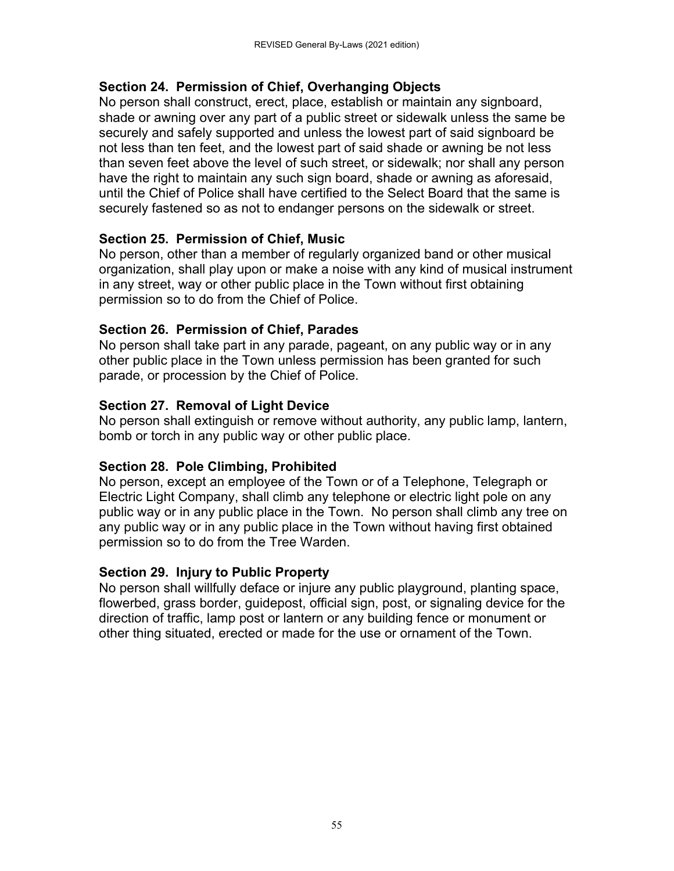### **Section 24. Permission of Chief, Overhanging Objects**

No person shall construct, erect, place, establish or maintain any signboard, shade or awning over any part of a public street or sidewalk unless the same be securely and safely supported and unless the lowest part of said signboard be not less than ten feet, and the lowest part of said shade or awning be not less than seven feet above the level of such street, or sidewalk; nor shall any person have the right to maintain any such sign board, shade or awning as aforesaid, until the Chief of Police shall have certified to the Select Board that the same is securely fastened so as not to endanger persons on the sidewalk or street.

## **Section 25. Permission of Chief, Music**

No person, other than a member of regularly organized band or other musical organization, shall play upon or make a noise with any kind of musical instrument in any street, way or other public place in the Town without first obtaining permission so to do from the Chief of Police.

## **Section 26. Permission of Chief, Parades**

No person shall take part in any parade, pageant, on any public way or in any other public place in the Town unless permission has been granted for such parade, or procession by the Chief of Police.

# **Section 27. Removal of Light Device**

No person shall extinguish or remove without authority, any public lamp, lantern, bomb or torch in any public way or other public place.

# **Section 28. Pole Climbing, Prohibited**

No person, except an employee of the Town or of a Telephone, Telegraph or Electric Light Company, shall climb any telephone or electric light pole on any public way or in any public place in the Town. No person shall climb any tree on any public way or in any public place in the Town without having first obtained permission so to do from the Tree Warden.

### **Section 29. Injury to Public Property**

No person shall willfully deface or injure any public playground, planting space, flowerbed, grass border, guidepost, official sign, post, or signaling device for the direction of traffic, lamp post or lantern or any building fence or monument or other thing situated, erected or made for the use or ornament of the Town.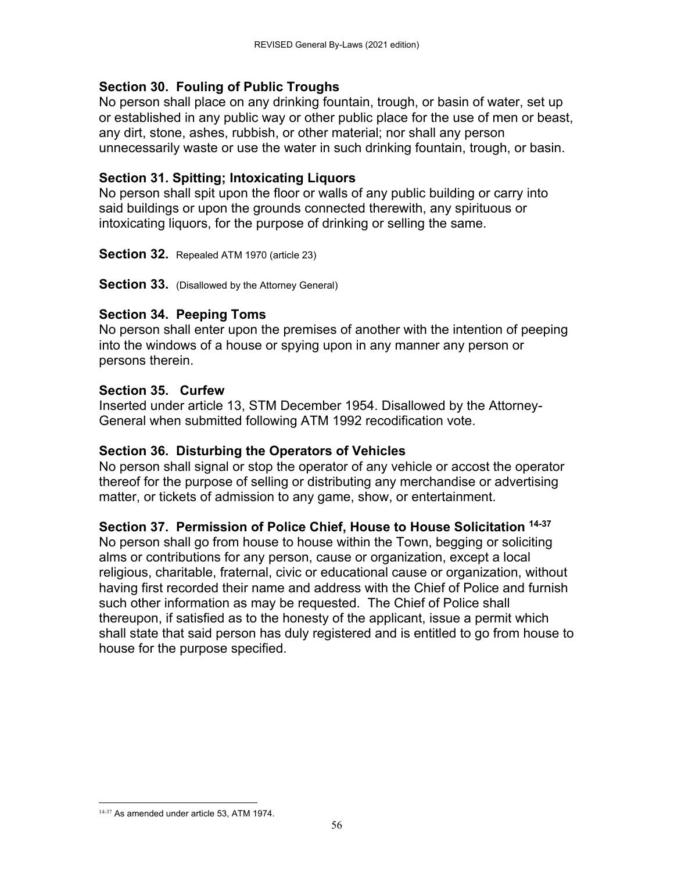### **Section 30. Fouling of Public Troughs**

No person shall place on any drinking fountain, trough, or basin of water, set up or established in any public way or other public place for the use of men or beast, any dirt, stone, ashes, rubbish, or other material; nor shall any person unnecessarily waste or use the water in such drinking fountain, trough, or basin.

### **Section 31. Spitting; Intoxicating Liquors**

No person shall spit upon the floor or walls of any public building or carry into said buildings or upon the grounds connected therewith, any spirituous or intoxicating liquors, for the purpose of drinking or selling the same.

**Section 32.** Repealed ATM 1970 (article 23)

**Section 33.** (Disallowed by the Attorney General)

#### **Section 34. Peeping Toms**

No person shall enter upon the premises of another with the intention of peeping into the windows of a house or spying upon in any manner any person or persons therein.

#### **Section 35. Curfew**

Inserted under article 13, STM December 1954. Disallowed by the Attorney-General when submitted following ATM 1992 recodification vote.

#### **Section 36. Disturbing the Operators of Vehicles**

No person shall signal or stop the operator of any vehicle or accost the operator thereof for the purpose of selling or distributing any merchandise or advertising matter, or tickets of admission to any game, show, or entertainment.

#### **Section 37. Permission of Police Chief, House to House Solicitation 14-37**

No person shall go from house to house within the Town, begging or soliciting alms or contributions for any person, cause or organization, except a local religious, charitable, fraternal, civic or educational cause or organization, without having first recorded their name and address with the Chief of Police and furnish such other information as may be requested. The Chief of Police shall thereupon, if satisfied as to the honesty of the applicant, issue a permit which shall state that said person has duly registered and is entitled to go from house to house for the purpose specified.

 14-37 As amended under article 53, ATM 1974.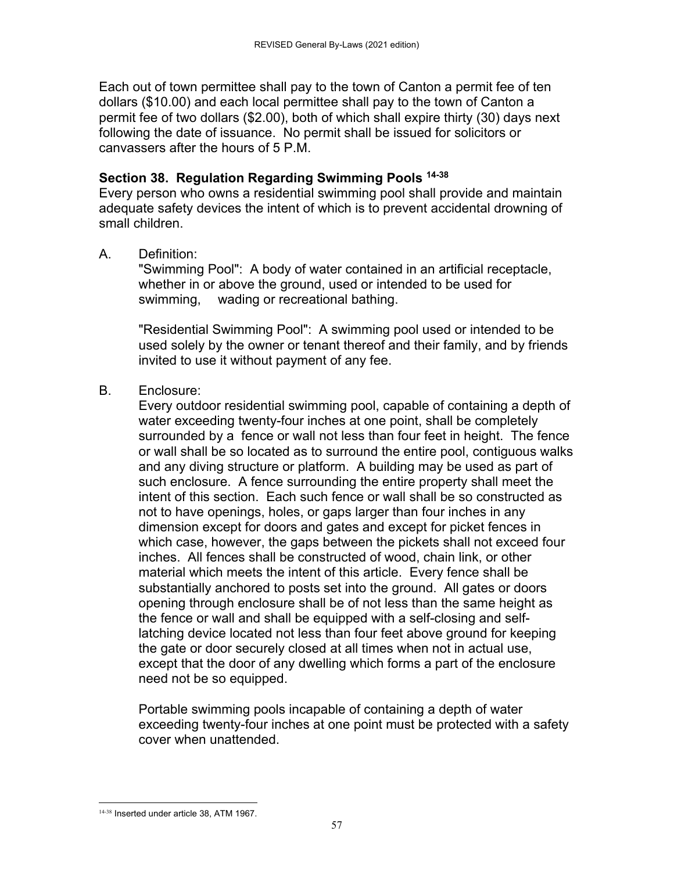Each out of town permittee shall pay to the town of Canton a permit fee of ten dollars (\$10.00) and each local permittee shall pay to the town of Canton a permit fee of two dollars (\$2.00), both of which shall expire thirty (30) days next following the date of issuance. No permit shall be issued for solicitors or canvassers after the hours of 5 P.M.

### **Section 38. Regulation Regarding Swimming Pools 14-38**

Every person who owns a residential swimming pool shall provide and maintain adequate safety devices the intent of which is to prevent accidental drowning of small children.

A. Definition:

 "Swimming Pool": A body of water contained in an artificial receptacle, whether in or above the ground, used or intended to be used for swimming, wading or recreational bathing.

 "Residential Swimming Pool": A swimming pool used or intended to be used solely by the owner or tenant thereof and their family, and by friends invited to use it without payment of any fee.

B. Enclosure:

 Every outdoor residential swimming pool, capable of containing a depth of water exceeding twenty-four inches at one point, shall be completely surrounded by a fence or wall not less than four feet in height. The fence or wall shall be so located as to surround the entire pool, contiguous walks and any diving structure or platform. A building may be used as part of such enclosure. A fence surrounding the entire property shall meet the intent of this section. Each such fence or wall shall be so constructed as not to have openings, holes, or gaps larger than four inches in any dimension except for doors and gates and except for picket fences in which case, however, the gaps between the pickets shall not exceed four inches. All fences shall be constructed of wood, chain link, or other material which meets the intent of this article. Every fence shall be substantially anchored to posts set into the ground. All gates or doors opening through enclosure shall be of not less than the same height as the fence or wall and shall be equipped with a self-closing and selflatching device located not less than four feet above ground for keeping the gate or door securely closed at all times when not in actual use, except that the door of any dwelling which forms a part of the enclosure need not be so equipped.

 Portable swimming pools incapable of containing a depth of water exceeding twenty-four inches at one point must be protected with a safety cover when unattended.

 14-38 Inserted under article 38, ATM 1967.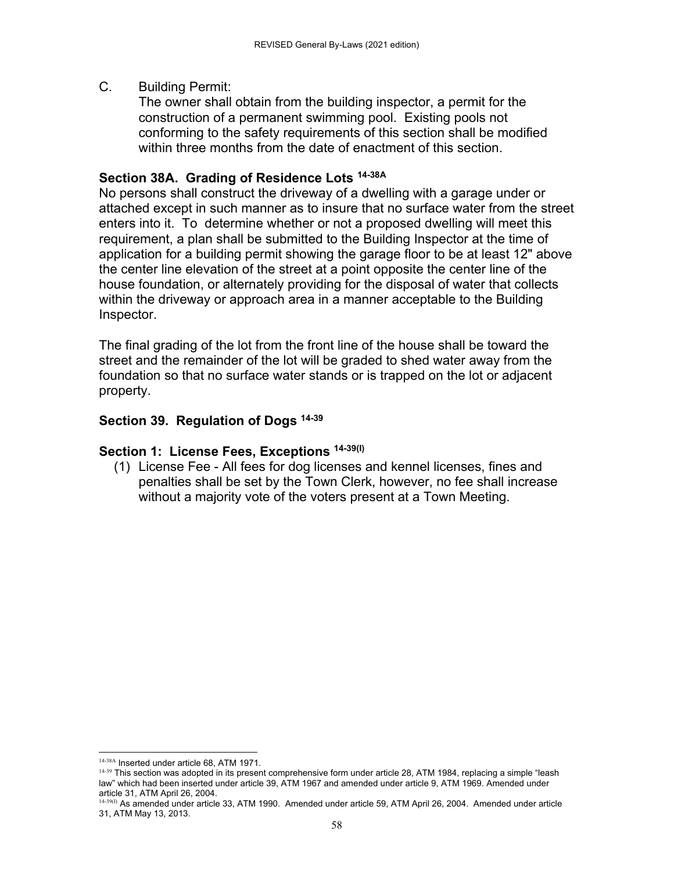#### C. Building Permit:

 The owner shall obtain from the building inspector, a permit for the construction of a permanent swimming pool. Existing pools not conforming to the safety requirements of this section shall be modified within three months from the date of enactment of this section.

### **Section 38A. Grading of Residence Lots 14-38A**

No persons shall construct the driveway of a dwelling with a garage under or attached except in such manner as to insure that no surface water from the street enters into it. To determine whether or not a proposed dwelling will meet this requirement, a plan shall be submitted to the Building Inspector at the time of application for a building permit showing the garage floor to be at least 12" above the center line elevation of the street at a point opposite the center line of the house foundation, or alternately providing for the disposal of water that collects within the driveway or approach area in a manner acceptable to the Building Inspector.

The final grading of the lot from the front line of the house shall be toward the street and the remainder of the lot will be graded to shed water away from the foundation so that no surface water stands or is trapped on the lot or adjacent property.

# **Section 39. Regulation of Dogs 14-39**

### **Section 1: License Fees, Exceptions 14-39(I)**

 (1) License Fee - All fees for dog licenses and kennel licenses, fines and penalties shall be set by the Town Clerk, however, no fee shall increase without a majority vote of the voters present at a Town Meeting.

 14-38A Inserted under article 68, ATM 1971.

 $14-39$  This section was adopted in its present comprehensive form under article 28, ATM 1984, replacing a simple "leash law" which had been inserted under article 39, ATM 1967 and amended under article 9, ATM 1969. Amended under article 31, ATM April 26, 2004.

<sup>14-39(</sup>I) As amended under article 33, ATM 1990. Amended under article 59, ATM April 26, 2004. Amended under article 31, ATM May 13, 2013.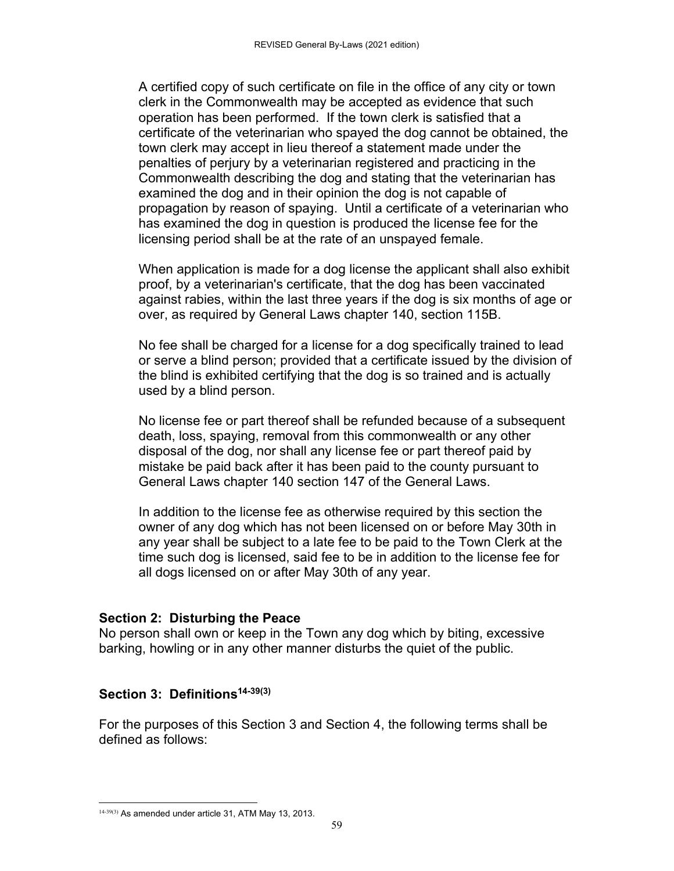A certified copy of such certificate on file in the office of any city or town clerk in the Commonwealth may be accepted as evidence that such operation has been performed. If the town clerk is satisfied that a certificate of the veterinarian who spayed the dog cannot be obtained, the town clerk may accept in lieu thereof a statement made under the penalties of perjury by a veterinarian registered and practicing in the Commonwealth describing the dog and stating that the veterinarian has examined the dog and in their opinion the dog is not capable of propagation by reason of spaying. Until a certificate of a veterinarian who has examined the dog in question is produced the license fee for the licensing period shall be at the rate of an unspayed female.

 When application is made for a dog license the applicant shall also exhibit proof, by a veterinarian's certificate, that the dog has been vaccinated against rabies, within the last three years if the dog is six months of age or over, as required by General Laws chapter 140, section 115B.

 No fee shall be charged for a license for a dog specifically trained to lead or serve a blind person; provided that a certificate issued by the division of the blind is exhibited certifying that the dog is so trained and is actually used by a blind person.

 No license fee or part thereof shall be refunded because of a subsequent death, loss, spaying, removal from this commonwealth or any other disposal of the dog, nor shall any license fee or part thereof paid by mistake be paid back after it has been paid to the county pursuant to General Laws chapter 140 section 147 of the General Laws.

 In addition to the license fee as otherwise required by this section the owner of any dog which has not been licensed on or before May 30th in any year shall be subject to a late fee to be paid to the Town Clerk at the time such dog is licensed, said fee to be in addition to the license fee for all dogs licensed on or after May 30th of any year.

#### **Section 2: Disturbing the Peace**

No person shall own or keep in the Town any dog which by biting, excessive barking, howling or in any other manner disturbs the quiet of the public.

#### **Section 3: Definitions14-39(3)**

For the purposes of this Section 3 and Section 4, the following terms shall be defined as follows:

  $14-39(3)$  As amended under article 31, ATM May 13, 2013.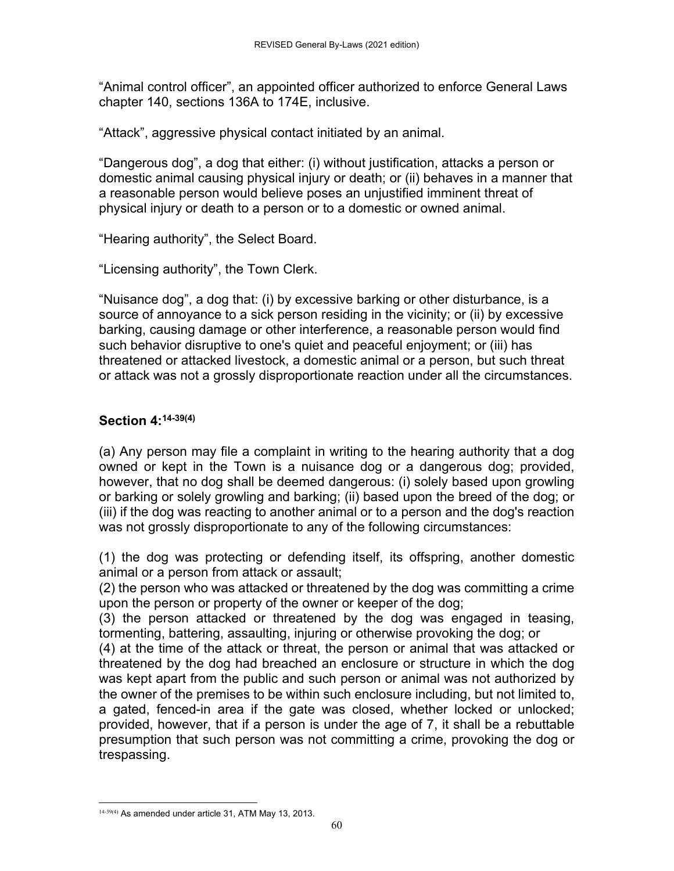"Animal control officer", an appointed officer authorized to enforce General Laws chapter 140, sections 136A to 174E, inclusive.

"Attack", aggressive physical contact initiated by an animal.

"Dangerous dog", a dog that either: (i) without justification, attacks a person or domestic animal causing physical injury or death; or (ii) behaves in a manner that a reasonable person would believe poses an unjustified imminent threat of physical injury or death to a person or to a domestic or owned animal.

"Hearing authority", the Select Board.

"Licensing authority", the Town Clerk.

"Nuisance dog", a dog that: (i) by excessive barking or other disturbance, is a source of annoyance to a sick person residing in the vicinity; or (ii) by excessive barking, causing damage or other interference, a reasonable person would find such behavior disruptive to one's quiet and peaceful enjoyment; or (iii) has threatened or attacked livestock, a domestic animal or a person, but such threat or attack was not a grossly disproportionate reaction under all the circumstances.

## **Section 4:14-39(4)**

(a) Any person may file a complaint in writing to the hearing authority that a dog owned or kept in the Town is a nuisance dog or a dangerous dog; provided, however, that no dog shall be deemed dangerous: (i) solely based upon growling or barking or solely growling and barking; (ii) based upon the breed of the dog; or (iii) if the dog was reacting to another animal or to a person and the dog's reaction was not grossly disproportionate to any of the following circumstances:

(1) the dog was protecting or defending itself, its offspring, another domestic animal or a person from attack or assault;

(2) the person who was attacked or threatened by the dog was committing a crime upon the person or property of the owner or keeper of the dog;

(3) the person attacked or threatened by the dog was engaged in teasing, tormenting, battering, assaulting, injuring or otherwise provoking the dog; or

(4) at the time of the attack or threat, the person or animal that was attacked or threatened by the dog had breached an enclosure or structure in which the dog was kept apart from the public and such person or animal was not authorized by the owner of the premises to be within such enclosure including, but not limited to, a gated, fenced-in area if the gate was closed, whether locked or unlocked; provided, however, that if a person is under the age of 7, it shall be a rebuttable presumption that such person was not committing a crime, provoking the dog or trespassing.

  $14-39(4)$  As amended under article 31, ATM May 13, 2013.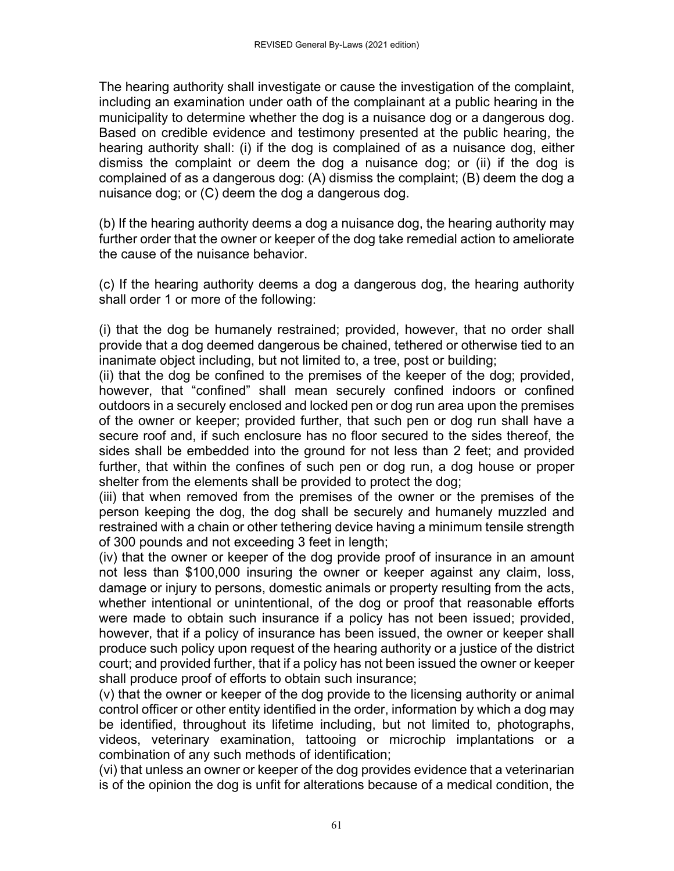The hearing authority shall investigate or cause the investigation of the complaint, including an examination under oath of the complainant at a public hearing in the municipality to determine whether the dog is a nuisance dog or a dangerous dog. Based on credible evidence and testimony presented at the public hearing, the hearing authority shall: (i) if the dog is complained of as a nuisance dog, either dismiss the complaint or deem the dog a nuisance dog; or (ii) if the dog is complained of as a dangerous dog: (A) dismiss the complaint; (B) deem the dog a nuisance dog; or (C) deem the dog a dangerous dog.

(b) If the hearing authority deems a dog a nuisance dog, the hearing authority may further order that the owner or keeper of the dog take remedial action to ameliorate the cause of the nuisance behavior.

(c) If the hearing authority deems a dog a dangerous dog, the hearing authority shall order 1 or more of the following:

(i) that the dog be humanely restrained; provided, however, that no order shall provide that a dog deemed dangerous be chained, tethered or otherwise tied to an inanimate object including, but not limited to, a tree, post or building;

(ii) that the dog be confined to the premises of the keeper of the dog; provided, however, that "confined" shall mean securely confined indoors or confined outdoors in a securely enclosed and locked pen or dog run area upon the premises of the owner or keeper; provided further, that such pen or dog run shall have a secure roof and, if such enclosure has no floor secured to the sides thereof, the sides shall be embedded into the ground for not less than 2 feet; and provided further, that within the confines of such pen or dog run, a dog house or proper shelter from the elements shall be provided to protect the dog;

(iii) that when removed from the premises of the owner or the premises of the person keeping the dog, the dog shall be securely and humanely muzzled and restrained with a chain or other tethering device having a minimum tensile strength of 300 pounds and not exceeding 3 feet in length;

(iv) that the owner or keeper of the dog provide proof of insurance in an amount not less than \$100,000 insuring the owner or keeper against any claim, loss, damage or injury to persons, domestic animals or property resulting from the acts, whether intentional or unintentional, of the dog or proof that reasonable efforts were made to obtain such insurance if a policy has not been issued; provided, however, that if a policy of insurance has been issued, the owner or keeper shall produce such policy upon request of the hearing authority or a justice of the district court; and provided further, that if a policy has not been issued the owner or keeper shall produce proof of efforts to obtain such insurance;

(v) that the owner or keeper of the dog provide to the licensing authority or animal control officer or other entity identified in the order, information by which a dog may be identified, throughout its lifetime including, but not limited to, photographs, videos, veterinary examination, tattooing or microchip implantations or a combination of any such methods of identification;

(vi) that unless an owner or keeper of the dog provides evidence that a veterinarian is of the opinion the dog is unfit for alterations because of a medical condition, the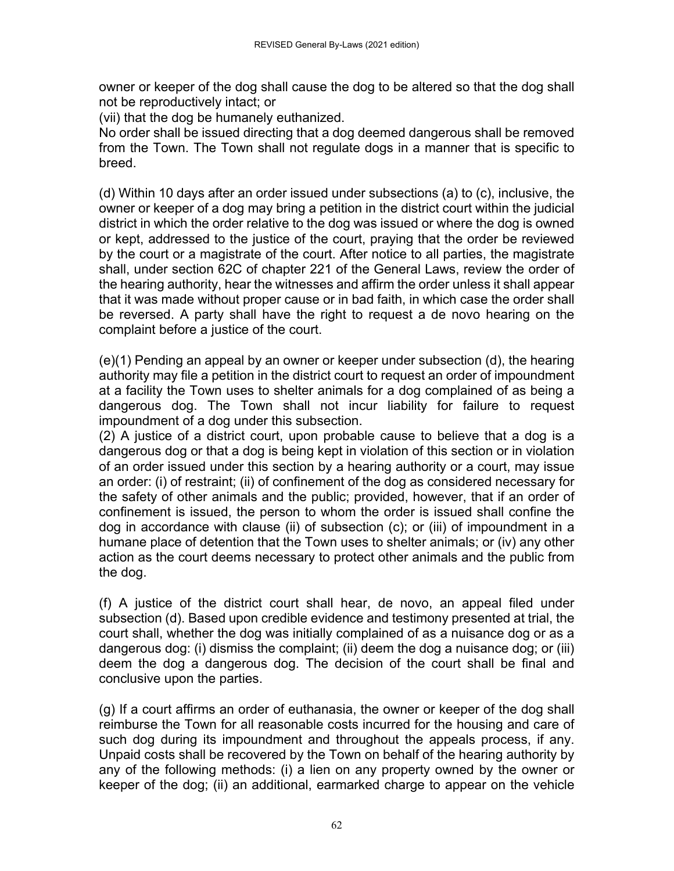owner or keeper of the dog shall cause the dog to be altered so that the dog shall not be reproductively intact; or

(vii) that the dog be humanely euthanized.

No order shall be issued directing that a dog deemed dangerous shall be removed from the Town. The Town shall not regulate dogs in a manner that is specific to breed.

(d) Within 10 days after an order issued under subsections (a) to (c), inclusive, the owner or keeper of a dog may bring a petition in the district court within the judicial district in which the order relative to the dog was issued or where the dog is owned or kept, addressed to the justice of the court, praying that the order be reviewed by the court or a magistrate of the court. After notice to all parties, the magistrate shall, under section 62C of chapter 221 of the General Laws, review the order of the hearing authority, hear the witnesses and affirm the order unless it shall appear that it was made without proper cause or in bad faith, in which case the order shall be reversed. A party shall have the right to request a de novo hearing on the complaint before a justice of the court.

(e)(1) Pending an appeal by an owner or keeper under subsection (d), the hearing authority may file a petition in the district court to request an order of impoundment at a facility the Town uses to shelter animals for a dog complained of as being a dangerous dog. The Town shall not incur liability for failure to request impoundment of a dog under this subsection.

(2) A justice of a district court, upon probable cause to believe that a dog is a dangerous dog or that a dog is being kept in violation of this section or in violation of an order issued under this section by a hearing authority or a court, may issue an order: (i) of restraint; (ii) of confinement of the dog as considered necessary for the safety of other animals and the public; provided, however, that if an order of confinement is issued, the person to whom the order is issued shall confine the dog in accordance with clause (ii) of subsection (c); or (iii) of impoundment in a humane place of detention that the Town uses to shelter animals; or (iv) any other action as the court deems necessary to protect other animals and the public from the dog.

(f) A justice of the district court shall hear, de novo, an appeal filed under subsection (d). Based upon credible evidence and testimony presented at trial, the court shall, whether the dog was initially complained of as a nuisance dog or as a dangerous dog: (i) dismiss the complaint; (ii) deem the dog a nuisance dog; or (iii) deem the dog a dangerous dog. The decision of the court shall be final and conclusive upon the parties.

(g) If a court affirms an order of euthanasia, the owner or keeper of the dog shall reimburse the Town for all reasonable costs incurred for the housing and care of such dog during its impoundment and throughout the appeals process, if any. Unpaid costs shall be recovered by the Town on behalf of the hearing authority by any of the following methods: (i) a lien on any property owned by the owner or keeper of the dog; (ii) an additional, earmarked charge to appear on the vehicle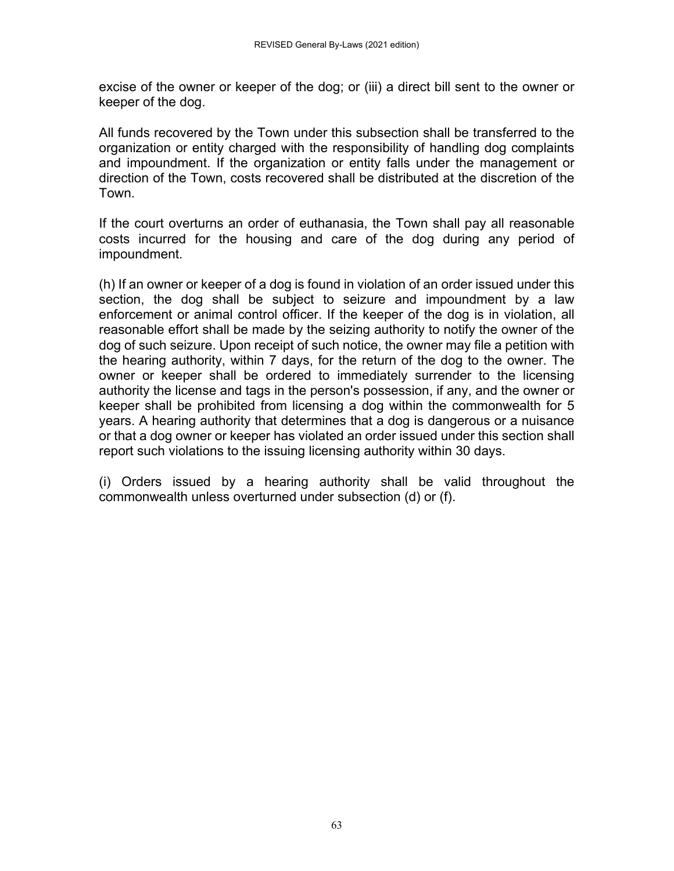excise of the owner or keeper of the dog; or (iii) a direct bill sent to the owner or keeper of the dog.

All funds recovered by the Town under this subsection shall be transferred to the organization or entity charged with the responsibility of handling dog complaints and impoundment. If the organization or entity falls under the management or direction of the Town, costs recovered shall be distributed at the discretion of the Town.

If the court overturns an order of euthanasia, the Town shall pay all reasonable costs incurred for the housing and care of the dog during any period of impoundment.

(h) If an owner or keeper of a dog is found in violation of an order issued under this section, the dog shall be subject to seizure and impoundment by a law enforcement or animal control officer. If the keeper of the dog is in violation, all reasonable effort shall be made by the seizing authority to notify the owner of the dog of such seizure. Upon receipt of such notice, the owner may file a petition with the hearing authority, within 7 days, for the return of the dog to the owner. The owner or keeper shall be ordered to immediately surrender to the licensing authority the license and tags in the person's possession, if any, and the owner or keeper shall be prohibited from licensing a dog within the commonwealth for 5 years. A hearing authority that determines that a dog is dangerous or a nuisance or that a dog owner or keeper has violated an order issued under this section shall report such violations to the issuing licensing authority within 30 days.

(i) Orders issued by a hearing authority shall be valid throughout the commonwealth unless overturned under subsection (d) or (f).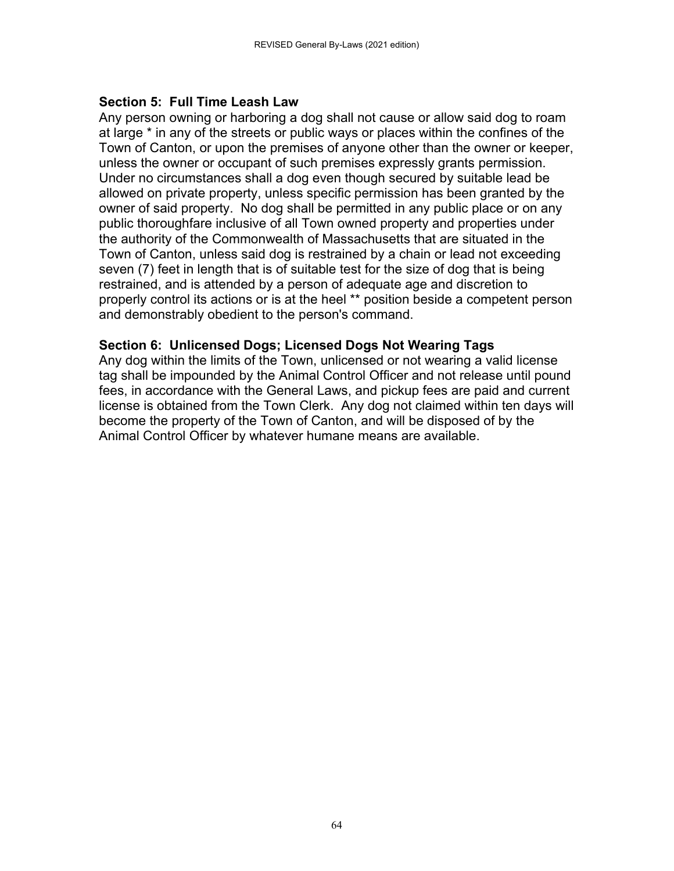#### **Section 5: Full Time Leash Law**

Any person owning or harboring a dog shall not cause or allow said dog to roam at large \* in any of the streets or public ways or places within the confines of the Town of Canton, or upon the premises of anyone other than the owner or keeper, unless the owner or occupant of such premises expressly grants permission. Under no circumstances shall a dog even though secured by suitable lead be allowed on private property, unless specific permission has been granted by the owner of said property. No dog shall be permitted in any public place or on any public thoroughfare inclusive of all Town owned property and properties under the authority of the Commonwealth of Massachusetts that are situated in the Town of Canton, unless said dog is restrained by a chain or lead not exceeding seven (7) feet in length that is of suitable test for the size of dog that is being restrained, and is attended by a person of adequate age and discretion to properly control its actions or is at the heel \*\* position beside a competent person and demonstrably obedient to the person's command.

#### **Section 6: Unlicensed Dogs; Licensed Dogs Not Wearing Tags**

Any dog within the limits of the Town, unlicensed or not wearing a valid license tag shall be impounded by the Animal Control Officer and not release until pound fees, in accordance with the General Laws, and pickup fees are paid and current license is obtained from the Town Clerk. Any dog not claimed within ten days will become the property of the Town of Canton, and will be disposed of by the Animal Control Officer by whatever humane means are available.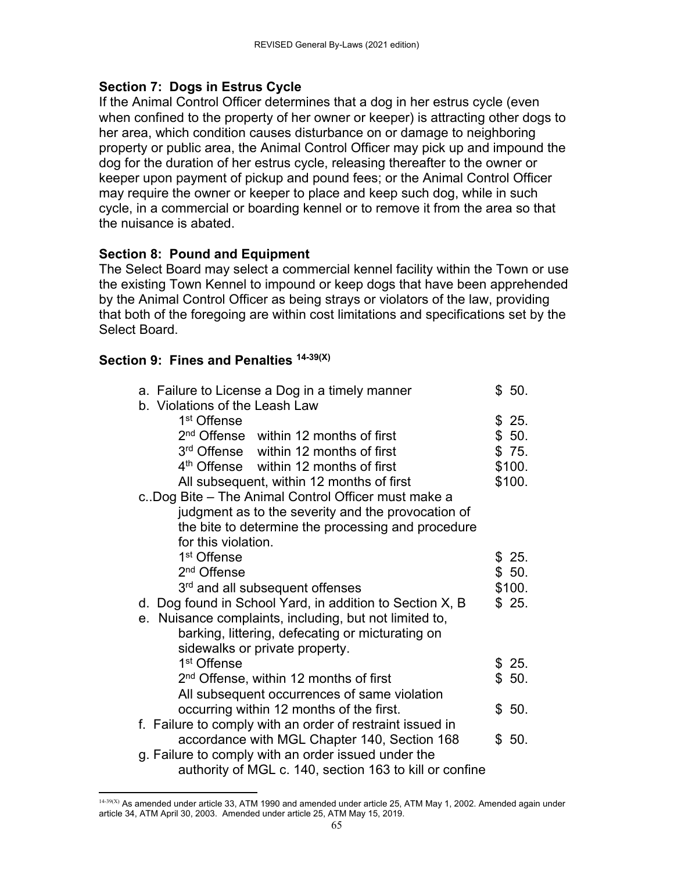### **Section 7: Dogs in Estrus Cycle**

If the Animal Control Officer determines that a dog in her estrus cycle (even when confined to the property of her owner or keeper) is attracting other dogs to her area, which condition causes disturbance on or damage to neighboring property or public area, the Animal Control Officer may pick up and impound the dog for the duration of her estrus cycle, releasing thereafter to the owner or keeper upon payment of pickup and pound fees; or the Animal Control Officer may require the owner or keeper to place and keep such dog, while in such cycle, in a commercial or boarding kennel or to remove it from the area so that the nuisance is abated.

### **Section 8: Pound and Equipment**

The Select Board may select a commercial kennel facility within the Town or use the existing Town Kennel to impound or keep dogs that have been apprehended by the Animal Control Officer as being strays or violators of the law, providing that both of the foregoing are within cost limitations and specifications set by the Select Board.

#### **Section 9: Fines and Penalties 14-39(X)**

| a. Failure to License a Dog in a timely manner<br>b. Violations of the Leash Law | \$50.  |
|----------------------------------------------------------------------------------|--------|
| 1 <sup>st</sup> Offense                                                          | \$25.  |
| 2 <sup>nd</sup> Offense within 12 months of first                                | \$50.  |
| 3rd Offense within 12 months of first                                            | \$75.  |
| 4 <sup>th</sup> Offense within 12 months of first                                | \$100. |
| All subsequent, within 12 months of first                                        | \$100. |
| c. Dog Bite – The Animal Control Officer must make a                             |        |
| judgment as to the severity and the provocation of                               |        |
| the bite to determine the processing and procedure                               |        |
| for this violation.                                                              |        |
| 1 <sup>st</sup> Offense                                                          | \$25.  |
| 2 <sup>nd</sup> Offense                                                          | \$50.  |
| 3rd and all subsequent offenses                                                  | \$100. |
| d. Dog found in School Yard, in addition to Section X, B                         | \$25.  |
| e. Nuisance complaints, including, but not limited to,                           |        |
| barking, littering, defecating or micturating on                                 |        |
| sidewalks or private property.                                                   |        |
| 1 <sup>st</sup> Offense                                                          | \$25.  |
| 2 <sup>nd</sup> Offense, within 12 months of first                               | \$50.  |
| All subsequent occurrences of same violation                                     |        |
| occurring within 12 months of the first.                                         | \$50.  |
| f. Failure to comply with an order of restraint issued in                        |        |
| accordance with MGL Chapter 140, Section 168                                     | \$50.  |
| g. Failure to comply with an order issued under the                              |        |
| authority of MGL c. 140, section 163 to kill or confine                          |        |

 14-39(X) As amended under article 33, ATM 1990 and amended under article 25, ATM May 1, 2002. Amended again under article 34, ATM April 30, 2003. Amended under article 25, ATM May 15, 2019.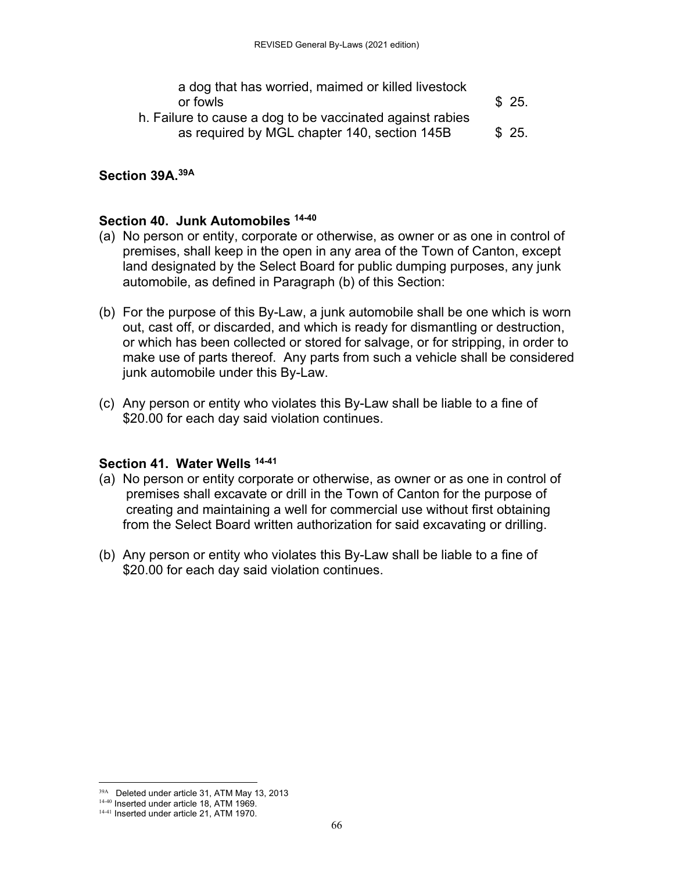a dog that has worried, maimed or killed livestock or fowls  $\sim$   $\frac{1}{25}$ .

 h. Failure to cause a dog to be vaccinated against rabies as required by MGL chapter 140, section  $145B$  \$ 25.

#### **Section 39A.39A**

#### **Section 40. Junk Automobiles 14-40**

- (a) No person or entity, corporate or otherwise, as owner or as one in control of premises, shall keep in the open in any area of the Town of Canton, except land designated by the Select Board for public dumping purposes, any junk automobile, as defined in Paragraph (b) of this Section:
- (b) For the purpose of this By-Law, a junk automobile shall be one which is worn out, cast off, or discarded, and which is ready for dismantling or destruction, or which has been collected or stored for salvage, or for stripping, in order to make use of parts thereof. Any parts from such a vehicle shall be considered junk automobile under this By-Law.
- (c) Any person or entity who violates this By-Law shall be liable to a fine of \$20.00 for each day said violation continues.

#### **Section 41. Water Wells 14-41**

- (a) No person or entity corporate or otherwise, as owner or as one in control of premises shall excavate or drill in the Town of Canton for the purpose of creating and maintaining a well for commercial use without first obtaining from the Select Board written authorization for said excavating or drilling.
- (b) Any person or entity who violates this By-Law shall be liable to a fine of \$20.00 for each day said violation continues.

<sup>&</sup>lt;sup>39A</sup> Deleted under article 31, ATM May 13, 2013

<sup>14-40</sup> Inserted under article 18, ATM 1969. 14-41 Inserted under article 21, ATM 1970.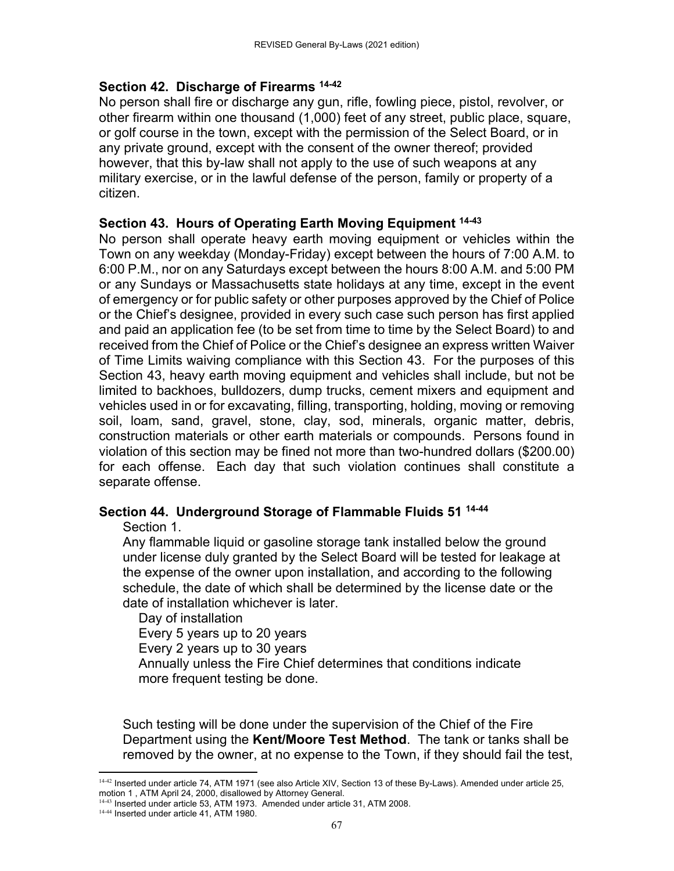#### **Section 42. Discharge of Firearms 14-42**

No person shall fire or discharge any gun, rifle, fowling piece, pistol, revolver, or other firearm within one thousand (1,000) feet of any street, public place, square, or golf course in the town, except with the permission of the Select Board, or in any private ground, except with the consent of the owner thereof; provided however, that this by-law shall not apply to the use of such weapons at any military exercise, or in the lawful defense of the person, family or property of a citizen.

#### **Section 43. Hours of Operating Earth Moving Equipment 14-43**

No person shall operate heavy earth moving equipment or vehicles within the Town on any weekday (Monday-Friday) except between the hours of 7:00 A.M. to 6:00 P.M., nor on any Saturdays except between the hours 8:00 A.M. and 5:00 PM or any Sundays or Massachusetts state holidays at any time, except in the event of emergency or for public safety or other purposes approved by the Chief of Police or the Chief's designee, provided in every such case such person has first applied and paid an application fee (to be set from time to time by the Select Board) to and received from the Chief of Police or the Chief's designee an express written Waiver of Time Limits waiving compliance with this Section 43. For the purposes of this Section 43, heavy earth moving equipment and vehicles shall include, but not be limited to backhoes, bulldozers, dump trucks, cement mixers and equipment and vehicles used in or for excavating, filling, transporting, holding, moving or removing soil, loam, sand, gravel, stone, clay, sod, minerals, organic matter, debris, construction materials or other earth materials or compounds. Persons found in violation of this section may be fined not more than two-hundred dollars (\$200.00) for each offense. Each day that such violation continues shall constitute a separate offense.

#### **Section 44. Underground Storage of Flammable Fluids 51 14-44**

#### Section 1.

Any flammable liquid or gasoline storage tank installed below the ground under license duly granted by the Select Board will be tested for leakage at the expense of the owner upon installation, and according to the following schedule, the date of which shall be determined by the license date or the date of installation whichever is later.

Day of installation

Every 5 years up to 20 years

Every 2 years up to 30 years

Annually unless the Fire Chief determines that conditions indicate more frequent testing be done.

Such testing will be done under the supervision of the Chief of the Fire Department using the **Kent/Moore Test Method**. The tank or tanks shall be removed by the owner, at no expense to the Town, if they should fail the test,

 14-42 Inserted under article 74, ATM 1971 (see also Article XIV, Section 13 of these By-Laws). Amended under article 25, motion 1 , ATM April 24, 2000, disallowed by Attorney General.

<sup>&</sup>lt;sup>1443</sup> Inserted under article 53, ATM 1973. Amended under article 31, ATM 2008.

<sup>14-44</sup> Inserted under article 41, ATM 1980.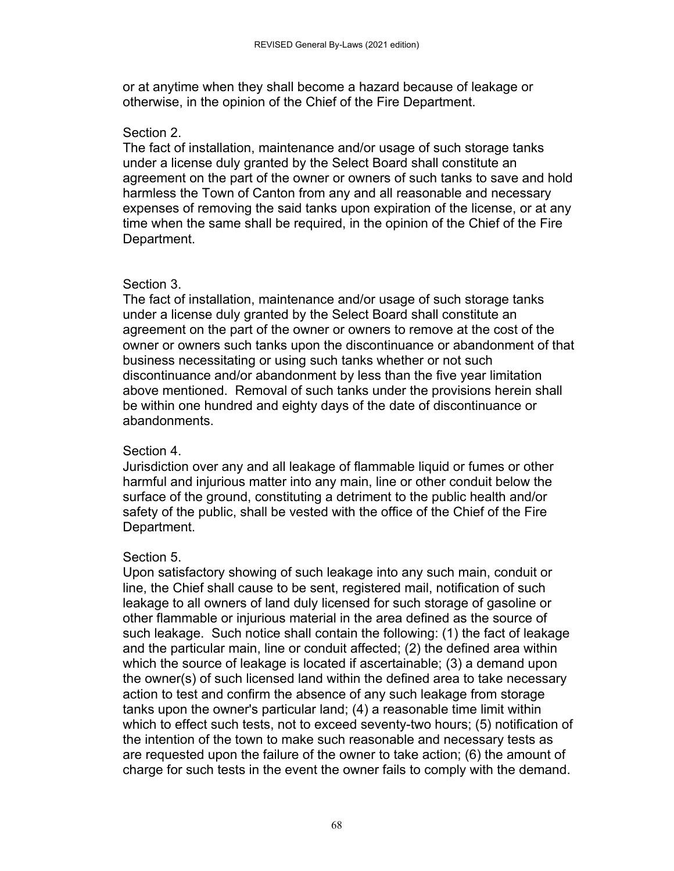or at anytime when they shall become a hazard because of leakage or otherwise, in the opinion of the Chief of the Fire Department.

#### Section 2.

The fact of installation, maintenance and/or usage of such storage tanks under a license duly granted by the Select Board shall constitute an agreement on the part of the owner or owners of such tanks to save and hold harmless the Town of Canton from any and all reasonable and necessary expenses of removing the said tanks upon expiration of the license, or at any time when the same shall be required, in the opinion of the Chief of the Fire Department.

#### Section 3.

The fact of installation, maintenance and/or usage of such storage tanks under a license duly granted by the Select Board shall constitute an agreement on the part of the owner or owners to remove at the cost of the owner or owners such tanks upon the discontinuance or abandonment of that business necessitating or using such tanks whether or not such discontinuance and/or abandonment by less than the five year limitation above mentioned. Removal of such tanks under the provisions herein shall be within one hundred and eighty days of the date of discontinuance or abandonments.

#### Section 4.

Jurisdiction over any and all leakage of flammable liquid or fumes or other harmful and injurious matter into any main, line or other conduit below the surface of the ground, constituting a detriment to the public health and/or safety of the public, shall be vested with the office of the Chief of the Fire Department.

### Section 5.

Upon satisfactory showing of such leakage into any such main, conduit or line, the Chief shall cause to be sent, registered mail, notification of such leakage to all owners of land duly licensed for such storage of gasoline or other flammable or injurious material in the area defined as the source of such leakage. Such notice shall contain the following: (1) the fact of leakage and the particular main, line or conduit affected; (2) the defined area within which the source of leakage is located if ascertainable; (3) a demand upon the owner(s) of such licensed land within the defined area to take necessary action to test and confirm the absence of any such leakage from storage tanks upon the owner's particular land; (4) a reasonable time limit within which to effect such tests, not to exceed seventy-two hours; (5) notification of the intention of the town to make such reasonable and necessary tests as are requested upon the failure of the owner to take action; (6) the amount of charge for such tests in the event the owner fails to comply with the demand.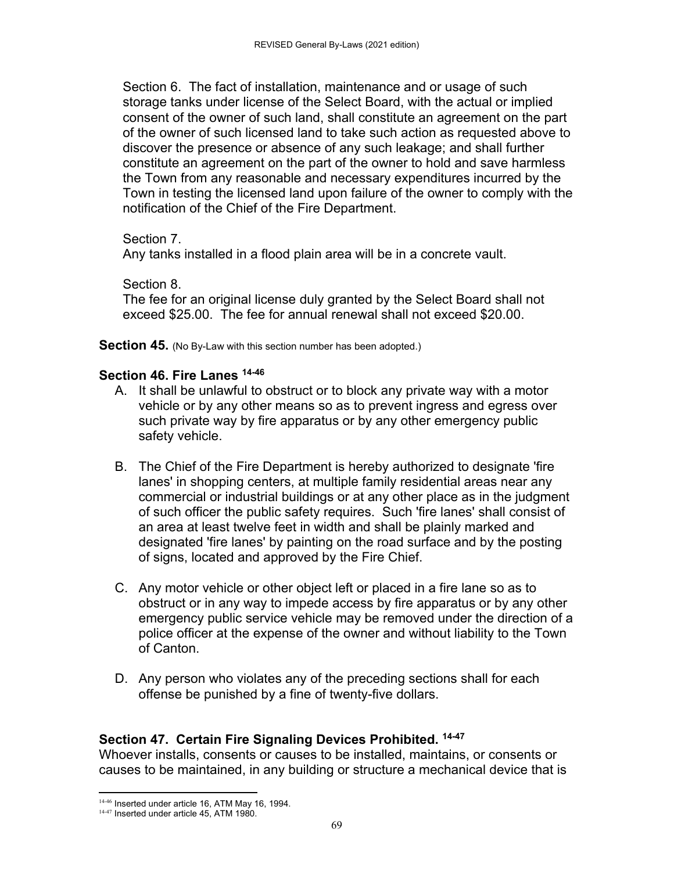Section 6. The fact of installation, maintenance and or usage of such storage tanks under license of the Select Board, with the actual or implied consent of the owner of such land, shall constitute an agreement on the part of the owner of such licensed land to take such action as requested above to discover the presence or absence of any such leakage; and shall further constitute an agreement on the part of the owner to hold and save harmless the Town from any reasonable and necessary expenditures incurred by the Town in testing the licensed land upon failure of the owner to comply with the notification of the Chief of the Fire Department.

Section 7.

Any tanks installed in a flood plain area will be in a concrete vault.

Section 8.

The fee for an original license duly granted by the Select Board shall not exceed \$25.00. The fee for annual renewal shall not exceed \$20.00.

**Section 45.** (No By-Law with this section number has been adopted.)

#### **Section 46. Fire Lanes 14-46**

- A. It shall be unlawful to obstruct or to block any private way with a motor vehicle or by any other means so as to prevent ingress and egress over such private way by fire apparatus or by any other emergency public safety vehicle.
- B. The Chief of the Fire Department is hereby authorized to designate 'fire lanes' in shopping centers, at multiple family residential areas near any commercial or industrial buildings or at any other place as in the judgment of such officer the public safety requires. Such 'fire lanes' shall consist of an area at least twelve feet in width and shall be plainly marked and designated 'fire lanes' by painting on the road surface and by the posting of signs, located and approved by the Fire Chief.
- C. Any motor vehicle or other object left or placed in a fire lane so as to obstruct or in any way to impede access by fire apparatus or by any other emergency public service vehicle may be removed under the direction of a police officer at the expense of the owner and without liability to the Town of Canton.
- D. Any person who violates any of the preceding sections shall for each offense be punished by a fine of twenty-five dollars.

### **Section 47. Certain Fire Signaling Devices Prohibited. 14-47**

Whoever installs, consents or causes to be installed, maintains, or consents or causes to be maintained, in any building or structure a mechanical device that is

  $14-46$  Inserted under article 16, ATM May 16, 1994.

<sup>&</sup>lt;sup>14-47</sup> Inserted under article 45, ATM 1980.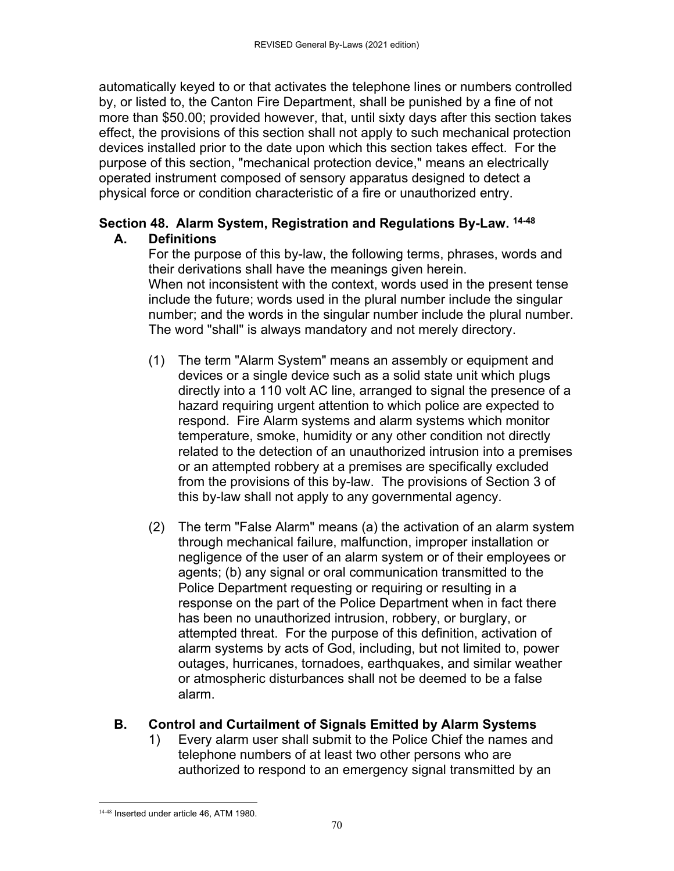automatically keyed to or that activates the telephone lines or numbers controlled by, or listed to, the Canton Fire Department, shall be punished by a fine of not more than \$50.00; provided however, that, until sixty days after this section takes effect, the provisions of this section shall not apply to such mechanical protection devices installed prior to the date upon which this section takes effect. For the purpose of this section, "mechanical protection device," means an electrically operated instrument composed of sensory apparatus designed to detect a physical force or condition characteristic of a fire or unauthorized entry.

### **Section 48. Alarm System, Registration and Regulations By-Law. 14-48 A. Definitions**

For the purpose of this by-law, the following terms, phrases, words and their derivations shall have the meanings given herein. When not inconsistent with the context, words used in the present tense include the future; words used in the plural number include the singular number; and the words in the singular number include the plural number. The word "shall" is always mandatory and not merely directory.

- (1) The term "Alarm System" means an assembly or equipment and devices or a single device such as a solid state unit which plugs directly into a 110 volt AC line, arranged to signal the presence of a hazard requiring urgent attention to which police are expected to respond. Fire Alarm systems and alarm systems which monitor temperature, smoke, humidity or any other condition not directly related to the detection of an unauthorized intrusion into a premises or an attempted robbery at a premises are specifically excluded from the provisions of this by-law. The provisions of Section 3 of this by-law shall not apply to any governmental agency.
- (2) The term "False Alarm" means (a) the activation of an alarm system through mechanical failure, malfunction, improper installation or negligence of the user of an alarm system or of their employees or agents; (b) any signal or oral communication transmitted to the Police Department requesting or requiring or resulting in a response on the part of the Police Department when in fact there has been no unauthorized intrusion, robbery, or burglary, or attempted threat. For the purpose of this definition, activation of alarm systems by acts of God, including, but not limited to, power outages, hurricanes, tornadoes, earthquakes, and similar weather or atmospheric disturbances shall not be deemed to be a false alarm.

# **B. Control and Curtailment of Signals Emitted by Alarm Systems**

1) Every alarm user shall submit to the Police Chief the names and telephone numbers of at least two other persons who are authorized to respond to an emergency signal transmitted by an

 14-48 Inserted under article 46, ATM 1980.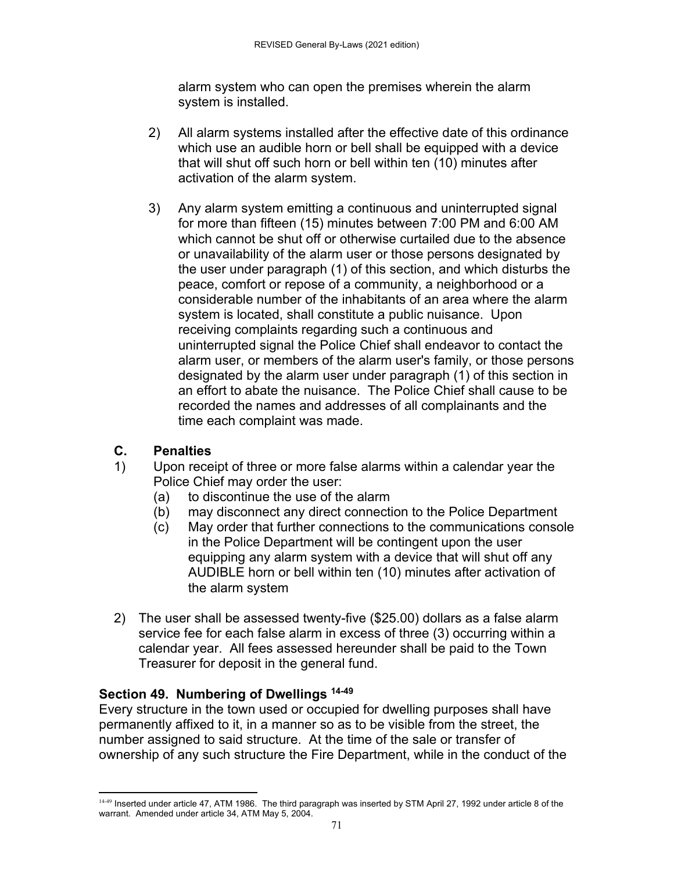alarm system who can open the premises wherein the alarm system is installed.

- 2) All alarm systems installed after the effective date of this ordinance which use an audible horn or bell shall be equipped with a device that will shut off such horn or bell within ten (10) minutes after activation of the alarm system.
- 3) Any alarm system emitting a continuous and uninterrupted signal for more than fifteen (15) minutes between 7:00 PM and 6:00 AM which cannot be shut off or otherwise curtailed due to the absence or unavailability of the alarm user or those persons designated by the user under paragraph (1) of this section, and which disturbs the peace, comfort or repose of a community, a neighborhood or a considerable number of the inhabitants of an area where the alarm system is located, shall constitute a public nuisance. Upon receiving complaints regarding such a continuous and uninterrupted signal the Police Chief shall endeavor to contact the alarm user, or members of the alarm user's family, or those persons designated by the alarm user under paragraph (1) of this section in an effort to abate the nuisance. The Police Chief shall cause to be recorded the names and addresses of all complainants and the time each complaint was made.

# **C. Penalties**

- 1) Upon receipt of three or more false alarms within a calendar year the Police Chief may order the user:
	- (a) to discontinue the use of the alarm
	- (b) may disconnect any direct connection to the Police Department
	- (c) May order that further connections to the communications console in the Police Department will be contingent upon the user equipping any alarm system with a device that will shut off any AUDIBLE horn or bell within ten (10) minutes after activation of the alarm system
- 2) The user shall be assessed twenty-five (\$25.00) dollars as a false alarm service fee for each false alarm in excess of three (3) occurring within a calendar year. All fees assessed hereunder shall be paid to the Town Treasurer for deposit in the general fund.

# **Section 49. Numbering of Dwellings 14-49**

Every structure in the town used or occupied for dwelling purposes shall have permanently affixed to it, in a manner so as to be visible from the street, the number assigned to said structure. At the time of the sale or transfer of ownership of any such structure the Fire Department, while in the conduct of the

 14-49 Inserted under article 47, ATM 1986. The third paragraph was inserted by STM April 27, 1992 under article 8 of the warrant. Amended under article 34, ATM May 5, 2004.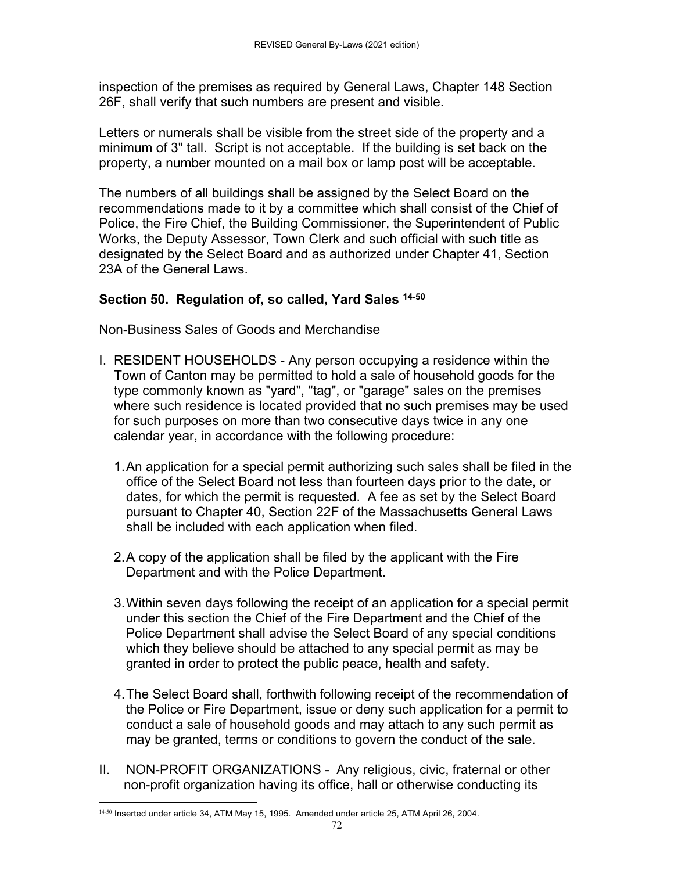inspection of the premises as required by General Laws, Chapter 148 Section 26F, shall verify that such numbers are present and visible.

Letters or numerals shall be visible from the street side of the property and a minimum of 3" tall. Script is not acceptable. If the building is set back on the property, a number mounted on a mail box or lamp post will be acceptable.

The numbers of all buildings shall be assigned by the Select Board on the recommendations made to it by a committee which shall consist of the Chief of Police, the Fire Chief, the Building Commissioner, the Superintendent of Public Works, the Deputy Assessor, Town Clerk and such official with such title as designated by the Select Board and as authorized under Chapter 41, Section 23A of the General Laws.

#### **Section 50. Regulation of, so called, Yard Sales 14-50**

Non-Business Sales of Goods and Merchandise

- I. RESIDENT HOUSEHOLDS Any person occupying a residence within the Town of Canton may be permitted to hold a sale of household goods for the type commonly known as "yard", "tag", or "garage" sales on the premises where such residence is located provided that no such premises may be used for such purposes on more than two consecutive days twice in any one calendar year, in accordance with the following procedure:
	- 1. An application for a special permit authorizing such sales shall be filed in the office of the Select Board not less than fourteen days prior to the date, or dates, for which the permit is requested. A fee as set by the Select Board pursuant to Chapter 40, Section 22F of the Massachusetts General Laws shall be included with each application when filed.
	- 2. A copy of the application shall be filed by the applicant with the Fire Department and with the Police Department.
	- 3. Within seven days following the receipt of an application for a special permit under this section the Chief of the Fire Department and the Chief of the Police Department shall advise the Select Board of any special conditions which they believe should be attached to any special permit as may be granted in order to protect the public peace, health and safety.
	- 4. The Select Board shall, forthwith following receipt of the recommendation of the Police or Fire Department, issue or deny such application for a permit to conduct a sale of household goods and may attach to any such permit as may be granted, terms or conditions to govern the conduct of the sale.
- II. NON-PROFIT ORGANIZATIONS Any religious, civic, fraternal or other non-profit organization having its office, hall or otherwise conducting its

 14-50 Inserted under article 34, ATM May 15, 1995. Amended under article 25, ATM April 26, 2004.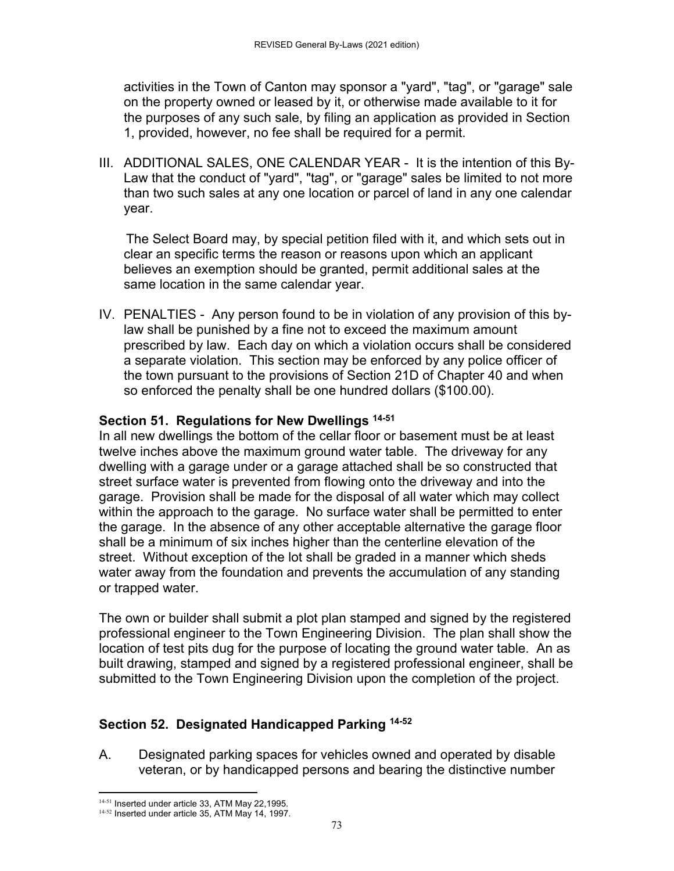activities in the Town of Canton may sponsor a "yard", "tag", or "garage" sale on the property owned or leased by it, or otherwise made available to it for the purposes of any such sale, by filing an application as provided in Section 1, provided, however, no fee shall be required for a permit.

III. ADDITIONAL SALES, ONE CALENDAR YEAR - It is the intention of this By-Law that the conduct of "yard", "tag", or "garage" sales be limited to not more than two such sales at any one location or parcel of land in any one calendar year.

The Select Board may, by special petition filed with it, and which sets out in clear an specific terms the reason or reasons upon which an applicant believes an exemption should be granted, permit additional sales at the same location in the same calendar year.

IV. PENALTIES - Any person found to be in violation of any provision of this bylaw shall be punished by a fine not to exceed the maximum amount prescribed by law. Each day on which a violation occurs shall be considered a separate violation. This section may be enforced by any police officer of the town pursuant to the provisions of Section 21D of Chapter 40 and when so enforced the penalty shall be one hundred dollars (\$100.00).

# **Section 51. Regulations for New Dwellings 14-51**

In all new dwellings the bottom of the cellar floor or basement must be at least twelve inches above the maximum ground water table. The driveway for any dwelling with a garage under or a garage attached shall be so constructed that street surface water is prevented from flowing onto the driveway and into the garage. Provision shall be made for the disposal of all water which may collect within the approach to the garage. No surface water shall be permitted to enter the garage. In the absence of any other acceptable alternative the garage floor shall be a minimum of six inches higher than the centerline elevation of the street. Without exception of the lot shall be graded in a manner which sheds water away from the foundation and prevents the accumulation of any standing or trapped water.

The own or builder shall submit a plot plan stamped and signed by the registered professional engineer to the Town Engineering Division. The plan shall show the location of test pits dug for the purpose of locating the ground water table. An as built drawing, stamped and signed by a registered professional engineer, shall be submitted to the Town Engineering Division upon the completion of the project.

# **Section 52. Designated Handicapped Parking 14-52**

A. Designated parking spaces for vehicles owned and operated by disable veteran, or by handicapped persons and bearing the distinctive number

 14-51 Inserted under article 33, ATM May 22, 1995.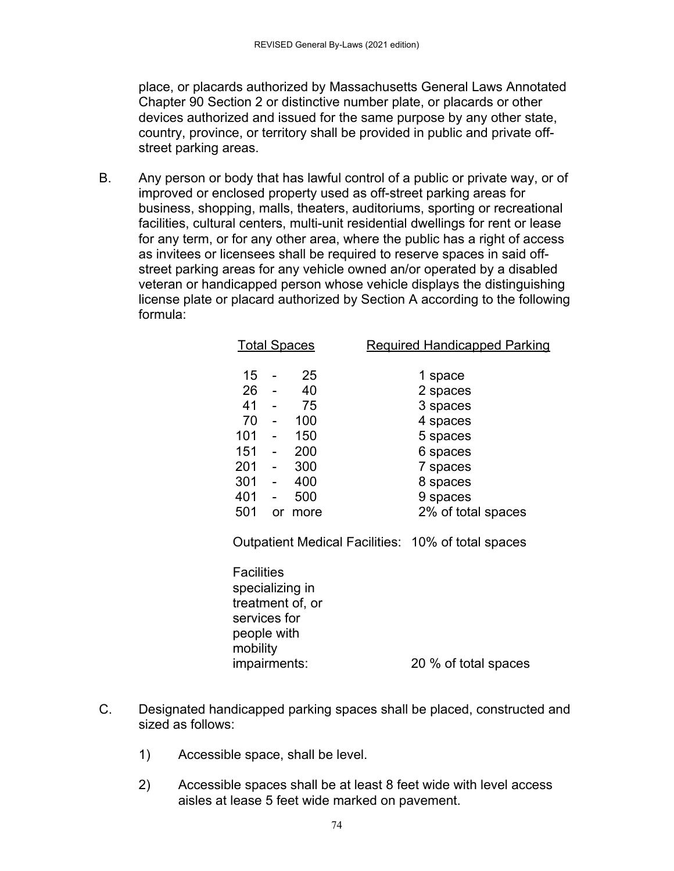place, or placards authorized by Massachusetts General Laws Annotated Chapter 90 Section 2 or distinctive number plate, or placards or other devices authorized and issued for the same purpose by any other state, country, province, or territory shall be provided in public and private offstreet parking areas.

B. Any person or body that has lawful control of a public or private way, or of improved or enclosed property used as off-street parking areas for business, shopping, malls, theaters, auditoriums, sporting or recreational facilities, cultural centers, multi-unit residential dwellings for rent or lease for any term, or for any other area, where the public has a right of access as invitees or licensees shall be required to reserve spaces in said offstreet parking areas for any vehicle owned an/or operated by a disabled veteran or handicapped person whose vehicle displays the distinguishing license plate or placard authorized by Section A according to the following formula:

|     | <b>Total Spaces</b>      |      | <b>Required Handicapped Parking</b> |
|-----|--------------------------|------|-------------------------------------|
| 15  |                          | 25   | 1 space                             |
| 26  |                          | 40   | 2 spaces                            |
| 41  | $\overline{\phantom{a}}$ | 75   | 3 spaces                            |
| 70  | $\overline{\phantom{a}}$ | 100  | 4 spaces                            |
| 101 | $\blacksquare$           | 150  | 5 spaces                            |
| 151 |                          | 200  | 6 spaces                            |
| 201 | $\overline{\phantom{a}}$ | 300  | 7 spaces                            |
| 301 | $\overline{\phantom{a}}$ | 400  | 8 spaces                            |
| 401 | $\overline{\phantom{a}}$ | 500  | 9 spaces                            |
| 501 | or                       | more | 2% of total spaces                  |

Outpatient Medical Facilities: 10% of total spaces

**Facilities** specializing in treatment of, or services for people with mobility impairments: 20 % of total spaces

- C. Designated handicapped parking spaces shall be placed, constructed and sized as follows:
	- 1) Accessible space, shall be level.
	- 2) Accessible spaces shall be at least 8 feet wide with level access aisles at lease 5 feet wide marked on pavement.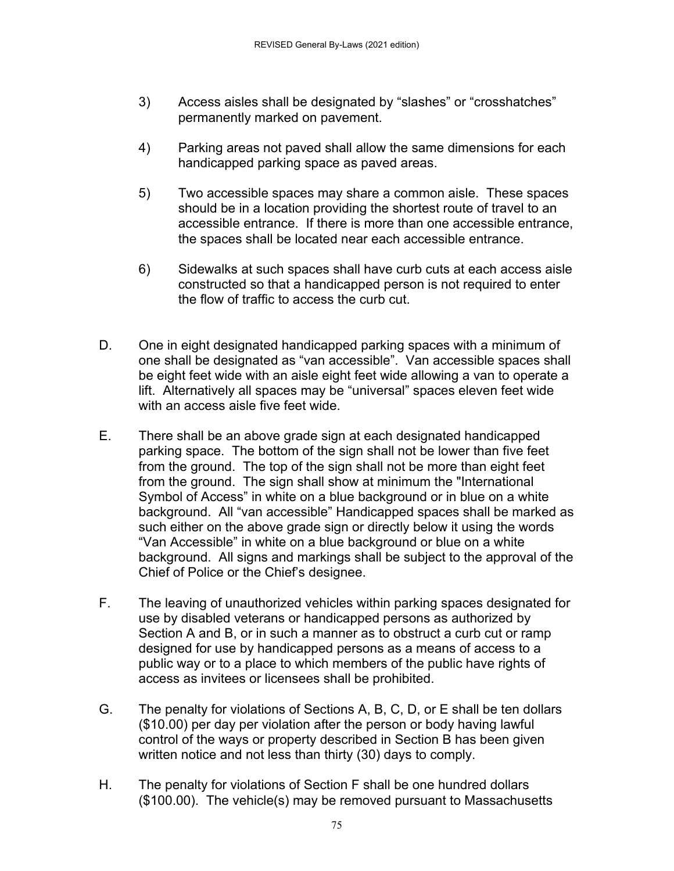- 3) Access aisles shall be designated by "slashes" or "crosshatches" permanently marked on pavement.
- 4) Parking areas not paved shall allow the same dimensions for each handicapped parking space as paved areas.
- 5) Two accessible spaces may share a common aisle. These spaces should be in a location providing the shortest route of travel to an accessible entrance. If there is more than one accessible entrance, the spaces shall be located near each accessible entrance.
- 6) Sidewalks at such spaces shall have curb cuts at each access aisle constructed so that a handicapped person is not required to enter the flow of traffic to access the curb cut.
- D. One in eight designated handicapped parking spaces with a minimum of one shall be designated as "van accessible". Van accessible spaces shall be eight feet wide with an aisle eight feet wide allowing a van to operate a lift. Alternatively all spaces may be "universal" spaces eleven feet wide with an access aisle five feet wide.
- E. There shall be an above grade sign at each designated handicapped parking space. The bottom of the sign shall not be lower than five feet from the ground. The top of the sign shall not be more than eight feet from the ground. The sign shall show at minimum the "International Symbol of Access" in white on a blue background or in blue on a white background. All "van accessible" Handicapped spaces shall be marked as such either on the above grade sign or directly below it using the words "Van Accessible" in white on a blue background or blue on a white background. All signs and markings shall be subject to the approval of the Chief of Police or the Chief's designee.
- F. The leaving of unauthorized vehicles within parking spaces designated for use by disabled veterans or handicapped persons as authorized by Section A and B, or in such a manner as to obstruct a curb cut or ramp designed for use by handicapped persons as a means of access to a public way or to a place to which members of the public have rights of access as invitees or licensees shall be prohibited.
- G. The penalty for violations of Sections A, B, C, D, or E shall be ten dollars (\$10.00) per day per violation after the person or body having lawful control of the ways or property described in Section B has been given written notice and not less than thirty (30) days to comply.
- H. The penalty for violations of Section F shall be one hundred dollars (\$100.00). The vehicle(s) may be removed pursuant to Massachusetts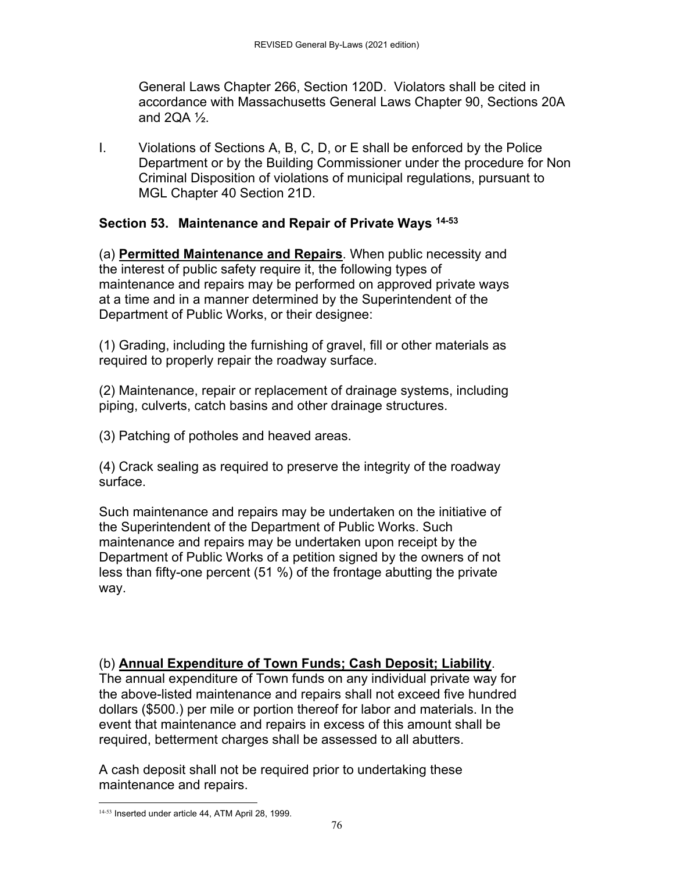General Laws Chapter 266, Section 120D. Violators shall be cited in accordance with Massachusetts General Laws Chapter 90, Sections 20A and  $2QA <sup>1</sup>/<sub>2</sub>$ .

I. Violations of Sections A, B, C, D, or E shall be enforced by the Police Department or by the Building Commissioner under the procedure for Non Criminal Disposition of violations of municipal regulations, pursuant to MGL Chapter 40 Section 21D.

# **Section 53. Maintenance and Repair of Private Ways 14-53**

(a) **Permitted Maintenance and Repairs**. When public necessity and the interest of public safety require it, the following types of maintenance and repairs may be performed on approved private ways at a time and in a manner determined by the Superintendent of the Department of Public Works, or their designee:

(1) Grading, including the furnishing of gravel, fill or other materials as required to properly repair the roadway surface.

(2) Maintenance, repair or replacement of drainage systems, including piping, culverts, catch basins and other drainage structures.

(3) Patching of potholes and heaved areas.

(4) Crack sealing as required to preserve the integrity of the roadway surface.

Such maintenance and repairs may be undertaken on the initiative of the Superintendent of the Department of Public Works. Such maintenance and repairs may be undertaken upon receipt by the Department of Public Works of a petition signed by the owners of not less than fifty-one percent (51 %) of the frontage abutting the private way.

# (b) **Annual Expenditure of Town Funds; Cash Deposit; Liability**.

The annual expenditure of Town funds on any individual private way for the above-listed maintenance and repairs shall not exceed five hundred dollars (\$500.) per mile or portion thereof for labor and materials. In the event that maintenance and repairs in excess of this amount shall be required, betterment charges shall be assessed to all abutters.

A cash deposit shall not be required prior to undertaking these maintenance and repairs.

 14-53 Inserted under article 44, ATM April 28, 1999.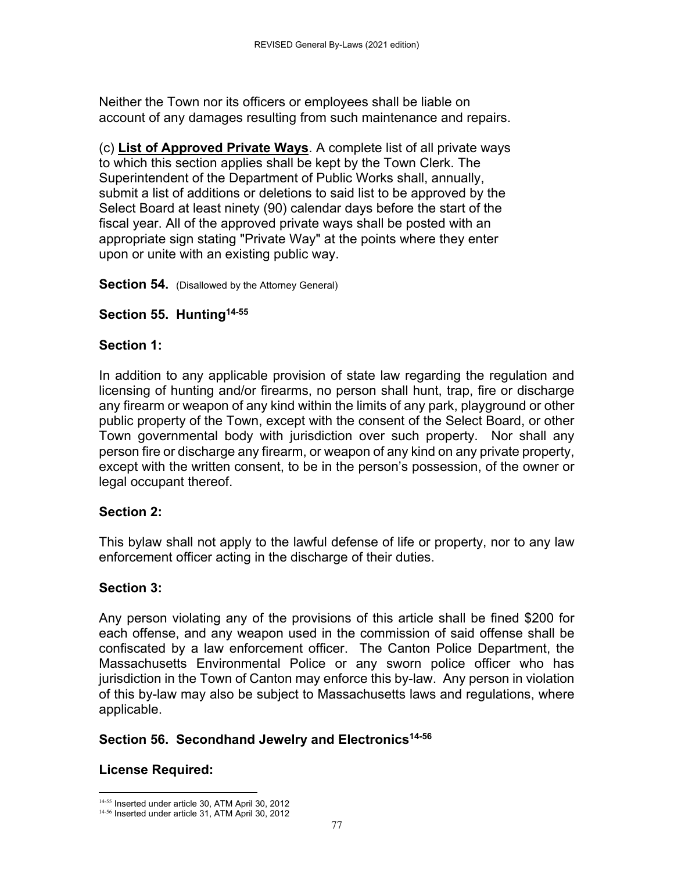Neither the Town nor its officers or employees shall be liable on account of any damages resulting from such maintenance and repairs.

(c) **List of Approved Private Ways**. A complete list of all private ways to which this section applies shall be kept by the Town Clerk. The Superintendent of the Department of Public Works shall, annually, submit a list of additions or deletions to said list to be approved by the Select Board at least ninety (90) calendar days before the start of the fiscal year. All of the approved private ways shall be posted with an appropriate sign stating "Private Way" at the points where they enter upon or unite with an existing public way.

**Section 54.** (Disallowed by the Attorney General)

#### **Section 55. Hunting14-55**

#### **Section 1:**

In addition to any applicable provision of state law regarding the regulation and licensing of hunting and/or firearms, no person shall hunt, trap, fire or discharge any firearm or weapon of any kind within the limits of any park, playground or other public property of the Town, except with the consent of the Select Board, or other Town governmental body with jurisdiction over such property. Nor shall any person fire or discharge any firearm, or weapon of any kind on any private property, except with the written consent, to be in the person's possession, of the owner or legal occupant thereof.

#### **Section 2:**

This bylaw shall not apply to the lawful defense of life or property, nor to any law enforcement officer acting in the discharge of their duties.

# **Section 3:**

Any person violating any of the provisions of this article shall be fined \$200 for each offense, and any weapon used in the commission of said offense shall be confiscated by a law enforcement officer. The Canton Police Department, the Massachusetts Environmental Police or any sworn police officer who has jurisdiction in the Town of Canton may enforce this by-law. Any person in violation of this by-law may also be subject to Massachusetts laws and regulations, where applicable.

# **Section 56. Secondhand Jewelry and Electronics14-56**

# **License Required:**

<sup>&</sup>lt;sup>14-55</sup> Inserted under article 30, ATM April 30, 2012 14-56 Inserted under article 31, ATM April 30, 2012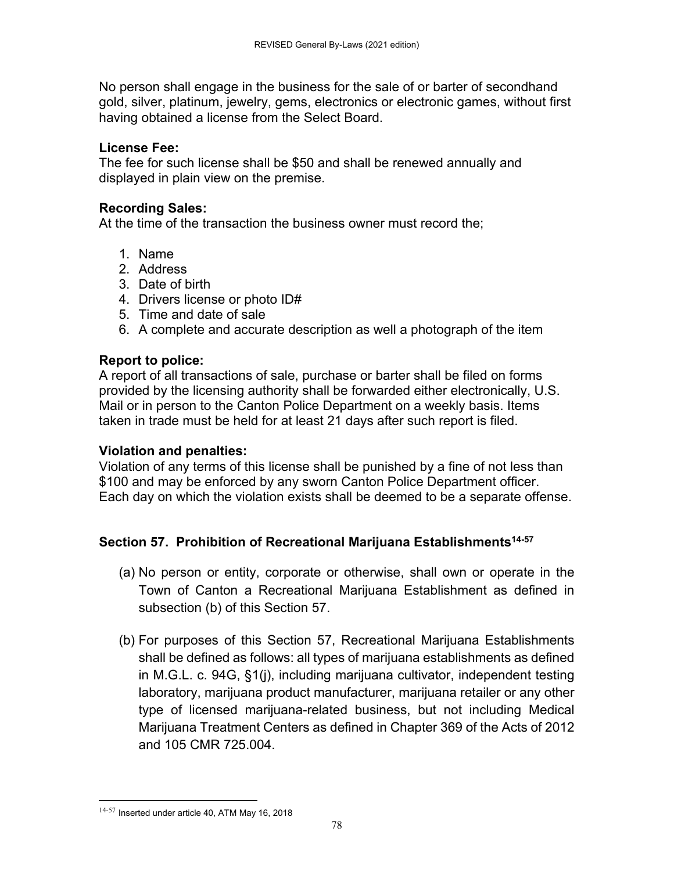No person shall engage in the business for the sale of or barter of secondhand gold, silver, platinum, jewelry, gems, electronics or electronic games, without first having obtained a license from the Select Board.

#### **License Fee:**

The fee for such license shall be \$50 and shall be renewed annually and displayed in plain view on the premise.

# **Recording Sales:**

At the time of the transaction the business owner must record the;

- 1. Name
- 2. Address
- 3. Date of birth
- 4. Drivers license or photo ID#
- 5. Time and date of sale
- 6. A complete and accurate description as well a photograph of the item

#### **Report to police:**

A report of all transactions of sale, purchase or barter shall be filed on forms provided by the licensing authority shall be forwarded either electronically, U.S. Mail or in person to the Canton Police Department on a weekly basis. Items taken in trade must be held for at least 21 days after such report is filed.

#### **Violation and penalties:**

Violation of any terms of this license shall be punished by a fine of not less than \$100 and may be enforced by any sworn Canton Police Department officer. Each day on which the violation exists shall be deemed to be a separate offense.

# **Section 57. Prohibition of Recreational Marijuana Establishments14-57**

- (a) No person or entity, corporate or otherwise, shall own or operate in the Town of Canton a Recreational Marijuana Establishment as defined in subsection (b) of this Section 57.
- (b) For purposes of this Section 57, Recreational Marijuana Establishments shall be defined as follows: all types of marijuana establishments as defined in M.G.L. c. 94G, §1(j), including marijuana cultivator, independent testing laboratory, marijuana product manufacturer, marijuana retailer or any other type of licensed marijuana-related business, but not including Medical Marijuana Treatment Centers as defined in Chapter 369 of the Acts of 2012 and 105 CMR 725.004.

<sup>14-57</sup> Inserted under article 40, ATM May 16, 2018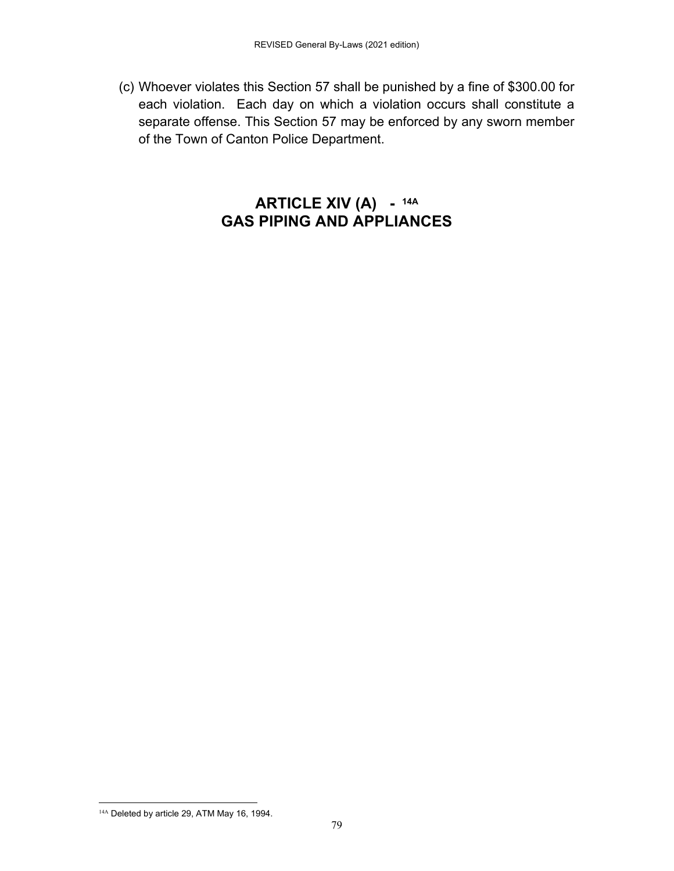(c) Whoever violates this Section 57 shall be punished by a fine of \$300.00 for each violation. Each day on which a violation occurs shall constitute a separate offense. This Section 57 may be enforced by any sworn member of the Town of Canton Police Department.

# **ARTICLE XIV (A) - 14A GAS PIPING AND APPLIANCES**

 <sup>14A</sup> Deleted by article 29, ATM May 16, 1994.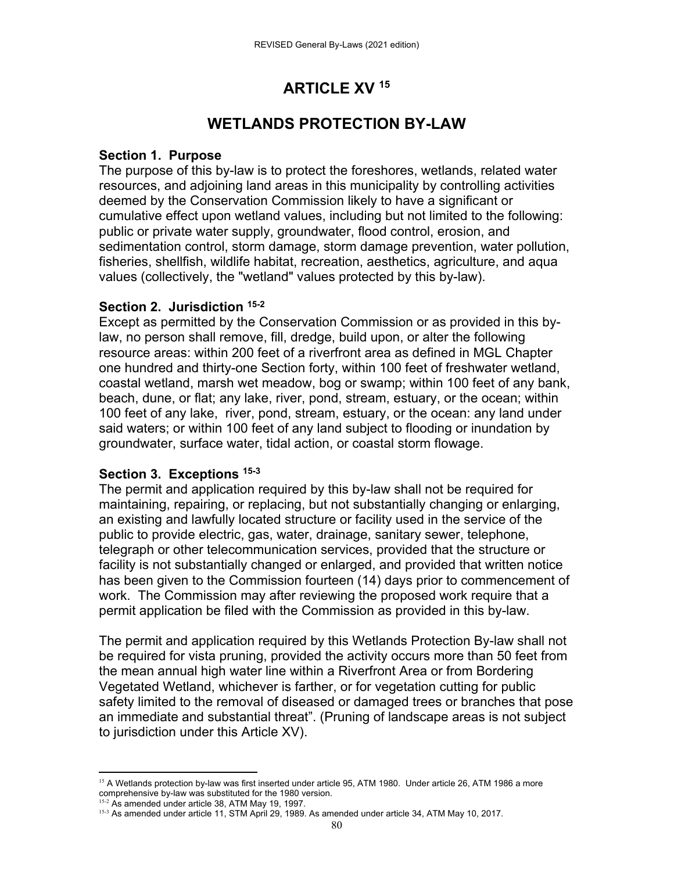# **ARTICLE XV 15**

# **WETLANDS PROTECTION BY-LAW**

#### **Section 1. Purpose**

The purpose of this by-law is to protect the foreshores, wetlands, related water resources, and adjoining land areas in this municipality by controlling activities deemed by the Conservation Commission likely to have a significant or cumulative effect upon wetland values, including but not limited to the following: public or private water supply, groundwater, flood control, erosion, and sedimentation control, storm damage, storm damage prevention, water pollution, fisheries, shellfish, wildlife habitat, recreation, aesthetics, agriculture, and aqua values (collectively, the "wetland" values protected by this by-law).

# **Section 2. Jurisdiction 15-2**

Except as permitted by the Conservation Commission or as provided in this bylaw, no person shall remove, fill, dredge, build upon, or alter the following resource areas: within 200 feet of a riverfront area as defined in MGL Chapter one hundred and thirty-one Section forty, within 100 feet of freshwater wetland, coastal wetland, marsh wet meadow, bog or swamp; within 100 feet of any bank, beach, dune, or flat; any lake, river, pond, stream, estuary, or the ocean; within 100 feet of any lake, river, pond, stream, estuary, or the ocean: any land under said waters; or within 100 feet of any land subject to flooding or inundation by groundwater, surface water, tidal action, or coastal storm flowage.

# **Section 3. Exceptions 15-3**

The permit and application required by this by-law shall not be required for maintaining, repairing, or replacing, but not substantially changing or enlarging, an existing and lawfully located structure or facility used in the service of the public to provide electric, gas, water, drainage, sanitary sewer, telephone, telegraph or other telecommunication services, provided that the structure or facility is not substantially changed or enlarged, and provided that written notice has been given to the Commission fourteen (14) days prior to commencement of work. The Commission may after reviewing the proposed work require that a permit application be filed with the Commission as provided in this by-law.

The permit and application required by this Wetlands Protection By-law shall not be required for vista pruning, provided the activity occurs more than 50 feet from the mean annual high water line within a Riverfront Area or from Bordering Vegetated Wetland, whichever is farther, or for vegetation cutting for public safety limited to the removal of diseased or damaged trees or branches that pose an immediate and substantial threat". (Pruning of landscape areas is not subject to jurisdiction under this Article XV).

 <sup>15</sup> A Wetlands protection by-law was first inserted under article 95, ATM 1980. Under article 26, ATM 1986 a more comprehensive by-law was substituted for the 1980 version.

<sup>&</sup>lt;sup>15-2</sup> As amended under article 38, ATM May 19, 1997.

<sup>15-3</sup> As amended under article 11, STM April 29, 1989. As amended under article 34, ATM May 10, 2017.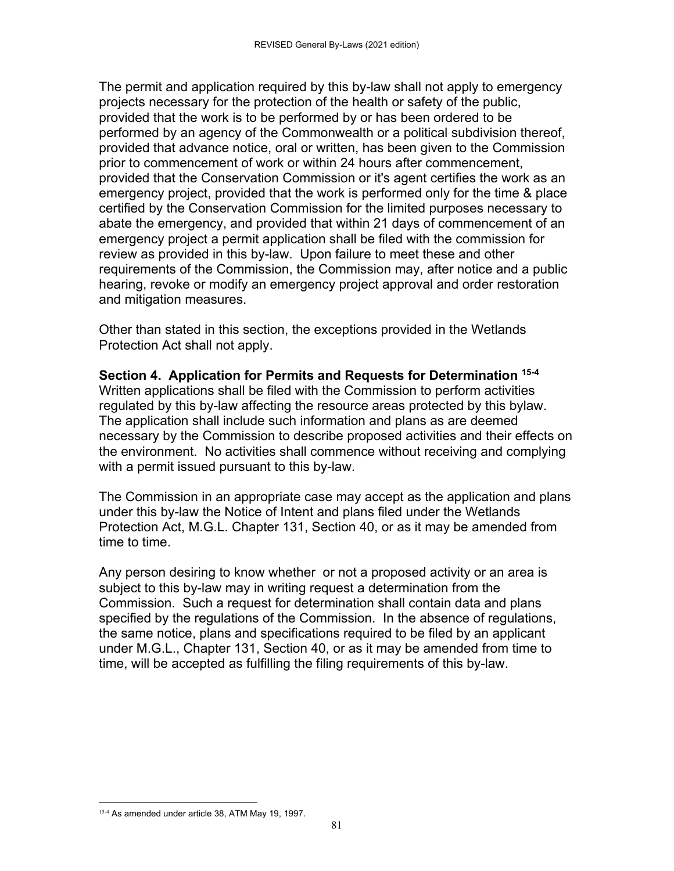The permit and application required by this by-law shall not apply to emergency projects necessary for the protection of the health or safety of the public, provided that the work is to be performed by or has been ordered to be performed by an agency of the Commonwealth or a political subdivision thereof, provided that advance notice, oral or written, has been given to the Commission prior to commencement of work or within 24 hours after commencement, provided that the Conservation Commission or it's agent certifies the work as an emergency project, provided that the work is performed only for the time & place certified by the Conservation Commission for the limited purposes necessary to abate the emergency, and provided that within 21 days of commencement of an emergency project a permit application shall be filed with the commission for review as provided in this by-law. Upon failure to meet these and other requirements of the Commission, the Commission may, after notice and a public hearing, revoke or modify an emergency project approval and order restoration and mitigation measures.

Other than stated in this section, the exceptions provided in the Wetlands Protection Act shall not apply.

**Section 4. Application for Permits and Requests for Determination 15-4** Written applications shall be filed with the Commission to perform activities regulated by this by-law affecting the resource areas protected by this bylaw. The application shall include such information and plans as are deemed necessary by the Commission to describe proposed activities and their effects on the environment. No activities shall commence without receiving and complying with a permit issued pursuant to this by-law.

The Commission in an appropriate case may accept as the application and plans under this by-law the Notice of Intent and plans filed under the Wetlands Protection Act, M.G.L. Chapter 131, Section 40, or as it may be amended from time to time.

Any person desiring to know whether or not a proposed activity or an area is subject to this by-law may in writing request a determination from the Commission. Such a request for determination shall contain data and plans specified by the regulations of the Commission. In the absence of regulations, the same notice, plans and specifications required to be filed by an applicant under M.G.L., Chapter 131, Section 40, or as it may be amended from time to time, will be accepted as fulfilling the filing requirements of this by-law.

 15-4 As amended under article 38, ATM May 19, 1997.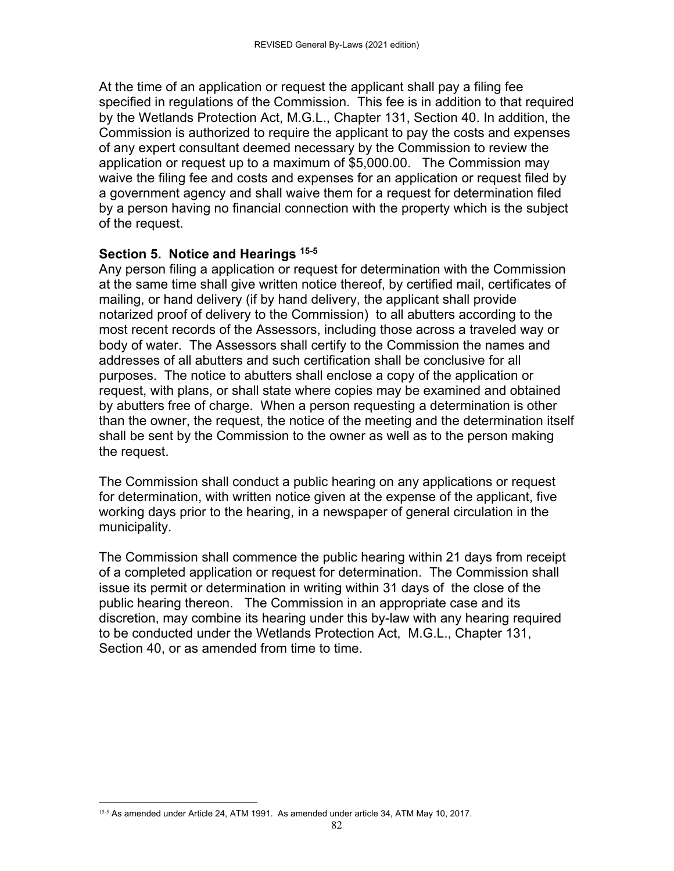At the time of an application or request the applicant shall pay a filing fee specified in regulations of the Commission. This fee is in addition to that required by the Wetlands Protection Act, M.G.L., Chapter 131, Section 40. In addition, the Commission is authorized to require the applicant to pay the costs and expenses of any expert consultant deemed necessary by the Commission to review the application or request up to a maximum of \$5,000.00. The Commission may waive the filing fee and costs and expenses for an application or request filed by a government agency and shall waive them for a request for determination filed by a person having no financial connection with the property which is the subject of the request.

#### **Section 5. Notice and Hearings 15-5**

Any person filing a application or request for determination with the Commission at the same time shall give written notice thereof, by certified mail, certificates of mailing, or hand delivery (if by hand delivery, the applicant shall provide notarized proof of delivery to the Commission) to all abutters according to the most recent records of the Assessors, including those across a traveled way or body of water. The Assessors shall certify to the Commission the names and addresses of all abutters and such certification shall be conclusive for all purposes. The notice to abutters shall enclose a copy of the application or request, with plans, or shall state where copies may be examined and obtained by abutters free of charge. When a person requesting a determination is other than the owner, the request, the notice of the meeting and the determination itself shall be sent by the Commission to the owner as well as to the person making the request.

The Commission shall conduct a public hearing on any applications or request for determination, with written notice given at the expense of the applicant, five working days prior to the hearing, in a newspaper of general circulation in the municipality.

The Commission shall commence the public hearing within 21 days from receipt of a completed application or request for determination. The Commission shall issue its permit or determination in writing within 31 days of the close of the public hearing thereon. The Commission in an appropriate case and its discretion, may combine its hearing under this by-law with any hearing required to be conducted under the Wetlands Protection Act, M.G.L., Chapter 131, Section 40, or as amended from time to time.

 15-5 As amended under Article 24, ATM 1991. As amended under article 34, ATM May 10, 2017.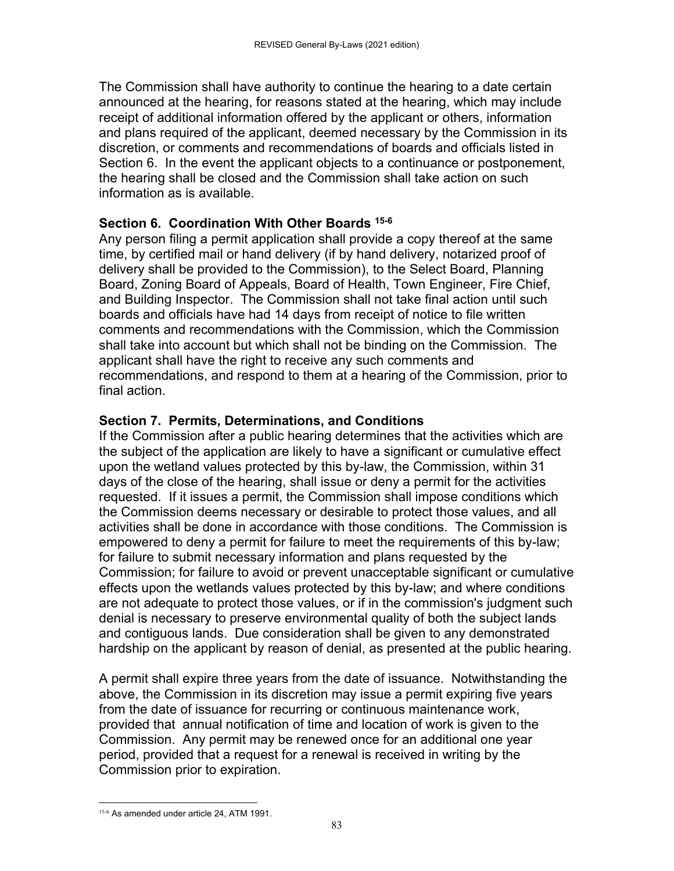The Commission shall have authority to continue the hearing to a date certain announced at the hearing, for reasons stated at the hearing, which may include receipt of additional information offered by the applicant or others, information and plans required of the applicant, deemed necessary by the Commission in its discretion, or comments and recommendations of boards and officials listed in Section 6. In the event the applicant objects to a continuance or postponement, the hearing shall be closed and the Commission shall take action on such information as is available.

#### **Section 6. Coordination With Other Boards 15-6**

Any person filing a permit application shall provide a copy thereof at the same time, by certified mail or hand delivery (if by hand delivery, notarized proof of delivery shall be provided to the Commission), to the Select Board, Planning Board, Zoning Board of Appeals, Board of Health, Town Engineer, Fire Chief, and Building Inspector. The Commission shall not take final action until such boards and officials have had 14 days from receipt of notice to file written comments and recommendations with the Commission, which the Commission shall take into account but which shall not be binding on the Commission. The applicant shall have the right to receive any such comments and recommendations, and respond to them at a hearing of the Commission, prior to final action.

#### **Section 7. Permits, Determinations, and Conditions**

If the Commission after a public hearing determines that the activities which are the subject of the application are likely to have a significant or cumulative effect upon the wetland values protected by this by-law, the Commission, within 31 days of the close of the hearing, shall issue or deny a permit for the activities requested. If it issues a permit, the Commission shall impose conditions which the Commission deems necessary or desirable to protect those values, and all activities shall be done in accordance with those conditions. The Commission is empowered to deny a permit for failure to meet the requirements of this by-law; for failure to submit necessary information and plans requested by the Commission; for failure to avoid or prevent unacceptable significant or cumulative effects upon the wetlands values protected by this by-law; and where conditions are not adequate to protect those values, or if in the commission's judgment such denial is necessary to preserve environmental quality of both the subject lands and contiguous lands. Due consideration shall be given to any demonstrated hardship on the applicant by reason of denial, as presented at the public hearing.

A permit shall expire three years from the date of issuance. Notwithstanding the above, the Commission in its discretion may issue a permit expiring five years from the date of issuance for recurring or continuous maintenance work, provided that annual notification of time and location of work is given to the Commission. Any permit may be renewed once for an additional one year period, provided that a request for a renewal is received in writing by the Commission prior to expiration.

 15-6 As amended under article 24, ATM 1991.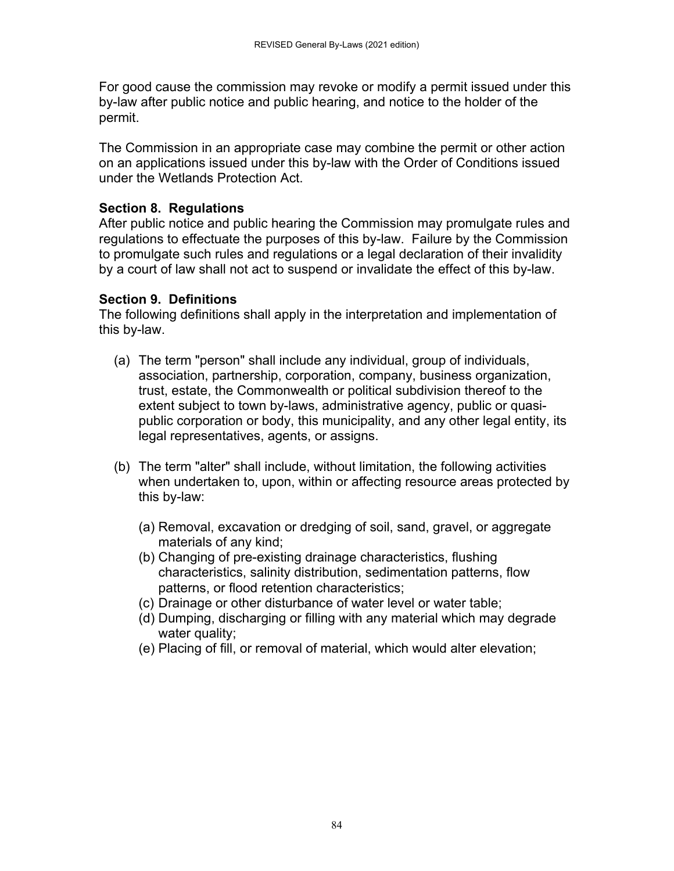For good cause the commission may revoke or modify a permit issued under this by-law after public notice and public hearing, and notice to the holder of the permit.

The Commission in an appropriate case may combine the permit or other action on an applications issued under this by-law with the Order of Conditions issued under the Wetlands Protection Act.

# **Section 8. Regulations**

After public notice and public hearing the Commission may promulgate rules and regulations to effectuate the purposes of this by-law. Failure by the Commission to promulgate such rules and regulations or a legal declaration of their invalidity by a court of law shall not act to suspend or invalidate the effect of this by-law.

# **Section 9. Definitions**

The following definitions shall apply in the interpretation and implementation of this by-law.

- (a) The term "person" shall include any individual, group of individuals, association, partnership, corporation, company, business organization, trust, estate, the Commonwealth or political subdivision thereof to the extent subject to town by-laws, administrative agency, public or quasipublic corporation or body, this municipality, and any other legal entity, its legal representatives, agents, or assigns.
- (b) The term "alter" shall include, without limitation, the following activities when undertaken to, upon, within or affecting resource areas protected by this by-law:
	- (a) Removal, excavation or dredging of soil, sand, gravel, or aggregate materials of any kind;
	- (b) Changing of pre-existing drainage characteristics, flushing characteristics, salinity distribution, sedimentation patterns, flow patterns, or flood retention characteristics;
	- (c) Drainage or other disturbance of water level or water table;
	- (d) Dumping, discharging or filling with any material which may degrade water quality;
	- (e) Placing of fill, or removal of material, which would alter elevation;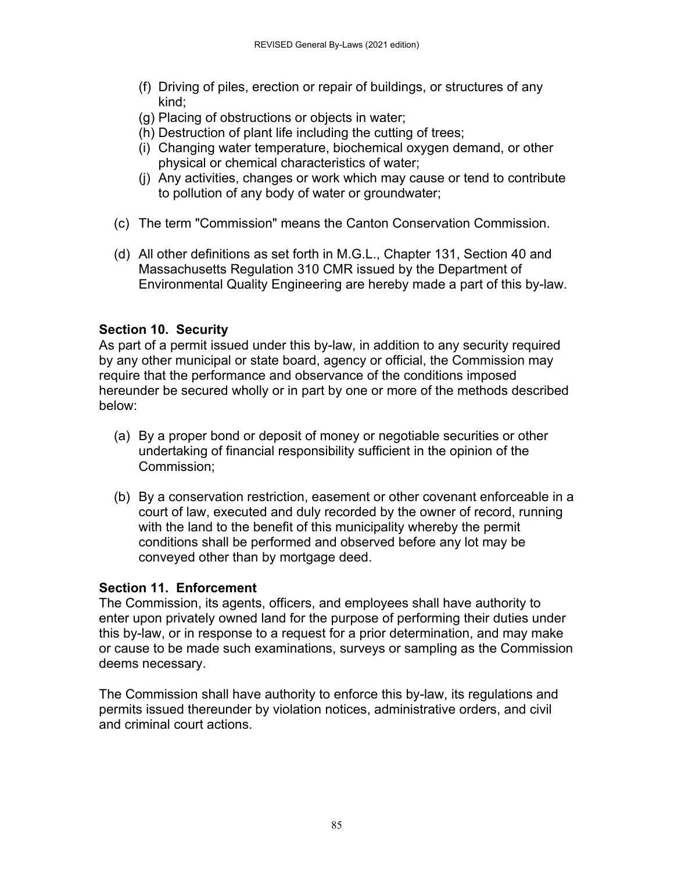- (f) Driving of piles, erection or repair of buildings, or structures of any kind;
- (g) Placing of obstructions or objects in water;
- (h) Destruction of plant life including the cutting of trees;
- (i) Changing water temperature, biochemical oxygen demand, or other physical or chemical characteristics of water;
- (j) Any activities, changes or work which may cause or tend to contribute to pollution of any body of water or groundwater;
- (c) The term "Commission" means the Canton Conservation Commission.
- (d) All other definitions as set forth in M.G.L., Chapter 131, Section 40 and Massachusetts Regulation 310 CMR issued by the Department of Environmental Quality Engineering are hereby made a part of this by-law.

# **Section 10. Security**

As part of a permit issued under this by-law, in addition to any security required by any other municipal or state board, agency or official, the Commission may require that the performance and observance of the conditions imposed hereunder be secured wholly or in part by one or more of the methods described below:

- (a) By a proper bond or deposit of money or negotiable securities or other undertaking of financial responsibility sufficient in the opinion of the Commission;
- (b) By a conservation restriction, easement or other covenant enforceable in a court of law, executed and duly recorded by the owner of record, running with the land to the benefit of this municipality whereby the permit conditions shall be performed and observed before any lot may be conveyed other than by mortgage deed.

# **Section 11. Enforcement**

The Commission, its agents, officers, and employees shall have authority to enter upon privately owned land for the purpose of performing their duties under this by-law, or in response to a request for a prior determination, and may make or cause to be made such examinations, surveys or sampling as the Commission deems necessary.

The Commission shall have authority to enforce this by-law, its regulations and permits issued thereunder by violation notices, administrative orders, and civil and criminal court actions.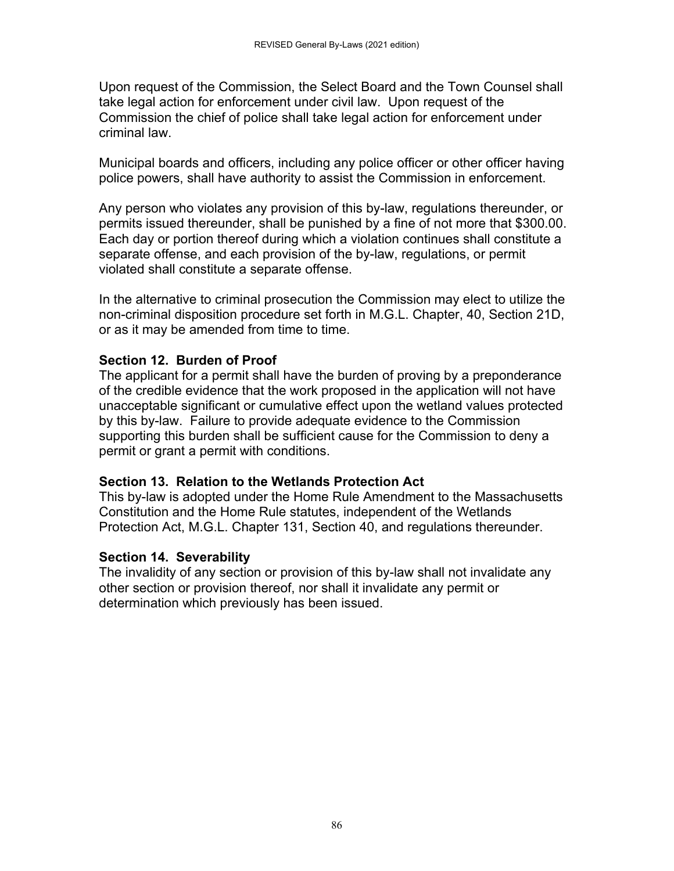Upon request of the Commission, the Select Board and the Town Counsel shall take legal action for enforcement under civil law. Upon request of the Commission the chief of police shall take legal action for enforcement under criminal law.

Municipal boards and officers, including any police officer or other officer having police powers, shall have authority to assist the Commission in enforcement.

Any person who violates any provision of this by-law, regulations thereunder, or permits issued thereunder, shall be punished by a fine of not more that \$300.00. Each day or portion thereof during which a violation continues shall constitute a separate offense, and each provision of the by-law, regulations, or permit violated shall constitute a separate offense.

In the alternative to criminal prosecution the Commission may elect to utilize the non-criminal disposition procedure set forth in M.G.L. Chapter, 40, Section 21D, or as it may be amended from time to time.

#### **Section 12. Burden of Proof**

The applicant for a permit shall have the burden of proving by a preponderance of the credible evidence that the work proposed in the application will not have unacceptable significant or cumulative effect upon the wetland values protected by this by-law. Failure to provide adequate evidence to the Commission supporting this burden shall be sufficient cause for the Commission to deny a permit or grant a permit with conditions.

#### **Section 13. Relation to the Wetlands Protection Act**

This by-law is adopted under the Home Rule Amendment to the Massachusetts Constitution and the Home Rule statutes, independent of the Wetlands Protection Act, M.G.L. Chapter 131, Section 40, and regulations thereunder.

#### **Section 14. Severability**

The invalidity of any section or provision of this by-law shall not invalidate any other section or provision thereof, nor shall it invalidate any permit or determination which previously has been issued.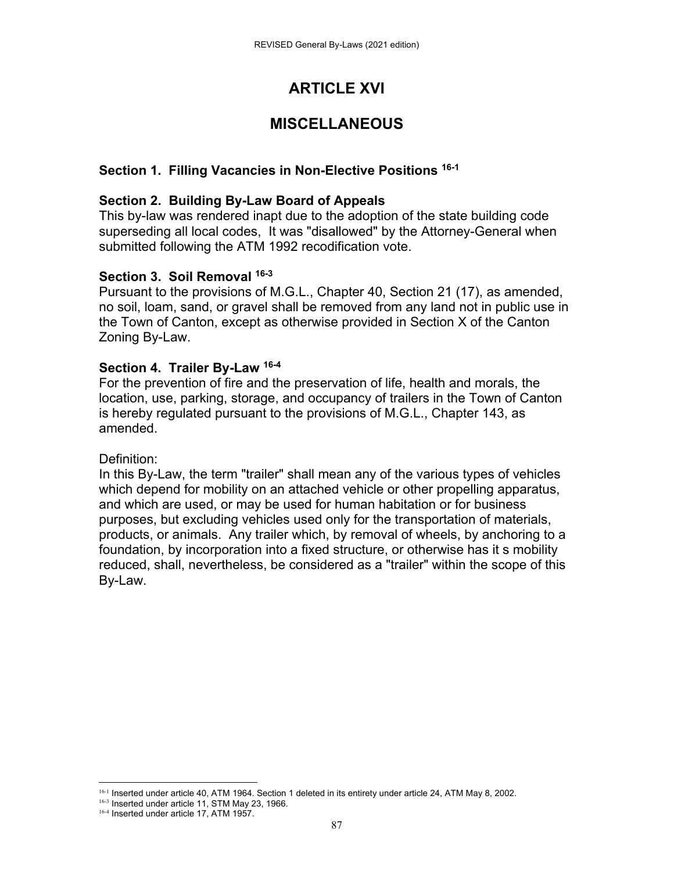# **ARTICLE XVI**

# **MISCELLANEOUS**

# **Section 1. Filling Vacancies in Non-Elective Positions 16-1**

### **Section 2. Building By-Law Board of Appeals**

This by-law was rendered inapt due to the adoption of the state building code superseding all local codes, It was "disallowed" by the Attorney-General when submitted following the ATM 1992 recodification vote.

#### **Section 3. Soil Removal 16-3**

Pursuant to the provisions of M.G.L., Chapter 40, Section 21 (17), as amended, no soil, loam, sand, or gravel shall be removed from any land not in public use in the Town of Canton, except as otherwise provided in Section X of the Canton Zoning By-Law.

#### **Section 4. Trailer By-Law 16-4**

For the prevention of fire and the preservation of life, health and morals, the location, use, parking, storage, and occupancy of trailers in the Town of Canton is hereby regulated pursuant to the provisions of M.G.L., Chapter 143, as amended.

#### Definition:

In this By-Law, the term "trailer" shall mean any of the various types of vehicles which depend for mobility on an attached vehicle or other propelling apparatus, and which are used, or may be used for human habitation or for business purposes, but excluding vehicles used only for the transportation of materials, products, or animals. Any trailer which, by removal of wheels, by anchoring to a foundation, by incorporation into a fixed structure, or otherwise has it s mobility reduced, shall, nevertheless, be considered as a "trailer" within the scope of this By-Law.

 16-1 Inserted under article 40, ATM 1964. Section 1 deleted in its entirety under article 24, ATM May 8, 2002.

<sup>16-3</sup> Inserted under article 11, STM May 23, 1966.

<sup>&</sup>lt;sup>16-4</sup> Inserted under article 17, ATM 1957.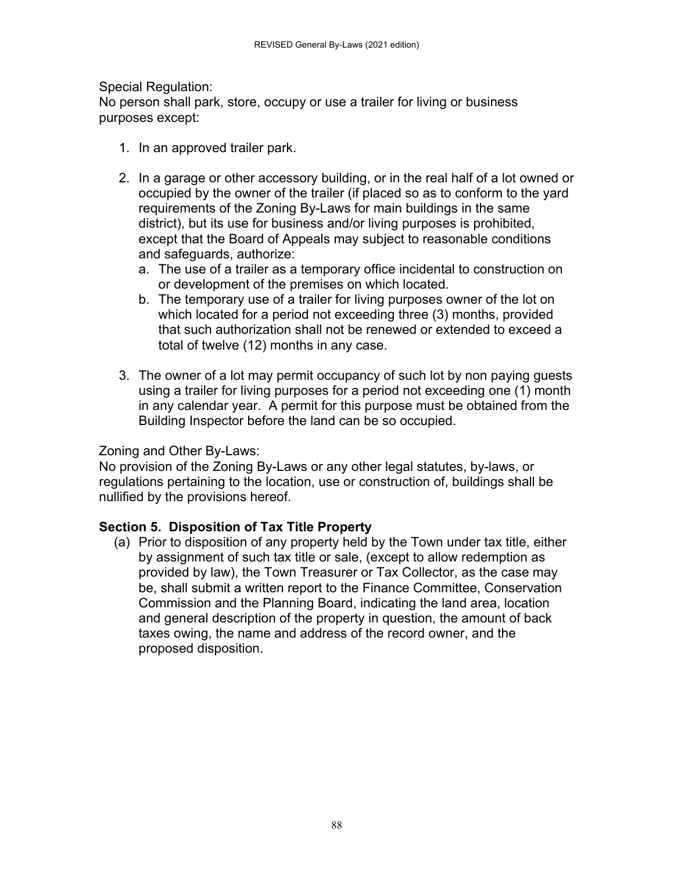Special Regulation:

No person shall park, store, occupy or use a trailer for living or business purposes except:

- 1. In an approved trailer park.
- 2. In a garage or other accessory building, or in the real half of a lot owned or occupied by the owner of the trailer (if placed so as to conform to the yard requirements of the Zoning By-Laws for main buildings in the same district), but its use for business and/or living purposes is prohibited, except that the Board of Appeals may subject to reasonable conditions and safeguards, authorize:
	- a. The use of a trailer as a temporary office incidental to construction on or development of the premises on which located.
	- b. The temporary use of a trailer for living purposes owner of the lot on which located for a period not exceeding three (3) months, provided that such authorization shall not be renewed or extended to exceed a total of twelve (12) months in any case.
- 3. The owner of a lot may permit occupancy of such lot by non paying guests using a trailer for living purposes for a period not exceeding one (1) month in any calendar year. A permit for this purpose must be obtained from the Building Inspector before the land can be so occupied.

# Zoning and Other By-Laws:

No provision of the Zoning By-Laws or any other legal statutes, by-laws, or regulations pertaining to the location, use or construction of, buildings shall be nullified by the provisions hereof.

# **Section 5. Disposition of Tax Title Property**

(a) Prior to disposition of any property held by the Town under tax title, either by assignment of such tax title or sale, (except to allow redemption as provided by law), the Town Treasurer or Tax Collector, as the case may be, shall submit a written report to the Finance Committee, Conservation Commission and the Planning Board, indicating the land area, location and general description of the property in question, the amount of back taxes owing, the name and address of the record owner, and the proposed disposition.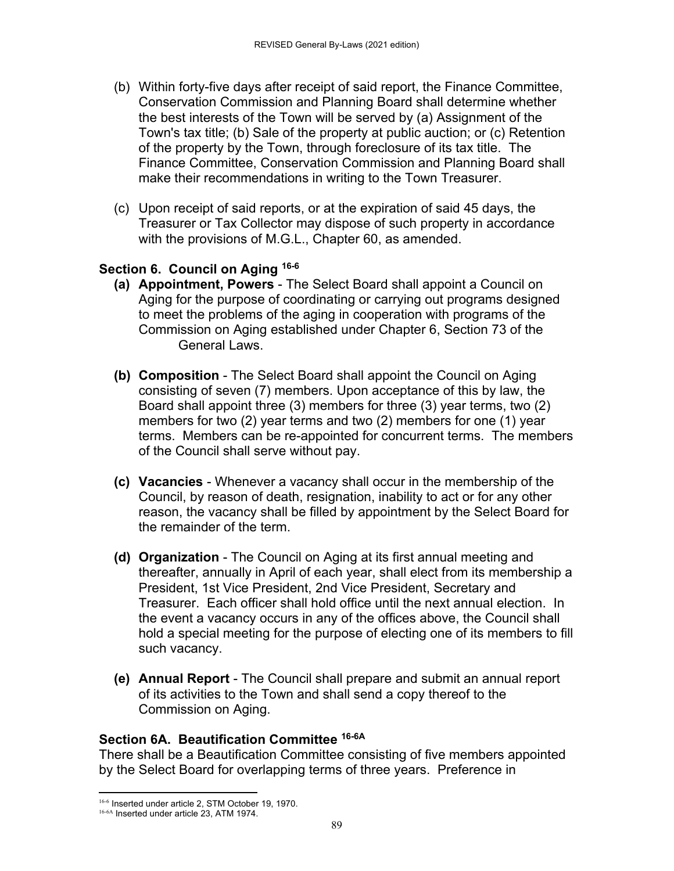- (b) Within forty-five days after receipt of said report, the Finance Committee, Conservation Commission and Planning Board shall determine whether the best interests of the Town will be served by (a) Assignment of the Town's tax title; (b) Sale of the property at public auction; or (c) Retention of the property by the Town, through foreclosure of its tax title. The Finance Committee, Conservation Commission and Planning Board shall make their recommendations in writing to the Town Treasurer.
- (c) Upon receipt of said reports, or at the expiration of said 45 days, the Treasurer or Tax Collector may dispose of such property in accordance with the provisions of M.G.L., Chapter 60, as amended.

#### **Section 6. Council on Aging 16-6**

- **(a) Appointment, Powers** The Select Board shall appoint a Council on Aging for the purpose of coordinating or carrying out programs designed to meet the problems of the aging in cooperation with programs of the Commission on Aging established under Chapter 6, Section 73 of the General Laws.
- **(b) Composition** The Select Board shall appoint the Council on Aging consisting of seven (7) members. Upon acceptance of this by law, the Board shall appoint three (3) members for three (3) year terms, two (2) members for two (2) year terms and two (2) members for one (1) year terms. Members can be re-appointed for concurrent terms. The members of the Council shall serve without pay.
- **(c) Vacancies** Whenever a vacancy shall occur in the membership of the Council, by reason of death, resignation, inability to act or for any other reason, the vacancy shall be filled by appointment by the Select Board for the remainder of the term.
- **(d) Organization** The Council on Aging at its first annual meeting and thereafter, annually in April of each year, shall elect from its membership a President, 1st Vice President, 2nd Vice President, Secretary and Treasurer. Each officer shall hold office until the next annual election. In the event a vacancy occurs in any of the offices above, the Council shall hold a special meeting for the purpose of electing one of its members to fill such vacancy.
- **(e) Annual Report** The Council shall prepare and submit an annual report of its activities to the Town and shall send a copy thereof to the Commission on Aging.

#### **Section 6A. Beautification Committee 16-6A**

There shall be a Beautification Committee consisting of five members appointed by the Select Board for overlapping terms of three years. Preference in

 16-6 Inserted under article 2, STM October 19, 1970.

<sup>16-6</sup>A Inserted under article 23, ATM 1974.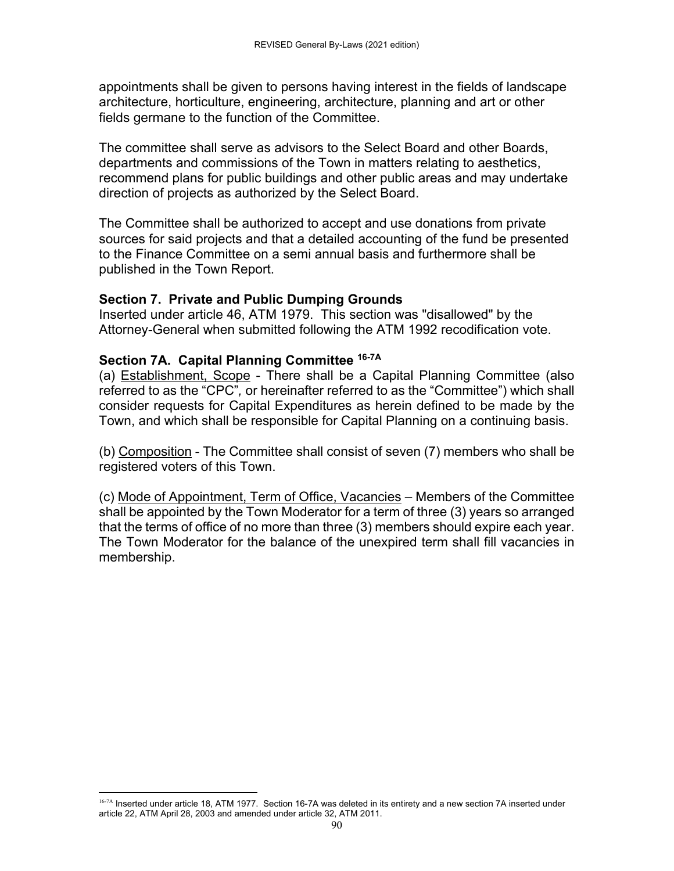appointments shall be given to persons having interest in the fields of landscape architecture, horticulture, engineering, architecture, planning and art or other fields germane to the function of the Committee.

The committee shall serve as advisors to the Select Board and other Boards, departments and commissions of the Town in matters relating to aesthetics, recommend plans for public buildings and other public areas and may undertake direction of projects as authorized by the Select Board.

The Committee shall be authorized to accept and use donations from private sources for said projects and that a detailed accounting of the fund be presented to the Finance Committee on a semi annual basis and furthermore shall be published in the Town Report.

#### **Section 7. Private and Public Dumping Grounds**

Inserted under article 46, ATM 1979. This section was "disallowed" by the Attorney-General when submitted following the ATM 1992 recodification vote.

#### **Section 7A. Capital Planning Committee 16-7A**

(a) Establishment, Scope - There shall be a Capital Planning Committee (also referred to as the "CPC"*,* or hereinafter referred to as the "Committee") which shall consider requests for Capital Expenditures as herein defined to be made by the Town, and which shall be responsible for Capital Planning on a continuing basis.

(b) Composition - The Committee shall consist of seven (7) members who shall be registered voters of this Town.

(c) Mode of Appointment, Term of Office, Vacancies – Members of the Committee shall be appointed by the Town Moderator for a term of three (3) years so arranged that the terms of office of no more than three (3) members should expire each year. The Town Moderator for the balance of the unexpired term shall fill vacancies in membership.

<sup>16-7</sup>A Inserted under article 18, ATM 1977. Section 16-7A was deleted in its entirety and a new section 7A inserted under article 22, ATM April 28, 2003 and amended under article 32, ATM 2011.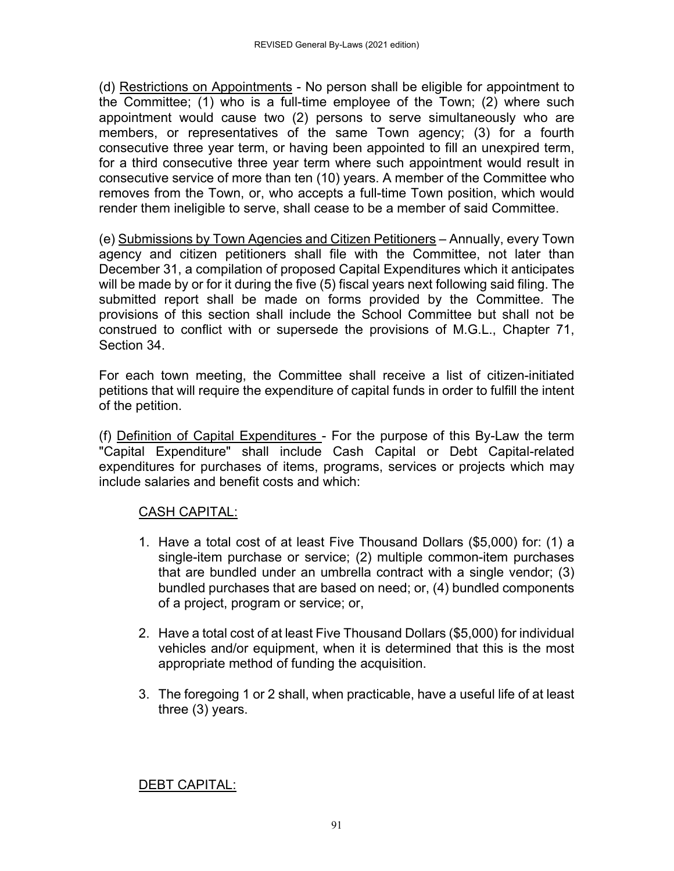(d) Restrictions on Appointments - No person shall be eligible for appointment to the Committee; (1) who is a full-time employee of the Town; (2) where such appointment would cause two (2) persons to serve simultaneously who are members, or representatives of the same Town agency; (3) for a fourth consecutive three year term, or having been appointed to fill an unexpired term, for a third consecutive three year term where such appointment would result in consecutive service of more than ten (10) years. A member of the Committee who removes from the Town, or, who accepts a full-time Town position, which would render them ineligible to serve, shall cease to be a member of said Committee.

(e) Submissions by Town Agencies and Citizen Petitioners – Annually, every Town agency and citizen petitioners shall file with the Committee, not later than December 31, a compilation of proposed Capital Expenditures which it anticipates will be made by or for it during the five (5) fiscal years next following said filing. The submitted report shall be made on forms provided by the Committee. The provisions of this section shall include the School Committee but shall not be construed to conflict with or supersede the provisions of M.G.L., Chapter 71, Section 34.

For each town meeting, the Committee shall receive a list of citizen-initiated petitions that will require the expenditure of capital funds in order to fulfill the intent of the petition.

(f) Definition of Capital Expenditures - For the purpose of this By-Law the term "Capital Expenditure" shall include Cash Capital or Debt Capital-related expenditures for purchases of items, programs, services or projects which may include salaries and benefit costs and which:

# CASH CAPITAL:

- 1. Have a total cost of at least Five Thousand Dollars (\$5,000) for: (1) a single-item purchase or service; (2) multiple common-item purchases that are bundled under an umbrella contract with a single vendor; (3) bundled purchases that are based on need; or, (4) bundled components of a project, program or service; or,
- 2. Have a total cost of at least Five Thousand Dollars (\$5,000) for individual vehicles and/or equipment, when it is determined that this is the most appropriate method of funding the acquisition.
- 3. The foregoing 1 or 2 shall, when practicable, have a useful life of at least three (3) years.

# DEBT CAPITAL: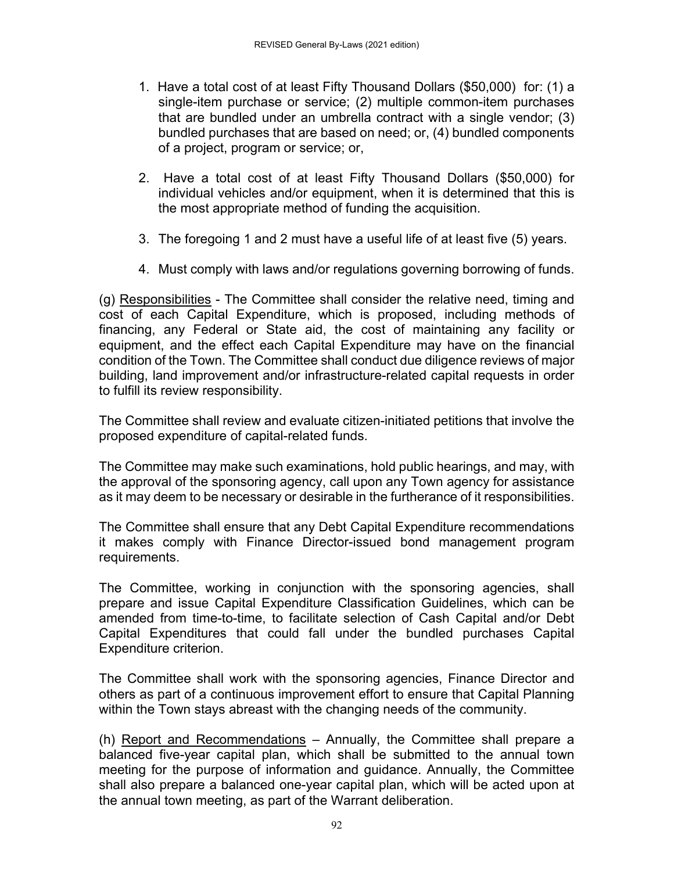- 1. Have a total cost of at least Fifty Thousand Dollars (\$50,000) for: (1) a single-item purchase or service; (2) multiple common-item purchases that are bundled under an umbrella contract with a single vendor; (3) bundled purchases that are based on need; or, (4) bundled components of a project, program or service; or,
- 2. Have a total cost of at least Fifty Thousand Dollars (\$50,000) for individual vehicles and/or equipment, when it is determined that this is the most appropriate method of funding the acquisition.
- 3. The foregoing 1 and 2 must have a useful life of at least five (5) years.
- 4. Must comply with laws and/or regulations governing borrowing of funds.

(g) Responsibilities - The Committee shall consider the relative need, timing and cost of each Capital Expenditure, which is proposed, including methods of financing, any Federal or State aid, the cost of maintaining any facility or equipment, and the effect each Capital Expenditure may have on the financial condition of the Town. The Committee shall conduct due diligence reviews of major building, land improvement and/or infrastructure-related capital requests in order to fulfill its review responsibility.

The Committee shall review and evaluate citizen-initiated petitions that involve the proposed expenditure of capital-related funds.

The Committee may make such examinations, hold public hearings, and may, with the approval of the sponsoring agency, call upon any Town agency for assistance as it may deem to be necessary or desirable in the furtherance of it responsibilities.

The Committee shall ensure that any Debt Capital Expenditure recommendations it makes comply with Finance Director-issued bond management program requirements.

The Committee, working in conjunction with the sponsoring agencies, shall prepare and issue Capital Expenditure Classification Guidelines, which can be amended from time-to-time, to facilitate selection of Cash Capital and/or Debt Capital Expenditures that could fall under the bundled purchases Capital Expenditure criterion.

The Committee shall work with the sponsoring agencies, Finance Director and others as part of a continuous improvement effort to ensure that Capital Planning within the Town stays abreast with the changing needs of the community.

(h) Report and Recommendations – Annually, the Committee shall prepare a balanced five-year capital plan, which shall be submitted to the annual town meeting for the purpose of information and guidance. Annually, the Committee shall also prepare a balanced one-year capital plan, which will be acted upon at the annual town meeting, as part of the Warrant deliberation.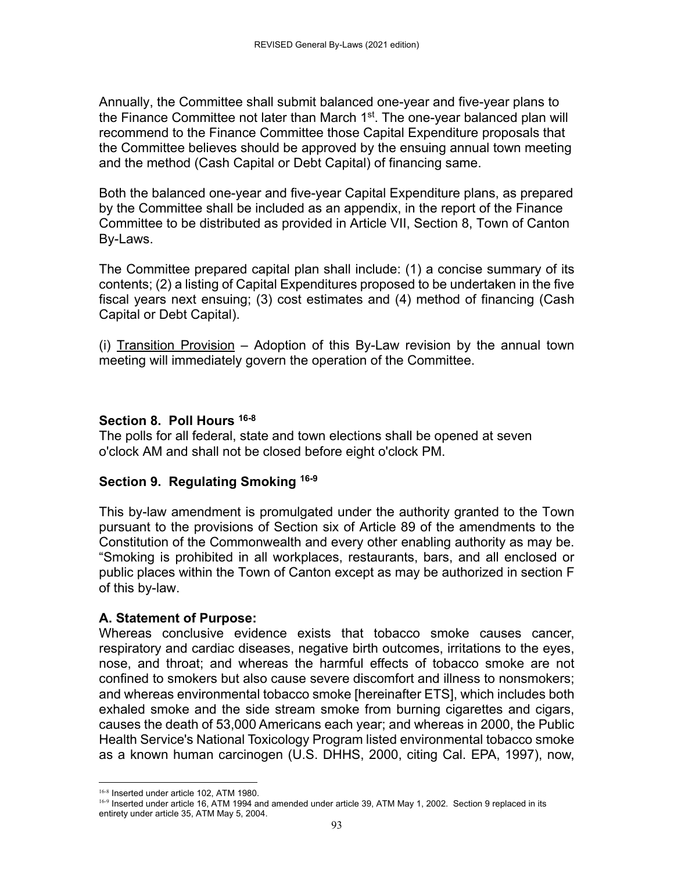Annually, the Committee shall submit balanced one-year and five-year plans to the Finance Committee not later than March  $1<sup>st</sup>$ . The one-year balanced plan will recommend to the Finance Committee those Capital Expenditure proposals that the Committee believes should be approved by the ensuing annual town meeting and the method (Cash Capital or Debt Capital) of financing same.

Both the balanced one-year and five-year Capital Expenditure plans, as prepared by the Committee shall be included as an appendix, in the report of the Finance Committee to be distributed as provided in Article VII, Section 8, Town of Canton By-Laws.

The Committee prepared capital plan shall include: (1) a concise summary of its contents; (2) a listing of Capital Expenditures proposed to be undertaken in the five fiscal years next ensuing; (3) cost estimates and (4) method of financing (Cash Capital or Debt Capital).

(i) Transition Provision – Adoption of this By-Law revision by the annual town meeting will immediately govern the operation of the Committee.

#### **Section 8. Poll Hours 16-8**

The polls for all federal, state and town elections shall be opened at seven o'clock AM and shall not be closed before eight o'clock PM.

# **Section 9. Regulating Smoking 16-9**

This by-law amendment is promulgated under the authority granted to the Town pursuant to the provisions of Section six of Article 89 of the amendments to the Constitution of the Commonwealth and every other enabling authority as may be. "Smoking is prohibited in all workplaces, restaurants, bars, and all enclosed or public places within the Town of Canton except as may be authorized in section F of this by-law.

#### **A. Statement of Purpose:**

Whereas conclusive evidence exists that tobacco smoke causes cancer, respiratory and cardiac diseases, negative birth outcomes, irritations to the eyes, nose, and throat; and whereas the harmful effects of tobacco smoke are not confined to smokers but also cause severe discomfort and illness to nonsmokers; and whereas environmental tobacco smoke [hereinafter ETS], which includes both exhaled smoke and the side stream smoke from burning cigarettes and cigars, causes the death of 53,000 Americans each year; and whereas in 2000, the Public Health Service's National Toxicology Program listed environmental tobacco smoke as a known human carcinogen (U.S. DHHS, 2000, citing Cal. EPA, 1997), now,

 16-8 Inserted under article 102, ATM 1980.

<sup>16-9</sup> Inserted under article 16, ATM 1994 and amended under article 39, ATM May 1, 2002. Section 9 replaced in its entirety under article 35, ATM May 5, 2004.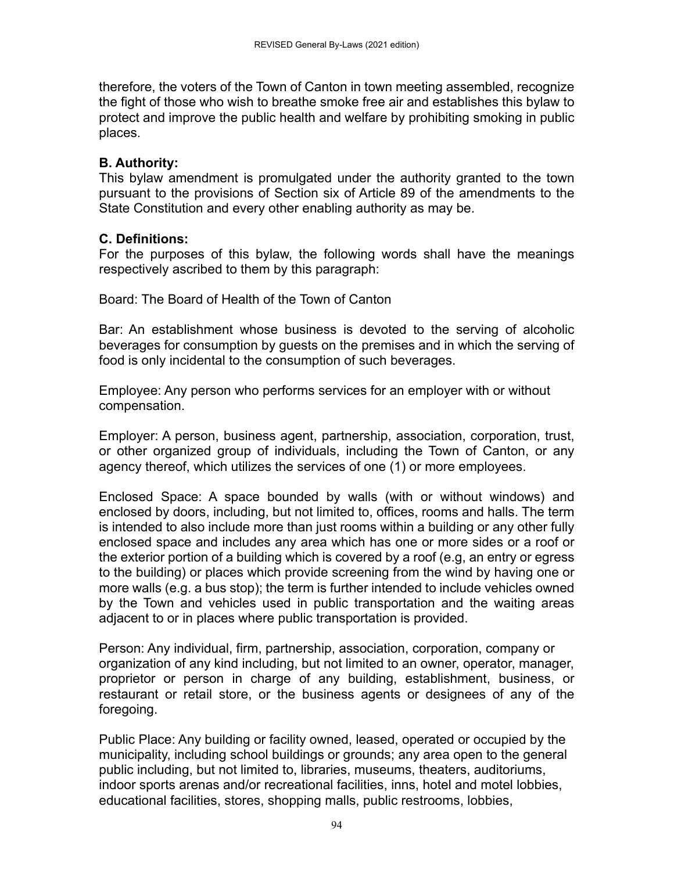therefore, the voters of the Town of Canton in town meeting assembled, recognize the fight of those who wish to breathe smoke free air and establishes this bylaw to protect and improve the public health and welfare by prohibiting smoking in public places.

### **B. Authority:**

This bylaw amendment is promulgated under the authority granted to the town pursuant to the provisions of Section six of Article 89 of the amendments to the State Constitution and every other enabling authority as may be.

# **C. Definitions:**

For the purposes of this bylaw, the following words shall have the meanings respectively ascribed to them by this paragraph:

Board: The Board of Health of the Town of Canton

Bar: An establishment whose business is devoted to the serving of alcoholic beverages for consumption by guests on the premises and in which the serving of food is only incidental to the consumption of such beverages.

Employee: Any person who performs services for an employer with or without compensation.

Employer: A person, business agent, partnership, association, corporation, trust, or other organized group of individuals, including the Town of Canton, or any agency thereof, which utilizes the services of one (1) or more employees.

Enclosed Space: A space bounded by walls (with or without windows) and enclosed by doors, including, but not limited to, offices, rooms and halls. The term is intended to also include more than just rooms within a building or any other fully enclosed space and includes any area which has one or more sides or a roof or the exterior portion of a building which is covered by a roof (e.g, an entry or egress to the building) or places which provide screening from the wind by having one or more walls (e.g. a bus stop); the term is further intended to include vehicles owned by the Town and vehicles used in public transportation and the waiting areas adjacent to or in places where public transportation is provided.

Person: Any individual, firm, partnership, association, corporation, company or organization of any kind including, but not limited to an owner, operator, manager, proprietor or person in charge of any building, establishment, business, or restaurant or retail store, or the business agents or designees of any of the foregoing.

Public Place: Any building or facility owned, leased, operated or occupied by the municipality, including school buildings or grounds; any area open to the general public including, but not limited to, libraries, museums, theaters, auditoriums, indoor sports arenas and/or recreational facilities, inns, hotel and motel lobbies, educational facilities, stores, shopping malls, public restrooms, lobbies,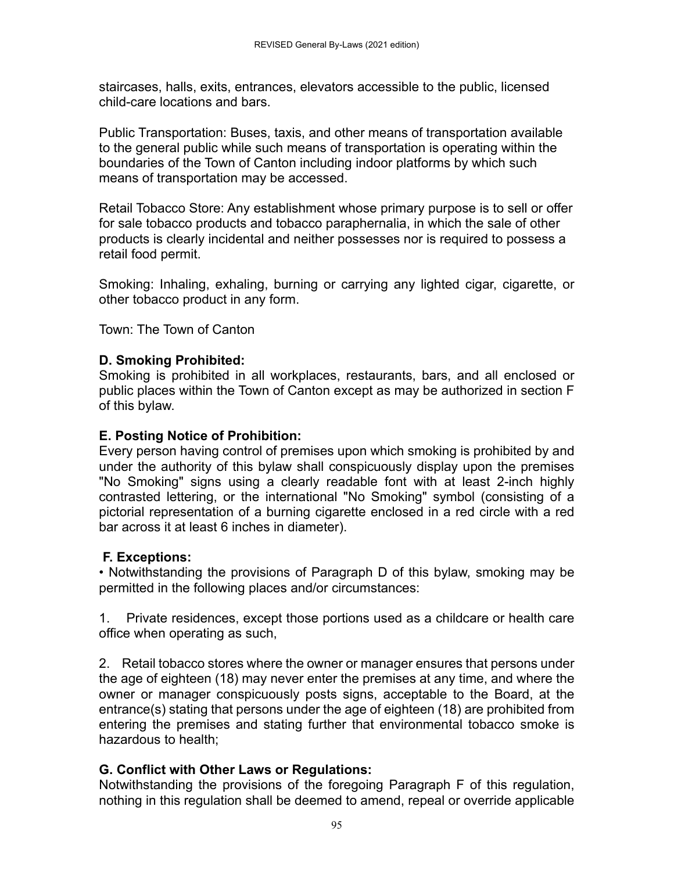staircases, halls, exits, entrances, elevators accessible to the public, licensed child-care locations and bars.

Public Transportation: Buses, taxis, and other means of transportation available to the general public while such means of transportation is operating within the boundaries of the Town of Canton including indoor platforms by which such means of transportation may be accessed.

Retail Tobacco Store: Any establishment whose primary purpose is to sell or offer for sale tobacco products and tobacco paraphernalia, in which the sale of other products is clearly incidental and neither possesses nor is required to possess a retail food permit.

Smoking: Inhaling, exhaling, burning or carrying any lighted cigar, cigarette, or other tobacco product in any form.

Town: The Town of Canton

# **D. Smoking Prohibited:**

Smoking is prohibited in all workplaces, restaurants, bars, and all enclosed or public places within the Town of Canton except as may be authorized in section F of this bylaw.

# **E. Posting Notice of Prohibition:**

Every person having control of premises upon which smoking is prohibited by and under the authority of this bylaw shall conspicuously display upon the premises "No Smoking" signs using a clearly readable font with at least 2-inch highly contrasted lettering, or the international "No Smoking" symbol (consisting of a pictorial representation of a burning cigarette enclosed in a red circle with a red bar across it at least 6 inches in diameter).

# **F. Exceptions:**

• Notwithstanding the provisions of Paragraph D of this bylaw, smoking may be permitted in the following places and/or circumstances:

1. Private residences, except those portions used as a childcare or health care office when operating as such,

2. Retail tobacco stores where the owner or manager ensures that persons under the age of eighteen (18) may never enter the premises at any time, and where the owner or manager conspicuously posts signs, acceptable to the Board, at the entrance(s) stating that persons under the age of eighteen (18) are prohibited from entering the premises and stating further that environmental tobacco smoke is hazardous to health;

# **G. Conflict with Other Laws or Regulations:**

Notwithstanding the provisions of the foregoing Paragraph F of this regulation, nothing in this regulation shall be deemed to amend, repeal or override applicable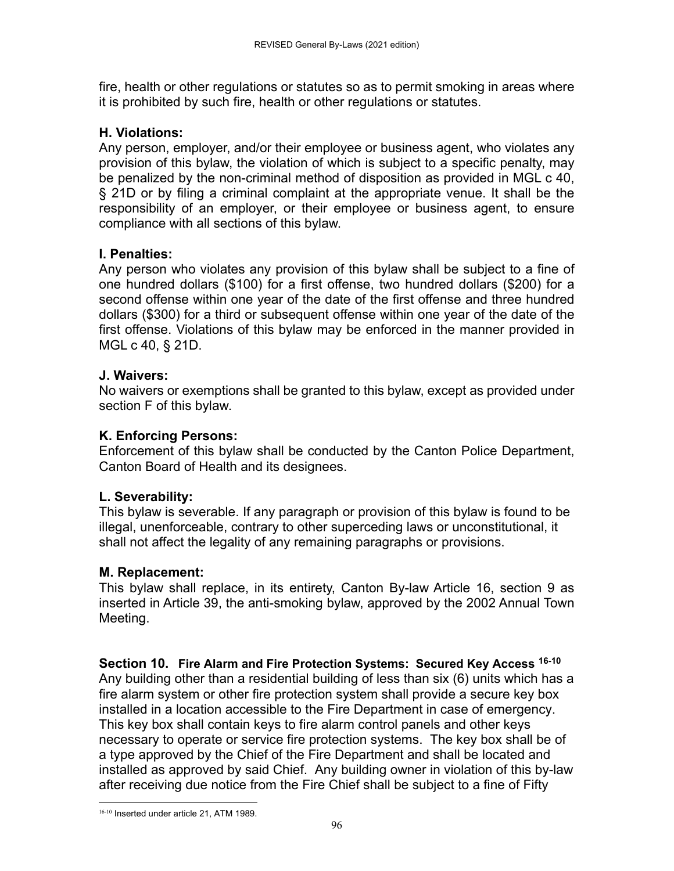fire, health or other regulations or statutes so as to permit smoking in areas where it is prohibited by such fire, health or other regulations or statutes.

# **H. Violations:**

Any person, employer, and/or their employee or business agent, who violates any provision of this bylaw, the violation of which is subject to a specific penalty, may be penalized by the non-criminal method of disposition as provided in MGL c 40, § 21D or by filing a criminal complaint at the appropriate venue. It shall be the responsibility of an employer, or their employee or business agent, to ensure compliance with all sections of this bylaw.

# **I. Penalties:**

Any person who violates any provision of this bylaw shall be subject to a fine of one hundred dollars (\$100) for a first offense, two hundred dollars (\$200) for a second offense within one year of the date of the first offense and three hundred dollars (\$300) for a third or subsequent offense within one year of the date of the first offense. Violations of this bylaw may be enforced in the manner provided in MGL c 40, § 21D.

# **J. Waivers:**

No waivers or exemptions shall be granted to this bylaw, except as provided under section F of this bylaw.

# **K. Enforcing Persons:**

Enforcement of this bylaw shall be conducted by the Canton Police Department, Canton Board of Health and its designees.

# **L. Severability:**

This bylaw is severable. If any paragraph or provision of this bylaw is found to be illegal, unenforceable, contrary to other superceding laws or unconstitutional, it shall not affect the legality of any remaining paragraphs or provisions.

# **M. Replacement:**

This bylaw shall replace, in its entirety, Canton By-law Article 16, section 9 as inserted in Article 39, the anti-smoking bylaw, approved by the 2002 Annual Town Meeting.

**Section 10. Fire Alarm and Fire Protection Systems: Secured Key Access 16-10** Any building other than a residential building of less than six (6) units which has a fire alarm system or other fire protection system shall provide a secure key box installed in a location accessible to the Fire Department in case of emergency. This key box shall contain keys to fire alarm control panels and other keys necessary to operate or service fire protection systems. The key box shall be of a type approved by the Chief of the Fire Department and shall be located and installed as approved by said Chief. Any building owner in violation of this by-law after receiving due notice from the Fire Chief shall be subject to a fine of Fifty

 16-10 Inserted under article 21, ATM 1989.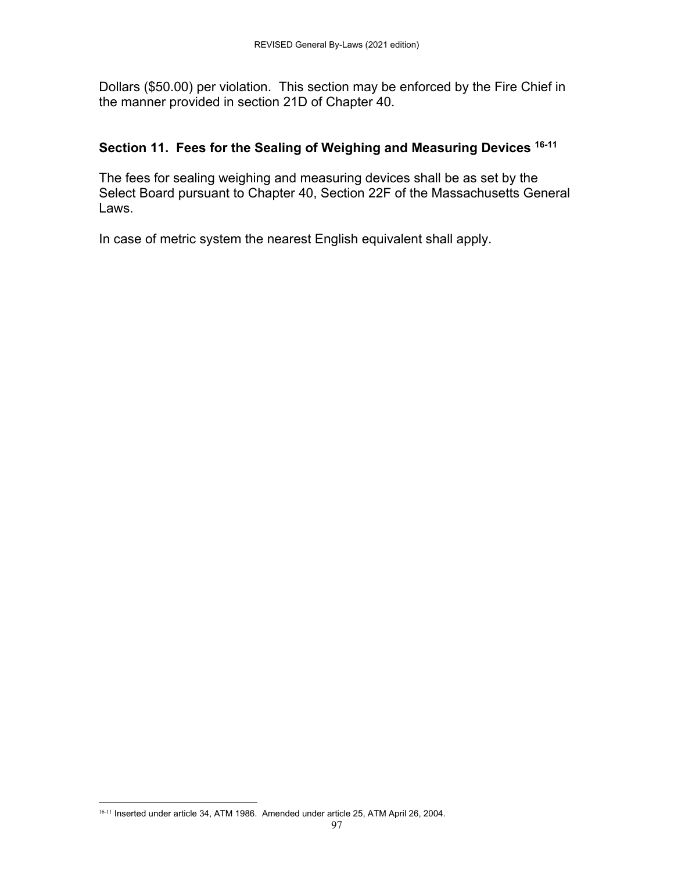Dollars (\$50.00) per violation. This section may be enforced by the Fire Chief in the manner provided in section 21D of Chapter 40.

# **Section 11. Fees for the Sealing of Weighing and Measuring Devices 16-11**

The fees for sealing weighing and measuring devices shall be as set by the Select Board pursuant to Chapter 40, Section 22F of the Massachusetts General Laws.

In case of metric system the nearest English equivalent shall apply.

 16-11 Inserted under article 34, ATM 1986. Amended under article 25, ATM April 26, 2004.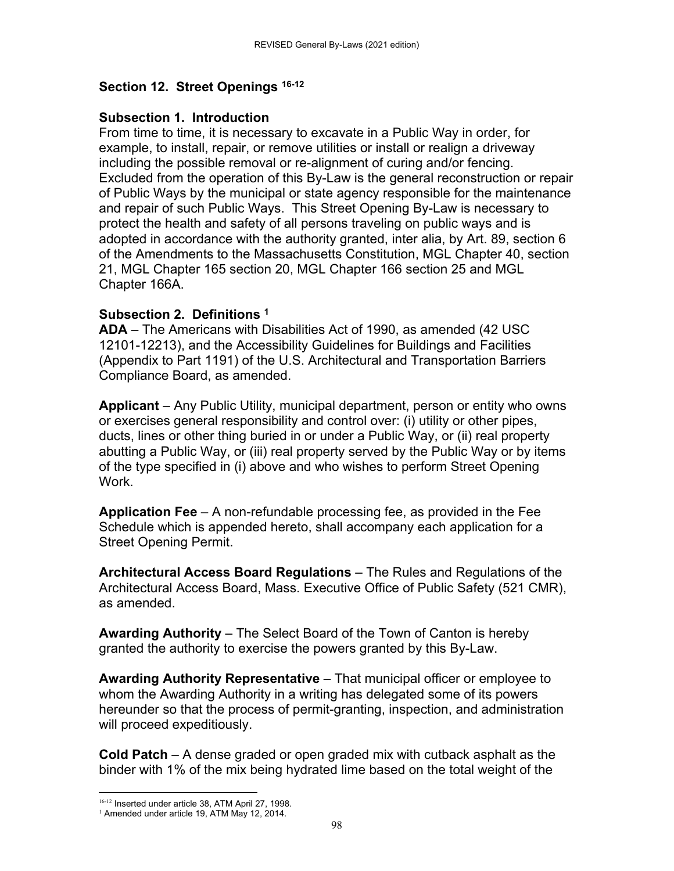### **Section 12. Street Openings 16-12**

#### **Subsection 1. Introduction**

From time to time, it is necessary to excavate in a Public Way in order, for example, to install, repair, or remove utilities or install or realign a driveway including the possible removal or re-alignment of curing and/or fencing. Excluded from the operation of this By-Law is the general reconstruction or repair of Public Ways by the municipal or state agency responsible for the maintenance and repair of such Public Ways. This Street Opening By-Law is necessary to protect the health and safety of all persons traveling on public ways and is adopted in accordance with the authority granted, inter alia, by Art. 89, section 6 of the Amendments to the Massachusetts Constitution, MGL Chapter 40, section 21, MGL Chapter 165 section 20, MGL Chapter 166 section 25 and MGL Chapter 166A.

#### **Subsection 2. Definitions 1**

**ADA** – The Americans with Disabilities Act of 1990, as amended (42 USC 12101-12213), and the Accessibility Guidelines for Buildings and Facilities (Appendix to Part 1191) of the U.S. Architectural and Transportation Barriers Compliance Board, as amended.

**Applicant** – Any Public Utility, municipal department, person or entity who owns or exercises general responsibility and control over: (i) utility or other pipes, ducts, lines or other thing buried in or under a Public Way, or (ii) real property abutting a Public Way, or (iii) real property served by the Public Way or by items of the type specified in (i) above and who wishes to perform Street Opening Work.

**Application Fee** – A non-refundable processing fee, as provided in the Fee Schedule which is appended hereto, shall accompany each application for a Street Opening Permit.

**Architectural Access Board Regulations** – The Rules and Regulations of the Architectural Access Board, Mass. Executive Office of Public Safety (521 CMR), as amended.

**Awarding Authority** – The Select Board of the Town of Canton is hereby granted the authority to exercise the powers granted by this By-Law.

**Awarding Authority Representative** – That municipal officer or employee to whom the Awarding Authority in a writing has delegated some of its powers hereunder so that the process of permit-granting, inspection, and administration will proceed expeditiously.

**Cold Patch** – A dense graded or open graded mix with cutback asphalt as the binder with 1% of the mix being hydrated lime based on the total weight of the

 <sup>16-12</sup> Inserted under article 38, ATM April 27, 1998.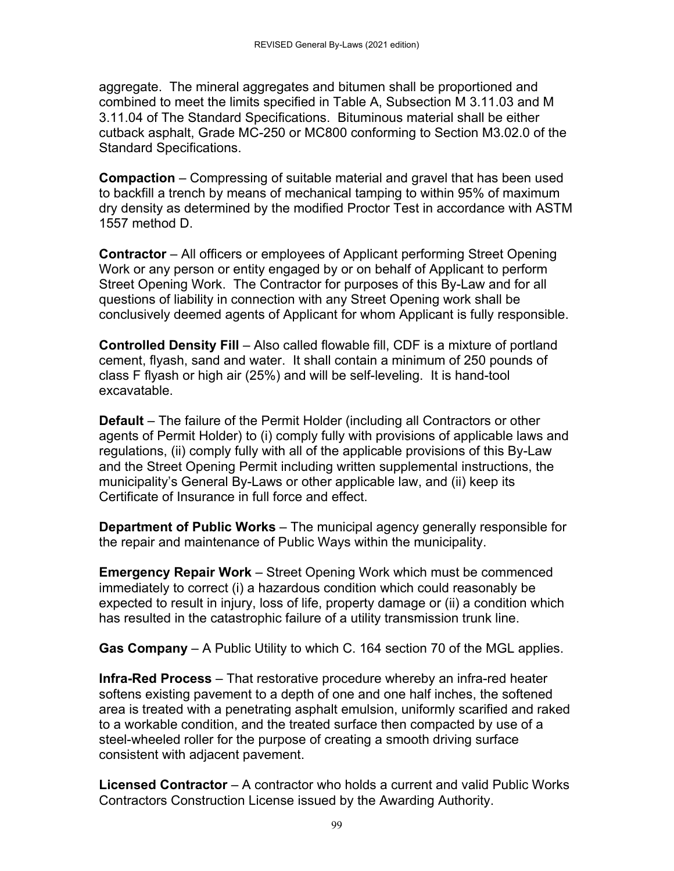aggregate. The mineral aggregates and bitumen shall be proportioned and combined to meet the limits specified in Table A, Subsection M 3.11.03 and M 3.11.04 of The Standard Specifications. Bituminous material shall be either cutback asphalt, Grade MC-250 or MC800 conforming to Section M3.02.0 of the Standard Specifications.

**Compaction** – Compressing of suitable material and gravel that has been used to backfill a trench by means of mechanical tamping to within 95% of maximum dry density as determined by the modified Proctor Test in accordance with ASTM 1557 method D.

**Contractor** – All officers or employees of Applicant performing Street Opening Work or any person or entity engaged by or on behalf of Applicant to perform Street Opening Work. The Contractor for purposes of this By-Law and for all questions of liability in connection with any Street Opening work shall be conclusively deemed agents of Applicant for whom Applicant is fully responsible.

**Controlled Density Fill** – Also called flowable fill, CDF is a mixture of portland cement, flyash, sand and water. It shall contain a minimum of 250 pounds of class F flyash or high air (25%) and will be self-leveling. It is hand-tool excavatable.

**Default** – The failure of the Permit Holder (including all Contractors or other agents of Permit Holder) to (i) comply fully with provisions of applicable laws and regulations, (ii) comply fully with all of the applicable provisions of this By-Law and the Street Opening Permit including written supplemental instructions, the municipality's General By-Laws or other applicable law, and (ii) keep its Certificate of Insurance in full force and effect.

**Department of Public Works** – The municipal agency generally responsible for the repair and maintenance of Public Ways within the municipality.

**Emergency Repair Work** – Street Opening Work which must be commenced immediately to correct (i) a hazardous condition which could reasonably be expected to result in injury, loss of life, property damage or (ii) a condition which has resulted in the catastrophic failure of a utility transmission trunk line.

**Gas Company** – A Public Utility to which C. 164 section 70 of the MGL applies.

**Infra-Red Process** – That restorative procedure whereby an infra-red heater softens existing pavement to a depth of one and one half inches, the softened area is treated with a penetrating asphalt emulsion, uniformly scarified and raked to a workable condition, and the treated surface then compacted by use of a steel-wheeled roller for the purpose of creating a smooth driving surface consistent with adjacent pavement.

**Licensed Contractor** – A contractor who holds a current and valid Public Works Contractors Construction License issued by the Awarding Authority.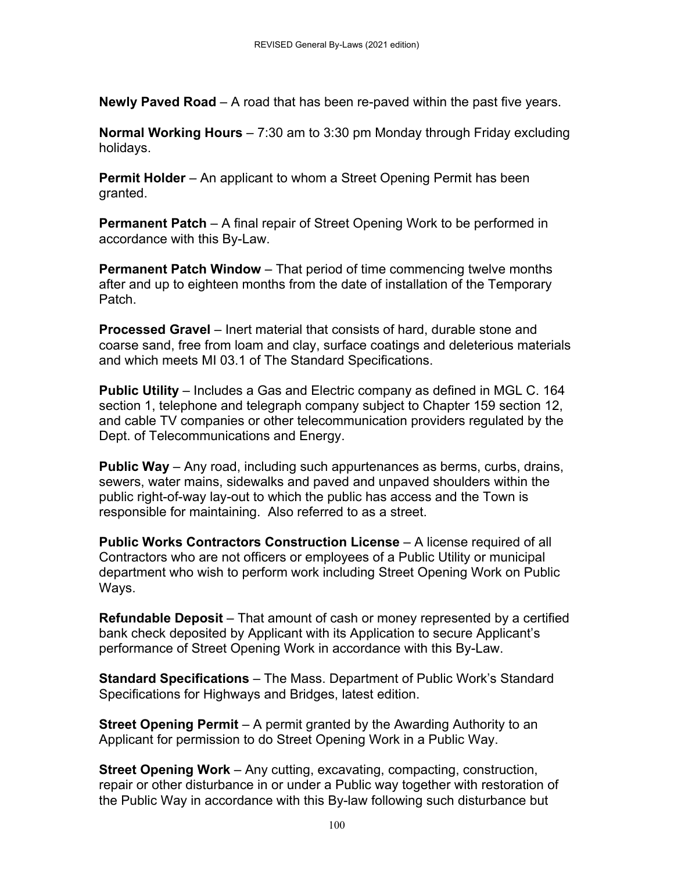**Newly Paved Road** – A road that has been re-paved within the past five years.

**Normal Working Hours** – 7:30 am to 3:30 pm Monday through Friday excluding holidays.

**Permit Holder** – An applicant to whom a Street Opening Permit has been granted.

**Permanent Patch** – A final repair of Street Opening Work to be performed in accordance with this By-Law.

**Permanent Patch Window** – That period of time commencing twelve months after and up to eighteen months from the date of installation of the Temporary Patch.

**Processed Gravel** – Inert material that consists of hard, durable stone and coarse sand, free from loam and clay, surface coatings and deleterious materials and which meets MI 03.1 of The Standard Specifications.

**Public Utility** – Includes a Gas and Electric company as defined in MGL C. 164 section 1, telephone and telegraph company subject to Chapter 159 section 12, and cable TV companies or other telecommunication providers regulated by the Dept. of Telecommunications and Energy.

**Public Way** – Any road, including such appurtenances as berms, curbs, drains, sewers, water mains, sidewalks and paved and unpaved shoulders within the public right-of-way lay-out to which the public has access and the Town is responsible for maintaining. Also referred to as a street.

**Public Works Contractors Construction License** – A license required of all Contractors who are not officers or employees of a Public Utility or municipal department who wish to perform work including Street Opening Work on Public Ways.

**Refundable Deposit** – That amount of cash or money represented by a certified bank check deposited by Applicant with its Application to secure Applicant's performance of Street Opening Work in accordance with this By-Law.

**Standard Specifications** – The Mass. Department of Public Work's Standard Specifications for Highways and Bridges, latest edition.

**Street Opening Permit** – A permit granted by the Awarding Authority to an Applicant for permission to do Street Opening Work in a Public Way.

**Street Opening Work** – Any cutting, excavating, compacting, construction, repair or other disturbance in or under a Public way together with restoration of the Public Way in accordance with this By-law following such disturbance but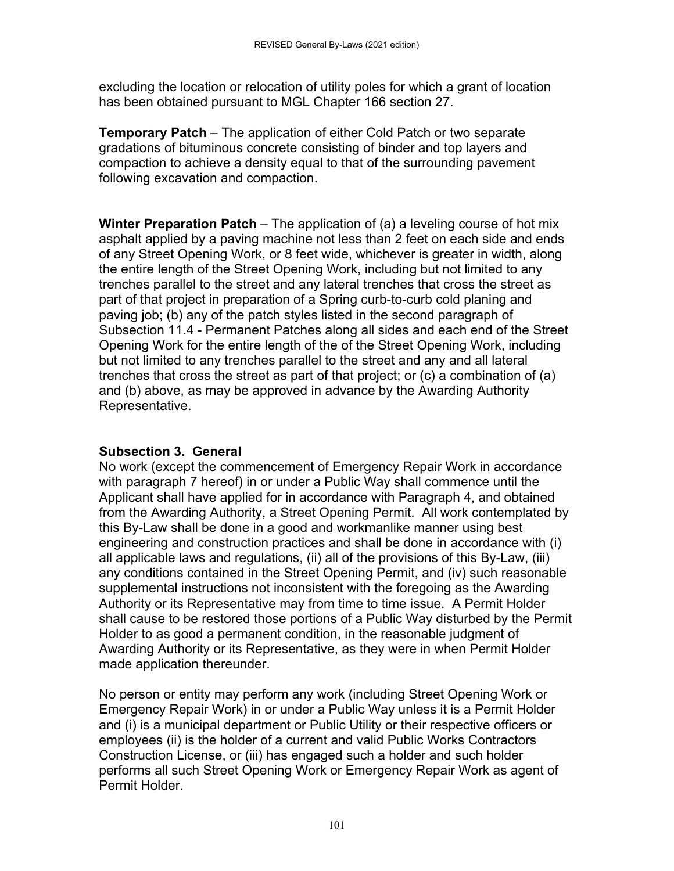excluding the location or relocation of utility poles for which a grant of location has been obtained pursuant to MGL Chapter 166 section 27.

**Temporary Patch** – The application of either Cold Patch or two separate gradations of bituminous concrete consisting of binder and top layers and compaction to achieve a density equal to that of the surrounding pavement following excavation and compaction.

**Winter Preparation Patch** – The application of (a) a leveling course of hot mix asphalt applied by a paving machine not less than 2 feet on each side and ends of any Street Opening Work, or 8 feet wide, whichever is greater in width, along the entire length of the Street Opening Work, including but not limited to any trenches parallel to the street and any lateral trenches that cross the street as part of that project in preparation of a Spring curb-to-curb cold planing and paving job; (b) any of the patch styles listed in the second paragraph of Subsection 11.4 - Permanent Patches along all sides and each end of the Street Opening Work for the entire length of the of the Street Opening Work, including but not limited to any trenches parallel to the street and any and all lateral trenches that cross the street as part of that project; or (c) a combination of (a) and (b) above, as may be approved in advance by the Awarding Authority Representative.

# **Subsection 3. General**

No work (except the commencement of Emergency Repair Work in accordance with paragraph 7 hereof) in or under a Public Way shall commence until the Applicant shall have applied for in accordance with Paragraph 4, and obtained from the Awarding Authority, a Street Opening Permit. All work contemplated by this By-Law shall be done in a good and workmanlike manner using best engineering and construction practices and shall be done in accordance with (i) all applicable laws and regulations, (ii) all of the provisions of this By-Law, (iii) any conditions contained in the Street Opening Permit, and (iv) such reasonable supplemental instructions not inconsistent with the foregoing as the Awarding Authority or its Representative may from time to time issue. A Permit Holder shall cause to be restored those portions of a Public Way disturbed by the Permit Holder to as good a permanent condition, in the reasonable judgment of Awarding Authority or its Representative, as they were in when Permit Holder made application thereunder.

No person or entity may perform any work (including Street Opening Work or Emergency Repair Work) in or under a Public Way unless it is a Permit Holder and (i) is a municipal department or Public Utility or their respective officers or employees (ii) is the holder of a current and valid Public Works Contractors Construction License, or (iii) has engaged such a holder and such holder performs all such Street Opening Work or Emergency Repair Work as agent of Permit Holder.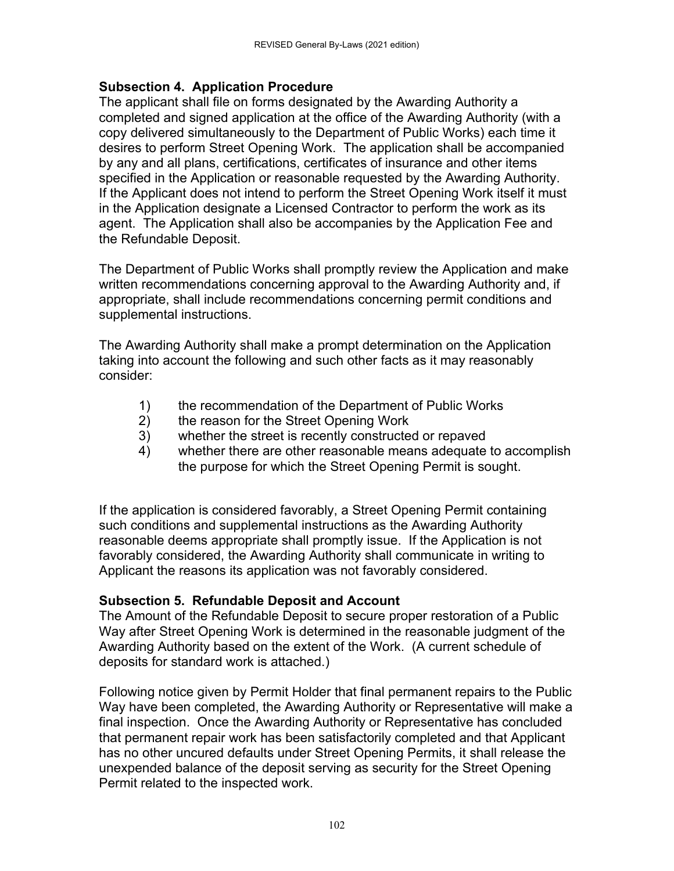# **Subsection 4. Application Procedure**

The applicant shall file on forms designated by the Awarding Authority a completed and signed application at the office of the Awarding Authority (with a copy delivered simultaneously to the Department of Public Works) each time it desires to perform Street Opening Work. The application shall be accompanied by any and all plans, certifications, certificates of insurance and other items specified in the Application or reasonable requested by the Awarding Authority. If the Applicant does not intend to perform the Street Opening Work itself it must in the Application designate a Licensed Contractor to perform the work as its agent. The Application shall also be accompanies by the Application Fee and the Refundable Deposit.

The Department of Public Works shall promptly review the Application and make written recommendations concerning approval to the Awarding Authority and, if appropriate, shall include recommendations concerning permit conditions and supplemental instructions.

The Awarding Authority shall make a prompt determination on the Application taking into account the following and such other facts as it may reasonably consider:

- 1) the recommendation of the Department of Public Works
- 2) the reason for the Street Opening Work
- 3) whether the street is recently constructed or repaved
- 4) whether there are other reasonable means adequate to accomplish the purpose for which the Street Opening Permit is sought.

If the application is considered favorably, a Street Opening Permit containing such conditions and supplemental instructions as the Awarding Authority reasonable deems appropriate shall promptly issue. If the Application is not favorably considered, the Awarding Authority shall communicate in writing to Applicant the reasons its application was not favorably considered.

# **Subsection 5. Refundable Deposit and Account**

The Amount of the Refundable Deposit to secure proper restoration of a Public Way after Street Opening Work is determined in the reasonable judgment of the Awarding Authority based on the extent of the Work. (A current schedule of deposits for standard work is attached.)

Following notice given by Permit Holder that final permanent repairs to the Public Way have been completed, the Awarding Authority or Representative will make a final inspection. Once the Awarding Authority or Representative has concluded that permanent repair work has been satisfactorily completed and that Applicant has no other uncured defaults under Street Opening Permits, it shall release the unexpended balance of the deposit serving as security for the Street Opening Permit related to the inspected work.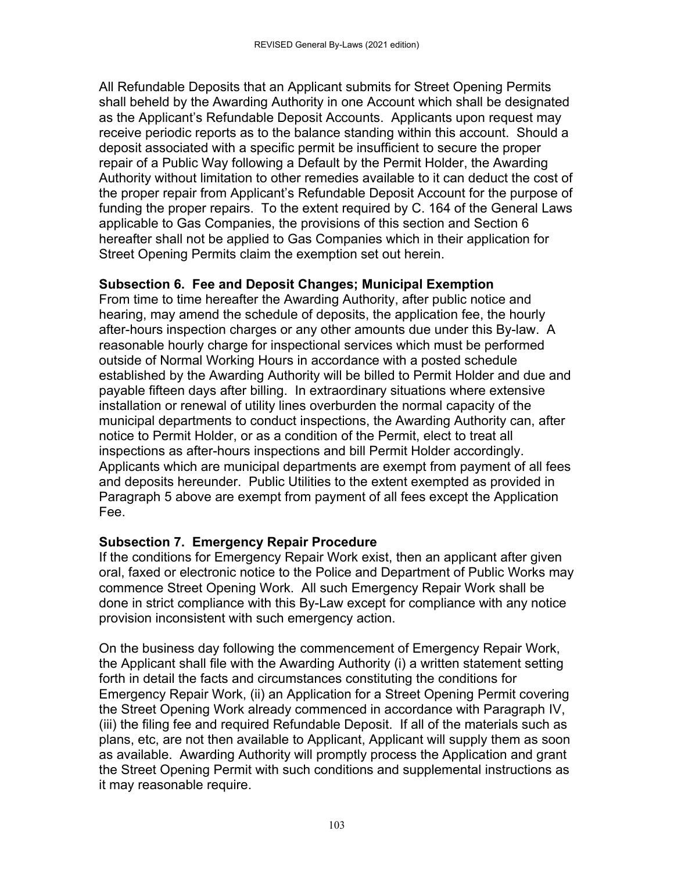All Refundable Deposits that an Applicant submits for Street Opening Permits shall beheld by the Awarding Authority in one Account which shall be designated as the Applicant's Refundable Deposit Accounts. Applicants upon request may receive periodic reports as to the balance standing within this account. Should a deposit associated with a specific permit be insufficient to secure the proper repair of a Public Way following a Default by the Permit Holder, the Awarding Authority without limitation to other remedies available to it can deduct the cost of the proper repair from Applicant's Refundable Deposit Account for the purpose of funding the proper repairs. To the extent required by C. 164 of the General Laws applicable to Gas Companies, the provisions of this section and Section 6 hereafter shall not be applied to Gas Companies which in their application for Street Opening Permits claim the exemption set out herein.

#### **Subsection 6. Fee and Deposit Changes; Municipal Exemption**

From time to time hereafter the Awarding Authority, after public notice and hearing, may amend the schedule of deposits, the application fee, the hourly after-hours inspection charges or any other amounts due under this By-law. A reasonable hourly charge for inspectional services which must be performed outside of Normal Working Hours in accordance with a posted schedule established by the Awarding Authority will be billed to Permit Holder and due and payable fifteen days after billing. In extraordinary situations where extensive installation or renewal of utility lines overburden the normal capacity of the municipal departments to conduct inspections, the Awarding Authority can, after notice to Permit Holder, or as a condition of the Permit, elect to treat all inspections as after-hours inspections and bill Permit Holder accordingly. Applicants which are municipal departments are exempt from payment of all fees and deposits hereunder. Public Utilities to the extent exempted as provided in Paragraph 5 above are exempt from payment of all fees except the Application Fee.

#### **Subsection 7. Emergency Repair Procedure**

If the conditions for Emergency Repair Work exist, then an applicant after given oral, faxed or electronic notice to the Police and Department of Public Works may commence Street Opening Work. All such Emergency Repair Work shall be done in strict compliance with this By-Law except for compliance with any notice provision inconsistent with such emergency action.

On the business day following the commencement of Emergency Repair Work, the Applicant shall file with the Awarding Authority (i) a written statement setting forth in detail the facts and circumstances constituting the conditions for Emergency Repair Work, (ii) an Application for a Street Opening Permit covering the Street Opening Work already commenced in accordance with Paragraph IV, (iii) the filing fee and required Refundable Deposit. If all of the materials such as plans, etc, are not then available to Applicant, Applicant will supply them as soon as available. Awarding Authority will promptly process the Application and grant the Street Opening Permit with such conditions and supplemental instructions as it may reasonable require.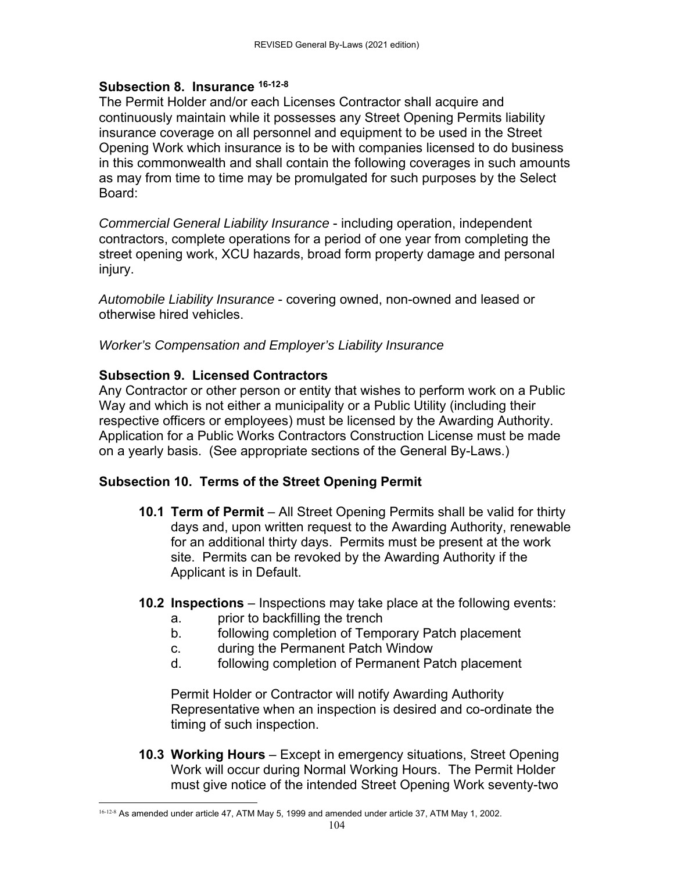#### **Subsection 8. Insurance 16-12-8**

The Permit Holder and/or each Licenses Contractor shall acquire and continuously maintain while it possesses any Street Opening Permits liability insurance coverage on all personnel and equipment to be used in the Street Opening Work which insurance is to be with companies licensed to do business in this commonwealth and shall contain the following coverages in such amounts as may from time to time may be promulgated for such purposes by the Select Board:

*Commercial General Liability Insurance* - including operation, independent contractors, complete operations for a period of one year from completing the street opening work, XCU hazards, broad form property damage and personal injury.

*Automobile Liability Insurance* - covering owned, non-owned and leased or otherwise hired vehicles.

*Worker's Compensation and Employer's Liability Insurance* 

#### **Subsection 9. Licensed Contractors**

Any Contractor or other person or entity that wishes to perform work on a Public Way and which is not either a municipality or a Public Utility (including their respective officers or employees) must be licensed by the Awarding Authority. Application for a Public Works Contractors Construction License must be made on a yearly basis. (See appropriate sections of the General By-Laws.)

# **Subsection 10. Terms of the Street Opening Permit**

- **10.1 Term of Permit** All Street Opening Permits shall be valid for thirty days and, upon written request to the Awarding Authority, renewable for an additional thirty days. Permits must be present at the work site. Permits can be revoked by the Awarding Authority if the Applicant is in Default.
- **10.2 Inspections** Inspections may take place at the following events:
	- a. prior to backfilling the trench
	- b. following completion of Temporary Patch placement
	- c. during the Permanent Patch Window
	- d. following completion of Permanent Patch placement

Permit Holder or Contractor will notify Awarding Authority Representative when an inspection is desired and co-ordinate the timing of such inspection.

**10.3 Working Hours** – Except in emergency situations, Street Opening Work will occur during Normal Working Hours. The Permit Holder must give notice of the intended Street Opening Work seventy-two

 16-12-8 As amended under article 47, ATM May 5, 1999 and amended under article 37, ATM May 1, 2002.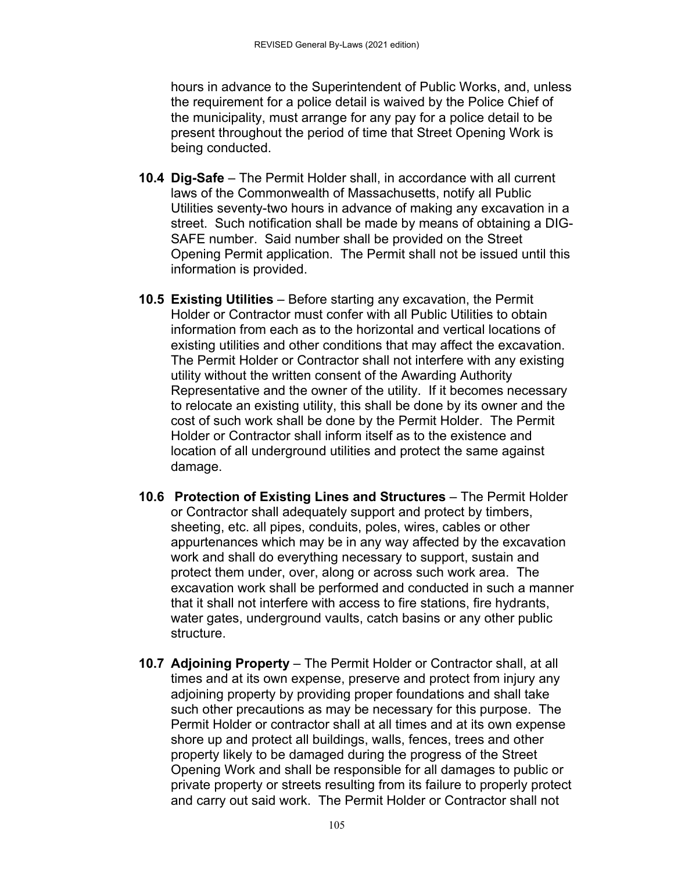hours in advance to the Superintendent of Public Works, and, unless the requirement for a police detail is waived by the Police Chief of the municipality, must arrange for any pay for a police detail to be present throughout the period of time that Street Opening Work is being conducted.

- **10.4 Dig-Safe** The Permit Holder shall, in accordance with all current laws of the Commonwealth of Massachusetts, notify all Public Utilities seventy-two hours in advance of making any excavation in a street. Such notification shall be made by means of obtaining a DIG-SAFE number. Said number shall be provided on the Street Opening Permit application. The Permit shall not be issued until this information is provided.
- **10.5 Existing Utilities** Before starting any excavation, the Permit Holder or Contractor must confer with all Public Utilities to obtain information from each as to the horizontal and vertical locations of existing utilities and other conditions that may affect the excavation. The Permit Holder or Contractor shall not interfere with any existing utility without the written consent of the Awarding Authority Representative and the owner of the utility. If it becomes necessary to relocate an existing utility, this shall be done by its owner and the cost of such work shall be done by the Permit Holder. The Permit Holder or Contractor shall inform itself as to the existence and location of all underground utilities and protect the same against damage.
- **10.6 Protection of Existing Lines and Structures** The Permit Holder or Contractor shall adequately support and protect by timbers, sheeting, etc. all pipes, conduits, poles, wires, cables or other appurtenances which may be in any way affected by the excavation work and shall do everything necessary to support, sustain and protect them under, over, along or across such work area. The excavation work shall be performed and conducted in such a manner that it shall not interfere with access to fire stations, fire hydrants, water gates, underground vaults, catch basins or any other public structure.
- **10.7 Adjoining Property** The Permit Holder or Contractor shall, at all times and at its own expense, preserve and protect from injury any adjoining property by providing proper foundations and shall take such other precautions as may be necessary for this purpose. The Permit Holder or contractor shall at all times and at its own expense shore up and protect all buildings, walls, fences, trees and other property likely to be damaged during the progress of the Street Opening Work and shall be responsible for all damages to public or private property or streets resulting from its failure to properly protect and carry out said work. The Permit Holder or Contractor shall not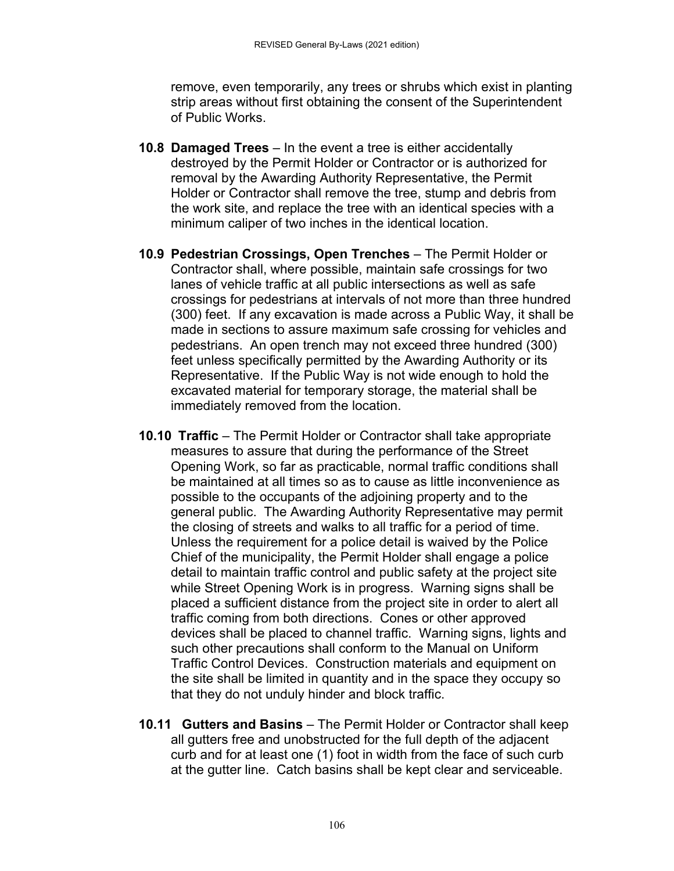remove, even temporarily, any trees or shrubs which exist in planting strip areas without first obtaining the consent of the Superintendent of Public Works.

- **10.8 Damaged Trees** In the event a tree is either accidentally destroyed by the Permit Holder or Contractor or is authorized for removal by the Awarding Authority Representative, the Permit Holder or Contractor shall remove the tree, stump and debris from the work site, and replace the tree with an identical species with a minimum caliper of two inches in the identical location.
- **10.9 Pedestrian Crossings, Open Trenches** The Permit Holder or Contractor shall, where possible, maintain safe crossings for two lanes of vehicle traffic at all public intersections as well as safe crossings for pedestrians at intervals of not more than three hundred (300) feet. If any excavation is made across a Public Way, it shall be made in sections to assure maximum safe crossing for vehicles and pedestrians. An open trench may not exceed three hundred (300) feet unless specifically permitted by the Awarding Authority or its Representative. If the Public Way is not wide enough to hold the excavated material for temporary storage, the material shall be immediately removed from the location.
- **10.10 Traffic** The Permit Holder or Contractor shall take appropriate measures to assure that during the performance of the Street Opening Work, so far as practicable, normal traffic conditions shall be maintained at all times so as to cause as little inconvenience as possible to the occupants of the adjoining property and to the general public. The Awarding Authority Representative may permit the closing of streets and walks to all traffic for a period of time. Unless the requirement for a police detail is waived by the Police Chief of the municipality, the Permit Holder shall engage a police detail to maintain traffic control and public safety at the project site while Street Opening Work is in progress. Warning signs shall be placed a sufficient distance from the project site in order to alert all traffic coming from both directions. Cones or other approved devices shall be placed to channel traffic. Warning signs, lights and such other precautions shall conform to the Manual on Uniform Traffic Control Devices. Construction materials and equipment on the site shall be limited in quantity and in the space they occupy so that they do not unduly hinder and block traffic.
- **10.11 Gutters and Basins** The Permit Holder or Contractor shall keep all gutters free and unobstructed for the full depth of the adjacent curb and for at least one (1) foot in width from the face of such curb at the gutter line. Catch basins shall be kept clear and serviceable.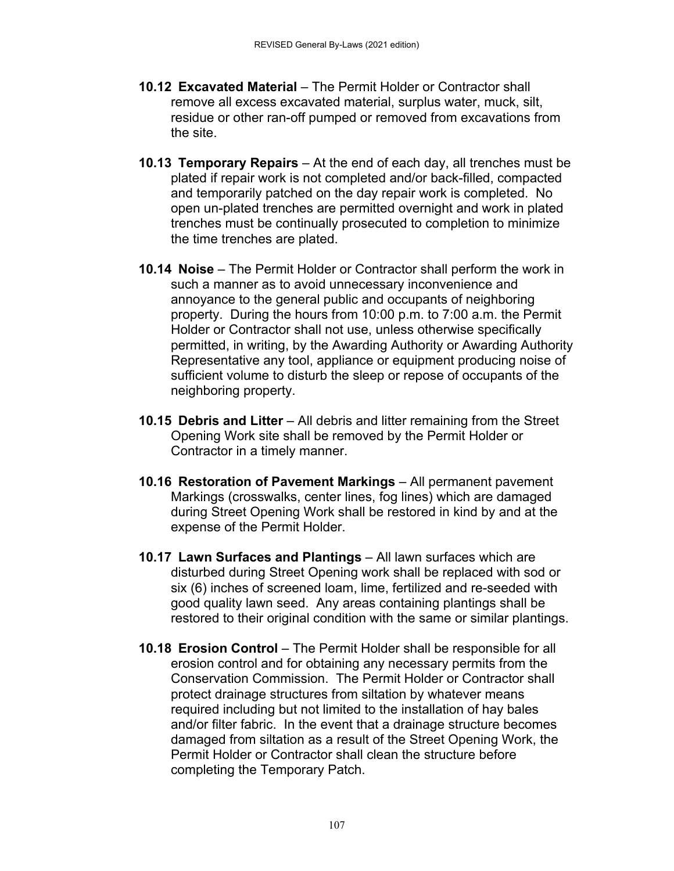- **10.12 Excavated Material** The Permit Holder or Contractor shall remove all excess excavated material, surplus water, muck, silt, residue or other ran-off pumped or removed from excavations from the site.
- **10.13 Temporary Repairs** At the end of each day, all trenches must be plated if repair work is not completed and/or back-filled, compacted and temporarily patched on the day repair work is completed. No open un-plated trenches are permitted overnight and work in plated trenches must be continually prosecuted to completion to minimize the time trenches are plated.
- **10.14 Noise** The Permit Holder or Contractor shall perform the work in such a manner as to avoid unnecessary inconvenience and annoyance to the general public and occupants of neighboring property. During the hours from 10:00 p.m. to 7:00 a.m. the Permit Holder or Contractor shall not use, unless otherwise specifically permitted, in writing, by the Awarding Authority or Awarding Authority Representative any tool, appliance or equipment producing noise of sufficient volume to disturb the sleep or repose of occupants of the neighboring property.
- **10.15 Debris and Litter** All debris and litter remaining from the Street Opening Work site shall be removed by the Permit Holder or Contractor in a timely manner.
- **10.16 Restoration of Pavement Markings** All permanent pavement Markings (crosswalks, center lines, fog lines) which are damaged during Street Opening Work shall be restored in kind by and at the expense of the Permit Holder.
- **10.17 Lawn Surfaces and Plantings** All lawn surfaces which are disturbed during Street Opening work shall be replaced with sod or six (6) inches of screened loam, lime, fertilized and re-seeded with good quality lawn seed. Any areas containing plantings shall be restored to their original condition with the same or similar plantings.
- **10.18 Erosion Control** The Permit Holder shall be responsible for all erosion control and for obtaining any necessary permits from the Conservation Commission. The Permit Holder or Contractor shall protect drainage structures from siltation by whatever means required including but not limited to the installation of hay bales and/or filter fabric. In the event that a drainage structure becomes damaged from siltation as a result of the Street Opening Work, the Permit Holder or Contractor shall clean the structure before completing the Temporary Patch.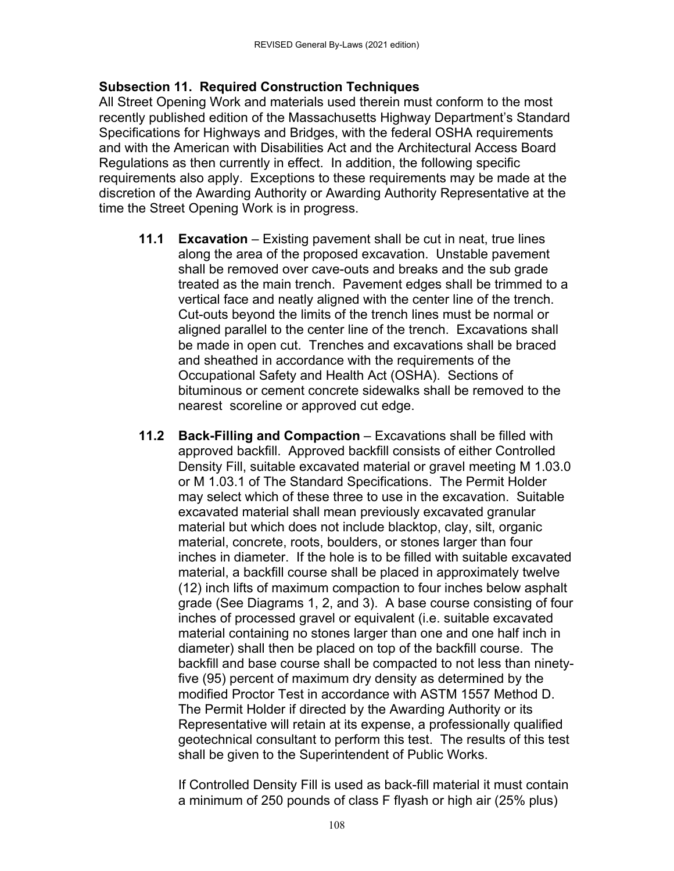#### **Subsection 11. Required Construction Techniques**

All Street Opening Work and materials used therein must conform to the most recently published edition of the Massachusetts Highway Department's Standard Specifications for Highways and Bridges, with the federal OSHA requirements and with the American with Disabilities Act and the Architectural Access Board Regulations as then currently in effect. In addition, the following specific requirements also apply. Exceptions to these requirements may be made at the discretion of the Awarding Authority or Awarding Authority Representative at the time the Street Opening Work is in progress.

- **11.1 Excavation** Existing pavement shall be cut in neat, true lines along the area of the proposed excavation. Unstable pavement shall be removed over cave-outs and breaks and the sub grade treated as the main trench. Pavement edges shall be trimmed to a vertical face and neatly aligned with the center line of the trench. Cut-outs beyond the limits of the trench lines must be normal or aligned parallel to the center line of the trench. Excavations shall be made in open cut. Trenches and excavations shall be braced and sheathed in accordance with the requirements of the Occupational Safety and Health Act (OSHA). Sections of bituminous or cement concrete sidewalks shall be removed to the nearest scoreline or approved cut edge.
- **11.2 Back-Filling and Compaction** Excavations shall be filled with approved backfill. Approved backfill consists of either Controlled Density Fill, suitable excavated material or gravel meeting M 1.03.0 or M 1.03.1 of The Standard Specifications. The Permit Holder may select which of these three to use in the excavation. Suitable excavated material shall mean previously excavated granular material but which does not include blacktop, clay, silt, organic material, concrete, roots, boulders, or stones larger than four inches in diameter. If the hole is to be filled with suitable excavated material, a backfill course shall be placed in approximately twelve (12) inch lifts of maximum compaction to four inches below asphalt grade (See Diagrams 1, 2, and 3). A base course consisting of four inches of processed gravel or equivalent (i.e. suitable excavated material containing no stones larger than one and one half inch in diameter) shall then be placed on top of the backfill course. The backfill and base course shall be compacted to not less than ninetyfive (95) percent of maximum dry density as determined by the modified Proctor Test in accordance with ASTM 1557 Method D. The Permit Holder if directed by the Awarding Authority or its Representative will retain at its expense, a professionally qualified geotechnical consultant to perform this test. The results of this test shall be given to the Superintendent of Public Works.

If Controlled Density Fill is used as back-fill material it must contain a minimum of 250 pounds of class F flyash or high air (25% plus)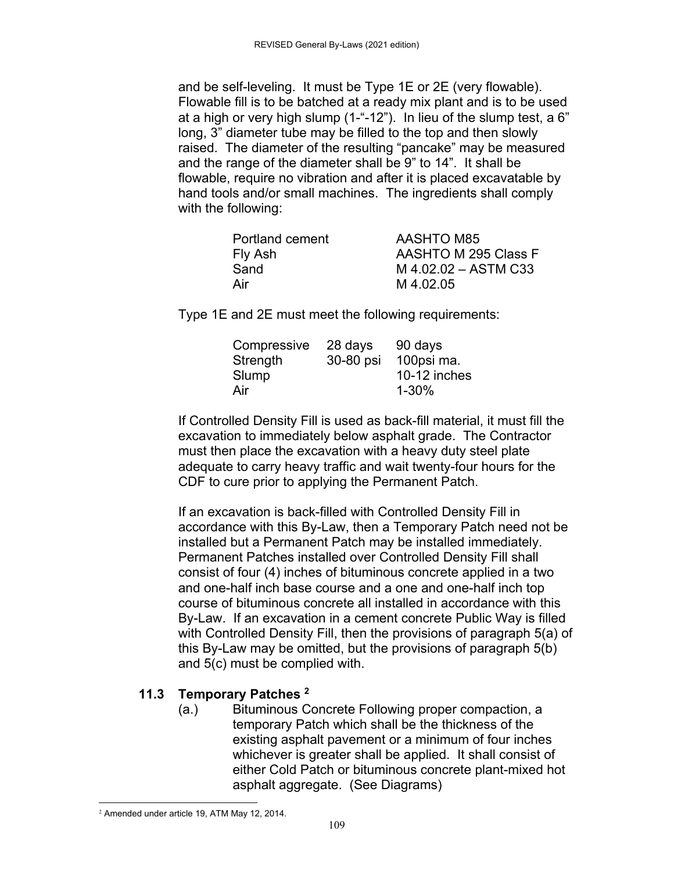and be self-leveling. It must be Type 1E or 2E (very flowable). Flowable fill is to be batched at a ready mix plant and is to be used at a high or very high slump (1-"-12"). In lieu of the slump test, a 6" long, 3" diameter tube may be filled to the top and then slowly raised. The diameter of the resulting "pancake" may be measured and the range of the diameter shall be 9" to 14". It shall be flowable, require no vibration and after it is placed excavatable by hand tools and/or small machines. The ingredients shall comply with the following:

| Portland cement | <b>AASHTO M85</b>    |
|-----------------|----------------------|
| Fly Ash         | AASHTO M 295 Class F |
| Sand            | M 4.02.02 - ASTM C33 |
| Air             | M 4.02.05            |
|                 |                      |

Type 1E and 2E must meet the following requirements:

| Compressive | 28 days   | 90 days      |
|-------------|-----------|--------------|
| Strength    | 30-80 psi | 100psi ma.   |
| Slump       |           | 10-12 inches |
| Air         |           | $1 - 30%$    |

If Controlled Density Fill is used as back-fill material, it must fill the excavation to immediately below asphalt grade. The Contractor must then place the excavation with a heavy duty steel plate adequate to carry heavy traffic and wait twenty-four hours for the CDF to cure prior to applying the Permanent Patch.

If an excavation is back-filled with Controlled Density Fill in accordance with this By-Law, then a Temporary Patch need not be installed but a Permanent Patch may be installed immediately. Permanent Patches installed over Controlled Density Fill shall consist of four (4) inches of bituminous concrete applied in a two and one-half inch base course and a one and one-half inch top course of bituminous concrete all installed in accordance with this By-Law. If an excavation in a cement concrete Public Way is filled with Controlled Density Fill, then the provisions of paragraph 5(a) of this By-Law may be omitted, but the provisions of paragraph 5(b) and 5(c) must be complied with.

### **11.3 Temporary Patches 2**

(a.) Bituminous Concrete Following proper compaction, a temporary Patch which shall be the thickness of the existing asphalt pavement or a minimum of four inches whichever is greater shall be applied. It shall consist of either Cold Patch or bituminous concrete plant-mixed hot asphalt aggregate. (See Diagrams)

 2 Amended under article 19, ATM May 12, 2014.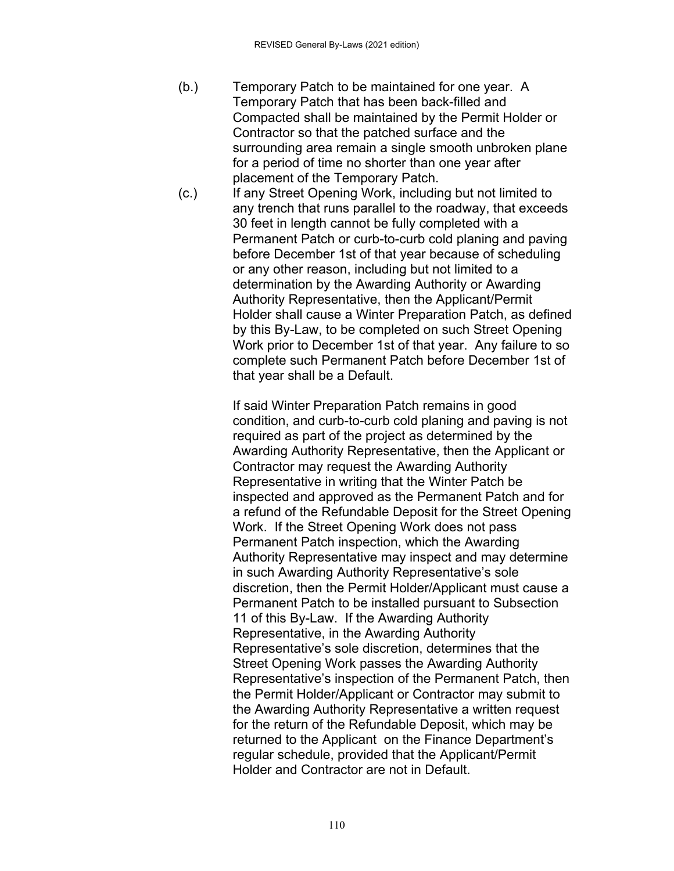- (b.) Temporary Patch to be maintained for one year. A Temporary Patch that has been back-filled and Compacted shall be maintained by the Permit Holder or Contractor so that the patched surface and the surrounding area remain a single smooth unbroken plane for a period of time no shorter than one year after placement of the Temporary Patch.
- (c.) If any Street Opening Work, including but not limited to any trench that runs parallel to the roadway, that exceeds 30 feet in length cannot be fully completed with a Permanent Patch or curb-to-curb cold planing and paving before December 1st of that year because of scheduling or any other reason, including but not limited to a determination by the Awarding Authority or Awarding Authority Representative, then the Applicant/Permit Holder shall cause a Winter Preparation Patch, as defined by this By-Law, to be completed on such Street Opening Work prior to December 1st of that year. Any failure to so complete such Permanent Patch before December 1st of that year shall be a Default.

If said Winter Preparation Patch remains in good condition, and curb-to-curb cold planing and paving is not required as part of the project as determined by the Awarding Authority Representative, then the Applicant or Contractor may request the Awarding Authority Representative in writing that the Winter Patch be inspected and approved as the Permanent Patch and for a refund of the Refundable Deposit for the Street Opening Work. If the Street Opening Work does not pass Permanent Patch inspection, which the Awarding Authority Representative may inspect and may determine in such Awarding Authority Representative's sole discretion, then the Permit Holder/Applicant must cause a Permanent Patch to be installed pursuant to Subsection 11 of this By-Law. If the Awarding Authority Representative, in the Awarding Authority Representative's sole discretion, determines that the Street Opening Work passes the Awarding Authority Representative's inspection of the Permanent Patch, then the Permit Holder/Applicant or Contractor may submit to the Awarding Authority Representative a written request for the return of the Refundable Deposit, which may be returned to the Applicant on the Finance Department's regular schedule, provided that the Applicant/Permit Holder and Contractor are not in Default.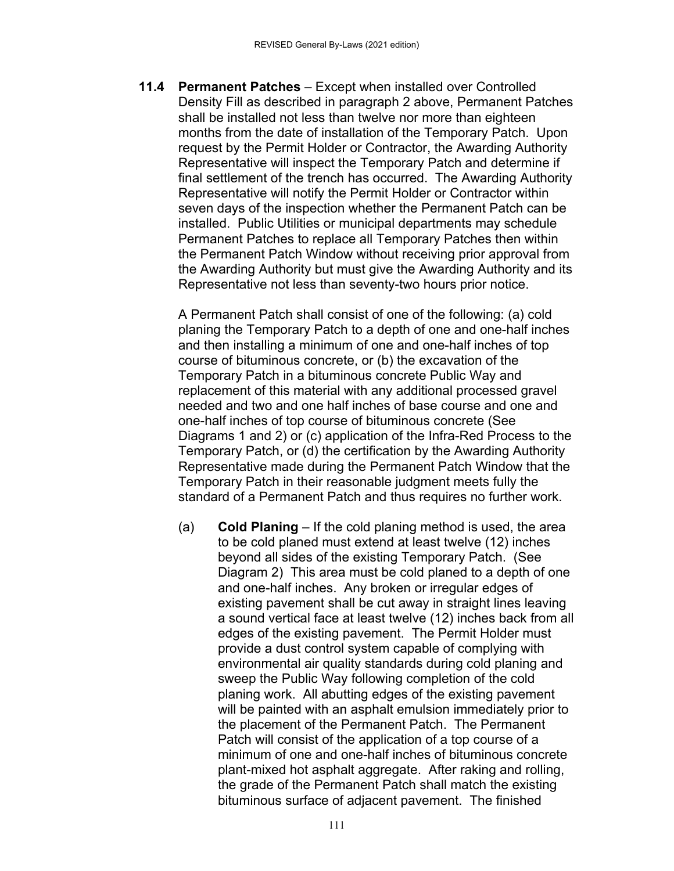**11.4 Permanent Patches** – Except when installed over Controlled Density Fill as described in paragraph 2 above, Permanent Patches shall be installed not less than twelve nor more than eighteen months from the date of installation of the Temporary Patch. Upon request by the Permit Holder or Contractor, the Awarding Authority Representative will inspect the Temporary Patch and determine if final settlement of the trench has occurred. The Awarding Authority Representative will notify the Permit Holder or Contractor within seven days of the inspection whether the Permanent Patch can be installed. Public Utilities or municipal departments may schedule Permanent Patches to replace all Temporary Patches then within the Permanent Patch Window without receiving prior approval from the Awarding Authority but must give the Awarding Authority and its Representative not less than seventy-two hours prior notice.

A Permanent Patch shall consist of one of the following: (a) cold planing the Temporary Patch to a depth of one and one-half inches and then installing a minimum of one and one-half inches of top course of bituminous concrete, or (b) the excavation of the Temporary Patch in a bituminous concrete Public Way and replacement of this material with any additional processed gravel needed and two and one half inches of base course and one and one-half inches of top course of bituminous concrete (See Diagrams 1 and 2) or (c) application of the Infra-Red Process to the Temporary Patch, or (d) the certification by the Awarding Authority Representative made during the Permanent Patch Window that the Temporary Patch in their reasonable judgment meets fully the standard of a Permanent Patch and thus requires no further work.

(a) **Cold Planing** – If the cold planing method is used, the area to be cold planed must extend at least twelve (12) inches beyond all sides of the existing Temporary Patch. (See Diagram 2) This area must be cold planed to a depth of one and one-half inches. Any broken or irregular edges of existing pavement shall be cut away in straight lines leaving a sound vertical face at least twelve (12) inches back from all edges of the existing pavement. The Permit Holder must provide a dust control system capable of complying with environmental air quality standards during cold planing and sweep the Public Way following completion of the cold planing work. All abutting edges of the existing pavement will be painted with an asphalt emulsion immediately prior to the placement of the Permanent Patch. The Permanent Patch will consist of the application of a top course of a minimum of one and one-half inches of bituminous concrete plant-mixed hot asphalt aggregate. After raking and rolling, the grade of the Permanent Patch shall match the existing bituminous surface of adjacent pavement. The finished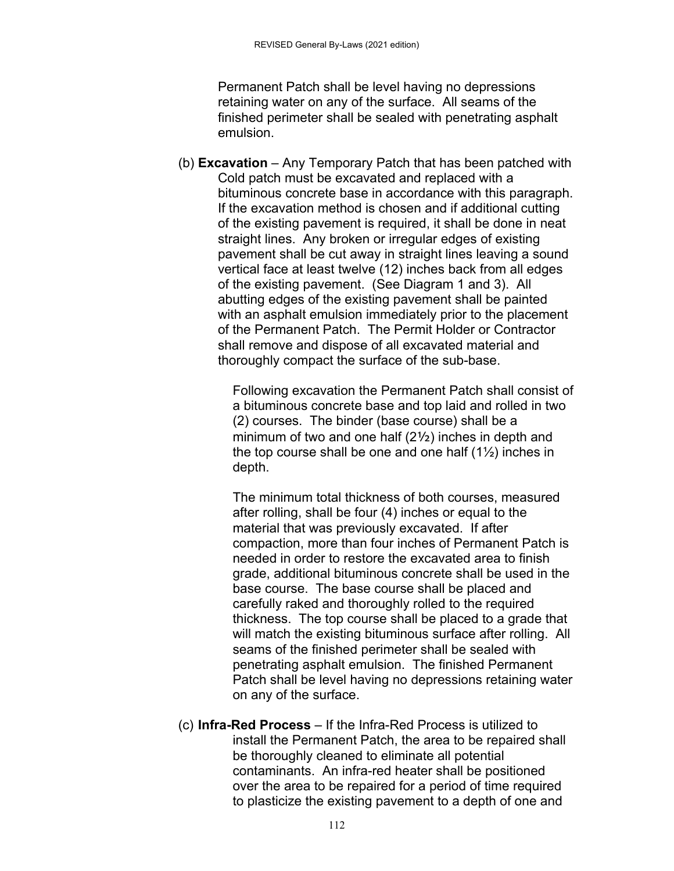Permanent Patch shall be level having no depressions retaining water on any of the surface. All seams of the finished perimeter shall be sealed with penetrating asphalt emulsion.

(b) **Excavation** – Any Temporary Patch that has been patched with Cold patch must be excavated and replaced with a bituminous concrete base in accordance with this paragraph. If the excavation method is chosen and if additional cutting of the existing pavement is required, it shall be done in neat straight lines. Any broken or irregular edges of existing pavement shall be cut away in straight lines leaving a sound vertical face at least twelve (12) inches back from all edges of the existing pavement. (See Diagram 1 and 3). All abutting edges of the existing pavement shall be painted with an asphalt emulsion immediately prior to the placement of the Permanent Patch. The Permit Holder or Contractor shall remove and dispose of all excavated material and thoroughly compact the surface of the sub-base.

> Following excavation the Permanent Patch shall consist of a bituminous concrete base and top laid and rolled in two (2) courses. The binder (base course) shall be a minimum of two and one half (2½) inches in depth and the top course shall be one and one half  $(1\frac{1}{2})$  inches in depth.

> The minimum total thickness of both courses, measured after rolling, shall be four (4) inches or equal to the material that was previously excavated. If after compaction, more than four inches of Permanent Patch is needed in order to restore the excavated area to finish grade, additional bituminous concrete shall be used in the base course. The base course shall be placed and carefully raked and thoroughly rolled to the required thickness. The top course shall be placed to a grade that will match the existing bituminous surface after rolling. All seams of the finished perimeter shall be sealed with penetrating asphalt emulsion. The finished Permanent Patch shall be level having no depressions retaining water on any of the surface.

(c) **Infra-Red Process** – If the Infra-Red Process is utilized to install the Permanent Patch, the area to be repaired shall be thoroughly cleaned to eliminate all potential contaminants. An infra-red heater shall be positioned over the area to be repaired for a period of time required to plasticize the existing pavement to a depth of one and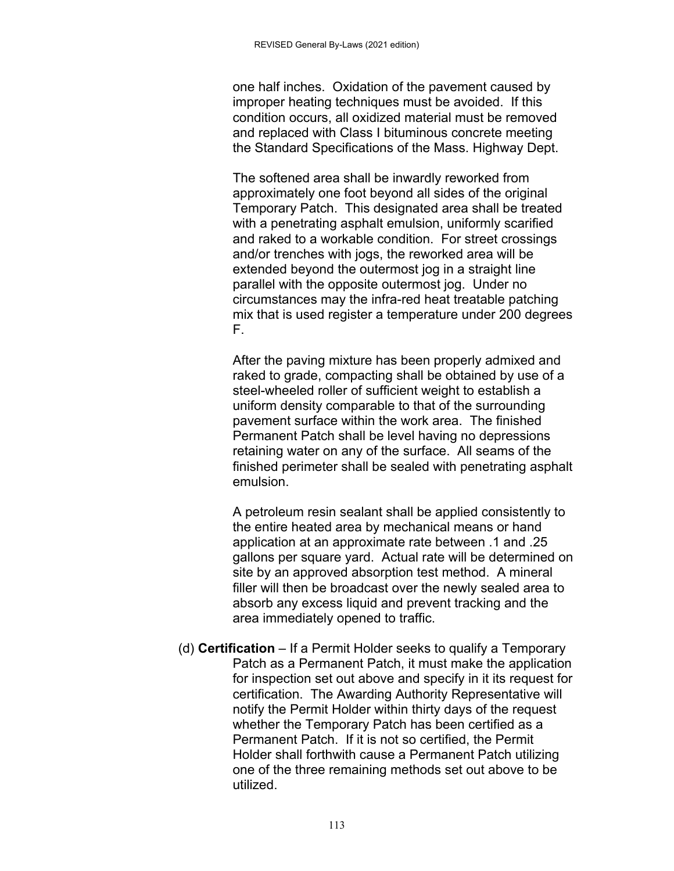one half inches. Oxidation of the pavement caused by improper heating techniques must be avoided. If this condition occurs, all oxidized material must be removed and replaced with Class I bituminous concrete meeting the Standard Specifications of the Mass. Highway Dept.

The softened area shall be inwardly reworked from approximately one foot beyond all sides of the original Temporary Patch. This designated area shall be treated with a penetrating asphalt emulsion, uniformly scarified and raked to a workable condition. For street crossings and/or trenches with jogs, the reworked area will be extended beyond the outermost jog in a straight line parallel with the opposite outermost jog. Under no circumstances may the infra-red heat treatable patching mix that is used register a temperature under 200 degrees F.

After the paving mixture has been properly admixed and raked to grade, compacting shall be obtained by use of a steel-wheeled roller of sufficient weight to establish a uniform density comparable to that of the surrounding pavement surface within the work area. The finished Permanent Patch shall be level having no depressions retaining water on any of the surface. All seams of the finished perimeter shall be sealed with penetrating asphalt emulsion.

A petroleum resin sealant shall be applied consistently to the entire heated area by mechanical means or hand application at an approximate rate between .1 and .25 gallons per square yard. Actual rate will be determined on site by an approved absorption test method. A mineral filler will then be broadcast over the newly sealed area to absorb any excess liquid and prevent tracking and the area immediately opened to traffic.

(d) **Certification** – If a Permit Holder seeks to qualify a Temporary Patch as a Permanent Patch, it must make the application for inspection set out above and specify in it its request for certification. The Awarding Authority Representative will notify the Permit Holder within thirty days of the request whether the Temporary Patch has been certified as a Permanent Patch. If it is not so certified, the Permit Holder shall forthwith cause a Permanent Patch utilizing one of the three remaining methods set out above to be utilized.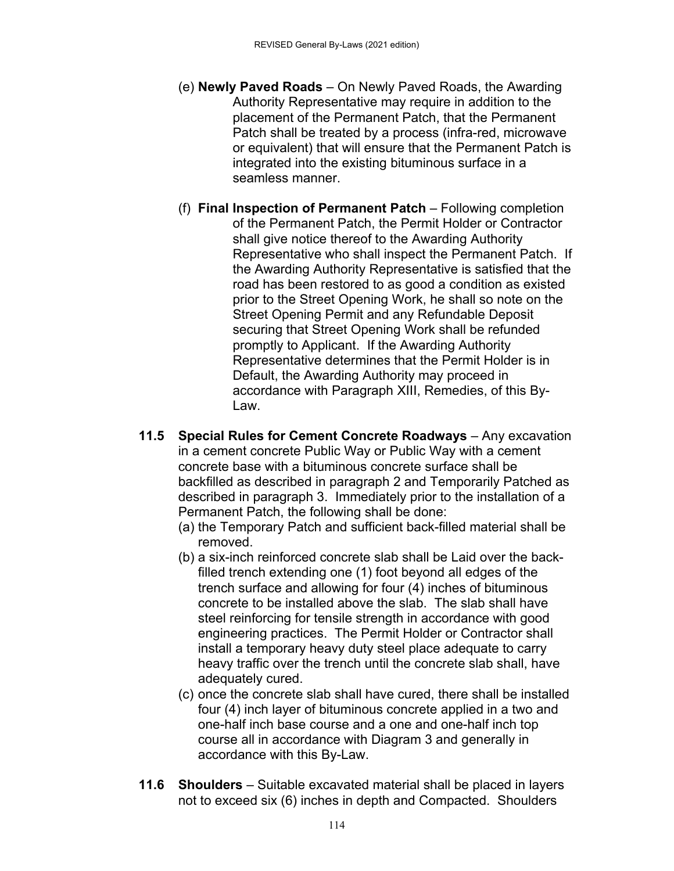- (e) **Newly Paved Roads** On Newly Paved Roads, the Awarding Authority Representative may require in addition to the placement of the Permanent Patch, that the Permanent Patch shall be treated by a process (infra-red, microwave or equivalent) that will ensure that the Permanent Patch is integrated into the existing bituminous surface in a seamless manner.
- (f) **Final Inspection of Permanent Patch** Following completion of the Permanent Patch, the Permit Holder or Contractor shall give notice thereof to the Awarding Authority Representative who shall inspect the Permanent Patch. If the Awarding Authority Representative is satisfied that the road has been restored to as good a condition as existed prior to the Street Opening Work, he shall so note on the Street Opening Permit and any Refundable Deposit securing that Street Opening Work shall be refunded promptly to Applicant. If the Awarding Authority Representative determines that the Permit Holder is in Default, the Awarding Authority may proceed in accordance with Paragraph XIII, Remedies, of this By-Law.
- **11.5 Special Rules for Cement Concrete Roadways** Any excavation in a cement concrete Public Way or Public Way with a cement concrete base with a bituminous concrete surface shall be backfilled as described in paragraph 2 and Temporarily Patched as described in paragraph 3. Immediately prior to the installation of a Permanent Patch, the following shall be done:
	- (a) the Temporary Patch and sufficient back-filled material shall be removed.
	- (b) a six-inch reinforced concrete slab shall be Laid over the backfilled trench extending one (1) foot beyond all edges of the trench surface and allowing for four (4) inches of bituminous concrete to be installed above the slab. The slab shall have steel reinforcing for tensile strength in accordance with good engineering practices. The Permit Holder or Contractor shall install a temporary heavy duty steel place adequate to carry heavy traffic over the trench until the concrete slab shall, have adequately cured.
	- (c) once the concrete slab shall have cured, there shall be installed four (4) inch layer of bituminous concrete applied in a two and one-half inch base course and a one and one-half inch top course all in accordance with Diagram 3 and generally in accordance with this By-Law.
- **11.6 Shoulders** Suitable excavated material shall be placed in layers not to exceed six (6) inches in depth and Compacted. Shoulders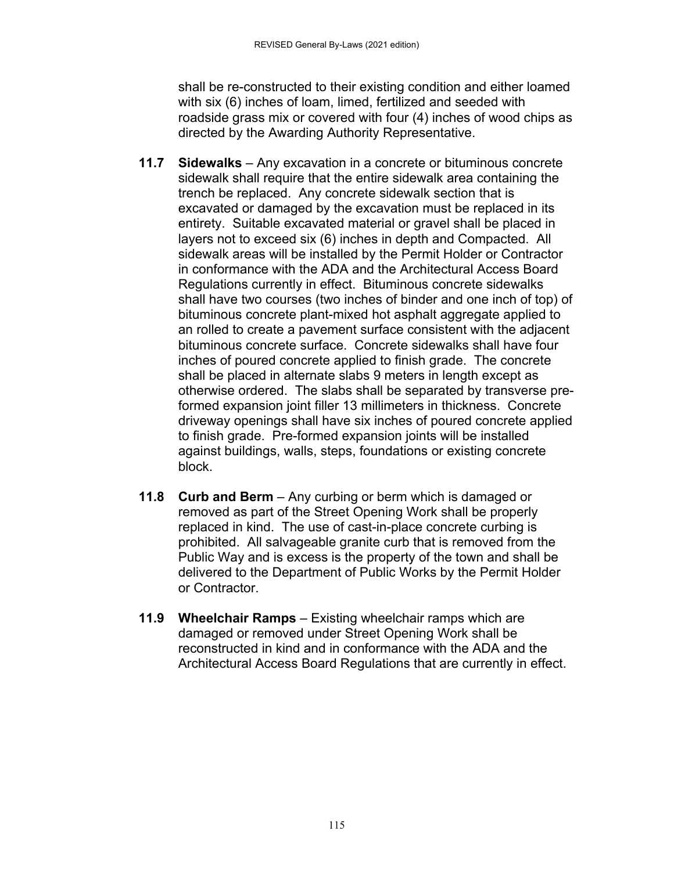shall be re-constructed to their existing condition and either loamed with six (6) inches of loam, limed, fertilized and seeded with roadside grass mix or covered with four (4) inches of wood chips as directed by the Awarding Authority Representative.

- **11.7 Sidewalks** Any excavation in a concrete or bituminous concrete sidewalk shall require that the entire sidewalk area containing the trench be replaced. Any concrete sidewalk section that is excavated or damaged by the excavation must be replaced in its entirety. Suitable excavated material or gravel shall be placed in layers not to exceed six (6) inches in depth and Compacted. All sidewalk areas will be installed by the Permit Holder or Contractor in conformance with the ADA and the Architectural Access Board Regulations currently in effect. Bituminous concrete sidewalks shall have two courses (two inches of binder and one inch of top) of bituminous concrete plant-mixed hot asphalt aggregate applied to an rolled to create a pavement surface consistent with the adjacent bituminous concrete surface. Concrete sidewalks shall have four inches of poured concrete applied to finish grade. The concrete shall be placed in alternate slabs 9 meters in length except as otherwise ordered. The slabs shall be separated by transverse preformed expansion joint filler 13 millimeters in thickness. Concrete driveway openings shall have six inches of poured concrete applied to finish grade. Pre-formed expansion joints will be installed against buildings, walls, steps, foundations or existing concrete block.
- **11.8 Curb and Berm** Any curbing or berm which is damaged or removed as part of the Street Opening Work shall be properly replaced in kind. The use of cast-in-place concrete curbing is prohibited. All salvageable granite curb that is removed from the Public Way and is excess is the property of the town and shall be delivered to the Department of Public Works by the Permit Holder or Contractor.
- **11.9 Wheelchair Ramps** Existing wheelchair ramps which are damaged or removed under Street Opening Work shall be reconstructed in kind and in conformance with the ADA and the Architectural Access Board Regulations that are currently in effect.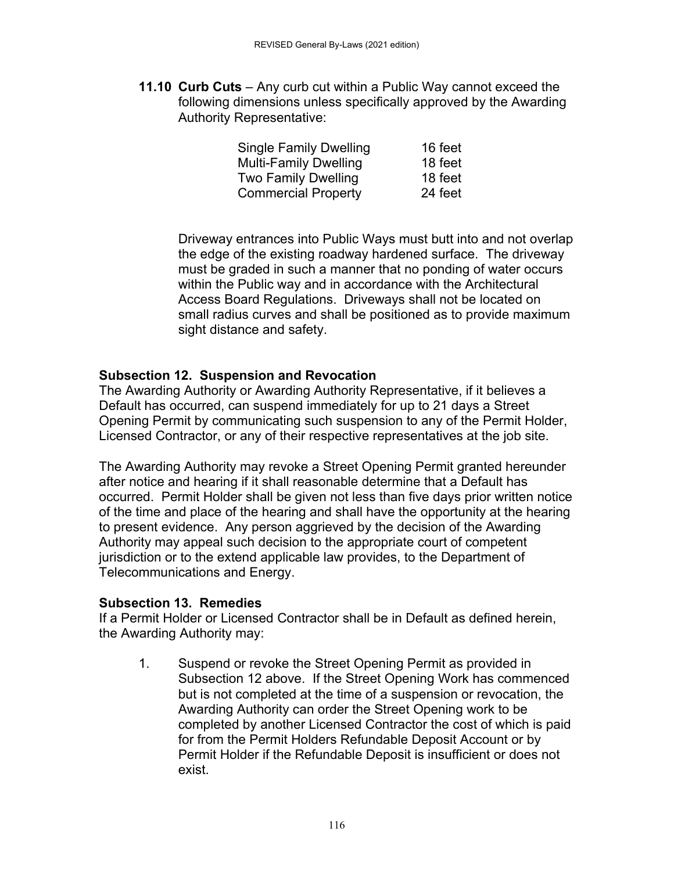**11.10 Curb Cuts** – Any curb cut within a Public Way cannot exceed the following dimensions unless specifically approved by the Awarding Authority Representative:

| <b>Single Family Dwelling</b> | 16 feet |
|-------------------------------|---------|
| <b>Multi-Family Dwelling</b>  | 18 feet |
| <b>Two Family Dwelling</b>    | 18 feet |
| <b>Commercial Property</b>    | 24 feet |

Driveway entrances into Public Ways must butt into and not overlap the edge of the existing roadway hardened surface. The driveway must be graded in such a manner that no ponding of water occurs within the Public way and in accordance with the Architectural Access Board Regulations. Driveways shall not be located on small radius curves and shall be positioned as to provide maximum sight distance and safety.

# **Subsection 12. Suspension and Revocation**

The Awarding Authority or Awarding Authority Representative, if it believes a Default has occurred, can suspend immediately for up to 21 days a Street Opening Permit by communicating such suspension to any of the Permit Holder, Licensed Contractor, or any of their respective representatives at the job site.

The Awarding Authority may revoke a Street Opening Permit granted hereunder after notice and hearing if it shall reasonable determine that a Default has occurred. Permit Holder shall be given not less than five days prior written notice of the time and place of the hearing and shall have the opportunity at the hearing to present evidence. Any person aggrieved by the decision of the Awarding Authority may appeal such decision to the appropriate court of competent jurisdiction or to the extend applicable law provides, to the Department of Telecommunications and Energy.

# **Subsection 13. Remedies**

If a Permit Holder or Licensed Contractor shall be in Default as defined herein, the Awarding Authority may:

1. Suspend or revoke the Street Opening Permit as provided in Subsection 12 above. If the Street Opening Work has commenced but is not completed at the time of a suspension or revocation, the Awarding Authority can order the Street Opening work to be completed by another Licensed Contractor the cost of which is paid for from the Permit Holders Refundable Deposit Account or by Permit Holder if the Refundable Deposit is insufficient or does not exist.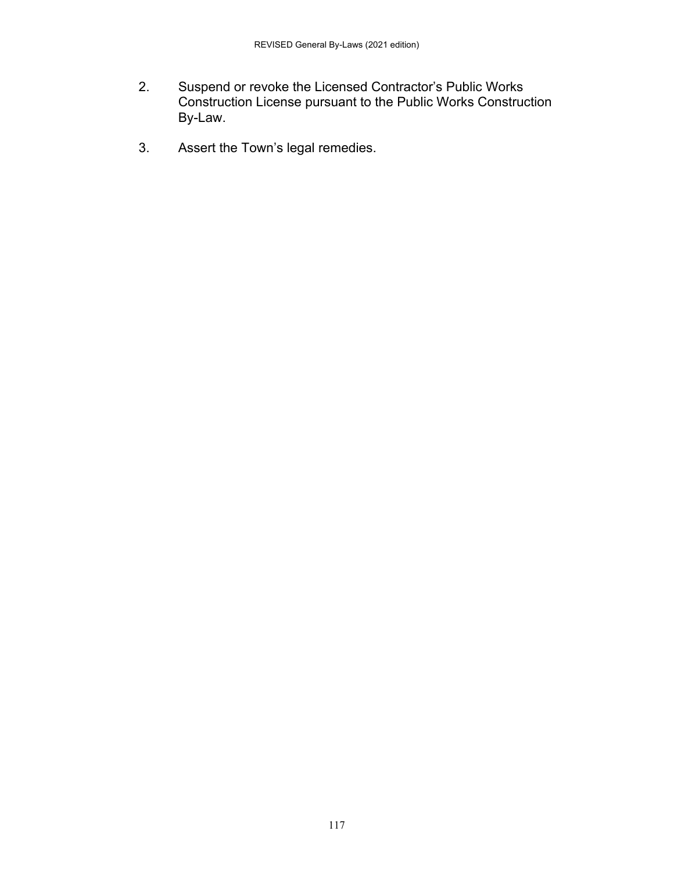- 2. Suspend or revoke the Licensed Contractor's Public Works Construction License pursuant to the Public Works Construction By-Law.
- 3. Assert the Town's legal remedies.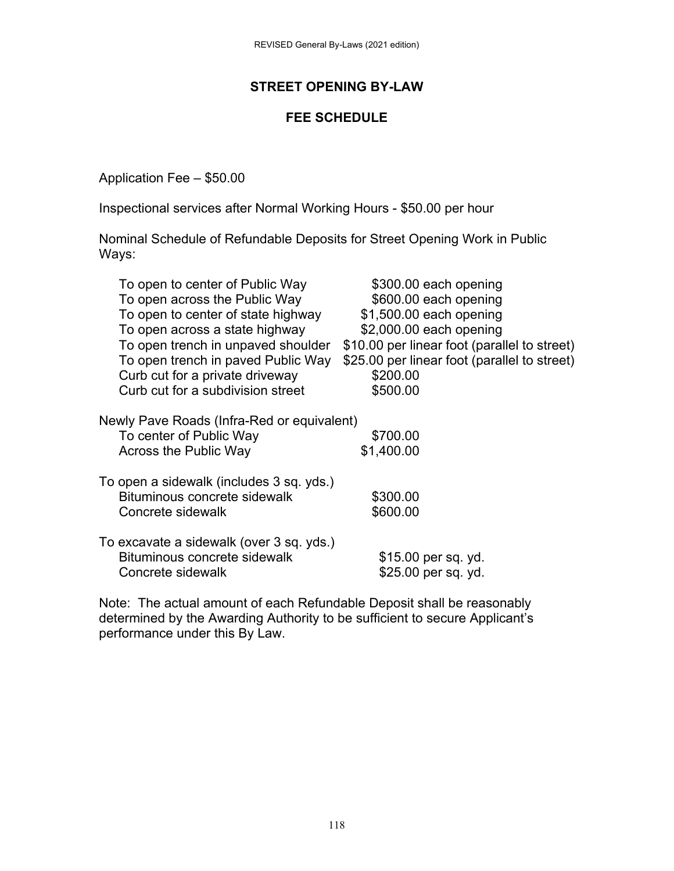# **STREET OPENING BY-LAW**

## **FEE SCHEDULE**

Application Fee – \$50.00

Inspectional services after Normal Working Hours - \$50.00 per hour

Nominal Schedule of Refundable Deposits for Street Opening Work in Public Ways:

| To open to center of Public Way                                                                | \$300.00 each opening                        |
|------------------------------------------------------------------------------------------------|----------------------------------------------|
| To open across the Public Way                                                                  | \$600.00 each opening                        |
| To open to center of state highway                                                             | \$1,500.00 each opening                      |
| To open across a state highway                                                                 | \$2,000.00 each opening                      |
| To open trench in unpaved shoulder                                                             | \$10.00 per linear foot (parallel to street) |
| To open trench in paved Public Way                                                             | \$25.00 per linear foot (parallel to street) |
| Curb cut for a private driveway                                                                | \$200.00                                     |
| Curb cut for a subdivision street                                                              | \$500.00                                     |
| Newly Pave Roads (Infra-Red or equivalent)<br>To center of Public Way<br>Across the Public Way | \$700.00<br>\$1,400.00                       |
|                                                                                                |                                              |
| To open a sidewalk (includes 3 sq. yds.)<br>Bituminous concrete sidewalk                       | \$300.00                                     |
| Concrete sidewalk                                                                              | \$600.00                                     |
|                                                                                                |                                              |
| To excavate a sidewalk (over 3 sq. yds.)                                                       |                                              |
| Bituminous concrete sidewalk                                                                   | \$15.00 per sq. yd.                          |
| Concrete sidewalk                                                                              | \$25.00 per sq. yd.                          |
|                                                                                                |                                              |

Note: The actual amount of each Refundable Deposit shall be reasonably determined by the Awarding Authority to be sufficient to secure Applicant's performance under this By Law.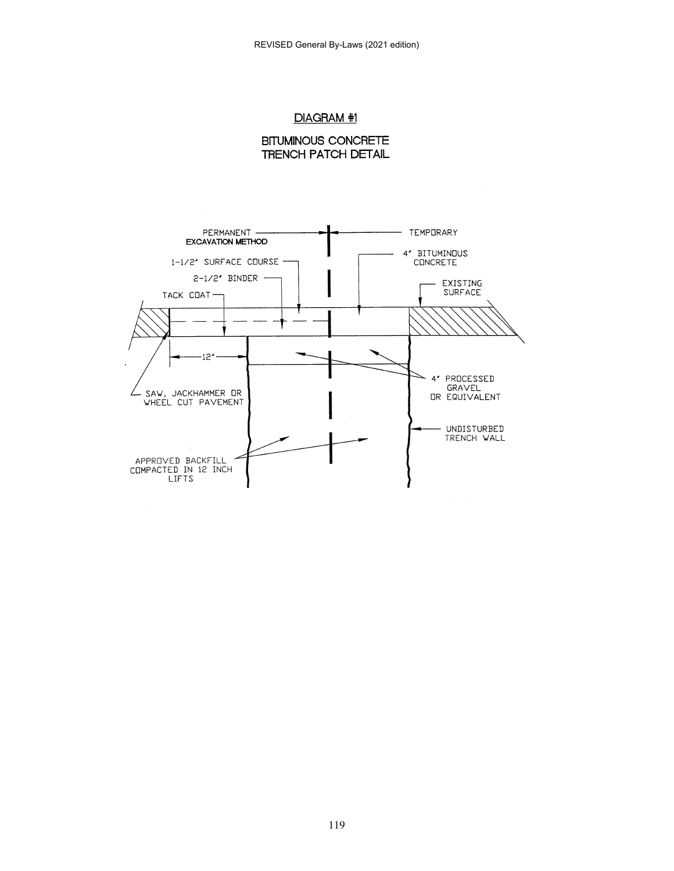#### DIAGRAM #1



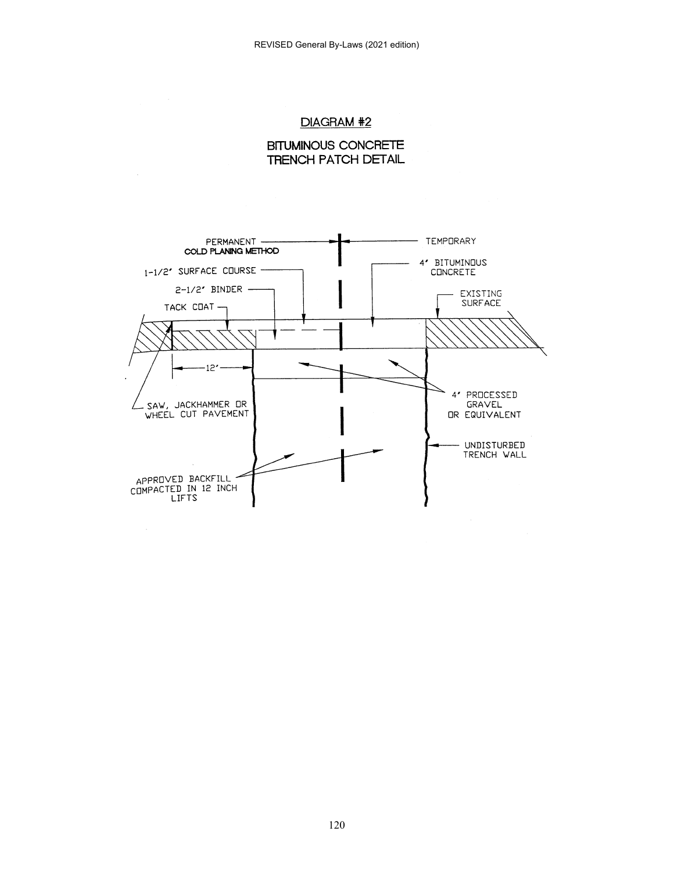#### DIAGRAM #2

**BITUMINOUS CONCRETE TRENCH PATCH DETAIL** 

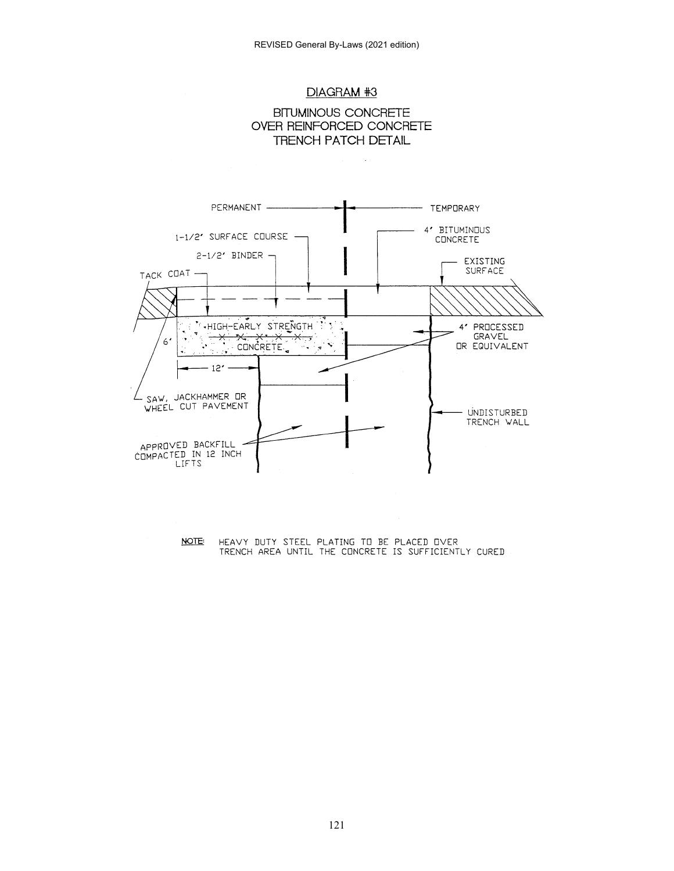





NOTE: HEAVY DUTY STEEL PLATING TO BE PLACED OVER<br>TRENCH AREA UNTIL THE CONCRETE IS SUFFICIENTLY CURED

121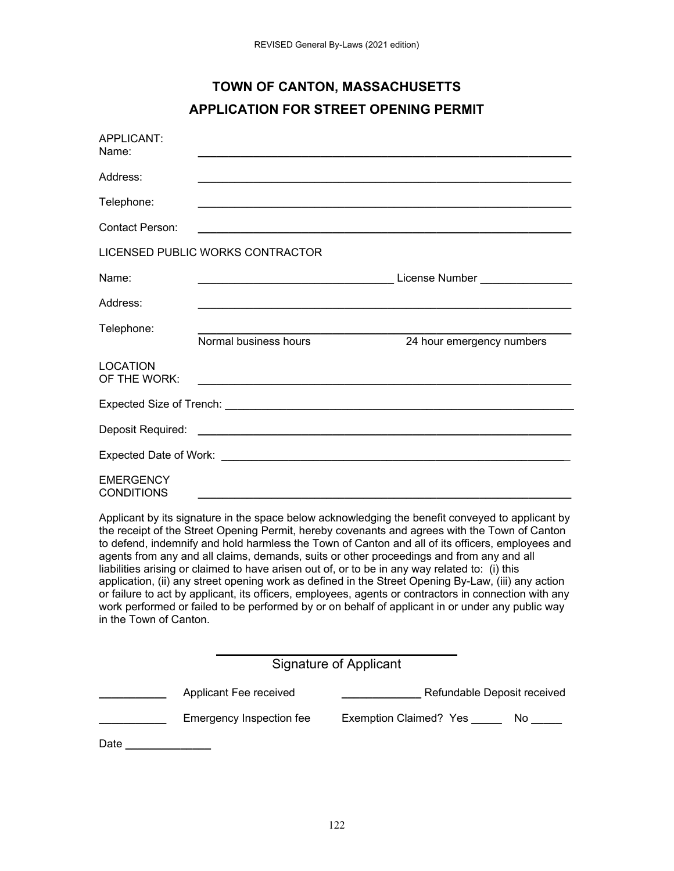# **TOWN OF CANTON, MASSACHUSETTS APPLICATION FOR STREET OPENING PERMIT**

| APPLICANT:<br>Name:                   |                                                                        |                                                             |  |  |
|---------------------------------------|------------------------------------------------------------------------|-------------------------------------------------------------|--|--|
| Address:                              |                                                                        |                                                             |  |  |
| Telephone:                            |                                                                        | <u> 1989 - Johann Stoff, amerikansk politiker (d. 1989)</u> |  |  |
| Contact Person:                       |                                                                        |                                                             |  |  |
|                                       | LICENSED PUBLIC WORKS CONTRACTOR                                       |                                                             |  |  |
| Name:                                 |                                                                        |                                                             |  |  |
| Address:                              |                                                                        |                                                             |  |  |
| Telephone:                            | Normal business hours                                                  | 24 hour emergency numbers                                   |  |  |
| <b>LOCATION</b><br>OF THE WORK:       | <u> 1988 - Andrea Andrewski, politik amerikanski politik (d. 1989)</u> |                                                             |  |  |
|                                       |                                                                        |                                                             |  |  |
|                                       |                                                                        |                                                             |  |  |
|                                       |                                                                        |                                                             |  |  |
| <b>EMERGENCY</b><br><b>CONDITIONS</b> |                                                                        |                                                             |  |  |

Applicant by its signature in the space below acknowledging the benefit conveyed to applicant by the receipt of the Street Opening Permit, hereby covenants and agrees with the Town of Canton to defend, indemnify and hold harmless the Town of Canton and all of its officers, employees and agents from any and all claims, demands, suits or other proceedings and from any and all liabilities arising or claimed to have arisen out of, or to be in any way related to: (i) this application, (ii) any street opening work as defined in the Street Opening By-Law, (iii) any action or failure to act by applicant, its officers, employees, agents or contractors in connection with any work performed or failed to be performed by or on behalf of applicant in or under any public way in the Town of Canton.

| Signature of Applicant |                          |                                   |  |
|------------------------|--------------------------|-----------------------------------|--|
|                        | Applicant Fee received   | Refundable Deposit received       |  |
|                        | Emergency Inspection fee | Exemption Claimed? Yes ___<br>No. |  |
| Date                   |                          |                                   |  |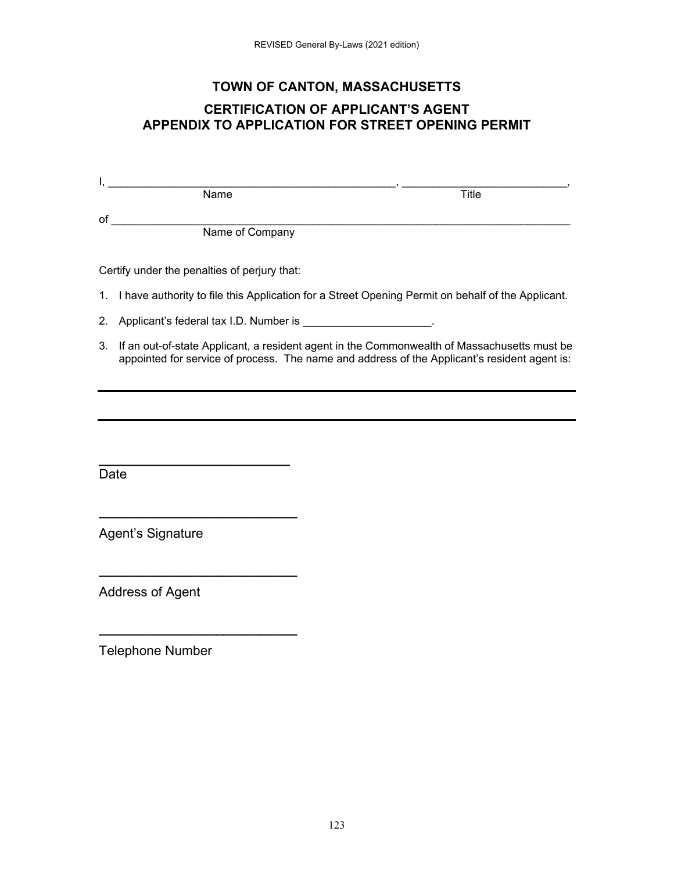# **TOWN OF CANTON, MASSACHUSETTS**

## **CERTIFICATION OF APPLICANT'S AGENT APPENDIX TO APPLICATION FOR STREET OPENING PERMIT**

|    | Title<br>Name                                                                                        |  |  |
|----|------------------------------------------------------------------------------------------------------|--|--|
| οf |                                                                                                      |  |  |
|    | Name of Company                                                                                      |  |  |
|    |                                                                                                      |  |  |
|    | Certify under the penalties of perjury that:                                                         |  |  |
|    | 1. I have authority to file this Application for a Street Opening Permit on behalf of the Applicant. |  |  |
| 2. | Applicant's federal tax I.D. Number is                                                               |  |  |

3. If an out-of-state Applicant, a resident agent in the Commonwealth of Massachusetts must be appointed for service of process. The name and address of the Applicant's resident agent is:

**Date** 

Agent's Signature

**\_\_\_\_\_\_\_\_\_\_\_\_\_\_\_\_\_\_\_\_\_\_\_\_\_\_** 

**\_\_\_\_\_\_\_\_\_\_\_\_\_\_\_\_\_\_\_\_\_\_\_\_\_\_\_** 

**\_\_\_\_\_\_\_\_\_\_\_\_\_\_\_\_\_\_\_\_\_\_\_\_\_\_\_** 

**\_\_\_\_\_\_\_\_\_\_\_\_\_\_\_\_\_\_\_\_\_\_\_\_\_\_\_** 

Address of Agent

Telephone Number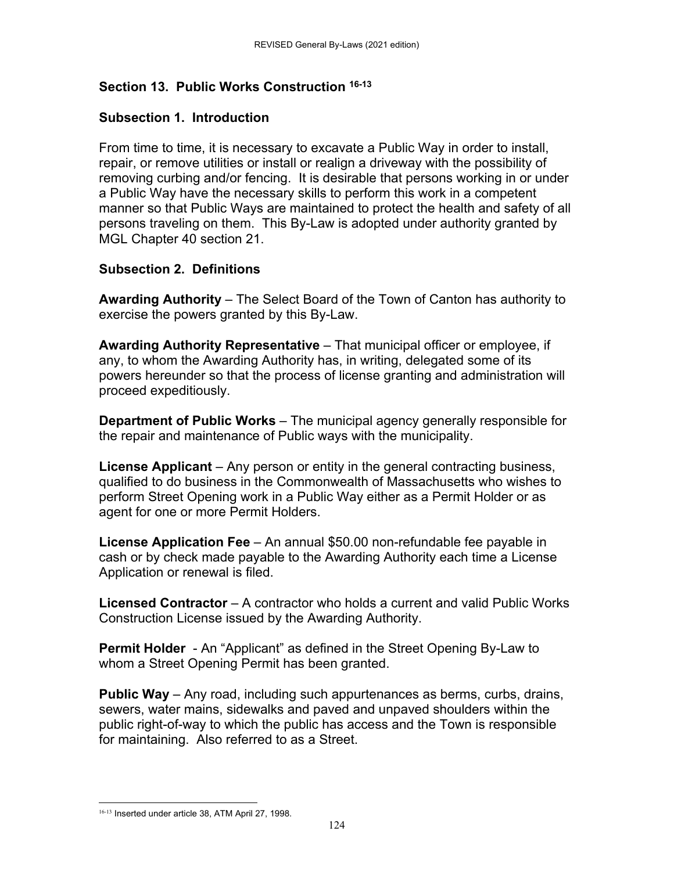# **Section 13. Public Works Construction 16-13**

# **Subsection 1. Introduction**

From time to time, it is necessary to excavate a Public Way in order to install, repair, or remove utilities or install or realign a driveway with the possibility of removing curbing and/or fencing. It is desirable that persons working in or under a Public Way have the necessary skills to perform this work in a competent manner so that Public Ways are maintained to protect the health and safety of all persons traveling on them. This By-Law is adopted under authority granted by MGL Chapter 40 section 21.

# **Subsection 2. Definitions**

**Awarding Authority** – The Select Board of the Town of Canton has authority to exercise the powers granted by this By-Law.

**Awarding Authority Representative** – That municipal officer or employee, if any, to whom the Awarding Authority has, in writing, delegated some of its powers hereunder so that the process of license granting and administration will proceed expeditiously.

**Department of Public Works** – The municipal agency generally responsible for the repair and maintenance of Public ways with the municipality.

**License Applicant** – Any person or entity in the general contracting business, qualified to do business in the Commonwealth of Massachusetts who wishes to perform Street Opening work in a Public Way either as a Permit Holder or as agent for one or more Permit Holders.

**License Application Fee** – An annual \$50.00 non-refundable fee payable in cash or by check made payable to the Awarding Authority each time a License Application or renewal is filed.

**Licensed Contractor** – A contractor who holds a current and valid Public Works Construction License issued by the Awarding Authority.

**Permit Holder** - An "Applicant" as defined in the Street Opening By-Law to whom a Street Opening Permit has been granted.

**Public Way** – Any road, including such appurtenances as berms, curbs, drains, sewers, water mains, sidewalks and paved and unpaved shoulders within the public right-of-way to which the public has access and the Town is responsible for maintaining. Also referred to as a Street.

 16-13 Inserted under article 38, ATM April 27, 1998.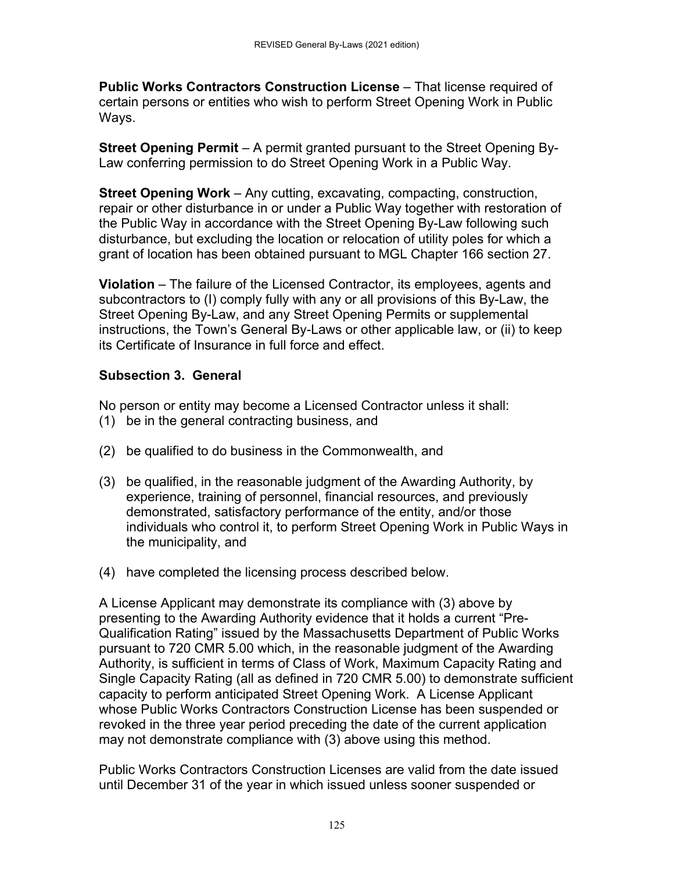**Public Works Contractors Construction License** – That license required of certain persons or entities who wish to perform Street Opening Work in Public Ways.

**Street Opening Permit** – A permit granted pursuant to the Street Opening By-Law conferring permission to do Street Opening Work in a Public Way.

**Street Opening Work** – Any cutting, excavating, compacting, construction, repair or other disturbance in or under a Public Way together with restoration of the Public Way in accordance with the Street Opening By-Law following such disturbance, but excluding the location or relocation of utility poles for which a grant of location has been obtained pursuant to MGL Chapter 166 section 27.

**Violation** – The failure of the Licensed Contractor, its employees, agents and subcontractors to (I) comply fully with any or all provisions of this By-Law, the Street Opening By-Law, and any Street Opening Permits or supplemental instructions, the Town's General By-Laws or other applicable law, or (ii) to keep its Certificate of Insurance in full force and effect.

# **Subsection 3. General**

No person or entity may become a Licensed Contractor unless it shall:

- (1) be in the general contracting business, and
- (2) be qualified to do business in the Commonwealth, and
- (3) be qualified, in the reasonable judgment of the Awarding Authority, by experience, training of personnel, financial resources, and previously demonstrated, satisfactory performance of the entity, and/or those individuals who control it, to perform Street Opening Work in Public Ways in the municipality, and
- (4) have completed the licensing process described below.

A License Applicant may demonstrate its compliance with (3) above by presenting to the Awarding Authority evidence that it holds a current "Pre-Qualification Rating" issued by the Massachusetts Department of Public Works pursuant to 720 CMR 5.00 which, in the reasonable judgment of the Awarding Authority, is sufficient in terms of Class of Work, Maximum Capacity Rating and Single Capacity Rating (all as defined in 720 CMR 5.00) to demonstrate sufficient capacity to perform anticipated Street Opening Work. A License Applicant whose Public Works Contractors Construction License has been suspended or revoked in the three year period preceding the date of the current application may not demonstrate compliance with (3) above using this method.

Public Works Contractors Construction Licenses are valid from the date issued until December 31 of the year in which issued unless sooner suspended or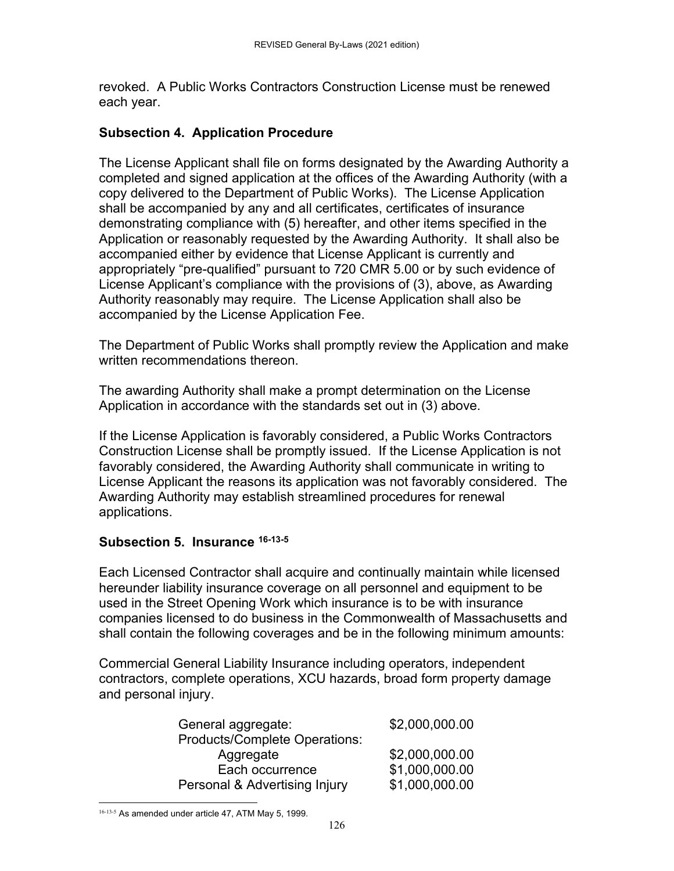revoked. A Public Works Contractors Construction License must be renewed each year.

### **Subsection 4. Application Procedure**

The License Applicant shall file on forms designated by the Awarding Authority a completed and signed application at the offices of the Awarding Authority (with a copy delivered to the Department of Public Works). The License Application shall be accompanied by any and all certificates, certificates of insurance demonstrating compliance with (5) hereafter, and other items specified in the Application or reasonably requested by the Awarding Authority. It shall also be accompanied either by evidence that License Applicant is currently and appropriately "pre-qualified" pursuant to 720 CMR 5.00 or by such evidence of License Applicant's compliance with the provisions of (3), above, as Awarding Authority reasonably may require. The License Application shall also be accompanied by the License Application Fee.

The Department of Public Works shall promptly review the Application and make written recommendations thereon.

The awarding Authority shall make a prompt determination on the License Application in accordance with the standards set out in (3) above.

If the License Application is favorably considered, a Public Works Contractors Construction License shall be promptly issued. If the License Application is not favorably considered, the Awarding Authority shall communicate in writing to License Applicant the reasons its application was not favorably considered. The Awarding Authority may establish streamlined procedures for renewal applications.

### **Subsection 5. Insurance 16-13-5**

Each Licensed Contractor shall acquire and continually maintain while licensed hereunder liability insurance coverage on all personnel and equipment to be used in the Street Opening Work which insurance is to be with insurance companies licensed to do business in the Commonwealth of Massachusetts and shall contain the following coverages and be in the following minimum amounts:

Commercial General Liability Insurance including operators, independent contractors, complete operations, XCU hazards, broad form property damage and personal injury.

| General aggregate:                   | \$2,000,000.00 |
|--------------------------------------|----------------|
| <b>Products/Complete Operations:</b> |                |
| Aggregate                            | \$2,000,000.00 |
| Each occurrence                      | \$1,000,000.00 |
| Personal & Advertising Injury        | \$1,000,000.00 |

 16-13-5 As amended under article 47, ATM May 5, 1999.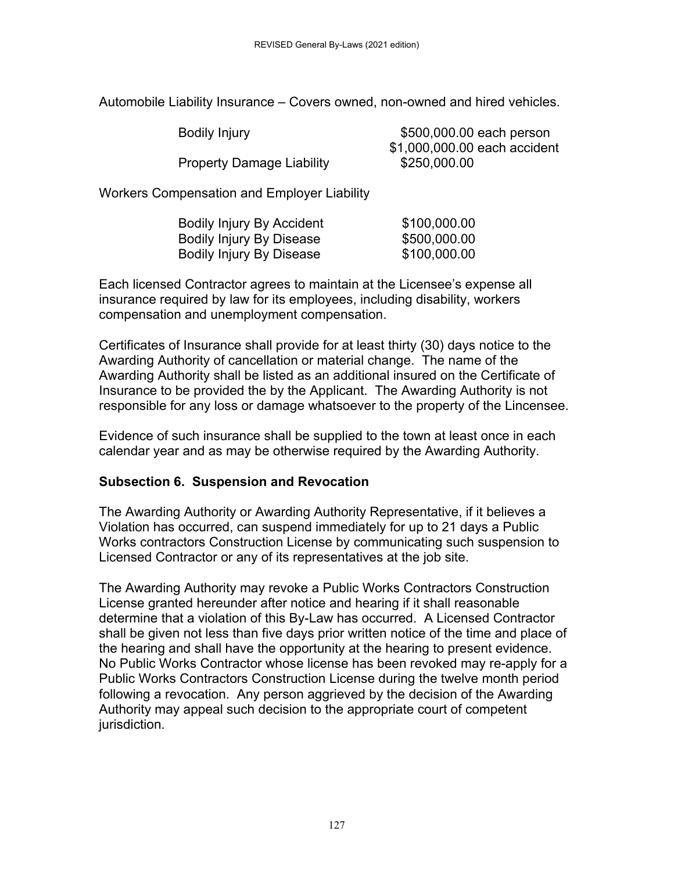Automobile Liability Insurance – Covers owned, non-owned and hired vehicles.

| <b>Bodily Injury</b>             | \$500,000.00 each person     |
|----------------------------------|------------------------------|
|                                  | \$1,000,000.00 each accident |
| <b>Property Damage Liability</b> | \$250,000.00                 |

Workers Compensation and Employer Liability

| <b>Bodily Injury By Accident</b> | \$100,000.00 |
|----------------------------------|--------------|
| <b>Bodily Injury By Disease</b>  | \$500,000.00 |
| Bodily Injury By Disease         | \$100,000.00 |

Each licensed Contractor agrees to maintain at the Licensee's expense all insurance required by law for its employees, including disability, workers compensation and unemployment compensation.

Certificates of Insurance shall provide for at least thirty (30) days notice to the Awarding Authority of cancellation or material change. The name of the Awarding Authority shall be listed as an additional insured on the Certificate of Insurance to be provided the by the Applicant. The Awarding Authority is not responsible for any loss or damage whatsoever to the property of the Lincensee.

Evidence of such insurance shall be supplied to the town at least once in each calendar year and as may be otherwise required by the Awarding Authority.

### **Subsection 6. Suspension and Revocation**

The Awarding Authority or Awarding Authority Representative, if it believes a Violation has occurred, can suspend immediately for up to 21 days a Public Works contractors Construction License by communicating such suspension to Licensed Contractor or any of its representatives at the job site.

The Awarding Authority may revoke a Public Works Contractors Construction License granted hereunder after notice and hearing if it shall reasonable determine that a violation of this By-Law has occurred. A Licensed Contractor shall be given not less than five days prior written notice of the time and place of the hearing and shall have the opportunity at the hearing to present evidence. No Public Works Contractor whose license has been revoked may re-apply for a Public Works Contractors Construction License during the twelve month period following a revocation. Any person aggrieved by the decision of the Awarding Authority may appeal such decision to the appropriate court of competent jurisdiction.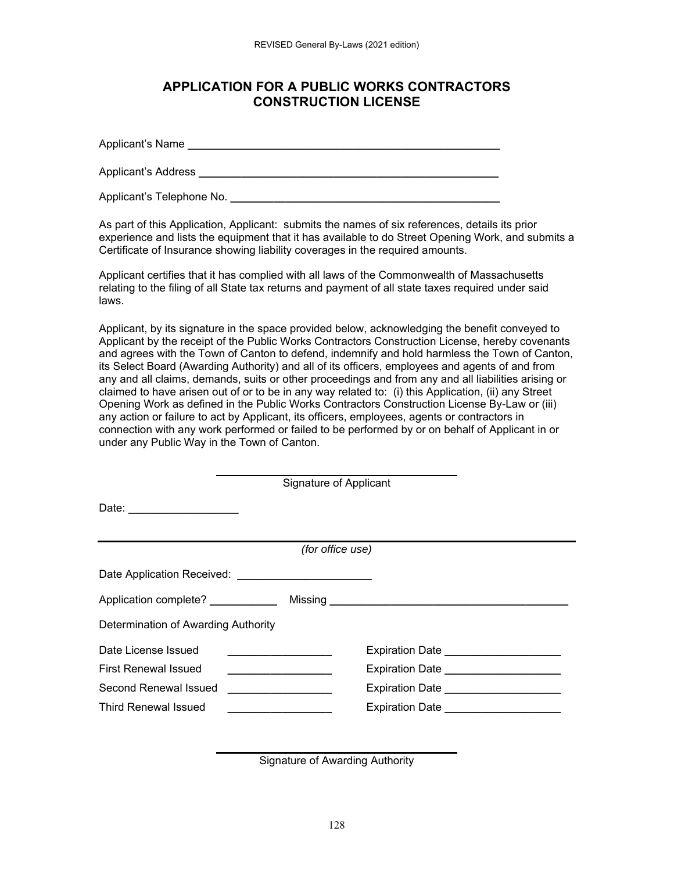#### **APPLICATION FOR A PUBLIC WORKS CONTRACTORS CONSTRUCTION LICENSE**

Applicant's Name **\_\_\_\_\_\_\_\_\_\_\_\_\_\_\_\_\_\_\_\_\_\_\_\_\_\_\_\_\_\_\_\_\_\_\_\_\_\_\_\_\_\_\_\_\_\_\_\_\_\_\_**

Applicant's Address **Quart and Applicant Address Letters Letters Letters Letters Letters Letters Letters** 

Applicant's Telephone No.

As part of this Application, Applicant: submits the names of six references, details its prior experience and lists the equipment that it has available to do Street Opening Work, and submits a Certificate of Insurance showing liability coverages in the required amounts.

Applicant certifies that it has complied with all laws of the Commonwealth of Massachusetts relating to the filing of all State tax returns and payment of all state taxes required under said laws.

Applicant, by its signature in the space provided below, acknowledging the benefit conveyed to Applicant by the receipt of the Public Works Contractors Construction License, hereby covenants and agrees with the Town of Canton to defend, indemnify and hold harmless the Town of Canton, its Select Board (Awarding Authority) and all of its officers, employees and agents of and from any and all claims, demands, suits or other proceedings and from any and all liabilities arising or claimed to have arisen out of or to be in any way related to: (i) this Application, (ii) any Street Opening Work as defined in the Public Works Contractors Construction License By-Law or (iii) any action or failure to act by Applicant, its officers, employees, agents or contractors in connection with any work performed or failed to be performed by or on behalf of Applicant in or under any Public Way in the Town of Canton.

|                                                         |                                                   | Signature of Applicant |                                                                                                                 |
|---------------------------------------------------------|---------------------------------------------------|------------------------|-----------------------------------------------------------------------------------------------------------------|
| Date: _____________________                             |                                                   |                        |                                                                                                                 |
|                                                         |                                                   | (for office use)       |                                                                                                                 |
| Date Application Received: ____________________________ |                                                   |                        |                                                                                                                 |
|                                                         |                                                   |                        |                                                                                                                 |
| Determination of Awarding Authority                     |                                                   |                        |                                                                                                                 |
| Date License Issued                                     |                                                   |                        | Expiration Date Network Contract to the Second Second Second Second Second Second Second Second Second Second S |
| <b>First Renewal Issued</b>                             |                                                   |                        | Expiration Date ______________________                                                                          |
| Second Renewal Issued                                   | <u> 1980 - Andrea Brand, amerikansk politik (</u> |                        | Expiration Date ______________________                                                                          |
| <b>Third Renewal Issued</b>                             |                                                   |                        | Expiration Date ______________________                                                                          |

Signature of Awarding Authority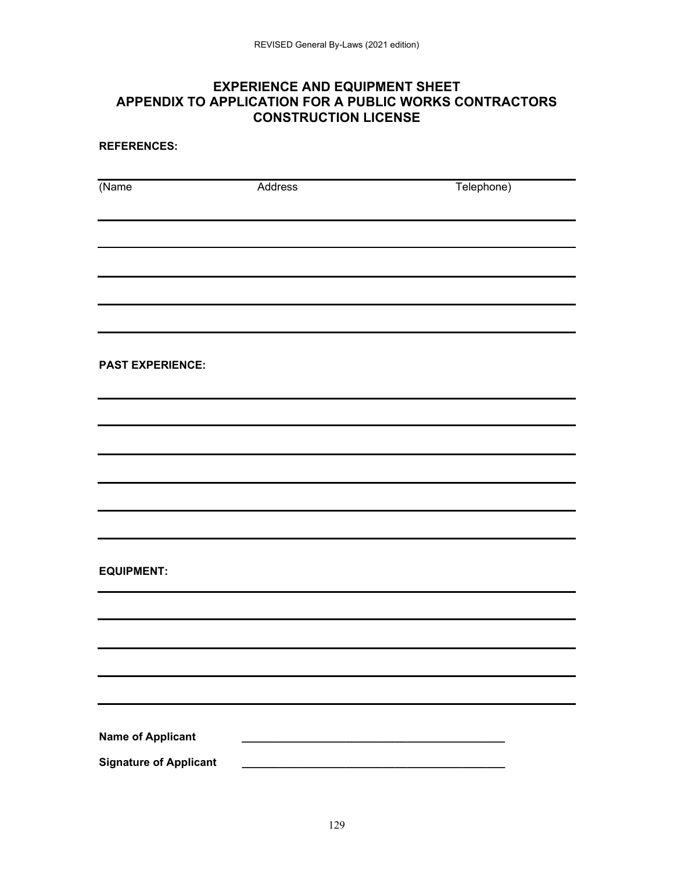## **EXPERIENCE AND EQUIPMENT SHEET APPENDIX TO APPLICATION FOR A PUBLIC WORKS CONTRACTORS CONSTRUCTION LICENSE**

**REFERENCES:** 

| $\sqrt{\text{Name}}$          | Address | Telephone) |
|-------------------------------|---------|------------|
|                               |         |            |
|                               |         |            |
|                               |         |            |
|                               |         |            |
| <b>PAST EXPERIENCE:</b>       |         |            |
|                               |         |            |
|                               |         |            |
|                               |         |            |
|                               |         |            |
|                               |         |            |
|                               |         |            |
| <b>EQUIPMENT:</b>             |         |            |
|                               |         |            |
|                               |         |            |
|                               |         |            |
|                               |         |            |
| <b>Name of Applicant</b>      |         |            |
| <b>Signature of Applicant</b> |         |            |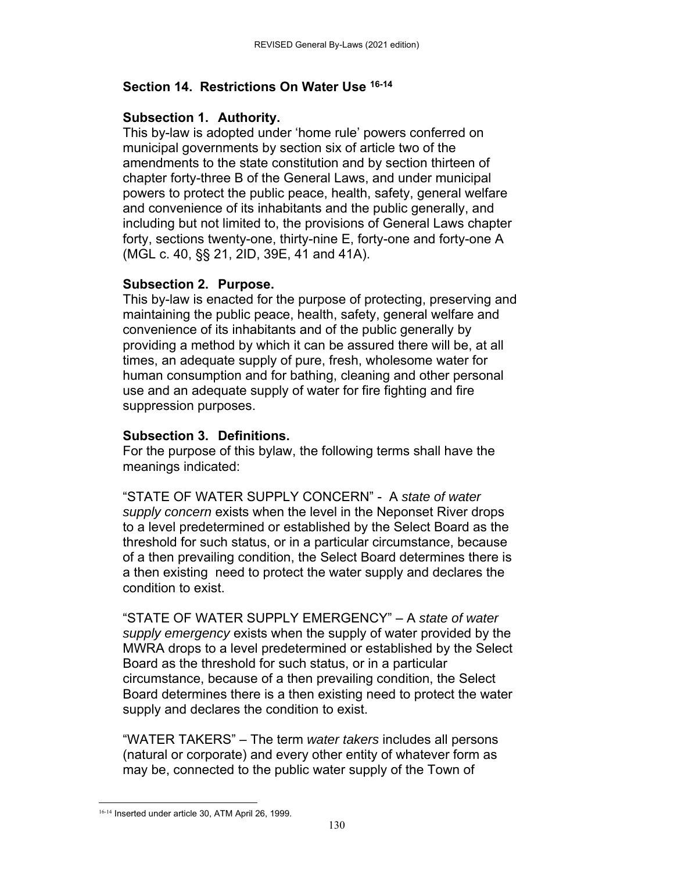### **Section 14. Restrictions On Water Use 16-14**

#### **Subsection 1. Authority.**

This by-law is adopted under 'home rule' powers conferred on municipal governments by section six of article two of the amendments to the state constitution and by section thirteen of chapter forty-three B of the General Laws, and under municipal powers to protect the public peace, health, safety, general welfare and convenience of its inhabitants and the public generally, and including but not limited to, the provisions of General Laws chapter forty, sections twenty-one, thirty-nine E, forty-one and forty-one A (MGL c. 40, §§ 21, 2ID, 39E, 41 and 41A).

#### **Subsection 2. Purpose.**

This by-law is enacted for the purpose of protecting, preserving and maintaining the public peace, health, safety, general welfare and convenience of its inhabitants and of the public generally by providing a method by which it can be assured there will be, at all times, an adequate supply of pure, fresh, wholesome water for human consumption and for bathing, cleaning and other personal use and an adequate supply of water for fire fighting and fire suppression purposes.

### **Subsection 3. Definitions.**

For the purpose of this bylaw, the following terms shall have the meanings indicated:

"STATE OF WATER SUPPLY CONCERN" - A *state of water supply concern* exists when the level in the Neponset River drops to a level predetermined or established by the Select Board as the threshold for such status, or in a particular circumstance, because of a then prevailing condition, the Select Board determines there is a then existing need to protect the water supply and declares the condition to exist.

"STATE OF WATER SUPPLY EMERGENCY" – A *state of water supply emergency* exists when the supply of water provided by the MWRA drops to a level predetermined or established by the Select Board as the threshold for such status, or in a particular circumstance, because of a then prevailing condition, the Select Board determines there is a then existing need to protect the water supply and declares the condition to exist.

"WATER TAKERS" – The term *water takers* includes all persons (natural or corporate) and every other entity of whatever form as may be, connected to the public water supply of the Town of

 16-14 Inserted under article 30, ATM April 26, 1999.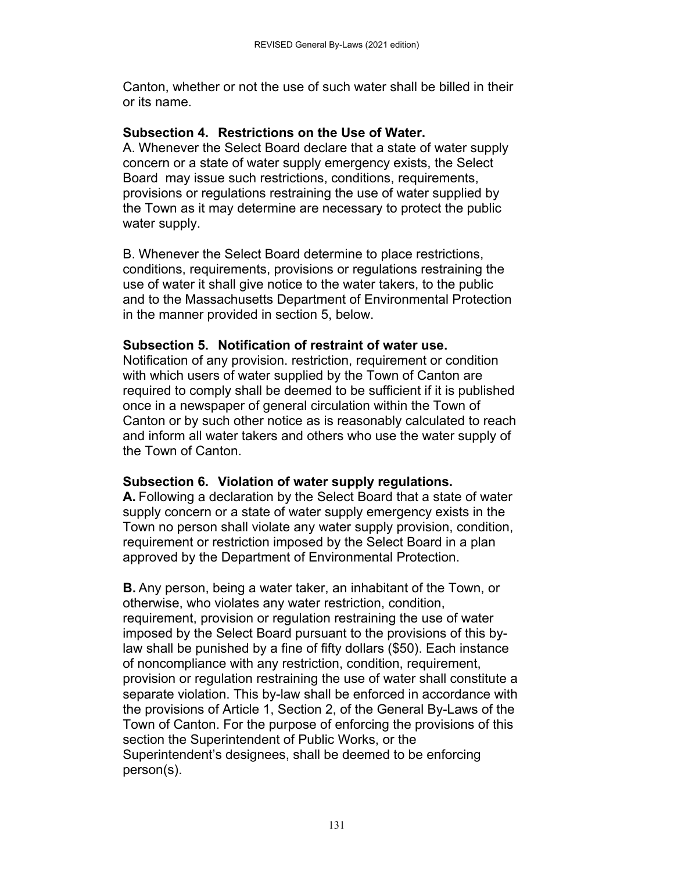Canton, whether or not the use of such water shall be billed in their or its name.

#### **Subsection 4. Restrictions on the Use of Water.**

A. Whenever the Select Board declare that a state of water supply concern or a state of water supply emergency exists, the Select Board may issue such restrictions, conditions, requirements, provisions or regulations restraining the use of water supplied by the Town as it may determine are necessary to protect the public water supply.

B. Whenever the Select Board determine to place restrictions, conditions, requirements, provisions or regulations restraining the use of water it shall give notice to the water takers, to the public and to the Massachusetts Department of Environmental Protection in the manner provided in section 5, below.

#### **Subsection 5. Notification of restraint of water use.**

Notification of any provision. restriction, requirement or condition with which users of water supplied by the Town of Canton are required to comply shall be deemed to be sufficient if it is published once in a newspaper of general circulation within the Town of Canton or by such other notice as is reasonably calculated to reach and inform all water takers and others who use the water supply of the Town of Canton.

#### **Subsection 6. Violation of water supply regulations.**

**A.** Following a declaration by the Select Board that a state of water supply concern or a state of water supply emergency exists in the Town no person shall violate any water supply provision, condition, requirement or restriction imposed by the Select Board in a plan approved by the Department of Environmental Protection.

**B.** Any person, being a water taker, an inhabitant of the Town, or otherwise, who violates any water restriction, condition, requirement, provision or regulation restraining the use of water imposed by the Select Board pursuant to the provisions of this bylaw shall be punished by a fine of fifty dollars (\$50). Each instance of noncompliance with any restriction, condition, requirement, provision or regulation restraining the use of water shall constitute a separate violation. This by-law shall be enforced in accordance with the provisions of Article 1, Section 2, of the General By-Laws of the Town of Canton. For the purpose of enforcing the provisions of this section the Superintendent of Public Works, or the Superintendent's designees, shall be deemed to be enforcing person(s).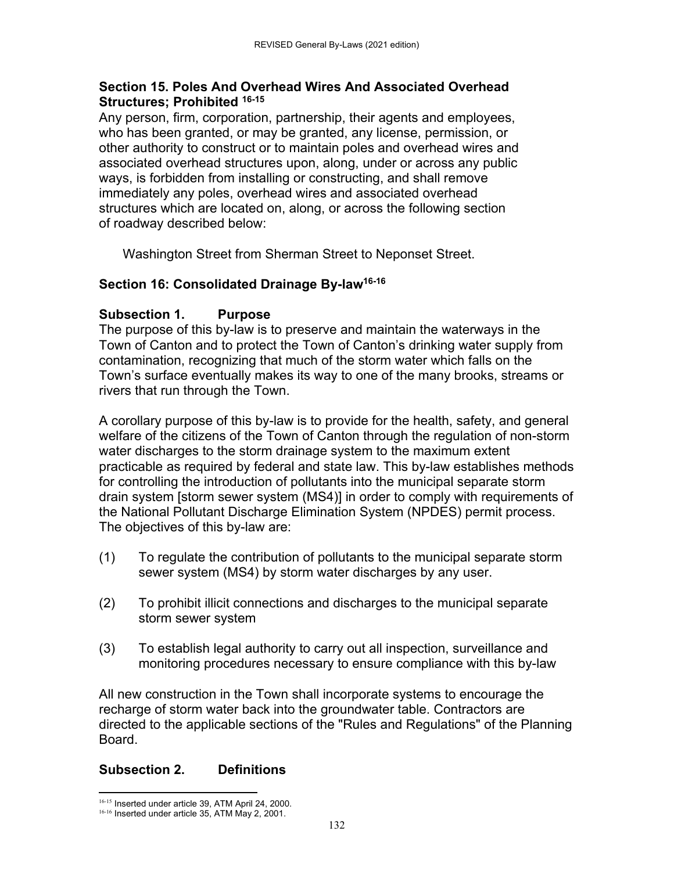### **Section 15. Poles And Overhead Wires And Associated Overhead Structures; Prohibited 16-15**

Any person, firm, corporation, partnership, their agents and employees, who has been granted, or may be granted, any license, permission, or other authority to construct or to maintain poles and overhead wires and associated overhead structures upon, along, under or across any public ways, is forbidden from installing or constructing, and shall remove immediately any poles, overhead wires and associated overhead structures which are located on, along, or across the following section of roadway described below:

Washington Street from Sherman Street to Neponset Street.

# **Section 16: Consolidated Drainage By-law16-16**

# **Subsection 1. Purpose**

The purpose of this by-law is to preserve and maintain the waterways in the Town of Canton and to protect the Town of Canton's drinking water supply from contamination, recognizing that much of the storm water which falls on the Town's surface eventually makes its way to one of the many brooks, streams or rivers that run through the Town.

A corollary purpose of this by-law is to provide for the health, safety, and general welfare of the citizens of the Town of Canton through the regulation of non-storm water discharges to the storm drainage system to the maximum extent practicable as required by federal and state law. This by-law establishes methods for controlling the introduction of pollutants into the municipal separate storm drain system [storm sewer system (MS4)] in order to comply with requirements of the National Pollutant Discharge Elimination System (NPDES) permit process. The objectives of this by-law are:

- (1) To regulate the contribution of pollutants to the municipal separate storm sewer system (MS4) by storm water discharges by any user.
- (2) To prohibit illicit connections and discharges to the municipal separate storm sewer system
- (3) To establish legal authority to carry out all inspection, surveillance and monitoring procedures necessary to ensure compliance with this by-law

All new construction in the Town shall incorporate systems to encourage the recharge of storm water back into the groundwater table. Contractors are directed to the applicable sections of the "Rules and Regulations" of the Planning Board.

# **Subsection 2. Definitions**

<sup>&</sup>lt;sup>16-15</sup> Inserted under article 39, ATM April 24, 2000. 16-16 Inserted under article 35, ATM May 2, 2001.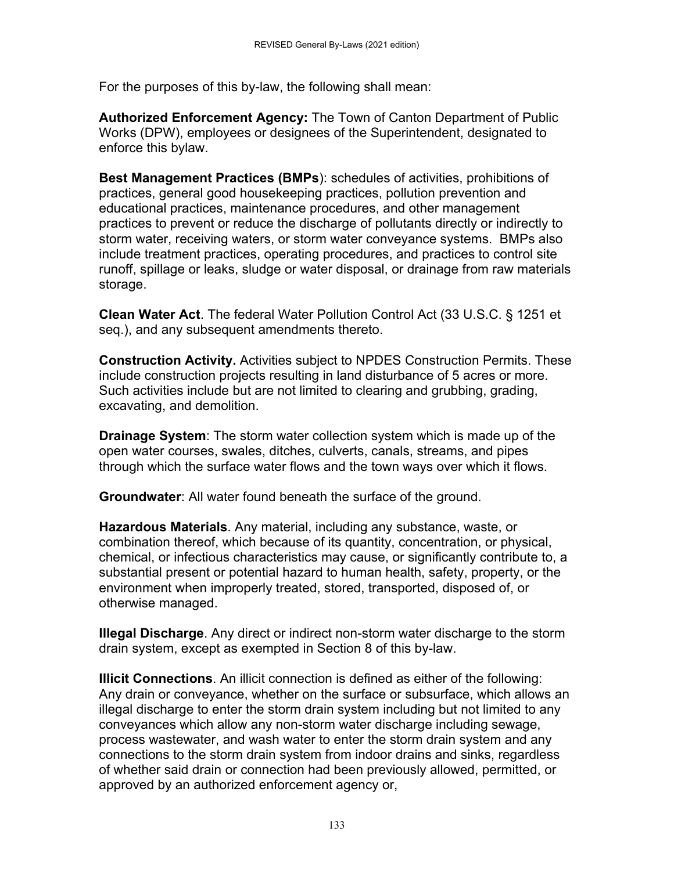For the purposes of this by-law, the following shall mean:

**Authorized Enforcement Agency:** The Town of Canton Department of Public Works (DPW), employees or designees of the Superintendent, designated to enforce this bylaw.

**Best Management Practices (BMPs**): schedules of activities, prohibitions of practices, general good housekeeping practices, pollution prevention and educational practices, maintenance procedures, and other management practices to prevent or reduce the discharge of pollutants directly or indirectly to storm water, receiving waters, or storm water conveyance systems. BMPs also include treatment practices, operating procedures, and practices to control site runoff, spillage or leaks, sludge or water disposal, or drainage from raw materials storage.

**Clean Water Act**. The federal Water Pollution Control Act (33 U.S.C. § 1251 et seq.), and any subsequent amendments thereto.

**Construction Activity.** Activities subject to NPDES Construction Permits. These include construction projects resulting in land disturbance of 5 acres or more. Such activities include but are not limited to clearing and grubbing, grading, excavating, and demolition.

**Drainage System**: The storm water collection system which is made up of the open water courses, swales, ditches, culverts, canals, streams, and pipes through which the surface water flows and the town ways over which it flows.

**Groundwater**: All water found beneath the surface of the ground.

**Hazardous Materials**. Any material, including any substance, waste, or combination thereof, which because of its quantity, concentration, or physical, chemical, or infectious characteristics may cause, or significantly contribute to, a substantial present or potential hazard to human health, safety, property, or the environment when improperly treated, stored, transported, disposed of, or otherwise managed.

**Illegal Discharge**. Any direct or indirect non-storm water discharge to the storm drain system, except as exempted in Section 8 of this by-law.

**Illicit Connections**. An illicit connection is defined as either of the following: Any drain or conveyance, whether on the surface or subsurface, which allows an illegal discharge to enter the storm drain system including but not limited to any conveyances which allow any non-storm water discharge including sewage, process wastewater, and wash water to enter the storm drain system and any connections to the storm drain system from indoor drains and sinks, regardless of whether said drain or connection had been previously allowed, permitted, or approved by an authorized enforcement agency or,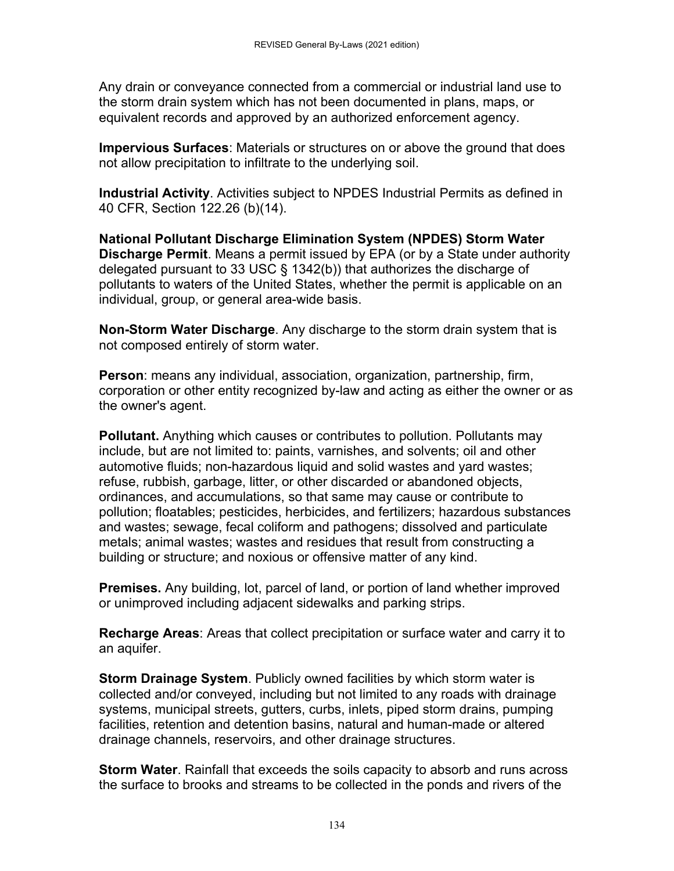Any drain or conveyance connected from a commercial or industrial land use to the storm drain system which has not been documented in plans, maps, or equivalent records and approved by an authorized enforcement agency.

**Impervious Surfaces**: Materials or structures on or above the ground that does not allow precipitation to infiltrate to the underlying soil.

**Industrial Activity**. Activities subject to NPDES Industrial Permits as defined in 40 CFR, Section 122.26 (b)(14).

**National Pollutant Discharge Elimination System (NPDES) Storm Water Discharge Permit**. Means a permit issued by EPA (or by a State under authority delegated pursuant to 33 USC § 1342(b)) that authorizes the discharge of pollutants to waters of the United States, whether the permit is applicable on an individual, group, or general area-wide basis.

**Non-Storm Water Discharge**. Any discharge to the storm drain system that is not composed entirely of storm water.

**Person**: means any individual, association, organization, partnership, firm, corporation or other entity recognized by-law and acting as either the owner or as the owner's agent.

**Pollutant.** Anything which causes or contributes to pollution. Pollutants may include, but are not limited to: paints, varnishes, and solvents; oil and other automotive fluids; non-hazardous liquid and solid wastes and yard wastes; refuse, rubbish, garbage, litter, or other discarded or abandoned objects, ordinances, and accumulations, so that same may cause or contribute to pollution; floatables; pesticides, herbicides, and fertilizers; hazardous substances and wastes; sewage, fecal coliform and pathogens; dissolved and particulate metals; animal wastes; wastes and residues that result from constructing a building or structure; and noxious or offensive matter of any kind.

**Premises.** Any building, lot, parcel of land, or portion of land whether improved or unimproved including adjacent sidewalks and parking strips.

**Recharge Areas**: Areas that collect precipitation or surface water and carry it to an aquifer.

**Storm Drainage System**. Publicly owned facilities by which storm water is collected and/or conveyed, including but not limited to any roads with drainage systems, municipal streets, gutters, curbs, inlets, piped storm drains, pumping facilities, retention and detention basins, natural and human-made or altered drainage channels, reservoirs, and other drainage structures.

**Storm Water**. Rainfall that exceeds the soils capacity to absorb and runs across the surface to brooks and streams to be collected in the ponds and rivers of the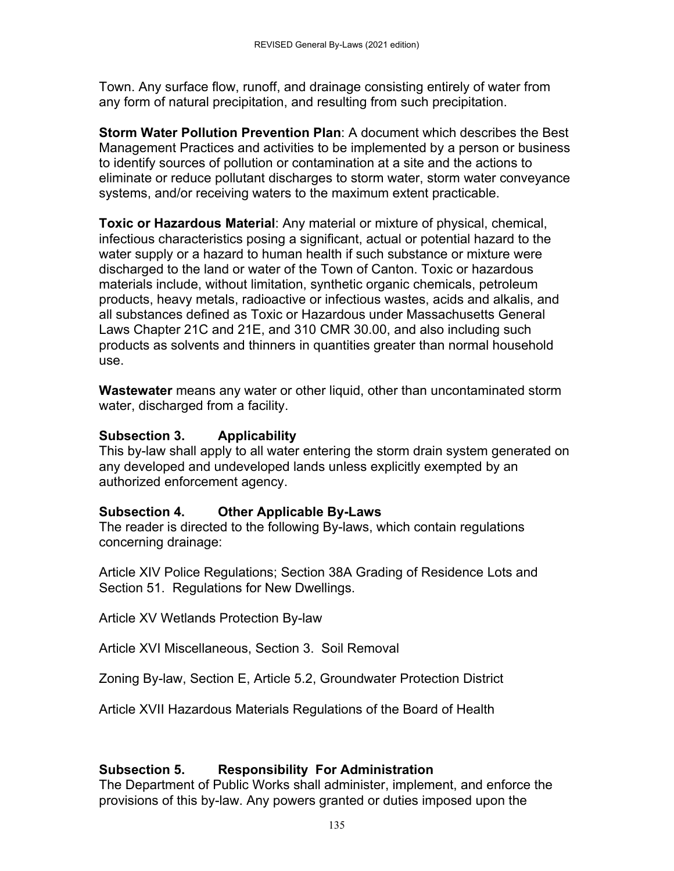Town. Any surface flow, runoff, and drainage consisting entirely of water from any form of natural precipitation, and resulting from such precipitation.

**Storm Water Pollution Prevention Plan**: A document which describes the Best Management Practices and activities to be implemented by a person or business to identify sources of pollution or contamination at a site and the actions to eliminate or reduce pollutant discharges to storm water, storm water conveyance systems, and/or receiving waters to the maximum extent practicable.

**Toxic or Hazardous Material**: Any material or mixture of physical, chemical, infectious characteristics posing a significant, actual or potential hazard to the water supply or a hazard to human health if such substance or mixture were discharged to the land or water of the Town of Canton. Toxic or hazardous materials include, without limitation, synthetic organic chemicals, petroleum products, heavy metals, radioactive or infectious wastes, acids and alkalis, and all substances defined as Toxic or Hazardous under Massachusetts General Laws Chapter 21C and 21E, and 310 CMR 30.00, and also including such products as solvents and thinners in quantities greater than normal household use.

**Wastewater** means any water or other liquid, other than uncontaminated storm water, discharged from a facility.

# **Subsection 3. Applicability**

This by-law shall apply to all water entering the storm drain system generated on any developed and undeveloped lands unless explicitly exempted by an authorized enforcement agency.

# **Subsection 4. Other Applicable By-Laws**

The reader is directed to the following By-laws, which contain regulations concerning drainage:

Article XIV Police Regulations; Section 38A Grading of Residence Lots and Section 51. Regulations for New Dwellings.

Article XV Wetlands Protection By-law

Article XVI Miscellaneous, Section 3. Soil Removal

Zoning By-law, Section E, Article 5.2, Groundwater Protection District

Article XVII Hazardous Materials Regulations of the Board of Health

# **Subsection 5. Responsibility For Administration**

The Department of Public Works shall administer, implement, and enforce the provisions of this by-law. Any powers granted or duties imposed upon the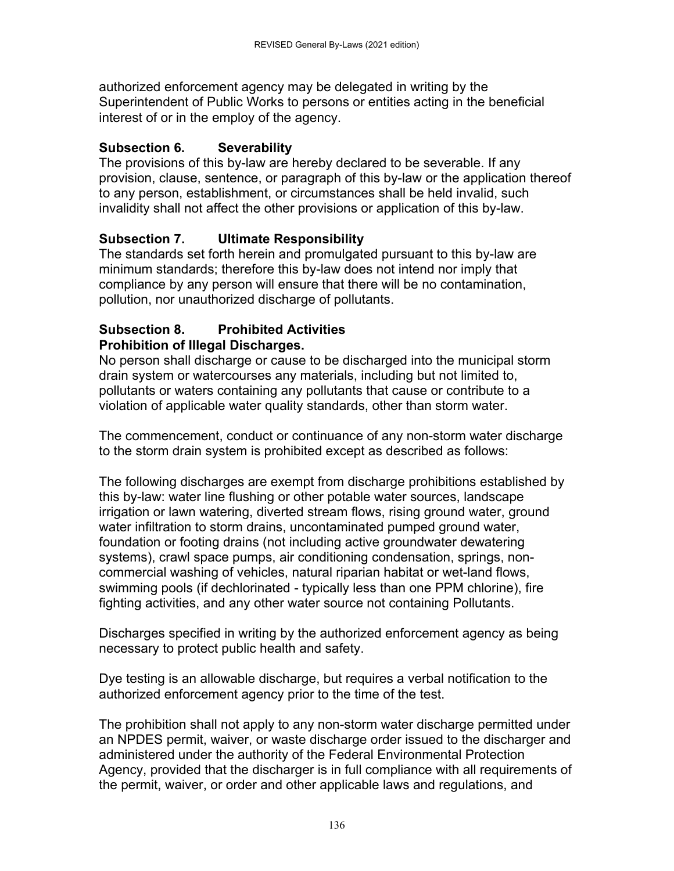authorized enforcement agency may be delegated in writing by the Superintendent of Public Works to persons or entities acting in the beneficial interest of or in the employ of the agency.

# **Subsection 6. Severability**

The provisions of this by-law are hereby declared to be severable. If any provision, clause, sentence, or paragraph of this by-law or the application thereof to any person, establishment, or circumstances shall be held invalid, such invalidity shall not affect the other provisions or application of this by-law.

# **Subsection 7. Ultimate Responsibility**

The standards set forth herein and promulgated pursuant to this by-law are minimum standards; therefore this by-law does not intend nor imply that compliance by any person will ensure that there will be no contamination, pollution, nor unauthorized discharge of pollutants.

### **Subsection 8. Prohibited Activities Prohibition of Illegal Discharges.**

No person shall discharge or cause to be discharged into the municipal storm drain system or watercourses any materials, including but not limited to, pollutants or waters containing any pollutants that cause or contribute to a violation of applicable water quality standards, other than storm water.

The commencement, conduct or continuance of any non-storm water discharge to the storm drain system is prohibited except as described as follows:

The following discharges are exempt from discharge prohibitions established by this by-law: water line flushing or other potable water sources, landscape irrigation or lawn watering, diverted stream flows, rising ground water, ground water infiltration to storm drains, uncontaminated pumped ground water, foundation or footing drains (not including active groundwater dewatering systems), crawl space pumps, air conditioning condensation, springs, noncommercial washing of vehicles, natural riparian habitat or wet-land flows, swimming pools (if dechlorinated - typically less than one PPM chlorine), fire fighting activities, and any other water source not containing Pollutants.

Discharges specified in writing by the authorized enforcement agency as being necessary to protect public health and safety.

Dye testing is an allowable discharge, but requires a verbal notification to the authorized enforcement agency prior to the time of the test.

The prohibition shall not apply to any non-storm water discharge permitted under an NPDES permit, waiver, or waste discharge order issued to the discharger and administered under the authority of the Federal Environmental Protection Agency, provided that the discharger is in full compliance with all requirements of the permit, waiver, or order and other applicable laws and regulations, and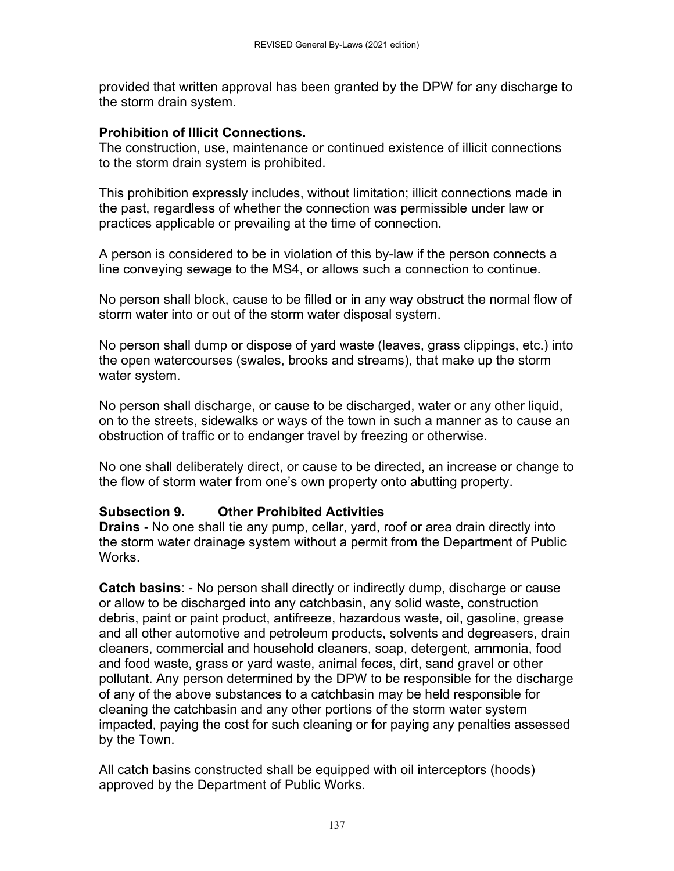provided that written approval has been granted by the DPW for any discharge to the storm drain system.

## **Prohibition of Illicit Connections.**

The construction, use, maintenance or continued existence of illicit connections to the storm drain system is prohibited.

This prohibition expressly includes, without limitation; illicit connections made in the past, regardless of whether the connection was permissible under law or practices applicable or prevailing at the time of connection.

A person is considered to be in violation of this by-law if the person connects a line conveying sewage to the MS4, or allows such a connection to continue.

No person shall block, cause to be filled or in any way obstruct the normal flow of storm water into or out of the storm water disposal system.

No person shall dump or dispose of yard waste (leaves, grass clippings, etc.) into the open watercourses (swales, brooks and streams), that make up the storm water system.

No person shall discharge, or cause to be discharged, water or any other liquid, on to the streets, sidewalks or ways of the town in such a manner as to cause an obstruction of traffic or to endanger travel by freezing or otherwise.

No one shall deliberately direct, or cause to be directed, an increase or change to the flow of storm water from one's own property onto abutting property.

# **Subsection 9. Other Prohibited Activities**

**Drains -** No one shall tie any pump, cellar, yard, roof or area drain directly into the storm water drainage system without a permit from the Department of Public Works.

**Catch basins**: - No person shall directly or indirectly dump, discharge or cause or allow to be discharged into any catchbasin, any solid waste, construction debris, paint or paint product, antifreeze, hazardous waste, oil, gasoline, grease and all other automotive and petroleum products, solvents and degreasers, drain cleaners, commercial and household cleaners, soap, detergent, ammonia, food and food waste, grass or yard waste, animal feces, dirt, sand gravel or other pollutant. Any person determined by the DPW to be responsible for the discharge of any of the above substances to a catchbasin may be held responsible for cleaning the catchbasin and any other portions of the storm water system impacted, paying the cost for such cleaning or for paying any penalties assessed by the Town.

All catch basins constructed shall be equipped with oil interceptors (hoods) approved by the Department of Public Works.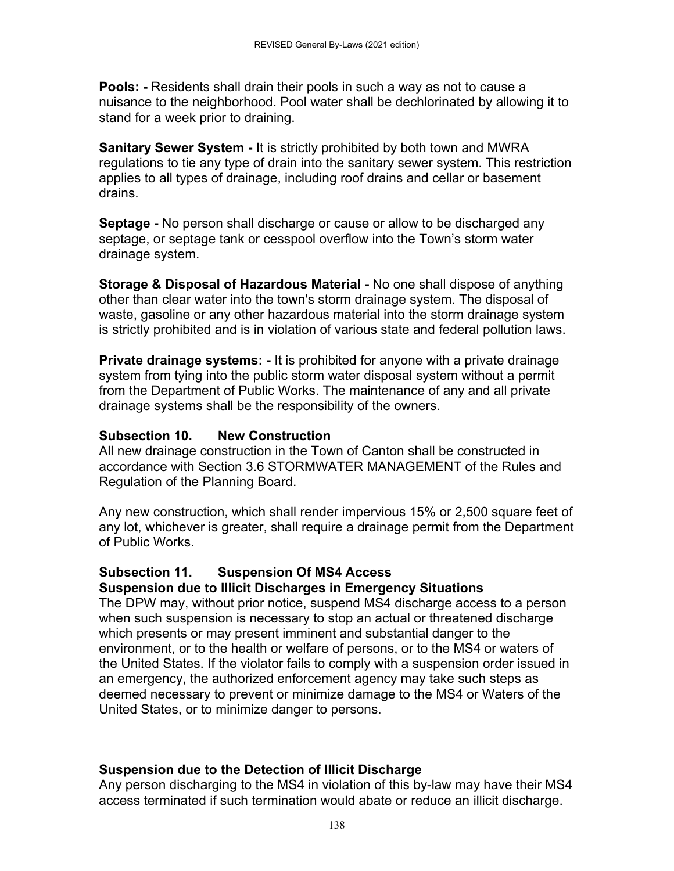**Pools: -** Residents shall drain their pools in such a way as not to cause a nuisance to the neighborhood. Pool water shall be dechlorinated by allowing it to stand for a week prior to draining.

**Sanitary Sewer System -** It is strictly prohibited by both town and MWRA regulations to tie any type of drain into the sanitary sewer system. This restriction applies to all types of drainage, including roof drains and cellar or basement drains.

**Septage -** No person shall discharge or cause or allow to be discharged any septage, or septage tank or cesspool overflow into the Town's storm water drainage system.

**Storage & Disposal of Hazardous Material -** No one shall dispose of anything other than clear water into the town's storm drainage system. The disposal of waste, gasoline or any other hazardous material into the storm drainage system is strictly prohibited and is in violation of various state and federal pollution laws.

**Private drainage systems: -** It is prohibited for anyone with a private drainage system from tying into the public storm water disposal system without a permit from the Department of Public Works. The maintenance of any and all private drainage systems shall be the responsibility of the owners.

### **Subsection 10. New Construction**

All new drainage construction in the Town of Canton shall be constructed in accordance with Section 3.6 STORMWATER MANAGEMENT of the Rules and Regulation of the Planning Board.

Any new construction, which shall render impervious 15% or 2,500 square feet of any lot, whichever is greater, shall require a drainage permit from the Department of Public Works.

# **Subsection 11. Suspension Of MS4 Access**

### **Suspension due to Illicit Discharges in Emergency Situations**

The DPW may, without prior notice, suspend MS4 discharge access to a person when such suspension is necessary to stop an actual or threatened discharge which presents or may present imminent and substantial danger to the environment, or to the health or welfare of persons, or to the MS4 or waters of the United States. If the violator fails to comply with a suspension order issued in an emergency, the authorized enforcement agency may take such steps as deemed necessary to prevent or minimize damage to the MS4 or Waters of the United States, or to minimize danger to persons.

### **Suspension due to the Detection of Illicit Discharge**

Any person discharging to the MS4 in violation of this by-law may have their MS4 access terminated if such termination would abate or reduce an illicit discharge.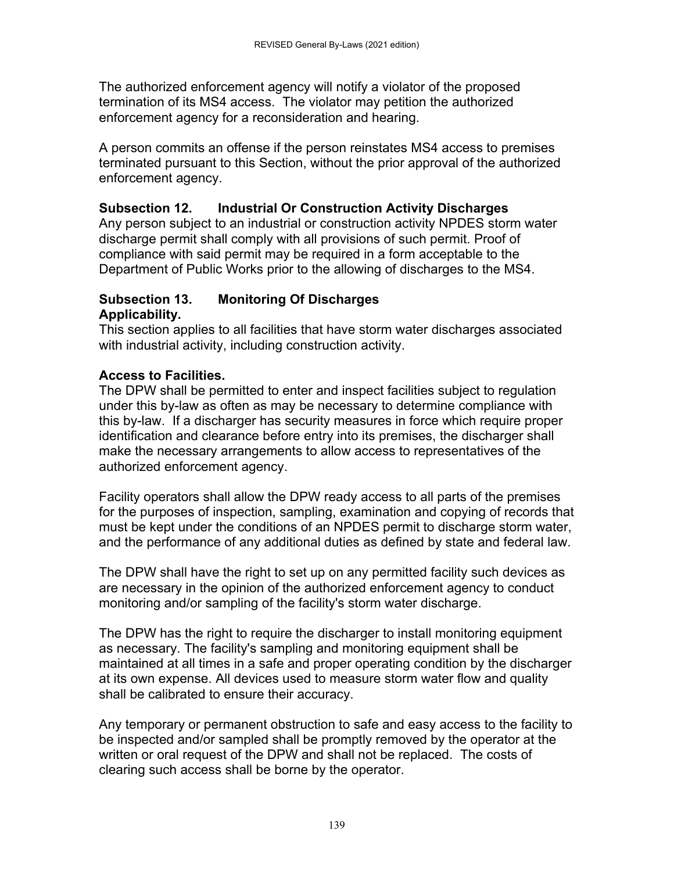The authorized enforcement agency will notify a violator of the proposed termination of its MS4 access. The violator may petition the authorized enforcement agency for a reconsideration and hearing.

A person commits an offense if the person reinstates MS4 access to premises terminated pursuant to this Section, without the prior approval of the authorized enforcement agency.

# **Subsection 12. Industrial Or Construction Activity Discharges**

Any person subject to an industrial or construction activity NPDES storm water discharge permit shall comply with all provisions of such permit. Proof of compliance with said permit may be required in a form acceptable to the Department of Public Works prior to the allowing of discharges to the MS4.

# **Subsection 13. Monitoring Of Discharges Applicability.**

This section applies to all facilities that have storm water discharges associated with industrial activity, including construction activity.

# **Access to Facilities.**

The DPW shall be permitted to enter and inspect facilities subject to regulation under this by-law as often as may be necessary to determine compliance with this by-law. If a discharger has security measures in force which require proper identification and clearance before entry into its premises, the discharger shall make the necessary arrangements to allow access to representatives of the authorized enforcement agency.

Facility operators shall allow the DPW ready access to all parts of the premises for the purposes of inspection, sampling, examination and copying of records that must be kept under the conditions of an NPDES permit to discharge storm water, and the performance of any additional duties as defined by state and federal law.

The DPW shall have the right to set up on any permitted facility such devices as are necessary in the opinion of the authorized enforcement agency to conduct monitoring and/or sampling of the facility's storm water discharge.

The DPW has the right to require the discharger to install monitoring equipment as necessary. The facility's sampling and monitoring equipment shall be maintained at all times in a safe and proper operating condition by the discharger at its own expense. All devices used to measure storm water flow and quality shall be calibrated to ensure their accuracy.

Any temporary or permanent obstruction to safe and easy access to the facility to be inspected and/or sampled shall be promptly removed by the operator at the written or oral request of the DPW and shall not be replaced. The costs of clearing such access shall be borne by the operator.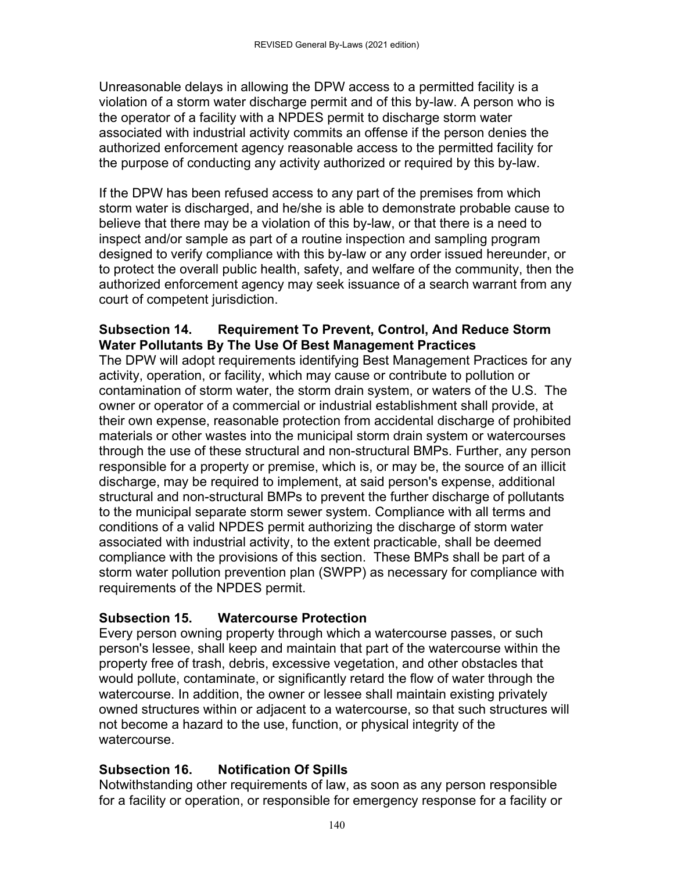Unreasonable delays in allowing the DPW access to a permitted facility is a violation of a storm water discharge permit and of this by-law. A person who is the operator of a facility with a NPDES permit to discharge storm water associated with industrial activity commits an offense if the person denies the authorized enforcement agency reasonable access to the permitted facility for the purpose of conducting any activity authorized or required by this by-law.

If the DPW has been refused access to any part of the premises from which storm water is discharged, and he/she is able to demonstrate probable cause to believe that there may be a violation of this by-law, or that there is a need to inspect and/or sample as part of a routine inspection and sampling program designed to verify compliance with this by-law or any order issued hereunder, or to protect the overall public health, safety, and welfare of the community, then the authorized enforcement agency may seek issuance of a search warrant from any court of competent jurisdiction.

# **Subsection 14. Requirement To Prevent, Control, And Reduce Storm Water Pollutants By The Use Of Best Management Practices**

The DPW will adopt requirements identifying Best Management Practices for any activity, operation, or facility, which may cause or contribute to pollution or contamination of storm water, the storm drain system, or waters of the U.S. The owner or operator of a commercial or industrial establishment shall provide, at their own expense, reasonable protection from accidental discharge of prohibited materials or other wastes into the municipal storm drain system or watercourses through the use of these structural and non-structural BMPs. Further, any person responsible for a property or premise, which is, or may be, the source of an illicit discharge, may be required to implement, at said person's expense, additional structural and non-structural BMPs to prevent the further discharge of pollutants to the municipal separate storm sewer system. Compliance with all terms and conditions of a valid NPDES permit authorizing the discharge of storm water associated with industrial activity, to the extent practicable, shall be deemed compliance with the provisions of this section. These BMPs shall be part of a storm water pollution prevention plan (SWPP) as necessary for compliance with requirements of the NPDES permit.

# **Subsection 15. Watercourse Protection**

Every person owning property through which a watercourse passes, or such person's lessee, shall keep and maintain that part of the watercourse within the property free of trash, debris, excessive vegetation, and other obstacles that would pollute, contaminate, or significantly retard the flow of water through the watercourse. In addition, the owner or lessee shall maintain existing privately owned structures within or adjacent to a watercourse, so that such structures will not become a hazard to the use, function, or physical integrity of the watercourse.

# **Subsection 16. Notification Of Spills**

Notwithstanding other requirements of law, as soon as any person responsible for a facility or operation, or responsible for emergency response for a facility or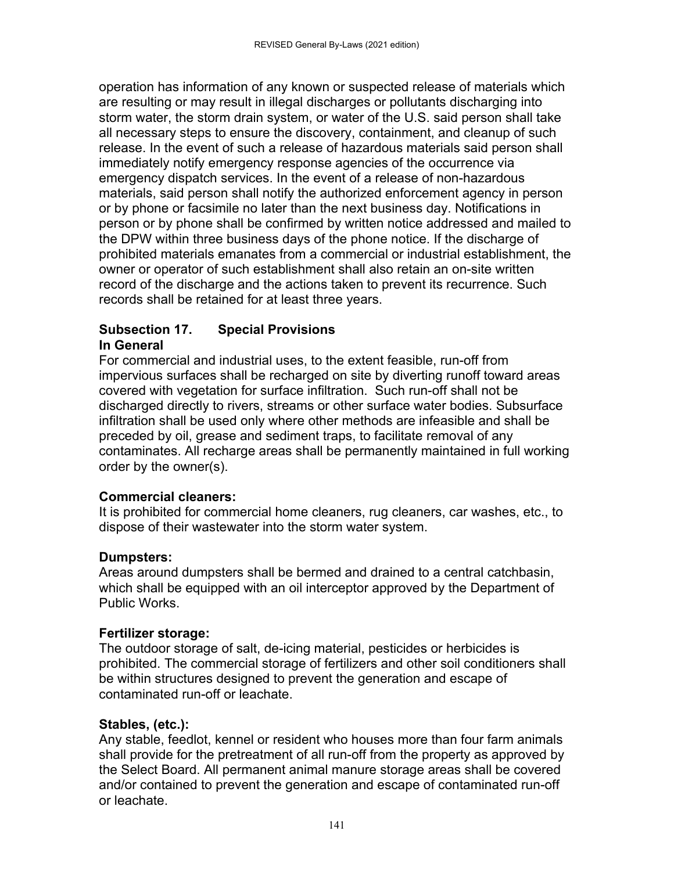operation has information of any known or suspected release of materials which are resulting or may result in illegal discharges or pollutants discharging into storm water, the storm drain system, or water of the U.S. said person shall take all necessary steps to ensure the discovery, containment, and cleanup of such release. In the event of such a release of hazardous materials said person shall immediately notify emergency response agencies of the occurrence via emergency dispatch services. In the event of a release of non-hazardous materials, said person shall notify the authorized enforcement agency in person or by phone or facsimile no later than the next business day. Notifications in person or by phone shall be confirmed by written notice addressed and mailed to the DPW within three business days of the phone notice. If the discharge of prohibited materials emanates from a commercial or industrial establishment, the owner or operator of such establishment shall also retain an on-site written record of the discharge and the actions taken to prevent its recurrence. Such records shall be retained for at least three years.

### **Subsection 17. Special Provisions In General**

For commercial and industrial uses, to the extent feasible, run-off from impervious surfaces shall be recharged on site by diverting runoff toward areas covered with vegetation for surface infiltration. Such run-off shall not be discharged directly to rivers, streams or other surface water bodies. Subsurface infiltration shall be used only where other methods are infeasible and shall be preceded by oil, grease and sediment traps, to facilitate removal of any contaminates. All recharge areas shall be permanently maintained in full working order by the owner(s).

# **Commercial cleaners:**

It is prohibited for commercial home cleaners, rug cleaners, car washes, etc., to dispose of their wastewater into the storm water system.

# **Dumpsters:**

Areas around dumpsters shall be bermed and drained to a central catchbasin, which shall be equipped with an oil interceptor approved by the Department of Public Works.

# **Fertilizer storage:**

The outdoor storage of salt, de-icing material, pesticides or herbicides is prohibited. The commercial storage of fertilizers and other soil conditioners shall be within structures designed to prevent the generation and escape of contaminated run-off or leachate.

# **Stables, (etc.):**

Any stable, feedlot, kennel or resident who houses more than four farm animals shall provide for the pretreatment of all run-off from the property as approved by the Select Board. All permanent animal manure storage areas shall be covered and/or contained to prevent the generation and escape of contaminated run-off or leachate.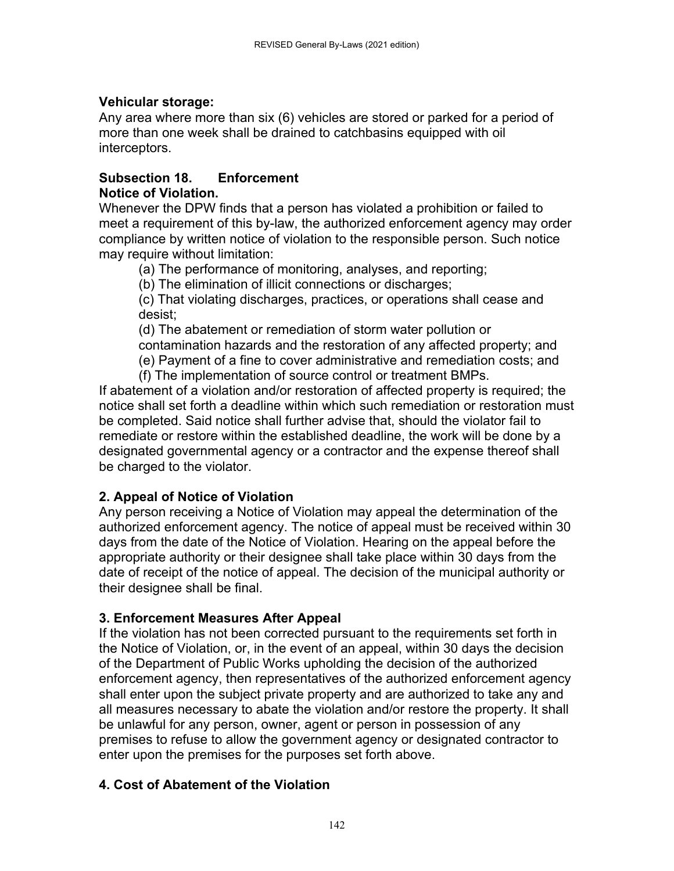# **Vehicular storage:**

Any area where more than six (6) vehicles are stored or parked for a period of more than one week shall be drained to catchbasins equipped with oil interceptors.

## **Subsection 18. Enforcement Notice of Violation.**

Whenever the DPW finds that a person has violated a prohibition or failed to meet a requirement of this by-law, the authorized enforcement agency may order compliance by written notice of violation to the responsible person. Such notice may require without limitation:

(a) The performance of monitoring, analyses, and reporting;

(b) The elimination of illicit connections or discharges;

(c) That violating discharges, practices, or operations shall cease and desist;

(d) The abatement or remediation of storm water pollution or

contamination hazards and the restoration of any affected property; and

(e) Payment of a fine to cover administrative and remediation costs; and

(f) The implementation of source control or treatment BMPs.

If abatement of a violation and/or restoration of affected property is required; the notice shall set forth a deadline within which such remediation or restoration must be completed. Said notice shall further advise that, should the violator fail to remediate or restore within the established deadline, the work will be done by a designated governmental agency or a contractor and the expense thereof shall be charged to the violator.

# **2. Appeal of Notice of Violation**

Any person receiving a Notice of Violation may appeal the determination of the authorized enforcement agency. The notice of appeal must be received within 30 days from the date of the Notice of Violation. Hearing on the appeal before the appropriate authority or their designee shall take place within 30 days from the date of receipt of the notice of appeal. The decision of the municipal authority or their designee shall be final.

# **3. Enforcement Measures After Appeal**

If the violation has not been corrected pursuant to the requirements set forth in the Notice of Violation, or, in the event of an appeal, within 30 days the decision of the Department of Public Works upholding the decision of the authorized enforcement agency, then representatives of the authorized enforcement agency shall enter upon the subject private property and are authorized to take any and all measures necessary to abate the violation and/or restore the property. It shall be unlawful for any person, owner, agent or person in possession of any premises to refuse to allow the government agency or designated contractor to enter upon the premises for the purposes set forth above.

# **4. Cost of Abatement of the Violation**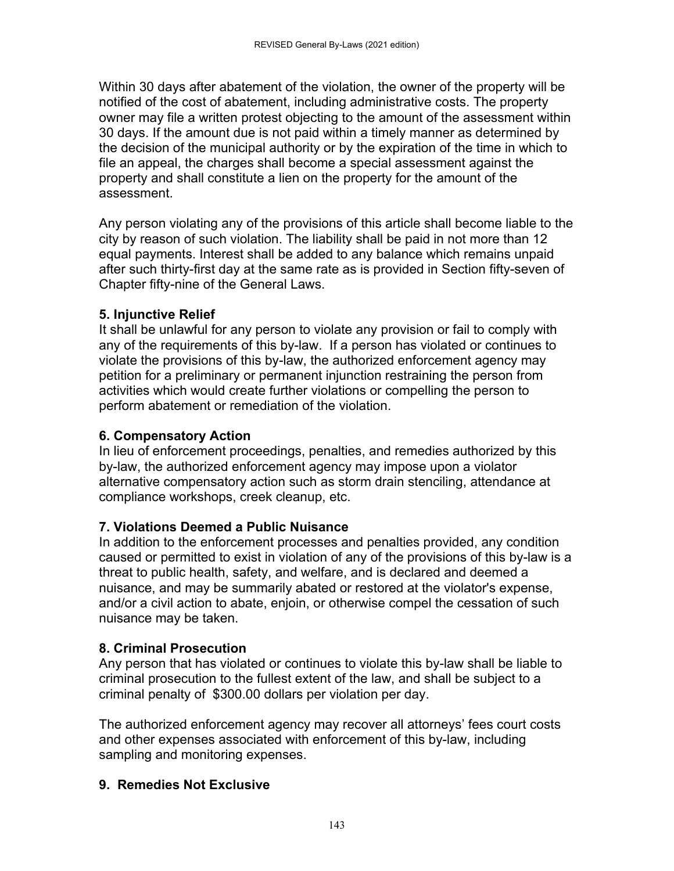Within 30 days after abatement of the violation, the owner of the property will be notified of the cost of abatement, including administrative costs. The property owner may file a written protest objecting to the amount of the assessment within 30 days. If the amount due is not paid within a timely manner as determined by the decision of the municipal authority or by the expiration of the time in which to file an appeal, the charges shall become a special assessment against the property and shall constitute a lien on the property for the amount of the assessment.

Any person violating any of the provisions of this article shall become liable to the city by reason of such violation. The liability shall be paid in not more than 12 equal payments. Interest shall be added to any balance which remains unpaid after such thirty-first day at the same rate as is provided in Section fifty-seven of Chapter fifty-nine of the General Laws.

## **5. Injunctive Relief**

It shall be unlawful for any person to violate any provision or fail to comply with any of the requirements of this by-law. If a person has violated or continues to violate the provisions of this by-law, the authorized enforcement agency may petition for a preliminary or permanent injunction restraining the person from activities which would create further violations or compelling the person to perform abatement or remediation of the violation.

### **6. Compensatory Action**

In lieu of enforcement proceedings, penalties, and remedies authorized by this by-law, the authorized enforcement agency may impose upon a violator alternative compensatory action such as storm drain stenciling, attendance at compliance workshops, creek cleanup, etc.

### **7. Violations Deemed a Public Nuisance**

In addition to the enforcement processes and penalties provided, any condition caused or permitted to exist in violation of any of the provisions of this by-law is a threat to public health, safety, and welfare, and is declared and deemed a nuisance, and may be summarily abated or restored at the violator's expense, and/or a civil action to abate, enjoin, or otherwise compel the cessation of such nuisance may be taken.

# **8. Criminal Prosecution**

Any person that has violated or continues to violate this by-law shall be liable to criminal prosecution to the fullest extent of the law, and shall be subject to a criminal penalty of \$300.00 dollars per violation per day.

The authorized enforcement agency may recover all attorneys' fees court costs and other expenses associated with enforcement of this by-law, including sampling and monitoring expenses.

# **9. Remedies Not Exclusive**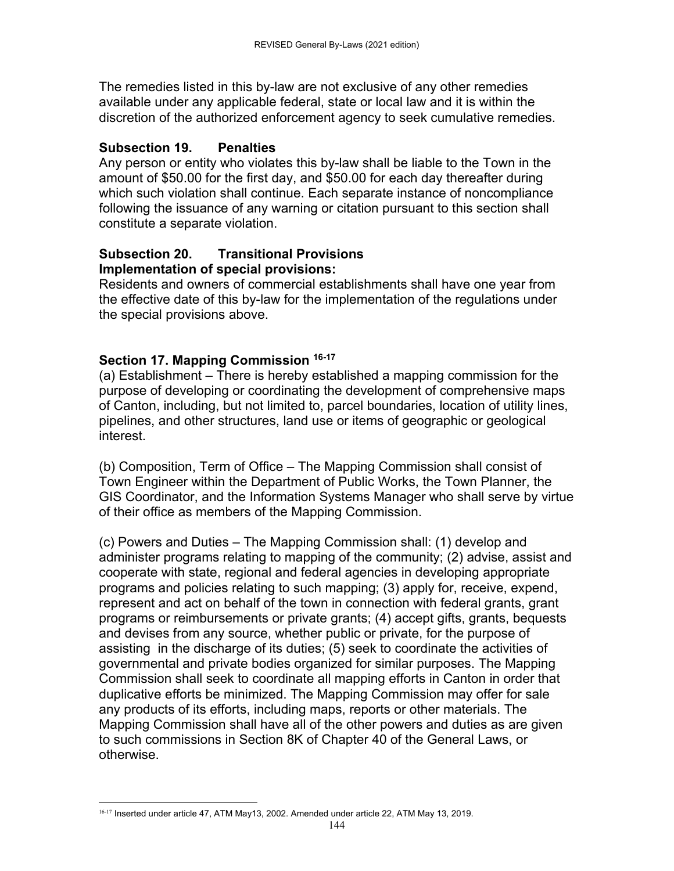The remedies listed in this by-law are not exclusive of any other remedies available under any applicable federal, state or local law and it is within the discretion of the authorized enforcement agency to seek cumulative remedies.

### **Subsection 19. Penalties**

Any person or entity who violates this by-law shall be liable to the Town in the amount of \$50.00 for the first day, and \$50.00 for each day thereafter during which such violation shall continue. Each separate instance of noncompliance following the issuance of any warning or citation pursuant to this section shall constitute a separate violation.

#### **Subsection 20. Transitional Provisions Implementation of special provisions:**

Residents and owners of commercial establishments shall have one year from the effective date of this by-law for the implementation of the regulations under the special provisions above.

# **Section 17. Mapping Commission 16-17**

(a) Establishment – There is hereby established a mapping commission for the purpose of developing or coordinating the development of comprehensive maps of Canton, including, but not limited to, parcel boundaries, location of utility lines, pipelines, and other structures, land use or items of geographic or geological interest.

(b) Composition, Term of Office – The Mapping Commission shall consist of Town Engineer within the Department of Public Works, the Town Planner, the GIS Coordinator, and the Information Systems Manager who shall serve by virtue of their office as members of the Mapping Commission.

(c) Powers and Duties – The Mapping Commission shall: (1) develop and administer programs relating to mapping of the community; (2) advise, assist and cooperate with state, regional and federal agencies in developing appropriate programs and policies relating to such mapping; (3) apply for, receive, expend, represent and act on behalf of the town in connection with federal grants, grant programs or reimbursements or private grants; (4) accept gifts, grants, bequests and devises from any source, whether public or private, for the purpose of assisting in the discharge of its duties; (5) seek to coordinate the activities of governmental and private bodies organized for similar purposes. The Mapping Commission shall seek to coordinate all mapping efforts in Canton in order that duplicative efforts be minimized. The Mapping Commission may offer for sale any products of its efforts, including maps, reports or other materials. The Mapping Commission shall have all of the other powers and duties as are given to such commissions in Section 8K of Chapter 40 of the General Laws, or otherwise.

 16-17 Inserted under article 47, ATM May13, 2002. Amended under article 22, ATM May 13, 2019.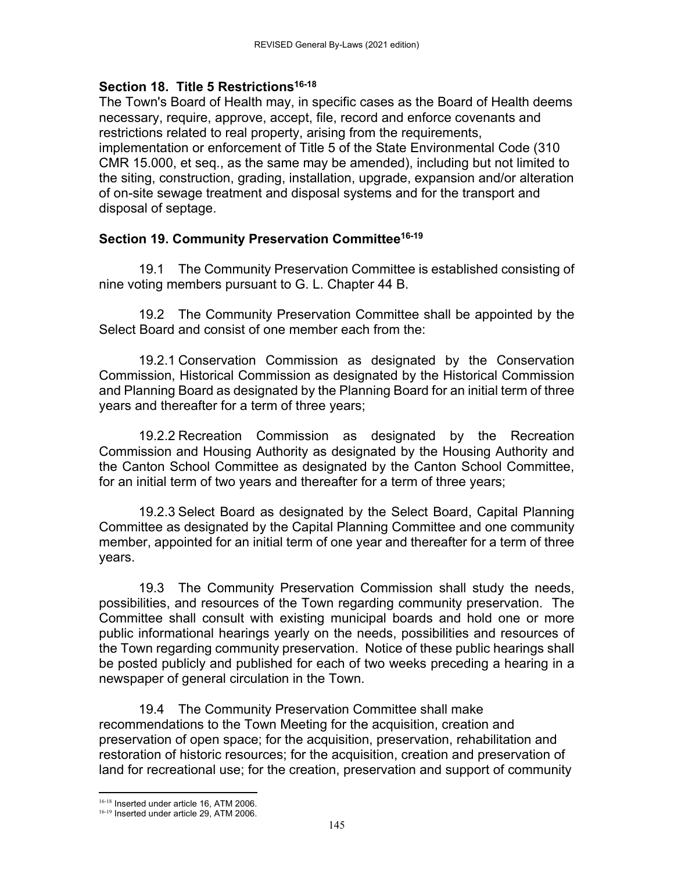#### Section 18. Title 5 Restrictions<sup>16-18</sup>

The Town's Board of Health may, in specific cases as the Board of Health deems necessary, require, approve, accept, file, record and enforce covenants and restrictions related to real property, arising from the requirements, implementation or enforcement of Title 5 of the State Environmental Code (310 CMR 15.000, et seq., as the same may be amended), including but not limited to the siting, construction, grading, installation, upgrade, expansion and/or alteration of on-site sewage treatment and disposal systems and for the transport and disposal of septage.

## **Section 19. Community Preservation Committee16-19**

19.1 The Community Preservation Committee is established consisting of nine voting members pursuant to G. L. Chapter 44 B.

 19.2 The Community Preservation Committee shall be appointed by the Select Board and consist of one member each from the:

 19.2.1 Conservation Commission as designated by the Conservation Commission, Historical Commission as designated by the Historical Commission and Planning Board as designated by the Planning Board for an initial term of three years and thereafter for a term of three years;

 19.2.2 Recreation Commission as designated by the Recreation Commission and Housing Authority as designated by the Housing Authority and the Canton School Committee as designated by the Canton School Committee, for an initial term of two years and thereafter for a term of three years;

 19.2.3 Select Board as designated by the Select Board, Capital Planning Committee as designated by the Capital Planning Committee and one community member, appointed for an initial term of one year and thereafter for a term of three years.

 19.3 The Community Preservation Commission shall study the needs, possibilities, and resources of the Town regarding community preservation. The Committee shall consult with existing municipal boards and hold one or more public informational hearings yearly on the needs, possibilities and resources of the Town regarding community preservation. Notice of these public hearings shall be posted publicly and published for each of two weeks preceding a hearing in a newspaper of general circulation in the Town.

 19.4 The Community Preservation Committee shall make recommendations to the Town Meeting for the acquisition, creation and preservation of open space; for the acquisition, preservation, rehabilitation and restoration of historic resources; for the acquisition, creation and preservation of land for recreational use; for the creation, preservation and support of community

 16-18 Inserted under article 16, ATM 2006.

<sup>16-19</sup> Inserted under article 29, ATM 2006.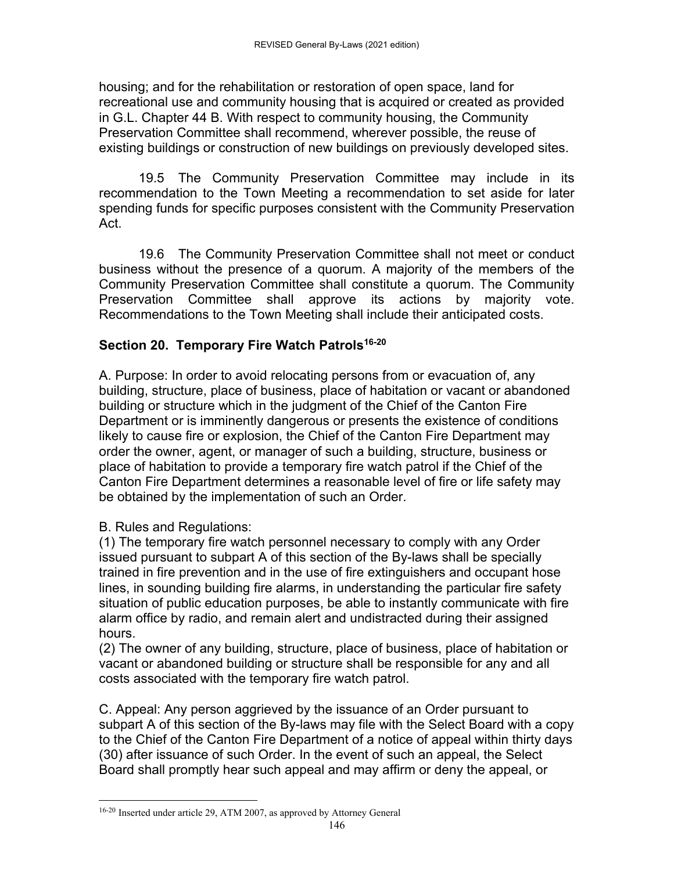housing; and for the rehabilitation or restoration of open space, land for recreational use and community housing that is acquired or created as provided in G.L. Chapter 44 B. With respect to community housing, the Community Preservation Committee shall recommend, wherever possible, the reuse of existing buildings or construction of new buildings on previously developed sites.

19.5 The Community Preservation Committee may include in its recommendation to the Town Meeting a recommendation to set aside for later spending funds for specific purposes consistent with the Community Preservation Act.

19.6 The Community Preservation Committee shall not meet or conduct business without the presence of a quorum. A majority of the members of the Community Preservation Committee shall constitute a quorum. The Community Preservation Committee shall approve its actions by majority vote. Recommendations to the Town Meeting shall include their anticipated costs.

### **Section 20. Temporary Fire Watch Patrols<sup>16-20</sup>**

A. Purpose: In order to avoid relocating persons from or evacuation of, any building, structure, place of business, place of habitation or vacant or abandoned building or structure which in the judgment of the Chief of the Canton Fire Department or is imminently dangerous or presents the existence of conditions likely to cause fire or explosion, the Chief of the Canton Fire Department may order the owner, agent, or manager of such a building, structure, business or place of habitation to provide a temporary fire watch patrol if the Chief of the Canton Fire Department determines a reasonable level of fire or life safety may be obtained by the implementation of such an Order.

#### B. Rules and Regulations:

(1) The temporary fire watch personnel necessary to comply with any Order issued pursuant to subpart A of this section of the By-laws shall be specially trained in fire prevention and in the use of fire extinguishers and occupant hose lines, in sounding building fire alarms, in understanding the particular fire safety situation of public education purposes, be able to instantly communicate with fire alarm office by radio, and remain alert and undistracted during their assigned hours.

(2) The owner of any building, structure, place of business, place of habitation or vacant or abandoned building or structure shall be responsible for any and all costs associated with the temporary fire watch patrol.

C. Appeal: Any person aggrieved by the issuance of an Order pursuant to subpart A of this section of the By-laws may file with the Select Board with a copy to the Chief of the Canton Fire Department of a notice of appeal within thirty days (30) after issuance of such Order. In the event of such an appeal, the Select Board shall promptly hear such appeal and may affirm or deny the appeal, or

<sup>16-20</sup> Inserted under article 29, ATM 2007, as approved by Attorney General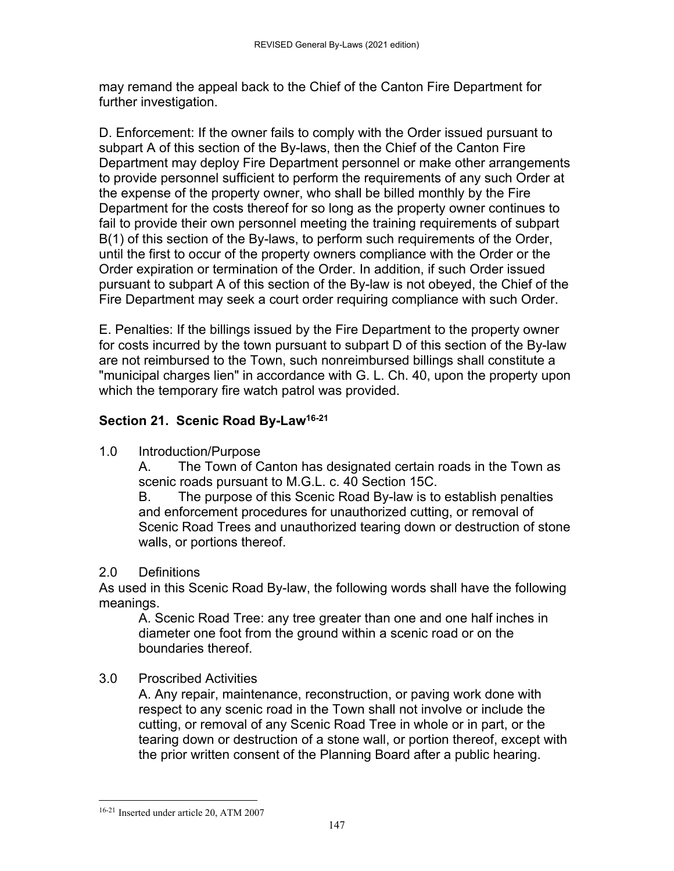may remand the appeal back to the Chief of the Canton Fire Department for further investigation.

D. Enforcement: If the owner fails to comply with the Order issued pursuant to subpart A of this section of the By-laws, then the Chief of the Canton Fire Department may deploy Fire Department personnel or make other arrangements to provide personnel sufficient to perform the requirements of any such Order at the expense of the property owner, who shall be billed monthly by the Fire Department for the costs thereof for so long as the property owner continues to fail to provide their own personnel meeting the training requirements of subpart B(1) of this section of the By-laws, to perform such requirements of the Order, until the first to occur of the property owners compliance with the Order or the Order expiration or termination of the Order. In addition, if such Order issued pursuant to subpart A of this section of the By-law is not obeyed, the Chief of the Fire Department may seek a court order requiring compliance with such Order.

E. Penalties: If the billings issued by the Fire Department to the property owner for costs incurred by the town pursuant to subpart D of this section of the By-law are not reimbursed to the Town, such nonreimbursed billings shall constitute a "municipal charges lien" in accordance with G. L. Ch. 40, upon the property upon which the temporary fire watch patrol was provided.

# **Section 21. Scenic Road By-Law16-21**

1.0 Introduction/Purpose

A. The Town of Canton has designated certain roads in the Town as scenic roads pursuant to M.G.L. c. 40 Section 15C.

B. The purpose of this Scenic Road By-law is to establish penalties and enforcement procedures for unauthorized cutting, or removal of Scenic Road Trees and unauthorized tearing down or destruction of stone walls, or portions thereof.

# 2.0 Definitions

As used in this Scenic Road By-law, the following words shall have the following meanings.

A. Scenic Road Tree: any tree greater than one and one half inches in diameter one foot from the ground within a scenic road or on the boundaries thereof.

# 3.0 Proscribed Activities

A. Any repair, maintenance, reconstruction, or paving work done with respect to any scenic road in the Town shall not involve or include the cutting, or removal of any Scenic Road Tree in whole or in part, or the tearing down or destruction of a stone wall, or portion thereof, except with the prior written consent of the Planning Board after a public hearing.

 16-21 Inserted under article 20, ATM 2007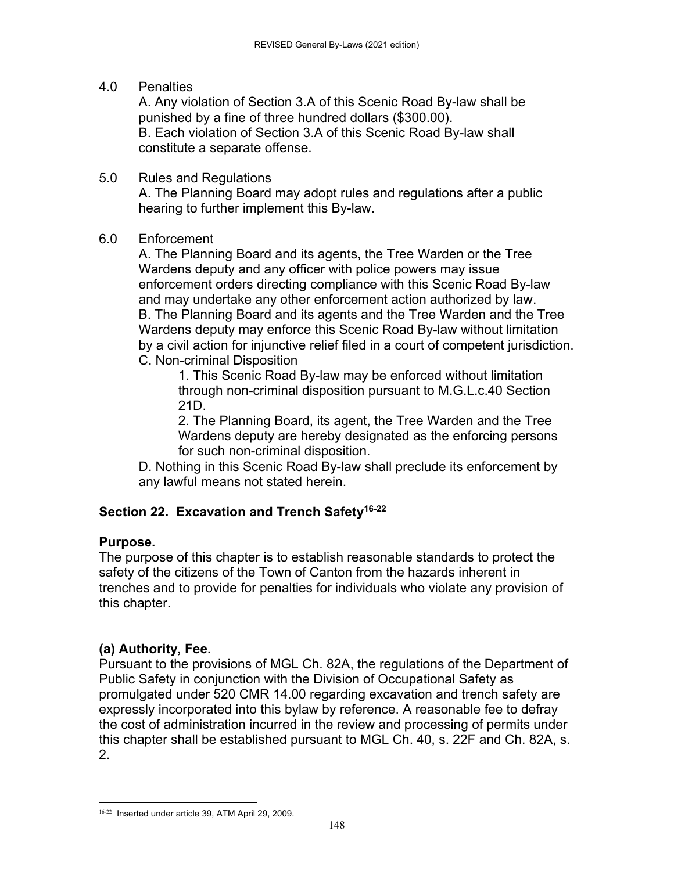#### 4.0 Penalties

A. Any violation of Section 3.A of this Scenic Road By-law shall be punished by a fine of three hundred dollars (\$300.00). B. Each violation of Section 3.A of this Scenic Road By-law shall constitute a separate offense.

5.0 Rules and Regulations A. The Planning Board may adopt rules and regulations after a public hearing to further implement this By-law.

#### 6.0 Enforcement

A. The Planning Board and its agents, the Tree Warden or the Tree Wardens deputy and any officer with police powers may issue enforcement orders directing compliance with this Scenic Road By-law and may undertake any other enforcement action authorized by law. B. The Planning Board and its agents and the Tree Warden and the Tree Wardens deputy may enforce this Scenic Road By-law without limitation by a civil action for injunctive relief filed in a court of competent jurisdiction. C. Non-criminal Disposition

1. This Scenic Road By-law may be enforced without limitation through non-criminal disposition pursuant to M.G.L.c.40 Section 21D.

2. The Planning Board, its agent, the Tree Warden and the Tree Wardens deputy are hereby designated as the enforcing persons for such non-criminal disposition.

D. Nothing in this Scenic Road By-law shall preclude its enforcement by any lawful means not stated herein.

### **Section 22. Excavation and Trench Safety16-22**

### **Purpose.**

The purpose of this chapter is to establish reasonable standards to protect the safety of the citizens of the Town of Canton from the hazards inherent in trenches and to provide for penalties for individuals who violate any provision of this chapter.

### **(a) Authority, Fee.**

Pursuant to the provisions of MGL Ch. 82A, the regulations of the Department of Public Safety in conjunction with the Division of Occupational Safety as promulgated under 520 CMR 14.00 regarding excavation and trench safety are expressly incorporated into this bylaw by reference. A reasonable fee to defray the cost of administration incurred in the review and processing of permits under this chapter shall be established pursuant to MGL Ch. 40, s. 22F and Ch. 82A, s. 2.

 16-22 Inserted under article 39, ATM April 29, 2009.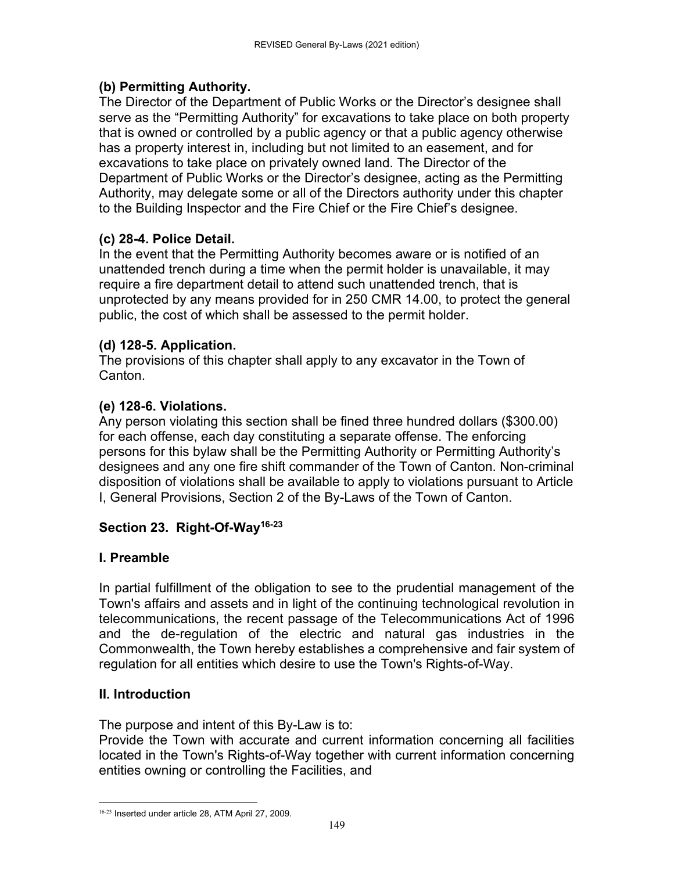# **(b) Permitting Authority.**

The Director of the Department of Public Works or the Director's designee shall serve as the "Permitting Authority" for excavations to take place on both property that is owned or controlled by a public agency or that a public agency otherwise has a property interest in, including but not limited to an easement, and for excavations to take place on privately owned land. The Director of the Department of Public Works or the Director's designee, acting as the Permitting Authority, may delegate some or all of the Directors authority under this chapter to the Building Inspector and the Fire Chief or the Fire Chief's designee.

# **(c) 28-4. Police Detail.**

In the event that the Permitting Authority becomes aware or is notified of an unattended trench during a time when the permit holder is unavailable, it may require a fire department detail to attend such unattended trench, that is unprotected by any means provided for in 250 CMR 14.00, to protect the general public, the cost of which shall be assessed to the permit holder.

## **(d) 128-5. Application.**

The provisions of this chapter shall apply to any excavator in the Town of Canton.

## **(e) 128-6. Violations.**

Any person violating this section shall be fined three hundred dollars (\$300.00) for each offense, each day constituting a separate offense. The enforcing persons for this bylaw shall be the Permitting Authority or Permitting Authority's designees and any one fire shift commander of the Town of Canton. Non-criminal disposition of violations shall be available to apply to violations pursuant to Article I, General Provisions, Section 2 of the By-Laws of the Town of Canton.

### **Section 23. Right-Of-Way16-23**

### **I. Preamble**

In partial fulfillment of the obligation to see to the prudential management of the Town's affairs and assets and in light of the continuing technological revolution in telecommunications, the recent passage of the Telecommunications Act of 1996 and the de-regulation of the electric and natural gas industries in the Commonwealth, the Town hereby establishes a comprehensive and fair system of regulation for all entities which desire to use the Town's Rights-of-Way.

### **II. Introduction**

The purpose and intent of this By-Law is to:

Provide the Town with accurate and current information concerning all facilities located in the Town's Rights-of-Way together with current information concerning entities owning or controlling the Facilities, and

 16-23 Inserted under article 28, ATM April 27, 2009.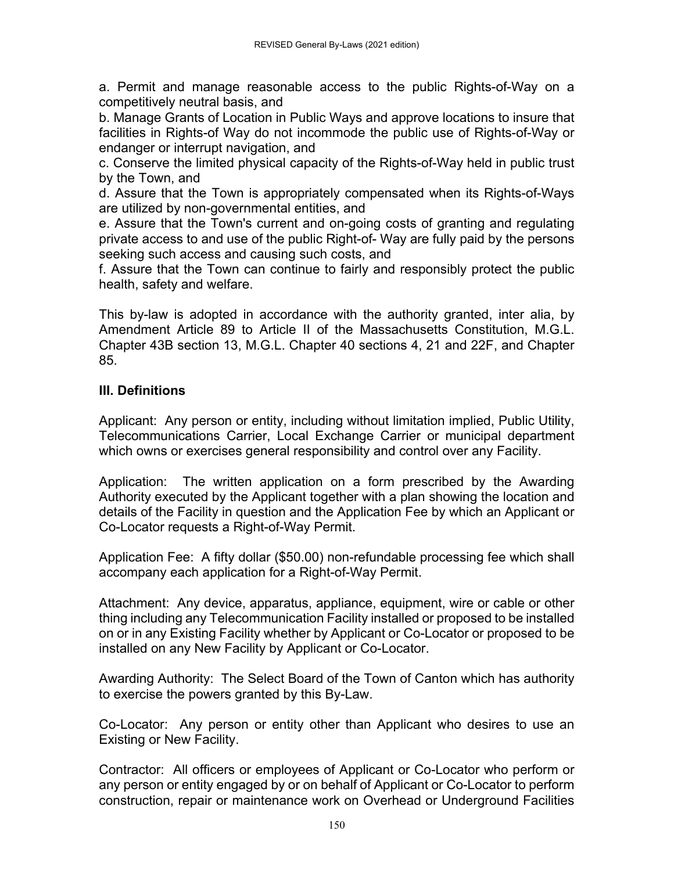a. Permit and manage reasonable access to the public Rights-of-Way on a competitively neutral basis, and

b. Manage Grants of Location in Public Ways and approve locations to insure that facilities in Rights-of Way do not incommode the public use of Rights-of-Way or endanger or interrupt navigation, and

c. Conserve the limited physical capacity of the Rights-of-Way held in public trust by the Town, and

d. Assure that the Town is appropriately compensated when its Rights-of-Ways are utilized by non-governmental entities, and

e. Assure that the Town's current and on-going costs of granting and regulating private access to and use of the public Right-of- Way are fully paid by the persons seeking such access and causing such costs, and

f. Assure that the Town can continue to fairly and responsibly protect the public health, safety and welfare.

This by-law is adopted in accordance with the authority granted, inter alia, by Amendment Article 89 to Article II of the Massachusetts Constitution, M.G.L. Chapter 43B section 13, M.G.L. Chapter 40 sections 4, 21 and 22F, and Chapter 85.

## **III. Definitions**

Applicant: Any person or entity, including without limitation implied, Public Utility, Telecommunications Carrier, Local Exchange Carrier or municipal department which owns or exercises general responsibility and control over any Facility.

Application: The written application on a form prescribed by the Awarding Authority executed by the Applicant together with a plan showing the location and details of the Facility in question and the Application Fee by which an Applicant or Co-Locator requests a Right-of-Way Permit.

Application Fee: A fifty dollar (\$50.00) non-refundable processing fee which shall accompany each application for a Right-of-Way Permit.

Attachment: Any device, apparatus, appliance, equipment, wire or cable or other thing including any Telecommunication Facility installed or proposed to be installed on or in any Existing Facility whether by Applicant or Co-Locator or proposed to be installed on any New Facility by Applicant or Co-Locator.

Awarding Authority: The Select Board of the Town of Canton which has authority to exercise the powers granted by this By-Law.

Co-Locator: Any person or entity other than Applicant who desires to use an Existing or New Facility.

Contractor: All officers or employees of Applicant or Co-Locator who perform or any person or entity engaged by or on behalf of Applicant or Co-Locator to perform construction, repair or maintenance work on Overhead or Underground Facilities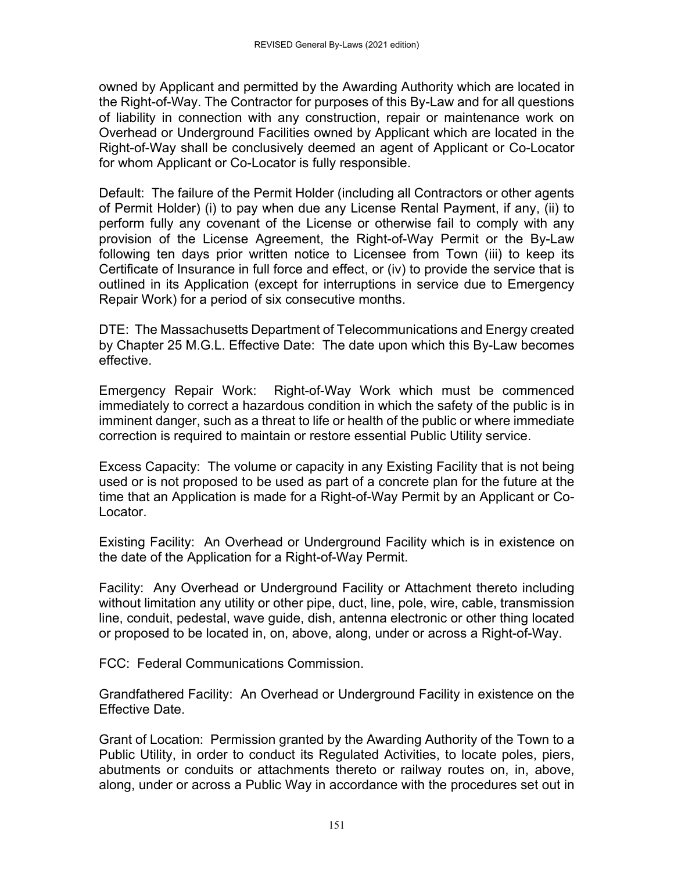owned by Applicant and permitted by the Awarding Authority which are located in the Right-of-Way. The Contractor for purposes of this By-Law and for all questions of liability in connection with any construction, repair or maintenance work on Overhead or Underground Facilities owned by Applicant which are located in the Right-of-Way shall be conclusively deemed an agent of Applicant or Co-Locator for whom Applicant or Co-Locator is fully responsible.

Default: The failure of the Permit Holder (including all Contractors or other agents of Permit Holder) (i) to pay when due any License Rental Payment, if any, (ii) to perform fully any covenant of the License or otherwise fail to comply with any provision of the License Agreement, the Right-of-Way Permit or the By-Law following ten days prior written notice to Licensee from Town (iii) to keep its Certificate of Insurance in full force and effect, or (iv) to provide the service that is outlined in its Application (except for interruptions in service due to Emergency Repair Work) for a period of six consecutive months.

DTE: The Massachusetts Department of Telecommunications and Energy created by Chapter 25 M.G.L. Effective Date: The date upon which this By-Law becomes effective.

Emergency Repair Work: Right-of-Way Work which must be commenced immediately to correct a hazardous condition in which the safety of the public is in imminent danger, such as a threat to life or health of the public or where immediate correction is required to maintain or restore essential Public Utility service.

Excess Capacity: The volume or capacity in any Existing Facility that is not being used or is not proposed to be used as part of a concrete plan for the future at the time that an Application is made for a Right-of-Way Permit by an Applicant or Co-Locator.

Existing Facility: An Overhead or Underground Facility which is in existence on the date of the Application for a Right-of-Way Permit.

Facility: Any Overhead or Underground Facility or Attachment thereto including without limitation any utility or other pipe, duct, line, pole, wire, cable, transmission line, conduit, pedestal, wave guide, dish, antenna electronic or other thing located or proposed to be located in, on, above, along, under or across a Right-of-Way.

FCC: Federal Communications Commission.

Grandfathered Facility: An Overhead or Underground Facility in existence on the Effective Date.

Grant of Location: Permission granted by the Awarding Authority of the Town to a Public Utility, in order to conduct its Regulated Activities, to locate poles, piers, abutments or conduits or attachments thereto or railway routes on, in, above, along, under or across a Public Way in accordance with the procedures set out in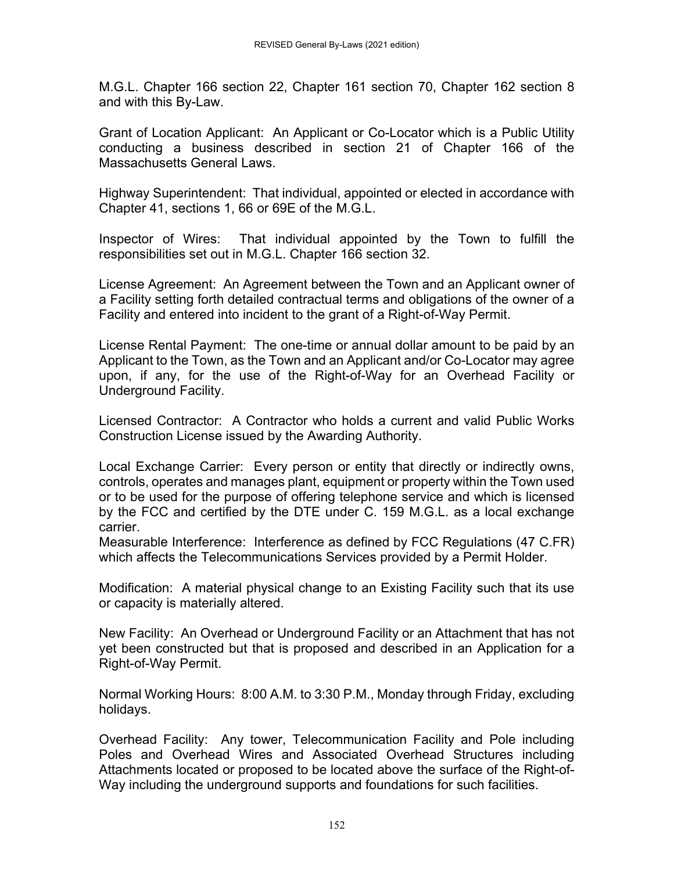M.G.L. Chapter 166 section 22, Chapter 161 section 70, Chapter 162 section 8 and with this By-Law.

Grant of Location Applicant: An Applicant or Co-Locator which is a Public Utility conducting a business described in section 21 of Chapter 166 of the Massachusetts General Laws.

Highway Superintendent: That individual, appointed or elected in accordance with Chapter 41, sections 1, 66 or 69E of the M.G.L.

Inspector of Wires: That individual appointed by the Town to fulfill the responsibilities set out in M.G.L. Chapter 166 section 32.

License Agreement: An Agreement between the Town and an Applicant owner of a Facility setting forth detailed contractual terms and obligations of the owner of a Facility and entered into incident to the grant of a Right-of-Way Permit.

License Rental Payment: The one-time or annual dollar amount to be paid by an Applicant to the Town, as the Town and an Applicant and/or Co-Locator may agree upon, if any, for the use of the Right-of-Way for an Overhead Facility or Underground Facility.

Licensed Contractor: A Contractor who holds a current and valid Public Works Construction License issued by the Awarding Authority.

Local Exchange Carrier: Every person or entity that directly or indirectly owns, controls, operates and manages plant, equipment or property within the Town used or to be used for the purpose of offering telephone service and which is licensed by the FCC and certified by the DTE under C. 159 M.G.L. as a local exchange carrier.

Measurable Interference: Interference as defined by FCC Regulations (47 C.FR) which affects the Telecommunications Services provided by a Permit Holder.

Modification: A material physical change to an Existing Facility such that its use or capacity is materially altered.

New Facility: An Overhead or Underground Facility or an Attachment that has not yet been constructed but that is proposed and described in an Application for a Right-of-Way Permit.

Normal Working Hours: 8:00 A.M. to 3:30 P.M., Monday through Friday, excluding holidays.

Overhead Facility: Any tower, Telecommunication Facility and Pole including Poles and Overhead Wires and Associated Overhead Structures including Attachments located or proposed to be located above the surface of the Right-of-Way including the underground supports and foundations for such facilities.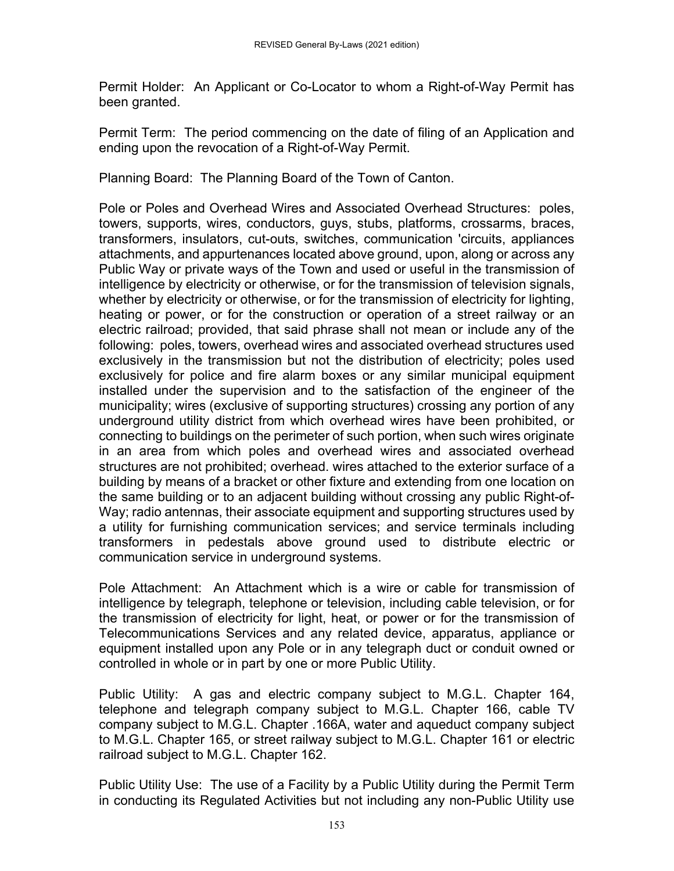Permit Holder: An Applicant or Co-Locator to whom a Right-of-Way Permit has been granted.

Permit Term: The period commencing on the date of filing of an Application and ending upon the revocation of a Right-of-Way Permit.

Planning Board: The Planning Board of the Town of Canton.

Pole or Poles and Overhead Wires and Associated Overhead Structures: poles, towers, supports, wires, conductors, guys, stubs, platforms, crossarms, braces, transformers, insulators, cut-outs, switches, communication 'circuits, appliances attachments, and appurtenances located above ground, upon, along or across any Public Way or private ways of the Town and used or useful in the transmission of intelligence by electricity or otherwise, or for the transmission of television signals, whether by electricity or otherwise, or for the transmission of electricity for lighting, heating or power, or for the construction or operation of a street railway or an electric railroad; provided, that said phrase shall not mean or include any of the following: poles, towers, overhead wires and associated overhead structures used exclusively in the transmission but not the distribution of electricity; poles used exclusively for police and fire alarm boxes or any similar municipal equipment installed under the supervision and to the satisfaction of the engineer of the municipality; wires (exclusive of supporting structures) crossing any portion of any underground utility district from which overhead wires have been prohibited, or connecting to buildings on the perimeter of such portion, when such wires originate in an area from which poles and overhead wires and associated overhead structures are not prohibited; overhead. wires attached to the exterior surface of a building by means of a bracket or other fixture and extending from one location on the same building or to an adjacent building without crossing any public Right-of-Way; radio antennas, their associate equipment and supporting structures used by a utility for furnishing communication services; and service terminals including transformers in pedestals above ground used to distribute electric or communication service in underground systems.

Pole Attachment: An Attachment which is a wire or cable for transmission of intelligence by telegraph, telephone or television, including cable television, or for the transmission of electricity for light, heat, or power or for the transmission of Telecommunications Services and any related device, apparatus, appliance or equipment installed upon any Pole or in any telegraph duct or conduit owned or controlled in whole or in part by one or more Public Utility.

Public Utility: A gas and electric company subject to M.G.L. Chapter 164, telephone and telegraph company subject to M.G.L. Chapter 166, cable TV company subject to M.G.L. Chapter .166A, water and aqueduct company subject to M.G.L. Chapter 165, or street railway subject to M.G.L. Chapter 161 or electric railroad subject to M.G.L. Chapter 162.

Public Utility Use: The use of a Facility by a Public Utility during the Permit Term in conducting its Regulated Activities but not including any non-Public Utility use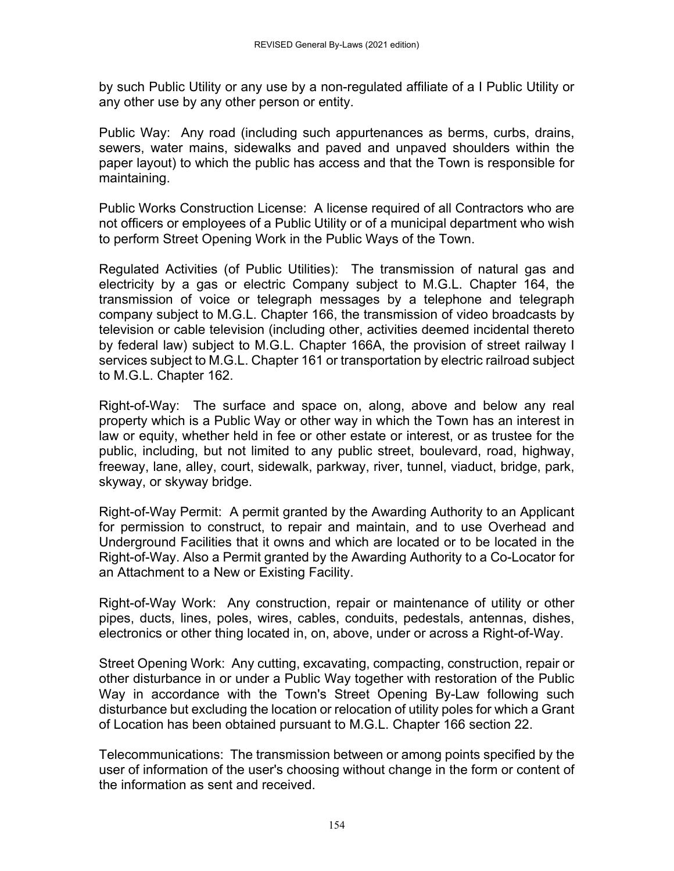by such Public Utility or any use by a non-regulated affiliate of a I Public Utility or any other use by any other person or entity.

Public Way: Any road (including such appurtenances as berms, curbs, drains, sewers, water mains, sidewalks and paved and unpaved shoulders within the paper layout) to which the public has access and that the Town is responsible for maintaining.

Public Works Construction License: A license required of all Contractors who are not officers or employees of a Public Utility or of a municipal department who wish to perform Street Opening Work in the Public Ways of the Town.

Regulated Activities (of Public Utilities): The transmission of natural gas and electricity by a gas or electric Company subject to M.G.L. Chapter 164, the transmission of voice or telegraph messages by a telephone and telegraph company subject to M.G.L. Chapter 166, the transmission of video broadcasts by television or cable television (including other, activities deemed incidental thereto by federal law) subject to M.G.L. Chapter 166A, the provision of street railway I services subject to M.G.L. Chapter 161 or transportation by electric railroad subject to M.G.L. Chapter 162.

Right-of-Way: The surface and space on, along, above and below any real property which is a Public Way or other way in which the Town has an interest in law or equity, whether held in fee or other estate or interest, or as trustee for the public, including, but not limited to any public street, boulevard, road, highway, freeway, lane, alley, court, sidewalk, parkway, river, tunnel, viaduct, bridge, park, skyway, or skyway bridge.

Right-of-Way Permit: A permit granted by the Awarding Authority to an Applicant for permission to construct, to repair and maintain, and to use Overhead and Underground Facilities that it owns and which are located or to be located in the Right-of-Way. Also a Permit granted by the Awarding Authority to a Co-Locator for an Attachment to a New or Existing Facility.

Right-of-Way Work: Any construction, repair or maintenance of utility or other pipes, ducts, lines, poles, wires, cables, conduits, pedestals, antennas, dishes, electronics or other thing located in, on, above, under or across a Right-of-Way.

Street Opening Work: Any cutting, excavating, compacting, construction, repair or other disturbance in or under a Public Way together with restoration of the Public Way in accordance with the Town's Street Opening By-Law following such disturbance but excluding the location or relocation of utility poles for which a Grant of Location has been obtained pursuant to M.G.L. Chapter 166 section 22.

Telecommunications: The transmission between or among points specified by the user of information of the user's choosing without change in the form or content of the information as sent and received.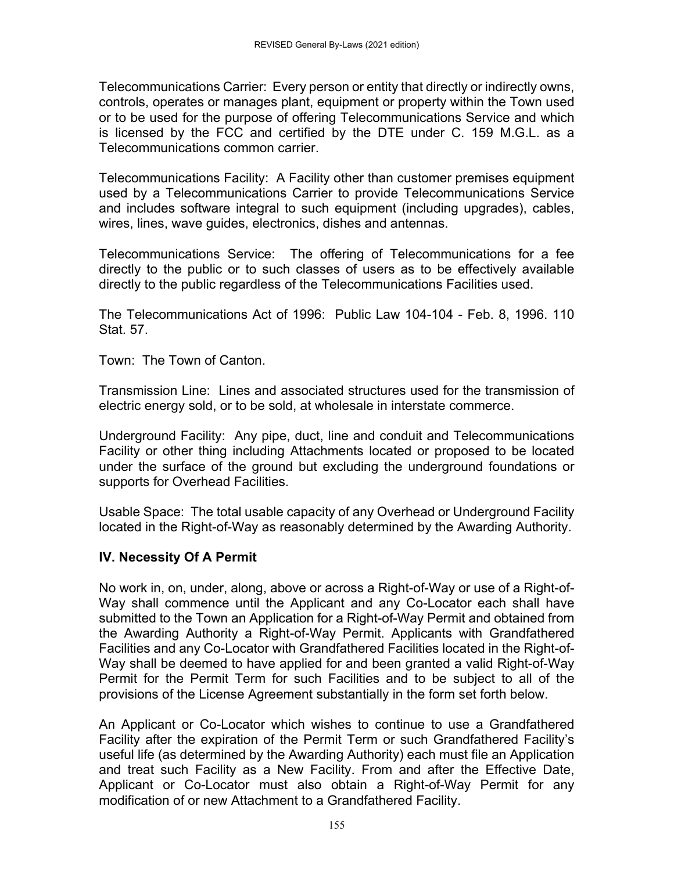Telecommunications Carrier: Every person or entity that directly or indirectly owns, controls, operates or manages plant, equipment or property within the Town used or to be used for the purpose of offering Telecommunications Service and which is licensed by the FCC and certified by the DTE under C. 159 M.G.L. as a Telecommunications common carrier.

Telecommunications Facility: A Facility other than customer premises equipment used by a Telecommunications Carrier to provide Telecommunications Service and includes software integral to such equipment (including upgrades), cables, wires, lines, wave guides, electronics, dishes and antennas.

Telecommunications Service: The offering of Telecommunications for a fee directly to the public or to such classes of users as to be effectively available directly to the public regardless of the Telecommunications Facilities used.

The Telecommunications Act of 1996: Public Law 104-104 - Feb. 8, 1996. 110 Stat. 57

Town: The Town of Canton.

Transmission Line: Lines and associated structures used for the transmission of electric energy sold, or to be sold, at wholesale in interstate commerce.

Underground Facility: Any pipe, duct, line and conduit and Telecommunications Facility or other thing including Attachments located or proposed to be located under the surface of the ground but excluding the underground foundations or supports for Overhead Facilities.

Usable Space: The total usable capacity of any Overhead or Underground Facility located in the Right-of-Way as reasonably determined by the Awarding Authority.

### **IV. Necessity Of A Permit**

No work in, on, under, along, above or across a Right-of-Way or use of a Right-of-Way shall commence until the Applicant and any Co-Locator each shall have submitted to the Town an Application for a Right-of-Way Permit and obtained from the Awarding Authority a Right-of-Way Permit. Applicants with Grandfathered Facilities and any Co-Locator with Grandfathered Facilities located in the Right-of-Way shall be deemed to have applied for and been granted a valid Right-of-Way Permit for the Permit Term for such Facilities and to be subject to all of the provisions of the License Agreement substantially in the form set forth below.

An Applicant or Co-Locator which wishes to continue to use a Grandfathered Facility after the expiration of the Permit Term or such Grandfathered Facility's useful life (as determined by the Awarding Authority) each must file an Application and treat such Facility as a New Facility. From and after the Effective Date, Applicant or Co-Locator must also obtain a Right-of-Way Permit for any modification of or new Attachment to a Grandfathered Facility.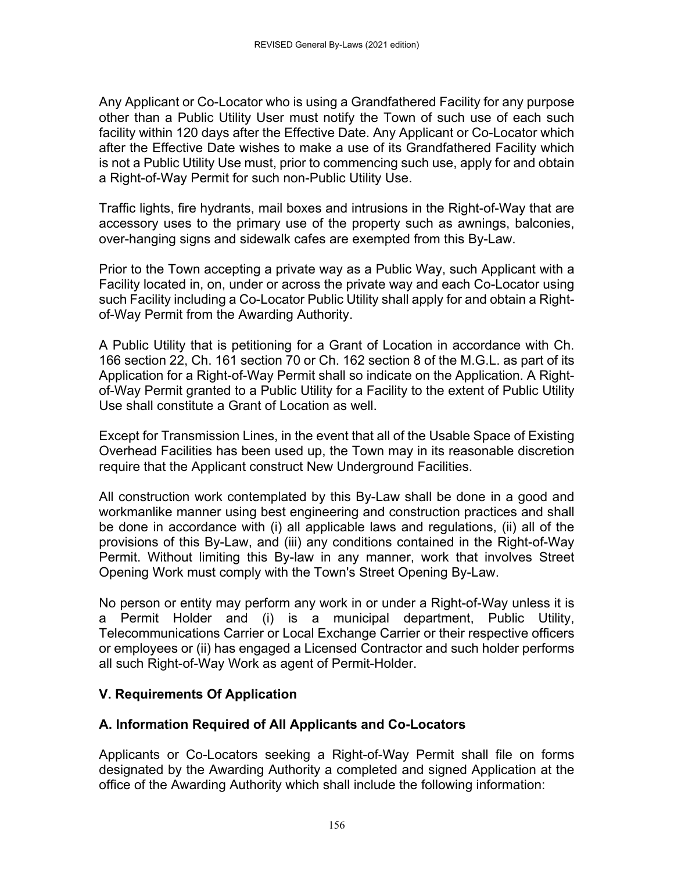Any Applicant or Co-Locator who is using a Grandfathered Facility for any purpose other than a Public Utility User must notify the Town of such use of each such facility within 120 days after the Effective Date. Any Applicant or Co-Locator which after the Effective Date wishes to make a use of its Grandfathered Facility which is not a Public Utility Use must, prior to commencing such use, apply for and obtain a Right-of-Way Permit for such non-Public Utility Use.

Traffic lights, fire hydrants, mail boxes and intrusions in the Right-of-Way that are accessory uses to the primary use of the property such as awnings, balconies, over-hanging signs and sidewalk cafes are exempted from this By-Law.

Prior to the Town accepting a private way as a Public Way, such Applicant with a Facility located in, on, under or across the private way and each Co-Locator using such Facility including a Co-Locator Public Utility shall apply for and obtain a Rightof-Way Permit from the Awarding Authority.

A Public Utility that is petitioning for a Grant of Location in accordance with Ch. 166 section 22, Ch. 161 section 70 or Ch. 162 section 8 of the M.G.L. as part of its Application for a Right-of-Way Permit shall so indicate on the Application. A Rightof-Way Permit granted to a Public Utility for a Facility to the extent of Public Utility Use shall constitute a Grant of Location as well.

Except for Transmission Lines, in the event that all of the Usable Space of Existing Overhead Facilities has been used up, the Town may in its reasonable discretion require that the Applicant construct New Underground Facilities.

All construction work contemplated by this By-Law shall be done in a good and workmanlike manner using best engineering and construction practices and shall be done in accordance with (i) all applicable laws and regulations, (ii) all of the provisions of this By-Law, and (iii) any conditions contained in the Right-of-Way Permit. Without limiting this By-law in any manner, work that involves Street Opening Work must comply with the Town's Street Opening By-Law.

No person or entity may perform any work in or under a Right-of-Way unless it is a Permit Holder and (i) is a municipal department, Public Utility, Telecommunications Carrier or Local Exchange Carrier or their respective officers or employees or (ii) has engaged a Licensed Contractor and such holder performs all such Right-of-Way Work as agent of Permit-Holder.

# **V. Requirements Of Application**

# **A. Information Required of All Applicants and Co-Locators**

Applicants or Co-Locators seeking a Right-of-Way Permit shall file on forms designated by the Awarding Authority a completed and signed Application at the office of the Awarding Authority which shall include the following information: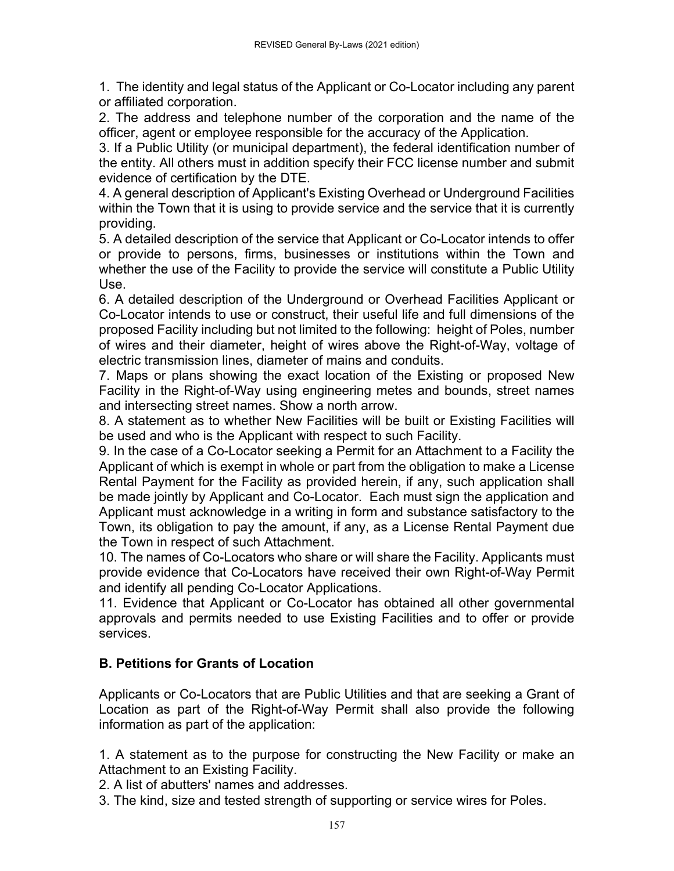1. The identity and legal status of the Applicant or Co-Locator including any parent or affiliated corporation.

2. The address and telephone number of the corporation and the name of the officer, agent or employee responsible for the accuracy of the Application.

3. If a Public Utility (or municipal department), the federal identification number of the entity. All others must in addition specify their FCC license number and submit evidence of certification by the DTE.

4. A general description of Applicant's Existing Overhead or Underground Facilities within the Town that it is using to provide service and the service that it is currently providing.

5. A detailed description of the service that Applicant or Co-Locator intends to offer or provide to persons, firms, businesses or institutions within the Town and whether the use of the Facility to provide the service will constitute a Public Utility Use.

6. A detailed description of the Underground or Overhead Facilities Applicant or Co-Locator intends to use or construct, their useful life and full dimensions of the proposed Facility including but not limited to the following: height of Poles, number of wires and their diameter, height of wires above the Right-of-Way, voltage of electric transmission lines, diameter of mains and conduits.

7. Maps or plans showing the exact location of the Existing or proposed New Facility in the Right-of-Way using engineering metes and bounds, street names and intersecting street names. Show a north arrow.

8. A statement as to whether New Facilities will be built or Existing Facilities will be used and who is the Applicant with respect to such Facility.

9. In the case of a Co-Locator seeking a Permit for an Attachment to a Facility the Applicant of which is exempt in whole or part from the obligation to make a License Rental Payment for the Facility as provided herein, if any, such application shall be made jointly by Applicant and Co-Locator. Each must sign the application and Applicant must acknowledge in a writing in form and substance satisfactory to the Town, its obligation to pay the amount, if any, as a License Rental Payment due the Town in respect of such Attachment.

10. The names of Co-Locators who share or will share the Facility. Applicants must provide evidence that Co-Locators have received their own Right-of-Way Permit and identify all pending Co-Locator Applications.

11. Evidence that Applicant or Co-Locator has obtained all other governmental approvals and permits needed to use Existing Facilities and to offer or provide services.

# **B. Petitions for Grants of Location**

Applicants or Co-Locators that are Public Utilities and that are seeking a Grant of Location as part of the Right-of-Way Permit shall also provide the following information as part of the application:

1. A statement as to the purpose for constructing the New Facility or make an Attachment to an Existing Facility.

2. A list of abutters' names and addresses.

3. The kind, size and tested strength of supporting or service wires for Poles.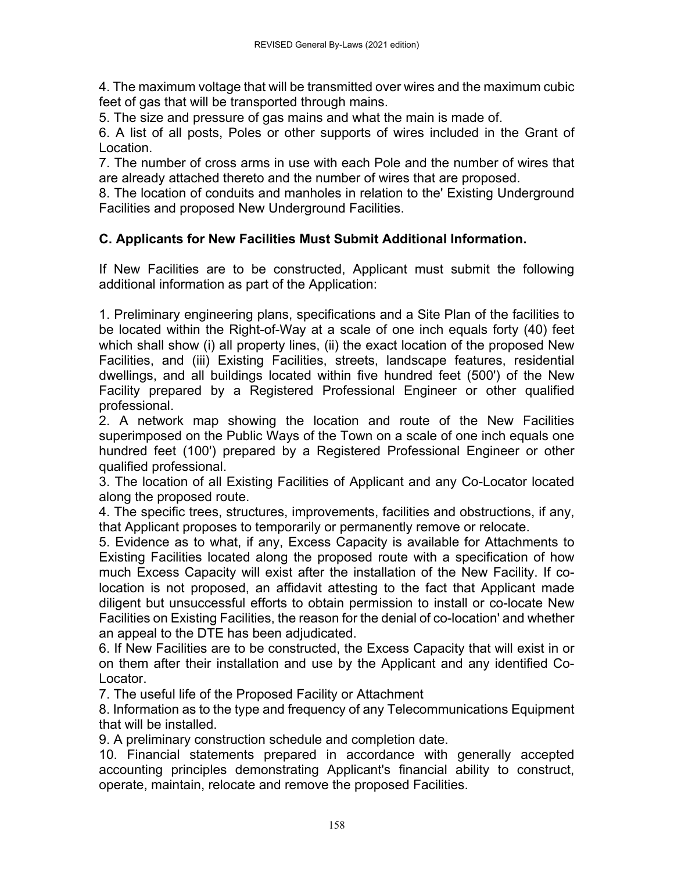4. The maximum voltage that will be transmitted over wires and the maximum cubic feet of gas that will be transported through mains.

5. The size and pressure of gas mains and what the main is made of.

6. A list of all posts, Poles or other supports of wires included in the Grant of Location.

7. The number of cross arms in use with each Pole and the number of wires that are already attached thereto and the number of wires that are proposed.

8. The location of conduits and manholes in relation to the' Existing Underground Facilities and proposed New Underground Facilities.

## **C. Applicants for New Facilities Must Submit Additional Information.**

If New Facilities are to be constructed, Applicant must submit the following additional information as part of the Application:

1. Preliminary engineering plans, specifications and a Site Plan of the facilities to be located within the Right-of-Way at a scale of one inch equals forty (40) feet which shall show (i) all property lines, (ii) the exact location of the proposed New Facilities, and (iii) Existing Facilities, streets, landscape features, residential dwellings, and all buildings located within five hundred feet (500') of the New Facility prepared by a Registered Professional Engineer or other qualified professional.

2. A network map showing the location and route of the New Facilities superimposed on the Public Ways of the Town on a scale of one inch equals one hundred feet (100') prepared by a Registered Professional Engineer or other qualified professional.

3. The location of all Existing Facilities of Applicant and any Co-Locator located along the proposed route.

4. The specific trees, structures, improvements, facilities and obstructions, if any, that Applicant proposes to temporarily or permanently remove or relocate.

5. Evidence as to what, if any, Excess Capacity is available for Attachments to Existing Facilities located along the proposed route with a specification of how much Excess Capacity will exist after the installation of the New Facility. If colocation is not proposed, an affidavit attesting to the fact that Applicant made diligent but unsuccessful efforts to obtain permission to install or co-locate New Facilities on Existing Facilities, the reason for the denial of co-location' and whether an appeal to the DTE has been adjudicated.

6. If New Facilities are to be constructed, the Excess Capacity that will exist in or on them after their installation and use by the Applicant and any identified Co-Locator.

7. The useful life of the Proposed Facility or Attachment

8. Information as to the type and frequency of any Telecommunications Equipment that will be installed.

9. A preliminary construction schedule and completion date.

10. Financial statements prepared in accordance with generally accepted accounting principles demonstrating Applicant's financial ability to construct, operate, maintain, relocate and remove the proposed Facilities.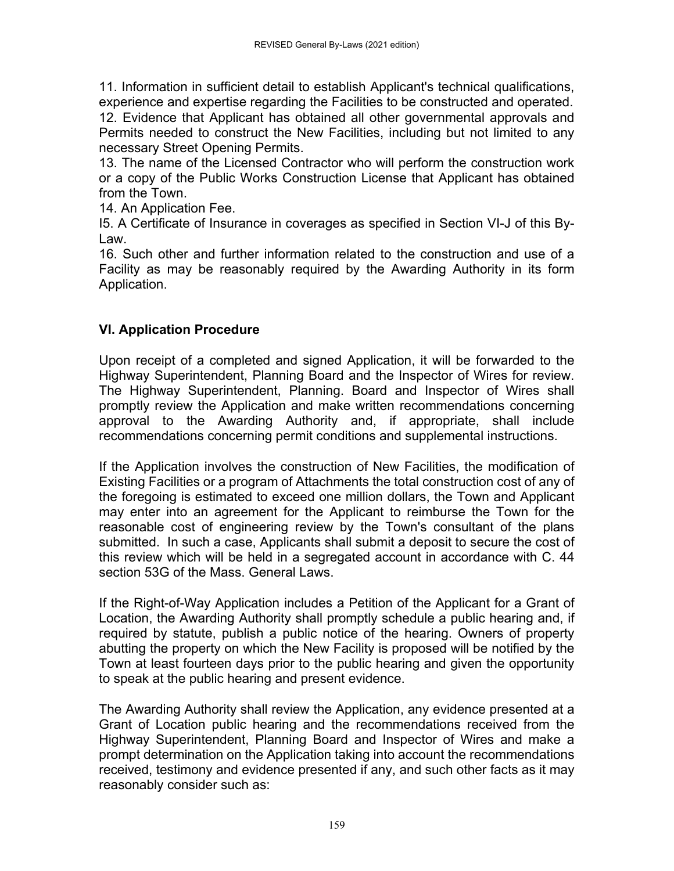11. Information in sufficient detail to establish Applicant's technical qualifications, experience and expertise regarding the Facilities to be constructed and operated. 12. Evidence that Applicant has obtained all other governmental approvals and Permits needed to construct the New Facilities, including but not limited to any necessary Street Opening Permits.

13. The name of the Licensed Contractor who will perform the construction work or a copy of the Public Works Construction License that Applicant has obtained from the Town.

14. An Application Fee.

I5. A Certificate of Insurance in coverages as specified in Section VI-J of this By-Law.

16. Such other and further information related to the construction and use of a Facility as may be reasonably required by the Awarding Authority in its form Application.

## **VI. Application Procedure**

Upon receipt of a completed and signed Application, it will be forwarded to the Highway Superintendent, Planning Board and the Inspector of Wires for review. The Highway Superintendent, Planning. Board and Inspector of Wires shall promptly review the Application and make written recommendations concerning approval to the Awarding Authority and, if appropriate, shall include recommendations concerning permit conditions and supplemental instructions.

If the Application involves the construction of New Facilities, the modification of Existing Facilities or a program of Attachments the total construction cost of any of the foregoing is estimated to exceed one million dollars, the Town and Applicant may enter into an agreement for the Applicant to reimburse the Town for the reasonable cost of engineering review by the Town's consultant of the plans submitted. In such a case, Applicants shall submit a deposit to secure the cost of this review which will be held in a segregated account in accordance with C. 44 section 53G of the Mass. General Laws.

If the Right-of-Way Application includes a Petition of the Applicant for a Grant of Location, the Awarding Authority shall promptly schedule a public hearing and, if required by statute, publish a public notice of the hearing. Owners of property abutting the property on which the New Facility is proposed will be notified by the Town at least fourteen days prior to the public hearing and given the opportunity to speak at the public hearing and present evidence.

The Awarding Authority shall review the Application, any evidence presented at a Grant of Location public hearing and the recommendations received from the Highway Superintendent, Planning Board and Inspector of Wires and make a prompt determination on the Application taking into account the recommendations received, testimony and evidence presented if any, and such other facts as it may reasonably consider such as: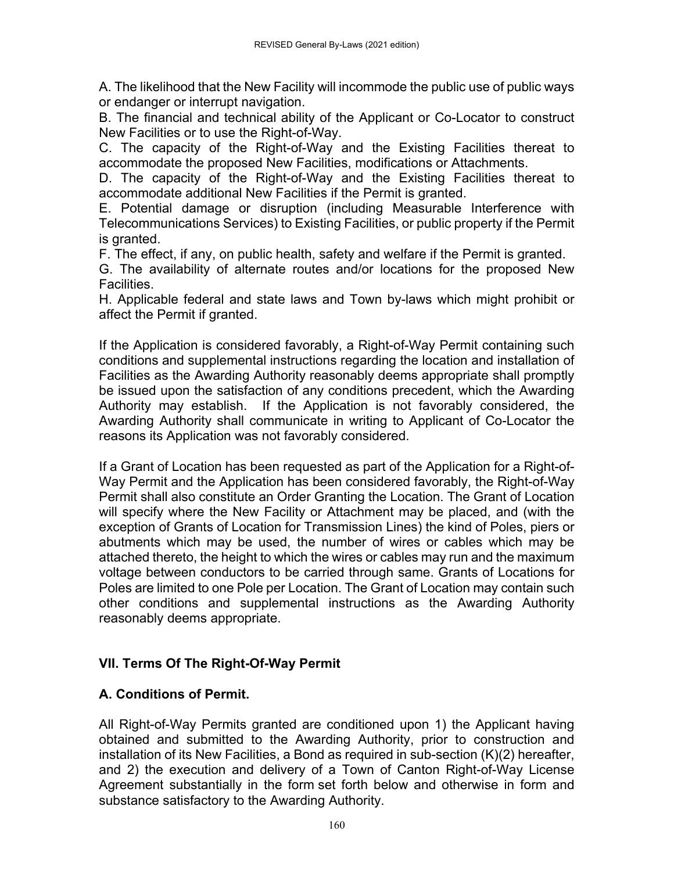A. The likelihood that the New Facility will incommode the public use of public ways or endanger or interrupt navigation.

B. The financial and technical ability of the Applicant or Co-Locator to construct New Facilities or to use the Right-of-Way.

C. The capacity of the Right-of-Way and the Existing Facilities thereat to accommodate the proposed New Facilities, modifications or Attachments.

D. The capacity of the Right-of-Way and the Existing Facilities thereat to accommodate additional New Facilities if the Permit is granted.

E. Potential damage or disruption (including Measurable Interference with Telecommunications Services) to Existing Facilities, or public property if the Permit is granted.

F. The effect, if any, on public health, safety and welfare if the Permit is granted.

G. The availability of alternate routes and/or locations for the proposed New Facilities.

H. Applicable federal and state laws and Town by-laws which might prohibit or affect the Permit if granted.

If the Application is considered favorably, a Right-of-Way Permit containing such conditions and supplemental instructions regarding the location and installation of Facilities as the Awarding Authority reasonably deems appropriate shall promptly be issued upon the satisfaction of any conditions precedent, which the Awarding Authority may establish. If the Application is not favorably considered, the Awarding Authority shall communicate in writing to Applicant of Co-Locator the reasons its Application was not favorably considered.

If a Grant of Location has been requested as part of the Application for a Right-of-Way Permit and the Application has been considered favorably, the Right-of-Way Permit shall also constitute an Order Granting the Location. The Grant of Location will specify where the New Facility or Attachment may be placed, and (with the exception of Grants of Location for Transmission Lines) the kind of Poles, piers or abutments which may be used, the number of wires or cables which may be attached thereto, the height to which the wires or cables may run and the maximum voltage between conductors to be carried through same. Grants of Locations for Poles are limited to one Pole per Location. The Grant of Location may contain such other conditions and supplemental instructions as the Awarding Authority reasonably deems appropriate.

# **VII. Terms Of The Right-Of-Way Permit**

# **A. Conditions of Permit.**

All Right-of-Way Permits granted are conditioned upon 1) the Applicant having obtained and submitted to the Awarding Authority, prior to construction and installation of its New Facilities, a Bond as required in sub-section (K)(2) hereafter, and 2) the execution and delivery of a Town of Canton Right-of-Way License Agreement substantially in the form set forth below and otherwise in form and substance satisfactory to the Awarding Authority.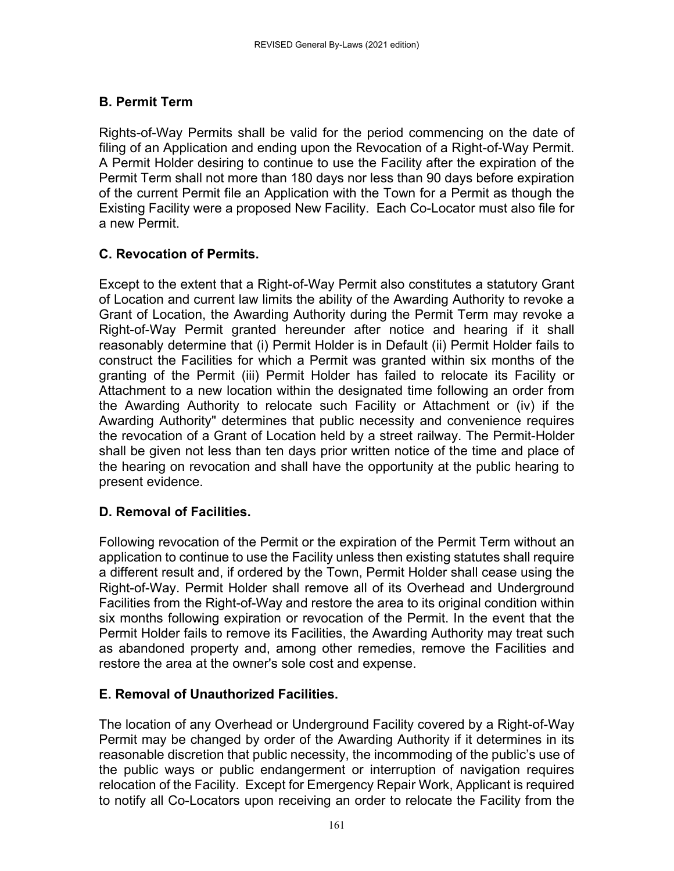# **B. Permit Term**

Rights-of-Way Permits shall be valid for the period commencing on the date of filing of an Application and ending upon the Revocation of a Right-of-Way Permit. A Permit Holder desiring to continue to use the Facility after the expiration of the Permit Term shall not more than 180 days nor less than 90 days before expiration of the current Permit file an Application with the Town for a Permit as though the Existing Facility were a proposed New Facility. Each Co-Locator must also file for a new Permit.

# **C. Revocation of Permits.**

Except to the extent that a Right-of-Way Permit also constitutes a statutory Grant of Location and current law limits the ability of the Awarding Authority to revoke a Grant of Location, the Awarding Authority during the Permit Term may revoke a Right-of-Way Permit granted hereunder after notice and hearing if it shall reasonably determine that (i) Permit Holder is in Default (ii) Permit Holder fails to construct the Facilities for which a Permit was granted within six months of the granting of the Permit (iii) Permit Holder has failed to relocate its Facility or Attachment to a new location within the designated time following an order from the Awarding Authority to relocate such Facility or Attachment or (iv) if the Awarding Authority" determines that public necessity and convenience requires the revocation of a Grant of Location held by a street railway. The Permit-Holder shall be given not less than ten days prior written notice of the time and place of the hearing on revocation and shall have the opportunity at the public hearing to present evidence.

# **D. Removal of Facilities.**

Following revocation of the Permit or the expiration of the Permit Term without an application to continue to use the Facility unless then existing statutes shall require a different result and, if ordered by the Town, Permit Holder shall cease using the Right-of-Way. Permit Holder shall remove all of its Overhead and Underground Facilities from the Right-of-Way and restore the area to its original condition within six months following expiration or revocation of the Permit. In the event that the Permit Holder fails to remove its Facilities, the Awarding Authority may treat such as abandoned property and, among other remedies, remove the Facilities and restore the area at the owner's sole cost and expense.

# **E. Removal of Unauthorized Facilities.**

The location of any Overhead or Underground Facility covered by a Right-of-Way Permit may be changed by order of the Awarding Authority if it determines in its reasonable discretion that public necessity, the incommoding of the public's use of the public ways or public endangerment or interruption of navigation requires relocation of the Facility. Except for Emergency Repair Work, Applicant is required to notify all Co-Locators upon receiving an order to relocate the Facility from the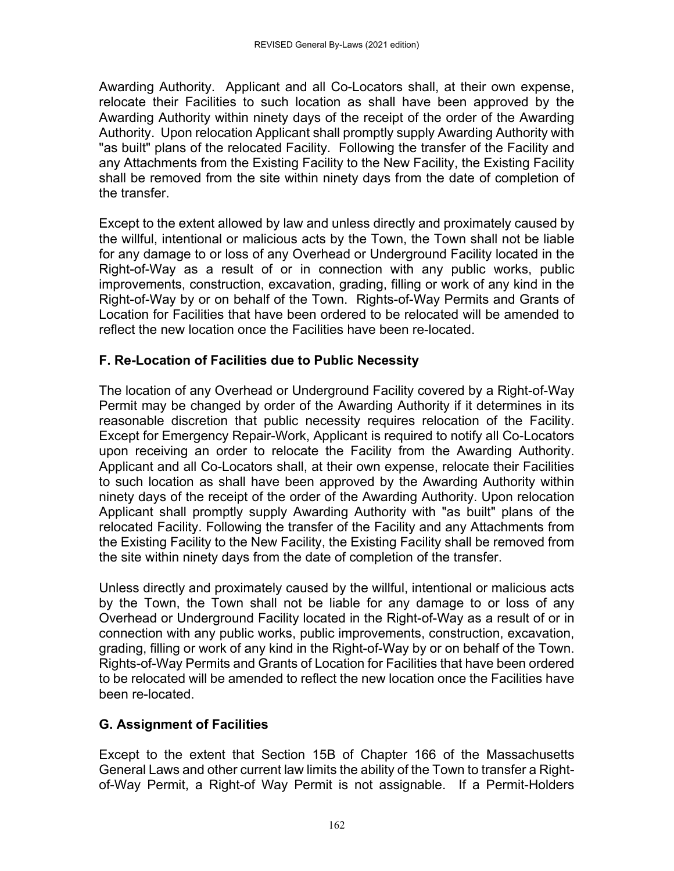Awarding Authority. Applicant and all Co-Locators shall, at their own expense, relocate their Facilities to such location as shall have been approved by the Awarding Authority within ninety days of the receipt of the order of the Awarding Authority. Upon relocation Applicant shall promptly supply Awarding Authority with "as built" plans of the relocated Facility. Following the transfer of the Facility and any Attachments from the Existing Facility to the New Facility, the Existing Facility shall be removed from the site within ninety days from the date of completion of the transfer.

Except to the extent allowed by law and unless directly and proximately caused by the willful, intentional or malicious acts by the Town, the Town shall not be liable for any damage to or loss of any Overhead or Underground Facility located in the Right-of-Way as a result of or in connection with any public works, public improvements, construction, excavation, grading, filling or work of any kind in the Right-of-Way by or on behalf of the Town. Rights-of-Way Permits and Grants of Location for Facilities that have been ordered to be relocated will be amended to reflect the new location once the Facilities have been re-located.

# **F. Re-Location of Facilities due to Public Necessity**

The location of any Overhead or Underground Facility covered by a Right-of-Way Permit may be changed by order of the Awarding Authority if it determines in its reasonable discretion that public necessity requires relocation of the Facility. Except for Emergency Repair-Work, Applicant is required to notify all Co-Locators upon receiving an order to relocate the Facility from the Awarding Authority. Applicant and all Co-Locators shall, at their own expense, relocate their Facilities to such location as shall have been approved by the Awarding Authority within ninety days of the receipt of the order of the Awarding Authority. Upon relocation Applicant shall promptly supply Awarding Authority with "as built" plans of the relocated Facility. Following the transfer of the Facility and any Attachments from the Existing Facility to the New Facility, the Existing Facility shall be removed from the site within ninety days from the date of completion of the transfer.

Unless directly and proximately caused by the willful, intentional or malicious acts by the Town, the Town shall not be liable for any damage to or loss of any Overhead or Underground Facility located in the Right-of-Way as a result of or in connection with any public works, public improvements, construction, excavation, grading, filling or work of any kind in the Right-of-Way by or on behalf of the Town. Rights-of-Way Permits and Grants of Location for Facilities that have been ordered to be relocated will be amended to reflect the new location once the Facilities have been re-located.

# **G. Assignment of Facilities**

Except to the extent that Section 15B of Chapter 166 of the Massachusetts General Laws and other current law limits the ability of the Town to transfer a Rightof-Way Permit, a Right-of Way Permit is not assignable. If a Permit-Holders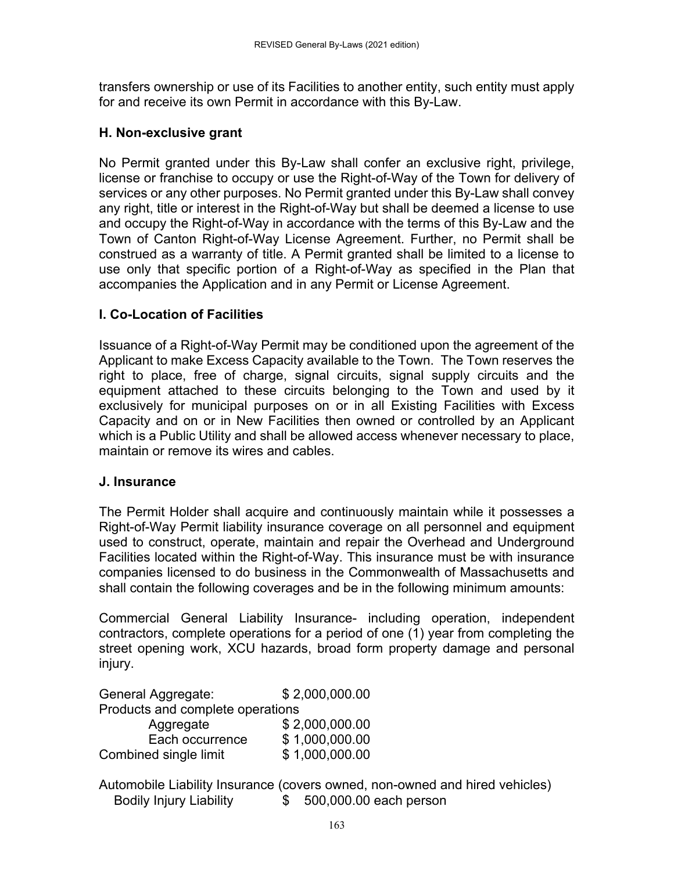transfers ownership or use of its Facilities to another entity, such entity must apply for and receive its own Permit in accordance with this By-Law.

#### **H. Non-exclusive grant**

No Permit granted under this By-Law shall confer an exclusive right, privilege, license or franchise to occupy or use the Right-of-Way of the Town for delivery of services or any other purposes. No Permit granted under this By-Law shall convey any right, title or interest in the Right-of-Way but shall be deemed a license to use and occupy the Right-of-Way in accordance with the terms of this By-Law and the Town of Canton Right-of-Way License Agreement. Further, no Permit shall be construed as a warranty of title. A Permit granted shall be limited to a license to use only that specific portion of a Right-of-Way as specified in the Plan that accompanies the Application and in any Permit or License Agreement.

### **I. Co-Location of Facilities**

Issuance of a Right-of-Way Permit may be conditioned upon the agreement of the Applicant to make Excess Capacity available to the Town. The Town reserves the right to place, free of charge, signal circuits, signal supply circuits and the equipment attached to these circuits belonging to the Town and used by it exclusively for municipal purposes on or in all Existing Facilities with Excess Capacity and on or in New Facilities then owned or controlled by an Applicant which is a Public Utility and shall be allowed access whenever necessary to place, maintain or remove its wires and cables.

### **J. Insurance**

The Permit Holder shall acquire and continuously maintain while it possesses a Right-of-Way Permit liability insurance coverage on all personnel and equipment used to construct, operate, maintain and repair the Overhead and Underground Facilities located within the Right-of-Way. This insurance must be with insurance companies licensed to do business in the Commonwealth of Massachusetts and shall contain the following coverages and be in the following minimum amounts:

Commercial General Liability Insurance- including operation, independent contractors, complete operations for a period of one (1) year from completing the street opening work, XCU hazards, broad form property damage and personal injury.

General Aggregate: \$ 2,000,000.00 Products and complete operations Aggregate \$ 2,000,000,000

| 1.991                 | $V = V \cup V \cup V \cup V \cup V$ |
|-----------------------|-------------------------------------|
| Each occurrence       | \$1,000,000.00                      |
| Combined single limit | \$1,000,000.00                      |

Automobile Liability Insurance (covers owned, non-owned and hired vehicles) Bodily Injury Liability \$ 500,000.00 each person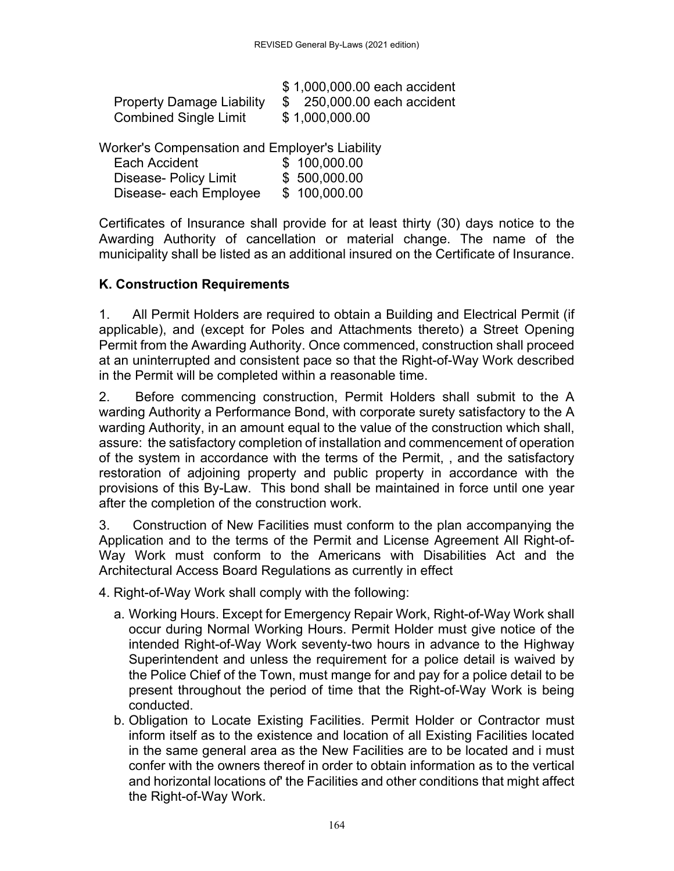|                                  | \$1,000,000.00 each accident |
|----------------------------------|------------------------------|
| <b>Property Damage Liability</b> | \$250,000.00 each accident   |
| <b>Combined Single Limit</b>     | \$1,000,000.00               |

Worker's Compensation and Employer's Liability

| Each Accident          | \$100,000.00 |
|------------------------|--------------|
| Disease- Policy Limit  | \$500,000.00 |
| Disease- each Employee | \$100,000.00 |

Certificates of Insurance shall provide for at least thirty (30) days notice to the Awarding Authority of cancellation or material change. The name of the municipality shall be listed as an additional insured on the Certificate of Insurance.

#### **K. Construction Requirements**

1. All Permit Holders are required to obtain a Building and Electrical Permit (if applicable), and (except for Poles and Attachments thereto) a Street Opening Permit from the Awarding Authority. Once commenced, construction shall proceed at an uninterrupted and consistent pace so that the Right-of-Way Work described in the Permit will be completed within a reasonable time.

2. Before commencing construction, Permit Holders shall submit to the A warding Authority a Performance Bond, with corporate surety satisfactory to the A warding Authority, in an amount equal to the value of the construction which shall, assure: the satisfactory completion of installation and commencement of operation of the system in accordance with the terms of the Permit, , and the satisfactory restoration of adjoining property and public property in accordance with the provisions of this By-Law. This bond shall be maintained in force until one year after the completion of the construction work.

3. Construction of New Facilities must conform to the plan accompanying the Application and to the terms of the Permit and License Agreement All Right-of-Way Work must conform to the Americans with Disabilities Act and the Architectural Access Board Regulations as currently in effect

4. Right-of-Way Work shall comply with the following:

- a. Working Hours. Except for Emergency Repair Work, Right-of-Way Work shall occur during Normal Working Hours. Permit Holder must give notice of the intended Right-of-Way Work seventy-two hours in advance to the Highway Superintendent and unless the requirement for a police detail is waived by the Police Chief of the Town, must mange for and pay for a police detail to be present throughout the period of time that the Right-of-Way Work is being conducted.
- b. Obligation to Locate Existing Facilities. Permit Holder or Contractor must inform itself as to the existence and location of all Existing Facilities located in the same general area as the New Facilities are to be located and i must confer with the owners thereof in order to obtain information as to the vertical and horizontal locations of' the Facilities and other conditions that might affect the Right-of-Way Work.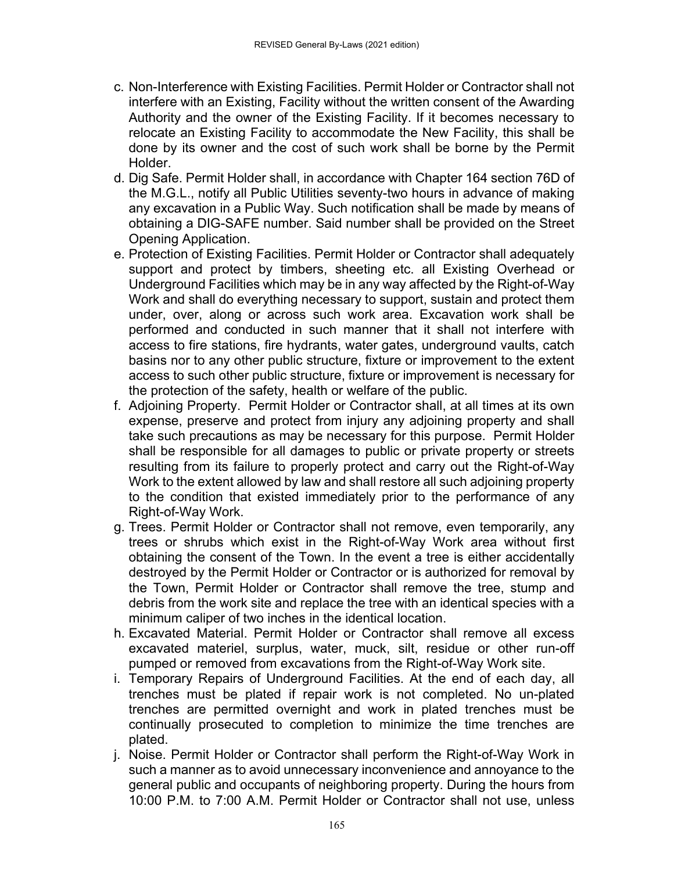- c. Non-Interference with Existing Facilities. Permit Holder or Contractor shall not interfere with an Existing, Facility without the written consent of the Awarding Authority and the owner of the Existing Facility. If it becomes necessary to relocate an Existing Facility to accommodate the New Facility, this shall be done by its owner and the cost of such work shall be borne by the Permit Holder.
- d. Dig Safe. Permit Holder shall, in accordance with Chapter 164 section 76D of the M.G.L., notify all Public Utilities seventy-two hours in advance of making any excavation in a Public Way. Such notification shall be made by means of obtaining a DIG-SAFE number. Said number shall be provided on the Street Opening Application.
- e. Protection of Existing Facilities. Permit Holder or Contractor shall adequately support and protect by timbers, sheeting etc. all Existing Overhead or Underground Facilities which may be in any way affected by the Right-of-Way Work and shall do everything necessary to support, sustain and protect them under, over, along or across such work area. Excavation work shall be performed and conducted in such manner that it shall not interfere with access to fire stations, fire hydrants, water gates, underground vaults, catch basins nor to any other public structure, fixture or improvement to the extent access to such other public structure, fixture or improvement is necessary for the protection of the safety, health or welfare of the public.
- f. Adjoining Property. Permit Holder or Contractor shall, at all times at its own expense, preserve and protect from injury any adjoining property and shall take such precautions as may be necessary for this purpose. Permit Holder shall be responsible for all damages to public or private property or streets resulting from its failure to properly protect and carry out the Right-of-Way Work to the extent allowed by law and shall restore all such adjoining property to the condition that existed immediately prior to the performance of any Right-of-Way Work.
- g. Trees. Permit Holder or Contractor shall not remove, even temporarily, any trees or shrubs which exist in the Right-of-Way Work area without first obtaining the consent of the Town. In the event a tree is either accidentally destroyed by the Permit Holder or Contractor or is authorized for removal by the Town, Permit Holder or Contractor shall remove the tree, stump and debris from the work site and replace the tree with an identical species with a minimum caliper of two inches in the identical location.
- h. Excavated Material. Permit Holder or Contractor shall remove all excess excavated materiel, surplus, water, muck, silt, residue or other run-off pumped or removed from excavations from the Right-of-Way Work site.
- i. Temporary Repairs of Underground Facilities. At the end of each day, all trenches must be plated if repair work is not completed. No un-plated trenches are permitted overnight and work in plated trenches must be continually prosecuted to completion to minimize the time trenches are plated.
- j. Noise. Permit Holder or Contractor shall perform the Right-of-Way Work in such a manner as to avoid unnecessary inconvenience and annoyance to the general public and occupants of neighboring property. During the hours from 10:00 P.M. to 7:00 A.M. Permit Holder or Contractor shall not use, unless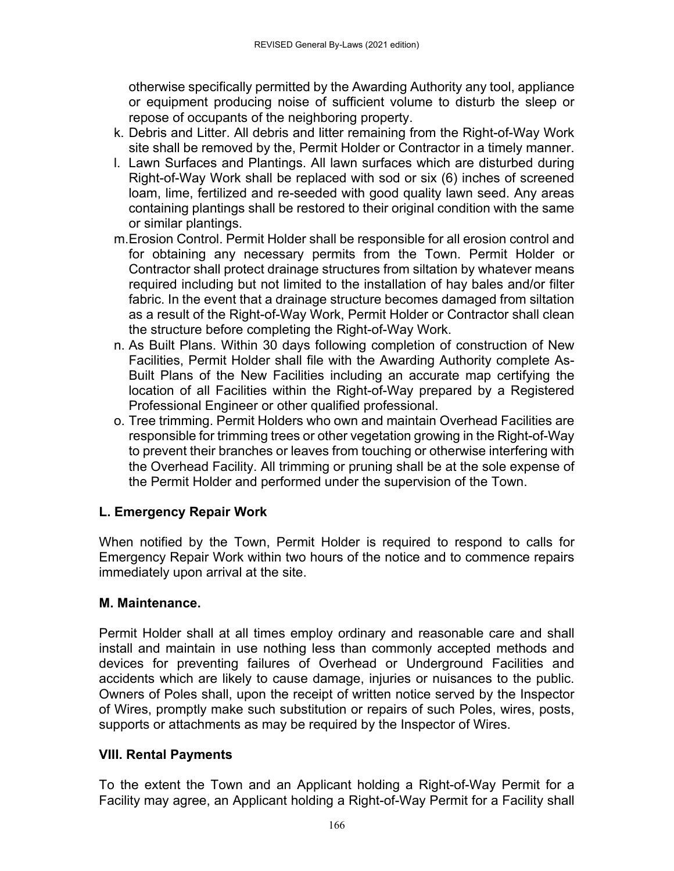otherwise specifically permitted by the Awarding Authority any tool, appliance or equipment producing noise of sufficient volume to disturb the sleep or repose of occupants of the neighboring property.

- k. Debris and Litter. All debris and litter remaining from the Right-of-Way Work site shall be removed by the, Permit Holder or Contractor in a timely manner.
- l. Lawn Surfaces and Plantings. All lawn surfaces which are disturbed during Right-of-Way Work shall be replaced with sod or six (6) inches of screened loam, lime, fertilized and re-seeded with good quality lawn seed. Any areas containing plantings shall be restored to their original condition with the same or similar plantings.
- m. Erosion Control. Permit Holder shall be responsible for all erosion control and for obtaining any necessary permits from the Town. Permit Holder or Contractor shall protect drainage structures from siltation by whatever means required including but not limited to the installation of hay bales and/or filter fabric. In the event that a drainage structure becomes damaged from siltation as a result of the Right-of-Way Work, Permit Holder or Contractor shall clean the structure before completing the Right-of-Way Work.
- n. As Built Plans. Within 30 days following completion of construction of New Facilities, Permit Holder shall file with the Awarding Authority complete As-Built Plans of the New Facilities including an accurate map certifying the location of all Facilities within the Right-of-Way prepared by a Registered Professional Engineer or other qualified professional.
- o. Tree trimming. Permit Holders who own and maintain Overhead Facilities are responsible for trimming trees or other vegetation growing in the Right-of-Way to prevent their branches or leaves from touching or otherwise interfering with the Overhead Facility. All trimming or pruning shall be at the sole expense of the Permit Holder and performed under the supervision of the Town.

# **L. Emergency Repair Work**

When notified by the Town, Permit Holder is required to respond to calls for Emergency Repair Work within two hours of the notice and to commence repairs immediately upon arrival at the site.

# **M. Maintenance.**

Permit Holder shall at all times employ ordinary and reasonable care and shall install and maintain in use nothing less than commonly accepted methods and devices for preventing failures of Overhead or Underground Facilities and accidents which are likely to cause damage, injuries or nuisances to the public. Owners of Poles shall, upon the receipt of written notice served by the Inspector of Wires, promptly make such substitution or repairs of such Poles, wires, posts, supports or attachments as may be required by the Inspector of Wires.

# **VIII. Rental Payments**

To the extent the Town and an Applicant holding a Right-of-Way Permit for a Facility may agree, an Applicant holding a Right-of-Way Permit for a Facility shall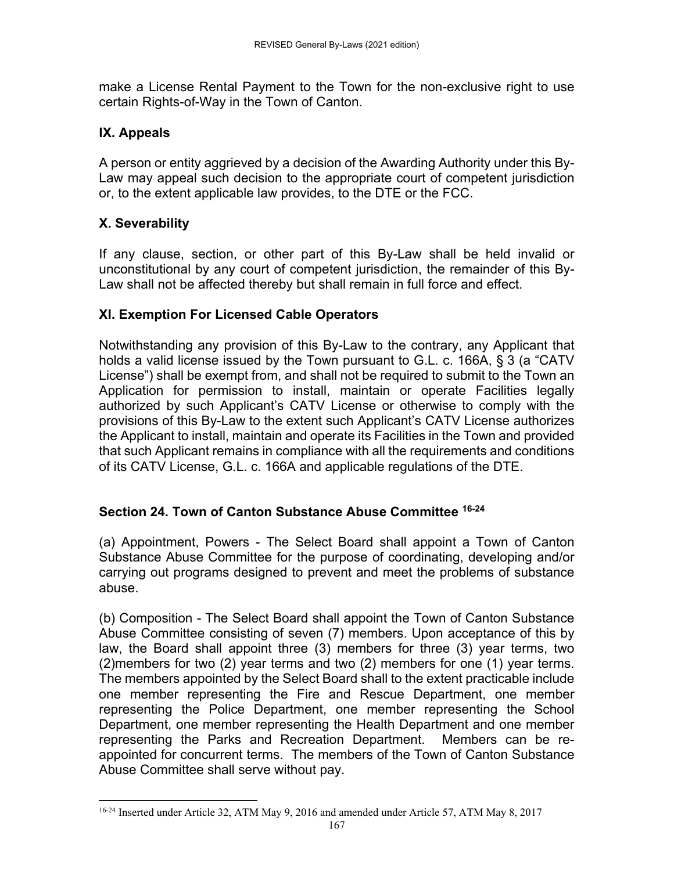make a License Rental Payment to the Town for the non-exclusive right to use certain Rights-of-Way in the Town of Canton.

### **IX. Appeals**

A person or entity aggrieved by a decision of the Awarding Authority under this By-Law may appeal such decision to the appropriate court of competent jurisdiction or, to the extent applicable law provides, to the DTE or the FCC.

## **X. Severability**

If any clause, section, or other part of this By-Law shall be held invalid or unconstitutional by any court of competent jurisdiction, the remainder of this By-Law shall not be affected thereby but shall remain in full force and effect.

## **XI. Exemption For Licensed Cable Operators**

Notwithstanding any provision of this By-Law to the contrary, any Applicant that holds a valid license issued by the Town pursuant to G.L. c. 166A, § 3 (a "CATV License") shall be exempt from, and shall not be required to submit to the Town an Application for permission to install, maintain or operate Facilities legally authorized by such Applicant's CATV License or otherwise to comply with the provisions of this By-Law to the extent such Applicant's CATV License authorizes the Applicant to install, maintain and operate its Facilities in the Town and provided that such Applicant remains in compliance with all the requirements and conditions of its CATV License, G.L. c. 166A and applicable regulations of the DTE.

### **Section 24. Town of Canton Substance Abuse Committee 16-24**

(a) Appointment, Powers - The Select Board shall appoint a Town of Canton Substance Abuse Committee for the purpose of coordinating, developing and/or carrying out programs designed to prevent and meet the problems of substance abuse.

(b) Composition - The Select Board shall appoint the Town of Canton Substance Abuse Committee consisting of seven (7) members. Upon acceptance of this by law, the Board shall appoint three (3) members for three (3) year terms, two (2)members for two (2) year terms and two (2) members for one (1) year terms. The members appointed by the Select Board shall to the extent practicable include one member representing the Fire and Rescue Department, one member representing the Police Department, one member representing the School Department, one member representing the Health Department and one member representing the Parks and Recreation Department. Members can be reappointed for concurrent terms. The members of the Town of Canton Substance Abuse Committee shall serve without pay.

<sup>&</sup>lt;sup>16-24</sup> Inserted under Article 32, ATM May 9, 2016 and amended under Article 57, ATM May 8, 2017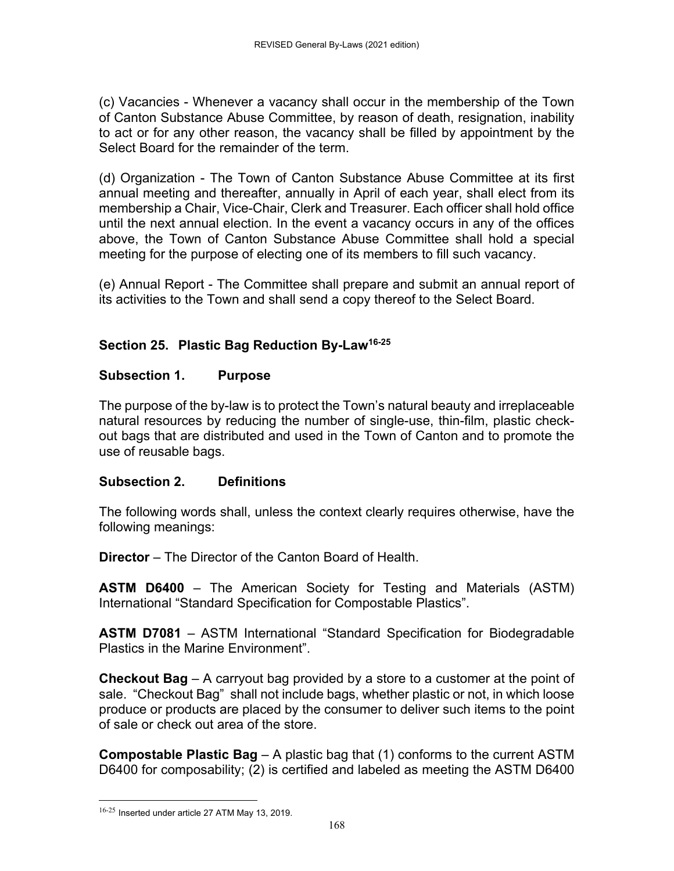(c) Vacancies - Whenever a vacancy shall occur in the membership of the Town of Canton Substance Abuse Committee, by reason of death, resignation, inability to act or for any other reason, the vacancy shall be filled by appointment by the Select Board for the remainder of the term.

(d) Organization - The Town of Canton Substance Abuse Committee at its first annual meeting and thereafter, annually in April of each year, shall elect from its membership a Chair, Vice-Chair, Clerk and Treasurer. Each officer shall hold office until the next annual election. In the event a vacancy occurs in any of the offices above, the Town of Canton Substance Abuse Committee shall hold a special meeting for the purpose of electing one of its members to fill such vacancy.

(e) Annual Report - The Committee shall prepare and submit an annual report of its activities to the Town and shall send a copy thereof to the Select Board.

# **Section 25. Plastic Bag Reduction By-Law16-25**

## **Subsection 1. Purpose**

The purpose of the by-law is to protect the Town's natural beauty and irreplaceable natural resources by reducing the number of single-use, thin-film, plastic checkout bags that are distributed and used in the Town of Canton and to promote the use of reusable bags.

### **Subsection 2. Definitions**

The following words shall, unless the context clearly requires otherwise, have the following meanings:

**Director** – The Director of the Canton Board of Health.

**ASTM D6400** – The American Society for Testing and Materials (ASTM) International "Standard Specification for Compostable Plastics".

**ASTM D7081** – ASTM International "Standard Specification for Biodegradable Plastics in the Marine Environment".

**Checkout Bag** – A carryout bag provided by a store to a customer at the point of sale. "Checkout Bag" shall not include bags, whether plastic or not, in which loose produce or products are placed by the consumer to deliver such items to the point of sale or check out area of the store.

**Compostable Plastic Bag** – A plastic bag that (1) conforms to the current ASTM D6400 for composability; (2) is certified and labeled as meeting the ASTM D6400

<sup>16-25</sup> Inserted under article 27 ATM May 13, 2019.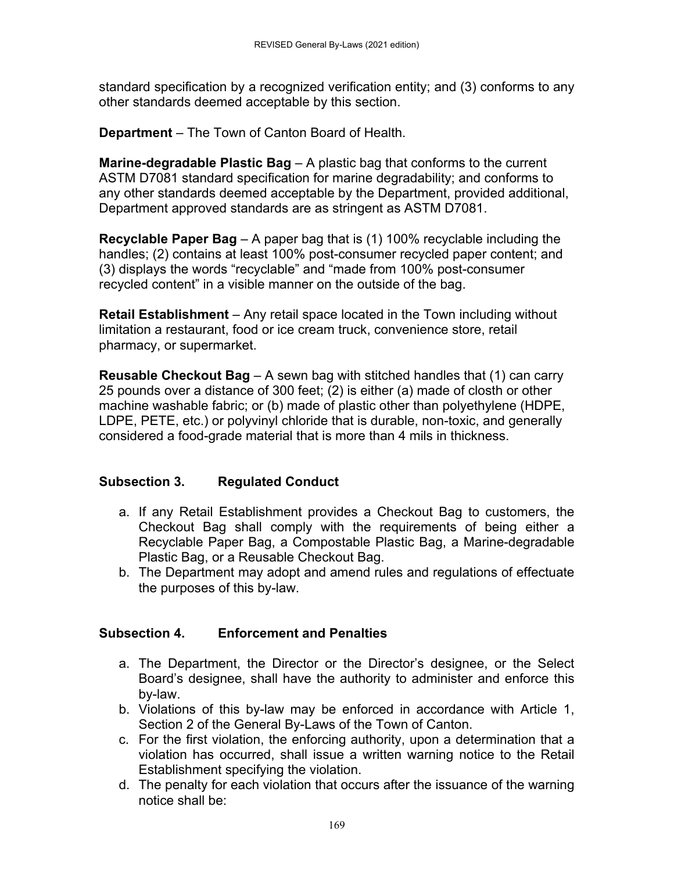standard specification by a recognized verification entity; and (3) conforms to any other standards deemed acceptable by this section.

**Department** – The Town of Canton Board of Health.

**Marine-degradable Plastic Bag** – A plastic bag that conforms to the current ASTM D7081 standard specification for marine degradability; and conforms to any other standards deemed acceptable by the Department, provided additional, Department approved standards are as stringent as ASTM D7081.

**Recyclable Paper Bag** – A paper bag that is (1) 100% recyclable including the handles; (2) contains at least 100% post-consumer recycled paper content; and (3) displays the words "recyclable" and "made from 100% post-consumer recycled content" in a visible manner on the outside of the bag.

**Retail Establishment** – Any retail space located in the Town including without limitation a restaurant, food or ice cream truck, convenience store, retail pharmacy, or supermarket.

**Reusable Checkout Bag** – A sewn bag with stitched handles that (1) can carry 25 pounds over a distance of 300 feet; (2) is either (a) made of closth or other machine washable fabric; or (b) made of plastic other than polyethylene (HDPE, LDPE, PETE, etc.) or polyvinyl chloride that is durable, non-toxic, and generally considered a food-grade material that is more than 4 mils in thickness.

# **Subsection 3. Regulated Conduct**

- a. If any Retail Establishment provides a Checkout Bag to customers, the Checkout Bag shall comply with the requirements of being either a Recyclable Paper Bag, a Compostable Plastic Bag, a Marine-degradable Plastic Bag, or a Reusable Checkout Bag.
- b. The Department may adopt and amend rules and regulations of effectuate the purposes of this by-law.

# **Subsection 4. Enforcement and Penalties**

- a. The Department, the Director or the Director's designee, or the Select Board's designee, shall have the authority to administer and enforce this by-law.
- b. Violations of this by-law may be enforced in accordance with Article 1, Section 2 of the General By-Laws of the Town of Canton.
- c. For the first violation, the enforcing authority, upon a determination that a violation has occurred, shall issue a written warning notice to the Retail Establishment specifying the violation.
- d. The penalty for each violation that occurs after the issuance of the warning notice shall be: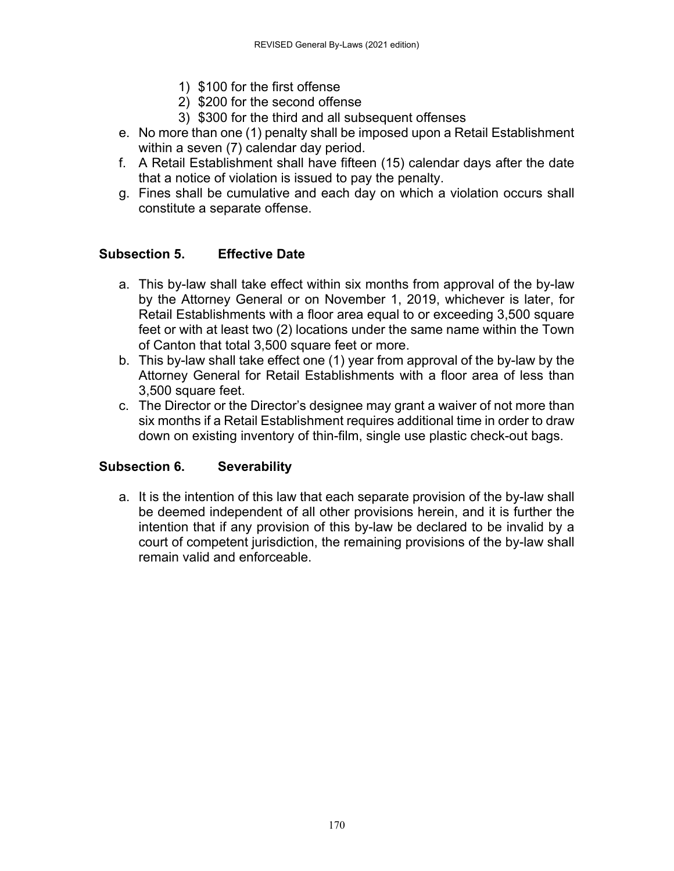- 1) \$100 for the first offense
- 2) \$200 for the second offense
- 3) \$300 for the third and all subsequent offenses
- e. No more than one (1) penalty shall be imposed upon a Retail Establishment within a seven (7) calendar day period.
- f. A Retail Establishment shall have fifteen (15) calendar days after the date that a notice of violation is issued to pay the penalty.
- g. Fines shall be cumulative and each day on which a violation occurs shall constitute a separate offense.

### **Subsection 5. Effective Date**

- a. This by-law shall take effect within six months from approval of the by-law by the Attorney General or on November 1, 2019, whichever is later, for Retail Establishments with a floor area equal to or exceeding 3,500 square feet or with at least two (2) locations under the same name within the Town of Canton that total 3,500 square feet or more.
- b. This by-law shall take effect one (1) year from approval of the by-law by the Attorney General for Retail Establishments with a floor area of less than 3,500 square feet.
- c. The Director or the Director's designee may grant a waiver of not more than six months if a Retail Establishment requires additional time in order to draw down on existing inventory of thin-film, single use plastic check-out bags.

### **Subsection 6. Severability**

a. It is the intention of this law that each separate provision of the by-law shall be deemed independent of all other provisions herein, and it is further the intention that if any provision of this by-law be declared to be invalid by a court of competent jurisdiction, the remaining provisions of the by-law shall remain valid and enforceable.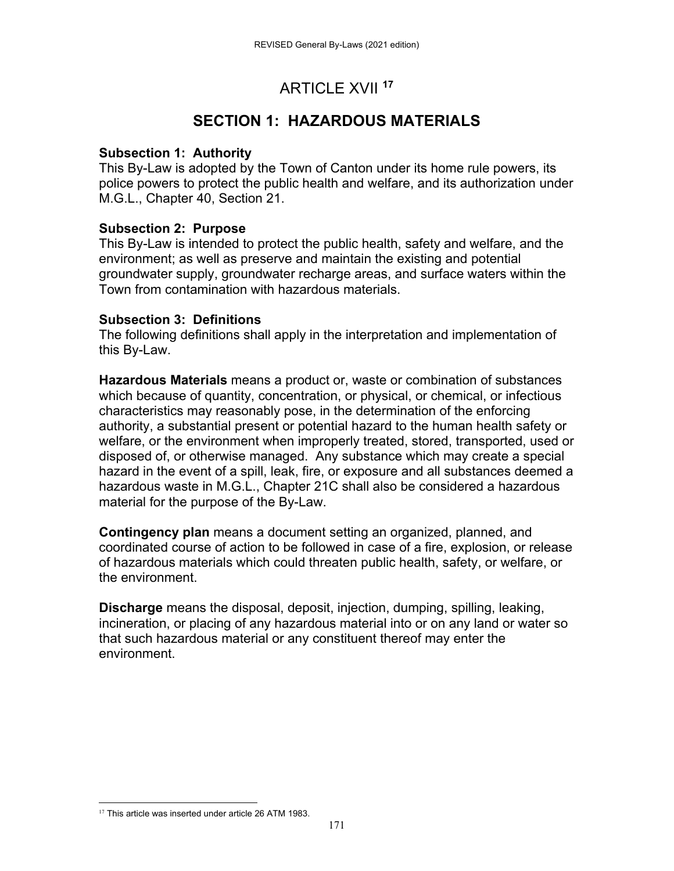# ARTICLE XVII **<sup>17</sup>**

# **SECTION 1: HAZARDOUS MATERIALS**

#### **Subsection 1: Authority**

This By-Law is adopted by the Town of Canton under its home rule powers, its police powers to protect the public health and welfare, and its authorization under M.G.L., Chapter 40, Section 21.

### **Subsection 2: Purpose**

This By-Law is intended to protect the public health, safety and welfare, and the environment; as well as preserve and maintain the existing and potential groundwater supply, groundwater recharge areas, and surface waters within the Town from contamination with hazardous materials.

#### **Subsection 3: Definitions**

The following definitions shall apply in the interpretation and implementation of this By-Law.

**Hazardous Materials** means a product or, waste or combination of substances which because of quantity, concentration, or physical, or chemical, or infectious characteristics may reasonably pose, in the determination of the enforcing authority, a substantial present or potential hazard to the human health safety or welfare, or the environment when improperly treated, stored, transported, used or disposed of, or otherwise managed. Any substance which may create a special hazard in the event of a spill, leak, fire, or exposure and all substances deemed a hazardous waste in M.G.L., Chapter 21C shall also be considered a hazardous material for the purpose of the By-Law.

**Contingency plan** means a document setting an organized, planned, and coordinated course of action to be followed in case of a fire, explosion, or release of hazardous materials which could threaten public health, safety, or welfare, or the environment.

**Discharge** means the disposal, deposit, injection, dumping, spilling, leaking, incineration, or placing of any hazardous material into or on any land or water so that such hazardous material or any constituent thereof may enter the environment.

 <sup>17</sup> This article was inserted under article 26 ATM 1983.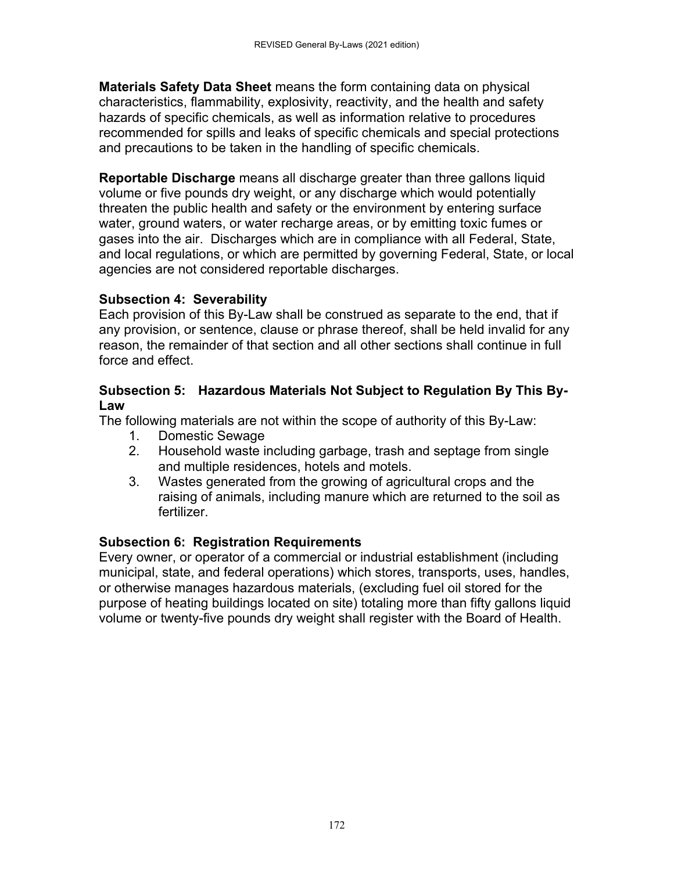**Materials Safety Data Sheet** means the form containing data on physical characteristics, flammability, explosivity, reactivity, and the health and safety hazards of specific chemicals, as well as information relative to procedures recommended for spills and leaks of specific chemicals and special protections and precautions to be taken in the handling of specific chemicals.

**Reportable Discharge** means all discharge greater than three gallons liquid volume or five pounds dry weight, or any discharge which would potentially threaten the public health and safety or the environment by entering surface water, ground waters, or water recharge areas, or by emitting toxic fumes or gases into the air. Discharges which are in compliance with all Federal, State, and local regulations, or which are permitted by governing Federal, State, or local agencies are not considered reportable discharges.

# **Subsection 4: Severability**

Each provision of this By-Law shall be construed as separate to the end, that if any provision, or sentence, clause or phrase thereof, shall be held invalid for any reason, the remainder of that section and all other sections shall continue in full force and effect.

#### **Subsection 5: Hazardous Materials Not Subject to Regulation By This By-Law**

The following materials are not within the scope of authority of this By-Law:

- 1. Domestic Sewage
- 2. Household waste including garbage, trash and septage from single and multiple residences, hotels and motels.
- 3. Wastes generated from the growing of agricultural crops and the raising of animals, including manure which are returned to the soil as fertilizer.

# **Subsection 6: Registration Requirements**

Every owner, or operator of a commercial or industrial establishment (including municipal, state, and federal operations) which stores, transports, uses, handles, or otherwise manages hazardous materials, (excluding fuel oil stored for the purpose of heating buildings located on site) totaling more than fifty gallons liquid volume or twenty-five pounds dry weight shall register with the Board of Health.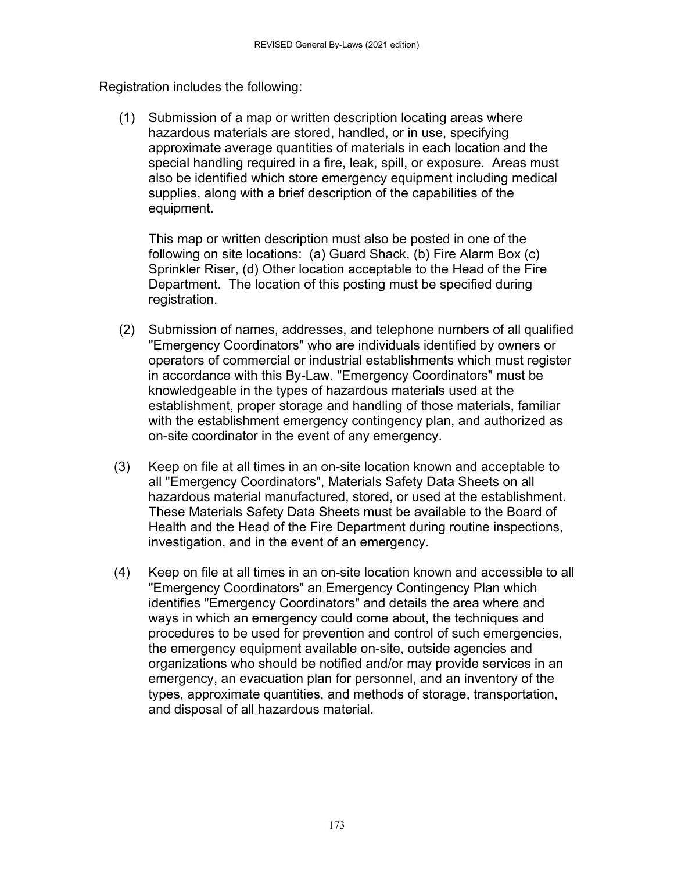Registration includes the following:

(1) Submission of a map or written description locating areas where hazardous materials are stored, handled, or in use, specifying approximate average quantities of materials in each location and the special handling required in a fire, leak, spill, or exposure. Areas must also be identified which store emergency equipment including medical supplies, along with a brief description of the capabilities of the equipment.

This map or written description must also be posted in one of the following on site locations: (a) Guard Shack, (b) Fire Alarm Box (c) Sprinkler Riser, (d) Other location acceptable to the Head of the Fire Department. The location of this posting must be specified during registration.

- (2) Submission of names, addresses, and telephone numbers of all qualified "Emergency Coordinators" who are individuals identified by owners or operators of commercial or industrial establishments which must register in accordance with this By-Law. "Emergency Coordinators" must be knowledgeable in the types of hazardous materials used at the establishment, proper storage and handling of those materials, familiar with the establishment emergency contingency plan, and authorized as on-site coordinator in the event of any emergency.
- (3) Keep on file at all times in an on-site location known and acceptable to all "Emergency Coordinators", Materials Safety Data Sheets on all hazardous material manufactured, stored, or used at the establishment. These Materials Safety Data Sheets must be available to the Board of Health and the Head of the Fire Department during routine inspections, investigation, and in the event of an emergency.
- (4) Keep on file at all times in an on-site location known and accessible to all "Emergency Coordinators" an Emergency Contingency Plan which identifies "Emergency Coordinators" and details the area where and ways in which an emergency could come about, the techniques and procedures to be used for prevention and control of such emergencies, the emergency equipment available on-site, outside agencies and organizations who should be notified and/or may provide services in an emergency, an evacuation plan for personnel, and an inventory of the types, approximate quantities, and methods of storage, transportation, and disposal of all hazardous material.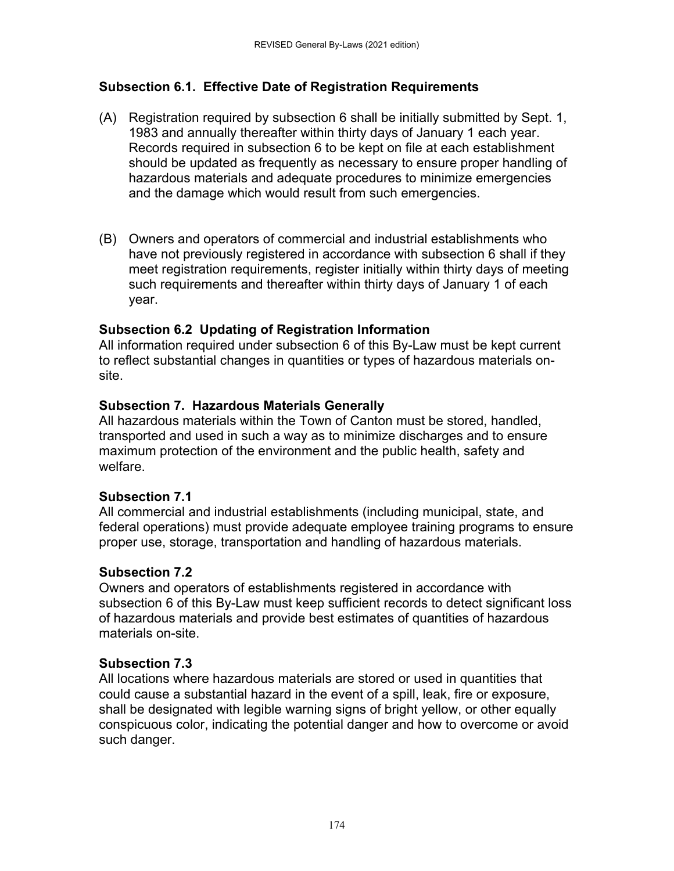## **Subsection 6.1. Effective Date of Registration Requirements**

- (A) Registration required by subsection 6 shall be initially submitted by Sept. 1, 1983 and annually thereafter within thirty days of January 1 each year. Records required in subsection 6 to be kept on file at each establishment should be updated as frequently as necessary to ensure proper handling of hazardous materials and adequate procedures to minimize emergencies and the damage which would result from such emergencies.
- (B) Owners and operators of commercial and industrial establishments who have not previously registered in accordance with subsection 6 shall if they meet registration requirements, register initially within thirty days of meeting such requirements and thereafter within thirty days of January 1 of each year.

## **Subsection 6.2 Updating of Registration Information**

All information required under subsection 6 of this By-Law must be kept current to reflect substantial changes in quantities or types of hazardous materials onsite.

## **Subsection 7. Hazardous Materials Generally**

All hazardous materials within the Town of Canton must be stored, handled, transported and used in such a way as to minimize discharges and to ensure maximum protection of the environment and the public health, safety and welfare.

### **Subsection 7.1**

All commercial and industrial establishments (including municipal, state, and federal operations) must provide adequate employee training programs to ensure proper use, storage, transportation and handling of hazardous materials.

# **Subsection 7.2**

Owners and operators of establishments registered in accordance with subsection 6 of this By-Law must keep sufficient records to detect significant loss of hazardous materials and provide best estimates of quantities of hazardous materials on-site.

### **Subsection 7.3**

All locations where hazardous materials are stored or used in quantities that could cause a substantial hazard in the event of a spill, leak, fire or exposure, shall be designated with legible warning signs of bright yellow, or other equally conspicuous color, indicating the potential danger and how to overcome or avoid such danger.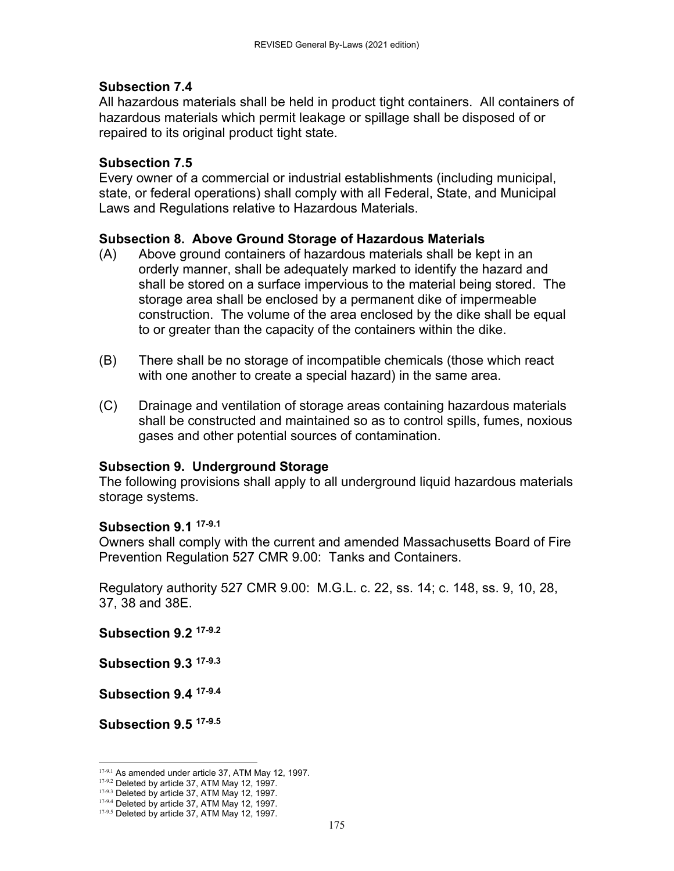#### **Subsection 7.4**

All hazardous materials shall be held in product tight containers. All containers of hazardous materials which permit leakage or spillage shall be disposed of or repaired to its original product tight state.

#### **Subsection 7.5**

Every owner of a commercial or industrial establishments (including municipal, state, or federal operations) shall comply with all Federal, State, and Municipal Laws and Regulations relative to Hazardous Materials.

#### **Subsection 8. Above Ground Storage of Hazardous Materials**

- (A) Above ground containers of hazardous materials shall be kept in an orderly manner, shall be adequately marked to identify the hazard and shall be stored on a surface impervious to the material being stored. The storage area shall be enclosed by a permanent dike of impermeable construction. The volume of the area enclosed by the dike shall be equal to or greater than the capacity of the containers within the dike.
- (B) There shall be no storage of incompatible chemicals (those which react with one another to create a special hazard) in the same area.
- (C) Drainage and ventilation of storage areas containing hazardous materials shall be constructed and maintained so as to control spills, fumes, noxious gases and other potential sources of contamination.

#### **Subsection 9. Underground Storage**

The following provisions shall apply to all underground liquid hazardous materials storage systems.

#### **Subsection 9.1 17-9.1**

Owners shall comply with the current and amended Massachusetts Board of Fire Prevention Regulation 527 CMR 9.00: Tanks and Containers.

Regulatory authority 527 CMR 9.00: M.G.L. c. 22, ss. 14; c. 148, ss. 9, 10, 28, 37, 38 and 38E.

**Subsection 9.2 17-9.2**

**Subsection 9.3 17-9.3**

**Subsection 9.4 17-9.4**

**Subsection 9.5 17-9.5**

 17-9.1 As amended under article 37, ATM May 12, 1997.

<sup>17-9.2</sup> Deleted by article 37, ATM May 12, 1997.

<sup>17-9.3</sup> Deleted by article 37, ATM May 12, 1997.

<sup>17-9.4</sup> Deleted by article 37, ATM May 12, 1997.  $17-9.5$  Deleted by article 37, ATM May 12, 1997.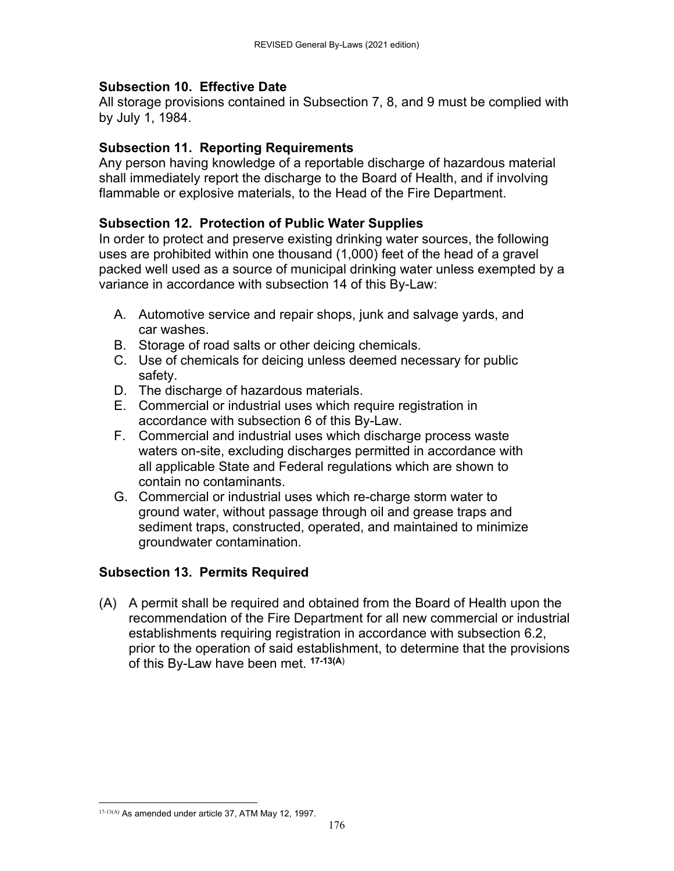### **Subsection 10. Effective Date**

All storage provisions contained in Subsection 7, 8, and 9 must be complied with by July 1, 1984.

#### **Subsection 11. Reporting Requirements**

Any person having knowledge of a reportable discharge of hazardous material shall immediately report the discharge to the Board of Health, and if involving flammable or explosive materials, to the Head of the Fire Department.

#### **Subsection 12. Protection of Public Water Supplies**

In order to protect and preserve existing drinking water sources, the following uses are prohibited within one thousand (1,000) feet of the head of a gravel packed well used as a source of municipal drinking water unless exempted by a variance in accordance with subsection 14 of this By-Law:

- A. Automotive service and repair shops, junk and salvage yards, and car washes.
- B. Storage of road salts or other deicing chemicals.
- C. Use of chemicals for deicing unless deemed necessary for public safety.
- D. The discharge of hazardous materials.
- E. Commercial or industrial uses which require registration in accordance with subsection 6 of this By-Law.
- F. Commercial and industrial uses which discharge process waste waters on-site, excluding discharges permitted in accordance with all applicable State and Federal regulations which are shown to contain no contaminants.
- G. Commercial or industrial uses which re-charge storm water to ground water, without passage through oil and grease traps and sediment traps, constructed, operated, and maintained to minimize groundwater contamination.

### **Subsection 13. Permits Required**

(A) A permit shall be required and obtained from the Board of Health upon the recommendation of the Fire Department for all new commercial or industrial establishments requiring registration in accordance with subsection 6.2, prior to the operation of said establishment, to determine that the provisions of this By-Law have been met. **17-13(A**)

 17-13(A) As amended under article 37, ATM May 12, 1997.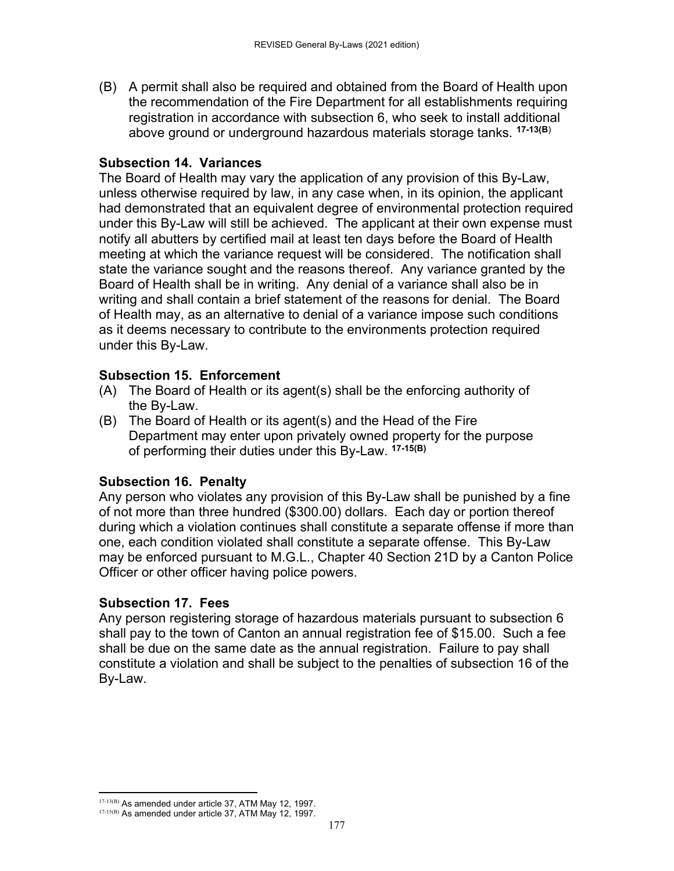(B) A permit shall also be required and obtained from the Board of Health upon the recommendation of the Fire Department for all establishments requiring registration in accordance with subsection 6, who seek to install additional above ground or underground hazardous materials storage tanks. **17-13(B**)

#### **Subsection 14. Variances**

The Board of Health may vary the application of any provision of this By-Law, unless otherwise required by law, in any case when, in its opinion, the applicant had demonstrated that an equivalent degree of environmental protection required under this By-Law will still be achieved. The applicant at their own expense must notify all abutters by certified mail at least ten days before the Board of Health meeting at which the variance request will be considered. The notification shall state the variance sought and the reasons thereof. Any variance granted by the Board of Health shall be in writing. Any denial of a variance shall also be in writing and shall contain a brief statement of the reasons for denial. The Board of Health may, as an alternative to denial of a variance impose such conditions as it deems necessary to contribute to the environments protection required under this By-Law.

#### **Subsection 15. Enforcement**

- (A) The Board of Health or its agent(s) shall be the enforcing authority of the By-Law.
- (B) The Board of Health or its agent(s) and the Head of the Fire Department may enter upon privately owned property for the purpose of performing their duties under this By-Law. **17-15(B)**

#### **Subsection 16. Penalty**

Any person who violates any provision of this By-Law shall be punished by a fine of not more than three hundred (\$300.00) dollars. Each day or portion thereof during which a violation continues shall constitute a separate offense if more than one, each condition violated shall constitute a separate offense. This By-Law may be enforced pursuant to M.G.L., Chapter 40 Section 21D by a Canton Police Officer or other officer having police powers.

#### **Subsection 17. Fees**

Any person registering storage of hazardous materials pursuant to subsection 6 shall pay to the town of Canton an annual registration fee of \$15.00. Such a fee shall be due on the same date as the annual registration. Failure to pay shall constitute a violation and shall be subject to the penalties of subsection 16 of the By-Law.

<sup>17-13(</sup>B) As amended under article 37, ATM May 12, 1997.  $17-15(B)$  As amended under article 37, ATM May 12, 1997.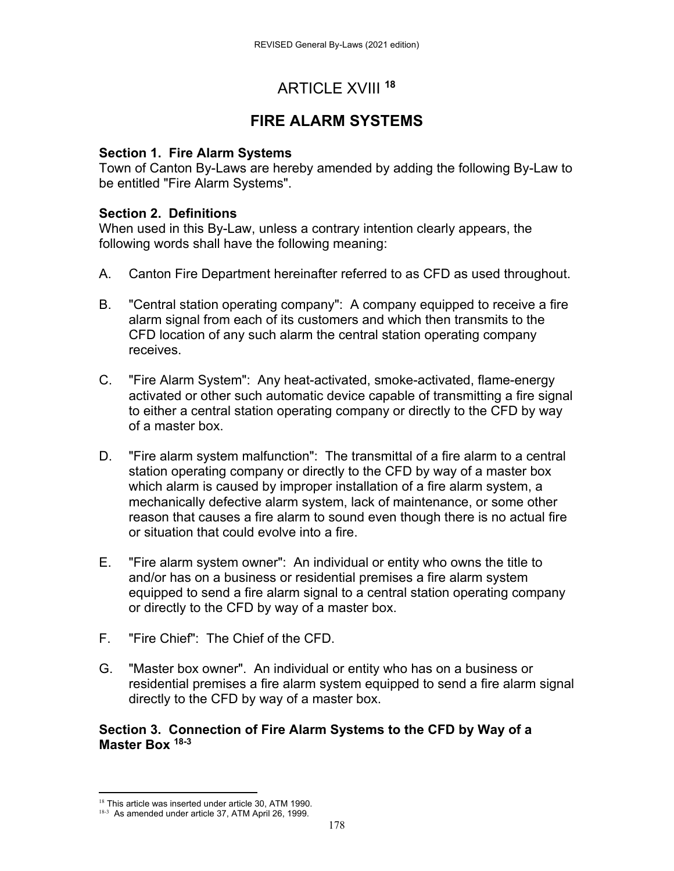# ARTICLE XVIII **<sup>18</sup>**

# **FIRE ALARM SYSTEMS**

#### **Section 1. Fire Alarm Systems**

Town of Canton By-Laws are hereby amended by adding the following By-Law to be entitled "Fire Alarm Systems".

### **Section 2. Definitions**

When used in this By-Law, unless a contrary intention clearly appears, the following words shall have the following meaning:

- A. Canton Fire Department hereinafter referred to as CFD as used throughout.
- B. "Central station operating company": A company equipped to receive a fire alarm signal from each of its customers and which then transmits to the CFD location of any such alarm the central station operating company receives.
- C. "Fire Alarm System": Any heat-activated, smoke-activated, flame-energy activated or other such automatic device capable of transmitting a fire signal to either a central station operating company or directly to the CFD by way of a master box.
- D. "Fire alarm system malfunction": The transmittal of a fire alarm to a central station operating company or directly to the CFD by way of a master box which alarm is caused by improper installation of a fire alarm system, a mechanically defective alarm system, lack of maintenance, or some other reason that causes a fire alarm to sound even though there is no actual fire or situation that could evolve into a fire.
- E. "Fire alarm system owner": An individual or entity who owns the title to and/or has on a business or residential premises a fire alarm system equipped to send a fire alarm signal to a central station operating company or directly to the CFD by way of a master box.
- F. "Fire Chief": The Chief of the CFD.
- G. "Master box owner". An individual or entity who has on a business or residential premises a fire alarm system equipped to send a fire alarm signal directly to the CFD by way of a master box.

#### **Section 3. Connection of Fire Alarm Systems to the CFD by Way of a Master Box 18-3**

  $18$  This article was inserted under article 30, ATM 1990.

<sup>18-3</sup> As amended under article 37, ATM April 26, 1999.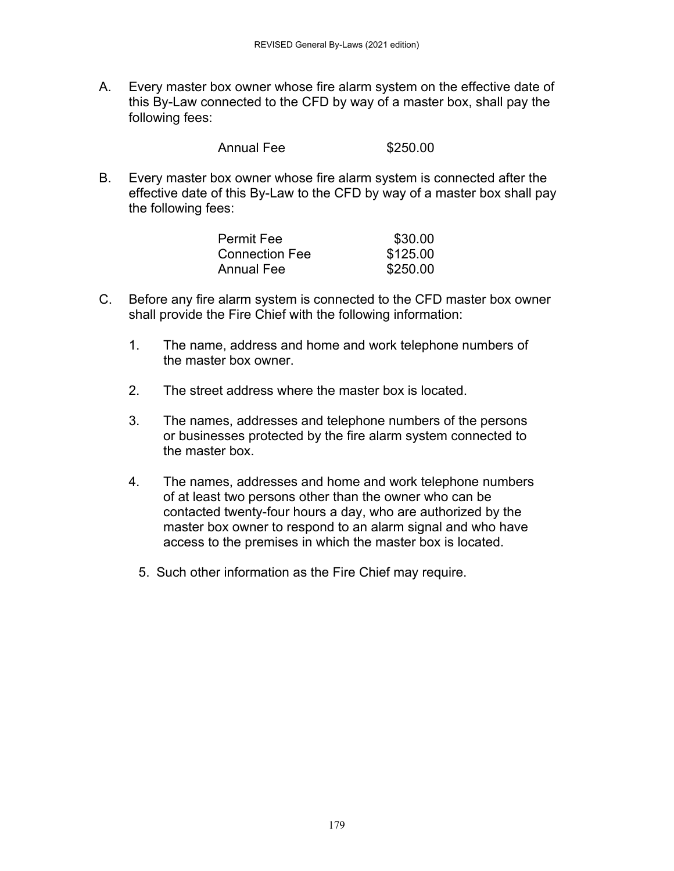A. Every master box owner whose fire alarm system on the effective date of this By-Law connected to the CFD by way of a master box, shall pay the following fees:

| <b>Annual Fee</b> | \$250.00 |
|-------------------|----------|
|-------------------|----------|

B. Every master box owner whose fire alarm system is connected after the effective date of this By-Law to the CFD by way of a master box shall pay the following fees:

| <b>Permit Fee</b>     | \$30.00  |
|-----------------------|----------|
| <b>Connection Fee</b> | \$125.00 |
| <b>Annual Fee</b>     | \$250.00 |

- C. Before any fire alarm system is connected to the CFD master box owner shall provide the Fire Chief with the following information:
	- 1. The name, address and home and work telephone numbers of the master box owner.
	- 2. The street address where the master box is located.
	- 3. The names, addresses and telephone numbers of the persons or businesses protected by the fire alarm system connected to the master box.
	- 4. The names, addresses and home and work telephone numbers of at least two persons other than the owner who can be contacted twenty-four hours a day, who are authorized by the master box owner to respond to an alarm signal and who have access to the premises in which the master box is located.
		- 5. Such other information as the Fire Chief may require.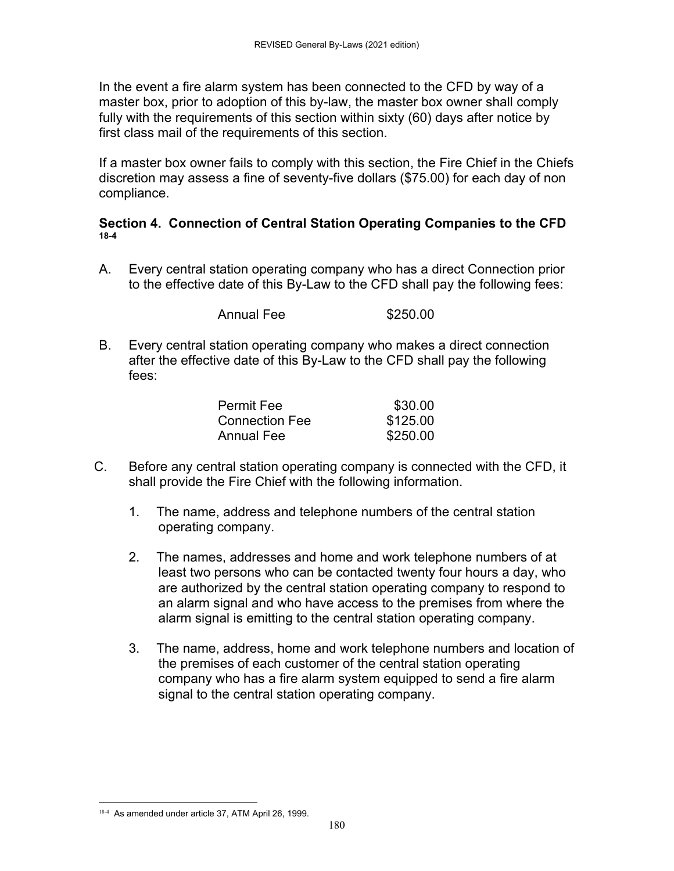In the event a fire alarm system has been connected to the CFD by way of a master box, prior to adoption of this by-law, the master box owner shall comply fully with the requirements of this section within sixty (60) days after notice by first class mail of the requirements of this section.

If a master box owner fails to comply with this section, the Fire Chief in the Chiefs discretion may assess a fine of seventy-five dollars (\$75.00) for each day of non compliance.

#### **Section 4. Connection of Central Station Operating Companies to the CFD 18-4**

A. Every central station operating company who has a direct Connection prior to the effective date of this By-Law to the CFD shall pay the following fees:

Annual Fee \$250.00

B. Every central station operating company who makes a direct connection after the effective date of this By-Law to the CFD shall pay the following fees:

| Permit Fee     | \$30.00  |
|----------------|----------|
| Connection Fee | \$125.00 |
| Annual Fee     | \$250.00 |

- C. Before any central station operating company is connected with the CFD, it shall provide the Fire Chief with the following information.
	- 1. The name, address and telephone numbers of the central station operating company.
	- 2. The names, addresses and home and work telephone numbers of at least two persons who can be contacted twenty four hours a day, who are authorized by the central station operating company to respond to an alarm signal and who have access to the premises from where the alarm signal is emitting to the central station operating company.
	- 3. The name, address, home and work telephone numbers and location of the premises of each customer of the central station operating company who has a fire alarm system equipped to send a fire alarm signal to the central station operating company.

<sup>18-4</sup> As amended under article 37, ATM April 26, 1999.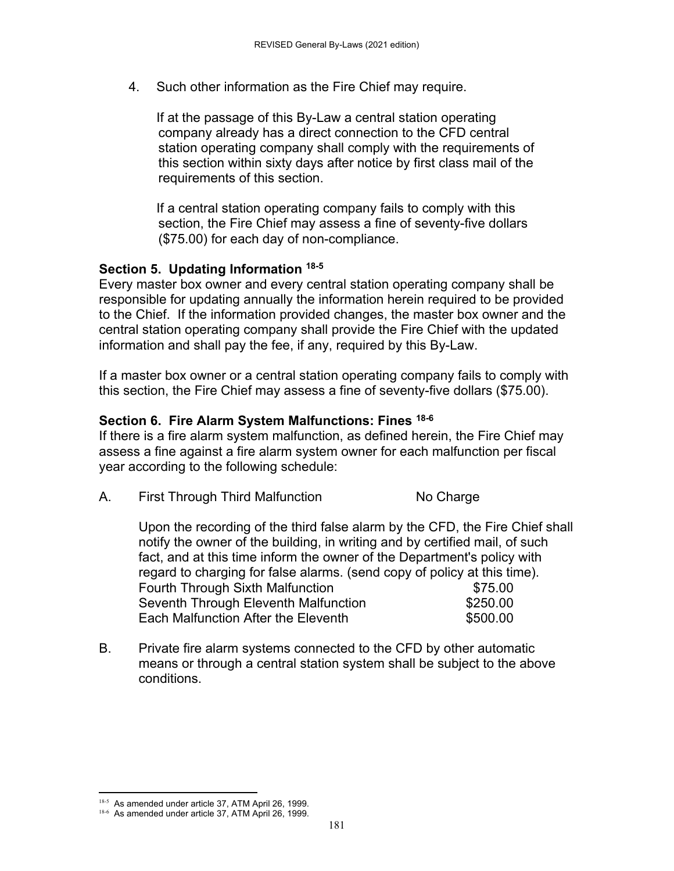4. Such other information as the Fire Chief may require.

If at the passage of this By-Law a central station operating company already has a direct connection to the CFD central station operating company shall comply with the requirements of this section within sixty days after notice by first class mail of the requirements of this section.

If a central station operating company fails to comply with this section, the Fire Chief may assess a fine of seventy-five dollars (\$75.00) for each day of non-compliance.

#### **Section 5. Updating Information 18-5**

Every master box owner and every central station operating company shall be responsible for updating annually the information herein required to be provided to the Chief. If the information provided changes, the master box owner and the central station operating company shall provide the Fire Chief with the updated information and shall pay the fee, if any, required by this By-Law.

If a master box owner or a central station operating company fails to comply with this section, the Fire Chief may assess a fine of seventy-five dollars (\$75.00).

#### **Section 6. Fire Alarm System Malfunctions: Fines 18-6**

If there is a fire alarm system malfunction, as defined herein, the Fire Chief may assess a fine against a fire alarm system owner for each malfunction per fiscal year according to the following schedule:

A. First Through Third Malfunction No Charge

Upon the recording of the third false alarm by the CFD, the Fire Chief shall notify the owner of the building, in writing and by certified mail, of such fact, and at this time inform the owner of the Department's policy with regard to charging for false alarms. (send copy of policy at this time). Fourth Through Sixth Malfunction **\$75.00** Seventh Through Eleventh Malfunction  $$250.00$ Each Malfunction After the Eleventh  $$500.00$ 

B. Private fire alarm systems connected to the CFD by other automatic means or through a central station system shall be subject to the above conditions.

181

 18-5 As amended under article 37, ATM April 26, 1999. <sup>18-6</sup> As amended under article 37, ATM April 26, 1999.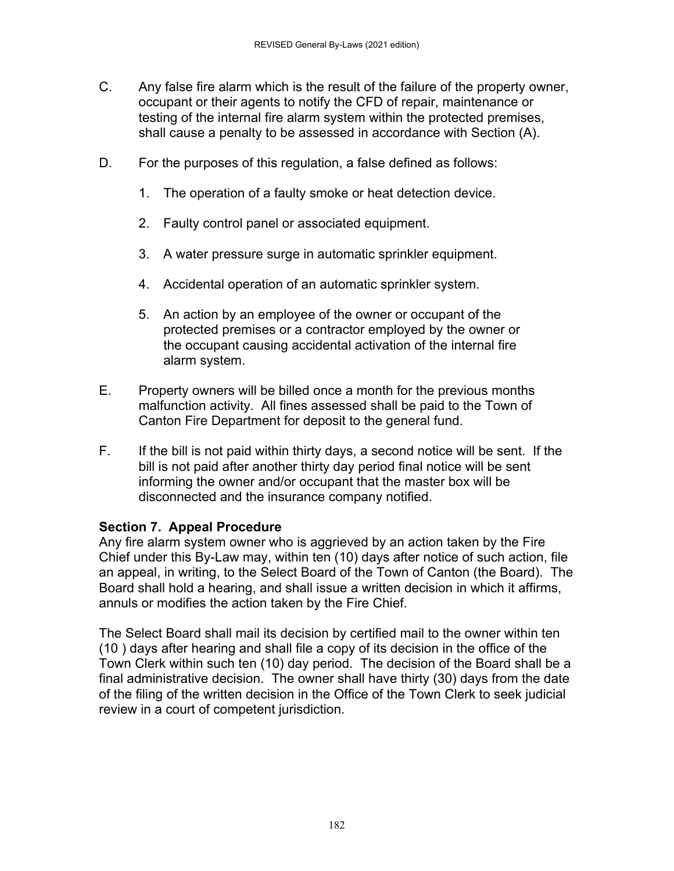- C. Any false fire alarm which is the result of the failure of the property owner, occupant or their agents to notify the CFD of repair, maintenance or testing of the internal fire alarm system within the protected premises, shall cause a penalty to be assessed in accordance with Section (A).
- D. For the purposes of this regulation, a false defined as follows:
	- 1. The operation of a faulty smoke or heat detection device.
	- 2. Faulty control panel or associated equipment.
	- 3. A water pressure surge in automatic sprinkler equipment.
	- 4. Accidental operation of an automatic sprinkler system.
	- 5. An action by an employee of the owner or occupant of the protected premises or a contractor employed by the owner or the occupant causing accidental activation of the internal fire alarm system.
- E. Property owners will be billed once a month for the previous months malfunction activity. All fines assessed shall be paid to the Town of Canton Fire Department for deposit to the general fund.
- F. If the bill is not paid within thirty days, a second notice will be sent. If the bill is not paid after another thirty day period final notice will be sent informing the owner and/or occupant that the master box will be disconnected and the insurance company notified.

#### **Section 7. Appeal Procedure**

Any fire alarm system owner who is aggrieved by an action taken by the Fire Chief under this By-Law may, within ten (10) days after notice of such action, file an appeal, in writing, to the Select Board of the Town of Canton (the Board). The Board shall hold a hearing, and shall issue a written decision in which it affirms, annuls or modifies the action taken by the Fire Chief.

The Select Board shall mail its decision by certified mail to the owner within ten (10 ) days after hearing and shall file a copy of its decision in the office of the Town Clerk within such ten (10) day period. The decision of the Board shall be a final administrative decision. The owner shall have thirty (30) days from the date of the filing of the written decision in the Office of the Town Clerk to seek judicial review in a court of competent jurisdiction.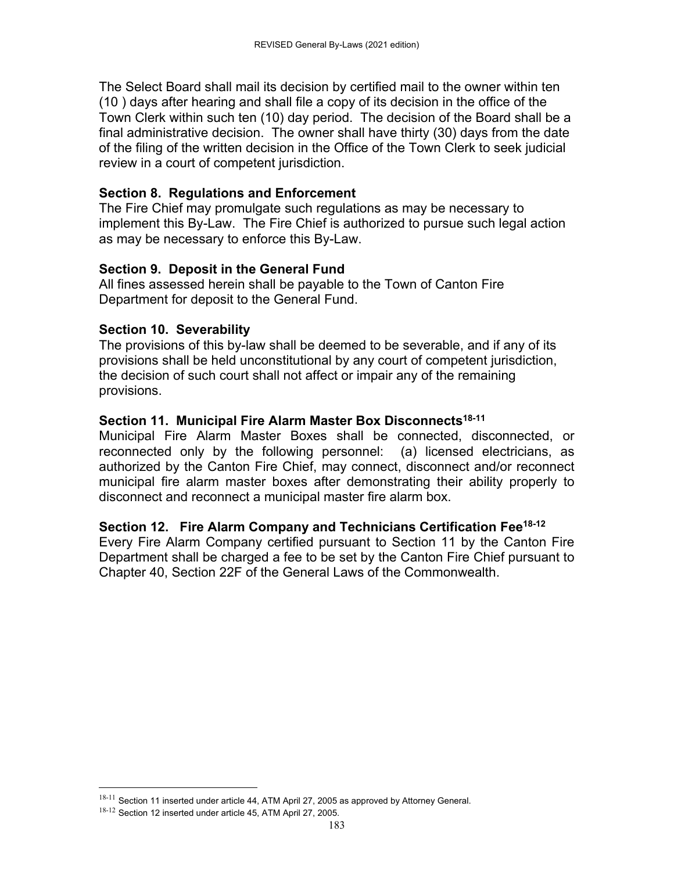The Select Board shall mail its decision by certified mail to the owner within ten (10 ) days after hearing and shall file a copy of its decision in the office of the Town Clerk within such ten (10) day period. The decision of the Board shall be a final administrative decision. The owner shall have thirty (30) days from the date of the filing of the written decision in the Office of the Town Clerk to seek judicial review in a court of competent jurisdiction.

#### **Section 8. Regulations and Enforcement**

The Fire Chief may promulgate such regulations as may be necessary to implement this By-Law. The Fire Chief is authorized to pursue such legal action as may be necessary to enforce this By-Law.

#### **Section 9. Deposit in the General Fund**

All fines assessed herein shall be payable to the Town of Canton Fire Department for deposit to the General Fund.

#### **Section 10. Severability**

The provisions of this by-law shall be deemed to be severable, and if any of its provisions shall be held unconstitutional by any court of competent jurisdiction, the decision of such court shall not affect or impair any of the remaining provisions.

#### Section 11. Municipal Fire Alarm Master Box Disconnects<sup>18-11</sup>

Municipal Fire Alarm Master Boxes shall be connected, disconnected, or reconnected only by the following personnel: (a) licensed electricians, as authorized by the Canton Fire Chief, may connect, disconnect and/or reconnect municipal fire alarm master boxes after demonstrating their ability properly to disconnect and reconnect a municipal master fire alarm box.

#### **Section 12. Fire Alarm Company and Technicians Certification Fee18-12**

Every Fire Alarm Company certified pursuant to Section 11 by the Canton Fire Department shall be charged a fee to be set by the Canton Fire Chief pursuant to Chapter 40, Section 22F of the General Laws of the Commonwealth.

 $18-11$  Section 11 inserted under article 44, ATM April 27, 2005 as approved by Attorney General.

<sup>18-12</sup> Section 12 inserted under article 45, ATM April 27, 2005.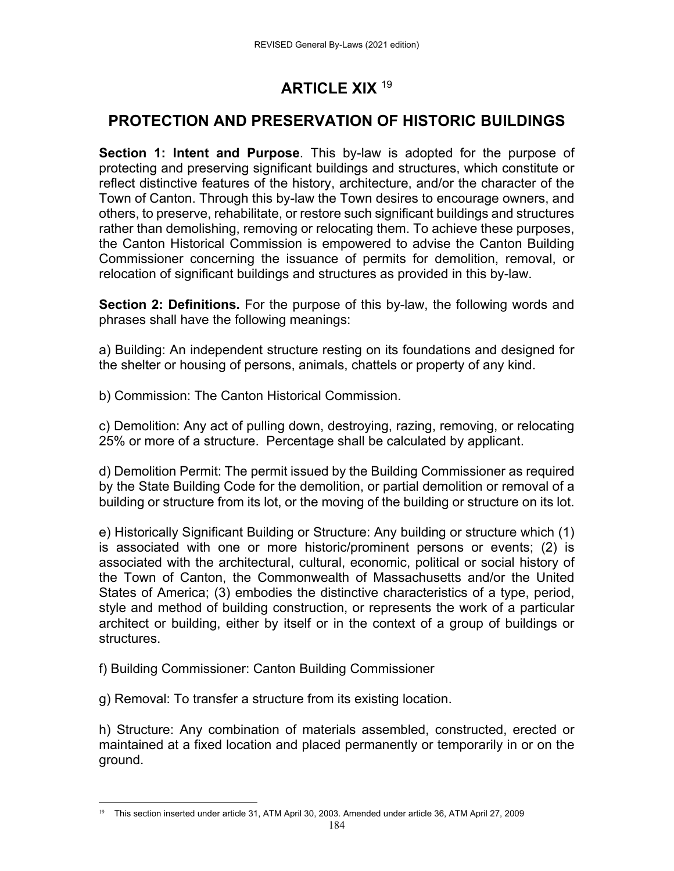## **ARTICLE XIX** <sup>19</sup>

### **PROTECTION AND PRESERVATION OF HISTORIC BUILDINGS**

**Section 1: Intent and Purpose**. This by-law is adopted for the purpose of protecting and preserving significant buildings and structures, which constitute or reflect distinctive features of the history, architecture, and/or the character of the Town of Canton. Through this by-law the Town desires to encourage owners, and others, to preserve, rehabilitate, or restore such significant buildings and structures rather than demolishing, removing or relocating them. To achieve these purposes, the Canton Historical Commission is empowered to advise the Canton Building Commissioner concerning the issuance of permits for demolition, removal, or relocation of significant buildings and structures as provided in this by-law.

**Section 2: Definitions.** For the purpose of this by-law, the following words and phrases shall have the following meanings:

a) Building: An independent structure resting on its foundations and designed for the shelter or housing of persons, animals, chattels or property of any kind.

b) Commission: The Canton Historical Commission.

c) Demolition: Any act of pulling down, destroying, razing, removing, or relocating 25% or more of a structure. Percentage shall be calculated by applicant.

d) Demolition Permit: The permit issued by the Building Commissioner as required by the State Building Code for the demolition, or partial demolition or removal of a building or structure from its lot, or the moving of the building or structure on its lot.

e) Historically Significant Building or Structure: Any building or structure which (1) is associated with one or more historic/prominent persons or events; (2) is associated with the architectural, cultural, economic, political or social history of the Town of Canton, the Commonwealth of Massachusetts and/or the United States of America; (3) embodies the distinctive characteristics of a type, period, style and method of building construction, or represents the work of a particular architect or building, either by itself or in the context of a group of buildings or structures.

f) Building Commissioner: Canton Building Commissioner

g) Removal: To transfer a structure from its existing location.

h) Structure: Any combination of materials assembled, constructed, erected or maintained at a fixed location and placed permanently or temporarily in or on the ground.

 <sup>19</sup> This section inserted under article 31, ATM April 30, 2003. Amended under article 36, ATM April 27, 2009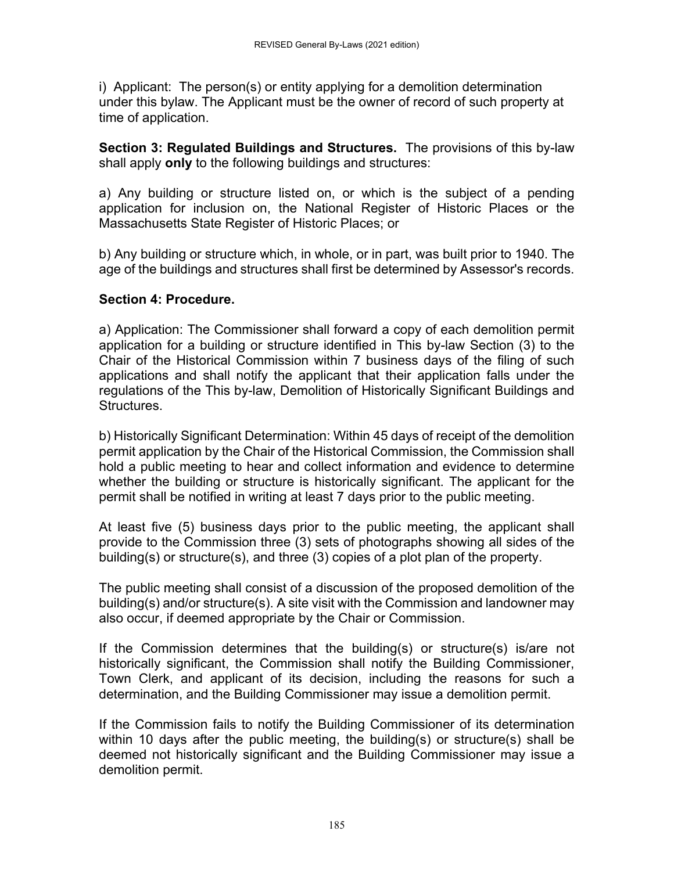i) Applicant: The person(s) or entity applying for a demolition determination under this bylaw. The Applicant must be the owner of record of such property at time of application.

**Section 3: Regulated Buildings and Structures.** The provisions of this by-law shall apply **only** to the following buildings and structures:

a) Any building or structure listed on, or which is the subject of a pending application for inclusion on, the National Register of Historic Places or the Massachusetts State Register of Historic Places; or

b) Any building or structure which, in whole, or in part, was built prior to 1940. The age of the buildings and structures shall first be determined by Assessor's records.

#### **Section 4: Procedure.**

a) Application: The Commissioner shall forward a copy of each demolition permit application for a building or structure identified in This by-law Section (3) to the Chair of the Historical Commission within 7 business days of the filing of such applications and shall notify the applicant that their application falls under the regulations of the This by-law, Demolition of Historically Significant Buildings and Structures.

b) Historically Significant Determination: Within 45 days of receipt of the demolition permit application by the Chair of the Historical Commission, the Commission shall hold a public meeting to hear and collect information and evidence to determine whether the building or structure is historically significant. The applicant for the permit shall be notified in writing at least 7 days prior to the public meeting.

At least five (5) business days prior to the public meeting, the applicant shall provide to the Commission three (3) sets of photographs showing all sides of the building(s) or structure(s), and three (3) copies of a plot plan of the property.

The public meeting shall consist of a discussion of the proposed demolition of the building(s) and/or structure(s). A site visit with the Commission and landowner may also occur, if deemed appropriate by the Chair or Commission.

If the Commission determines that the building(s) or structure(s) is/are not historically significant, the Commission shall notify the Building Commissioner, Town Clerk, and applicant of its decision, including the reasons for such a determination, and the Building Commissioner may issue a demolition permit.

If the Commission fails to notify the Building Commissioner of its determination within 10 days after the public meeting, the building(s) or structure(s) shall be deemed not historically significant and the Building Commissioner may issue a demolition permit.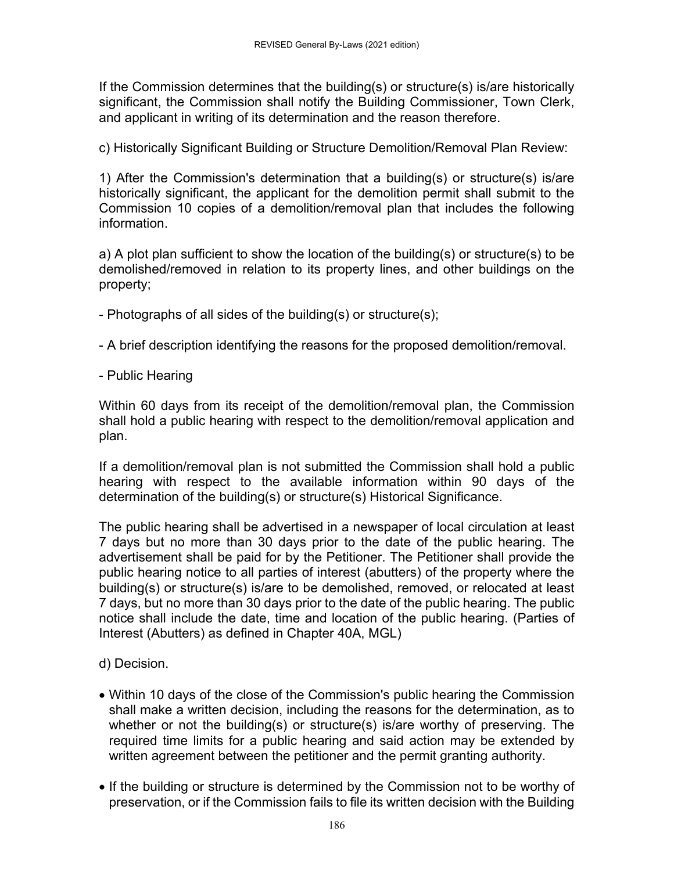If the Commission determines that the building(s) or structure(s) is/are historically significant, the Commission shall notify the Building Commissioner, Town Clerk, and applicant in writing of its determination and the reason therefore.

c) Historically Significant Building or Structure Demolition/Removal Plan Review:

1) After the Commission's determination that a building(s) or structure(s) is/are historically significant, the applicant for the demolition permit shall submit to the Commission 10 copies of a demolition/removal plan that includes the following information.

a) A plot plan sufficient to show the location of the building(s) or structure(s) to be demolished/removed in relation to its property lines, and other buildings on the property;

- Photographs of all sides of the building(s) or structure(s);
- A brief description identifying the reasons for the proposed demolition/removal.
- Public Hearing

Within 60 days from its receipt of the demolition/removal plan, the Commission shall hold a public hearing with respect to the demolition/removal application and plan.

If a demolition/removal plan is not submitted the Commission shall hold a public hearing with respect to the available information within 90 days of the determination of the building(s) or structure(s) Historical Significance.

The public hearing shall be advertised in a newspaper of local circulation at least 7 days but no more than 30 days prior to the date of the public hearing. The advertisement shall be paid for by the Petitioner. The Petitioner shall provide the public hearing notice to all parties of interest (abutters) of the property where the building(s) or structure(s) is/are to be demolished, removed, or relocated at least 7 days, but no more than 30 days prior to the date of the public hearing. The public notice shall include the date, time and location of the public hearing. (Parties of Interest (Abutters) as defined in Chapter 40A, MGL)

d) Decision.

- Within 10 days of the close of the Commission's public hearing the Commission shall make a written decision, including the reasons for the determination, as to whether or not the building(s) or structure(s) is/are worthy of preserving. The required time limits for a public hearing and said action may be extended by written agreement between the petitioner and the permit granting authority.
- If the building or structure is determined by the Commission not to be worthy of preservation, or if the Commission fails to file its written decision with the Building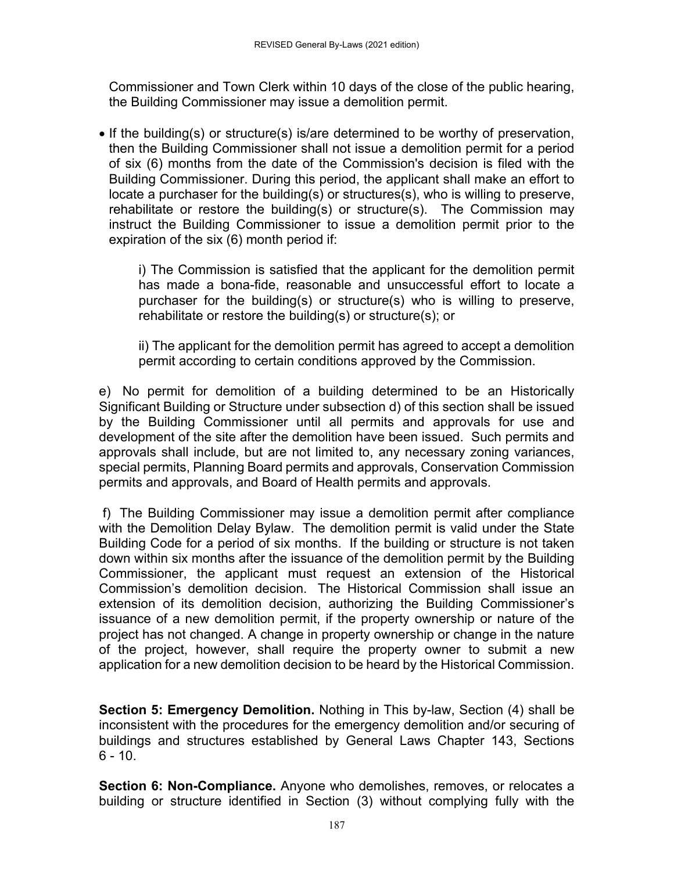Commissioner and Town Clerk within 10 days of the close of the public hearing, the Building Commissioner may issue a demolition permit.

 If the building(s) or structure(s) is/are determined to be worthy of preservation, then the Building Commissioner shall not issue a demolition permit for a period of six (6) months from the date of the Commission's decision is filed with the Building Commissioner. During this period, the applicant shall make an effort to locate a purchaser for the building(s) or structures(s), who is willing to preserve, rehabilitate or restore the building(s) or structure(s). The Commission may instruct the Building Commissioner to issue a demolition permit prior to the expiration of the six (6) month period if:

i) The Commission is satisfied that the applicant for the demolition permit has made a bona-fide, reasonable and unsuccessful effort to locate a purchaser for the building(s) or structure(s) who is willing to preserve, rehabilitate or restore the building(s) or structure(s); or

ii) The applicant for the demolition permit has agreed to accept a demolition permit according to certain conditions approved by the Commission.

e) No permit for demolition of a building determined to be an Historically Significant Building or Structure under subsection d) of this section shall be issued by the Building Commissioner until all permits and approvals for use and development of the site after the demolition have been issued. Such permits and approvals shall include, but are not limited to, any necessary zoning variances, special permits, Planning Board permits and approvals, Conservation Commission permits and approvals, and Board of Health permits and approvals.

 f) The Building Commissioner may issue a demolition permit after compliance with the Demolition Delay Bylaw. The demolition permit is valid under the State Building Code for a period of six months. If the building or structure is not taken down within six months after the issuance of the demolition permit by the Building Commissioner, the applicant must request an extension of the Historical Commission's demolition decision. The Historical Commission shall issue an extension of its demolition decision, authorizing the Building Commissioner's issuance of a new demolition permit, if the property ownership or nature of the project has not changed. A change in property ownership or change in the nature of the project, however, shall require the property owner to submit a new application for a new demolition decision to be heard by the Historical Commission.

**Section 5: Emergency Demolition.** Nothing in This by-law, Section (4) shall be inconsistent with the procedures for the emergency demolition and/or securing of buildings and structures established by General Laws Chapter 143, Sections  $6 - 10$ .

**Section 6: Non-Compliance.** Anyone who demolishes, removes, or relocates a building or structure identified in Section (3) without complying fully with the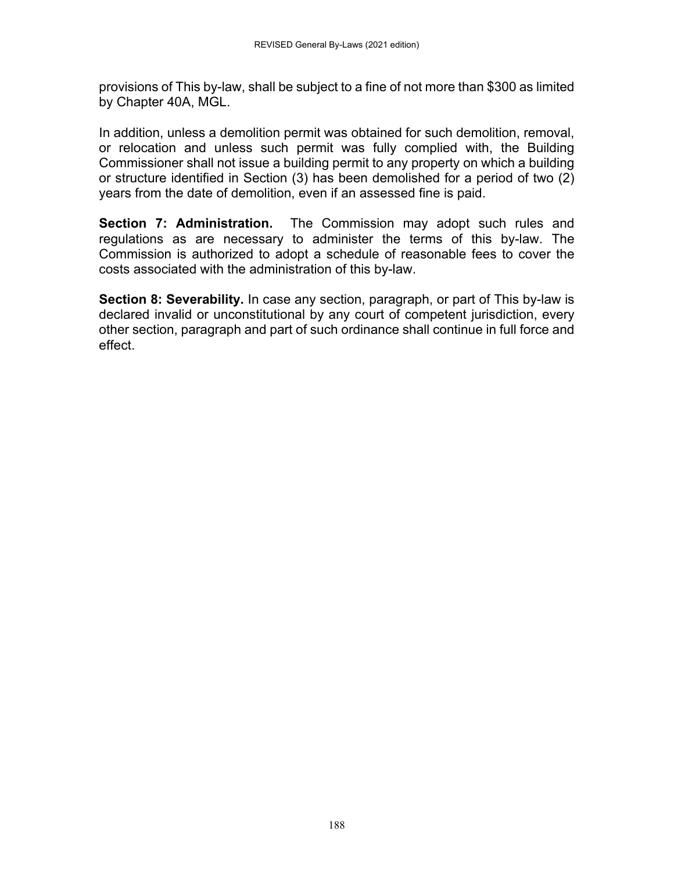provisions of This by-law, shall be subject to a fine of not more than \$300 as limited by Chapter 40A, MGL.

In addition, unless a demolition permit was obtained for such demolition, removal, or relocation and unless such permit was fully complied with, the Building Commissioner shall not issue a building permit to any property on which a building or structure identified in Section (3) has been demolished for a period of two (2) years from the date of demolition, even if an assessed fine is paid.

**Section 7: Administration.** The Commission may adopt such rules and regulations as are necessary to administer the terms of this by-law. The Commission is authorized to adopt a schedule of reasonable fees to cover the costs associated with the administration of this by-law.

**Section 8: Severability.** In case any section, paragraph, or part of This by-law is declared invalid or unconstitutional by any court of competent jurisdiction, every other section, paragraph and part of such ordinance shall continue in full force and effect.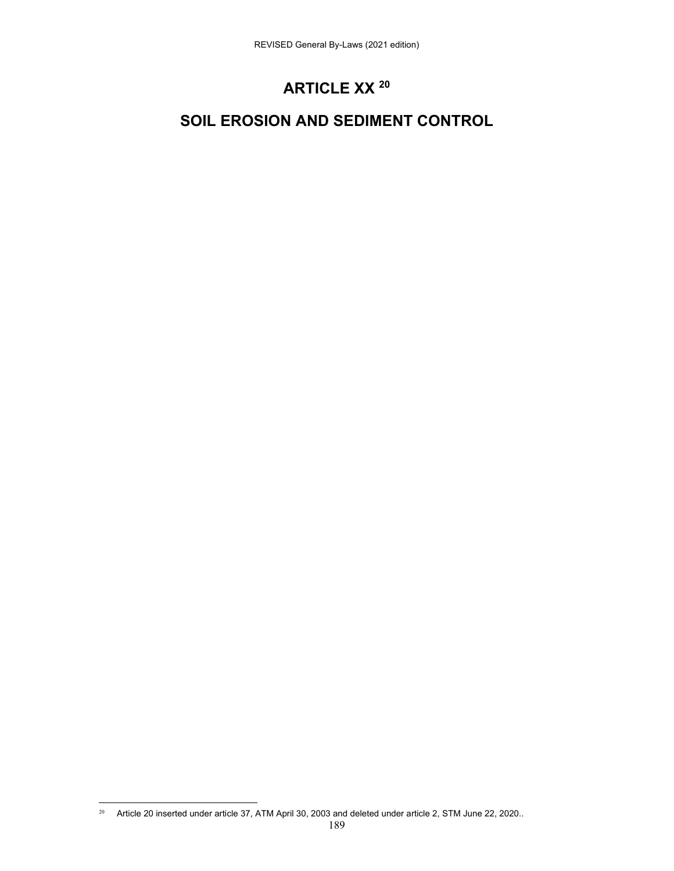# **ARTICLE XX 20**

## **SOIL EROSION AND SEDIMENT CONTROL**

 <sup>20</sup> Article 20 inserted under article 37, ATM April 30, 2003 and deleted under article 2, STM June 22, 2020..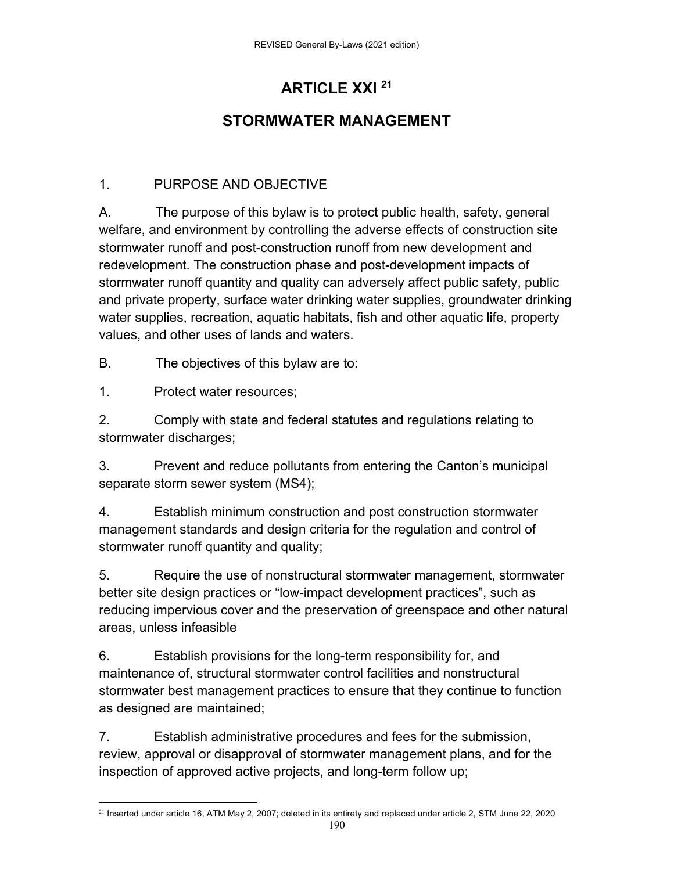# **ARTICLE XXI 21**

## **STORMWATER MANAGEMENT**

### 1. PURPOSE AND OBJECTIVE

A. The purpose of this bylaw is to protect public health, safety, general welfare, and environment by controlling the adverse effects of construction site stormwater runoff and post-construction runoff from new development and redevelopment. The construction phase and post-development impacts of stormwater runoff quantity and quality can adversely affect public safety, public and private property, surface water drinking water supplies, groundwater drinking water supplies, recreation, aquatic habitats, fish and other aquatic life, property values, and other uses of lands and waters.

B. The objectives of this bylaw are to:

1. Protect water resources;

2. Comply with state and federal statutes and regulations relating to stormwater discharges;

3. Prevent and reduce pollutants from entering the Canton's municipal separate storm sewer system (MS4);

4. Establish minimum construction and post construction stormwater management standards and design criteria for the regulation and control of stormwater runoff quantity and quality;

5. Require the use of nonstructural stormwater management, stormwater better site design practices or "low-impact development practices", such as reducing impervious cover and the preservation of greenspace and other natural areas, unless infeasible

6. Establish provisions for the long-term responsibility for, and maintenance of, structural stormwater control facilities and nonstructural stormwater best management practices to ensure that they continue to function as designed are maintained;

7. Establish administrative procedures and fees for the submission, review, approval or disapproval of stormwater management plans, and for the inspection of approved active projects, and long-term follow up;

  $21$  Inserted under article 16, ATM May 2, 2007; deleted in its entirety and replaced under article 2, STM June 22, 2020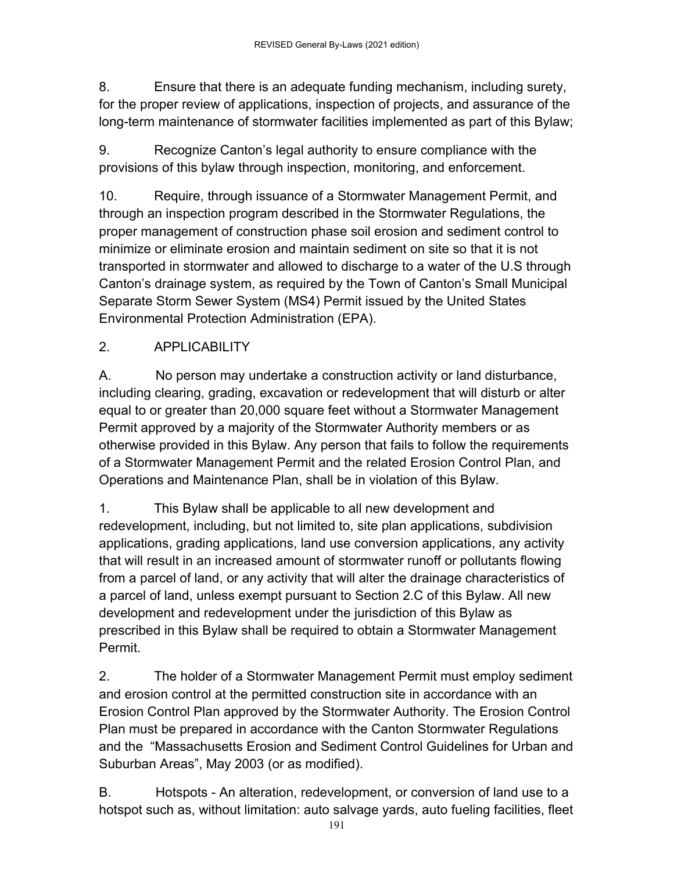8. Ensure that there is an adequate funding mechanism, including surety, for the proper review of applications, inspection of projects, and assurance of the long-term maintenance of stormwater facilities implemented as part of this Bylaw;

9. Recognize Canton's legal authority to ensure compliance with the provisions of this bylaw through inspection, monitoring, and enforcement.

10. Require, through issuance of a Stormwater Management Permit, and through an inspection program described in the Stormwater Regulations, the proper management of construction phase soil erosion and sediment control to minimize or eliminate erosion and maintain sediment on site so that it is not transported in stormwater and allowed to discharge to a water of the U.S through Canton's drainage system, as required by the Town of Canton's Small Municipal Separate Storm Sewer System (MS4) Permit issued by the United States Environmental Protection Administration (EPA).

## 2. APPLICABILITY

A. No person may undertake a construction activity or land disturbance, including clearing, grading, excavation or redevelopment that will disturb or alter equal to or greater than 20,000 square feet without a Stormwater Management Permit approved by a majority of the Stormwater Authority members or as otherwise provided in this Bylaw. Any person that fails to follow the requirements of a Stormwater Management Permit and the related Erosion Control Plan, and Operations and Maintenance Plan, shall be in violation of this Bylaw.

1. This Bylaw shall be applicable to all new development and redevelopment, including, but not limited to, site plan applications, subdivision applications, grading applications, land use conversion applications, any activity that will result in an increased amount of stormwater runoff or pollutants flowing from a parcel of land, or any activity that will alter the drainage characteristics of a parcel of land, unless exempt pursuant to Section 2.C of this Bylaw. All new development and redevelopment under the jurisdiction of this Bylaw as prescribed in this Bylaw shall be required to obtain a Stormwater Management Permit.

2. The holder of a Stormwater Management Permit must employ sediment and erosion control at the permitted construction site in accordance with an Erosion Control Plan approved by the Stormwater Authority. The Erosion Control Plan must be prepared in accordance with the Canton Stormwater Regulations and the "Massachusetts Erosion and Sediment Control Guidelines for Urban and Suburban Areas", May 2003 (or as modified).

B. Hotspots - An alteration, redevelopment, or conversion of land use to a hotspot such as, without limitation: auto salvage yards, auto fueling facilities, fleet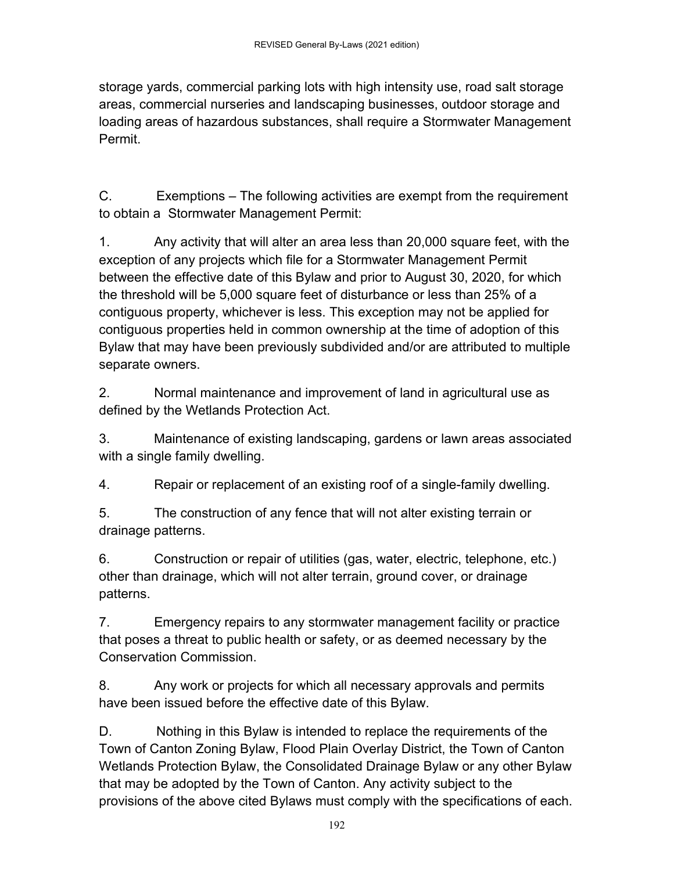storage yards, commercial parking lots with high intensity use, road salt storage areas, commercial nurseries and landscaping businesses, outdoor storage and loading areas of hazardous substances, shall require a Stormwater Management Permit.

C. Exemptions – The following activities are exempt from the requirement to obtain a Stormwater Management Permit:

1. Any activity that will alter an area less than 20,000 square feet, with the exception of any projects which file for a Stormwater Management Permit between the effective date of this Bylaw and prior to August 30, 2020, for which the threshold will be 5,000 square feet of disturbance or less than 25% of a contiguous property, whichever is less. This exception may not be applied for contiguous properties held in common ownership at the time of adoption of this Bylaw that may have been previously subdivided and/or are attributed to multiple separate owners.

2. Normal maintenance and improvement of land in agricultural use as defined by the Wetlands Protection Act.

3. Maintenance of existing landscaping, gardens or lawn areas associated with a single family dwelling.

4. Repair or replacement of an existing roof of a single-family dwelling.

5. The construction of any fence that will not alter existing terrain or drainage patterns.

6. Construction or repair of utilities (gas, water, electric, telephone, etc.) other than drainage, which will not alter terrain, ground cover, or drainage patterns.

7. Emergency repairs to any stormwater management facility or practice that poses a threat to public health or safety, or as deemed necessary by the Conservation Commission.

8. Any work or projects for which all necessary approvals and permits have been issued before the effective date of this Bylaw.

D. Nothing in this Bylaw is intended to replace the requirements of the Town of Canton Zoning Bylaw, Flood Plain Overlay District, the Town of Canton Wetlands Protection Bylaw, the Consolidated Drainage Bylaw or any other Bylaw that may be adopted by the Town of Canton. Any activity subject to the provisions of the above cited Bylaws must comply with the specifications of each.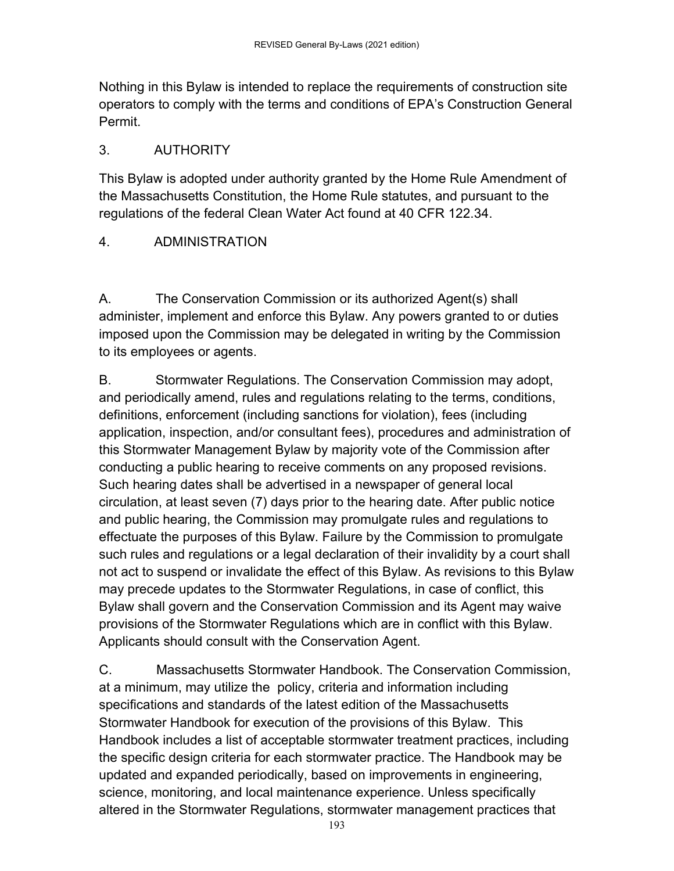Nothing in this Bylaw is intended to replace the requirements of construction site operators to comply with the terms and conditions of EPA's Construction General Permit.

### 3. AUTHORITY

This Bylaw is adopted under authority granted by the Home Rule Amendment of the Massachusetts Constitution, the Home Rule statutes, and pursuant to the regulations of the federal Clean Water Act found at 40 CFR 122.34.

### 4. ADMINISTRATION

A. The Conservation Commission or its authorized Agent(s) shall administer, implement and enforce this Bylaw. Any powers granted to or duties imposed upon the Commission may be delegated in writing by the Commission to its employees or agents.

B. Stormwater Regulations. The Conservation Commission may adopt, and periodically amend, rules and regulations relating to the terms, conditions, definitions, enforcement (including sanctions for violation), fees (including application, inspection, and/or consultant fees), procedures and administration of this Stormwater Management Bylaw by majority vote of the Commission after conducting a public hearing to receive comments on any proposed revisions. Such hearing dates shall be advertised in a newspaper of general local circulation, at least seven (7) days prior to the hearing date. After public notice and public hearing, the Commission may promulgate rules and regulations to effectuate the purposes of this Bylaw. Failure by the Commission to promulgate such rules and regulations or a legal declaration of their invalidity by a court shall not act to suspend or invalidate the effect of this Bylaw. As revisions to this Bylaw may precede updates to the Stormwater Regulations, in case of conflict, this Bylaw shall govern and the Conservation Commission and its Agent may waive provisions of the Stormwater Regulations which are in conflict with this Bylaw. Applicants should consult with the Conservation Agent.

C. Massachusetts Stormwater Handbook. The Conservation Commission, at a minimum, may utilize the policy, criteria and information including specifications and standards of the latest edition of the Massachusetts Stormwater Handbook for execution of the provisions of this Bylaw. This Handbook includes a list of acceptable stormwater treatment practices, including the specific design criteria for each stormwater practice. The Handbook may be updated and expanded periodically, based on improvements in engineering, science, monitoring, and local maintenance experience. Unless specifically altered in the Stormwater Regulations, stormwater management practices that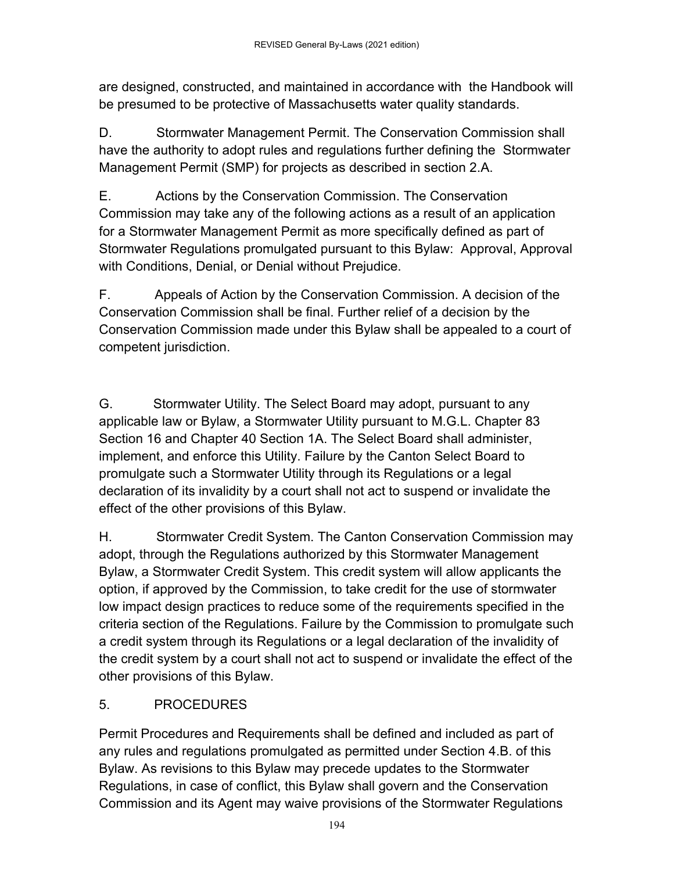are designed, constructed, and maintained in accordance with the Handbook will be presumed to be protective of Massachusetts water quality standards.

D. Stormwater Management Permit. The Conservation Commission shall have the authority to adopt rules and regulations further defining the Stormwater Management Permit (SMP) for projects as described in section 2.A.

E. Actions by the Conservation Commission. The Conservation Commission may take any of the following actions as a result of an application for a Stormwater Management Permit as more specifically defined as part of Stormwater Regulations promulgated pursuant to this Bylaw: Approval, Approval with Conditions, Denial, or Denial without Prejudice.

F. Appeals of Action by the Conservation Commission. A decision of the Conservation Commission shall be final. Further relief of a decision by the Conservation Commission made under this Bylaw shall be appealed to a court of competent jurisdiction.

G. Stormwater Utility. The Select Board may adopt, pursuant to any applicable law or Bylaw, a Stormwater Utility pursuant to M.G.L. Chapter 83 Section 16 and Chapter 40 Section 1A. The Select Board shall administer, implement, and enforce this Utility. Failure by the Canton Select Board to promulgate such a Stormwater Utility through its Regulations or a legal declaration of its invalidity by a court shall not act to suspend or invalidate the effect of the other provisions of this Bylaw.

H. Stormwater Credit System. The Canton Conservation Commission may adopt, through the Regulations authorized by this Stormwater Management Bylaw, a Stormwater Credit System. This credit system will allow applicants the option, if approved by the Commission, to take credit for the use of stormwater low impact design practices to reduce some of the requirements specified in the criteria section of the Regulations. Failure by the Commission to promulgate such a credit system through its Regulations or a legal declaration of the invalidity of the credit system by a court shall not act to suspend or invalidate the effect of the other provisions of this Bylaw.

### 5. PROCEDURES

Permit Procedures and Requirements shall be defined and included as part of any rules and regulations promulgated as permitted under Section 4.B. of this Bylaw. As revisions to this Bylaw may precede updates to the Stormwater Regulations, in case of conflict, this Bylaw shall govern and the Conservation Commission and its Agent may waive provisions of the Stormwater Regulations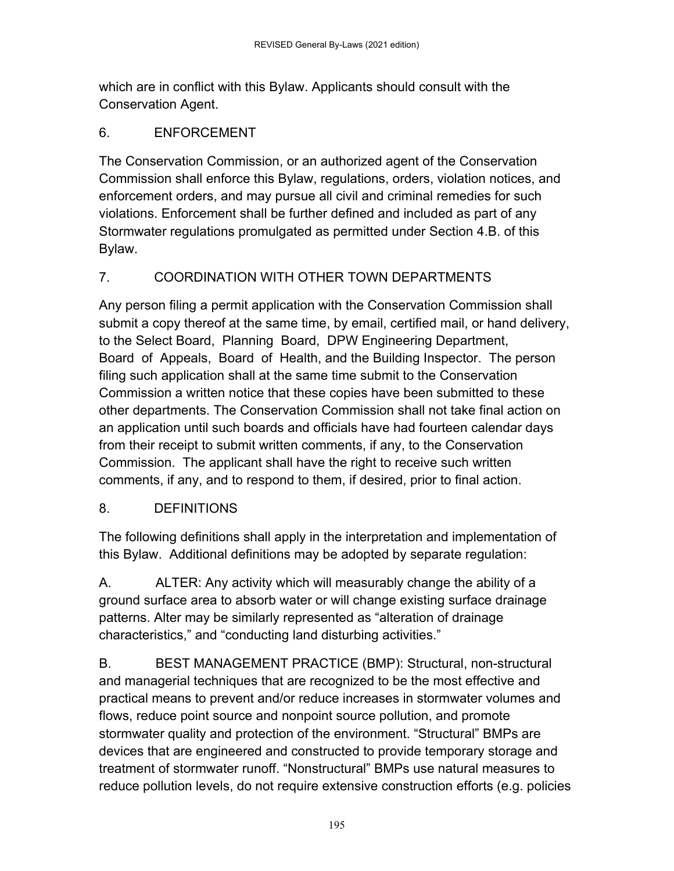which are in conflict with this Bylaw. Applicants should consult with the Conservation Agent.

### 6. ENFORCEMENT

The Conservation Commission, or an authorized agent of the Conservation Commission shall enforce this Bylaw, regulations, orders, violation notices, and enforcement orders, and may pursue all civil and criminal remedies for such violations. Enforcement shall be further defined and included as part of any Stormwater regulations promulgated as permitted under Section 4.B. of this Bylaw.

### 7. COORDINATION WITH OTHER TOWN DEPARTMENTS

Any person filing a permit application with the Conservation Commission shall submit a copy thereof at the same time, by email, certified mail, or hand delivery, to the Select Board, Planning Board, DPW Engineering Department, Board of Appeals, Board of Health, and the Building Inspector. The person filing such application shall at the same time submit to the Conservation Commission a written notice that these copies have been submitted to these other departments. The Conservation Commission shall not take final action on an application until such boards and officials have had fourteen calendar days from their receipt to submit written comments, if any, to the Conservation Commission. The applicant shall have the right to receive such written comments, if any, and to respond to them, if desired, prior to final action.

### 8. DEFINITIONS

The following definitions shall apply in the interpretation and implementation of this Bylaw. Additional definitions may be adopted by separate regulation:

A. ALTER: Any activity which will measurably change the ability of a ground surface area to absorb water or will change existing surface drainage patterns. Alter may be similarly represented as "alteration of drainage characteristics," and "conducting land disturbing activities."

B. BEST MANAGEMENT PRACTICE (BMP): Structural, non-structural and managerial techniques that are recognized to be the most effective and practical means to prevent and/or reduce increases in stormwater volumes and flows, reduce point source and nonpoint source pollution, and promote stormwater quality and protection of the environment. "Structural" BMPs are devices that are engineered and constructed to provide temporary storage and treatment of stormwater runoff. "Nonstructural" BMPs use natural measures to reduce pollution levels, do not require extensive construction efforts (e.g. policies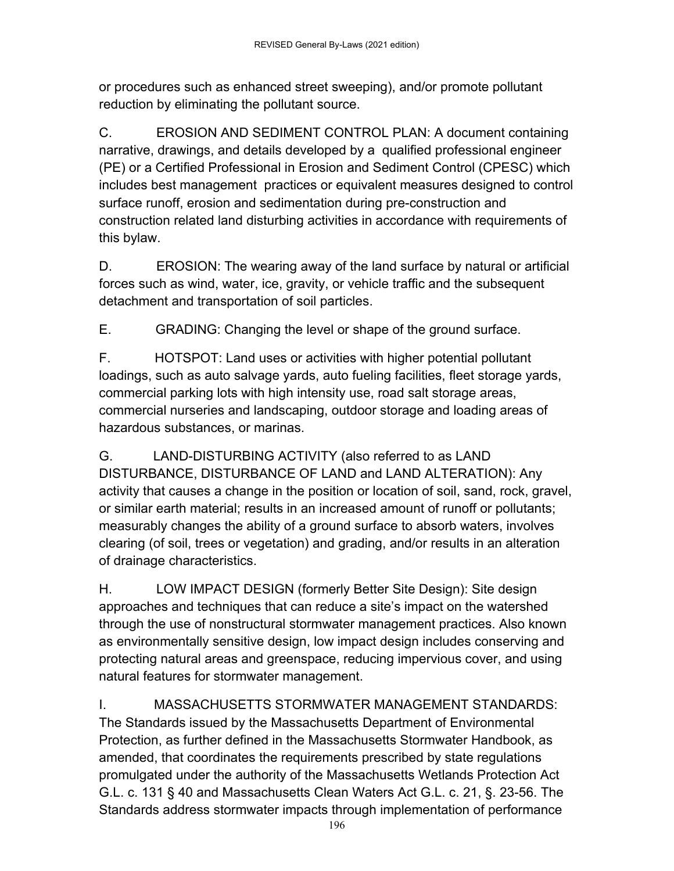or procedures such as enhanced street sweeping), and/or promote pollutant reduction by eliminating the pollutant source.

C. EROSION AND SEDIMENT CONTROL PLAN: A document containing narrative, drawings, and details developed by a qualified professional engineer (PE) or a Certified Professional in Erosion and Sediment Control (CPESC) which includes best management practices or equivalent measures designed to control surface runoff, erosion and sedimentation during pre-construction and construction related land disturbing activities in accordance with requirements of this bylaw.

D. EROSION: The wearing away of the land surface by natural or artificial forces such as wind, water, ice, gravity, or vehicle traffic and the subsequent detachment and transportation of soil particles.

E. GRADING: Changing the level or shape of the ground surface.

F. HOTSPOT: Land uses or activities with higher potential pollutant loadings, such as auto salvage yards, auto fueling facilities, fleet storage yards, commercial parking lots with high intensity use, road salt storage areas, commercial nurseries and landscaping, outdoor storage and loading areas of hazardous substances, or marinas.

G. LAND-DISTURBING ACTIVITY (also referred to as LAND DISTURBANCE, DISTURBANCE OF LAND and LAND ALTERATION): Any activity that causes a change in the position or location of soil, sand, rock, gravel, or similar earth material; results in an increased amount of runoff or pollutants; measurably changes the ability of a ground surface to absorb waters, involves clearing (of soil, trees or vegetation) and grading, and/or results in an alteration of drainage characteristics.

H. LOW IMPACT DESIGN (formerly Better Site Design): Site design approaches and techniques that can reduce a site's impact on the watershed through the use of nonstructural stormwater management practices. Also known as environmentally sensitive design, low impact design includes conserving and protecting natural areas and greenspace, reducing impervious cover, and using natural features for stormwater management.

I. MASSACHUSETTS STORMWATER MANAGEMENT STANDARDS: The Standards issued by the Massachusetts Department of Environmental Protection, as further defined in the Massachusetts Stormwater Handbook, as amended, that coordinates the requirements prescribed by state regulations promulgated under the authority of the Massachusetts Wetlands Protection Act G.L. c. 131 § 40 and Massachusetts Clean Waters Act G.L. c. 21, §. 23-56. The Standards address stormwater impacts through implementation of performance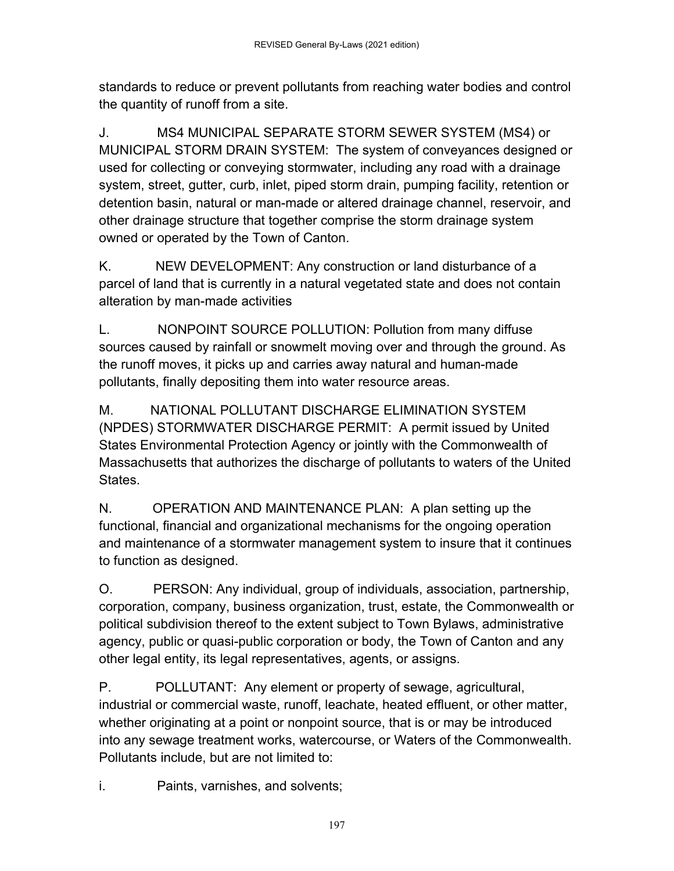standards to reduce or prevent pollutants from reaching water bodies and control the quantity of runoff from a site.

J. MS4 MUNICIPAL SEPARATE STORM SEWER SYSTEM (MS4) or MUNICIPAL STORM DRAIN SYSTEM: The system of conveyances designed or used for collecting or conveying stormwater, including any road with a drainage system, street, gutter, curb, inlet, piped storm drain, pumping facility, retention or detention basin, natural or man-made or altered drainage channel, reservoir, and other drainage structure that together comprise the storm drainage system owned or operated by the Town of Canton.

K. NEW DEVELOPMENT: Any construction or land disturbance of a parcel of land that is currently in a natural vegetated state and does not contain alteration by man-made activities

L. NONPOINT SOURCE POLLUTION: Pollution from many diffuse sources caused by rainfall or snowmelt moving over and through the ground. As the runoff moves, it picks up and carries away natural and human-made pollutants, finally depositing them into water resource areas.

M. NATIONAL POLLUTANT DISCHARGE ELIMINATION SYSTEM (NPDES) STORMWATER DISCHARGE PERMIT: A permit issued by United States Environmental Protection Agency or jointly with the Commonwealth of Massachusetts that authorizes the discharge of pollutants to waters of the United States.

N. OPERATION AND MAINTENANCE PLAN: A plan setting up the functional, financial and organizational mechanisms for the ongoing operation and maintenance of a stormwater management system to insure that it continues to function as designed.

O. PERSON: Any individual, group of individuals, association, partnership, corporation, company, business organization, trust, estate, the Commonwealth or political subdivision thereof to the extent subject to Town Bylaws, administrative agency, public or quasi-public corporation or body, the Town of Canton and any other legal entity, its legal representatives, agents, or assigns.

P. POLLUTANT: Any element or property of sewage, agricultural, industrial or commercial waste, runoff, leachate, heated effluent, or other matter, whether originating at a point or nonpoint source, that is or may be introduced into any sewage treatment works, watercourse, or Waters of the Commonwealth. Pollutants include, but are not limited to:

i. Paints, varnishes, and solvents;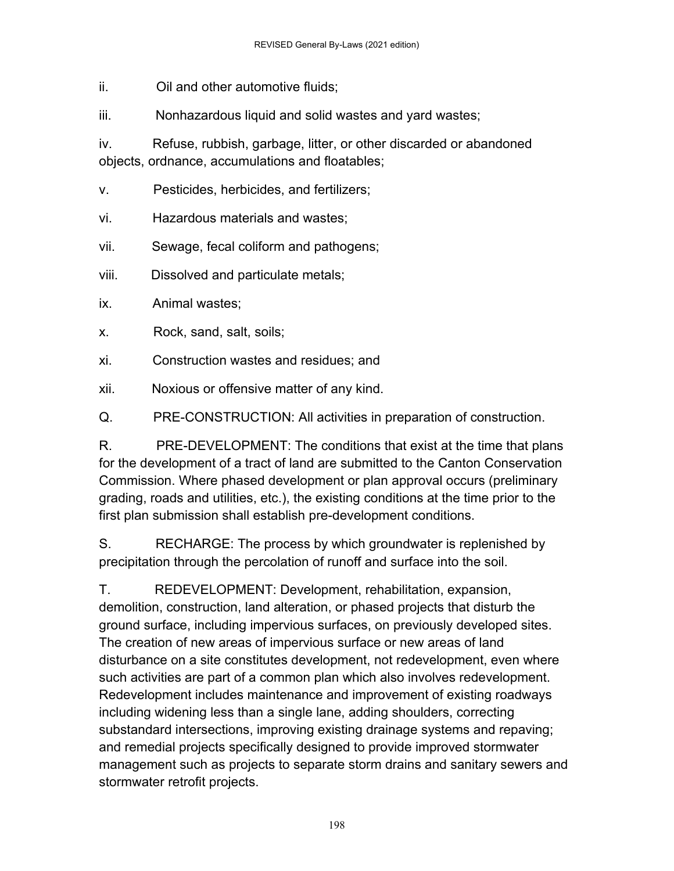ii. Oil and other automotive fluids;

iii. Nonhazardous liquid and solid wastes and yard wastes;

iv. Refuse, rubbish, garbage, litter, or other discarded or abandoned objects, ordnance, accumulations and floatables;

- v. Pesticides, herbicides, and fertilizers;
- vi. Hazardous materials and wastes;
- vii. Sewage, fecal coliform and pathogens;
- viii. Dissolved and particulate metals;
- ix. Animal wastes;
- x. Rock, sand, salt, soils;
- xi. Construction wastes and residues; and
- xii. Noxious or offensive matter of any kind.

Q. PRE-CONSTRUCTION: All activities in preparation of construction.

R. PRE-DEVELOPMENT: The conditions that exist at the time that plans for the development of a tract of land are submitted to the Canton Conservation Commission. Where phased development or plan approval occurs (preliminary grading, roads and utilities, etc.), the existing conditions at the time prior to the first plan submission shall establish pre-development conditions.

S. RECHARGE: The process by which groundwater is replenished by precipitation through the percolation of runoff and surface into the soil.

T. REDEVELOPMENT: Development, rehabilitation, expansion, demolition, construction, land alteration, or phased projects that disturb the ground surface, including impervious surfaces, on previously developed sites. The creation of new areas of impervious surface or new areas of land disturbance on a site constitutes development, not redevelopment, even where such activities are part of a common plan which also involves redevelopment. Redevelopment includes maintenance and improvement of existing roadways including widening less than a single lane, adding shoulders, correcting substandard intersections, improving existing drainage systems and repaving; and remedial projects specifically designed to provide improved stormwater management such as projects to separate storm drains and sanitary sewers and stormwater retrofit projects.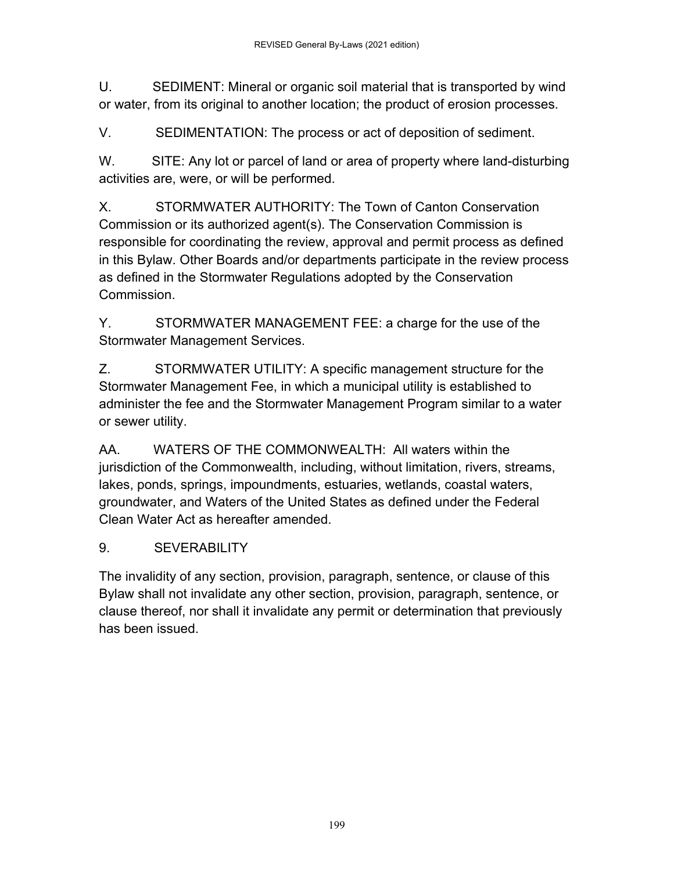U. SEDIMENT: Mineral or organic soil material that is transported by wind or water, from its original to another location; the product of erosion processes.

V. SEDIMENTATION: The process or act of deposition of sediment.

W. SITE: Any lot or parcel of land or area of property where land-disturbing activities are, were, or will be performed.

X. STORMWATER AUTHORITY: The Town of Canton Conservation Commission or its authorized agent(s). The Conservation Commission is responsible for coordinating the review, approval and permit process as defined in this Bylaw. Other Boards and/or departments participate in the review process as defined in the Stormwater Regulations adopted by the Conservation Commission.

Y. STORMWATER MANAGEMENT FEE: a charge for the use of the Stormwater Management Services.

Z. STORMWATER UTILITY: A specific management structure for the Stormwater Management Fee, in which a municipal utility is established to administer the fee and the Stormwater Management Program similar to a water or sewer utility.

AA. WATERS OF THE COMMONWEALTH: All waters within the jurisdiction of the Commonwealth, including, without limitation, rivers, streams, lakes, ponds, springs, impoundments, estuaries, wetlands, coastal waters, groundwater, and Waters of the United States as defined under the Federal Clean Water Act as hereafter amended.

### 9. SEVERABILITY

The invalidity of any section, provision, paragraph, sentence, or clause of this Bylaw shall not invalidate any other section, provision, paragraph, sentence, or clause thereof, nor shall it invalidate any permit or determination that previously has been issued.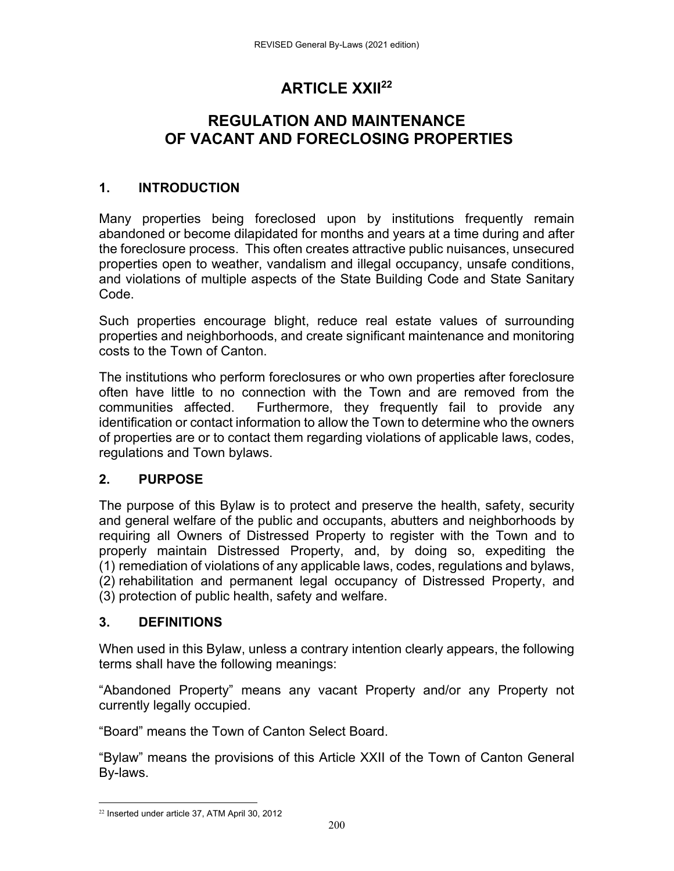## **ARTICLE XXII22**

## **REGULATION AND MAINTENANCE OF VACANT AND FORECLOSING PROPERTIES**

### **1. INTRODUCTION**

Many properties being foreclosed upon by institutions frequently remain abandoned or become dilapidated for months and years at a time during and after the foreclosure process. This often creates attractive public nuisances, unsecured properties open to weather, vandalism and illegal occupancy, unsafe conditions, and violations of multiple aspects of the State Building Code and State Sanitary Code.

Such properties encourage blight, reduce real estate values of surrounding properties and neighborhoods, and create significant maintenance and monitoring costs to the Town of Canton.

The institutions who perform foreclosures or who own properties after foreclosure often have little to no connection with the Town and are removed from the communities affected. Furthermore, they frequently fail to provide any identification or contact information to allow the Town to determine who the owners of properties are or to contact them regarding violations of applicable laws, codes, regulations and Town bylaws.

### **2. PURPOSE**

The purpose of this Bylaw is to protect and preserve the health, safety, security and general welfare of the public and occupants, abutters and neighborhoods by requiring all Owners of Distressed Property to register with the Town and to properly maintain Distressed Property, and, by doing so, expediting the (1) remediation of violations of any applicable laws, codes, regulations and bylaws, (2) rehabilitation and permanent legal occupancy of Distressed Property, and (3) protection of public health, safety and welfare.

### **3. DEFINITIONS**

When used in this Bylaw, unless a contrary intention clearly appears, the following terms shall have the following meanings:

"Abandoned Property" means any vacant Property and/or any Property not currently legally occupied.

"Board" means the Town of Canton Select Board.

"Bylaw" means the provisions of this Article XXII of the Town of Canton General By-laws.

 22 Inserted under article 37, ATM April 30, 2012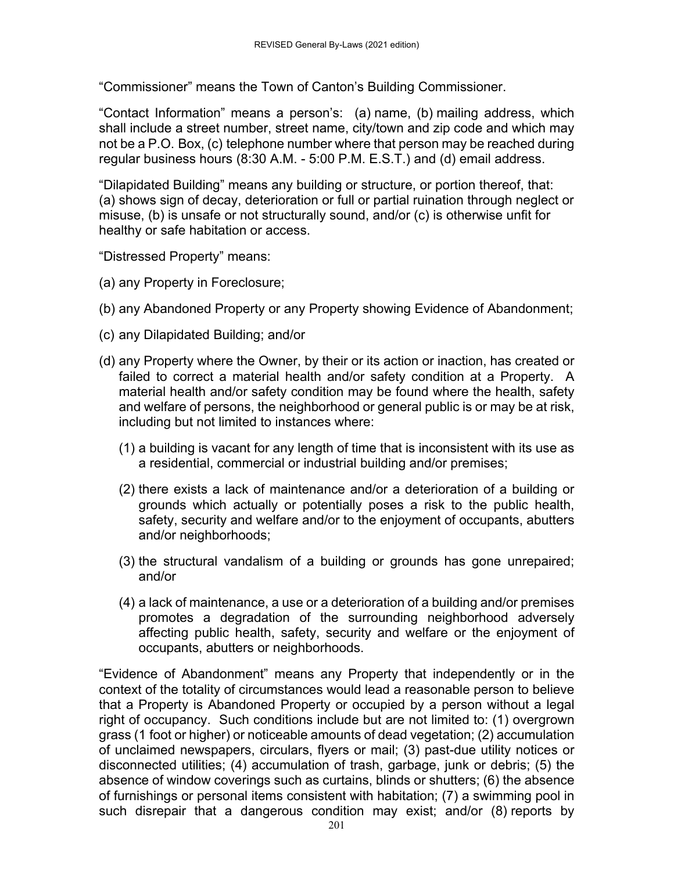"Commissioner" means the Town of Canton's Building Commissioner.

"Contact Information" means a person's: (a) name, (b) mailing address, which shall include a street number, street name, city/town and zip code and which may not be a P.O. Box, (c) telephone number where that person may be reached during regular business hours (8:30 A.M. - 5:00 P.M. E.S.T.) and (d) email address.

"Dilapidated Building" means any building or structure, or portion thereof, that: (a) shows sign of decay, deterioration or full or partial ruination through neglect or misuse, (b) is unsafe or not structurally sound, and/or (c) is otherwise unfit for healthy or safe habitation or access.

"Distressed Property" means:

- (a) any Property in Foreclosure;
- (b) any Abandoned Property or any Property showing Evidence of Abandonment;
- (c) any Dilapidated Building; and/or
- (d) any Property where the Owner, by their or its action or inaction, has created or failed to correct a material health and/or safety condition at a Property. A material health and/or safety condition may be found where the health, safety and welfare of persons, the neighborhood or general public is or may be at risk, including but not limited to instances where:
	- (1) a building is vacant for any length of time that is inconsistent with its use as a residential, commercial or industrial building and/or premises;
	- (2) there exists a lack of maintenance and/or a deterioration of a building or grounds which actually or potentially poses a risk to the public health, safety, security and welfare and/or to the enjoyment of occupants, abutters and/or neighborhoods;
	- (3) the structural vandalism of a building or grounds has gone unrepaired; and/or
	- (4) a lack of maintenance, a use or a deterioration of a building and/or premises promotes a degradation of the surrounding neighborhood adversely affecting public health, safety, security and welfare or the enjoyment of occupants, abutters or neighborhoods.

"Evidence of Abandonment" means any Property that independently or in the context of the totality of circumstances would lead a reasonable person to believe that a Property is Abandoned Property or occupied by a person without a legal right of occupancy. Such conditions include but are not limited to: (1) overgrown grass (1 foot or higher) or noticeable amounts of dead vegetation; (2) accumulation of unclaimed newspapers, circulars, flyers or mail; (3) past-due utility notices or disconnected utilities; (4) accumulation of trash, garbage, junk or debris; (5) the absence of window coverings such as curtains, blinds or shutters; (6) the absence of furnishings or personal items consistent with habitation; (7) a swimming pool in such disrepair that a dangerous condition may exist; and/or (8) reports by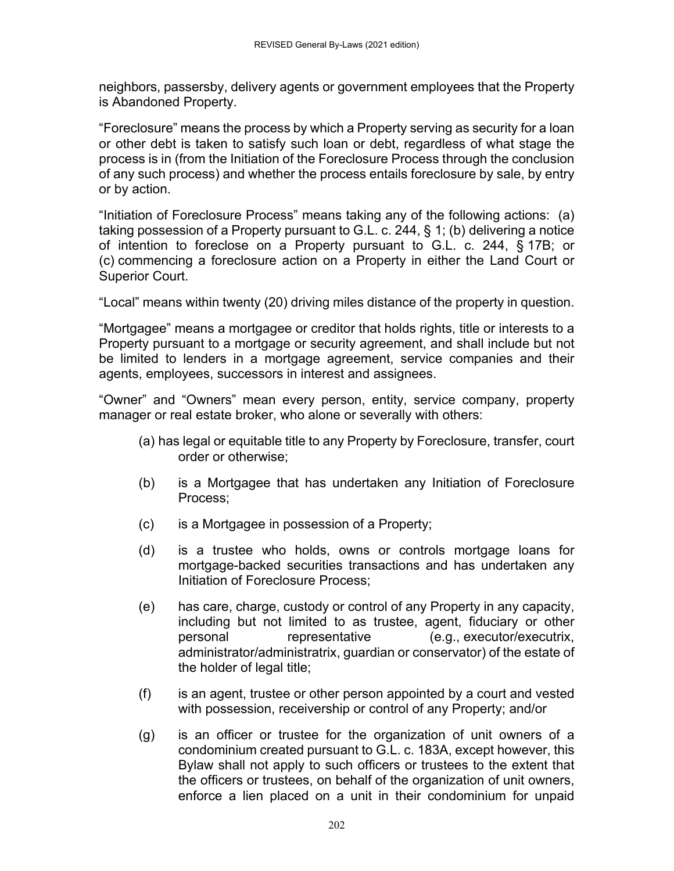neighbors, passersby, delivery agents or government employees that the Property is Abandoned Property.

"Foreclosure" means the process by which a Property serving as security for a loan or other debt is taken to satisfy such loan or debt, regardless of what stage the process is in (from the Initiation of the Foreclosure Process through the conclusion of any such process) and whether the process entails foreclosure by sale, by entry or by action.

"Initiation of Foreclosure Process" means taking any of the following actions: (a) taking possession of a Property pursuant to G.L. c. 244, § 1; (b) delivering a notice of intention to foreclose on a Property pursuant to G.L. c. 244, § 17B; or (c) commencing a foreclosure action on a Property in either the Land Court or Superior Court.

"Local" means within twenty (20) driving miles distance of the property in question.

"Mortgagee" means a mortgagee or creditor that holds rights, title or interests to a Property pursuant to a mortgage or security agreement, and shall include but not be limited to lenders in a mortgage agreement, service companies and their agents, employees, successors in interest and assignees.

"Owner" and "Owners" mean every person, entity, service company, property manager or real estate broker, who alone or severally with others:

- (a) has legal or equitable title to any Property by Foreclosure, transfer, court order or otherwise;
- (b) is a Mortgagee that has undertaken any Initiation of Foreclosure Process;
- (c) is a Mortgagee in possession of a Property;
- (d) is a trustee who holds, owns or controls mortgage loans for mortgage-backed securities transactions and has undertaken any Initiation of Foreclosure Process;
- (e) has care, charge, custody or control of any Property in any capacity, including but not limited to as trustee, agent, fiduciary or other personal representative (e.g., executor/executrix, administrator/administratrix, guardian or conservator) of the estate of the holder of legal title;
- (f) is an agent, trustee or other person appointed by a court and vested with possession, receivership or control of any Property; and/or
- (g) is an officer or trustee for the organization of unit owners of a condominium created pursuant to G.L. c. 183A, except however, this Bylaw shall not apply to such officers or trustees to the extent that the officers or trustees, on behalf of the organization of unit owners, enforce a lien placed on a unit in their condominium for unpaid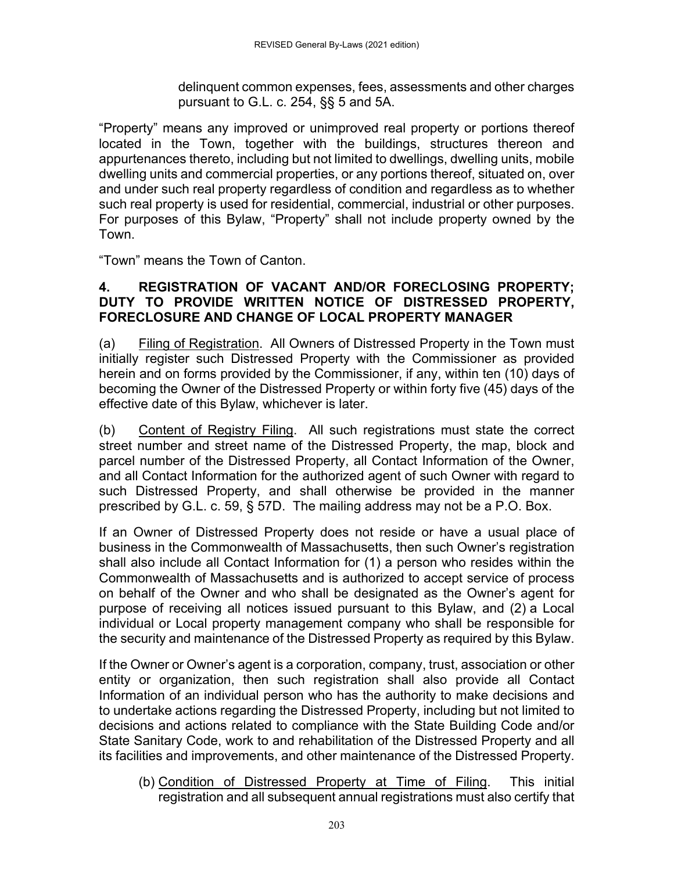delinquent common expenses, fees, assessments and other charges pursuant to G.L. c. 254, §§ 5 and 5A.

"Property" means any improved or unimproved real property or portions thereof located in the Town, together with the buildings, structures thereon and appurtenances thereto, including but not limited to dwellings, dwelling units, mobile dwelling units and commercial properties, or any portions thereof, situated on, over and under such real property regardless of condition and regardless as to whether such real property is used for residential, commercial, industrial or other purposes. For purposes of this Bylaw, "Property" shall not include property owned by the Town.

"Town" means the Town of Canton.

#### **4. REGISTRATION OF VACANT AND/OR FORECLOSING PROPERTY; DUTY TO PROVIDE WRITTEN NOTICE OF DISTRESSED PROPERTY, FORECLOSURE AND CHANGE OF LOCAL PROPERTY MANAGER**

(a) Filing of Registration. All Owners of Distressed Property in the Town must initially register such Distressed Property with the Commissioner as provided herein and on forms provided by the Commissioner, if any, within ten (10) days of becoming the Owner of the Distressed Property or within forty five (45) days of the effective date of this Bylaw, whichever is later.

(b) Content of Registry Filing. All such registrations must state the correct street number and street name of the Distressed Property, the map, block and parcel number of the Distressed Property, all Contact Information of the Owner, and all Contact Information for the authorized agent of such Owner with regard to such Distressed Property, and shall otherwise be provided in the manner prescribed by G.L. c. 59, § 57D. The mailing address may not be a P.O. Box.

If an Owner of Distressed Property does not reside or have a usual place of business in the Commonwealth of Massachusetts, then such Owner's registration shall also include all Contact Information for (1) a person who resides within the Commonwealth of Massachusetts and is authorized to accept service of process on behalf of the Owner and who shall be designated as the Owner's agent for purpose of receiving all notices issued pursuant to this Bylaw, and (2) a Local individual or Local property management company who shall be responsible for the security and maintenance of the Distressed Property as required by this Bylaw.

If the Owner or Owner's agent is a corporation, company, trust, association or other entity or organization, then such registration shall also provide all Contact Information of an individual person who has the authority to make decisions and to undertake actions regarding the Distressed Property, including but not limited to decisions and actions related to compliance with the State Building Code and/or State Sanitary Code, work to and rehabilitation of the Distressed Property and all its facilities and improvements, and other maintenance of the Distressed Property.

(b) Condition of Distressed Property at Time of Filing. This initial registration and all subsequent annual registrations must also certify that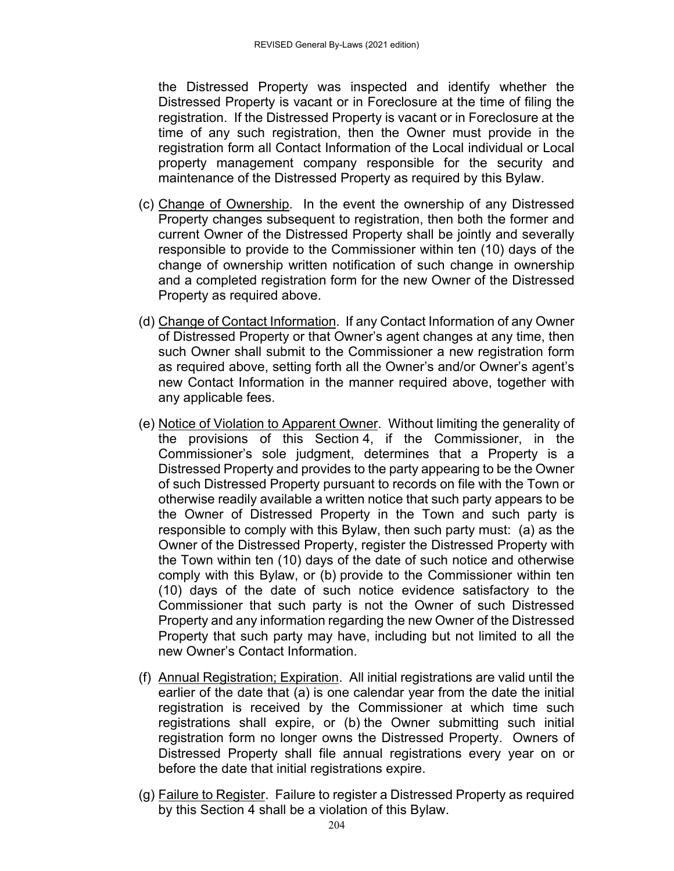the Distressed Property was inspected and identify whether the Distressed Property is vacant or in Foreclosure at the time of filing the registration. If the Distressed Property is vacant or in Foreclosure at the time of any such registration, then the Owner must provide in the registration form all Contact Information of the Local individual or Local property management company responsible for the security and maintenance of the Distressed Property as required by this Bylaw.

- (c) Change of Ownership. In the event the ownership of any Distressed Property changes subsequent to registration, then both the former and current Owner of the Distressed Property shall be jointly and severally responsible to provide to the Commissioner within ten (10) days of the change of ownership written notification of such change in ownership and a completed registration form for the new Owner of the Distressed Property as required above.
- (d) Change of Contact Information. If any Contact Information of any Owner of Distressed Property or that Owner's agent changes at any time, then such Owner shall submit to the Commissioner a new registration form as required above, setting forth all the Owner's and/or Owner's agent's new Contact Information in the manner required above, together with any applicable fees.
- (e) Notice of Violation to Apparent Owner. Without limiting the generality of the provisions of this Section 4, if the Commissioner, in the Commissioner's sole judgment, determines that a Property is a Distressed Property and provides to the party appearing to be the Owner of such Distressed Property pursuant to records on file with the Town or otherwise readily available a written notice that such party appears to be the Owner of Distressed Property in the Town and such party is responsible to comply with this Bylaw, then such party must: (a) as the Owner of the Distressed Property, register the Distressed Property with the Town within ten (10) days of the date of such notice and otherwise comply with this Bylaw, or (b) provide to the Commissioner within ten (10) days of the date of such notice evidence satisfactory to the Commissioner that such party is not the Owner of such Distressed Property and any information regarding the new Owner of the Distressed Property that such party may have, including but not limited to all the new Owner's Contact Information.
- (f) Annual Registration; Expiration. All initial registrations are valid until the earlier of the date that (a) is one calendar year from the date the initial registration is received by the Commissioner at which time such registrations shall expire, or (b) the Owner submitting such initial registration form no longer owns the Distressed Property. Owners of Distressed Property shall file annual registrations every year on or before the date that initial registrations expire.
- (g) Failure to Register. Failure to register a Distressed Property as required by this Section 4 shall be a violation of this Bylaw.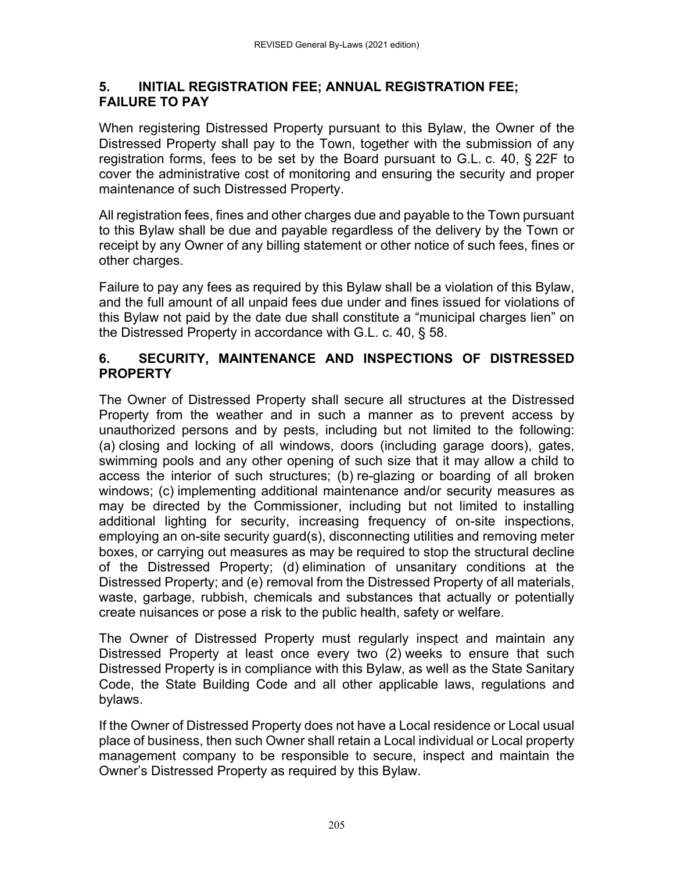#### **5. INITIAL REGISTRATION FEE; ANNUAL REGISTRATION FEE; FAILURE TO PAY**

When registering Distressed Property pursuant to this Bylaw, the Owner of the Distressed Property shall pay to the Town, together with the submission of any registration forms, fees to be set by the Board pursuant to G.L. c. 40, § 22F to cover the administrative cost of monitoring and ensuring the security and proper maintenance of such Distressed Property.

All registration fees, fines and other charges due and payable to the Town pursuant to this Bylaw shall be due and payable regardless of the delivery by the Town or receipt by any Owner of any billing statement or other notice of such fees, fines or other charges.

Failure to pay any fees as required by this Bylaw shall be a violation of this Bylaw, and the full amount of all unpaid fees due under and fines issued for violations of this Bylaw not paid by the date due shall constitute a "municipal charges lien" on the Distressed Property in accordance with G.L. c. 40, § 58.

#### **6. SECURITY, MAINTENANCE AND INSPECTIONS OF DISTRESSED PROPERTY**

The Owner of Distressed Property shall secure all structures at the Distressed Property from the weather and in such a manner as to prevent access by unauthorized persons and by pests, including but not limited to the following: (a) closing and locking of all windows, doors (including garage doors), gates, swimming pools and any other opening of such size that it may allow a child to access the interior of such structures; (b) re-glazing or boarding of all broken windows; (c) implementing additional maintenance and/or security measures as may be directed by the Commissioner, including but not limited to installing additional lighting for security, increasing frequency of on-site inspections, employing an on-site security guard(s), disconnecting utilities and removing meter boxes, or carrying out measures as may be required to stop the structural decline of the Distressed Property; (d) elimination of unsanitary conditions at the Distressed Property; and (e) removal from the Distressed Property of all materials, waste, garbage, rubbish, chemicals and substances that actually or potentially create nuisances or pose a risk to the public health, safety or welfare.

The Owner of Distressed Property must regularly inspect and maintain any Distressed Property at least once every two (2) weeks to ensure that such Distressed Property is in compliance with this Bylaw, as well as the State Sanitary Code, the State Building Code and all other applicable laws, regulations and bylaws.

If the Owner of Distressed Property does not have a Local residence or Local usual place of business, then such Owner shall retain a Local individual or Local property management company to be responsible to secure, inspect and maintain the Owner's Distressed Property as required by this Bylaw.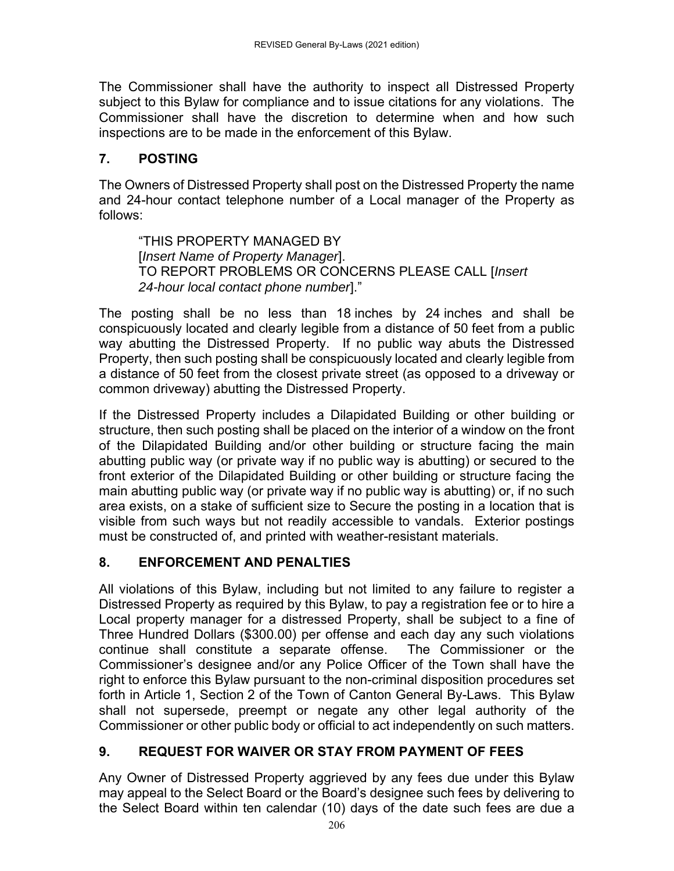The Commissioner shall have the authority to inspect all Distressed Property subject to this Bylaw for compliance and to issue citations for any violations. The Commissioner shall have the discretion to determine when and how such inspections are to be made in the enforcement of this Bylaw.

### **7. POSTING**

The Owners of Distressed Property shall post on the Distressed Property the name and 24-hour contact telephone number of a Local manager of the Property as follows:

"THIS PROPERTY MANAGED BY [*Insert Name of Property Manager*]. TO REPORT PROBLEMS OR CONCERNS PLEASE CALL [*Insert 24-hour local contact phone number*]."

The posting shall be no less than 18 inches by 24 inches and shall be conspicuously located and clearly legible from a distance of 50 feet from a public way abutting the Distressed Property. If no public way abuts the Distressed Property, then such posting shall be conspicuously located and clearly legible from a distance of 50 feet from the closest private street (as opposed to a driveway or common driveway) abutting the Distressed Property.

If the Distressed Property includes a Dilapidated Building or other building or structure, then such posting shall be placed on the interior of a window on the front of the Dilapidated Building and/or other building or structure facing the main abutting public way (or private way if no public way is abutting) or secured to the front exterior of the Dilapidated Building or other building or structure facing the main abutting public way (or private way if no public way is abutting) or, if no such area exists, on a stake of sufficient size to Secure the posting in a location that is visible from such ways but not readily accessible to vandals. Exterior postings must be constructed of, and printed with weather-resistant materials.

### **8. ENFORCEMENT AND PENALTIES**

All violations of this Bylaw, including but not limited to any failure to register a Distressed Property as required by this Bylaw, to pay a registration fee or to hire a Local property manager for a distressed Property, shall be subject to a fine of Three Hundred Dollars (\$300.00) per offense and each day any such violations continue shall constitute a separate offense. The Commissioner or the Commissioner's designee and/or any Police Officer of the Town shall have the right to enforce this Bylaw pursuant to the non-criminal disposition procedures set forth in Article 1, Section 2 of the Town of Canton General By-Laws. This Bylaw shall not supersede, preempt or negate any other legal authority of the Commissioner or other public body or official to act independently on such matters.

### **9. REQUEST FOR WAIVER OR STAY FROM PAYMENT OF FEES**

Any Owner of Distressed Property aggrieved by any fees due under this Bylaw may appeal to the Select Board or the Board's designee such fees by delivering to the Select Board within ten calendar (10) days of the date such fees are due a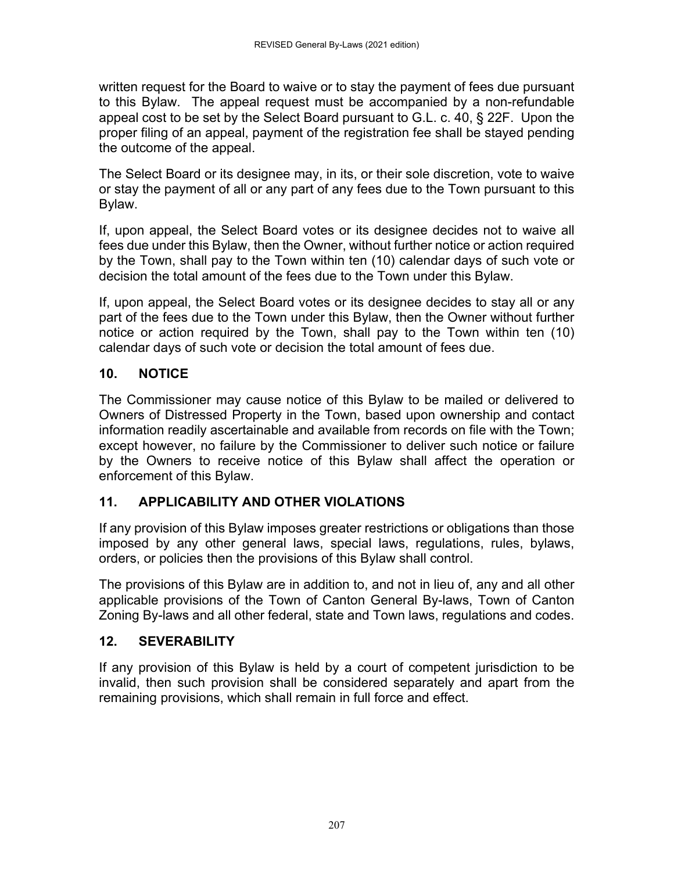written request for the Board to waive or to stay the payment of fees due pursuant to this Bylaw. The appeal request must be accompanied by a non-refundable appeal cost to be set by the Select Board pursuant to G.L. c. 40, § 22F. Upon the proper filing of an appeal, payment of the registration fee shall be stayed pending the outcome of the appeal.

The Select Board or its designee may, in its, or their sole discretion, vote to waive or stay the payment of all or any part of any fees due to the Town pursuant to this Bylaw.

If, upon appeal, the Select Board votes or its designee decides not to waive all fees due under this Bylaw, then the Owner, without further notice or action required by the Town, shall pay to the Town within ten (10) calendar days of such vote or decision the total amount of the fees due to the Town under this Bylaw.

If, upon appeal, the Select Board votes or its designee decides to stay all or any part of the fees due to the Town under this Bylaw, then the Owner without further notice or action required by the Town, shall pay to the Town within ten (10) calendar days of such vote or decision the total amount of fees due.

### **10. NOTICE**

The Commissioner may cause notice of this Bylaw to be mailed or delivered to Owners of Distressed Property in the Town, based upon ownership and contact information readily ascertainable and available from records on file with the Town; except however, no failure by the Commissioner to deliver such notice or failure by the Owners to receive notice of this Bylaw shall affect the operation or enforcement of this Bylaw.

### **11. APPLICABILITY AND OTHER VIOLATIONS**

If any provision of this Bylaw imposes greater restrictions or obligations than those imposed by any other general laws, special laws, regulations, rules, bylaws, orders, or policies then the provisions of this Bylaw shall control.

The provisions of this Bylaw are in addition to, and not in lieu of, any and all other applicable provisions of the Town of Canton General By-laws, Town of Canton Zoning By-laws and all other federal, state and Town laws, regulations and codes.

### **12. SEVERABILITY**

If any provision of this Bylaw is held by a court of competent jurisdiction to be invalid, then such provision shall be considered separately and apart from the remaining provisions, which shall remain in full force and effect.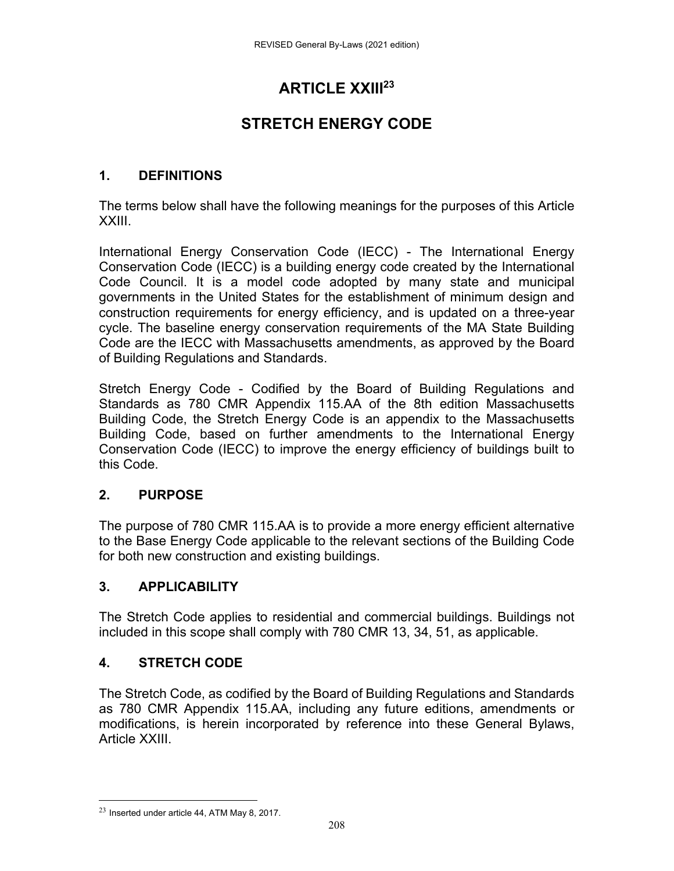## **ARTICLE XXIII23**

## **STRETCH ENERGY CODE**

### **1. DEFINITIONS**

The terms below shall have the following meanings for the purposes of this Article XXIII.

International Energy Conservation Code (IECC) - The International Energy Conservation Code (IECC) is a building energy code created by the International Code Council. It is a model code adopted by many state and municipal governments in the United States for the establishment of minimum design and construction requirements for energy efficiency, and is updated on a three-year cycle. The baseline energy conservation requirements of the MA State Building Code are the IECC with Massachusetts amendments, as approved by the Board of Building Regulations and Standards.

Stretch Energy Code - Codified by the Board of Building Regulations and Standards as 780 CMR Appendix 115.AA of the 8th edition Massachusetts Building Code, the Stretch Energy Code is an appendix to the Massachusetts Building Code, based on further amendments to the International Energy Conservation Code (IECC) to improve the energy efficiency of buildings built to this Code.

### **2. PURPOSE**

The purpose of 780 CMR 115.AA is to provide a more energy efficient alternative to the Base Energy Code applicable to the relevant sections of the Building Code for both new construction and existing buildings.

### **3. APPLICABILITY**

The Stretch Code applies to residential and commercial buildings. Buildings not included in this scope shall comply with 780 CMR 13, 34, 51, as applicable.

### **4. STRETCH CODE**

The Stretch Code, as codified by the Board of Building Regulations and Standards as 780 CMR Appendix 115.AA, including any future editions, amendments or modifications, is herein incorporated by reference into these General Bylaws, Article XXIII.

 $23$  Inserted under article 44, ATM May 8, 2017.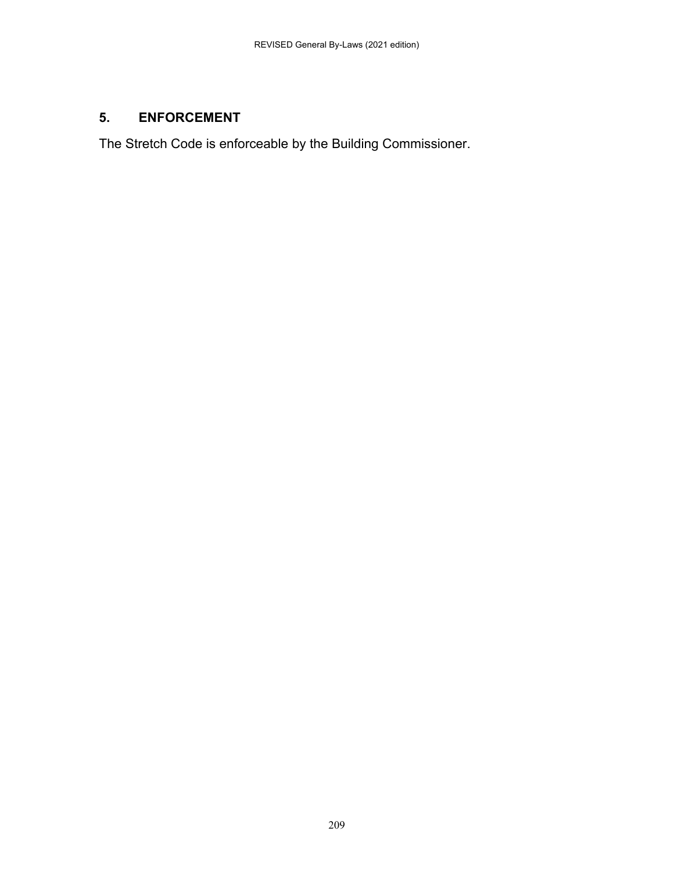### **5. ENFORCEMENT**

The Stretch Code is enforceable by the Building Commissioner.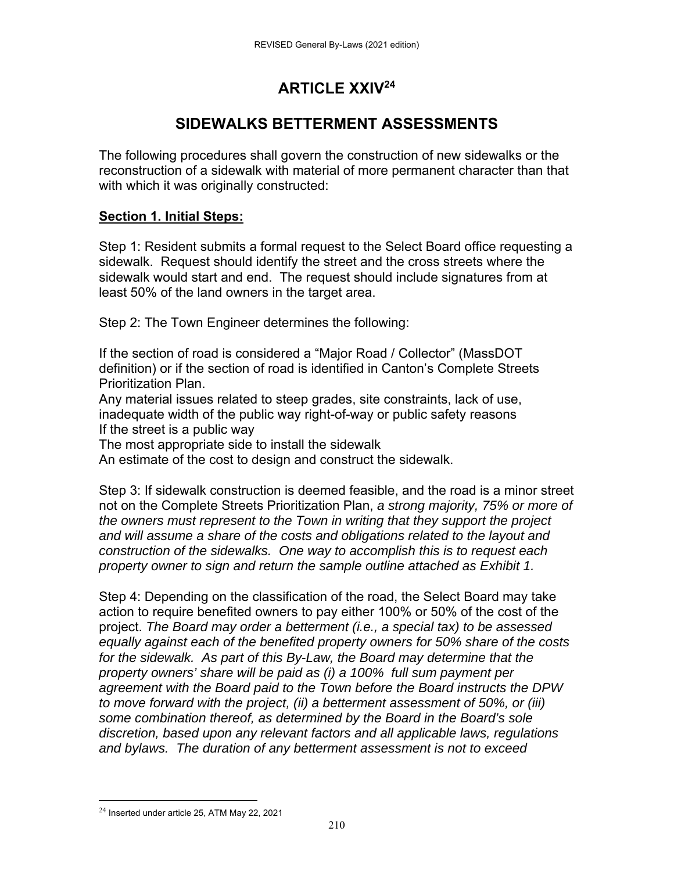## **ARTICLE XXIV24**

### **SIDEWALKS BETTERMENT ASSESSMENTS**

The following procedures shall govern the construction of new sidewalks or the reconstruction of a sidewalk with material of more permanent character than that with which it was originally constructed:

#### **Section 1. Initial Steps:**

Step 1: Resident submits a formal request to the Select Board office requesting a sidewalk. Request should identify the street and the cross streets where the sidewalk would start and end. The request should include signatures from at least 50% of the land owners in the target area.

Step 2: The Town Engineer determines the following:

If the section of road is considered a "Major Road / Collector" (MassDOT definition) or if the section of road is identified in Canton's Complete Streets Prioritization Plan.

Any material issues related to steep grades, site constraints, lack of use, inadequate width of the public way right-of-way or public safety reasons If the street is a public way

The most appropriate side to install the sidewalk

An estimate of the cost to design and construct the sidewalk.

Step 3: If sidewalk construction is deemed feasible, and the road is a minor street not on the Complete Streets Prioritization Plan, *a strong majority, 75% or more of the owners must represent to the Town in writing that they support the project and will assume a share of the costs and obligations related to the layout and construction of the sidewalks. One way to accomplish this is to request each property owner to sign and return the sample outline attached as Exhibit 1.*

Step 4: Depending on the classification of the road, the Select Board may take action to require benefited owners to pay either 100% or 50% of the cost of the project. *The Board may order a betterment (i.e., a special tax) to be assessed equally against each of the benefited property owners for 50% share of the costs for the sidewalk. As part of this By-Law, the Board may determine that the property owners' share will be paid as (i) a 100% full sum payment per agreement with the Board paid to the Town before the Board instructs the DPW to move forward with the project, (ii) a betterment assessment of 50%, or (iii) some combination thereof, as determined by the Board in the Board's sole discretion, based upon any relevant factors and all applicable laws, regulations and bylaws. The duration of any betterment assessment is not to exceed* 

<sup>24</sup> Inserted under article 25, ATM May 22, 2021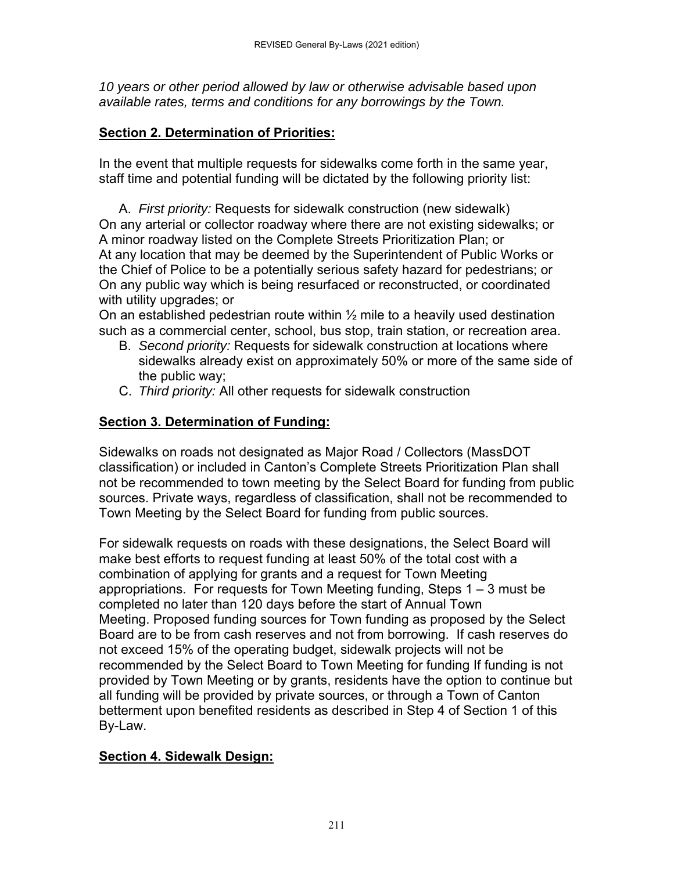*10 years or other period allowed by law or otherwise advisable based upon available rates, terms and conditions for any borrowings by the Town.*

#### **Section 2. Determination of Priorities:**

In the event that multiple requests for sidewalks come forth in the same year, staff time and potential funding will be dictated by the following priority list:

A. *First priority:* Requests for sidewalk construction (new sidewalk) On any arterial or collector roadway where there are not existing sidewalks; or A minor roadway listed on the Complete Streets Prioritization Plan; or At any location that may be deemed by the Superintendent of Public Works or the Chief of Police to be a potentially serious safety hazard for pedestrians; or On any public way which is being resurfaced or reconstructed, or coordinated with utility upgrades; or

On an established pedestrian route within  $\frac{1}{2}$  mile to a heavily used destination such as a commercial center, school, bus stop, train station, or recreation area.

- B. *Second priority:* Requests for sidewalk construction at locations where sidewalks already exist on approximately 50% or more of the same side of the public way;
- C. *Third priority:* All other requests for sidewalk construction

### **Section 3. Determination of Funding:**

Sidewalks on roads not designated as Major Road / Collectors (MassDOT classification) or included in Canton's Complete Streets Prioritization Plan shall not be recommended to town meeting by the Select Board for funding from public sources. Private ways, regardless of classification, shall not be recommended to Town Meeting by the Select Board for funding from public sources.

For sidewalk requests on roads with these designations, the Select Board will make best efforts to request funding at least 50% of the total cost with a combination of applying for grants and a request for Town Meeting appropriations. For requests for Town Meeting funding, Steps 1 – 3 must be completed no later than 120 days before the start of Annual Town Meeting. Proposed funding sources for Town funding as proposed by the Select Board are to be from cash reserves and not from borrowing. If cash reserves do not exceed 15% of the operating budget, sidewalk projects will not be recommended by the Select Board to Town Meeting for funding If funding is not provided by Town Meeting or by grants, residents have the option to continue but all funding will be provided by private sources, or through a Town of Canton betterment upon benefited residents as described in Step 4 of Section 1 of this By-Law.

### **Section 4. Sidewalk Design:**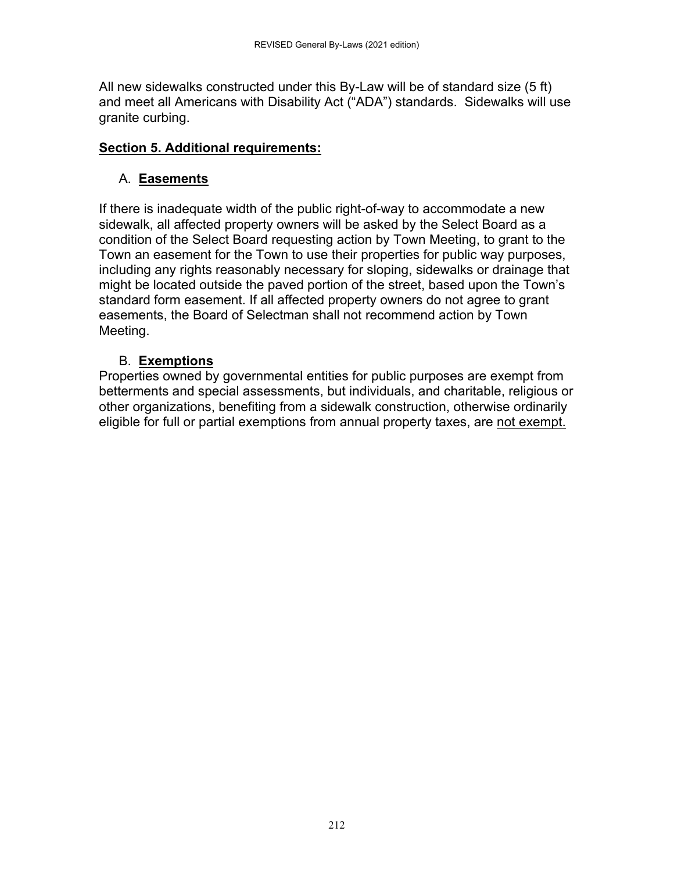All new sidewalks constructed under this By-Law will be of standard size (5 ft) and meet all Americans with Disability Act ("ADA") standards. Sidewalks will use granite curbing.

#### **Section 5. Additional requirements:**

### A. **Easements**

If there is inadequate width of the public right-of-way to accommodate a new sidewalk, all affected property owners will be asked by the Select Board as a condition of the Select Board requesting action by Town Meeting, to grant to the Town an easement for the Town to use their properties for public way purposes, including any rights reasonably necessary for sloping, sidewalks or drainage that might be located outside the paved portion of the street, based upon the Town's standard form easement. If all affected property owners do not agree to grant easements, the Board of Selectman shall not recommend action by Town Meeting.

### B. **Exemptions**

Properties owned by governmental entities for public purposes are exempt from betterments and special assessments, but individuals, and charitable, religious or other organizations, benefiting from a sidewalk construction, otherwise ordinarily eligible for full or partial exemptions from annual property taxes, are not exempt.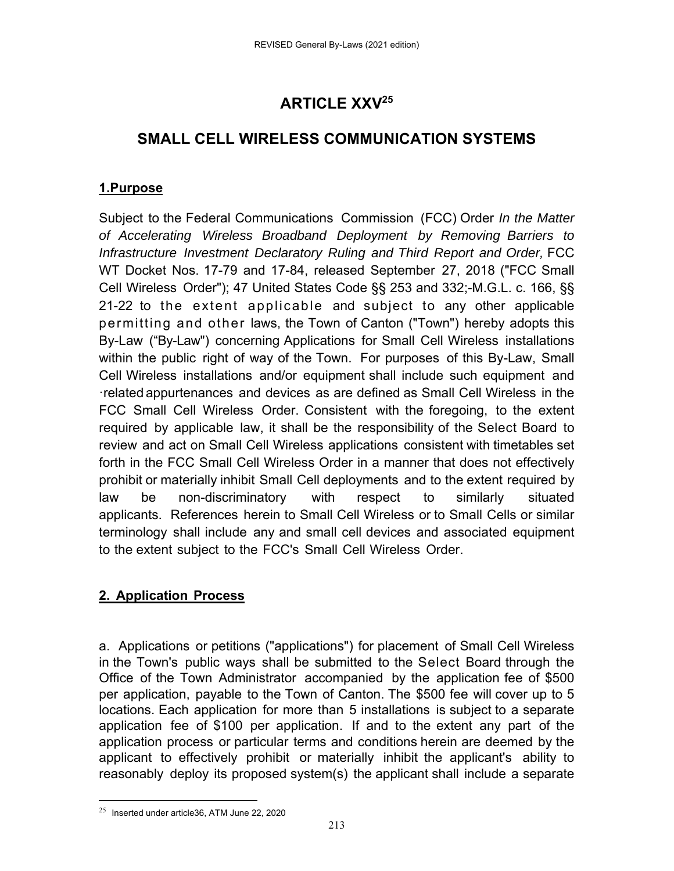## **ARTICLE XXV25**

## **SMALL CELL WIRELESS COMMUNICATION SYSTEMS**

### **1.Purpose**

Subject to the Federal Communications Commission (FCC) Order *In the Matter of Accelerating Wireless Broadband Deployment by Removing Barriers to Infrastructure Investment Declaratory Ruling and Third Report and Order, FCC* WT Docket Nos. 17-79 and 17-84, released September 27, 2018 ("FCC Small Cell Wireless Order"); 47 United States Code §§ 253 and 332;-M.G.L. c. 166, §§ 21-22 to the extent applicable and subject to any other applicable permitting and other laws, the Town of Canton ("Town") hereby adopts this By-Law ("By-Law") concerning Applications for Small Cell Wireless installations within the public right of way of the Town. For purposes of this By-Law, Small Cell Wireless installations and/or equipment shall include such equipment and related appurtenances and devices as are defined as Small Cell Wireless in the FCC Small Cell Wireless Order. Consistent with the foregoing, to the extent required by applicable law, it shall be the responsibility of the Select Board to review and act on Small Cell Wireless applications consistent with timetables set forth in the FCC Small Cell Wireless Order in a manner that does not effectively prohibit or materially inhibit Small Cell deployments and to the extent required by law be non-discriminatory with respect to similarly situated applicants. References herein to Small Cell Wireless or to Small Cells or similar terminology shall include any and small cell devices and associated equipment to the extent subject to the FCC's Small Cell Wireless Order.

### **2. Application Process**

a. Applications or petitions ("applications") for placement of Small Cell Wireless in the Town's public ways shall be submitted to the Select Board through the Office of the Town Administrator accompanied by the application fee of \$500 per application, payable to the Town of Canton. The \$500 fee will cover up to 5 locations. Each application for more than 5 installations is subject to a separate application fee of \$100 per application. If and to the extent any part of the application process or particular terms and conditions herein are deemed by the applicant to effectively prohibit or materially inhibit the applicant's ability to reasonably deploy its proposed system(s) the applicant shall include a separate

 $25$  Inserted under article36, ATM June 22, 2020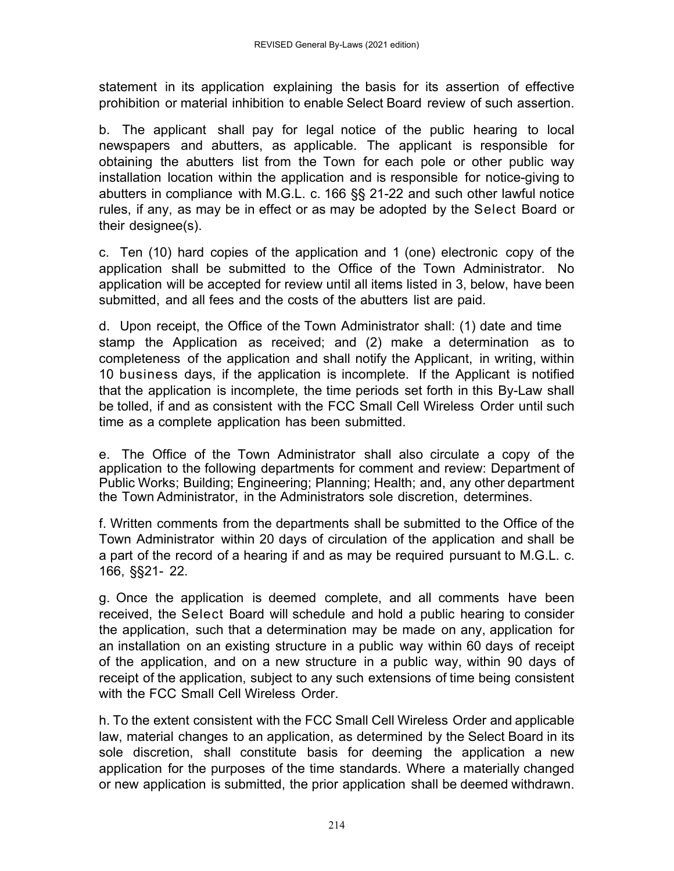statement in its application explaining the basis for its assertion of effective prohibition or material inhibition to enable Select Board review of such assertion.

b. The applicant shall pay for legal notice of the public hearing to local newspapers and abutters, as applicable. The applicant is responsible for obtaining the abutters list from the Town for each pole or other public way installation location within the application and is responsible for notice-giving to abutters in compliance with M.G.L. c. 166 §§ 21-22 and such other lawful notice rules, if any, as may be in effect or as may be adopted by the Select Board or their designee(s).

c. Ten (10) hard copies of the application and 1 (one) electronic copy of the application shall be submitted to the Office of the Town Administrator. No application will be accepted for review until all items listed in 3, below, have been submitted, and all fees and the costs of the abutters list are paid.

d. Upon receipt, the Office of the Town Administrator shall: (1) date and time stamp the Application as received; and (2) make a determination as to completeness of the application and shall notify the Applicant, in writing, within 10 business days, if the application is incomplete. If the Applicant is notified that the application is incomplete, the time periods set forth in this By-Law shall be tolled, if and as consistent with the FCC Small Cell Wireless Order until such time as a complete application has been submitted.

e. The Office of the Town Administrator shall also circulate a copy of the application to the following departments for comment and review: Department of Public Works; Building; Engineering; Planning; Health; and, any other department the Town Administrator, in the Administrators sole discretion, determines.

f.Written comments from the departments shall be submitted to the Office of the Town Administrator within 20 days of circulation of the application and shall be a part of the record of a hearing if and as may be required pursuant to M.G.L. c. 166, §§21- 22.

g. Once the application is deemed complete, and all comments have been received, the Select Board will schedule and hold a public hearing to consider the application, such that a determination may be made on any, application for an installation on an existing structure in a public way within 60 days of receipt of the application, and on a new structure in a public way, within 90 days of receipt of the application, subject to any such extensions of time being consistent with the FCC Small Cell Wireless Order.

h. To the extent consistent with the FCC Small Cell Wireless Order and applicable law, material changes to an application, as determined by the Select Board in its sole discretion, shall constitute basis for deeming the application a new application for the purposes of the time standards. Where a materially changed or new application is submitted, the prior application shall be deemed withdrawn.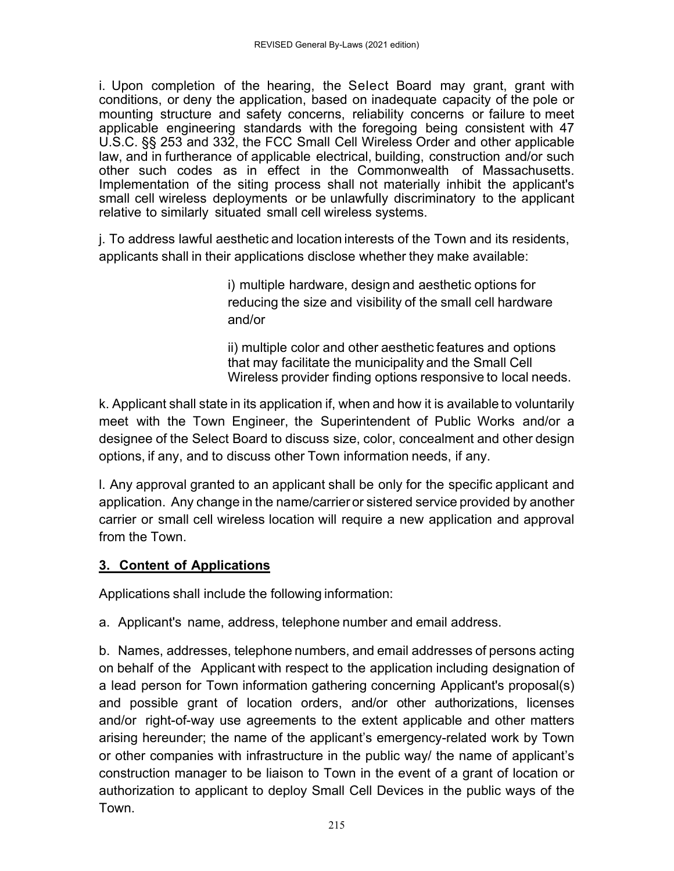i. Upon completion of the hearing, the Select Board may grant, grant with conditions, or deny the application, based on inadequate capacity of the pole or mounting structure and safety concerns, reliability concerns or failure to meet applicable engineering standards with the foregoing being consistent with 47 U.S.C. §§ 253 and 332, the FCC Small Cell Wireless Order and other applicable law, and in furtherance of applicable electrical, building, construction and/or such other such codes as in effect in the Commonwealth of Massachusetts. Implementation of the siting process shall not materially inhibit the applicant's small cell wireless deployments or be unlawfully discriminatory to the applicant relative to similarly situated small cell wireless systems.

j. To address lawful aesthetic and location interests of the Town and its residents, applicants shall in their applications disclose whether they make available:

> i) multiple hardware, design and aesthetic options for reducing the size and visibility of the small cell hardware and/or

ii) multiple color and other aesthetic features and options that may facilitate the municipality and the Small Cell Wireless provider finding options responsive to local needs.

k. Applicant shall state in its application if, when and how it is available to voluntarily meet with the Town Engineer, the Superintendent of Public Works and/or a designee of the Select Board to discuss size, color, concealment and other design options, if any, and to discuss other Town information needs, if any.

l. Any approval granted to an applicant shall be only for the specific applicant and application. Any change in the name/carrier or sistered service provided by another carrier or small cell wireless location will require a new application and approval from the Town.

### **3. Content of Applications**

Applications shall include the following information:

a. Applicant's name, address, telephone number and email address.

b. Names, addresses, telephone numbers, and email addresses of persons acting on behalf of the Applicant with respect to the application including designation of a lead person for Town information gathering concerning Applicant's proposal(s) and possible grant of location orders, and/or other authorizations, licenses and/or right-of-way use agreements to the extent applicable and other matters arising hereunder; the name of the applicant's emergency-related work by Town or other companies with infrastructure in the public way/ the name of applicant's construction manager to be liaison to Town in the event of a grant of location or authorization to applicant to deploy Small Cell Devices in the public ways of the Town.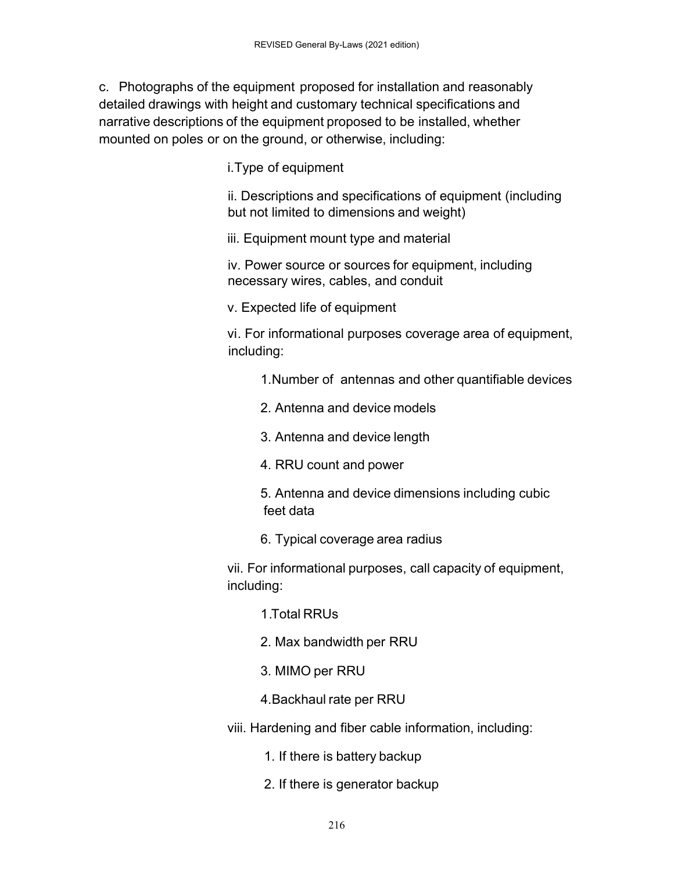c. Photographs of the equipment proposed for installation and reasonably detailed drawings with height and customary technical specifications and narrative descriptions of the equipment proposed to be installed, whether mounted on poles or on the ground, or otherwise, including:

i. Type of equipment

ii. Descriptions and specifications of equipment (including but not limited to dimensions and weight)

iii. Equipment mount type and material

iv. Power source or sources for equipment, including necessary wires, cables, and conduit

v. Expected life of equipment

 vi . For informational purposes coverage area of equipment, including:

1. Number of antennas and other quantifiable devices

2. Antenna and device models

3. Antenna and device length

4. RRU count and power

 5. Antenna and device dimensions including cubic feet data

6. Typical coverage area radius

 vii. For informational purposes, call capacity of equipment, including:

1 . Total RRUs

2. Max bandwidth per RRU

3. MIMO per RRU

4. Backhaul rate per RRU

viii. Hardening and fiber cable information, including:

1. If there is battery backup

2. If there is generator backup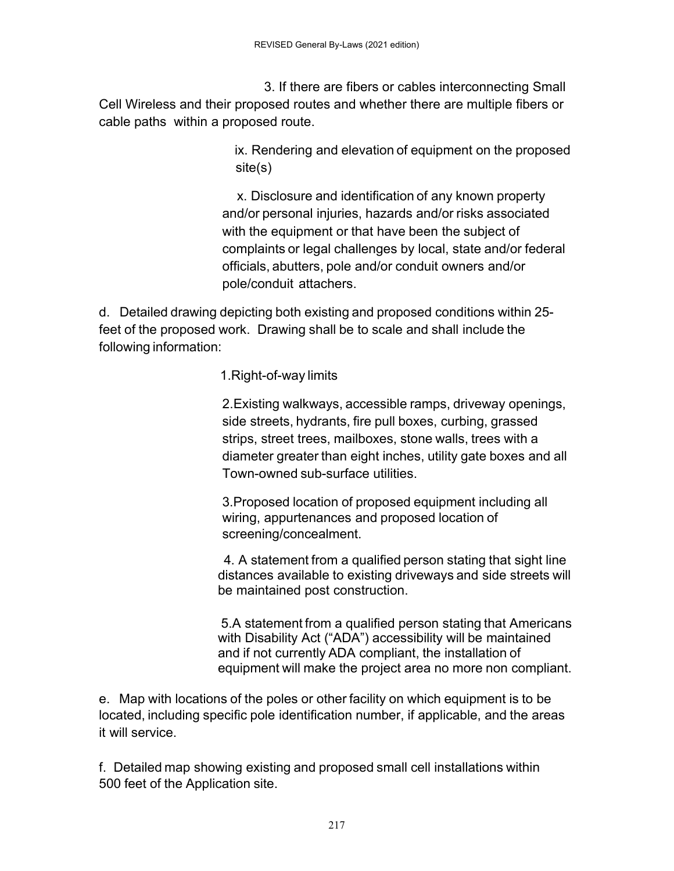3. If there are fibers or cables interconnecting Small Cell Wireless and their proposed routes and whether there are multiple fibers or cable paths within a proposed route.

> ix. Rendering and elevation of equipment on the proposed site(s)

 x. Disclosure and identification of any known property and/or personal injuries, hazards and/or risks associated with the equipment or that have been the subject of complaints or legal challenges by local, state and/or federal officials, abutters, pole and/or conduit owners and/or pole/conduit attachers.

d. Detailed drawing depicting both existing and proposed conditions within 25 feet of the proposed work. Drawing shall be to scale and shall include the following information:

1. Right-of-way limits

2. Existing walkways, accessible ramps, driveway openings, side streets, hydrants, fire pull boxes, curbing, grassed strips, street trees, mailboxes, stone walls, trees with a diameter greater than eight inches, utility gate boxes and all Town-owned sub-surface utilities.

3.Proposed location of proposed equipment including all wiring, appurtenances and proposed location of screening/concealment.

 4. A statement from a qualified person stating that sight line distances available to existing driveways and side streets will be maintained post construction.

5.A statement from a qualified person stating that Americans with Disability Act ("ADA") accessibility will be maintained and if not currently ADA compliant, the installation of equipment will make the project area no more non compliant.

e. Map with locations of the poles or other facility on which equipment is to be located, including specific pole identification number, if applicable, and the areas it will service.

f. Detailed map showing existing and proposed small cell installations within 500 feet of the Application site.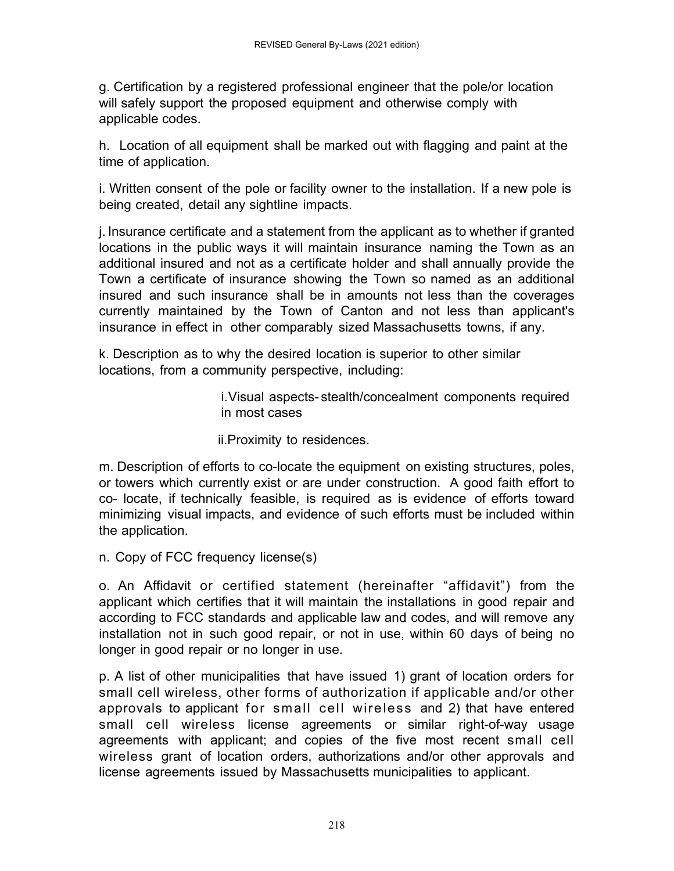g. Certification by a registered professional engineer that the pole/or location will safely support the proposed equipment and otherwise comply with applicable codes.

h. Location of all equipment shall be marked out with flagging and paint at the time of application.

i. Written consent of the pole or facility owner to the installation. If a new pole is being created, detail any sightline impacts.

j. Insurance certificate and a statement from the applicant as to whether if granted locations in the public ways it will maintain insurance naming the Town as an additional insured and not as a certificate holder and shall annually provide the Town a certificate of insurance showing the Town so named as an additional insured and such insurance shall be in amounts not less than the coverages currently maintained by the Town of Canton and not less than applicant's insurance in effect in other comparably sized Massachusetts towns, if any.

k. Description as to why the desired location is superior to other similar locations, from a community perspective, including:

> i. Visual aspects- stealth/concealment components required in most cases

ii.Proximity to residences.

m. Description of efforts to co-locate the equipment on existing structures, poles, or towers which currently exist or are under construction. A good faith effort to co- locate, if technically feasible, is required as is evidence of efforts toward minimizing visual impacts, and evidence of such efforts must be included within the application.

n. Copy of FCC frequency license(s)

o. An Affidavit or certified statement (hereinafter "affidavit") from the applicant which certifies that it will maintain the installations in good repair and according to FCC standards and applicable law and codes, and will remove any installation not in such good repair, or not in use, within 60 days of being no longer in good repair or no longer in use.

p. A list of other municipalities that have issued 1) grant of location orders for small cell wireless, other forms of authorization if applicable and/or other approvals to applicant for small cell wireless and 2) that have entered small cell wireless license agreements or similar right-of-way usage agreements with applicant; and copies of the five most recent small cell wireless grant of location orders, authorizations and/or other approvals and license agreements issued by Massachusetts municipalities to applicant.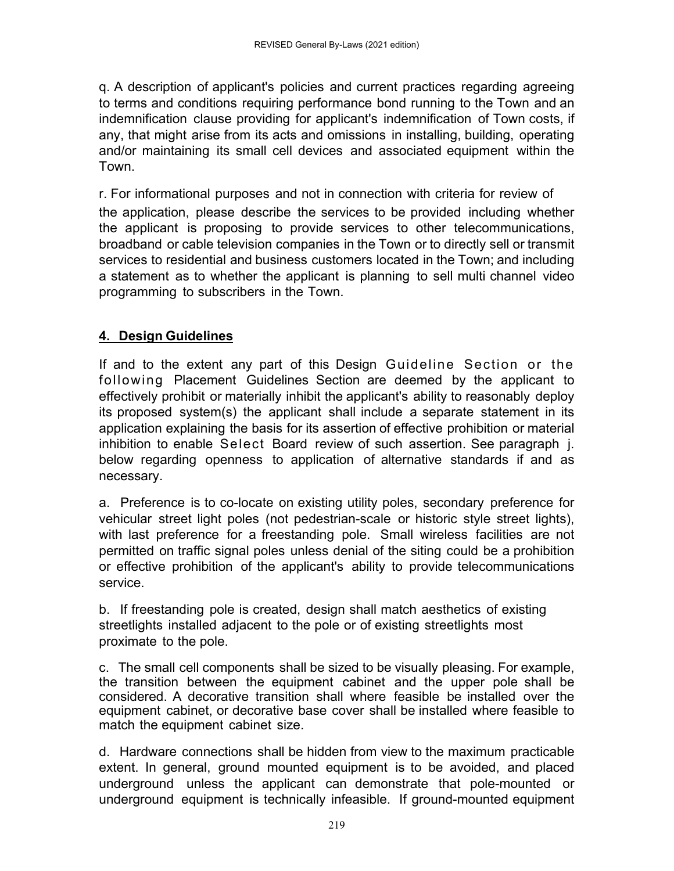q. A description of applicant's policies and current practices regarding agreeing to terms and conditions requiring performance bond running to the Town and an indemnification clause providing for applicant's indemnification of Town costs, if any, that might arise from its acts and omissions in installing, building, operating and/or maintaining its small cell devices and associated equipment within the Town.

r. For informational purposes and not in connection with criteria for review of the application, please describe the services to be provided including whether the applicant is proposing to provide services to other telecommunications, broadband or cable television companies in the Town or to directly sell or transmit services to residential and business customers located in the Town; and including a statement as to whether the applicant is planning to sell multi channel video programming to subscribers in the Town.

#### **4. Design Guidelines**

If and to the extent any part of this Design Guideline Section or the following Placement Guidelines Section are deemed by the applicant to effectively prohibit or materially inhibit the applicant's ability to reasonably deploy its proposed system(s) the applicant shall include a separate statement in its application explaining the basis for its assertion of effective prohibition or material inhibition to enable Select Board review of such assertion. See paragraph j. below regarding openness to application of alternative standards if and as necessary.

a. Preference is to co-locate on existing utility poles, secondary preference for vehicular street light poles (not pedestrian-scale or historic style street lights), with last preference for a freestanding pole. Small wireless facilities are not permitted on traffic signal poles unless denial of the siting could be a prohibition or effective prohibition of the applicant's ability to provide telecommunications service.

b. If freestanding pole is created, design shall match aesthetics of existing streetlights installed adjacent to the pole or of existing streetlights most proximate to the pole.

c. The small cell components shall be sized to be visually pleasing. For example, the transition between the equipment cabinet and the upper pole shall be considered. A decorative transition shall where feasible be installed over the equipment cabinet, or decorative base cover shall be installed where feasible to match the equipment cabinet size.

d. Hardware connections shall be hidden from view to the maximum practicable extent. In general, ground mounted equipment is to be avoided, and placed underground unless the applicant can demonstrate that pole-mounted or underground equipment is technically infeasible. If ground-mounted equipment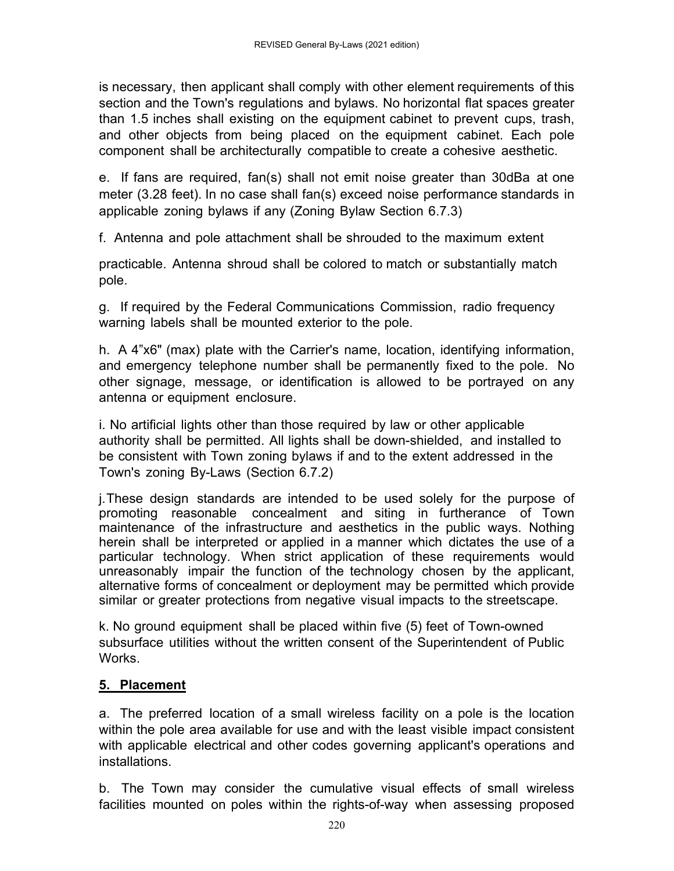is necessary, then applicant shall comply with other element requirements of this section and the Town's regulations and bylaws. No horizontal flat spaces greater than 1.5 inches shall existing on the equipment cabinet to prevent cups, trash, and other objects from being placed on the equipment cabinet. Each pole component shall be architecturally compatible to create a cohesive aesthetic.

e. If fans are required, fan(s) shall not emit noise greater than 30dBa at one meter (3.28 feet). In no case shall fan(s) exceed noise performance standards in applicable zoning bylaws if any (Zoning Bylaw Section 6.7.3)

f. Antenna and pole attachment shall be shrouded to the maximum extent

practicable. Antenna shroud shall be colored to match or substantially match pole.

g. If required by the Federal Communications Commission, radio frequency warning labels shall be mounted exterior to the pole.

h. A 4"x6" (max) plate with the Carrier's name, location, identifying information, and emergency telephone number shall be permanently fixed to the pole. No other signage, message, or identification is allowed to be portrayed on any antenna or equipment enclosure.

i. No artificial lights other than those required by law or other applicable authority shall be permitted. All lights shall be down-shielded, and installed to be consistent with Town zoning bylaws if and to the extent addressed in the Town's zoning By-Laws (Section 6.7.2)

j. These design standards are intended to be used solely for the purpose of promoting reasonable concealment and siting in furtherance of Town maintenance of the infrastructure and aesthetics in the public ways. Nothing herein shall be interpreted or applied in a manner which dictates the use of a particular technology. When strict application of these requirements would unreasonably impair the function of the technology chosen by the applicant, alternative forms of concealment or deployment may be permitted which provide similar or greater protections from negative visual impacts to the streetscape.

k. No ground equipment shall be placed within five (5) feet of Town-owned subsurface utilities without the written consent of the Superintendent of Public Works.

### **5. Placement**

a. The preferred location of a small wireless facility on a pole is the location within the pole area available for use and with the least visible impact consistent with applicable electrical and other codes governing applicant's operations and installations.

b. The Town may consider the cumulative visual effects of small wireless facilities mounted on poles within the rights-of-way when assessing proposed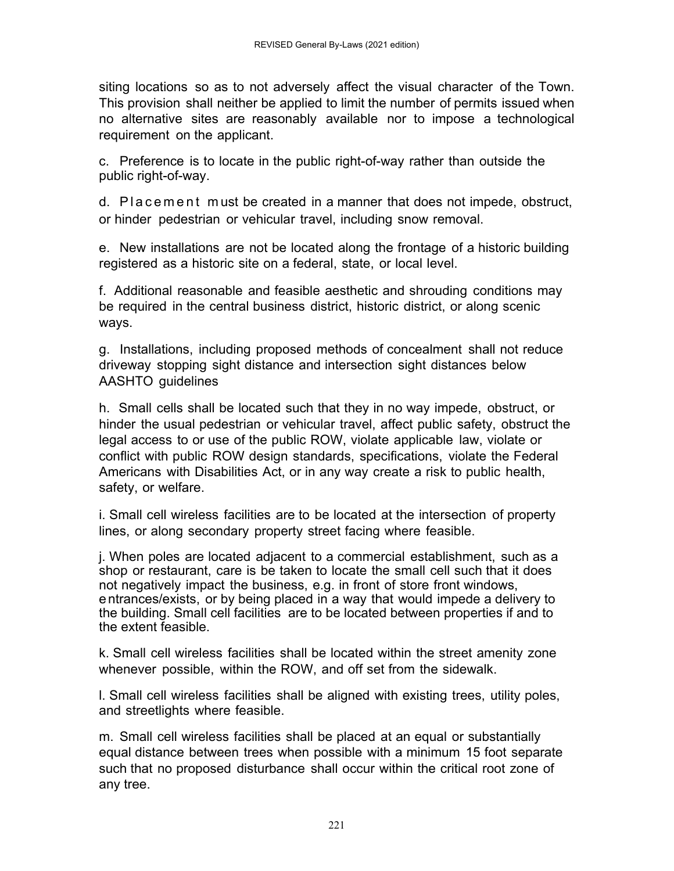siting locations so as to not adversely affect the visual character of the Town. This provision shall neither be applied to limit the number of permits issued when no alternative sites are reasonably available nor to impose a technological requirement on the applicant.

c. Preference is to locate in the public right-of-way rather than outside the public right-of-way.

d. P l a c e m e n t m ust be created in a manner that does not impede, obstruct, or hinder pedestrian or vehicular travel, including snow removal.

e. New installations are not be located along the frontage of a historic building registered as a historic site on a federal, state, or local level.

f. Additional reasonable and feasible aesthetic and shrouding conditions may be required in the central business district, historic district, or along scenic ways.

g. Installations, including proposed methods of concealment shall not reduce driveway stopping sight distance and intersection sight distances below AASHTO guidelines

h. Small cells shall be located such that they in no way impede, obstruct, or hinder the usual pedestrian or vehicular travel, affect public safety, obstruct the legal access to or use of the public ROW, violate applicable law, violate or conflict with public ROW design standards, specifications, violate the Federal Americans with Disabilities Act, or in any way create a risk to public health, safety, or welfare.

i. Small cell wireless facilities are to be located at the intersection of property lines, or along secondary property street facing where feasible.

j. When poles are located adjacent to a commercial establishment, such as a shop or restaurant, care is be taken to locate the small cell such that it does not negatively impact the business, e.g. in front of store front windows, entrances/exists, or by being placed in a way that would impede a delivery to the building. Small cell facilities are to be located between properties if and to the extent feasible.

k. Small cell wireless facilities shall be located within the street amenity zone whenever possible, within the ROW, and off set from the sidewalk.

l. Small cell wireless facilities shall be aligned with existing trees, utility poles, and streetlights where feasible.

m. Small cell wireless facilities shall be placed at an equal or substantially equal distance between trees when possible with a minimum 15 foot separate such that no proposed disturbance shall occur within the critical root zone of any tree.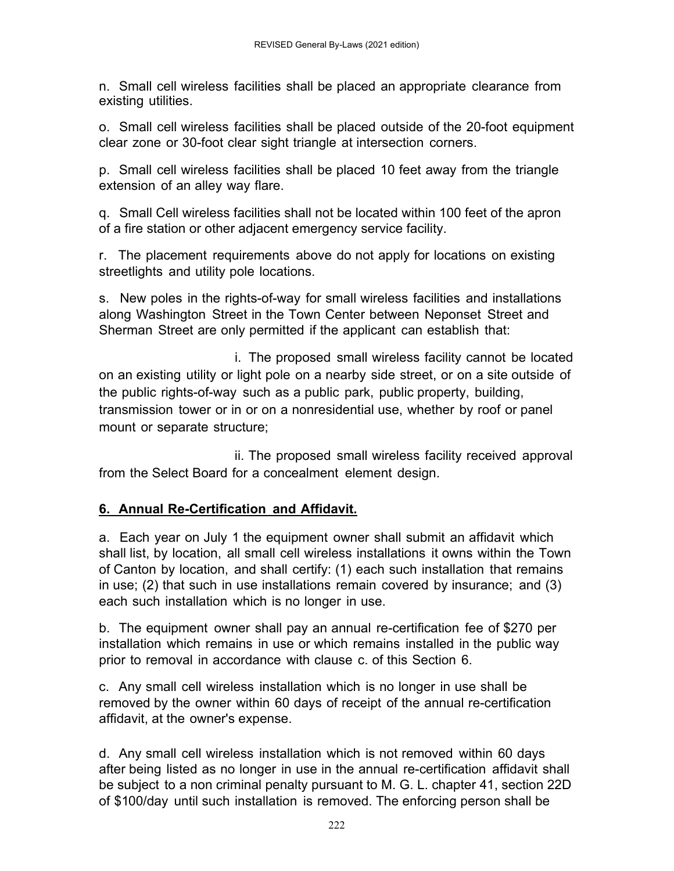n. Small cell wireless facilities shall be placed an appropriate clearance from existing utilities.

o. Small cell wireless facilities shall be placed outside of the 20-foot equipment clear zone or 30-foot clear sight triangle at intersection corners.

p. Small cell wireless facilities shall be placed 10 feet away from the triangle extension of an alley way flare.

q. Small Cell wireless facilities shall not be located within 100 feet of the apron of a fire station or other adjacent emergency service facility.

r. The placement requirements above do not apply for locations on existing streetlights and utility pole locations.

s. New poles in the rights-of-way for small wireless facilities and installations along Washington Street in the Town Center between Neponset Street and Sherman Street are only permitted if the applicant can establish that:

 i. The proposed small wireless facility cannot be located on an existing utility or light pole on a nearby side street, or on a site outside of the public rights-of-way such as a public park, public property, building, transmission tower or in or on a nonresidential use, whether by roof or panel mount or separate structure;

 ii. The proposed small wireless facility received approval from the Select Board for a concealment element design.

### **6. Annual Re-Certification and Affidavit.**

a. Each year on July 1 the equipment owner shall submit an affidavit which shall list, by location, all small cell wireless installations it owns within the Town of Canton by location, and shall certify: (1) each such installation that remains in use; (2) that such in use installations remain covered by insurance; and (3) each such installation which is no longer in use.

b. The equipment owner shall pay an annual re-certification fee of \$270 per installation which remains in use or which remains installed in the public way prior to removal in accordance with clause c. of this Section 6.

c. Any small cell wireless installation which is no longer in use shall be removed by the owner within 60 days of receipt of the annual re-certification affidavit, at the owner's expense.

d. Any small cell wireless installation which is not removed within 60 days after being listed as no longer in use in the annual re-certification affidavit shall be subject to a non criminal penalty pursuant to M. G. L. chapter 41, section 22D of \$100/day until such installation is removed. The enforcing person shall be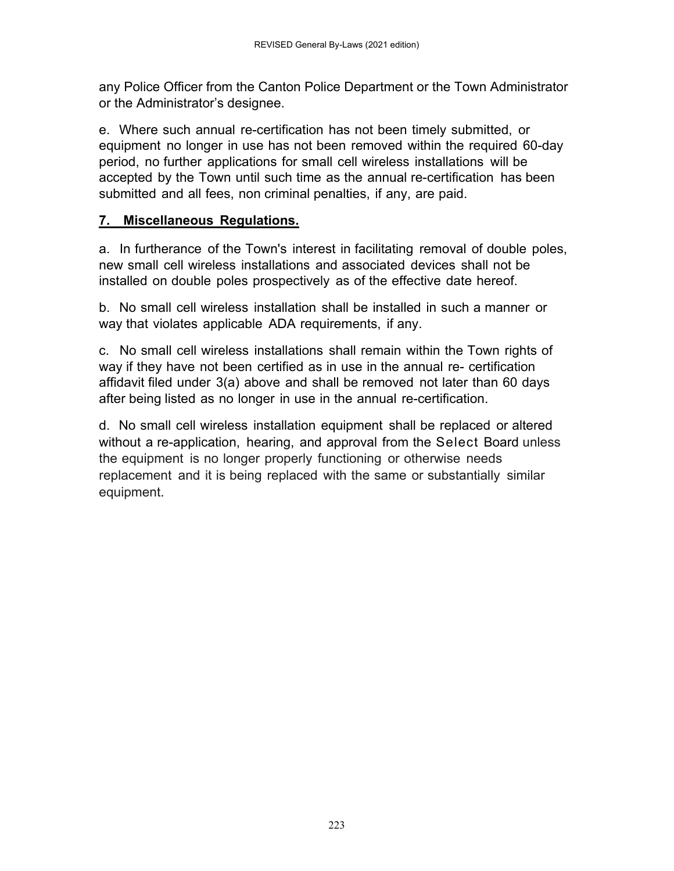any Police Officer from the Canton Police Department or the Town Administrator or the Administrator's designee.

e. Where such annual re-certification has not been timely submitted, or equipment no longer in use has not been removed within the required 60-day period, no further applications for small cell wireless installations will be accepted by the Town until such time as the annual re-certification has been submitted and all fees, non criminal penalties, if any, are paid.

#### **7. Miscellaneous Regulations.**

a. In furtherance of the Town's interest in facilitating removal of double poles, new small cell wireless installations and associated devices shall not be installed on double poles prospectively as of the effective date hereof.

b. No small cell wireless installation shall be installed in such a manner or way that violates applicable ADA requirements, if any.

c. No small cell wireless installations shall remain within the Town rights of way if they have not been certified as in use in the annual re- certification affidavit filed under 3(a) above and shall be removed not later than 60 days after being listed as no longer in use in the annual re-certification.

d. No small cell wireless installation equipment shall be replaced or altered without a re-application, hearing, and approval from the Select Board unless the equipment is no longer properly functioning or otherwise needs replacement and it is being replaced with the same or substantially similar equipment.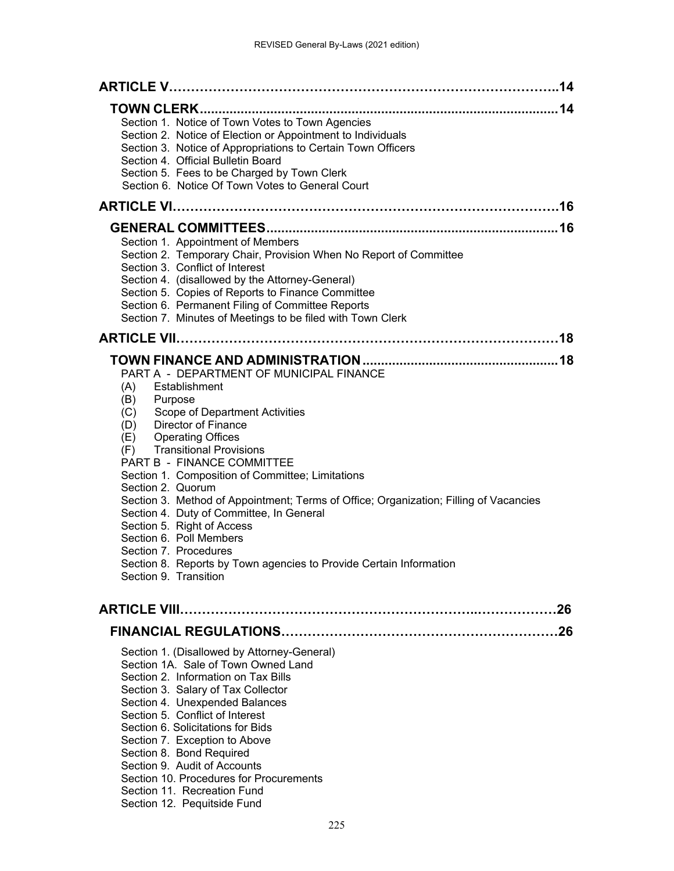| Section 1. Notice of Town Votes to Town Agencies<br>Section 2. Notice of Election or Appointment to Individuals<br>Section 3. Notice of Appropriations to Certain Town Officers<br>Section 4. Official Bulletin Board<br>Section 5. Fees to be Charged by Town Clerk<br>Section 6. Notice Of Town Votes to General Court                                                                                                                                                                                                                                                                                                                                                  |
|---------------------------------------------------------------------------------------------------------------------------------------------------------------------------------------------------------------------------------------------------------------------------------------------------------------------------------------------------------------------------------------------------------------------------------------------------------------------------------------------------------------------------------------------------------------------------------------------------------------------------------------------------------------------------|
|                                                                                                                                                                                                                                                                                                                                                                                                                                                                                                                                                                                                                                                                           |
| Section 1. Appointment of Members<br>Section 2. Temporary Chair, Provision When No Report of Committee<br>Section 3. Conflict of Interest<br>Section 4. (disallowed by the Attorney-General)<br>Section 5. Copies of Reports to Finance Committee<br>Section 6. Permanent Filing of Committee Reports<br>Section 7. Minutes of Meetings to be filed with Town Clerk                                                                                                                                                                                                                                                                                                       |
|                                                                                                                                                                                                                                                                                                                                                                                                                                                                                                                                                                                                                                                                           |
| PART A - DEPARTMENT OF MUNICIPAL FINANCE<br>Establishment<br>(A)<br>Purpose<br>(B)<br>Scope of Department Activities<br>(C)<br><b>Director of Finance</b><br>(D)<br><b>Operating Offices</b><br>(E)<br><b>Transitional Provisions</b><br>(F)<br>PART B - FINANCE COMMITTEE<br>Section 1. Composition of Committee; Limitations<br>Section 2. Quorum<br>Section 3. Method of Appointment; Terms of Office; Organization; Filling of Vacancies<br>Section 4. Duty of Committee, In General<br>Section 5. Right of Access<br>Section 6. Poll Members<br>Section 7. Procedures<br>Section 8. Reports by Town agencies to Provide Certain Information<br>Section 9. Transition |
|                                                                                                                                                                                                                                                                                                                                                                                                                                                                                                                                                                                                                                                                           |
|                                                                                                                                                                                                                                                                                                                                                                                                                                                                                                                                                                                                                                                                           |
| Section 1. (Disallowed by Attorney-General)<br>Section 1A. Sale of Town Owned Land<br>Section 2. Information on Tax Bills<br>Section 3. Salary of Tax Collector<br>Section 4. Unexpended Balances<br>Section 5. Conflict of Interest<br>Section 6. Solicitations for Bids<br>Section 7. Exception to Above<br>Section 8. Bond Required<br>Section 9. Audit of Accounts<br>Section 10. Procedures for Procurements<br>Section 11. Recreation Fund<br>Section 12. Pequitside Fund                                                                                                                                                                                           |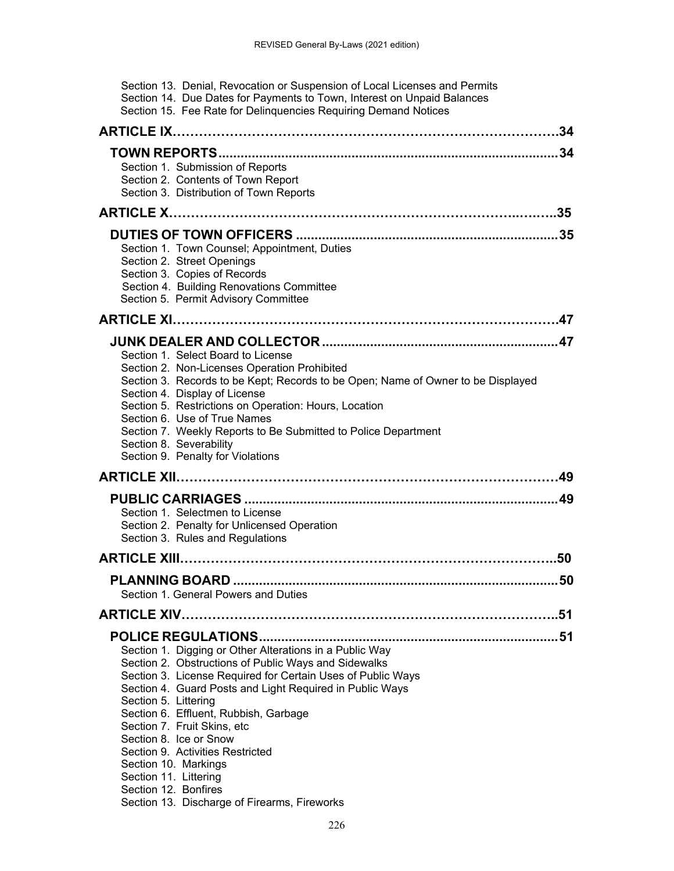| Section 13. Denial, Revocation or Suspension of Local Licenses and Permits<br>Section 14. Due Dates for Payments to Town, Interest on Unpaid Balances<br>Section 15. Fee Rate for Delinquencies Requiring Demand Notices                                                                                                                                                                                                                                                                                                          |
|-----------------------------------------------------------------------------------------------------------------------------------------------------------------------------------------------------------------------------------------------------------------------------------------------------------------------------------------------------------------------------------------------------------------------------------------------------------------------------------------------------------------------------------|
| 34                                                                                                                                                                                                                                                                                                                                                                                                                                                                                                                                |
| 34<br>Section 1. Submission of Reports<br>Section 2. Contents of Town Report<br>Section 3. Distribution of Town Reports                                                                                                                                                                                                                                                                                                                                                                                                           |
| 35                                                                                                                                                                                                                                                                                                                                                                                                                                                                                                                                |
| Section 1. Town Counsel; Appointment, Duties<br>Section 2. Street Openings<br>Section 3. Copies of Records<br>Section 4. Building Renovations Committee<br>Section 5. Permit Advisory Committee                                                                                                                                                                                                                                                                                                                                   |
|                                                                                                                                                                                                                                                                                                                                                                                                                                                                                                                                   |
| Section 1. Select Board to License<br>Section 2. Non-Licenses Operation Prohibited<br>Section 3. Records to be Kept; Records to be Open; Name of Owner to be Displayed<br>Section 4. Display of License<br>Section 5. Restrictions on Operation: Hours, Location<br>Section 6. Use of True Names<br>Section 7. Weekly Reports to Be Submitted to Police Department<br>Section 8. Severability<br>Section 9. Penalty for Violations                                                                                                |
| 49                                                                                                                                                                                                                                                                                                                                                                                                                                                                                                                                |
| Section 1. Selectmen to License<br>Section 2. Penalty for Unlicensed Operation<br>Section 3. Rules and Regulations                                                                                                                                                                                                                                                                                                                                                                                                                |
| 50                                                                                                                                                                                                                                                                                                                                                                                                                                                                                                                                |
|                                                                                                                                                                                                                                                                                                                                                                                                                                                                                                                                   |
| Section 1. General Powers and Duties                                                                                                                                                                                                                                                                                                                                                                                                                                                                                              |
|                                                                                                                                                                                                                                                                                                                                                                                                                                                                                                                                   |
| Section 1. Digging or Other Alterations in a Public Way<br>Section 2. Obstructions of Public Ways and Sidewalks<br>Section 3. License Required for Certain Uses of Public Ways<br>Section 4. Guard Posts and Light Required in Public Ways<br>Section 5. Littering<br>Section 6. Effluent, Rubbish, Garbage<br>Section 7. Fruit Skins, etc<br>Section 8. Ice or Snow<br>Section 9. Activities Restricted<br>Section 10. Markings<br>Section 11. Littering<br>Section 12. Bonfires<br>Section 13. Discharge of Firearms, Fireworks |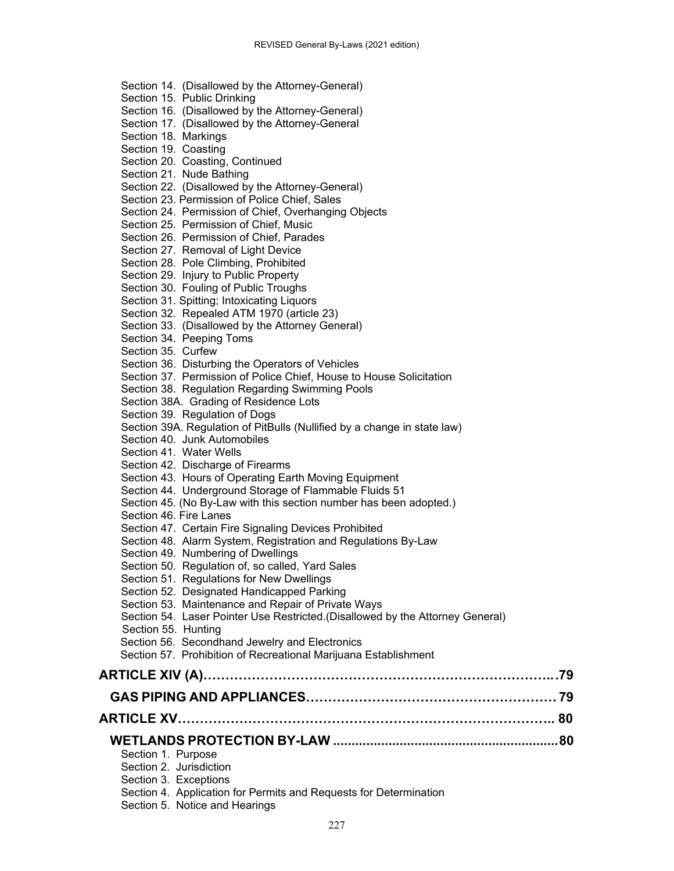- Section 14. (Disallowed by the Attorney-General)
- Section 15. Public Drinking
- Section 16. (Disallowed by the Attorney-General)
- Section 17. (Disallowed by the Attorney-General
- Section 18. Markings
- Section 19. Coasting
- Section 20. Coasting, Continued
- Section 21. Nude Bathing
- Section 22. (Disallowed by the Attorney-General)
- Section 23. Permission of Police Chief, Sales
- Section 24. Permission of Chief, Overhanging Objects
- Section 25. Permission of Chief, Music
- Section 26. Permission of Chief, Parades
- Section 27. Removal of Light Device
- Section 28. Pole Climbing, Prohibited
- Section 29. Injury to Public Property
- Section 30. Fouling of Public Troughs
- Section 31. Spitting; Intoxicating Liquors
- Section 32. Repealed ATM 1970 (article 23)
- Section 33. (Disallowed by the Attorney General)
- Section 34. Peeping Toms
- Section 35. Curfew
- Section 36. Disturbing the Operators of Vehicles
- Section 37. Permission of Police Chief, House to House Solicitation
- Section 38. Regulation Regarding Swimming Pools
- Section 38A. Grading of Residence Lots
- Section 39. Regulation of Dogs
- Section 39A. Regulation of PitBulls (Nullified by a change in state law)
- Section 40. Junk Automobiles
- Section 41. Water Wells
- Section 42. Discharge of Firearms
- Section 43. Hours of Operating Earth Moving Equipment
- Section 44. Underground Storage of Flammable Fluids 51
- Section 45. (No By-Law with this section number has been adopted.)
- Section 46. Fire Lanes
- Section 47. Certain Fire Signaling Devices Prohibited
- Section 48. Alarm System, Registration and Regulations By-Law
- Section 49. Numbering of Dwellings
- Section 50. Regulation of, so called, Yard Sales
- Section 51. Regulations for New Dwellings
- Section 52. Designated Handicapped Parking
- Section 53. Maintenance and Repair of Private Ways
- Section 54. Laser Pointer Use Restricted.(Disallowed by the Attorney General)
- Section 55. Hunting
- Section 56. Secondhand Jewelry and Electronics
- Section 57. Prohibition of Recreational Marijuana Establishment

|--|--|--|

- **GAS PIPING AND APPLIANCES………………………………………………… 79**
- **ARTICLE XV………………………………………………………………………….. 80** 
	- **WETLANDS PROTECTION BY-LAW ............................................................. 80** 
		- Section 1. Purpose
		- Section 2. Jurisdiction
		- Section 3. Exceptions
		- Section 4. Application for Permits and Requests for Determination
		- Section 5. Notice and Hearings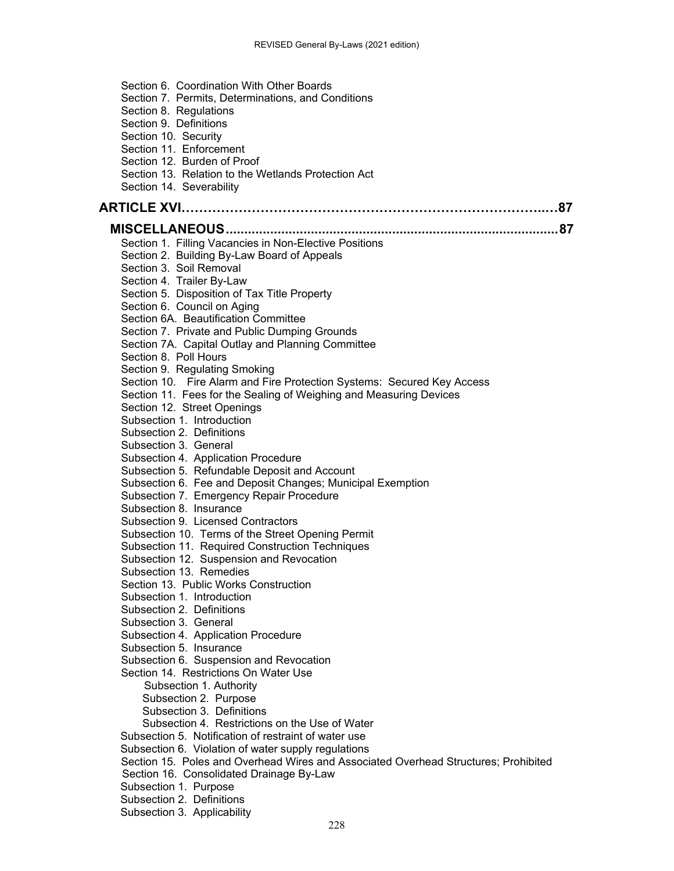| Section 6. Coordination With Other Boards                                           |
|-------------------------------------------------------------------------------------|
| Section 7. Permits, Determinations, and Conditions                                  |
| Section 8. Regulations                                                              |
| Section 9. Definitions                                                              |
| Section 10. Security                                                                |
| Section 11. Enforcement                                                             |
| Section 12. Burden of Proof                                                         |
| Section 13. Relation to the Wetlands Protection Act                                 |
| Section 14. Severability                                                            |
|                                                                                     |
|                                                                                     |
|                                                                                     |
| Section 1. Filling Vacancies in Non-Elective Positions                              |
| Section 2. Building By-Law Board of Appeals                                         |
| Section 3. Soil Removal                                                             |
| Section 4. Trailer By-Law                                                           |
| Section 5. Disposition of Tax Title Property                                        |
| Section 6. Council on Aging                                                         |
| Section 6A. Beautification Committee                                                |
| Section 7. Private and Public Dumping Grounds                                       |
| Section 7A. Capital Outlay and Planning Committee                                   |
| Section 8. Poll Hours                                                               |
| Section 9. Regulating Smoking                                                       |
| Section 10. Fire Alarm and Fire Protection Systems: Secured Key Access              |
| Section 11. Fees for the Sealing of Weighing and Measuring Devices                  |
| Section 12. Street Openings                                                         |
| Subsection 1. Introduction                                                          |
| Subsection 2. Definitions                                                           |
| Subsection 3. General                                                               |
| Subsection 4. Application Procedure                                                 |
| Subsection 5. Refundable Deposit and Account                                        |
| Subsection 6. Fee and Deposit Changes; Municipal Exemption                          |
| Subsection 7. Emergency Repair Procedure                                            |
| Subsection 8. Insurance                                                             |
| Subsection 9. Licensed Contractors                                                  |
| Subsection 10. Terms of the Street Opening Permit                                   |
| Subsection 11. Required Construction Techniques                                     |
| Subsection 12. Suspension and Revocation                                            |
| Subsection 13. Remedies                                                             |
| Section 13. Public Works Construction                                               |
| Subsection 1. Introduction                                                          |
| Subsection 2. Definitions                                                           |
| Subsection 3. General                                                               |
| Subsection 4. Application Procedure                                                 |
| Subsection 5. Insurance                                                             |
| Subsection 6. Suspension and Revocation                                             |
| Section 14. Restrictions On Water Use                                               |
| Subsection 1. Authority                                                             |
| Subsection 2. Purpose                                                               |
| Subsection 3. Definitions                                                           |
| Subsection 4. Restrictions on the Use of Water                                      |
| Subsection 5. Notification of restraint of water use                                |
| Subsection 6. Violation of water supply regulations                                 |
| Section 15. Poles and Overhead Wires and Associated Overhead Structures; Prohibited |
| Section 16. Consolidated Drainage By-Law                                            |
| Subsection 1. Purpose                                                               |
| Subsection 2. Definitions                                                           |
| Subsection 3. Applicability                                                         |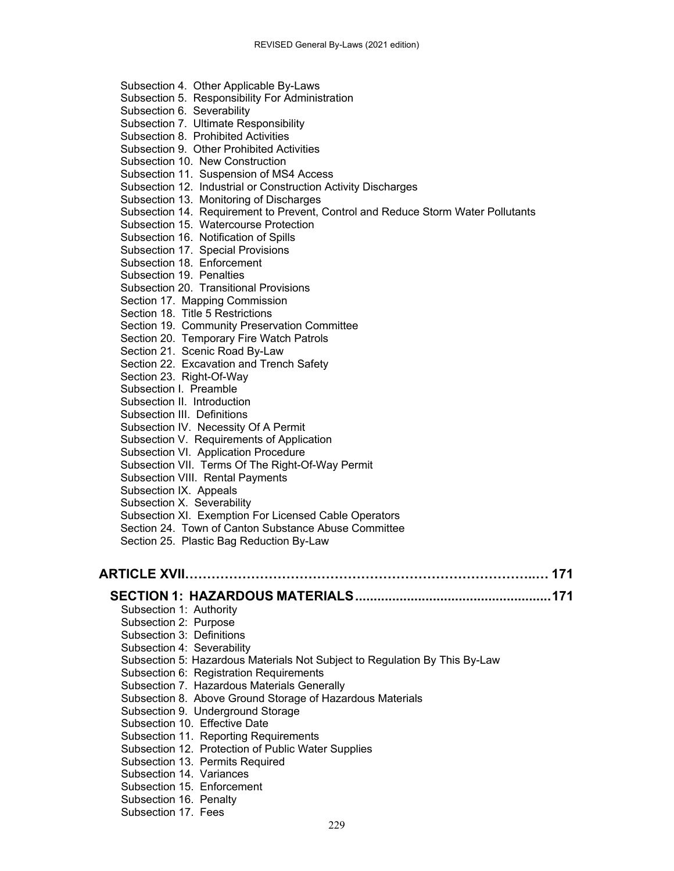| Subsection 4. Other Applicable By-Laws                                           |  |
|----------------------------------------------------------------------------------|--|
| Subsection 5. Responsibility For Administration                                  |  |
| Subsection 6. Severability                                                       |  |
| Subsection 7. Ultimate Responsibility                                            |  |
| Subsection 8. Prohibited Activities                                              |  |
| Subsection 9. Other Prohibited Activities                                        |  |
| Subsection 10. New Construction                                                  |  |
| Subsection 11. Suspension of MS4 Access                                          |  |
| Subsection 12. Industrial or Construction Activity Discharges                    |  |
| Subsection 13. Monitoring of Discharges                                          |  |
| Subsection 14. Requirement to Prevent, Control and Reduce Storm Water Pollutants |  |
| Subsection 15. Watercourse Protection                                            |  |
| Subsection 16. Notification of Spills                                            |  |
| Subsection 17. Special Provisions                                                |  |
| Subsection 18. Enforcement                                                       |  |
| Subsection 19. Penalties                                                         |  |
| Subsection 20. Transitional Provisions                                           |  |
| Section 17. Mapping Commission                                                   |  |
| Section 18. Title 5 Restrictions                                                 |  |
| Section 19. Community Preservation Committee                                     |  |
| Section 20. Temporary Fire Watch Patrols                                         |  |
| Section 21. Scenic Road By-Law                                                   |  |
| Section 22. Excavation and Trench Safety                                         |  |
| Section 23. Right-Of-Way                                                         |  |
| Subsection I. Preamble                                                           |  |
| Subsection II. Introduction                                                      |  |
| Subsection III. Definitions                                                      |  |
| Subsection IV. Necessity Of A Permit                                             |  |
| Subsection V. Requirements of Application                                        |  |
| Subsection VI. Application Procedure                                             |  |
| Subsection VII. Terms Of The Right-Of-Way Permit                                 |  |
| Subsection VIII. Rental Payments                                                 |  |
| Subsection IX. Appeals                                                           |  |
| Subsection X. Severability                                                       |  |
| Subsection XI. Exemption For Licensed Cable Operators                            |  |
| Section 24. Town of Canton Substance Abuse Committee                             |  |
| Section 25. Plastic Bag Reduction By-Law                                         |  |
|                                                                                  |  |
|                                                                                  |  |
| ARTICLE XVII…………………………………………………………………………… 171                                    |  |

# **SECTION 1: HAZARDOUS MATERIALS ..................................................... 171**

| Subsection 1: Authority                                                    |
|----------------------------------------------------------------------------|
| Subsection 2: Purpose                                                      |
| Subsection 3: Definitions                                                  |
| Subsection 4: Severability                                                 |
| Subsection 5: Hazardous Materials Not Subject to Regulation By This By-Law |
| Subsection 6: Registration Requirements                                    |
| Subsection 7. Hazardous Materials Generally                                |
| Subsection 8. Above Ground Storage of Hazardous Materials                  |
| Subsection 9. Underground Storage                                          |
| Subsection 10. Effective Date                                              |
| Subsection 11. Reporting Requirements                                      |
| Subsection 12. Protection of Public Water Supplies                         |
| Subsection 13. Permits Required                                            |
| Subsection 14. Variances                                                   |
| Subsection 15. Enforcement                                                 |
| Subsection 16. Penalty                                                     |
| Subsection 17. Fees                                                        |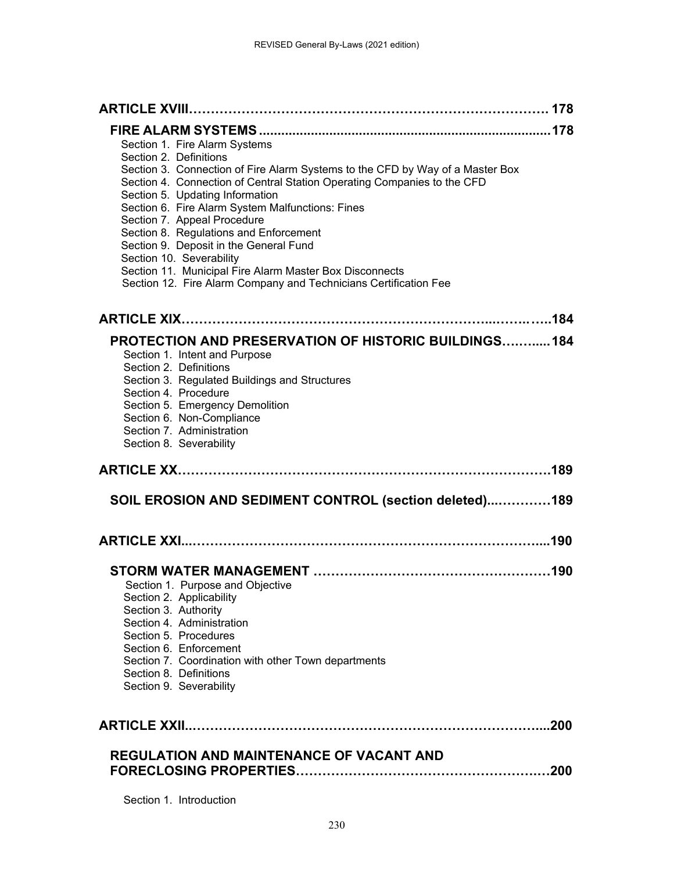| Section 1. Fire Alarm Systems                                                                           |
|---------------------------------------------------------------------------------------------------------|
| Section 2. Definitions<br>Section 3. Connection of Fire Alarm Systems to the CFD by Way of a Master Box |
| Section 4. Connection of Central Station Operating Companies to the CFD                                 |
| Section 5. Updating Information                                                                         |
| Section 6. Fire Alarm System Malfunctions: Fines                                                        |
| Section 7. Appeal Procedure<br>Section 8. Regulations and Enforcement                                   |
| Section 9. Deposit in the General Fund                                                                  |
| Section 10. Severability                                                                                |
| Section 11. Municipal Fire Alarm Master Box Disconnects                                                 |
| Section 12. Fire Alarm Company and Technicians Certification Fee                                        |
|                                                                                                         |
| <b>PROTECTION AND PRESERVATION OF HISTORIC BUILDINGS 184</b>                                            |
| Section 1. Intent and Purpose                                                                           |
| Section 2. Definitions                                                                                  |
| Section 3. Regulated Buildings and Structures<br>Section 4. Procedure                                   |
| Section 5. Emergency Demolition                                                                         |
| Section 6. Non-Compliance                                                                               |
| Section 7. Administration<br>Section 8. Severability                                                    |
|                                                                                                         |
|                                                                                                         |
| SOIL EROSION AND SEDIMENT CONTROL (section deleted)189                                                  |
|                                                                                                         |
|                                                                                                         |
|                                                                                                         |
| Section 1. Purpose and Objective                                                                        |
| Section 2. Applicability                                                                                |
| Section 3. Authority<br>Section 4. Administration                                                       |
| Section 5. Procedures                                                                                   |
| Section 6. Enforcement                                                                                  |
| Section 7. Coordination with other Town departments<br>Section 8. Definitions                           |
| Section 9. Severability                                                                                 |
|                                                                                                         |
|                                                                                                         |
| <b>REGULATION AND MAINTENANCE OF VACANT AND</b>                                                         |
|                                                                                                         |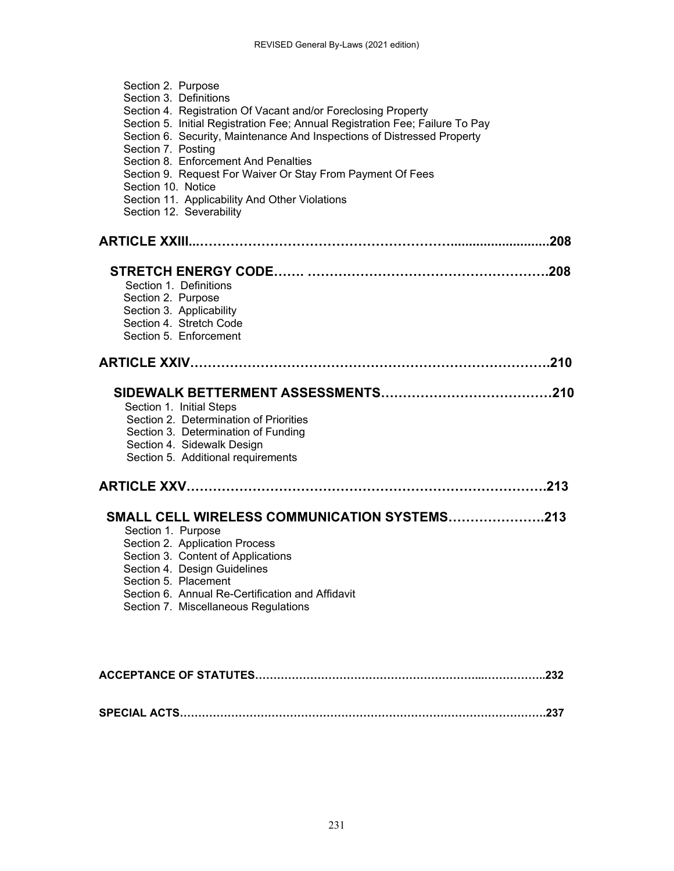| Section 2. Purpose<br>Section 3. Definitions<br>Section 4. Registration Of Vacant and/or Foreclosing Property<br>Section 5. Initial Registration Fee; Annual Registration Fee; Failure To Pay<br>Section 6. Security, Maintenance And Inspections of Distressed Property<br>Section 7. Posting<br>Section 8. Enforcement And Penalties<br>Section 9. Request For Waiver Or Stay From Payment Of Fees<br>Section 10. Notice<br>Section 11. Applicability And Other Violations<br>Section 12. Severability |
|----------------------------------------------------------------------------------------------------------------------------------------------------------------------------------------------------------------------------------------------------------------------------------------------------------------------------------------------------------------------------------------------------------------------------------------------------------------------------------------------------------|
|                                                                                                                                                                                                                                                                                                                                                                                                                                                                                                          |
| Section 1. Definitions<br>Section 2. Purpose<br>Section 3. Applicability<br>Section 4. Stretch Code<br>Section 5. Enforcement                                                                                                                                                                                                                                                                                                                                                                            |
|                                                                                                                                                                                                                                                                                                                                                                                                                                                                                                          |
| Section 1. Initial Steps<br>Section 2. Determination of Priorities<br>Section 3. Determination of Funding<br>Section 4. Sidewalk Design<br>Section 5. Additional requirements                                                                                                                                                                                                                                                                                                                            |
|                                                                                                                                                                                                                                                                                                                                                                                                                                                                                                          |
| SMALL CELL WIRELESS COMMUNICATION SYSTEMS213<br>Section 1. Purpose<br>Section 2. Application Process<br>Section 3. Content of Applications<br>Section 4. Design Guidelines<br>Section 5. Placement<br>Section 6. Annual Re-Certification and Affidavit<br>Section 7. Miscellaneous Regulations                                                                                                                                                                                                           |
|                                                                                                                                                                                                                                                                                                                                                                                                                                                                                                          |
|                                                                                                                                                                                                                                                                                                                                                                                                                                                                                                          |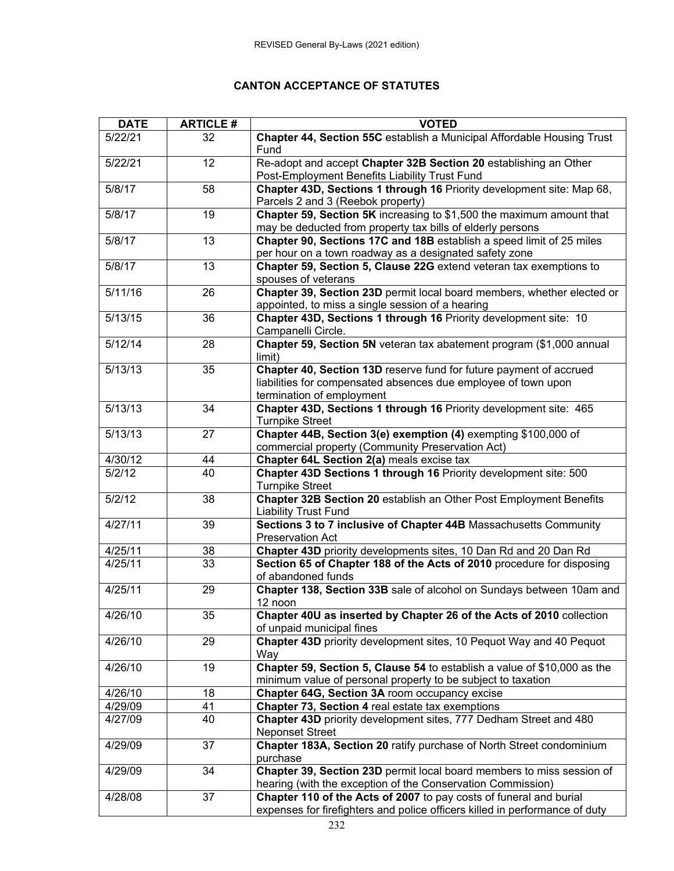#### **CANTON ACCEPTANCE OF STATUTES**

| <b>DATE</b> | <b>ARTICLE#</b> | <b>VOTED</b>                                                                |
|-------------|-----------------|-----------------------------------------------------------------------------|
| 5/22/21     | 32              | Chapter 44, Section 55C establish a Municipal Affordable Housing Trust      |
|             |                 | Fund                                                                        |
| 5/22/21     | 12              | Re-adopt and accept Chapter 32B Section 20 establishing an Other            |
|             |                 | Post-Employment Benefits Liability Trust Fund                               |
| 5/8/17      | 58              | Chapter 43D, Sections 1 through 16 Priority development site: Map 68,       |
|             |                 | Parcels 2 and 3 (Reebok property)                                           |
| 5/8/17      | 19              | Chapter 59, Section 5K increasing to \$1,500 the maximum amount that        |
|             |                 | may be deducted from property tax bills of elderly persons                  |
| 5/8/17      | 13              | Chapter 90, Sections 17C and 18B establish a speed limit of 25 miles        |
|             |                 | per hour on a town roadway as a designated safety zone                      |
| 5/8/17      | 13              | Chapter 59, Section 5, Clause 22G extend veteran tax exemptions to          |
|             |                 | spouses of veterans                                                         |
| 5/11/16     | 26              | Chapter 39, Section 23D permit local board members, whether elected or      |
|             |                 | appointed, to miss a single session of a hearing                            |
| 5/13/15     | 36              | Chapter 43D, Sections 1 through 16 Priority development site: 10            |
|             |                 | Campanelli Circle.                                                          |
| 5/12/14     | 28              | Chapter 59, Section 5N veteran tax abatement program (\$1,000 annual        |
|             |                 | limit)                                                                      |
| 5/13/13     | 35              | Chapter 40, Section 13D reserve fund for future payment of accrued          |
|             |                 | liabilities for compensated absences due employee of town upon              |
|             |                 | termination of employment                                                   |
| 5/13/13     | 34              | Chapter 43D, Sections 1 through 16 Priority development site: 465           |
|             |                 | <b>Turnpike Street</b>                                                      |
| 5/13/13     | 27              | Chapter 44B, Section 3(e) exemption (4) exempting \$100,000 of              |
|             |                 | commercial property (Community Preservation Act)                            |
| 4/30/12     | 44              | Chapter 64L Section 2(a) meals excise tax                                   |
| 5/2/12      | 40              | Chapter 43D Sections 1 through 16 Priority development site: 500            |
|             |                 | <b>Turnpike Street</b>                                                      |
| 5/2/12      | 38              | Chapter 32B Section 20 establish an Other Post Employment Benefits          |
|             |                 | <b>Liability Trust Fund</b>                                                 |
| 4/27/11     | 39              | Sections 3 to 7 inclusive of Chapter 44B Massachusetts Community            |
|             |                 | <b>Preservation Act</b>                                                     |
| 4/25/11     | 38              | Chapter 43D priority developments sites, 10 Dan Rd and 20 Dan Rd            |
| 4/25/11     | 33              | Section 65 of Chapter 188 of the Acts of 2010 procedure for disposing       |
|             |                 | of abandoned funds                                                          |
| 4/25/11     | 29              | Chapter 138, Section 33B sale of alcohol on Sundays between 10am and        |
|             |                 | 12 noon                                                                     |
| 4/26/10     | 35              | Chapter 40U as inserted by Chapter 26 of the Acts of 2010 collection        |
|             |                 | of unpaid municipal fines                                                   |
| 4/26/10     | 29              | Chapter 43D priority development sites, 10 Pequot Way and 40 Pequot         |
|             |                 | Way                                                                         |
| 4/26/10     | 19              | Chapter 59, Section 5, Clause 54 to establish a value of \$10,000 as the    |
|             |                 | minimum value of personal property to be subject to taxation                |
| 4/26/10     | 18              | Chapter 64G, Section 3A room occupancy excise                               |
| 4/29/09     | 41              | Chapter 73, Section 4 real estate tax exemptions                            |
| 4/27/09     | 40              | Chapter 43D priority development sites, 777 Dedham Street and 480           |
|             |                 | <b>Neponset Street</b>                                                      |
| 4/29/09     | 37              | Chapter 183A, Section 20 ratify purchase of North Street condominium        |
|             |                 | purchase                                                                    |
| 4/29/09     | 34              | Chapter 39, Section 23D permit local board members to miss session of       |
|             |                 | hearing (with the exception of the Conservation Commission)                 |
| 4/28/08     | 37              | Chapter 110 of the Acts of 2007 to pay costs of funeral and burial          |
|             |                 | expenses for firefighters and police officers killed in performance of duty |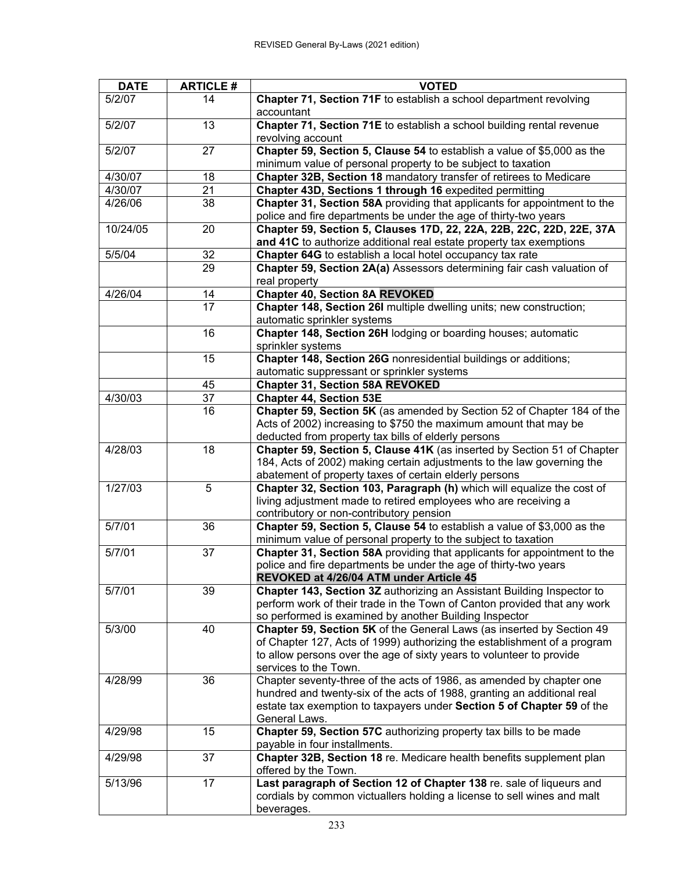| <b>DATE</b> | <b>ARTICLE#</b> | <b>VOTED</b>                                                             |
|-------------|-----------------|--------------------------------------------------------------------------|
| 5/2/07      | 14              | Chapter 71, Section 71F to establish a school department revolving       |
|             |                 | accountant                                                               |
| 5/2/07      | 13              | Chapter 71, Section 71E to establish a school building rental revenue    |
|             |                 | revolving account                                                        |
| 5/2/07      | 27              | Chapter 59, Section 5, Clause 54 to establish a value of \$5,000 as the  |
|             |                 | minimum value of personal property to be subject to taxation             |
| 4/30/07     | 18              | Chapter 32B, Section 18 mandatory transfer of retirees to Medicare       |
| 4/30/07     | 21              | Chapter 43D, Sections 1 through 16 expedited permitting                  |
| 4/26/06     | 38              | Chapter 31, Section 58A providing that applicants for appointment to the |
|             |                 | police and fire departments be under the age of thirty-two years         |
| 10/24/05    | 20              |                                                                          |
|             |                 | Chapter 59, Section 5, Clauses 17D, 22, 22A, 22B, 22C, 22D, 22E, 37A     |
|             |                 | and 41C to authorize additional real estate property tax exemptions      |
| 5/5/04      | 32              | Chapter 64G to establish a local hotel occupancy tax rate                |
|             | 29              | Chapter 59, Section 2A(a) Assessors determining fair cash valuation of   |
|             |                 | real property                                                            |
| 4/26/04     | 14              | <b>Chapter 40, Section 8A REVOKED</b>                                    |
|             | $\overline{17}$ | Chapter 148, Section 26I multiple dwelling units; new construction;      |
|             |                 | automatic sprinkler systems                                              |
|             | 16              | Chapter 148, Section 26H lodging or boarding houses; automatic           |
|             |                 | sprinkler systems                                                        |
|             | 15              | Chapter 148, Section 26G nonresidential buildings or additions;          |
|             |                 | automatic suppressant or sprinkler systems                               |
|             | 45              | <b>Chapter 31, Section 58A REVOKED</b>                                   |
| 4/30/03     | $\overline{37}$ | <b>Chapter 44, Section 53E</b>                                           |
|             | 16              | Chapter 59, Section 5K (as amended by Section 52 of Chapter 184 of the   |
|             |                 | Acts of 2002) increasing to \$750 the maximum amount that may be         |
|             |                 | deducted from property tax bills of elderly persons                      |
| 4/28/03     | 18              | Chapter 59, Section 5, Clause 41K (as inserted by Section 51 of Chapter  |
|             |                 | 184, Acts of 2002) making certain adjustments to the law governing the   |
|             |                 | abatement of property taxes of certain elderly persons                   |
| 1/27/03     | 5               | Chapter 32, Section 103, Paragraph (h) which will equalize the cost of   |
|             |                 | living adjustment made to retired employees who are receiving a          |
|             |                 | contributory or non-contributory pension                                 |
| 5/7/01      | 36              | Chapter 59, Section 5, Clause 54 to establish a value of \$3,000 as the  |
|             |                 | minimum value of personal property to the subject to taxation            |
| 5/7/01      | 37              | Chapter 31, Section 58A providing that applicants for appointment to the |
|             |                 | police and fire departments be under the age of thirty-two years         |
|             |                 | REVOKED at 4/26/04 ATM under Article 45                                  |
| 5/7/01      | 39              | Chapter 143, Section 3Z authorizing an Assistant Building Inspector to   |
|             |                 | perform work of their trade in the Town of Canton provided that any work |
|             |                 | so performed is examined by another Building Inspector                   |
| 5/3/00      | 40              | Chapter 59, Section 5K of the General Laws (as inserted by Section 49    |
|             |                 | of Chapter 127, Acts of 1999) authorizing the establishment of a program |
|             |                 | to allow persons over the age of sixty years to volunteer to provide     |
|             |                 | services to the Town.                                                    |
| 4/28/99     | 36              | Chapter seventy-three of the acts of 1986, as amended by chapter one     |
|             |                 | hundred and twenty-six of the acts of 1988, granting an additional real  |
|             |                 | estate tax exemption to taxpayers under Section 5 of Chapter 59 of the   |
|             |                 | General Laws.                                                            |
|             |                 |                                                                          |
| 4/29/98     | 15              | Chapter 59, Section 57C authorizing property tax bills to be made        |
|             |                 | payable in four installments.                                            |
| 4/29/98     | 37              | Chapter 32B, Section 18 re. Medicare health benefits supplement plan     |
|             |                 | offered by the Town.                                                     |
| 5/13/96     | 17              | Last paragraph of Section 12 of Chapter 138 re. sale of liqueurs and     |
|             |                 | cordials by common victuallers holding a license to sell wines and malt  |
|             |                 | beverages.                                                               |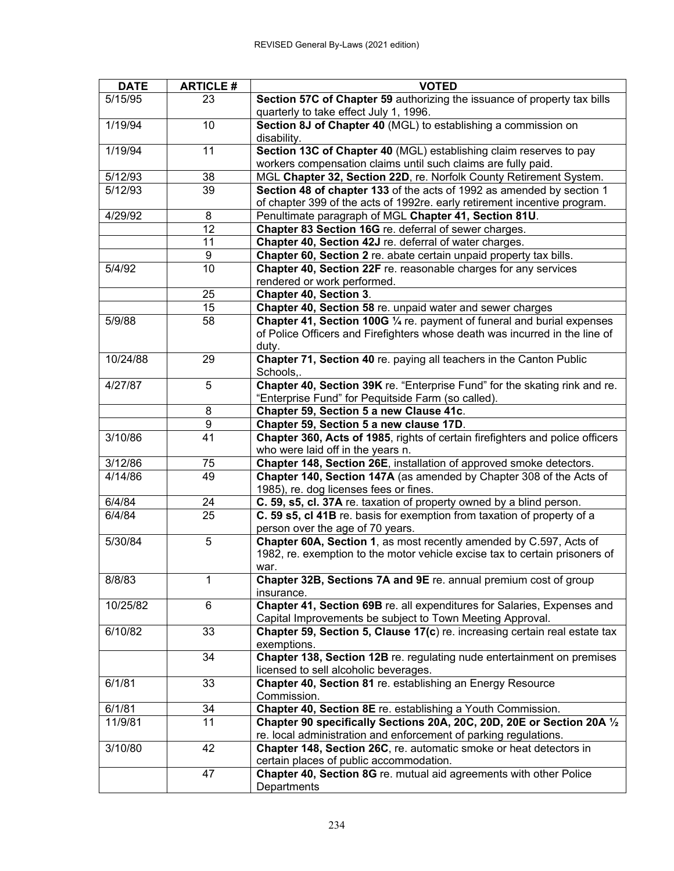| <b>DATE</b> | <b>ARTICLE#</b>       | <b>VOTED</b>                                                                                                |
|-------------|-----------------------|-------------------------------------------------------------------------------------------------------------|
| 5/15/95     | 23                    | Section 57C of Chapter 59 authorizing the issuance of property tax bills                                    |
|             |                       | quarterly to take effect July 1, 1996.                                                                      |
| 1/19/94     | 10                    | Section 8J of Chapter 40 (MGL) to establishing a commission on<br>disability.                               |
| 1/19/94     | 11                    | Section 13C of Chapter 40 (MGL) establishing claim reserves to pay                                          |
|             |                       | workers compensation claims until such claims are fully paid.                                               |
| 5/12/93     | 38                    | MGL Chapter 32, Section 22D, re. Norfolk County Retirement System.                                          |
| 5/12/93     | $\overline{39}$       | Section 48 of chapter 133 of the acts of 1992 as amended by section 1                                       |
|             |                       | of chapter 399 of the acts of 1992re. early retirement incentive program.                                   |
| 4/29/92     | 8                     | Penultimate paragraph of MGL Chapter 41, Section 81U.                                                       |
|             | 12                    | Chapter 83 Section 16G re. deferral of sewer charges.                                                       |
|             | 11                    | Chapter 40, Section 42J re. deferral of water charges.                                                      |
|             | 9                     | Chapter 60, Section 2 re. abate certain unpaid property tax bills.                                          |
| 5/4/92      | 10                    | Chapter 40, Section 22F re. reasonable charges for any services                                             |
|             |                       | rendered or work performed.                                                                                 |
|             | 25                    | <b>Chapter 40, Section 3.</b>                                                                               |
|             | 15                    | Chapter 40, Section 58 re. unpaid water and sewer charges                                                   |
| 5/9/88      | 58                    | Chapter 41, Section 100G 1/4 re. payment of funeral and burial expenses                                     |
|             |                       | of Police Officers and Firefighters whose death was incurred in the line of                                 |
|             |                       | duty.                                                                                                       |
| 10/24/88    | 29                    | Chapter 71, Section 40 re. paying all teachers in the Canton Public                                         |
|             |                       | Schools,.                                                                                                   |
| 4/27/87     | 5                     | Chapter 40, Section 39K re. "Enterprise Fund" for the skating rink and re.                                  |
|             |                       | "Enterprise Fund" for Pequitside Farm (so called).                                                          |
|             | 8                     | Chapter 59, Section 5 a new Clause 41c.                                                                     |
|             | $\overline{9}$        | Chapter 59, Section 5 a new clause 17D.                                                                     |
| 3/10/86     | $\overline{41}$       | Chapter 360, Acts of 1985, rights of certain firefighters and police officers                               |
|             |                       | who were laid off in the years n.                                                                           |
| 3/12/86     | 75                    | Chapter 148, Section 26E, installation of approved smoke detectors.                                         |
| 4/14/86     | 49                    | Chapter 140, Section 147A (as amended by Chapter 308 of the Acts of                                         |
|             |                       | 1985), re. dog licenses fees or fines.                                                                      |
| 6/4/84      | 24<br>$\overline{25}$ | C. 59, s5, cl. 37A re. taxation of property owned by a blind person.                                        |
| 6/4/84      |                       | C. 59 s5, cl 41B re. basis for exemption from taxation of property of a<br>person over the age of 70 years. |
| 5/30/84     | 5                     | Chapter 60A, Section 1, as most recently amended by C.597, Acts of                                          |
|             |                       | 1982, re. exemption to the motor vehicle excise tax to certain prisoners of                                 |
|             |                       | war.                                                                                                        |
| 8/8/83      | 1                     | Chapter 32B, Sections 7A and 9E re. annual premium cost of group                                            |
|             |                       | insurance.                                                                                                  |
| 10/25/82    | 6                     | Chapter 41, Section 69B re. all expenditures for Salaries, Expenses and                                     |
|             |                       | Capital Improvements be subject to Town Meeting Approval.                                                   |
| 6/10/82     | 33                    | Chapter 59, Section 5, Clause 17(c) re. increasing certain real estate tax<br>exemptions.                   |
|             | 34                    | Chapter 138, Section 12B re. regulating nude entertainment on premises                                      |
|             |                       | licensed to sell alcoholic beverages.                                                                       |
| 6/1/81      | 33                    | Chapter 40, Section 81 re. establishing an Energy Resource                                                  |
|             |                       | Commission.                                                                                                 |
| 6/1/81      | 34                    | Chapter 40, Section 8E re. establishing a Youth Commission.                                                 |
| 11/9/81     | 11                    | Chapter 90 specifically Sections 20A, 20C, 20D, 20E or Section 20A 1/2                                      |
|             |                       | re. local administration and enforcement of parking regulations.                                            |
| 3/10/80     | 42                    | Chapter 148, Section 26C, re. automatic smoke or heat detectors in                                          |
|             |                       | certain places of public accommodation.                                                                     |
|             | 47                    | Chapter 40, Section 8G re. mutual aid agreements with other Police                                          |
|             |                       | Departments                                                                                                 |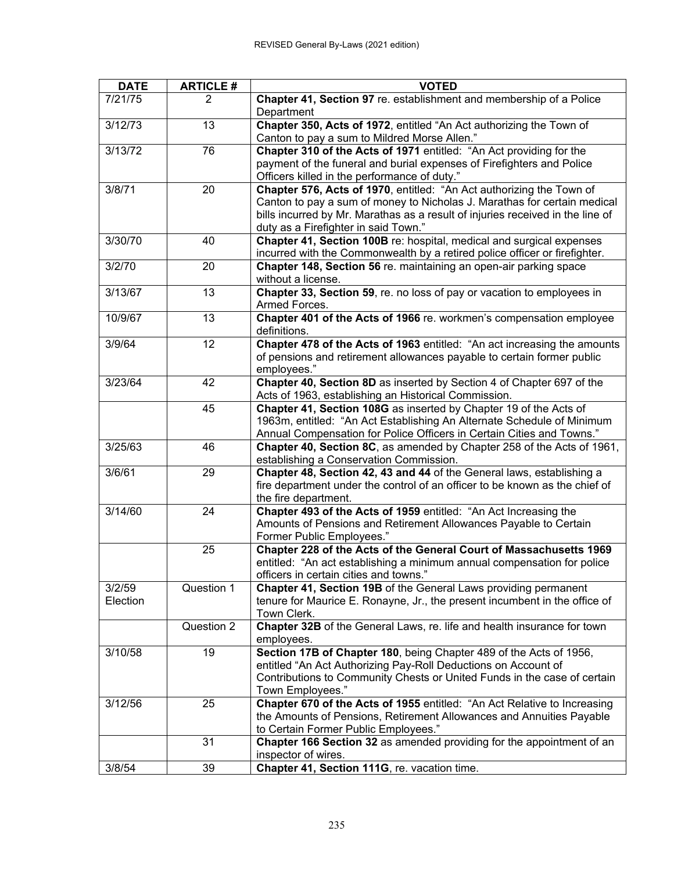| <b>DATE</b>        | <b>ARTICLE#</b> | <b>VOTED</b>                                                                                                                                                                                                                                                               |
|--------------------|-----------------|----------------------------------------------------------------------------------------------------------------------------------------------------------------------------------------------------------------------------------------------------------------------------|
| 7/21/75            | $\overline{2}$  | Chapter 41, Section 97 re. establishment and membership of a Police<br>Department                                                                                                                                                                                          |
| 3/12/73            | 13              | Chapter 350, Acts of 1972, entitled "An Act authorizing the Town of<br>Canton to pay a sum to Mildred Morse Allen."                                                                                                                                                        |
| 3/13/72            | 76              | Chapter 310 of the Acts of 1971 entitled: "An Act providing for the<br>payment of the funeral and burial expenses of Firefighters and Police<br>Officers killed in the performance of duty."                                                                               |
| 3/8/71             | 20              | Chapter 576, Acts of 1970, entitled: "An Act authorizing the Town of<br>Canton to pay a sum of money to Nicholas J. Marathas for certain medical<br>bills incurred by Mr. Marathas as a result of injuries received in the line of<br>duty as a Firefighter in said Town." |
| 3/30/70            | 40              | Chapter 41, Section 100B re: hospital, medical and surgical expenses<br>incurred with the Commonwealth by a retired police officer or firefighter.                                                                                                                         |
| 3/2/70             | 20              | Chapter 148, Section 56 re. maintaining an open-air parking space<br>without a license.                                                                                                                                                                                    |
| 3/13/67            | 13              | Chapter 33, Section 59, re. no loss of pay or vacation to employees in<br>Armed Forces.                                                                                                                                                                                    |
| 10/9/67            | 13              | Chapter 401 of the Acts of 1966 re. workmen's compensation employee<br>definitions.                                                                                                                                                                                        |
| 3/9/64             | 12              | Chapter 478 of the Acts of 1963 entitled: "An act increasing the amounts<br>of pensions and retirement allowances payable to certain former public<br>employees."                                                                                                          |
| 3/23/64            | 42              | Chapter 40, Section 8D as inserted by Section 4 of Chapter 697 of the<br>Acts of 1963, establishing an Historical Commission.                                                                                                                                              |
|                    | 45              | Chapter 41, Section 108G as inserted by Chapter 19 of the Acts of<br>1963m, entitled: "An Act Establishing An Alternate Schedule of Minimum<br>Annual Compensation for Police Officers in Certain Cities and Towns."                                                       |
| 3/25/63            | 46              | Chapter 40, Section 8C, as amended by Chapter 258 of the Acts of 1961,<br>establishing a Conservation Commission.                                                                                                                                                          |
| 3/6/61             | 29              | Chapter 48, Section 42, 43 and 44 of the General laws, establishing a<br>fire department under the control of an officer to be known as the chief of<br>the fire department.                                                                                               |
| 3/14/60            | 24              | Chapter 493 of the Acts of 1959 entitled: "An Act Increasing the<br>Amounts of Pensions and Retirement Allowances Payable to Certain<br>Former Public Employees."                                                                                                          |
|                    | 25              | Chapter 228 of the Acts of the General Court of Massachusetts 1969<br>entitled: "An act establishing a minimum annual compensation for police<br>officers in certain cities and towns."                                                                                    |
| 3/2/59<br>Election | Question 1      | Chapter 41, Section 19B of the General Laws providing permanent<br>tenure for Maurice E. Ronayne, Jr., the present incumbent in the office of<br>Town Clerk.                                                                                                               |
|                    | Question 2      | Chapter 32B of the General Laws, re. life and health insurance for town<br>employees.                                                                                                                                                                                      |
| 3/10/58            | 19              | Section 17B of Chapter 180, being Chapter 489 of the Acts of 1956,<br>entitled "An Act Authorizing Pay-Roll Deductions on Account of<br>Contributions to Community Chests or United Funds in the case of certain<br>Town Employees."                                       |
| 3/12/56            | 25              | Chapter 670 of the Acts of 1955 entitled: "An Act Relative to Increasing<br>the Amounts of Pensions, Retirement Allowances and Annuities Payable<br>to Certain Former Public Employees."                                                                                   |
|                    | 31              | Chapter 166 Section 32 as amended providing for the appointment of an<br>inspector of wires.                                                                                                                                                                               |
| 3/8/54             | 39              | Chapter 41, Section 111G, re. vacation time.                                                                                                                                                                                                                               |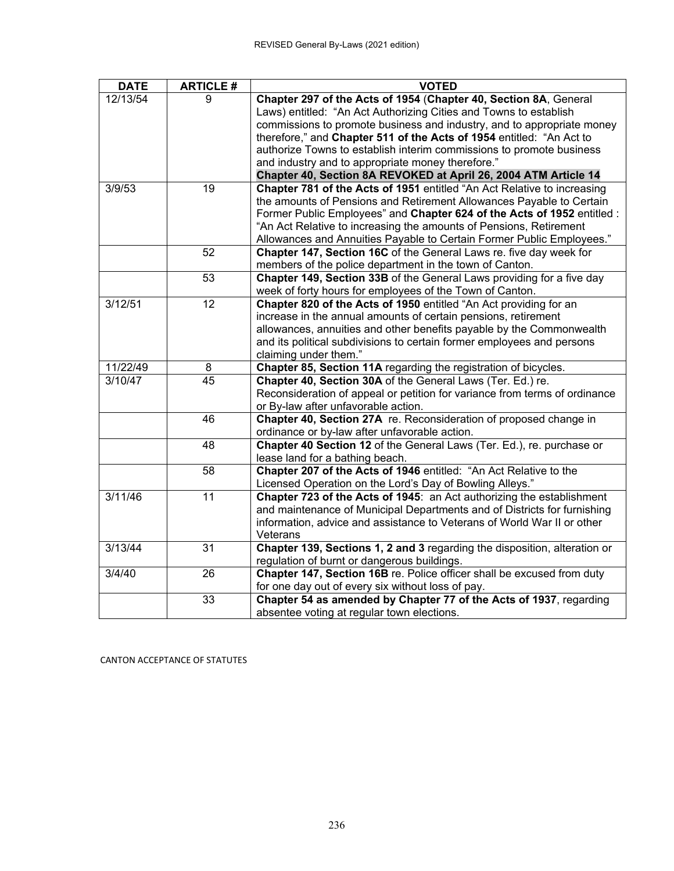| <b>DATE</b> | <b>ARTICLE#</b> | <b>VOTED</b>                                                               |
|-------------|-----------------|----------------------------------------------------------------------------|
| 12/13/54    | 9               | Chapter 297 of the Acts of 1954 (Chapter 40, Section 8A, General           |
|             |                 | Laws) entitled: "An Act Authorizing Cities and Towns to establish          |
|             |                 | commissions to promote business and industry, and to appropriate money     |
|             |                 | therefore," and Chapter 511 of the Acts of 1954 entitled: "An Act to       |
|             |                 | authorize Towns to establish interim commissions to promote business       |
|             |                 | and industry and to appropriate money therefore."                          |
|             |                 | Chapter 40, Section 8A REVOKED at April 26, 2004 ATM Article 14            |
| 3/9/53      | $\overline{19}$ | Chapter 781 of the Acts of 1951 entitled "An Act Relative to increasing    |
|             |                 | the amounts of Pensions and Retirement Allowances Payable to Certain       |
|             |                 | Former Public Employees" and Chapter 624 of the Acts of 1952 entitled :    |
|             |                 | "An Act Relative to increasing the amounts of Pensions, Retirement         |
|             |                 | Allowances and Annuities Payable to Certain Former Public Employees."      |
|             | 52              | Chapter 147, Section 16C of the General Laws re. five day week for         |
|             |                 | members of the police department in the town of Canton.                    |
|             | 53              | Chapter 149, Section 33B of the General Laws providing for a five day      |
|             |                 | week of forty hours for employees of the Town of Canton.                   |
| 3/12/51     | 12              | Chapter 820 of the Acts of 1950 entitled "An Act providing for an          |
|             |                 | increase in the annual amounts of certain pensions, retirement             |
|             |                 | allowances, annuities and other benefits payable by the Commonwealth       |
|             |                 | and its political subdivisions to certain former employees and persons     |
|             |                 | claiming under them."                                                      |
| 11/22/49    | 8               | Chapter 85, Section 11A regarding the registration of bicycles.            |
| 3/10/47     | 45              | Chapter 40, Section 30A of the General Laws (Ter. Ed.) re.                 |
|             |                 | Reconsideration of appeal or petition for variance from terms of ordinance |
|             |                 | or By-law after unfavorable action.                                        |
|             | 46              | Chapter 40, Section 27A re. Reconsideration of proposed change in          |
|             |                 | ordinance or by-law after unfavorable action.                              |
|             | 48              | Chapter 40 Section 12 of the General Laws (Ter. Ed.), re. purchase or      |
|             |                 | lease land for a bathing beach.                                            |
|             | 58              | Chapter 207 of the Acts of 1946 entitled: "An Act Relative to the          |
|             |                 | Licensed Operation on the Lord's Day of Bowling Alleys."                   |
| 3/11/46     | 11              | Chapter 723 of the Acts of 1945: an Act authorizing the establishment      |
|             |                 | and maintenance of Municipal Departments and of Districts for furnishing   |
|             |                 | information, advice and assistance to Veterans of World War II or other    |
|             |                 | Veterans                                                                   |
| 3/13/44     | 31              | Chapter 139, Sections 1, 2 and 3 regarding the disposition, alteration or  |
|             |                 | regulation of burnt or dangerous buildings.                                |
| 3/4/40      | 26              | Chapter 147, Section 16B re. Police officer shall be excused from duty     |
|             |                 | for one day out of every six without loss of pay.                          |
|             | 33              | Chapter 54 as amended by Chapter 77 of the Acts of 1937, regarding         |
|             |                 | absentee voting at regular town elections.                                 |

CANTON ACCEPTANCE OF STATUTES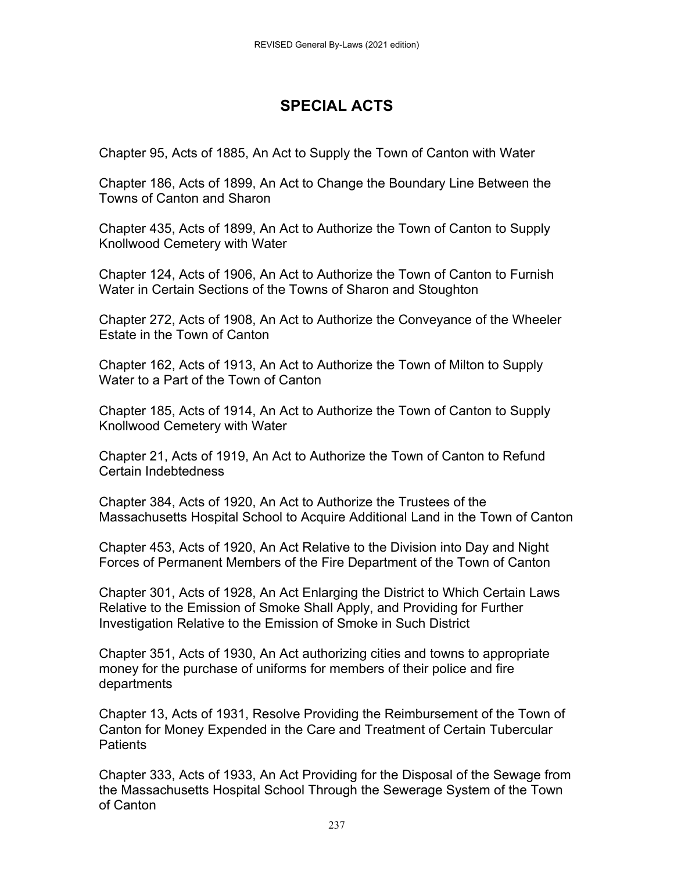## **SPECIAL ACTS**

Chapter 95, Acts of 1885, An Act to Supply the Town of Canton with Water

Chapter 186, Acts of 1899, An Act to Change the Boundary Line Between the Towns of Canton and Sharon

Chapter 435, Acts of 1899, An Act to Authorize the Town of Canton to Supply Knollwood Cemetery with Water

Chapter 124, Acts of 1906, An Act to Authorize the Town of Canton to Furnish Water in Certain Sections of the Towns of Sharon and Stoughton

Chapter 272, Acts of 1908, An Act to Authorize the Conveyance of the Wheeler Estate in the Town of Canton

Chapter 162, Acts of 1913, An Act to Authorize the Town of Milton to Supply Water to a Part of the Town of Canton

Chapter 185, Acts of 1914, An Act to Authorize the Town of Canton to Supply Knollwood Cemetery with Water

Chapter 21, Acts of 1919, An Act to Authorize the Town of Canton to Refund Certain Indebtedness

Chapter 384, Acts of 1920, An Act to Authorize the Trustees of the Massachusetts Hospital School to Acquire Additional Land in the Town of Canton

Chapter 453, Acts of 1920, An Act Relative to the Division into Day and Night Forces of Permanent Members of the Fire Department of the Town of Canton

Chapter 301, Acts of 1928, An Act Enlarging the District to Which Certain Laws Relative to the Emission of Smoke Shall Apply, and Providing for Further Investigation Relative to the Emission of Smoke in Such District

Chapter 351, Acts of 1930, An Act authorizing cities and towns to appropriate money for the purchase of uniforms for members of their police and fire departments

Chapter 13, Acts of 1931, Resolve Providing the Reimbursement of the Town of Canton for Money Expended in the Care and Treatment of Certain Tubercular **Patients** 

Chapter 333, Acts of 1933, An Act Providing for the Disposal of the Sewage from the Massachusetts Hospital School Through the Sewerage System of the Town of Canton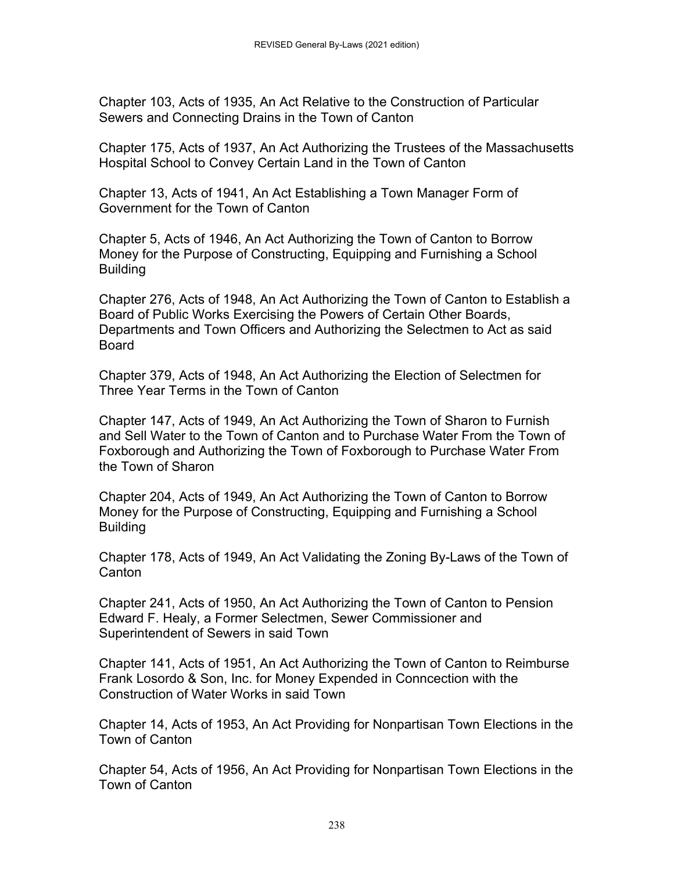Chapter 103, Acts of 1935, An Act Relative to the Construction of Particular Sewers and Connecting Drains in the Town of Canton

Chapter 175, Acts of 1937, An Act Authorizing the Trustees of the Massachusetts Hospital School to Convey Certain Land in the Town of Canton

Chapter 13, Acts of 1941, An Act Establishing a Town Manager Form of Government for the Town of Canton

Chapter 5, Acts of 1946, An Act Authorizing the Town of Canton to Borrow Money for the Purpose of Constructing, Equipping and Furnishing a School Building

Chapter 276, Acts of 1948, An Act Authorizing the Town of Canton to Establish a Board of Public Works Exercising the Powers of Certain Other Boards, Departments and Town Officers and Authorizing the Selectmen to Act as said Board

Chapter 379, Acts of 1948, An Act Authorizing the Election of Selectmen for Three Year Terms in the Town of Canton

Chapter 147, Acts of 1949, An Act Authorizing the Town of Sharon to Furnish and Sell Water to the Town of Canton and to Purchase Water From the Town of Foxborough and Authorizing the Town of Foxborough to Purchase Water From the Town of Sharon

Chapter 204, Acts of 1949, An Act Authorizing the Town of Canton to Borrow Money for the Purpose of Constructing, Equipping and Furnishing a School Building

Chapter 178, Acts of 1949, An Act Validating the Zoning By-Laws of the Town of Canton

Chapter 241, Acts of 1950, An Act Authorizing the Town of Canton to Pension Edward F. Healy, a Former Selectmen, Sewer Commissioner and Superintendent of Sewers in said Town

Chapter 141, Acts of 1951, An Act Authorizing the Town of Canton to Reimburse Frank Losordo & Son, Inc. for Money Expended in Conncection with the Construction of Water Works in said Town

Chapter 14, Acts of 1953, An Act Providing for Nonpartisan Town Elections in the Town of Canton

Chapter 54, Acts of 1956, An Act Providing for Nonpartisan Town Elections in the Town of Canton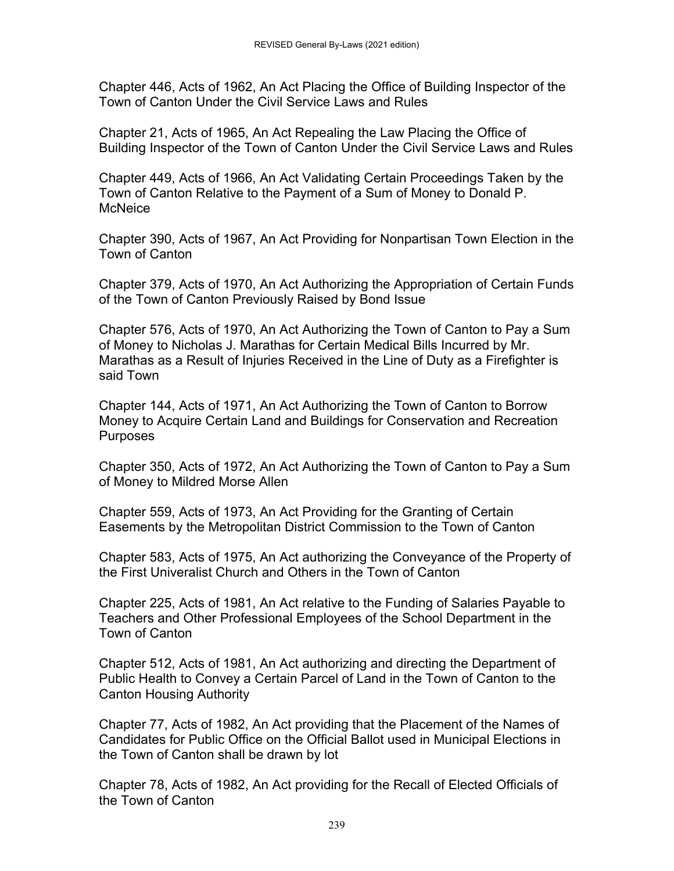Chapter 446, Acts of 1962, An Act Placing the Office of Building Inspector of the Town of Canton Under the Civil Service Laws and Rules

Chapter 21, Acts of 1965, An Act Repealing the Law Placing the Office of Building Inspector of the Town of Canton Under the Civil Service Laws and Rules

Chapter 449, Acts of 1966, An Act Validating Certain Proceedings Taken by the Town of Canton Relative to the Payment of a Sum of Money to Donald P. **McNeice** 

Chapter 390, Acts of 1967, An Act Providing for Nonpartisan Town Election in the Town of Canton

Chapter 379, Acts of 1970, An Act Authorizing the Appropriation of Certain Funds of the Town of Canton Previously Raised by Bond Issue

Chapter 576, Acts of 1970, An Act Authorizing the Town of Canton to Pay a Sum of Money to Nicholas J. Marathas for Certain Medical Bills Incurred by Mr. Marathas as a Result of Injuries Received in the Line of Duty as a Firefighter is said Town

Chapter 144, Acts of 1971, An Act Authorizing the Town of Canton to Borrow Money to Acquire Certain Land and Buildings for Conservation and Recreation **Purposes** 

Chapter 350, Acts of 1972, An Act Authorizing the Town of Canton to Pay a Sum of Money to Mildred Morse Allen

Chapter 559, Acts of 1973, An Act Providing for the Granting of Certain Easements by the Metropolitan District Commission to the Town of Canton

Chapter 583, Acts of 1975, An Act authorizing the Conveyance of the Property of the First Univeralist Church and Others in the Town of Canton

Chapter 225, Acts of 1981, An Act relative to the Funding of Salaries Payable to Teachers and Other Professional Employees of the School Department in the Town of Canton

Chapter 512, Acts of 1981, An Act authorizing and directing the Department of Public Health to Convey a Certain Parcel of Land in the Town of Canton to the Canton Housing Authority

Chapter 77, Acts of 1982, An Act providing that the Placement of the Names of Candidates for Public Office on the Official Ballot used in Municipal Elections in the Town of Canton shall be drawn by lot

Chapter 78, Acts of 1982, An Act providing for the Recall of Elected Officials of the Town of Canton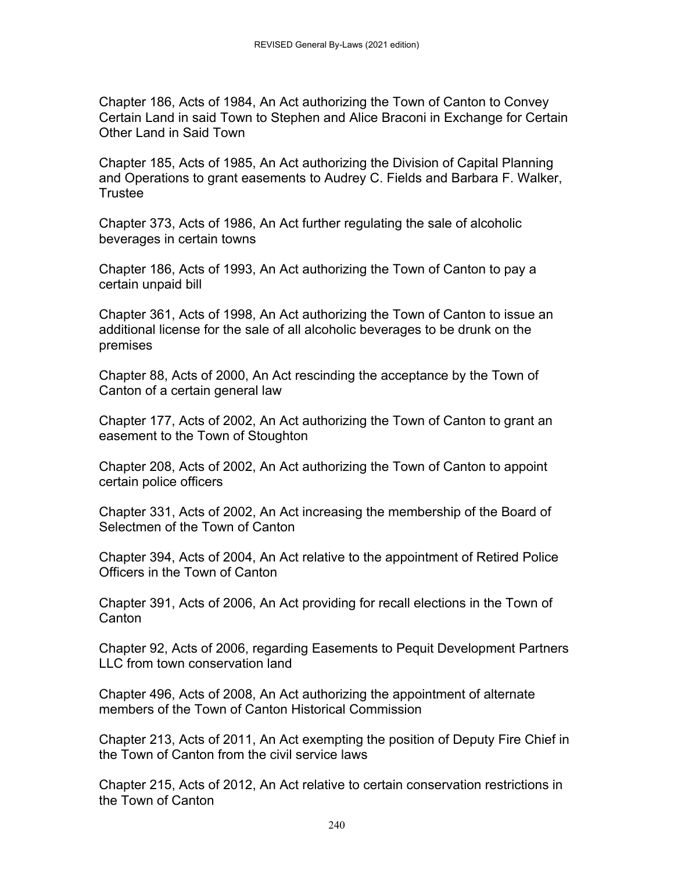Chapter 186, Acts of 1984, An Act authorizing the Town of Canton to Convey Certain Land in said Town to Stephen and Alice Braconi in Exchange for Certain Other Land in Said Town

Chapter 185, Acts of 1985, An Act authorizing the Division of Capital Planning and Operations to grant easements to Audrey C. Fields and Barbara F. Walker, **Trustee** 

Chapter 373, Acts of 1986, An Act further regulating the sale of alcoholic beverages in certain towns

Chapter 186, Acts of 1993, An Act authorizing the Town of Canton to pay a certain unpaid bill

Chapter 361, Acts of 1998, An Act authorizing the Town of Canton to issue an additional license for the sale of all alcoholic beverages to be drunk on the premises

Chapter 88, Acts of 2000, An Act rescinding the acceptance by the Town of Canton of a certain general law

Chapter 177, Acts of 2002, An Act authorizing the Town of Canton to grant an easement to the Town of Stoughton

Chapter 208, Acts of 2002, An Act authorizing the Town of Canton to appoint certain police officers

Chapter 331, Acts of 2002, An Act increasing the membership of the Board of Selectmen of the Town of Canton

Chapter 394, Acts of 2004, An Act relative to the appointment of Retired Police Officers in the Town of Canton

Chapter 391, Acts of 2006, An Act providing for recall elections in the Town of **Canton** 

Chapter 92, Acts of 2006, regarding Easements to Pequit Development Partners LLC from town conservation land

Chapter 496, Acts of 2008, An Act authorizing the appointment of alternate members of the Town of Canton Historical Commission

Chapter 213, Acts of 2011, An Act exempting the position of Deputy Fire Chief in the Town of Canton from the civil service laws

Chapter 215, Acts of 2012, An Act relative to certain conservation restrictions in the Town of Canton